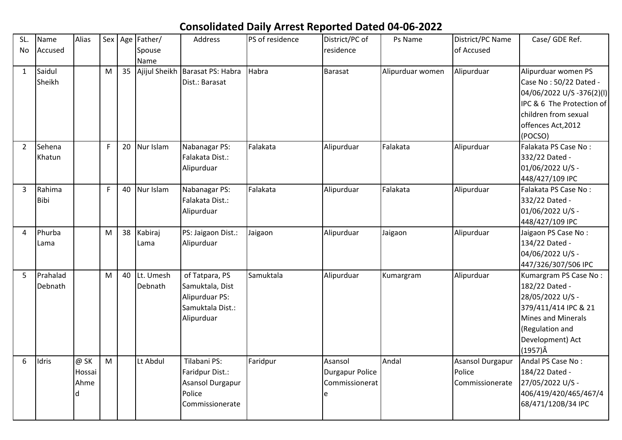## **Consolidated Daily Arrest Reported Dated 04-06-2022**

| SL.            | Name     | Alias  |    |    | Sex Age Father/ | Address                 | PS of residence | District/PC of         | Ps Name          | District/PC Name | Case/ GDE Ref.            |
|----------------|----------|--------|----|----|-----------------|-------------------------|-----------------|------------------------|------------------|------------------|---------------------------|
| <b>No</b>      | Accused  |        |    |    | Spouse          |                         |                 | residence              |                  | of Accused       |                           |
|                |          |        |    |    | Name            |                         |                 |                        |                  |                  |                           |
| $\mathbf{1}$   | Saidul   |        | M  | 35 | Ajijul Sheikh   | Barasat PS: Habra       | Habra           | <b>Barasat</b>         | Alipurduar women | Alipurduar       | Alipurduar women PS       |
|                | Sheikh   |        |    |    |                 | Dist.: Barasat          |                 |                        |                  |                  | Case No: 50/22 Dated -    |
|                |          |        |    |    |                 |                         |                 |                        |                  |                  | 04/06/2022 U/S -376(2)(I) |
|                |          |        |    |    |                 |                         |                 |                        |                  |                  | IPC & 6 The Protection of |
|                |          |        |    |    |                 |                         |                 |                        |                  |                  | children from sexual      |
|                |          |        |    |    |                 |                         |                 |                        |                  |                  | offences Act, 2012        |
|                |          |        |    |    |                 |                         |                 |                        |                  |                  | (POCSO)                   |
| $\overline{2}$ | Sehena   |        | F  | 20 | Nur Islam       | Nabanagar PS:           | Falakata        | Alipurduar             | Falakata         | Alipurduar       | Falakata PS Case No:      |
|                | Khatun   |        |    |    |                 | Falakata Dist.:         |                 |                        |                  |                  | 332/22 Dated -            |
|                |          |        |    |    |                 | Alipurduar              |                 |                        |                  |                  | 01/06/2022 U/S -          |
|                |          |        |    |    |                 |                         |                 |                        |                  |                  | 448/427/109 IPC           |
| 3              | Rahima   |        | F. | 40 | Nur Islam       | Nabanagar PS:           | Falakata        | Alipurduar             | Falakata         | Alipurduar       | Falakata PS Case No:      |
|                | Bibi     |        |    |    |                 | Falakata Dist.:         |                 |                        |                  |                  | 332/22 Dated -            |
|                |          |        |    |    |                 | Alipurduar              |                 |                        |                  |                  | 01/06/2022 U/S -          |
|                |          |        |    |    |                 |                         |                 |                        |                  |                  | 448/427/109 IPC           |
| 4              | Phurba   |        | M  | 38 | Kabiraj         | PS: Jaigaon Dist.:      | Jaigaon         | Alipurduar             | Jaigaon          | Alipurduar       | Jaigaon PS Case No:       |
|                | Lama     |        |    |    | Lama            | Alipurduar              |                 |                        |                  |                  | 134/22 Dated -            |
|                |          |        |    |    |                 |                         |                 |                        |                  |                  | 04/06/2022 U/S -          |
|                |          |        |    |    |                 |                         |                 |                        |                  |                  | 447/326/307/506 IPC       |
| 5              | Prahalad |        | M  | 40 | Lt. Umesh       | of Tatpara, PS          | Samuktala       | Alipurduar             | Kumargram        | Alipurduar       | Kumargram PS Case No:     |
|                | Debnath  |        |    |    | Debnath         | Samuktala, Dist         |                 |                        |                  |                  | 182/22 Dated -            |
|                |          |        |    |    |                 | Alipurduar PS:          |                 |                        |                  |                  | 28/05/2022 U/S -          |
|                |          |        |    |    |                 | Samuktala Dist.:        |                 |                        |                  |                  | 379/411/414 IPC & 21      |
|                |          |        |    |    |                 | Alipurduar              |                 |                        |                  |                  | <b>Mines and Minerals</b> |
|                |          |        |    |    |                 |                         |                 |                        |                  |                  | (Regulation and           |
|                |          |        |    |    |                 |                         |                 |                        |                  |                  | Development) Act          |
|                |          |        |    |    |                 |                         |                 |                        |                  |                  | $(1957)\hat{A}$           |
| 6              | Idris    | @ SK   | M  |    | Lt Abdul        | Tilabani PS:            | Faridpur        | Asansol                | Andal            | Asansol Durgapur | Andal PS Case No:         |
|                |          | Hossai |    |    |                 | Faridpur Dist.:         |                 | <b>Durgapur Police</b> |                  | Police           | 184/22 Dated -            |
|                |          | Ahme   |    |    |                 | <b>Asansol Durgapur</b> |                 | Commissionerat         |                  | Commissionerate  | 27/05/2022 U/S -          |
|                |          | d      |    |    |                 | Police                  |                 | e                      |                  |                  | 406/419/420/465/467/4     |
|                |          |        |    |    |                 | Commissionerate         |                 |                        |                  |                  | 68/471/120B/34 IPC        |
|                |          |        |    |    |                 |                         |                 |                        |                  |                  |                           |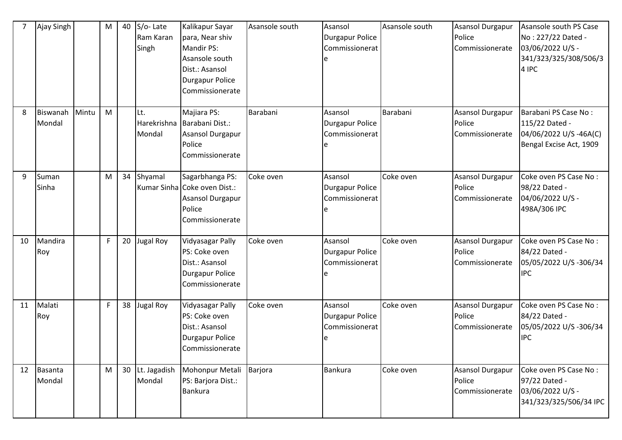|    | Ajay Singh         |       | M  | 40              | S/o-Late<br>Ram Karan<br>Singh | Kalikapur Sayar<br>para, Near shiv<br><b>Mandir PS:</b><br>Asansole south<br>Dist.: Asansol<br><b>Durgapur Police</b><br>Commissionerate | Asansole south | Asansol<br><b>Durgapur Police</b><br>Commissionerat<br>e | Asansole south | <b>Asansol Durgapur</b><br>Police<br>Commissionerate | Asansole south PS Case<br>No: 227/22 Dated -<br>03/06/2022 U/S -<br>341/323/325/308/506/3<br>4 IPC |
|----|--------------------|-------|----|-----------------|--------------------------------|------------------------------------------------------------------------------------------------------------------------------------------|----------------|----------------------------------------------------------|----------------|------------------------------------------------------|----------------------------------------------------------------------------------------------------|
| 8  | Biswanah<br>Mondal | Mintu | M  |                 | Lt.<br>Harekrishna<br>Mondal   | Majiara PS:<br>Barabani Dist.:<br>Asansol Durgapur<br>Police<br>Commissionerate                                                          | Barabani       | Asansol<br><b>Durgapur Police</b><br>Commissionerat<br>e | Barabani       | Asansol Durgapur<br>Police<br>Commissionerate        | Barabani PS Case No:<br>115/22 Dated -<br>04/06/2022 U/S-46A(C)<br>Bengal Excise Act, 1909         |
| 9  | Suman<br>Sinha     |       | M  | 34              | Shyamal                        | Sagarbhanga PS:<br>Kumar Sinha Coke oven Dist.:<br>Asansol Durgapur<br>Police<br>Commissionerate                                         | Coke oven      | Asansol<br><b>Durgapur Police</b><br>Commissionerat      | Coke oven      | <b>Asansol Durgapur</b><br>Police<br>Commissionerate | Coke oven PS Case No:<br>98/22 Dated -<br>04/06/2022 U/S -<br>498A/306 IPC                         |
| 10 | Mandira<br>Roy     |       | F. | 20              | <b>Jugal Roy</b>               | <b>Vidyasagar Pally</b><br>PS: Coke oven<br>Dist.: Asansol<br><b>Durgapur Police</b><br>Commissionerate                                  | Coke oven      | Asansol<br><b>Durgapur Police</b><br>Commissionerat<br>e | Coke oven      | <b>Asansol Durgapur</b><br>Police<br>Commissionerate | Coke oven PS Case No:<br>84/22 Dated -<br>05/05/2022 U/S -306/34<br><b>IPC</b>                     |
| 11 | Malati<br>Roy      |       | F. | 38              | Jugal Roy                      | Vidyasagar Pally<br>PS: Coke oven<br>Dist.: Asansol<br><b>Durgapur Police</b><br>Commissionerate                                         | Coke oven      | Asansol<br><b>Durgapur Police</b><br>Commissionerat<br>e | Coke oven      | <b>Asansol Durgapur</b><br>Police<br>Commissionerate | Coke oven PS Case No:<br>84/22 Dated -<br>05/05/2022 U/S -306/34<br><b>IPC</b>                     |
| 12 | Basanta<br>Mondal  |       | M  | 30 <sup>°</sup> | Lt. Jagadish<br>Mondal         | Mohonpur Metali<br>PS: Barjora Dist.:<br><b>Bankura</b>                                                                                  | Barjora        | Bankura                                                  | Coke oven      | <b>Asansol Durgapur</b><br>Police<br>Commissionerate | Coke oven PS Case No:<br>97/22 Dated -<br>03/06/2022 U/S -<br>341/323/325/506/34 IPC               |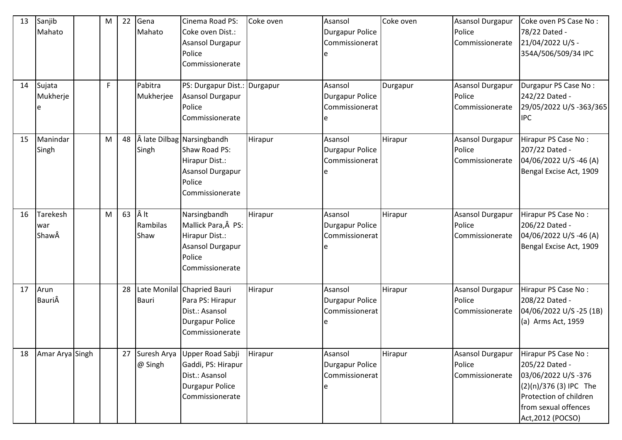| 13 | Sanjib<br>Mahato                | M | 22 | Gena<br>Mahato         | Cinema Road PS:<br>Coke oven Dist.:<br>Asansol Durgapur<br>Police<br>Commissionerate                           | Coke oven | Asansol<br><b>Durgapur Police</b><br>Commissionerat      | Coke oven | Asansol Durgapur<br>Police<br>Commissionerate        | Coke oven PS Case No:<br>78/22 Dated -<br>21/04/2022 U/S -<br>354A/506/509/34 IPC                                                                              |
|----|---------------------------------|---|----|------------------------|----------------------------------------------------------------------------------------------------------------|-----------|----------------------------------------------------------|-----------|------------------------------------------------------|----------------------------------------------------------------------------------------------------------------------------------------------------------------|
| 14 | Sujata<br>Mukherje              | F |    | Pabitra<br>Mukherjee   | PS: Durgapur Dist.: Durgapur<br>Asansol Durgapur<br>Police<br>Commissionerate                                  |           | Asansol<br><b>Durgapur Police</b><br>Commissionerat<br>e | Durgapur  | Asansol Durgapur<br>Police<br>Commissionerate        | Durgapur PS Case No:<br>242/22 Dated -<br>29/05/2022 U/S -363/365<br><b>IPC</b>                                                                                |
| 15 | Manindar<br>Singh               | M | 48 | Singh                  | Å late Dilbag Narsingbandh<br>Shaw Road PS:<br>Hirapur Dist.:<br>Asansol Durgapur<br>Police<br>Commissionerate | Hirapur   | Asansol<br><b>Durgapur Police</b><br>Commissionerat      | Hirapur   | Asansol Durgapur<br>Police<br>Commissionerate        | Hirapur PS Case No:<br>207/22 Dated -<br>04/06/2022 U/S -46 (A)<br>Bengal Excise Act, 1909                                                                     |
| 16 | <b>Tarekesh</b><br>war<br>ShawÂ | M | 63 | It<br>Rambilas<br>Shaw | Narsingbandh<br>Mallick Para, Â PS:<br>Hirapur Dist.:<br><b>Asansol Durgapur</b><br>Police<br>Commissionerate  | Hirapur   | Asansol<br><b>Durgapur Police</b><br>Commissionerat      | Hirapur   | Asansol Durgapur<br>Police<br>Commissionerate        | Hirapur PS Case No:<br>206/22 Dated -<br>04/06/2022 U/S -46 (A)<br>Bengal Excise Act, 1909                                                                     |
| 17 | Arun<br>BauriÂ                  |   | 28 | <b>Bauri</b>           | Late Monilal Chapried Bauri<br>Para PS: Hirapur<br>Dist.: Asansol<br>Durgapur Police<br>Commissionerate        | Hirapur   | Asansol<br><b>Durgapur Police</b><br>Commissionerat<br>e | Hirapur   | Asansol Durgapur<br>Police<br>Commissionerate        | Hirapur PS Case No:<br>208/22 Dated -<br>04/06/2022 U/S -25 (1B)<br>(a) Arms Act, 1959                                                                         |
| 18 | Amar Arya Singh                 |   | 27 | Suresh Arya<br>@ Singh | Upper Road Sabji<br>Gaddi, PS: Hirapur<br>Dist.: Asansol<br>Durgapur Police<br>Commissionerate                 | Hirapur   | Asansol<br><b>Durgapur Police</b><br>Commissionerat      | Hirapur   | <b>Asansol Durgapur</b><br>Police<br>Commissionerate | Hirapur PS Case No:<br>205/22 Dated -<br>03/06/2022 U/S-376<br>$(2)(n)/376$ (3) IPC The<br>Protection of children<br>from sexual offences<br>Act, 2012 (POCSO) |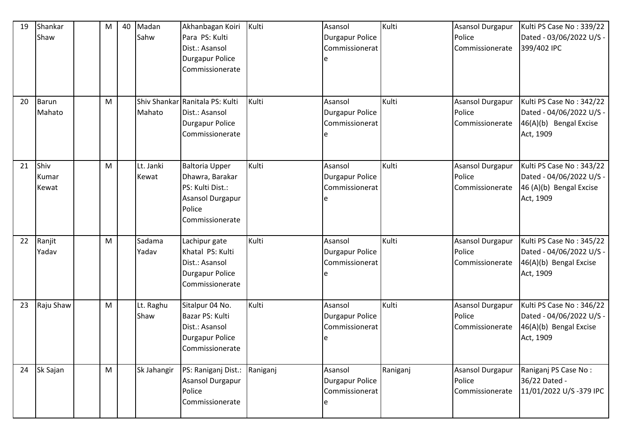| 19 | Shankar<br>Shaw        | M | 40 | Madan<br>Sahw      | Akhanbagan Koiri<br>Para PS: Kulti<br>Dist.: Asansol<br><b>Durgapur Police</b><br>Commissionerate             | Kulti    | Asansol<br>Durgapur Police<br>Commissionerat        | Kulti    | Asansol Durgapur<br>Police<br>Commissionerate        | Kulti PS Case No: 339/22<br>Dated - 03/06/2022 U/S -<br>399/402 IPC                          |
|----|------------------------|---|----|--------------------|---------------------------------------------------------------------------------------------------------------|----------|-----------------------------------------------------|----------|------------------------------------------------------|----------------------------------------------------------------------------------------------|
| 20 | <b>Barun</b><br>Mahato | M |    | Mahato             | Shiv Shankar Ranitala PS: Kulti<br>Dist.: Asansol<br>Durgapur Police<br>Commissionerate                       | Kulti    | Asansol<br><b>Durgapur Police</b><br>Commissionerat | Kulti    | <b>Asansol Durgapur</b><br>Police<br>Commissionerate | Kulti PS Case No: 342/22<br>Dated - 04/06/2022 U/S -<br>46(A)(b) Bengal Excise<br>Act, 1909  |
| 21 | Shiv<br>Kumar<br>Kewat | M |    | Lt. Janki<br>Kewat | <b>Baltoria Upper</b><br>Dhawra, Barakar<br>PS: Kulti Dist.:<br>Asansol Durgapur<br>Police<br>Commissionerate | Kulti    | Asansol<br><b>Durgapur Police</b><br>Commissionerat | Kulti    | <b>Asansol Durgapur</b><br>Police<br>Commissionerate | Kulti PS Case No: 343/22<br>Dated - 04/06/2022 U/S -<br>46 (A)(b) Bengal Excise<br>Act, 1909 |
| 22 | Ranjit<br>Yadav        | M |    | Sadama<br>Yadav    | Lachipur gate<br>Khatal PS: Kulti<br>Dist.: Asansol<br><b>Durgapur Police</b><br>Commissionerate              | Kulti    | Asansol<br><b>Durgapur Police</b><br>Commissionerat | Kulti    | Asansol Durgapur<br>Police<br>Commissionerate        | Kulti PS Case No: 345/22<br>Dated - 04/06/2022 U/S -<br>46(A)(b) Bengal Excise<br>Act, 1909  |
| 23 | Raju Shaw              | M |    | Lt. Raghu<br>Shaw  | Sitalpur 04 No.<br>Bazar PS: Kulti<br>Dist.: Asansol<br><b>Durgapur Police</b><br>Commissionerate             | Kulti    | Asansol<br><b>Durgapur Police</b><br>Commissionerat | Kulti    | Asansol Durgapur<br>Police<br>Commissionerate        | Kulti PS Case No: 346/22<br>Dated - 04/06/2022 U/S -<br>46(A)(b) Bengal Excise<br>Act, 1909  |
| 24 | Sk Sajan               | M |    | Sk Jahangir        | PS: Raniganj Dist.:<br>Asansol Durgapur<br>Police<br>Commissionerate                                          | Raniganj | Asansol<br>Durgapur Police<br>Commissionerat<br>e   | Raniganj | Asansol Durgapur<br>Police<br>Commissionerate        | Raniganj PS Case No:<br>36/22 Dated -<br>11/01/2022 U/S-379 IPC                              |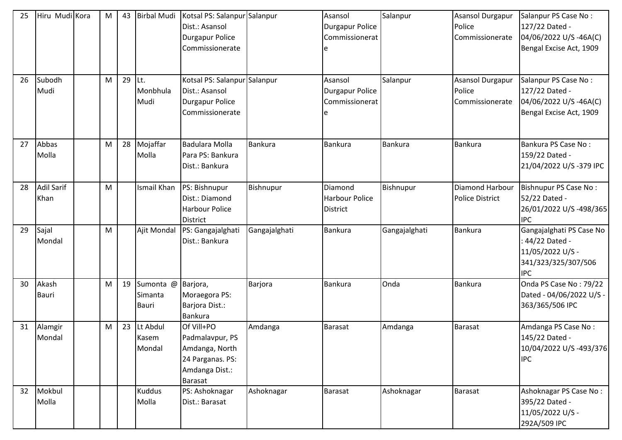| 25 | Hiru Mudi Kora            | M | 43 | <b>Birbal Mudi</b>                            | Kotsal PS: Salanpur Salanpur<br>Dist.: Asansol<br><b>Durgapur Police</b><br>Commissionerate      |                | Asansol<br><b>Durgapur Police</b><br>Commissionerat | Salanpur      | <b>Asansol Durgapur</b><br>Police<br>Commissionerate | Salanpur PS Case No:<br>127/22 Dated -<br>04/06/2022 U/S-46A(C)<br>Bengal Excise Act, 1909         |
|----|---------------------------|---|----|-----------------------------------------------|--------------------------------------------------------------------------------------------------|----------------|-----------------------------------------------------|---------------|------------------------------------------------------|----------------------------------------------------------------------------------------------------|
| 26 | Subodh<br>Mudi            | M | 29 | Lt.<br>Monbhula<br>Mudi                       | Kotsal PS: Salanpur Salanpur<br>Dist.: Asansol<br><b>Durgapur Police</b><br>Commissionerate      |                | Asansol<br><b>Durgapur Police</b><br>Commissionerat | Salanpur      | <b>Asansol Durgapur</b><br>Police<br>Commissionerate | Salanpur PS Case No:<br>127/22 Dated -<br>04/06/2022 U/S-46A(C)<br>Bengal Excise Act, 1909         |
| 27 | Abbas<br>Molla            | M | 28 | Mojaffar<br>Molla                             | Badulara Molla<br>Para PS: Bankura<br>Dist.: Bankura                                             | <b>Bankura</b> | <b>Bankura</b>                                      | Bankura       | <b>Bankura</b>                                       | Bankura PS Case No:<br>159/22 Dated -<br>21/04/2022 U/S-379 IPC                                    |
| 28 | <b>Adil Sarif</b><br>Khan | M |    | Ismail Khan                                   | PS: Bishnupur<br>Dist.: Diamond<br><b>Harbour Police</b><br><b>District</b>                      | Bishnupur      | Diamond<br><b>Harbour Police</b><br><b>District</b> | Bishnupur     | <b>Diamond Harbour</b><br><b>Police District</b>     | Bishnupur PS Case No:<br>52/22 Dated -<br>26/01/2022 U/S-498/365<br><b>IPC</b>                     |
| 29 | Sajal<br>Mondal           | M |    | Ajit Mondal                                   | PS: Gangajalghati<br>Dist.: Bankura                                                              | Gangajalghati  | Bankura                                             | Gangajalghati | <b>Bankura</b>                                       | Gangajalghati PS Case No<br>44/22 Dated -<br>11/05/2022 U/S -<br>341/323/325/307/506<br><b>IPC</b> |
| 30 | Akash<br><b>Bauri</b>     | M | 19 | Sumonta @ Barjora,<br>Simanta<br><b>Bauri</b> | Moraegora PS:<br>Barjora Dist.:<br><b>Bankura</b>                                                | Barjora        | <b>Bankura</b>                                      | Onda          | <b>Bankura</b>                                       | Onda PS Case No: 79/22<br>Dated - 04/06/2022 U/S -<br>363/365/506 IPC                              |
| 31 | Alamgir<br>Mondal         | M | 23 | Lt Abdul<br>Kasem<br>Mondal                   | Of Vill+PO<br>Padmalavpur, PS<br>Amdanga, North<br>24 Parganas. PS:<br>Amdanga Dist.:<br>Barasat | Amdanga        | <b>Barasat</b>                                      | Amdanga       | <b>Barasat</b>                                       | Amdanga PS Case No:<br>145/22 Dated -<br>10/04/2022 U/S-493/376<br><b>IPC</b>                      |
| 32 | Mokbul<br>Molla           |   |    | <b>Kuddus</b><br>Molla                        | PS: Ashoknagar<br>Dist.: Barasat                                                                 | Ashoknagar     | <b>Barasat</b>                                      | Ashoknagar    | <b>Barasat</b>                                       | Ashoknagar PS Case No:<br>395/22 Dated -<br>11/05/2022 U/S -<br>292A/509 IPC                       |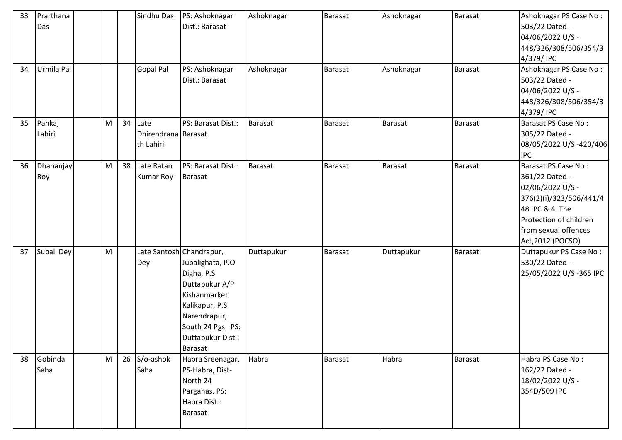| 33 | Prarthana<br>Das |   |    | Sindhu Das                               | PS: Ashoknagar<br>Dist.: Barasat                                                                                                                        | Ashoknagar     | <b>Barasat</b> | Ashoknagar     | <b>Barasat</b> | Ashoknagar PS Case No:<br>503/22 Dated -<br>04/06/2022 U/S -<br>448/326/308/506/354/3                                                                                         |
|----|------------------|---|----|------------------------------------------|---------------------------------------------------------------------------------------------------------------------------------------------------------|----------------|----------------|----------------|----------------|-------------------------------------------------------------------------------------------------------------------------------------------------------------------------------|
|    |                  |   |    |                                          |                                                                                                                                                         |                |                |                |                | 4/379/IPC                                                                                                                                                                     |
| 34 | Urmila Pal       |   |    | Gopal Pal                                | PS: Ashoknagar<br>Dist.: Barasat                                                                                                                        | Ashoknagar     | <b>Barasat</b> | Ashoknagar     | <b>Barasat</b> | Ashoknagar PS Case No:<br>503/22 Dated -<br>04/06/2022 U/S -<br>448/326/308/506/354/3<br>4/379/IPC                                                                            |
| 35 | Pankaj<br>Lahiri | M | 34 | Late<br>Dhirendrana Barasat<br>th Lahiri | PS: Barasat Dist.:                                                                                                                                      | Barasat        | <b>Barasat</b> | <b>Barasat</b> | <b>Barasat</b> | Barasat PS Case No:<br>305/22 Dated -<br>08/05/2022 U/S-420/406<br><b>IPC</b>                                                                                                 |
| 36 | Dhananjay<br>Roy | M | 38 | Late Ratan<br><b>Kumar Roy</b>           | PS: Barasat Dist.:<br><b>Barasat</b>                                                                                                                    | <b>Barasat</b> | <b>Barasat</b> | <b>Barasat</b> | Barasat        | Barasat PS Case No:<br>361/22 Dated -<br>02/06/2022 U/S -<br>376(2)(i)/323/506/441/4<br>48 IPC & 4 The<br>Protection of children<br>from sexual offences<br>Act, 2012 (POCSO) |
| 37 | Subal Dey        | M |    | Late Santosh Chandrapur,<br>Dey          | Jubalighata, P.O<br>Digha, P.S.<br>Duttapukur A/P<br>Kishanmarket<br>Kalikapur, P.S<br>Narendrapur,<br>South 24 Pgs PS:<br>Duttapukur Dist.:<br>Barasat | Duttapukur     | Barasat        | Duttapukur     | <b>Barasat</b> | Duttapukur PS Case No:<br>530/22 Dated -<br>25/05/2022 U/S -365 IPC                                                                                                           |
| 38 | Gobinda<br>Saha  | M | 26 | S/o-ashok<br>Saha                        | Habra Sreenagar,<br>PS-Habra, Dist-<br>North 24<br>Parganas. PS:<br>Habra Dist.:<br><b>Barasat</b>                                                      | Habra          | <b>Barasat</b> | Habra          | <b>Barasat</b> | Habra PS Case No:<br>162/22 Dated -<br>18/02/2022 U/S -<br>354D/509 IPC                                                                                                       |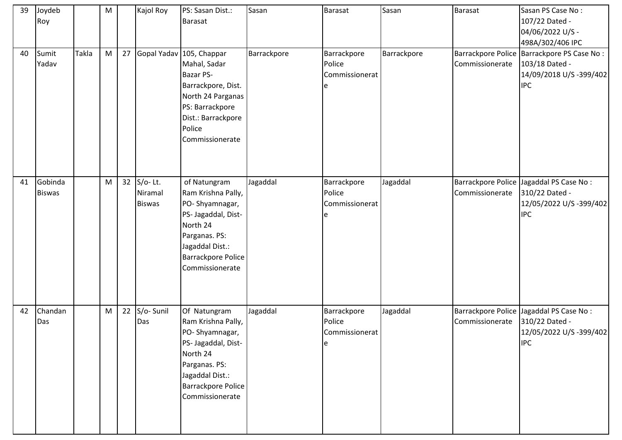| 39 | Joydeb<br>Roy            |       | M |    | Kajol Roy                              | PS: Sasan Dist.:<br><b>Barasat</b>                                                                                                                                            | Sasan       | Barasat                                      | Sasan       | Barasat         | Sasan PS Case No:<br>107/22 Dated -<br>04/06/2022 U/S -<br>498A/302/406 IPC                             |
|----|--------------------------|-------|---|----|----------------------------------------|-------------------------------------------------------------------------------------------------------------------------------------------------------------------------------|-------------|----------------------------------------------|-------------|-----------------|---------------------------------------------------------------------------------------------------------|
| 40 | Sumit<br>Yadav           | Takla | M | 27 |                                        | Gopal Yadav 105, Chappar<br>Mahal, Sadar<br><b>Bazar PS-</b><br>Barrackpore, Dist.<br>North 24 Parganas<br>PS: Barrackpore<br>Dist.: Barrackpore<br>Police<br>Commissionerate | Barrackpore | Barrackpore<br>Police<br>Commissionerat<br>e | Barrackpore | Commissionerate | Barrackpore Police   Barrackpore PS Case No :<br>103/18 Dated -<br>14/09/2018 U/S-399/402<br><b>IPC</b> |
| 41 | Gobinda<br><b>Biswas</b> |       | M |    | 32 S/o-Lt.<br>Niramal<br><b>Biswas</b> | of Natungram<br>Ram Krishna Pally,<br>PO-Shyamnagar,<br>PS- Jagaddal, Dist-<br>North 24<br>Parganas. PS:<br>Jagaddal Dist.:<br><b>Barrackpore Police</b><br>Commissionerate   | Jagaddal    | Barrackpore<br>Police<br>Commissionerat<br>e | Jagaddal    | Commissionerate | Barrackpore Police Jagaddal PS Case No:<br>310/22 Dated -<br>12/05/2022 U/S -399/402<br><b>IPC</b>      |
| 42 | Chandan<br>Das           |       | M | 22 | S/o-Sunil<br>Das                       | Of Natungram<br>Ram Krishna Pally,<br>PO-Shyamnagar,<br>PS- Jagaddal, Dist-<br>North 24<br>Parganas. PS:<br>Jagaddal Dist.:<br><b>Barrackpore Police</b><br>Commissionerate   | Jagaddal    | Barrackpore<br>Police<br>Commissionerat<br>e | Jagaddal    | Commissionerate | Barrackpore Police Jagaddal PS Case No:<br>310/22 Dated -<br>12/05/2022 U/S -399/402<br><b>IPC</b>      |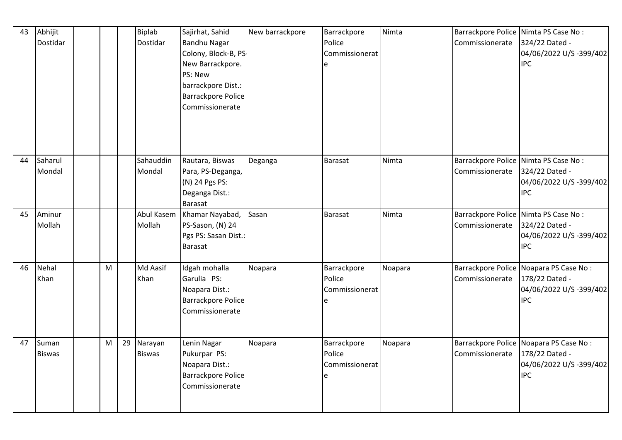| 43 | Abhijit<br>Dostidar    |   |    | Biplab<br>Dostidar       | Sajirhat, Sahid<br><b>Bandhu Nagar</b><br>Colony, Block-B, PS-<br>New Barrackpore.<br>PS: New<br>barrackpore Dist.:<br><b>Barrackpore Police</b><br>Commissionerate | New barrackpore | Barrackpore<br>Police<br>Commissionerat | Nimta   | Barrackpore Police Nimta PS Case No:<br>Commissionerate | 324/22 Dated -<br>04/06/2022 U/S-399/402<br><b>IPC</b>                                            |
|----|------------------------|---|----|--------------------------|---------------------------------------------------------------------------------------------------------------------------------------------------------------------|-----------------|-----------------------------------------|---------|---------------------------------------------------------|---------------------------------------------------------------------------------------------------|
| 44 | Saharul<br>Mondal      |   |    | Sahauddin<br>Mondal      | Rautara, Biswas<br>Para, PS-Deganga,<br>(N) 24 Pgs PS:<br>Deganga Dist.:<br><b>Barasat</b>                                                                          | Deganga         | <b>Barasat</b>                          | Nimta   | Commissionerate                                         | Barrackpore Police Nimta PS Case No:<br>324/22 Dated -<br>04/06/2022 U/S-399/402<br><b>IPC</b>    |
| 45 | Aminur<br>Mollah       |   |    | Abul Kasem<br>Mollah     | Khamar Nayabad,<br>PS-Sason, (N) 24<br>Pgs PS: Sasan Dist.:<br><b>Barasat</b>                                                                                       | Sasan           | <b>Barasat</b>                          | Nimta   | Commissionerate                                         | Barrackpore Police Nimta PS Case No:<br>324/22 Dated -<br>04/06/2022 U/S-399/402<br><b>IPC</b>    |
| 46 | Nehal<br>Khan          | M |    | Md Aasif<br>Khan         | Idgah mohalla<br>Garulia PS:<br>Noapara Dist.:<br>Barrackpore Police<br>Commissionerate                                                                             | Noapara         | Barrackpore<br>Police<br>Commissionerat | Noapara | Commissionerate                                         | Barrackpore Police Noapara PS Case No:<br>178/22 Dated -<br>04/06/2022 U/S -399/402<br><b>IPC</b> |
| 47 | Suman<br><b>Biswas</b> | M | 29 | Narayan<br><b>Biswas</b> | Lenin Nagar<br>Pukurpar PS:<br>Noapara Dist.:<br><b>Barrackpore Police</b><br>Commissionerate                                                                       | Noapara         | Barrackpore<br>Police<br>Commissionerat | Noapara | Commissionerate   178/22 Dated -                        | Barrackpore Police Noapara PS Case No:<br>04/06/2022 U/S -399/402<br><b>IPC</b>                   |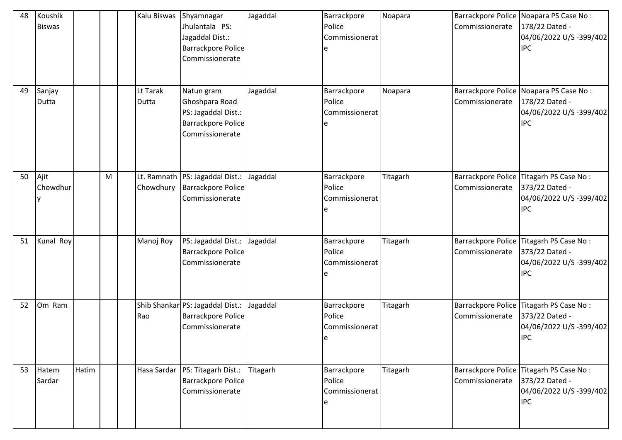| 48 | Koushik<br><b>Biswas</b> |       |   | Kalu Biswas              | Shyamnagar<br>Jhulantala PS:<br>Jagaddal Dist.:<br><b>Barrackpore Police</b><br>Commissionerate     | Jagaddal        | Barrackpore<br>Police<br>Commissionerat | Noapara  | Commissionerate                       | Barrackpore Police Noapara PS Case No :<br>178/22 Dated -<br>04/06/2022 U/S -399/402<br><b>IPC</b> |
|----|--------------------------|-------|---|--------------------------|-----------------------------------------------------------------------------------------------------|-----------------|-----------------------------------------|----------|---------------------------------------|----------------------------------------------------------------------------------------------------|
| 49 | Sanjay<br>Dutta          |       |   | Lt Tarak<br>Dutta        | Natun gram<br>Ghoshpara Road<br>PS: Jagaddal Dist.:<br><b>Barrackpore Police</b><br>Commissionerate | Jagaddal        | Barrackpore<br>Police<br>Commissionerat | Noapara  | Commissionerate                       | Barrackpore Police Noapara PS Case No:<br>178/22 Dated -<br>04/06/2022 U/S -399/402<br><b>IPC</b>  |
| 50 | Ajit<br>Chowdhur         |       | M | Lt. Ramnath<br>Chowdhury | PS: Jagaddal Dist.:<br><b>Barrackpore Police</b><br>Commissionerate                                 | Jagaddal        | Barrackpore<br>Police<br>Commissionerat | Titagarh | Commissionerate                       | Barrackpore Police Titagarh PS Case No:<br>373/22 Dated -<br>04/06/2022 U/S -399/402<br><b>IPC</b> |
| 51 | Kunal Roy                |       |   | Manoj Roy                | PS: Jagaddal Dist.:<br><b>Barrackpore Police</b><br>Commissionerate                                 | Jagaddal        | Barrackpore<br>Police<br>Commissionerat | Titagarh | Barrackpore Police<br>Commissionerate | Titagarh PS Case No:<br>373/22 Dated -<br>04/06/2022 U/S -399/402<br><b>IPC</b>                    |
| 52 | Om Ram                   |       |   | Rao                      | Shib Shankar PS: Jagaddal Dist.:<br><b>Barrackpore Police</b><br>Commissionerate                    | Jagaddal        | Barrackpore<br>Police<br>Commissionerat | Titagarh | Commissionerate                       | Barrackpore Police Titagarh PS Case No:<br>373/22 Dated -<br>04/06/2022 U/S -399/402<br><b>IPC</b> |
| 53 | Hatem<br>Sardar          | Hatim |   | Hasa Sardar              | PS: Titagarh Dist.:<br><b>Barrackpore Police</b><br>Commissionerate                                 | <b>Titagarh</b> | Barrackpore<br>Police<br>Commissionerat | Titagarh | Barrackpore Police<br>Commissionerate | Titagarh PS Case No:<br>373/22 Dated -<br>04/06/2022 U/S -399/402<br><b>IPC</b>                    |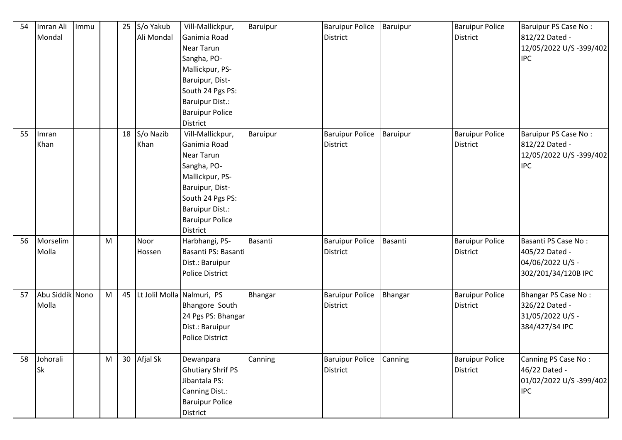| 54 | Imran Ali       | Immu |   |    | 25 S/o Yakub               | Vill-Mallickpur,         | Baruipur | <b>Baruipur Police</b> | <b>Baruipur</b> | <b>Baruipur Police</b> | Baruipur PS Case No:    |
|----|-----------------|------|---|----|----------------------------|--------------------------|----------|------------------------|-----------------|------------------------|-------------------------|
|    | Mondal          |      |   |    | Ali Mondal                 | Ganimia Road             |          | <b>District</b>        |                 | <b>District</b>        | 812/22 Dated -          |
|    |                 |      |   |    |                            | Near Tarun               |          |                        |                 |                        | 12/05/2022 U/S -399/402 |
|    |                 |      |   |    |                            | Sangha, PO-              |          |                        |                 |                        | <b>IPC</b>              |
|    |                 |      |   |    |                            | Mallickpur, PS-          |          |                        |                 |                        |                         |
|    |                 |      |   |    |                            | Baruipur, Dist-          |          |                        |                 |                        |                         |
|    |                 |      |   |    |                            | South 24 Pgs PS:         |          |                        |                 |                        |                         |
|    |                 |      |   |    |                            | <b>Baruipur Dist.:</b>   |          |                        |                 |                        |                         |
|    |                 |      |   |    |                            | <b>Baruipur Police</b>   |          |                        |                 |                        |                         |
|    |                 |      |   |    |                            | <b>District</b>          |          |                        |                 |                        |                         |
| 55 | Imran           |      |   |    | 18 S/o Nazib               | Vill-Mallickpur,         | Baruipur | <b>Baruipur Police</b> | Baruipur        | <b>Baruipur Police</b> | Baruipur PS Case No:    |
|    | Khan            |      |   |    | Khan                       | Ganimia Road             |          | <b>District</b>        |                 | <b>District</b>        | 812/22 Dated -          |
|    |                 |      |   |    |                            | Near Tarun               |          |                        |                 |                        | 12/05/2022 U/S -399/402 |
|    |                 |      |   |    |                            | Sangha, PO-              |          |                        |                 |                        | <b>IPC</b>              |
|    |                 |      |   |    |                            | Mallickpur, PS-          |          |                        |                 |                        |                         |
|    |                 |      |   |    |                            | Baruipur, Dist-          |          |                        |                 |                        |                         |
|    |                 |      |   |    |                            | South 24 Pgs PS:         |          |                        |                 |                        |                         |
|    |                 |      |   |    |                            | Baruipur Dist.:          |          |                        |                 |                        |                         |
|    |                 |      |   |    |                            | <b>Baruipur Police</b>   |          |                        |                 |                        |                         |
|    |                 |      |   |    |                            | <b>District</b>          |          |                        |                 |                        |                         |
| 56 | Morselim        |      | M |    | Noor                       | Harbhangi, PS-           | Basanti  | <b>Baruipur Police</b> | Basanti         | <b>Baruipur Police</b> | Basanti PS Case No:     |
|    | Molla           |      |   |    | Hossen                     | Basanti PS: Basanti      |          | <b>District</b>        |                 | <b>District</b>        | 405/22 Dated -          |
|    |                 |      |   |    |                            | Dist.: Baruipur          |          |                        |                 |                        | 04/06/2022 U/S -        |
|    |                 |      |   |    |                            | <b>Police District</b>   |          |                        |                 |                        | 302/201/34/120B IPC     |
|    |                 |      |   |    |                            |                          |          |                        |                 |                        |                         |
| 57 | Abu Siddik Nono |      | M | 45 | Lt Jolil Molla Nalmuri, PS |                          | Bhangar  | <b>Baruipur Police</b> | Bhangar         | <b>Baruipur Police</b> | Bhangar PS Case No:     |
|    | Molla           |      |   |    |                            | Bhangore South           |          | <b>District</b>        |                 | <b>District</b>        | 326/22 Dated -          |
|    |                 |      |   |    |                            | 24 Pgs PS: Bhangar       |          |                        |                 |                        | 31/05/2022 U/S -        |
|    |                 |      |   |    |                            | Dist.: Baruipur          |          |                        |                 |                        | 384/427/34 IPC          |
|    |                 |      |   |    |                            | Police District          |          |                        |                 |                        |                         |
|    |                 |      |   |    |                            |                          |          |                        |                 |                        |                         |
| 58 | Johorali        |      | M |    | 30 Afjal Sk                | Dewanpara                | Canning  | <b>Baruipur Police</b> | Canning         | <b>Baruipur Police</b> | Canning PS Case No:     |
|    | <b>Sk</b>       |      |   |    |                            | <b>Ghutiary Shrif PS</b> |          | <b>District</b>        |                 | District               | 46/22 Dated -           |
|    |                 |      |   |    |                            | Jibantala PS:            |          |                        |                 |                        | 01/02/2022 U/S -399/402 |
|    |                 |      |   |    |                            | Canning Dist.:           |          |                        |                 |                        | <b>IPC</b>              |
|    |                 |      |   |    |                            | <b>Baruipur Police</b>   |          |                        |                 |                        |                         |
|    |                 |      |   |    |                            | District                 |          |                        |                 |                        |                         |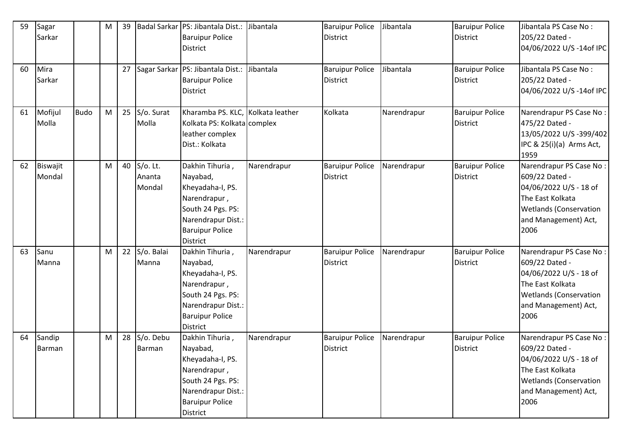| 59 | Sagar<br>Sarkar    |             | M | 39 |                                 | Badal Sarkar   PS: Jibantala Dist.:<br><b>Baruipur Police</b><br><b>District</b>                                                                        | Jibantala   | <b>Baruipur Police</b><br><b>District</b> | Jibantala   | <b>Baruipur Police</b><br><b>District</b> | Jibantala PS Case No:<br>205/22 Dated -<br>04/06/2022 U/S-14of IPC                                                                                       |
|----|--------------------|-------------|---|----|---------------------------------|---------------------------------------------------------------------------------------------------------------------------------------------------------|-------------|-------------------------------------------|-------------|-------------------------------------------|----------------------------------------------------------------------------------------------------------------------------------------------------------|
| 60 | Mira<br>Sarkar     |             |   | 27 |                                 | Sagar Sarkar   PS: Jibantala Dist.:<br><b>Baruipur Police</b><br><b>District</b>                                                                        | Jibantala   | <b>Baruipur Police</b><br><b>District</b> | Jibantala   | <b>Baruipur Police</b><br><b>District</b> | Jibantala PS Case No:<br>205/22 Dated -<br>04/06/2022 U/S-14of IPC                                                                                       |
| 61 | Mofijul<br>Molla   | <b>Budo</b> | M | 25 | S/o. Surat<br>Molla             | Kharamba PS. KLC, Kolkata leather<br>Kolkata PS: Kolkata complex<br>leather complex<br>Dist.: Kolkata                                                   |             | Kolkata                                   | Narendrapur | <b>Baruipur Police</b><br><b>District</b> | Narendrapur PS Case No:<br>475/22 Dated -<br>13/05/2022 U/S -399/402<br>IPC & 25(i)(a) Arms Act,<br>1959                                                 |
| 62 | Biswajit<br>Mondal |             | M | 40 | $S$ /o. Lt.<br>Ananta<br>Mondal | Dakhin Tihuria,<br>Nayabad,<br>Kheyadaha-I, PS.<br>Narendrapur,<br>South 24 Pgs. PS:<br>Narendrapur Dist.:<br><b>Baruipur Police</b><br><b>District</b> | Narendrapur | <b>Baruipur Police</b><br><b>District</b> | Narendrapur | <b>Baruipur Police</b><br><b>District</b> | Narendrapur PS Case No:<br>609/22 Dated -<br>04/06/2022 U/S - 18 of<br>The East Kolkata<br><b>Wetlands (Conservation</b><br>and Management) Act,<br>2006 |
| 63 | Sanu<br>Manna      |             | M | 22 | S/o. Balai<br>Manna             | Dakhin Tihuria,<br>Nayabad,<br>Kheyadaha-I, PS.<br>Narendrapur,<br>South 24 Pgs. PS:<br>Narendrapur Dist.:<br><b>Baruipur Police</b><br><b>District</b> | Narendrapur | <b>Baruipur Police</b><br><b>District</b> | Narendrapur | <b>Baruipur Police</b><br><b>District</b> | Narendrapur PS Case No:<br>609/22 Dated -<br>04/06/2022 U/S - 18 of<br>The East Kolkata<br><b>Wetlands (Conservation</b><br>and Management) Act,<br>2006 |
| 64 | Sandip<br>Barman   |             | M | 28 | S/o. Debu<br>Barman             | Dakhin Tihuria,<br>Nayabad,<br>Kheyadaha-I, PS.<br>Narendrapur,<br>South 24 Pgs. PS:<br>Narendrapur Dist.:<br><b>Baruipur Police</b><br>District        | Narendrapur | <b>Baruipur Police</b><br><b>District</b> | Narendrapur | <b>Baruipur Police</b><br><b>District</b> | Narendrapur PS Case No:<br>609/22 Dated -<br>04/06/2022 U/S - 18 of<br>The East Kolkata<br><b>Wetlands (Conservation</b><br>and Management) Act,<br>2006 |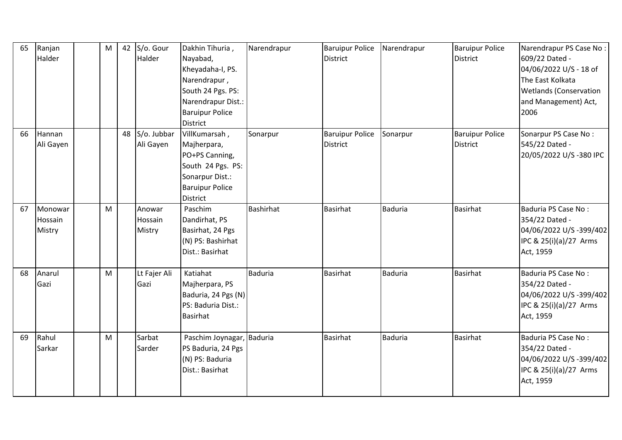| 65 | Ranjan<br>Halder             | M | 42 | S/o. Gour<br>Halder         | Dakhin Tihuria,<br>Nayabad,<br>Kheyadaha-I, PS.<br>Narendrapur,<br>South 24 Pgs. PS:<br>Narendrapur Dist.:<br><b>Baruipur Police</b><br><b>District</b> | Narendrapur      | <b>Baruipur Police</b><br><b>District</b> | Narendrapur    | <b>Baruipur Police</b><br><b>District</b> | Narendrapur PS Case No:<br>609/22 Dated -<br>04/06/2022 U/S - 18 of<br>The East Kolkata<br><b>Wetlands (Conservation</b><br>and Management) Act,<br>2006 |
|----|------------------------------|---|----|-----------------------------|---------------------------------------------------------------------------------------------------------------------------------------------------------|------------------|-------------------------------------------|----------------|-------------------------------------------|----------------------------------------------------------------------------------------------------------------------------------------------------------|
| 66 | Hannan<br>Ali Gayen          |   | 48 | S/o. Jubbar<br>Ali Gayen    | VillKumarsah,<br>Majherpara,<br>PO+PS Canning,<br>South 24 Pgs. PS:<br>Sonarpur Dist.:<br><b>Baruipur Police</b><br><b>District</b>                     | Sonarpur         | <b>Baruipur Police</b><br><b>District</b> | Sonarpur       | <b>Baruipur Police</b><br><b>District</b> | Sonarpur PS Case No:<br>545/22 Dated -<br>20/05/2022 U/S-380 IPC                                                                                         |
| 67 | Monowar<br>Hossain<br>Mistry | M |    | Anowar<br>Hossain<br>Mistry | Paschim<br>Dandirhat, PS<br>Basirhat, 24 Pgs<br>(N) PS: Bashirhat<br>Dist.: Basirhat                                                                    | <b>Bashirhat</b> | <b>Basirhat</b>                           | <b>Baduria</b> | <b>Basirhat</b>                           | Baduria PS Case No:<br>354/22 Dated -<br>04/06/2022 U/S-399/402<br>IPC & 25(i)(a)/27 Arms<br>Act, 1959                                                   |
| 68 | Anarul<br>Gazi               | M |    | Lt Fajer Ali<br>Gazi        | Katiahat<br>Majherpara, PS<br>Baduria, 24 Pgs (N)<br>PS: Baduria Dist.:<br><b>Basirhat</b>                                                              | <b>Baduria</b>   | <b>Basirhat</b>                           | <b>Baduria</b> | <b>Basirhat</b>                           | Baduria PS Case No:<br>354/22 Dated -<br>04/06/2022 U/S -399/402<br>IPC & 25(i)(a)/27 Arms<br>Act, 1959                                                  |
| 69 | Rahul<br>Sarkar              | M |    | Sarbat<br>Sarder            | Paschim Joynagar, Baduria<br>PS Baduria, 24 Pgs<br>(N) PS: Baduria<br>Dist.: Basirhat                                                                   |                  | <b>Basirhat</b>                           | Baduria        | Basirhat                                  | Baduria PS Case No:<br>354/22 Dated -<br>04/06/2022 U/S -399/402<br>IPC & 25(i)(a)/27 Arms<br>Act, 1959                                                  |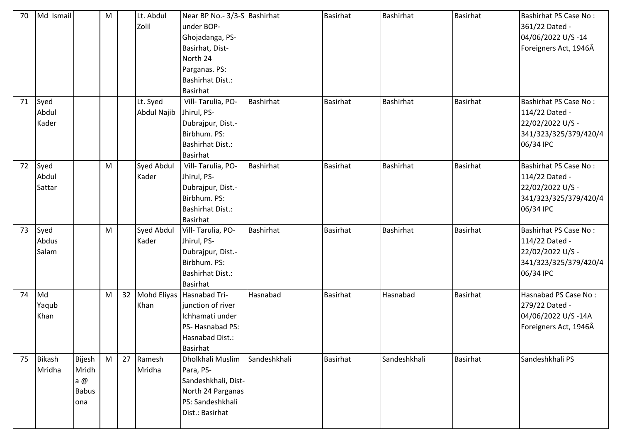| 70 | Md Ismail     |              | M |    | Lt. Abdul<br>Zolil | Near BP No.- 3/3-S Bashirhat<br>under BOP- |                  | <b>Basirhat</b> | Bashirhat        | <b>Basirhat</b> | <b>Bashirhat PS Case No:</b><br>361/22 Dated - |
|----|---------------|--------------|---|----|--------------------|--------------------------------------------|------------------|-----------------|------------------|-----------------|------------------------------------------------|
|    |               |              |   |    |                    | Ghojadanga, PS-                            |                  |                 |                  |                 | 04/06/2022 U/S-14                              |
|    |               |              |   |    |                    | Basirhat, Dist-                            |                  |                 |                  |                 | Foreigners Act, 1946Â                          |
|    |               |              |   |    |                    | North 24                                   |                  |                 |                  |                 |                                                |
|    |               |              |   |    |                    | Parganas. PS:                              |                  |                 |                  |                 |                                                |
|    |               |              |   |    |                    | <b>Bashirhat Dist.:</b>                    |                  |                 |                  |                 |                                                |
|    |               |              |   |    |                    | <b>Basirhat</b>                            |                  |                 |                  |                 |                                                |
| 71 | Syed          |              |   |    | Lt. Syed           | Vill-Tarulia, PO-                          | Bashirhat        | <b>Basirhat</b> | Bashirhat        | <b>Basirhat</b> | <b>Bashirhat PS Case No:</b>                   |
|    | Abdul         |              |   |    | Abdul Najib        | Jhirul, PS-                                |                  |                 |                  |                 | 114/22 Dated -                                 |
|    | Kader         |              |   |    |                    | Dubrajpur, Dist.-                          |                  |                 |                  |                 | 22/02/2022 U/S -                               |
|    |               |              |   |    |                    | Birbhum. PS:                               |                  |                 |                  |                 | 341/323/325/379/420/4                          |
|    |               |              |   |    |                    | <b>Bashirhat Dist.:</b>                    |                  |                 |                  |                 | 06/34 IPC                                      |
|    |               |              |   |    |                    | Basirhat                                   |                  |                 |                  |                 |                                                |
| 72 | Syed          |              | M |    | Syed Abdul         | Vill-Tarulia, PO-                          | <b>Bashirhat</b> | <b>Basirhat</b> | <b>Bashirhat</b> | <b>Basirhat</b> | <b>Bashirhat PS Case No:</b>                   |
|    | Abdul         |              |   |    | Kader              | Jhirul, PS-                                |                  |                 |                  |                 | 114/22 Dated -                                 |
|    | Sattar        |              |   |    |                    | Dubrajpur, Dist.-                          |                  |                 |                  |                 | 22/02/2022 U/S -                               |
|    |               |              |   |    |                    | Birbhum. PS:                               |                  |                 |                  |                 | 341/323/325/379/420/4                          |
|    |               |              |   |    |                    | Bashirhat Dist.:                           |                  |                 |                  |                 | 06/34 IPC                                      |
|    |               |              |   |    |                    | Basirhat                                   |                  |                 |                  |                 |                                                |
| 73 | Syed          |              | M |    | <b>Syed Abdul</b>  | Vill-Tarulia, PO-                          | <b>Bashirhat</b> | <b>Basirhat</b> | <b>Bashirhat</b> | <b>Basirhat</b> | <b>Bashirhat PS Case No:</b>                   |
|    | Abdus         |              |   |    | Kader              | Jhirul, PS-                                |                  |                 |                  |                 | 114/22 Dated -                                 |
|    | Salam         |              |   |    |                    | Dubrajpur, Dist.-                          |                  |                 |                  |                 | 22/02/2022 U/S -                               |
|    |               |              |   |    |                    | Birbhum. PS:                               |                  |                 |                  |                 | 341/323/325/379/420/4                          |
|    |               |              |   |    |                    | <b>Bashirhat Dist.:</b>                    |                  |                 |                  |                 | 06/34 IPC                                      |
|    |               |              |   |    |                    | Basirhat                                   |                  |                 |                  |                 |                                                |
| 74 | Md            |              | M | 32 |                    | Mohd Eliyas Hasnabad Tri-                  | Hasnabad         | <b>Basirhat</b> | Hasnabad         | <b>Basirhat</b> | Hasnabad PS Case No:                           |
|    | Yaqub         |              |   |    | Khan               | junction of river                          |                  |                 |                  |                 | 279/22 Dated -                                 |
|    | Khan          |              |   |    |                    | Ichhamati under                            |                  |                 |                  |                 | 04/06/2022 U/S-14A                             |
|    |               |              |   |    |                    | PS-Hasnabad PS:                            |                  |                 |                  |                 | Foreigners Act, 1946Â                          |
|    |               |              |   |    |                    | Hasnabad Dist.:<br><b>Basirhat</b>         |                  |                 |                  |                 |                                                |
| 75 | <b>Bikash</b> | Bijesh       | M | 27 | Ramesh             | Dholkhali Muslim                           | Sandeshkhali     | <b>Basirhat</b> | Sandeshkhali     | <b>Basirhat</b> | Sandeshkhali PS                                |
|    | Mridha        | Mridh        |   |    | Mridha             | Para, PS-                                  |                  |                 |                  |                 |                                                |
|    |               | a $@$        |   |    |                    | Sandeshkhali, Dist-                        |                  |                 |                  |                 |                                                |
|    |               | <b>Babus</b> |   |    |                    | North 24 Parganas                          |                  |                 |                  |                 |                                                |
|    |               | ona          |   |    |                    | PS: Sandeshkhali                           |                  |                 |                  |                 |                                                |
|    |               |              |   |    |                    | Dist.: Basirhat                            |                  |                 |                  |                 |                                                |
|    |               |              |   |    |                    |                                            |                  |                 |                  |                 |                                                |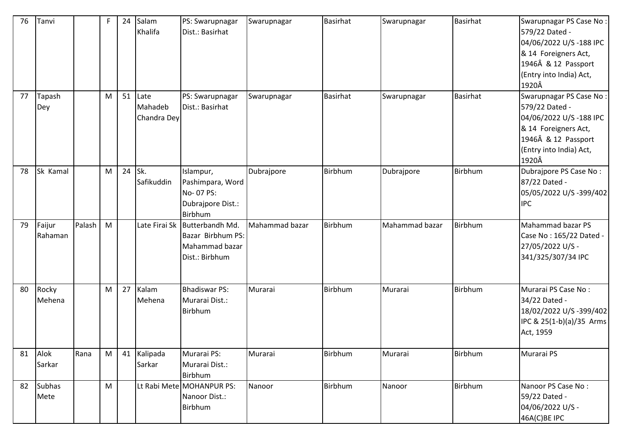| 76 | Tanvi                 |        | F | 24 | Salam<br>Khalifa               | PS: Swarupnagar<br>Dist.: Basirhat                                         | Swarupnagar    | <b>Basirhat</b> | Swarupnagar    | <b>Basirhat</b> | Swarupnagar PS Case No:<br>579/22 Dated -<br>04/06/2022 U/S-188 IPC<br>& 14 Foreigners Act,<br>1946Â & 12 Passport<br>(Entry into India) Act,<br>1920Â |
|----|-----------------------|--------|---|----|--------------------------------|----------------------------------------------------------------------------|----------------|-----------------|----------------|-----------------|--------------------------------------------------------------------------------------------------------------------------------------------------------|
| 77 | Tapash<br>Dey         |        | M | 51 | Late<br>Mahadeb<br>Chandra Dey | PS: Swarupnagar<br>Dist.: Basirhat                                         | Swarupnagar    | <b>Basirhat</b> | Swarupnagar    | <b>Basirhat</b> | Swarupnagar PS Case No:<br>579/22 Dated -<br>04/06/2022 U/S-188 IPC<br>& 14 Foreigners Act,<br>1946Â & 12 Passport<br>(Entry into India) Act,<br>1920Â |
| 78 | Sk Kamal              |        | M | 24 | Sk.<br>Safikuddin              | Islampur,<br>Pashimpara, Word<br>No-07 PS:<br>Dubrajpore Dist.:<br>Birbhum | Dubrajpore     | Birbhum         | Dubrajpore     | Birbhum         | Dubrajpore PS Case No:<br>87/22 Dated -<br>05/05/2022 U/S -399/402<br><b>IPC</b>                                                                       |
| 79 | Faijur<br>Rahaman     | Palash | M |    | Late Firai Sk                  | Butterbandh Md.<br>Bazar Birbhum PS:<br>Mahammad bazar<br>Dist.: Birbhum   | Mahammad bazar | Birbhum         | Mahammad bazar | Birbhum         | Mahammad bazar PS<br>Case No: 165/22 Dated -<br>27/05/2022 U/S -<br>341/325/307/34 IPC                                                                 |
| 80 | Rocky<br>Mehena       |        | M | 27 | Kalam<br>Mehena                | <b>Bhadiswar PS:</b><br>Murarai Dist.:<br>Birbhum                          | Murarai        | Birbhum         | Murarai        | Birbhum         | Murarai PS Case No:<br>34/22 Dated -<br>18/02/2022 U/S -399/402<br>IPC & 25(1-b)(a)/35 Arms<br>Act, 1959                                               |
| 81 | Alok<br>Sarkar        | Rana   | M | 41 | Kalipada<br>Sarkar             | Murarai PS:<br>Murarai Dist.:<br>Birbhum                                   | Murarai        | Birbhum         | Murarai        | Birbhum         | Murarai PS                                                                                                                                             |
| 82 | <b>Subhas</b><br>Mete |        | M |    |                                | Lt Rabi Mete MOHANPUR PS:<br>Nanoor Dist.:<br>Birbhum                      | Nanoor         | Birbhum         | Nanoor         | Birbhum         | Nanoor PS Case No:<br>59/22 Dated -<br>04/06/2022 U/S -<br>46A(C)BE IPC                                                                                |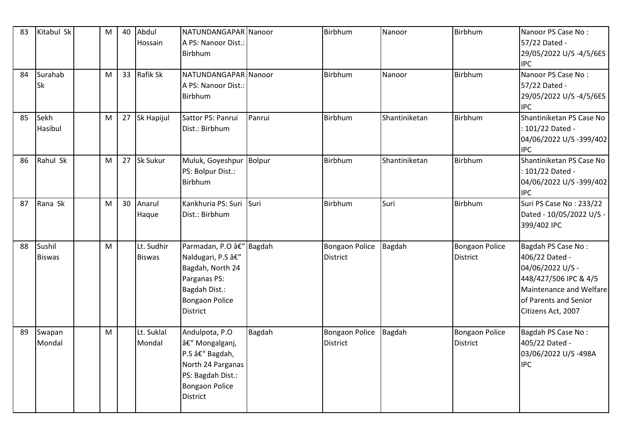| 83 | Kitabul Sk              | M | 40 | Abdul<br>Hossain            | NATUNDANGAPAR Nanoor<br>A PS: Nanoor Dist.:<br>Birbhum                                                                                        |               | Birbhum                                  | Nanoor        | Birbhum                                  | Nanoor PS Case No:<br>57/22 Dated -<br>29/05/2022 U/S -4/5/6ES<br><b>IPC</b>                                                                                |
|----|-------------------------|---|----|-----------------------------|-----------------------------------------------------------------------------------------------------------------------------------------------|---------------|------------------------------------------|---------------|------------------------------------------|-------------------------------------------------------------------------------------------------------------------------------------------------------------|
| 84 | Surahab<br>Sk           | M |    | 33 Rafik Sk                 | NATUNDANGAPAR Nanoor<br>A PS: Nanoor Dist.:<br>Birbhum                                                                                        |               | Birbhum                                  | Nanoor        | Birbhum                                  | Nanoor PS Case No:<br>57/22 Dated -<br>29/05/2022 U/S -4/5/6ES<br><b>IPC</b>                                                                                |
| 85 | Sekh<br>Hasibul         | M |    | 27 Sk Hapijul               | Sattor PS: Panrui<br>Dist.: Birbhum                                                                                                           | Panrui        | Birbhum                                  | Shantiniketan | Birbhum                                  | Shantiniketan PS Case No<br>: 101/22 Dated -<br>04/06/2022 U/S-399/402<br><b>IPC</b>                                                                        |
| 86 | Rahul Sk                | M | 27 | <b>Sk Sukur</b>             | Muluk, Goyeshpur<br>PS: Bolpur Dist.:<br>Birbhum                                                                                              | <b>Bolpur</b> | Birbhum                                  | Shantiniketan | <b>Birbhum</b>                           | Shantiniketan PS Case No<br>: 101/22 Dated -<br>04/06/2022 U/S -399/402<br><b>IPC</b>                                                                       |
| 87 | Rana Sk                 | M | 30 | Anarul<br>Haque             | Kankhuria PS: Suri<br>Dist.: Birbhum                                                                                                          | Suri          | Birbhum                                  | Suri          | Birbhum                                  | Suri PS Case No: 233/22<br>Dated - 10/05/2022 U/S -<br>399/402 IPC                                                                                          |
| 88 | Sushil<br><b>Biswas</b> | M |    | Lt. Sudhir<br><b>Biswas</b> | Parmadan, P.O â€" Bagdah<br>Naldugari, P.S –<br>Bagdah, North 24<br>Parganas PS:<br>Bagdah Dist.:<br><b>Bongaon Police</b><br><b>District</b> |               | <b>Bongaon Police</b><br><b>District</b> | Bagdah        | Bongaon Police<br><b>District</b>        | Bagdah PS Case No:<br>406/22 Dated -<br>04/06/2022 U/S -<br>448/427/506 IPC & 4/5<br>Maintenance and Welfare<br>of Parents and Senior<br>Citizens Act, 2007 |
| 89 | Swapan<br>Mondal        | M |    | Lt. Suklal<br>Mondal        | Andulpota, P.O<br>– Mongalganj,<br>P.S â€" Bagdah,<br>North 24 Parganas<br>PS: Bagdah Dist.:<br><b>Bongaon Police</b><br><b>District</b>      | Bagdah        | <b>Bongaon Police</b><br><b>District</b> | Bagdah        | <b>Bongaon Police</b><br><b>District</b> | Bagdah PS Case No:<br>405/22 Dated -<br>03/06/2022 U/S-498A<br><b>IPC</b>                                                                                   |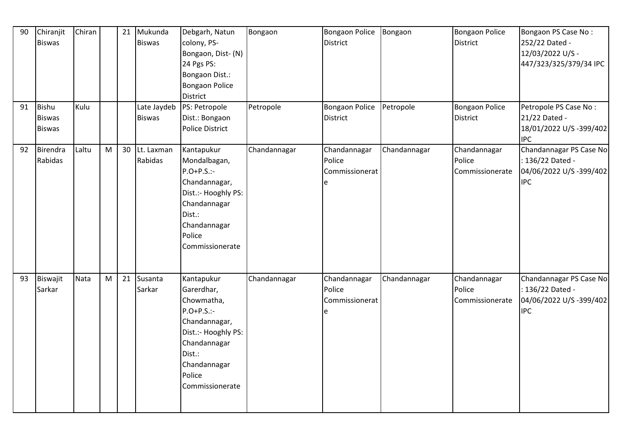| 90<br>91 | Chiranjit<br><b>Biswas</b><br><b>Bishu</b><br><b>Biswas</b> | Chiran<br>Kulu |   | 21 | Mukunda<br><b>Biswas</b><br>Late Jaydeb<br><b>Biswas</b> | Debgarh, Natun<br>colony, PS-<br>Bongaon, Dist- (N)<br>24 Pgs PS:<br>Bongaon Dist.:<br>Bongaon Police<br><b>District</b><br>PS: Petropole<br>Dist.: Bongaon            | Bongaon<br>Petropole | Bongaon Police<br><b>District</b><br><b>Bongaon Police</b><br><b>District</b> | Bongaon<br>Petropole | <b>Bongaon Police</b><br><b>District</b><br><b>Bongaon Police</b><br><b>District</b> | Bongaon PS Case No:<br>252/22 Dated -<br>12/03/2022 U/S -<br>447/323/325/379/34 IPC<br>Petropole PS Case No:<br>21/22 Dated - |
|----------|-------------------------------------------------------------|----------------|---|----|----------------------------------------------------------|------------------------------------------------------------------------------------------------------------------------------------------------------------------------|----------------------|-------------------------------------------------------------------------------|----------------------|--------------------------------------------------------------------------------------|-------------------------------------------------------------------------------------------------------------------------------|
|          | <b>Biswas</b>                                               |                |   |    |                                                          | Police District                                                                                                                                                        |                      |                                                                               |                      |                                                                                      | 18/01/2022 U/S -399/402<br><b>IPC</b>                                                                                         |
| 92       | Birendra<br>Rabidas                                         | Laltu          | M | 30 | Lt. Laxman<br>Rabidas                                    | Kantapukur<br>Mondalbagan,<br>$P.O+P.S.$ :-<br>Chandannagar,<br>Dist.:- Hooghly PS:<br>Chandannagar<br>Dist.:<br>Chandannagar<br>Police<br>Commissionerate             | Chandannagar         | Chandannagar<br>Police<br>Commissionerat<br>le                                | Chandannagar         | Chandannagar<br>Police<br>Commissionerate                                            | Chandannagar PS Case No<br>: 136/22 Dated -<br>04/06/2022 U/S -399/402<br><b>IPC</b>                                          |
| 93       | Biswajit<br>Sarkar                                          | Nata           | M | 21 | Susanta<br>Sarkar                                        | Kantapukur<br>Garerdhar,<br>Chowmatha,<br>$P.O+P.S.$ :-<br>Chandannagar,<br>Dist.:- Hooghly PS:<br>Chandannagar<br>Dist.:<br>Chandannagar<br>Police<br>Commissionerate | Chandannagar         | Chandannagar<br>Police<br>Commissionerat<br>e                                 | Chandannagar         | Chandannagar<br>Police<br>Commissionerate                                            | Chandannagar PS Case No<br>: 136/22 Dated -<br>04/06/2022 U/S -399/402<br><b>IPC</b>                                          |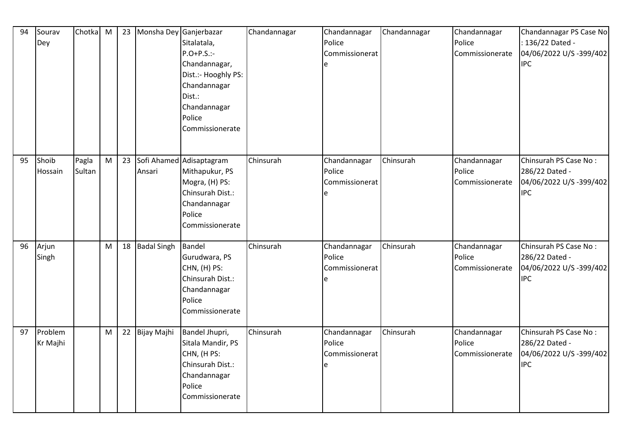| 94 | Sourav<br>Dey       | Chotka          | M |    | 23 Monsha Dey Ganjerbazar | Sitalatala,<br>$P.O+P.S.$ :-<br>Chandannagar,<br>Dist.:- Hooghly PS:<br>Chandannagar<br>Dist.:<br>Chandannagar<br>Police<br>Commissionerate | Chandannagar | Chandannagar<br>Police<br>Commissionerat<br>e | Chandannagar | Chandannagar<br>Police<br>Commissionerate | Chandannagar PS Case No<br>: 136/22 Dated -<br>04/06/2022 U/S -399/402<br><b>IPC</b> |
|----|---------------------|-----------------|---|----|---------------------------|---------------------------------------------------------------------------------------------------------------------------------------------|--------------|-----------------------------------------------|--------------|-------------------------------------------|--------------------------------------------------------------------------------------|
| 95 | Shoib<br>Hossain    | Pagla<br>Sultan | M | 23 | Ansari                    | Sofi Ahamed Adisaptagram<br>Mithapukur, PS<br>Mogra, (H) PS:<br>Chinsurah Dist.:<br>Chandannagar<br>Police<br>Commissionerate               | Chinsurah    | Chandannagar<br>Police<br>Commissionerat<br>e | Chinsurah    | Chandannagar<br>Police<br>Commissionerate | Chinsurah PS Case No:<br>286/22 Dated -<br>04/06/2022 U/S -399/402<br><b>IPC</b>     |
| 96 | Arjun<br>Singh      |                 | M |    | 18 Badal Singh            | Bandel<br>Gurudwara, PS<br>CHN, (H) PS:<br>Chinsurah Dist.:<br>Chandannagar<br>Police<br>Commissionerate                                    | Chinsurah    | Chandannagar<br>Police<br>Commissionerat<br>е | Chinsurah    | Chandannagar<br>Police<br>Commissionerate | Chinsurah PS Case No:<br>286/22 Dated -<br>04/06/2022 U/S -399/402<br><b>IPC</b>     |
| 97 | Problem<br>Kr Majhi |                 | M |    | 22 Bijay Majhi            | Bandel Jhupri,<br>Sitala Mandir, PS<br>CHN, (HPS:<br>Chinsurah Dist.:<br>Chandannagar<br>Police<br>Commissionerate                          | Chinsurah    | Chandannagar<br>Police<br>Commissionerat<br>e | Chinsurah    | Chandannagar<br>Police<br>Commissionerate | Chinsurah PS Case No:<br>286/22 Dated -<br>04/06/2022 U/S -399/402<br><b>IPC</b>     |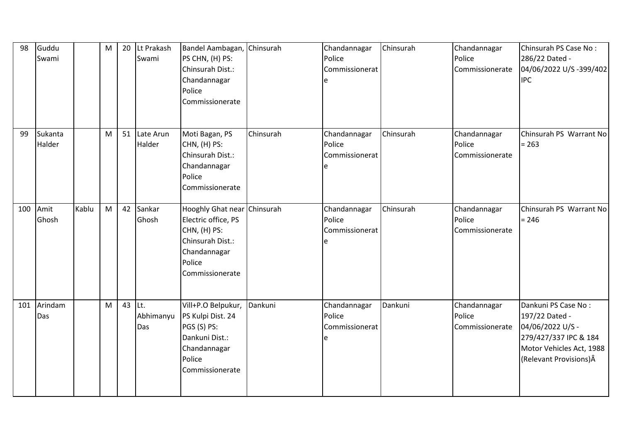| 98  | Guddu<br>Swami    |       | M | 20     | Lt Prakash<br>Swami | Bandel Aambagan, Chinsurah<br>PS CHN, (H) PS:<br>Chinsurah Dist.:<br>Chandannagar<br>Police<br>Commissionerate                      |           | Chandannagar<br>Police<br>Commissionerat<br>e | Chinsurah | Chandannagar<br>Police<br>Commissionerate | Chinsurah PS Case No:<br>286/22 Dated -<br>04/06/2022 U/S-399/402<br><b>IPC</b>                                                           |
|-----|-------------------|-------|---|--------|---------------------|-------------------------------------------------------------------------------------------------------------------------------------|-----------|-----------------------------------------------|-----------|-------------------------------------------|-------------------------------------------------------------------------------------------------------------------------------------------|
| 99  | Sukanta<br>Halder |       | M | 51     | Late Arun<br>Halder | Moti Bagan, PS<br>CHN, (H) PS:<br>Chinsurah Dist.:<br>Chandannagar<br>Police<br>Commissionerate                                     | Chinsurah | Chandannagar<br>Police<br>Commissionerat<br>e | Chinsurah | Chandannagar<br>Police<br>Commissionerate | Chinsurah PS Warrant No<br>$= 263$                                                                                                        |
| 100 | Amit<br>Ghosh     | Kablu | M | 42     | Sankar<br>Ghosh     | Hooghly Ghat near Chinsurah<br>Electric office, PS<br>CHN, (H) PS:<br>Chinsurah Dist.:<br>Chandannagar<br>Police<br>Commissionerate |           | Chandannagar<br>Police<br>Commissionerat<br>e | Chinsurah | Chandannagar<br>Police<br>Commissionerate | Chinsurah PS Warrant No<br>$= 246$                                                                                                        |
| 101 | Arindam<br>Das    |       | M | 43 Lt. | Abhimanyu<br>Das    | Vill+P.O Belpukur,<br>PS Kulpi Dist. 24<br>PGS (S) PS:<br>Dankuni Dist.:<br>Chandannagar<br>Police<br>Commissionerate               | Dankuni   | Chandannagar<br>Police<br>Commissionerat<br>e | Dankuni   | Chandannagar<br>Police<br>Commissionerate | Dankuni PS Case No:<br>197/22 Dated -<br>04/06/2022 U/S -<br>279/427/337 IPC & 184<br>Motor Vehicles Act, 1988<br>(Relevant Provisions) Â |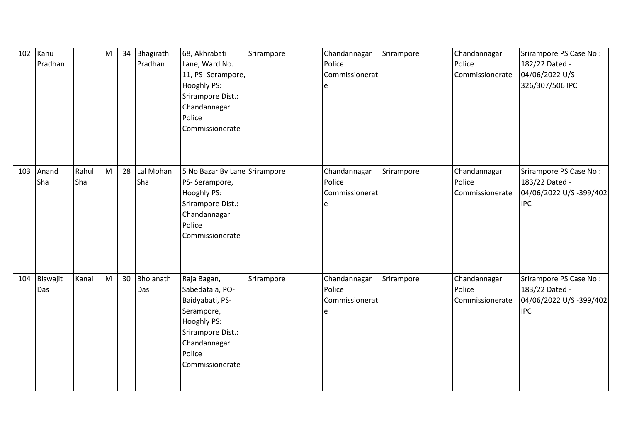| 102 | Kanu<br>Pradhan |              | M | 34 | Bhagirathi<br>Pradhan | 68, Akhrabati<br>Lane, Ward No.<br>11, PS-Serampore,<br>Hooghly PS:<br>Srirampore Dist.:<br>Chandannagar<br>Police<br>Commissionerate            | Srirampore | Chandannagar<br>Police<br>Commissionerat<br>e  | Srirampore | Chandannagar<br>Police<br>Commissionerate | Srirampore PS Case No:<br>182/22 Dated -<br>04/06/2022 U/S -<br>326/307/506 IPC   |
|-----|-----------------|--------------|---|----|-----------------------|--------------------------------------------------------------------------------------------------------------------------------------------------|------------|------------------------------------------------|------------|-------------------------------------------|-----------------------------------------------------------------------------------|
| 103 | Anand<br>Sha    | Rahul<br>Sha | M | 28 | Lal Mohan<br>Sha      | 5 No Bazar By Lane Srirampore<br>PS-Serampore,<br>Hooghly PS:<br>Srirampore Dist.:<br>Chandannagar<br>Police<br>Commissionerate                  |            | Chandannagar<br>Police<br>Commissionerat<br>le | Srirampore | Chandannagar<br>Police<br>Commissionerate | Srirampore PS Case No:<br>183/22 Dated -<br>04/06/2022 U/S -399/402<br><b>IPC</b> |
| 104 | Biswajit<br>Das | Kanai        | M | 30 | Bholanath<br>Das      | Raja Bagan,<br>Sabedatala, PO-<br>Baidyabati, PS-<br>Serampore,<br>Hooghly PS:<br>Srirampore Dist.:<br>Chandannagar<br>Police<br>Commissionerate | Srirampore | Chandannagar<br>Police<br>Commissionerat<br>le | Srirampore | Chandannagar<br>Police<br>Commissionerate | Srirampore PS Case No:<br>183/22 Dated -<br>04/06/2022 U/S -399/402<br><b>IPC</b> |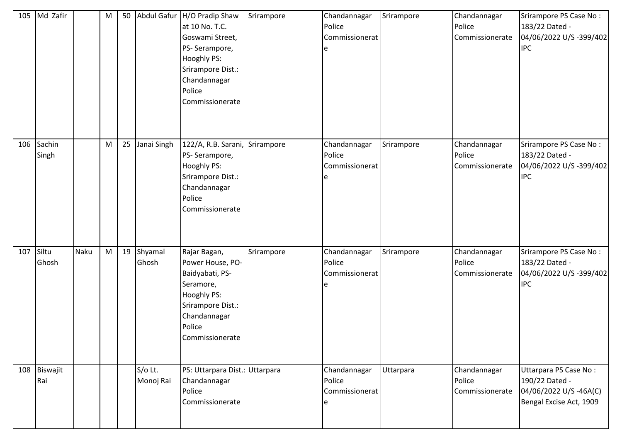| 105 | Md Zafir            |      | M | 50 |                      | Abdul Gafur H/O Pradip Shaw<br>at 10 No. T.C.<br>Goswami Street,<br>PS-Serampore,<br><b>Hooghly PS:</b><br>Srirampore Dist.:<br>Chandannagar<br>Police<br>Commissionerate | Srirampore | Chandannagar<br>Police<br>Commissionerat<br>e | Srirampore | Chandannagar<br>Police<br>Commissionerate | Srirampore PS Case No:<br>183/22 Dated -<br>04/06/2022 U/S -399/402<br><b>IPC</b>           |
|-----|---------------------|------|---|----|----------------------|---------------------------------------------------------------------------------------------------------------------------------------------------------------------------|------------|-----------------------------------------------|------------|-------------------------------------------|---------------------------------------------------------------------------------------------|
| 106 | Sachin<br>Singh     |      | M | 25 | Janai Singh          | 122/A, R.B. Sarani, Srirampore<br>PS-Serampore,<br>Hooghly PS:<br>Srirampore Dist.:<br>Chandannagar<br>Police<br>Commissionerate                                          |            | Chandannagar<br>Police<br>Commissionerat      | Srirampore | Chandannagar<br>Police<br>Commissionerate | Srirampore PS Case No:<br>183/22 Dated -<br>04/06/2022 U/S -399/402<br><b>IPC</b>           |
| 107 | Siltu<br>Ghosh      | Naku | M | 19 | Shyamal<br>Ghosh     | Rajar Bagan,<br>Power House, PO-<br>Baidyabati, PS-<br>Seramore,<br><b>Hooghly PS:</b><br>Srirampore Dist.:<br>Chandannagar<br>Police<br>Commissionerate                  | Srirampore | Chandannagar<br>Police<br>Commissionerat      | Srirampore | Chandannagar<br>Police<br>Commissionerate | Srirampore PS Case No:<br>183/22 Dated -<br>04/06/2022 U/S -399/402<br><b>IPC</b>           |
|     | 108 Biswajit<br>Rai |      |   |    | S/o Lt.<br>Monoj Rai | PS: Uttarpara Dist.: Uttarpara<br>Chandannagar<br>Police<br>Commissionerate                                                                                               |            | Chandannagar<br>Police<br>Commissionerat<br>e | Uttarpara  | Chandannagar<br>Police<br>Commissionerate | Uttarpara PS Case No:<br>190/22 Dated -<br>04/06/2022 U/S-46A(C)<br>Bengal Excise Act, 1909 |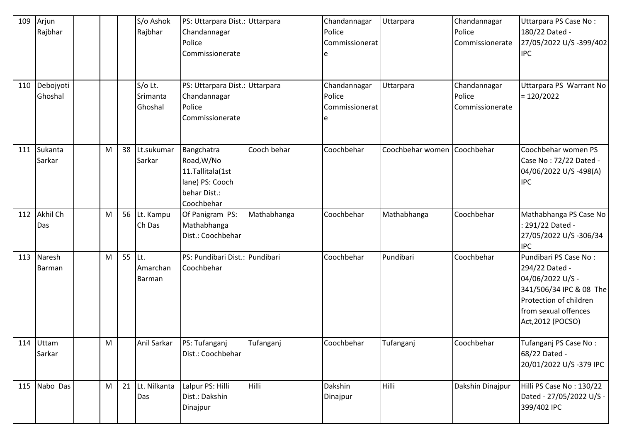| 109 | Arjun<br>Rajbhar     |   |                | S/o Ashok<br>Rajbhar             | PS: Uttarpara Dist.: Uttarpara<br>Chandannagar<br>Police<br>Commissionerate                   |             | Chandannagar<br>Police<br>Commissionerat | Uttarpara        | Chandannagar<br>Police<br>Commissionerate | Uttarpara PS Case No:<br>180/22 Dated -<br>27/05/2022 U/S-399/402<br><b>IPC</b>                                                                               |
|-----|----------------------|---|----------------|----------------------------------|-----------------------------------------------------------------------------------------------|-------------|------------------------------------------|------------------|-------------------------------------------|---------------------------------------------------------------------------------------------------------------------------------------------------------------|
| 110 | Debojyoti<br>Ghoshal |   |                | $S/O$ Lt.<br>Srimanta<br>Ghoshal | PS: Uttarpara Dist.: Uttarpara<br>Chandannagar<br>Police<br>Commissionerate                   |             | Chandannagar<br>Police<br>Commissionerat | Uttarpara        | Chandannagar<br>Police<br>Commissionerate | Uttarpara PS Warrant No<br>$= 120/2022$                                                                                                                       |
| 111 | Sukanta<br>Sarkar    | M | 38             | Lt.sukumar<br>Sarkar             | Bangchatra<br>Road, W/No<br>11.Tallitala(1st<br>lane) PS: Cooch<br>behar Dist.:<br>Coochbehar | Cooch behar | Coochbehar                               | Coochbehar women | Coochbehar                                | Coochbehar women PS<br>Case No: 72/22 Dated -<br>04/06/2022 U/S-498(A)<br><b>IPC</b>                                                                          |
| 112 | Akhil Ch<br>Das      | M |                | 56 Lt. Kampu<br>Ch Das           | Of Panigram PS:<br>Mathabhanga<br>Dist.: Coochbehar                                           | Mathabhanga | Coochbehar                               | Mathabhanga      | Coochbehar                                | Mathabhanga PS Case No<br>: 291/22 Dated -<br>27/05/2022 U/S-306/34<br><b>IPC</b>                                                                             |
| 113 | Naresh<br>Barman     | M | 55 $\vert$ Lt. | Amarchan<br>Barman               | PS: Pundibari Dist.: Pundibari<br>Coochbehar                                                  |             | Coochbehar                               | Pundibari        | Coochbehar                                | Pundibari PS Case No:<br>294/22 Dated -<br>04/06/2022 U/S -<br>341/506/34 IPC & 08 The<br>Protection of children<br>from sexual offences<br>Act, 2012 (POCSO) |
|     | 114 Uttam<br>Sarkar  | M |                | Anil Sarkar                      | PS: Tufanganj<br>Dist.: Coochbehar                                                            | Tufanganj   | Coochbehar                               | Tufanganj        | Coochbehar                                | Tufanganj PS Case No:<br>68/22 Dated -<br>20/01/2022 U/S-379 IPC                                                                                              |
| 115 | Nabo Das             | M | 21             | Lt. Nilkanta<br>Das              | Lalpur PS: Hilli<br>Dist.: Dakshin<br>Dinajpur                                                | Hilli       | Dakshin<br>Dinajpur                      | Hilli            | Dakshin Dinajpur                          | Hilli PS Case No: 130/22<br>Dated - 27/05/2022 U/S -<br>399/402 IPC                                                                                           |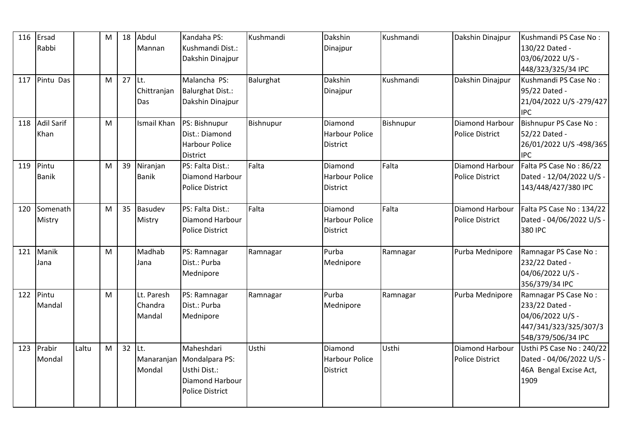| 116 | Ersad             |       | M | 18       | Abdul              | Kandaha PS:               | Kushmandi | Dakshin         | Kushmandi | Dakshin Dinajpur       | Kushmandi PS Case No:    |
|-----|-------------------|-------|---|----------|--------------------|---------------------------|-----------|-----------------|-----------|------------------------|--------------------------|
|     | Rabbi             |       |   |          | Mannan             | Kushmandi Dist.:          |           | Dinajpur        |           |                        | 130/22 Dated -           |
|     |                   |       |   |          |                    | Dakshin Dinajpur          |           |                 |           |                        | 03/06/2022 U/S -         |
|     |                   |       |   |          |                    |                           |           |                 |           |                        | 448/323/325/34 IPC       |
| 117 | Pintu Das         |       | M | $27$ Lt. |                    | Malancha PS:              | Balurghat | Dakshin         | Kushmandi | Dakshin Dinajpur       | Kushmandi PS Case No:    |
|     |                   |       |   |          | Chittranjan        | <b>Balurghat Dist.:</b>   |           | Dinajpur        |           |                        | 95/22 Dated -            |
|     |                   |       |   |          | Das                | Dakshin Dinajpur          |           |                 |           |                        | 21/04/2022 U/S-279/427   |
|     |                   |       |   |          |                    |                           |           |                 |           |                        | <b>IPC</b>               |
| 118 | <b>Adil Sarif</b> |       | M |          | <b>Ismail Khan</b> | PS: Bishnupur             | Bishnupur | Diamond         | Bishnupur | Diamond Harbour        | Bishnupur PS Case No:    |
|     | Khan              |       |   |          |                    | Dist.: Diamond            |           | Harbour Police  |           | <b>Police District</b> | 52/22 Dated -            |
|     |                   |       |   |          |                    | <b>Harbour Police</b>     |           | <b>District</b> |           |                        | 26/01/2022 U/S-498/365   |
|     |                   |       |   |          |                    | <b>District</b>           |           |                 |           |                        | <b>IPC</b>               |
| 119 | Pintu             |       | M | 39       | Niranjan           | PS: Falta Dist.:          | Falta     | Diamond         | Falta     | Diamond Harbour        | Falta PS Case No: 86/22  |
|     | <b>Banik</b>      |       |   |          | <b>Banik</b>       | Diamond Harbour           |           | Harbour Police  |           | <b>Police District</b> | Dated - 12/04/2022 U/S - |
|     |                   |       |   |          |                    | <b>Police District</b>    |           | <b>District</b> |           |                        | 143/448/427/380 IPC      |
|     |                   |       |   |          |                    |                           |           |                 |           |                        |                          |
| 120 | Somenath          |       | M | 35       | Basudev            | PS: Falta Dist.:          | Falta     | <b>Diamond</b>  | Falta     | Diamond Harbour        | Falta PS Case No: 134/22 |
|     | Mistry            |       |   |          | Mistry             | Diamond Harbour           |           | Harbour Police  |           | <b>Police District</b> | Dated - 04/06/2022 U/S - |
|     |                   |       |   |          |                    | <b>Police District</b>    |           | <b>District</b> |           |                        | 380 IPC                  |
|     |                   |       |   |          |                    |                           |           |                 |           |                        |                          |
| 121 | Manik             |       | M |          | Madhab             | PS: Ramnagar              | Ramnagar  | Purba           | Ramnagar  | Purba Mednipore        | Ramnagar PS Case No:     |
|     | Jana              |       |   |          | Jana               | Dist.: Purba              |           | Mednipore       |           |                        | 232/22 Dated -           |
|     |                   |       |   |          |                    | Mednipore                 |           |                 |           |                        | 04/06/2022 U/S -         |
|     |                   |       |   |          |                    |                           |           |                 |           |                        | 356/379/34 IPC           |
| 122 | Pintu             |       | M |          | Lt. Paresh         | PS: Ramnagar              | Ramnagar  | Purba           | Ramnagar  | Purba Mednipore        | Ramnagar PS Case No:     |
|     | Mandal            |       |   |          | Chandra            | Dist.: Purba              |           | Mednipore       |           |                        | 233/22 Dated -           |
|     |                   |       |   |          | Mandal             | Mednipore                 |           |                 |           |                        | 04/06/2022 U/S -         |
|     |                   |       |   |          |                    |                           |           |                 |           |                        | 447/341/323/325/307/3    |
|     |                   |       |   |          |                    |                           |           |                 |           |                        | 54B/379/506/34 IPC       |
| 123 | Prabir            | Laltu | M | $32$ Lt. |                    | Maheshdari                | Usthi     | Diamond         | Usthi     | <b>Diamond Harbour</b> | Usthi PS Case No: 240/22 |
|     | Mondal            |       |   |          |                    | Manaranjan Mondalpara PS: |           | Harbour Police  |           | <b>Police District</b> | Dated - 04/06/2022 U/S - |
|     |                   |       |   |          | Mondal             | Usthi Dist.:              |           | <b>District</b> |           |                        | 46A Bengal Excise Act,   |
|     |                   |       |   |          |                    | Diamond Harbour           |           |                 |           |                        | 1909                     |
|     |                   |       |   |          |                    | <b>Police District</b>    |           |                 |           |                        |                          |
|     |                   |       |   |          |                    |                           |           |                 |           |                        |                          |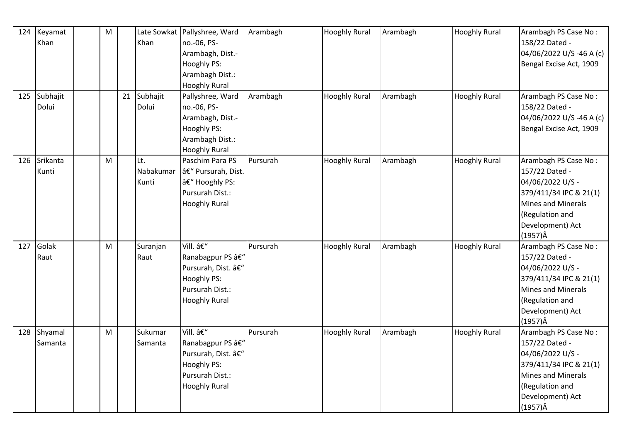| 124 | Keyamat      | ${\sf M}$ |    |           | Late Sowkat Pallyshree, Ward | Arambagh | <b>Hooghly Rural</b> | Arambagh | <b>Hooghly Rural</b> | Arambagh PS Case No:      |
|-----|--------------|-----------|----|-----------|------------------------------|----------|----------------------|----------|----------------------|---------------------------|
|     | Khan         |           |    | Khan      | no.-06, PS-                  |          |                      |          |                      | 158/22 Dated -            |
|     |              |           |    |           | Arambagh, Dist.-             |          |                      |          |                      | 04/06/2022 U/S-46 A (c)   |
|     |              |           |    |           | Hooghly PS:                  |          |                      |          |                      | Bengal Excise Act, 1909   |
|     |              |           |    |           | Arambagh Dist.:              |          |                      |          |                      |                           |
|     |              |           |    |           | <b>Hooghly Rural</b>         |          |                      |          |                      |                           |
|     | 125 Subhajit |           | 21 | Subhajit  | Pallyshree, Ward             | Arambagh | <b>Hooghly Rural</b> | Arambagh | <b>Hooghly Rural</b> | Arambagh PS Case No:      |
|     | Dolui        |           |    | Dolui     | no.-06, PS-                  |          |                      |          |                      | 158/22 Dated -            |
|     |              |           |    |           | Arambagh, Dist.-             |          |                      |          |                      | 04/06/2022 U/S-46 A (c)   |
|     |              |           |    |           | <b>Hooghly PS:</b>           |          |                      |          |                      | Bengal Excise Act, 1909   |
|     |              |           |    |           | Arambagh Dist.:              |          |                      |          |                      |                           |
|     |              |           |    |           | <b>Hooghly Rural</b>         |          |                      |          |                      |                           |
| 126 | Srikanta     | M         |    | Lt.       | Paschim Para PS              | Pursurah | <b>Hooghly Rural</b> | Arambagh | <b>Hooghly Rural</b> | Arambagh PS Case No:      |
|     | Kunti        |           |    | Nabakumar | – Pursurah, Dist.            |          |                      |          |                      | 157/22 Dated -            |
|     |              |           |    | Kunti     | â€" Hooghly PS:              |          |                      |          |                      | 04/06/2022 U/S -          |
|     |              |           |    |           | Pursurah Dist.:              |          |                      |          |                      | 379/411/34 IPC & 21(1)    |
|     |              |           |    |           | <b>Hooghly Rural</b>         |          |                      |          |                      | <b>Mines and Minerals</b> |
|     |              |           |    |           |                              |          |                      |          |                      | (Regulation and           |
|     |              |           |    |           |                              |          |                      |          |                      | Development) Act          |
|     |              |           |    |           |                              |          |                      |          |                      | $(1957)\hat{A}$           |
|     | 127 Golak    | M         |    | Suranjan  | Vill. –                      | Pursurah | <b>Hooghly Rural</b> | Arambagh | <b>Hooghly Rural</b> | Arambagh PS Case No:      |
|     | Raut         |           |    | Raut      | Ranabagpur PS â€"            |          |                      |          |                      | 157/22 Dated -            |
|     |              |           |    |           | Pursurah, Dist. –            |          |                      |          |                      | 04/06/2022 U/S -          |
|     |              |           |    |           | Hooghly PS:                  |          |                      |          |                      | 379/411/34 IPC & 21(1)    |
|     |              |           |    |           | Pursurah Dist.:              |          |                      |          |                      | Mines and Minerals        |
|     |              |           |    |           | <b>Hooghly Rural</b>         |          |                      |          |                      | (Regulation and           |
|     |              |           |    |           |                              |          |                      |          |                      | Development) Act          |
|     |              |           |    |           |                              |          |                      |          |                      | $(1957)\hat{A}$           |
| 128 | Shyamal      | M         |    | Sukumar   | Vill. –                      | Pursurah | <b>Hooghly Rural</b> | Arambagh | <b>Hooghly Rural</b> | Arambagh PS Case No:      |
|     | Samanta      |           |    | Samanta   | Ranabagpur PS â€"            |          |                      |          |                      | 157/22 Dated -            |
|     |              |           |    |           | Pursurah, Dist. –            |          |                      |          |                      | 04/06/2022 U/S -          |
|     |              |           |    |           | Hooghly PS:                  |          |                      |          |                      | 379/411/34 IPC & 21(1)    |
|     |              |           |    |           | Pursurah Dist.:              |          |                      |          |                      | <b>Mines and Minerals</b> |
|     |              |           |    |           | <b>Hooghly Rural</b>         |          |                      |          |                      | (Regulation and           |
|     |              |           |    |           |                              |          |                      |          |                      | Development) Act          |
|     |              |           |    |           |                              |          |                      |          |                      | $(1957)\hat{A}$           |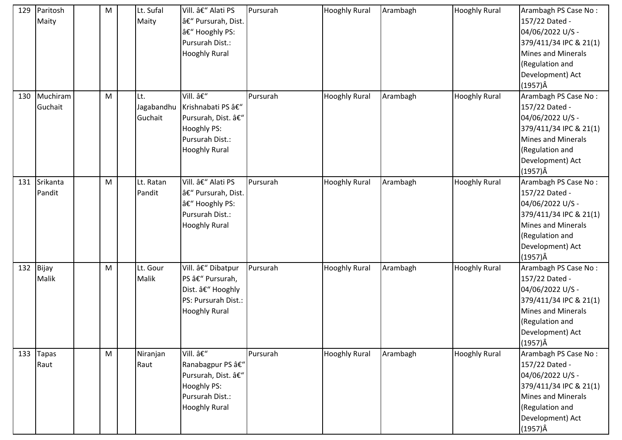| 129 | Paritosh<br>Maity      | M | Lt. Sufal<br>Maity           | Vill. – Alati PS<br>â€" Pursurah, Dist.<br>– Hooghly PS:<br>Pursurah Dist.:<br><b>Hooghly Rural</b>          | Pursurah | <b>Hooghly Rural</b> | Arambagh | <b>Hooghly Rural</b> | Arambagh PS Case No:<br>157/22 Dated -<br>04/06/2022 U/S -<br>379/411/34 IPC & 21(1)<br><b>Mines and Minerals</b><br>(Regulation and<br>Development) Act<br>$(1957)\hat{A}$ |
|-----|------------------------|---|------------------------------|--------------------------------------------------------------------------------------------------------------|----------|----------------------|----------|----------------------|-----------------------------------------------------------------------------------------------------------------------------------------------------------------------------|
| 130 | Muchiram<br>Guchait    | M | Lt.<br>Jagabandhu<br>Guchait | Vill. –<br>Krishnabati PS â€"<br>Pursurah, Dist. –<br>Hooghly PS:<br>Pursurah Dist.:<br><b>Hooghly Rural</b> | Pursurah | <b>Hooghly Rural</b> | Arambagh | <b>Hooghly Rural</b> | Arambagh PS Case No:<br>157/22 Dated -<br>04/06/2022 U/S -<br>379/411/34 IPC & 21(1)<br><b>Mines and Minerals</b><br>(Regulation and<br>Development) Act<br>$(1957)\hat{A}$ |
| 131 | Srikanta<br>Pandit     | M | Lt. Ratan<br>Pandit          | Vill. – Alati PS<br>– Pursurah, Dist.<br>â€" Hooghly PS:<br>Pursurah Dist.:<br><b>Hooghly Rural</b>          | Pursurah | <b>Hooghly Rural</b> | Arambagh | <b>Hooghly Rural</b> | Arambagh PS Case No:<br>157/22 Dated -<br>04/06/2022 U/S -<br>379/411/34 IPC & 21(1)<br><b>Mines and Minerals</b><br>(Regulation and<br>Development) Act<br>$(1957)\hat{A}$ |
| 132 | Bijay<br>Malik         | M | Lt. Gour<br>Malik            | Vill. – Dibatpur<br>PS – Pursurah,<br>Dist. – Hooghly<br>PS: Pursurah Dist.:<br><b>Hooghly Rural</b>         | Pursurah | <b>Hooghly Rural</b> | Arambagh | <b>Hooghly Rural</b> | Arambagh PS Case No:<br>157/22 Dated -<br>04/06/2022 U/S -<br>379/411/34 IPC & 21(1)<br><b>Mines and Minerals</b><br>(Regulation and<br>Development) Act<br>$(1957)\hat{A}$ |
|     | 133 $\sqrt{2}$<br>Raut | M | Niranjan<br>Raut             | Vill. –<br>Ranabagpur PS –<br>Pursurah, Dist. –<br>Hooghly PS:<br>Pursurah Dist.:<br><b>Hooghly Rural</b>    | Pursurah | <b>Hooghly Rural</b> | Arambagh | <b>Hooghly Rural</b> | Arambagh PS Case No:<br>157/22 Dated -<br>04/06/2022 U/S -<br>379/411/34 IPC & 21(1)<br>Mines and Minerals<br>(Regulation and<br>Development) Act<br>$(1957)\hat{A}$        |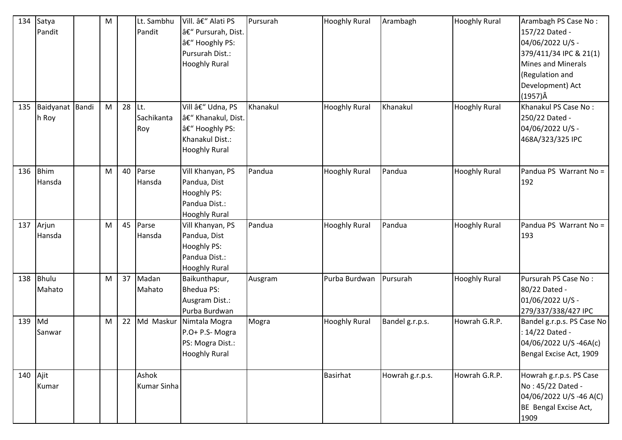| 134      | Satya<br>Pandit          | M |          | Lt. Sambhu<br>Pandit        | Vill. – Alati PS<br>â€" Pursurah, Dist.<br>â€" Hooghly PS:<br>Pursurah Dist.:<br><b>Hooghly Rural</b> | Pursurah | <b>Hooghly Rural</b>   | Arambagh        | <b>Hooghly Rural</b> | Arambagh PS Case No:<br>157/22 Dated -<br>04/06/2022 U/S -<br>379/411/34 IPC & 21(1)<br>Mines and Minerals<br>(Regulation and<br>Development) Act<br>$(1957)\hat{A}$ |
|----------|--------------------------|---|----------|-----------------------------|-------------------------------------------------------------------------------------------------------|----------|------------------------|-----------------|----------------------|----------------------------------------------------------------------------------------------------------------------------------------------------------------------|
| 135      | Baidyanat Bandi<br>h Roy | M | $28$ Lt. | Sachikanta<br>Roy           | Vill – Udna, PS<br>– Khanakul, Dist.<br>â€" Hooghly PS:<br>Khanakul Dist.:<br><b>Hooghly Rural</b>    | Khanakul | <b>Hooghly Rural</b>   | Khanakul        | <b>Hooghly Rural</b> | Khanakul PS Case No:<br>250/22 Dated -<br>04/06/2022 U/S -<br>468A/323/325 IPC                                                                                       |
| 136      | <b>Bhim</b><br>Hansda    | M | 40       | Parse<br>Hansda             | Vill Khanyan, PS<br>Pandua, Dist<br><b>Hooghly PS:</b><br>Pandua Dist.:<br><b>Hooghly Rural</b>       | Pandua   | <b>Hooghly Rural</b>   | Pandua          | <b>Hooghly Rural</b> | Pandua PS Warrant No =<br>192                                                                                                                                        |
| 137      | Arjun<br>Hansda          | M | 45       | Parse<br>Hansda             | Vill Khanyan, PS<br>Pandua, Dist<br><b>Hooghly PS:</b><br>Pandua Dist.:<br><b>Hooghly Rural</b>       | Pandua   | <b>Hooghly Rural</b>   | Pandua          | <b>Hooghly Rural</b> | Pandua PS Warrant No =<br>193                                                                                                                                        |
| 138      | Bhulu<br>Mahato          | M | 37       | Madan<br>Mahato             | Baikunthapur,<br><b>Bhedua PS:</b><br>Ausgram Dist.:<br>Purba Burdwan                                 | Ausgram  | Purba Burdwan Pursurah |                 | <b>Hooghly Rural</b> | Pursurah PS Case No:<br>80/22 Dated -<br>01/06/2022 U/S -<br>279/337/338/427 IPC                                                                                     |
| 139      | Md<br>Sanwar             | M | 22       | Md Maskur                   | Nimtala Mogra<br>P.O+ P.S- Mogra<br>PS: Mogra Dist.:<br><b>Hooghly Rural</b>                          | Mogra    | <b>Hooghly Rural</b>   | Bandel g.r.p.s. | Howrah G.R.P.        | Bandel g.r.p.s. PS Case No<br>: 14/22 Dated -<br>04/06/2022 U/S -46A(c)<br>Bengal Excise Act, 1909                                                                   |
| 140 Ajit | Kumar                    |   |          | Ashok<br><b>Kumar Sinha</b> |                                                                                                       |          | <b>Basirhat</b>        | Howrah g.r.p.s. | Howrah G.R.P.        | Howrah g.r.p.s. PS Case<br>No: 45/22 Dated -<br>04/06/2022 U/S-46 A(C)<br>BE Bengal Excise Act,<br>1909                                                              |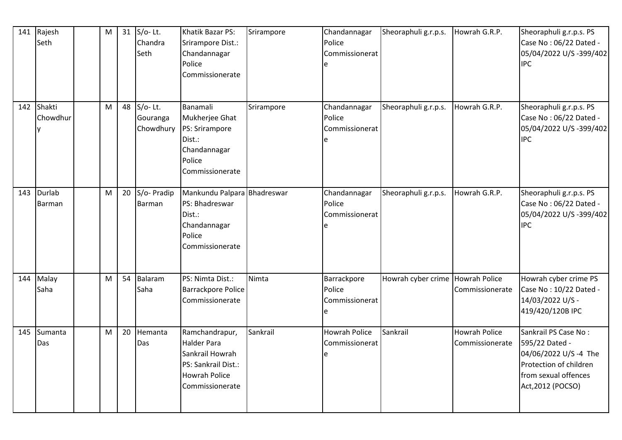| 141 | Rajesh<br>Seth         | ${\sf M}$ |    | 31 $S/O-$ Lt.<br>Chandra<br>Seth   | Khatik Bazar PS:<br>Srirampore Dist.:<br>Chandannagar<br>Police<br>Commissionerate                                        | Srirampore | Chandannagar<br>Police<br>Commissionerat      | Sheoraphuli g.r.p.s.             | Howrah G.R.P.                           | Sheoraphuli g.r.p.s. PS<br>Case No: 06/22 Dated -<br>05/04/2022 U/S -399/402<br><b>IPC</b>                                            |
|-----|------------------------|-----------|----|------------------------------------|---------------------------------------------------------------------------------------------------------------------------|------------|-----------------------------------------------|----------------------------------|-----------------------------------------|---------------------------------------------------------------------------------------------------------------------------------------|
|     | 142 Shakti<br>Chowdhur | M         | 48 | $S/O-Lt.$<br>Gouranga<br>Chowdhury | Banamali<br>Mukherjee Ghat<br>PS: Srirampore<br>Dist.:<br>Chandannagar<br>Police<br>Commissionerate                       | Srirampore | Chandannagar<br>Police<br>Commissionerat<br>e | Sheoraphuli g.r.p.s.             | Howrah G.R.P.                           | Sheoraphuli g.r.p.s. PS<br>Case No: 06/22 Dated -<br>05/04/2022 U/S -399/402<br><b>IPC</b>                                            |
| 143 | Durlab<br>Barman       | M         | 20 | S/o- Pradip<br>Barman              | Mankundu Palpara Bhadreswar<br>PS: Bhadreswar<br>Dist.:<br>Chandannagar<br>Police<br>Commissionerate                      |            | Chandannagar<br>Police<br>Commissionerat      | Sheoraphuli g.r.p.s.             | Howrah G.R.P.                           | Sheoraphuli g.r.p.s. PS<br>Case No: 06/22 Dated -<br>05/04/2022 U/S -399/402<br><b>IPC</b>                                            |
| 144 | Malay<br>Saha          | M         | 54 | Balaram<br>Saha                    | PS: Nimta Dist.:<br><b>Barrackpore Police</b><br>Commissionerate                                                          | Nimta      | Barrackpore<br>Police<br>Commissionerat<br>e  | Howrah cyber crime Howrah Police | Commissionerate                         | Howrah cyber crime PS<br>Case No: 10/22 Dated -<br>14/03/2022 U/S -<br>419/420/120B IPC                                               |
| 145 | Sumanta<br>Das         | M         | 20 | Hemanta<br>Das                     | Ramchandrapur,<br><b>Halder Para</b><br>Sankrail Howrah<br>PS: Sankrail Dist.:<br><b>Howrah Police</b><br>Commissionerate | Sankrail   | <b>Howrah Police</b><br>Commissionerat        | Sankrail                         | <b>Howrah Police</b><br>Commissionerate | Sankrail PS Case No:<br>595/22 Dated -<br>04/06/2022 U/S-4 The<br>Protection of children<br>from sexual offences<br>Act, 2012 (POCSO) |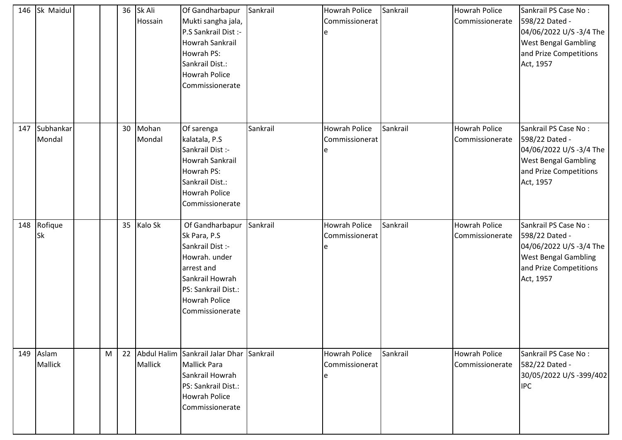| 146 | Sk Maidul                   |   | 36              | Sk Ali<br>Hossain | Of Gandharbapur<br>Mukti sangha jala,<br>P.S Sankrail Dist :-<br>Howrah Sankrail<br>Howrah PS:<br>Sankrail Dist.:<br>Howrah Police<br>Commissionerate                   | Sankrail | <b>Howrah Police</b><br>Commissionerat<br>e | Sankrail | <b>Howrah Police</b><br>Commissionerate | Sankrail PS Case No:<br>598/22 Dated -<br>04/06/2022 U/S -3/4 The<br><b>West Bengal Gambling</b><br>and Prize Competitions<br>Act, 1957 |
|-----|-----------------------------|---|-----------------|-------------------|-------------------------------------------------------------------------------------------------------------------------------------------------------------------------|----------|---------------------------------------------|----------|-----------------------------------------|-----------------------------------------------------------------------------------------------------------------------------------------|
| 147 | Subhankar<br>Mondal         |   | 30 <sup>°</sup> | Mohan<br>Mondal   | Of sarenga<br>kalatala, P.S.<br>Sankrail Dist :-<br>Howrah Sankrail<br>Howrah PS:<br>Sankrail Dist.:<br>Howrah Police<br>Commissionerate                                | Sankrail | <b>Howrah Police</b><br>Commissionerat<br>e | Sankrail | <b>Howrah Police</b><br>Commissionerate | Sankrail PS Case No:<br>598/22 Dated -<br>04/06/2022 U/S -3/4 The<br><b>West Bengal Gambling</b><br>and Prize Competitions<br>Act, 1957 |
|     | 148 Rofique<br><b>Sk</b>    |   | 35              | Kalo Sk           | Of Gandharbapur<br>Sk Para, P.S<br>Sankrail Dist :-<br>Howrah. under<br>arrest and<br>Sankrail Howrah<br>PS: Sankrail Dist.:<br><b>Howrah Police</b><br>Commissionerate | Sankrail | <b>Howrah Police</b><br>Commissionerat      | Sankrail | <b>Howrah Police</b><br>Commissionerate | Sankrail PS Case No:<br>598/22 Dated -<br>04/06/2022 U/S -3/4 The<br><b>West Bengal Gambling</b><br>and Prize Competitions<br>Act, 1957 |
|     | 149 Aslam<br><b>Mallick</b> | M |                 | Mallick           | 22 Abdul Halim Sankrail Jalar Dhar<br><b>Mallick Para</b><br>Sankrail Howrah<br>PS: Sankrail Dist.:<br><b>Howrah Police</b><br>Commissionerate                          | Sankrail | <b>Howrah Police</b><br>Commissionerat<br>e | Sankrail | <b>Howrah Police</b><br>Commissionerate | Sankrail PS Case No:<br>582/22 Dated -<br>30/05/2022 U/S-399/402<br><b>IPC</b>                                                          |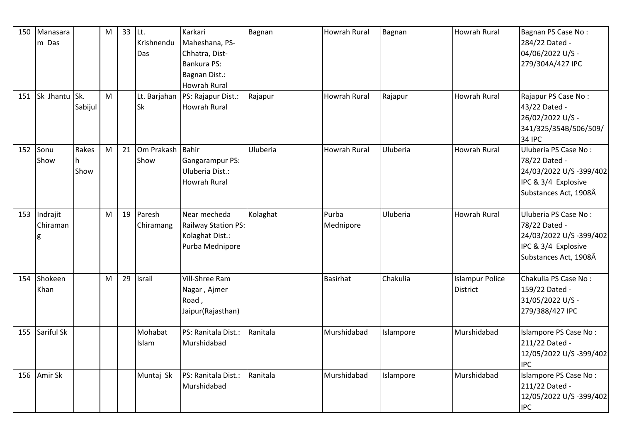| 150<br>151 | Manasara<br>m Das<br>Sk Jhantu | Sk.<br>Sabijul     | M<br>M | 33 | $ $ Lt.<br>Krishnendu<br>Das<br>Sk | Karkari<br>Maheshana, PS-<br>Chhatra, Dist-<br>Bankura PS:<br>Bagnan Dist.:<br><b>Howrah Rural</b><br>Lt. Barjahan   PS: Rajapur Dist.:<br><b>Howrah Rural</b> | Bagnan<br>Rajapur | Howrah Rural<br><b>Howrah Rural</b> | Bagnan<br>Rajapur | <b>Howrah Rural</b><br><b>Howrah Rural</b> | Bagnan PS Case No:<br>284/22 Dated -<br>04/06/2022 U/S -<br>279/304A/427 IPC<br>Rajapur PS Case No:<br>43/22 Dated - |
|------------|--------------------------------|--------------------|--------|----|------------------------------------|----------------------------------------------------------------------------------------------------------------------------------------------------------------|-------------------|-------------------------------------|-------------------|--------------------------------------------|----------------------------------------------------------------------------------------------------------------------|
|            |                                |                    |        |    |                                    |                                                                                                                                                                |                   |                                     |                   |                                            | 26/02/2022 U/S -<br>341/325/354B/506/509/<br><b>34 IPC</b>                                                           |
| 152        | Sonu<br>Show                   | Rakes<br>h<br>Show | M      | 21 | Om Prakash Bahir<br>Show           | Gangarampur PS:<br>Uluberia Dist.:<br><b>Howrah Rural</b>                                                                                                      | Uluberia          | <b>Howrah Rural</b>                 | Uluberia          | <b>Howrah Rural</b>                        | Uluberia PS Case No:<br>78/22 Dated -<br>24/03/2022 U/S -399/402<br>IPC & 3/4 Explosive<br>Substances Act, 1908Â     |
| 153        | Indrajit<br>Chiraman           |                    | M      | 19 | Paresh<br>Chiramang                | Near mecheda<br>Railway Station PS:<br>Kolaghat Dist.:<br>Purba Mednipore                                                                                      | Kolaghat          | Purba<br>Mednipore                  | Uluberia          | <b>Howrah Rural</b>                        | Uluberia PS Case No:<br>78/22 Dated -<br>24/03/2022 U/S -399/402<br>IPC & 3/4 Explosive<br>Substances Act, 1908Â     |
| 154        | Shokeen<br>Khan                |                    | M      | 29 | Israil                             | Vill-Shree Ram<br>Nagar, Ajmer<br>Road,<br>Jaipur(Rajasthan)                                                                                                   |                   | <b>Basirhat</b>                     | Chakulia          | <b>Islampur Police</b><br><b>District</b>  | Chakulia PS Case No:<br>159/22 Dated -<br>31/05/2022 U/S -<br>279/388/427 IPC                                        |
| 155        | Sariful Sk                     |                    |        |    | Mohabat<br>Islam                   | PS: Ranitala Dist.:<br>Murshidabad                                                                                                                             | Ranitala          | Murshidabad                         | Islampore         | Murshidabad                                | Islampore PS Case No:<br>211/22 Dated -<br>12/05/2022 U/S -399/402<br><b>IPC</b>                                     |
| 156        | Amir Sk                        |                    |        |    | Muntaj Sk                          | PS: Ranitala Dist.:<br>Murshidabad                                                                                                                             | Ranitala          | Murshidabad                         | Islampore         | Murshidabad                                | Islampore PS Case No:<br>211/22 Dated -<br>12/05/2022 U/S -399/402<br><b>IPC</b>                                     |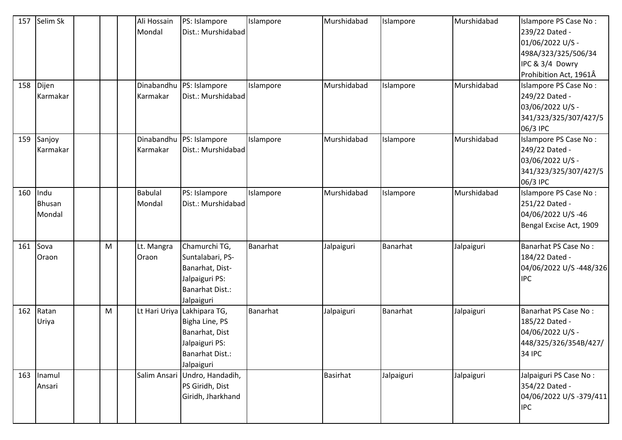| 157 | Selim Sk |   | Ali Hossain    | PS: Islampore               | Islampore | Murshidabad     | Islampore  | Murshidabad | Islampore PS Case No:   |
|-----|----------|---|----------------|-----------------------------|-----------|-----------------|------------|-------------|-------------------------|
|     |          |   | Mondal         | Dist.: Murshidabad          |           |                 |            |             | 239/22 Dated -          |
|     |          |   |                |                             |           |                 |            |             | 01/06/2022 U/S -        |
|     |          |   |                |                             |           |                 |            |             | 498A/323/325/506/34     |
|     |          |   |                |                             |           |                 |            |             | IPC & 3/4 Dowry         |
|     |          |   |                |                             |           |                 |            |             | Prohibition Act, 1961Â  |
| 158 | Dijen    |   | Dinabandhu     | PS: Islampore               | Islampore | Murshidabad     | Islampore  | Murshidabad | Islampore PS Case No:   |
|     | Karmakar |   | Karmakar       | Dist.: Murshidabad          |           |                 |            |             | 249/22 Dated -          |
|     |          |   |                |                             |           |                 |            |             | 03/06/2022 U/S -        |
|     |          |   |                |                             |           |                 |            |             | 341/323/325/307/427/5   |
|     |          |   |                |                             |           |                 |            |             | 06/3 IPC                |
| 159 | Sanjoy   |   | Dinabandhu     | PS: Islampore               | Islampore | Murshidabad     | Islampore  | Murshidabad | Islampore PS Case No:   |
|     | Karmakar |   | Karmakar       | Dist.: Murshidabad          |           |                 |            |             | 249/22 Dated -          |
|     |          |   |                |                             |           |                 |            |             | 03/06/2022 U/S -        |
|     |          |   |                |                             |           |                 |            |             | 341/323/325/307/427/5   |
|     |          |   |                |                             |           |                 |            |             | 06/3 IPC                |
| 160 | Indu     |   | <b>Babulal</b> | PS: Islampore               | Islampore | Murshidabad     | Islampore  | Murshidabad | Islampore PS Case No:   |
|     | Bhusan   |   | Mondal         | Dist.: Murshidabad          |           |                 |            |             | 251/22 Dated -          |
|     | Mondal   |   |                |                             |           |                 |            |             | 04/06/2022 U/S-46       |
|     |          |   |                |                             |           |                 |            |             | Bengal Excise Act, 1909 |
| 161 | Sova     | M | Lt. Mangra     | Chamurchi TG,               | Banarhat  | Jalpaiguri      | Banarhat   | Jalpaiguri  | Banarhat PS Case No:    |
|     | Oraon    |   | Oraon          | Suntalabari, PS-            |           |                 |            |             | 184/22 Dated -          |
|     |          |   |                | Banarhat, Dist-             |           |                 |            |             | 04/06/2022 U/S-448/326  |
|     |          |   |                | Jalpaiguri PS:              |           |                 |            |             | <b>IPC</b>              |
|     |          |   |                | <b>Banarhat Dist.:</b>      |           |                 |            |             |                         |
|     |          |   |                | Jalpaiguri                  |           |                 |            |             |                         |
| 162 | Ratan    | M |                | Lt Hari Uriya Lakhipara TG, | Banarhat  | Jalpaiguri      | Banarhat   | Jalpaiguri  | Banarhat PS Case No:    |
|     | Uriya    |   |                | Bigha Line, PS              |           |                 |            |             | 185/22 Dated -          |
|     |          |   |                | Banarhat, Dist              |           |                 |            |             | 04/06/2022 U/S -        |
|     |          |   |                | Jalpaiguri PS:              |           |                 |            |             | 448/325/326/354B/427/   |
|     |          |   |                | <b>Banarhat Dist.:</b>      |           |                 |            |             | <b>34 IPC</b>           |
|     |          |   |                | Jalpaiguri                  |           |                 |            |             |                         |
| 163 | Inamul   |   | Salim Ansari   | Undro, Handadih,            |           | <b>Basirhat</b> | Jalpaiguri | Jalpaiguri  | Jalpaiguri PS Case No:  |
|     | Ansari   |   |                | PS Giridh, Dist             |           |                 |            |             | 354/22 Dated -          |
|     |          |   |                | Giridh, Jharkhand           |           |                 |            |             | 04/06/2022 U/S-379/411  |
|     |          |   |                |                             |           |                 |            |             | <b>IPC</b>              |
|     |          |   |                |                             |           |                 |            |             |                         |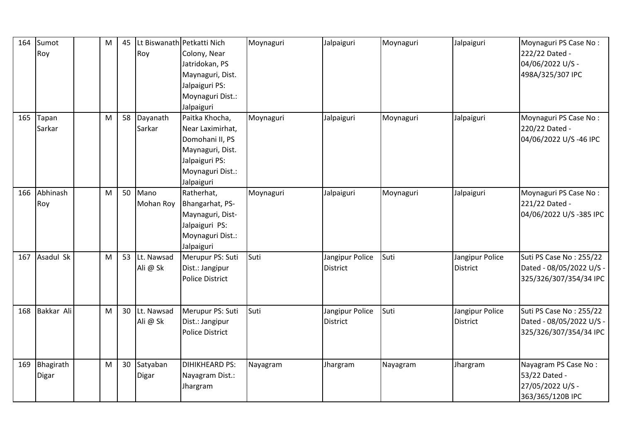| 164 | Sumot<br>Roy       | M | 45 | Roy                    | Lt Biswanath Petkatti Nich<br>Colony, Near<br>Jatridokan, PS<br>Maynaguri, Dist.<br>Jalpaiguri PS:<br>Moynaguri Dist.:<br>Jalpaiguri | Moynaguri | Jalpaiguri                         | Moynaguri | Jalpaiguri                         | Moynaguri PS Case No:<br>222/22 Dated -<br>04/06/2022 U/S -<br>498A/325/307 IPC |
|-----|--------------------|---|----|------------------------|--------------------------------------------------------------------------------------------------------------------------------------|-----------|------------------------------------|-----------|------------------------------------|---------------------------------------------------------------------------------|
| 165 | Tapan<br>Sarkar    | M | 58 | Dayanath<br>Sarkar     | Paitka Khocha,<br>Near Laximirhat,<br>Domohani II, PS<br>Maynaguri, Dist.<br>Jalpaiguri PS:<br>Moynaguri Dist.:<br>Jalpaiguri        | Moynaguri | Jalpaiguri                         | Moynaguri | Jalpaiguri                         | Moynaguri PS Case No:<br>220/22 Dated -<br>04/06/2022 U/S-46 IPC                |
| 166 | Abhinash<br>Roy    | M | 50 | Mano<br>Mohan Roy      | Ratherhat,<br>Bhangarhat, PS-<br>Maynaguri, Dist-<br>Jalpaiguri PS:<br>Moynaguri Dist.:<br>Jalpaiguri                                | Moynaguri | Jalpaiguri                         | Moynaguri | Jalpaiguri                         | Moynaguri PS Case No:<br>221/22 Dated -<br>04/06/2022 U/S-385 IPC               |
| 167 | Asadul Sk          | M | 53 | Lt. Nawsad<br>Ali @ Sk | Merupur PS: Suti<br>Dist.: Jangipur<br><b>Police District</b>                                                                        | Suti      | Jangipur Police<br><b>District</b> | Suti      | Jangipur Police<br><b>District</b> | Suti PS Case No: 255/22<br>Dated - 08/05/2022 U/S -<br>325/326/307/354/34 IPC   |
| 168 | <b>Bakkar Ali</b>  | M | 30 | Lt. Nawsad<br>Ali @ Sk | Merupur PS: Suti<br>Dist.: Jangipur<br><b>Police District</b>                                                                        | Suti      | Jangipur Police<br><b>District</b> | Suti      | Jangipur Police<br><b>District</b> | Suti PS Case No: 255/22<br>Dated - 08/05/2022 U/S -<br>325/326/307/354/34 IPC   |
| 169 | Bhagirath<br>Digar | M | 30 | Satyaban<br>Digar      | <b>DIHIKHEARD PS:</b><br>Nayagram Dist.:<br>Jhargram                                                                                 | Nayagram  | Jhargram                           | Nayagram  | Jhargram                           | Nayagram PS Case No:<br>53/22 Dated -<br>27/05/2022 U/S -<br>363/365/120B IPC   |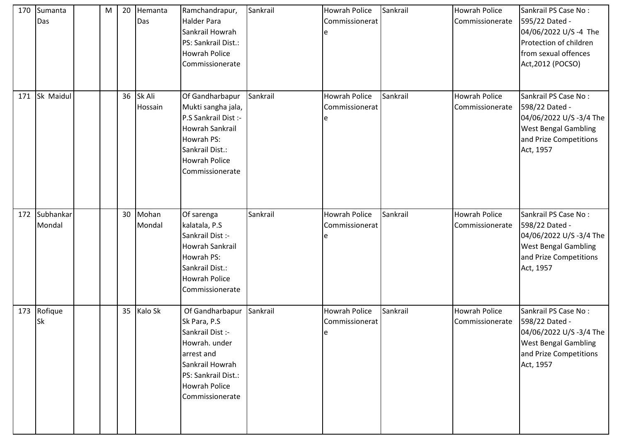| 170 | Sumanta<br>Das      | M | 20 | Hemanta<br>Das    | Ramchandrapur,<br>Halder Para<br>Sankrail Howrah<br>PS: Sankrail Dist.:<br>Howrah Police<br>Commissionerate                                                             | Sankrail | <b>Howrah Police</b><br>Commissionerat      | Sankrail | <b>Howrah Police</b><br>Commissionerate | Sankrail PS Case No:<br>595/22 Dated -<br>04/06/2022 U/S-4 The<br>Protection of children<br>from sexual offences<br>Act, 2012 (POCSO)   |
|-----|---------------------|---|----|-------------------|-------------------------------------------------------------------------------------------------------------------------------------------------------------------------|----------|---------------------------------------------|----------|-----------------------------------------|-----------------------------------------------------------------------------------------------------------------------------------------|
| 171 | Sk Maidul           |   | 36 | Sk Ali<br>Hossain | Of Gandharbapur<br>Mukti sangha jala,<br>P.S Sankrail Dist :-<br>Howrah Sankrail<br>Howrah PS:<br>Sankrail Dist.:<br><b>Howrah Police</b><br>Commissionerate            | Sankrail | <b>Howrah Police</b><br>Commissionerat<br>e | Sankrail | <b>Howrah Police</b><br>Commissionerate | Sankrail PS Case No:<br>598/22 Dated -<br>04/06/2022 U/S -3/4 The<br><b>West Bengal Gambling</b><br>and Prize Competitions<br>Act, 1957 |
| 172 | Subhankar<br>Mondal |   | 30 | Mohan<br>Mondal   | Of sarenga<br>kalatala, P.S<br>Sankrail Dist :-<br>Howrah Sankrail<br>Howrah PS:<br>Sankrail Dist.:<br>Howrah Police<br>Commissionerate                                 | Sankrail | Howrah Police<br>Commissionerat             | Sankrail | <b>Howrah Police</b><br>Commissionerate | Sankrail PS Case No:<br>598/22 Dated -<br>04/06/2022 U/S -3/4 The<br><b>West Bengal Gambling</b><br>and Prize Competitions<br>Act, 1957 |
|     | 173 Rofique<br>Sk   |   |    | 35 Kalo Sk        | Of Gandharbapur<br>Sk Para, P.S<br>Sankrail Dist :-<br>Howrah. under<br>arrest and<br>Sankrail Howrah<br>PS: Sankrail Dist.:<br><b>Howrah Police</b><br>Commissionerate | Sankrail | <b>Howrah Police</b><br>Commissionerat<br>e | Sankrail | <b>Howrah Police</b><br>Commissionerate | Sankrail PS Case No:<br>598/22 Dated -<br>04/06/2022 U/S -3/4 The<br><b>West Bengal Gambling</b><br>and Prize Competitions<br>Act, 1957 |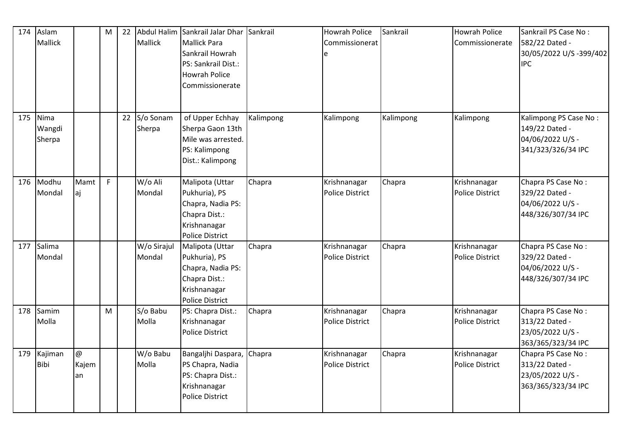|     | 174 Aslam<br><b>Mallick</b> |                               | M  | 22 | Mallick               | Abdul Halim Sankrail Jalar Dhar<br>Mallick Para<br>Sankrail Howrah<br>PS: Sankrail Dist.:<br><b>Howrah Police</b><br>Commissionerate | Sankrail  | <b>Howrah Police</b><br>Commissionerat<br>e | Sankrail  | <b>Howrah Police</b><br>Commissionerate | Sankrail PS Case No:<br>582/22 Dated -<br>30/05/2022 U/S-399/402<br><b>IPC</b>    |
|-----|-----------------------------|-------------------------------|----|----|-----------------------|--------------------------------------------------------------------------------------------------------------------------------------|-----------|---------------------------------------------|-----------|-----------------------------------------|-----------------------------------------------------------------------------------|
| 175 | Nima<br>Wangdi<br>Sherpa    |                               |    | 22 | S/o Sonam<br>Sherpa   | of Upper Echhay<br>Sherpa Gaon 13th<br>Mile was arrested.<br>PS: Kalimpong<br>Dist.: Kalimpong                                       | Kalimpong | Kalimpong                                   | Kalimpong | Kalimpong                               | Kalimpong PS Case No:<br>149/22 Dated -<br>04/06/2022 U/S -<br>341/323/326/34 IPC |
| 176 | Modhu<br>Mondal             | Mamt<br>aj                    | F. |    | W/o Ali<br>Mondal     | Malipota (Uttar<br>Pukhuria), PS<br>Chapra, Nadia PS:<br>Chapra Dist.:<br>Krishnanagar<br><b>Police District</b>                     | Chapra    | Krishnanagar<br><b>Police District</b>      | Chapra    | Krishnanagar<br><b>Police District</b>  | Chapra PS Case No:<br>329/22 Dated -<br>04/06/2022 U/S -<br>448/326/307/34 IPC    |
| 177 | Salima<br>Mondal            |                               |    |    | W/o Sirajul<br>Mondal | Malipota (Uttar<br>Pukhuria), PS<br>Chapra, Nadia PS:<br>Chapra Dist.:<br>Krishnanagar<br><b>Police District</b>                     | Chapra    | Krishnanagar<br><b>Police District</b>      | Chapra    | Krishnanagar<br><b>Police District</b>  | Chapra PS Case No:<br>329/22 Dated -<br>04/06/2022 U/S -<br>448/326/307/34 IPC    |
|     | 178 Samim<br>Molla          |                               | M  |    | S/o Babu<br>Molla     | PS: Chapra Dist.:<br>Krishnanagar<br><b>Police District</b>                                                                          | Chapra    | Krishnanagar<br><b>Police District</b>      | Chapra    | Krishnanagar<br>Police District         | Chapra PS Case No:<br>313/22 Dated -<br>23/05/2022 U/S -<br>363/365/323/34 IPC    |
| 179 | Kajiman<br>Bibi             | $\circledcirc$<br>Kajem<br>an |    |    | W/o Babu<br>Molla     | Bangaljhi Daspara,<br>PS Chapra, Nadia<br>PS: Chapra Dist.:<br>Krishnanagar<br><b>Police District</b>                                | Chapra    | Krishnanagar<br><b>Police District</b>      | Chapra    | Krishnanagar<br>Police District         | Chapra PS Case No:<br>313/22 Dated -<br>23/05/2022 U/S -<br>363/365/323/34 IPC    |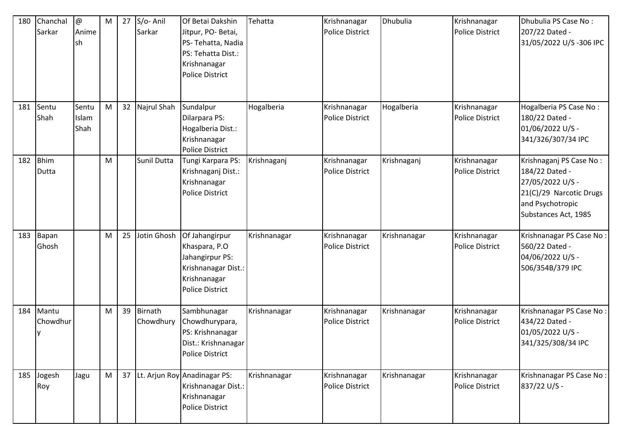| 180 | Chanchal<br>Sarkar | $\circledcirc$<br>Anime<br>sh | M | 27 | S/o-Anil<br>Sarkar          | Of Betai Dakshin<br>Jitpur, PO-Betai,<br>PS-Tehatta, Nadia<br>PS: Tehatta Dist.:<br>Krishnanagar<br><b>Police District</b> | Tehatta      | Krishnanagar<br><b>Police District</b> | <b>Dhubulia</b> | Krishnanagar<br>Police District        | Dhubulia PS Case No:<br>207/22 Dated -<br>31/05/2022 U/S-306 IPC                                                                     |
|-----|--------------------|-------------------------------|---|----|-----------------------------|----------------------------------------------------------------------------------------------------------------------------|--------------|----------------------------------------|-----------------|----------------------------------------|--------------------------------------------------------------------------------------------------------------------------------------|
| 181 | Sentu<br>Shah      | Sentu<br>Islam<br>Shah        | M | 32 | Najrul Shah                 | Sundalpur<br>Dilarpara PS:<br>Hogalberia Dist.:<br>Krishnanagar<br><b>Police District</b>                                  | Hogalberia   | Krishnanagar<br><b>Police District</b> | Hogalberia      | Krishnanagar<br><b>Police District</b> | Hogalberia PS Case No:<br>180/22 Dated -<br>01/06/2022 U/S -<br>341/326/307/34 IPC                                                   |
| 182 | Bhim<br>Dutta      |                               | M |    | Sunil Dutta                 | Tungi Karpara PS:<br>Krishnaganj Dist.:<br>Krishnanagar<br><b>Police District</b>                                          | Krishnaganj  | Krishnanagar<br>Police District        | Krishnaganj     | Krishnanagar<br><b>Police District</b> | Krishnaganj PS Case No:<br>184/22 Dated -<br>27/05/2022 U/S -<br>21(C)/29 Narcotic Drugs<br>and Psychotropic<br>Substances Act, 1985 |
| 183 | Bapan<br>Ghosh     |                               | M | 25 | Jotin Ghosh                 | Of Jahangirpur<br>Khaspara, P.O<br>Jahangirpur PS:<br>Krishnanagar Dist.:<br>Krishnanagar<br><b>Police District</b>        | Krishnanagar | Krishnanagar<br><b>Police District</b> | Krishnanagar    | Krishnanagar<br><b>Police District</b> | Krishnanagar PS Case No:<br>560/22 Dated -<br>04/06/2022 U/S -<br>506/354B/379 IPC                                                   |
| 184 | Mantu<br>Chowdhur  |                               | M | 39 | <b>Birnath</b><br>Chowdhury | Sambhunagar<br>Chowdhurypara,<br>PS: Krishnanagar<br>Dist.: Krishnanagar<br><b>Police District</b>                         | Krishnanagar | Krishnanagar<br><b>Police District</b> | Krishnanagar    | Krishnanagar<br><b>Police District</b> | Krishnanagar PS Case No:<br>434/22 Dated -<br>01/05/2022 U/S -<br>341/325/308/34 IPC                                                 |
| 185 | Jogesh<br>Roy      | Jagu                          | M | 37 |                             | Lt. Arjun Roy Anadinagar PS:<br>Krishnanagar Dist.:<br>Krishnanagar<br><b>Police District</b>                              | Krishnanagar | Krishnanagar<br><b>Police District</b> | Krishnanagar    | Krishnanagar<br><b>Police District</b> | Krishnanagar PS Case No:<br>837/22 U/S -                                                                                             |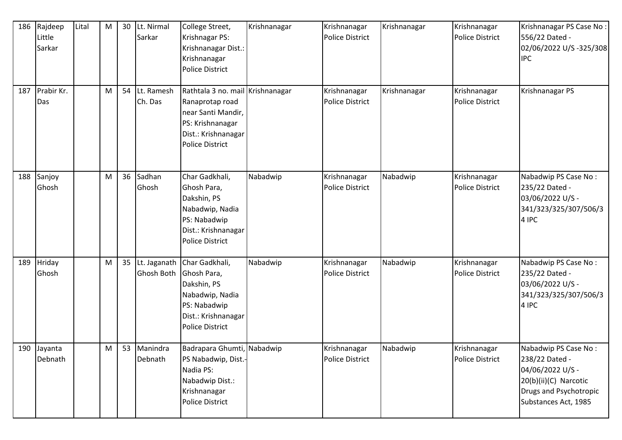| 186 | Rajdeep<br>Little<br>Sarkar | Lital | M | 30 | Lt. Nirmal<br>Sarkar       | College Street,<br>Krishnagar PS:<br>Krishnanagar Dist.:<br>Krishnanagar<br>Police District                                             | Krishnanagar | Krishnanagar<br><b>Police District</b> | Krishnanagar | Krishnanagar<br><b>Police District</b> | Krishnanagar PS Case No:<br>556/22 Dated -<br>02/06/2022 U/S -325/308<br><b>IPC</b>                                                   |
|-----|-----------------------------|-------|---|----|----------------------------|-----------------------------------------------------------------------------------------------------------------------------------------|--------------|----------------------------------------|--------------|----------------------------------------|---------------------------------------------------------------------------------------------------------------------------------------|
| 187 | Prabir Kr.<br>Das           |       | M | 54 | Lt. Ramesh<br>Ch. Das      | Rathtala 3 no. mail Krishnanagar<br>Ranaprotap road<br>near Santi Mandir,<br>PS: Krishnanagar<br>Dist.: Krishnanagar<br>Police District |              | Krishnanagar<br><b>Police District</b> | Krishnanagar | Krishnanagar<br><b>Police District</b> | Krishnanagar PS                                                                                                                       |
| 188 | Sanjoy<br>Ghosh             |       | M | 36 | Sadhan<br>Ghosh            | Char Gadkhali,<br>Ghosh Para,<br>Dakshin, PS<br>Nabadwip, Nadia<br>PS: Nabadwip<br>Dist.: Krishnanagar<br>Police District               | Nabadwip     | Krishnanagar<br><b>Police District</b> | Nabadwip     | Krishnanagar<br><b>Police District</b> | Nabadwip PS Case No:<br>235/22 Dated -<br>03/06/2022 U/S -<br>341/323/325/307/506/3<br>4 IPC                                          |
| 189 | Hriday<br>Ghosh             |       | M | 35 | Lt. Jaganath<br>Ghosh Both | Char Gadkhali,<br>Ghosh Para,<br>Dakshin, PS<br>Nabadwip, Nadia<br>PS: Nabadwip<br>Dist.: Krishnanagar<br>Police District               | Nabadwip     | Krishnanagar<br><b>Police District</b> | Nabadwip     | Krishnanagar<br><b>Police District</b> | Nabadwip PS Case No:<br>235/22 Dated -<br>03/06/2022 U/S -<br>341/323/325/307/506/3<br>4 IPC                                          |
|     | 190 Jayanta<br>Debnath      |       | M |    | 53 Manindra<br>Debnath     | Badrapara Ghumti, Nabadwip<br>PS Nabadwip, Dist.-<br>Nadia PS:<br>Nabadwip Dist.:<br>Krishnanagar<br>Police District                    |              | Krishnanagar<br><b>Police District</b> | Nabadwip     | Krishnanagar<br>Police District        | Nabadwip PS Case No:<br>238/22 Dated -<br>04/06/2022 U/S -<br>20(b)(ii)(C) Narcotic<br>Drugs and Psychotropic<br>Substances Act, 1985 |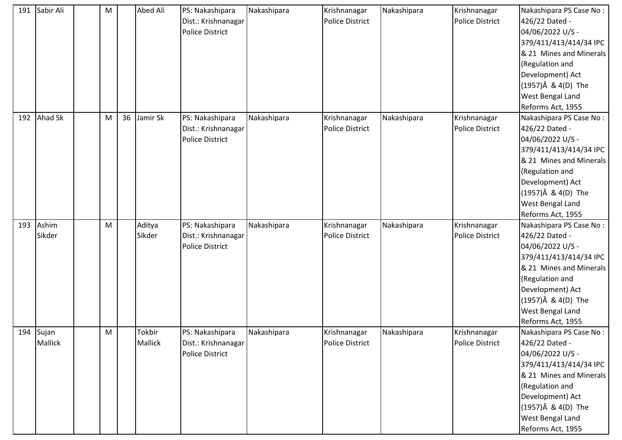| 191 | Sabir Ali | ${\sf M}$ |    | Abed Ali | PS: Nakashipara        | Nakashipara | Krishnanagar           | Nakashipara | Krishnanagar           | Nakashipara PS Case No: |
|-----|-----------|-----------|----|----------|------------------------|-------------|------------------------|-------------|------------------------|-------------------------|
|     |           |           |    |          | Dist.: Krishnanagar    |             | <b>Police District</b> |             | <b>Police District</b> | 426/22 Dated -          |
|     |           |           |    |          | <b>Police District</b> |             |                        |             |                        | 04/06/2022 U/S -        |
|     |           |           |    |          |                        |             |                        |             |                        | 379/411/413/414/34 IPC  |
|     |           |           |    |          |                        |             |                        |             |                        | & 21 Mines and Minerals |
|     |           |           |    |          |                        |             |                        |             |                        | (Regulation and         |
|     |           |           |    |          |                        |             |                        |             |                        | Development) Act        |
|     |           |           |    |          |                        |             |                        |             |                        | (1957)Â & 4(D) The      |
|     |           |           |    |          |                        |             |                        |             |                        | West Bengal Land        |
|     |           |           |    |          |                        |             |                        |             |                        | Reforms Act, 1955       |
| 192 | Ahad Sk   | M         | 36 | Jamir Sk | PS: Nakashipara        | Nakashipara | Krishnanagar           | Nakashipara | Krishnanagar           | Nakashipara PS Case No: |
|     |           |           |    |          | Dist.: Krishnanagar    |             | <b>Police District</b> |             | <b>Police District</b> | 426/22 Dated -          |
|     |           |           |    |          | <b>Police District</b> |             |                        |             |                        | 04/06/2022 U/S -        |
|     |           |           |    |          |                        |             |                        |             |                        | 379/411/413/414/34 IPC  |
|     |           |           |    |          |                        |             |                        |             |                        | & 21 Mines and Minerals |
|     |           |           |    |          |                        |             |                        |             |                        | (Regulation and         |
|     |           |           |    |          |                        |             |                        |             |                        | Development) Act        |
|     |           |           |    |          |                        |             |                        |             |                        | (1957)Â & 4(D) The      |
|     |           |           |    |          |                        |             |                        |             |                        | West Bengal Land        |
|     |           |           |    |          |                        |             |                        |             |                        | Reforms Act, 1955       |
| 193 | Ashim     | M         |    | Aditya   | PS: Nakashipara        | Nakashipara | Krishnanagar           | Nakashipara | Krishnanagar           | Nakashipara PS Case No: |
|     | Sikder    |           |    | Sikder   | Dist.: Krishnanagar    |             | <b>Police District</b> |             | <b>Police District</b> | 426/22 Dated -          |
|     |           |           |    |          | Police District        |             |                        |             |                        | 04/06/2022 U/S -        |
|     |           |           |    |          |                        |             |                        |             |                        | 379/411/413/414/34 IPC  |
|     |           |           |    |          |                        |             |                        |             |                        | & 21 Mines and Minerals |
|     |           |           |    |          |                        |             |                        |             |                        | (Regulation and         |
|     |           |           |    |          |                        |             |                        |             |                        | Development) Act        |
|     |           |           |    |          |                        |             |                        |             |                        | (1957)Â & 4(D) The      |
|     |           |           |    |          |                        |             |                        |             |                        | West Bengal Land        |
|     |           |           |    |          |                        |             |                        |             |                        | Reforms Act, 1955       |
|     | 194 Sujan | M         |    | Tokbir   | PS: Nakashipara        | Nakashipara | Krishnanagar           | Nakashipara | Krishnanagar           | Nakashipara PS Case No: |
|     | Mallick   |           |    | Mallick  | Dist.: Krishnanagar    |             | <b>Police District</b> |             | <b>Police District</b> | 426/22 Dated -          |
|     |           |           |    |          | <b>Police District</b> |             |                        |             |                        | 04/06/2022 U/S -        |
|     |           |           |    |          |                        |             |                        |             |                        | 379/411/413/414/34 IPC  |
|     |           |           |    |          |                        |             |                        |             |                        | & 21 Mines and Minerals |
|     |           |           |    |          |                        |             |                        |             |                        | (Regulation and         |
|     |           |           |    |          |                        |             |                        |             |                        | Development) Act        |
|     |           |           |    |          |                        |             |                        |             |                        | (1957)Â & 4(D) The      |
|     |           |           |    |          |                        |             |                        |             |                        | West Bengal Land        |
|     |           |           |    |          |                        |             |                        |             |                        | Reforms Act, 1955       |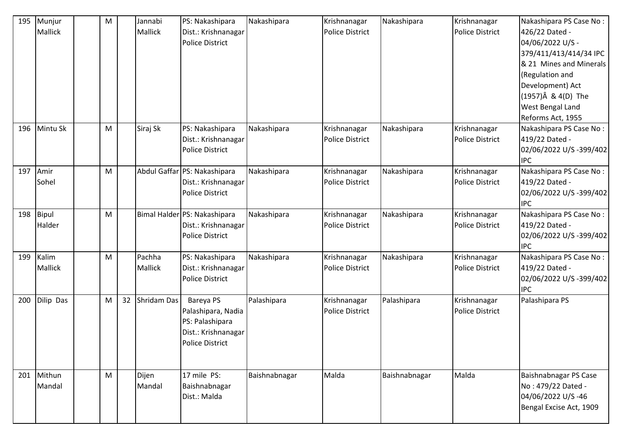| 195 | Munjur<br><b>Mallick</b> | M |    | Jannabi<br>Mallick | PS: Nakashipara<br>Dist.: Krishnanagar<br><b>Police District</b>                                    | Nakashipara   | Krishnanagar<br><b>Police District</b> | Nakashipara   | Krishnanagar<br>Police District        | Nakashipara PS Case No:<br>426/22 Dated -<br>04/06/2022 U/S -<br>379/411/413/414/34 IPC<br>& 21 Mines and Minerals<br>(Regulation and<br>Development) Act |
|-----|--------------------------|---|----|--------------------|-----------------------------------------------------------------------------------------------------|---------------|----------------------------------------|---------------|----------------------------------------|-----------------------------------------------------------------------------------------------------------------------------------------------------------|
|     |                          |   |    |                    |                                                                                                     |               |                                        |               |                                        | (1957)Â & 4(D) The<br><b>West Bengal Land</b><br>Reforms Act, 1955                                                                                        |
| 196 | Mintu Sk                 | M |    | Siraj Sk           | PS: Nakashipara<br>Dist.: Krishnanagar<br><b>Police District</b>                                    | Nakashipara   | Krishnanagar<br><b>Police District</b> | Nakashipara   | Krishnanagar<br><b>Police District</b> | Nakashipara PS Case No:<br>419/22 Dated -<br>02/06/2022 U/S-399/402<br><b>IPC</b>                                                                         |
| 197 | Amir<br>Sohel            | M |    |                    | Abdul Gaffar PS: Nakashipara<br>Dist.: Krishnanagar<br><b>Police District</b>                       | Nakashipara   | Krishnanagar<br><b>Police District</b> | Nakashipara   | Krishnanagar<br>Police District        | Nakashipara PS Case No:<br>419/22 Dated -<br>02/06/2022 U/S-399/402<br><b>IPC</b>                                                                         |
| 198 | Bipul<br>Halder          | M |    |                    | Bimal Halder PS: Nakashipara<br>Dist.: Krishnanagar<br><b>Police District</b>                       | Nakashipara   | Krishnanagar<br><b>Police District</b> | Nakashipara   | Krishnanagar<br><b>Police District</b> | Nakashipara PS Case No:<br>419/22 Dated -<br>02/06/2022 U/S-399/402<br><b>IPC</b>                                                                         |
| 199 | Kalim<br><b>Mallick</b>  | M |    | Pachha<br>Mallick  | PS: Nakashipara<br>Dist.: Krishnanagar<br><b>Police District</b>                                    | Nakashipara   | Krishnanagar<br><b>Police District</b> | Nakashipara   | Krishnanagar<br><b>Police District</b> | Nakashipara PS Case No:<br>419/22 Dated -<br>02/06/2022 U/S-399/402<br><b>IPC</b>                                                                         |
| 200 | Dilip Das                | M | 32 | Shridam Das        | Bareya PS<br>Palashipara, Nadia<br>PS: Palashipara<br>Dist.: Krishnanagar<br><b>Police District</b> | Palashipara   | Krishnanagar<br><b>Police District</b> | Palashipara   | Krishnanagar<br>Police District        | Palashipara PS                                                                                                                                            |
| 201 | Mithun<br>Mandal         | M |    | Dijen<br>Mandal    | 17 mile PS:<br>Baishnabnagar<br>Dist.: Malda                                                        | Baishnabnagar | Malda                                  | Baishnabnagar | Malda                                  | Baishnabnagar PS Case<br>No: 479/22 Dated -<br>04/06/2022 U/S-46<br>Bengal Excise Act, 1909                                                               |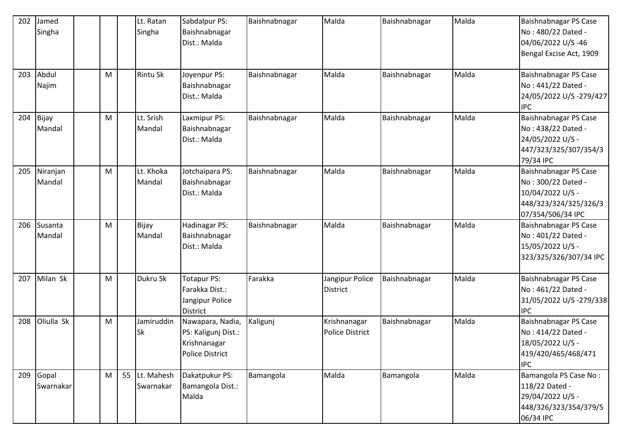| 202 | Jamed<br>Singha    |   |    | Lt. Ratan<br>Singha     | Sabdalpur PS:<br>Baishnabnagar<br>Dist.: Malda                             | Baishnabnagar | Malda                                  | Baishnabnagar | Malda | Baishnabnagar PS Case<br>No: 480/22 Dated -<br>04/06/2022 U/S-46<br>Bengal Excise Act, 1909                   |
|-----|--------------------|---|----|-------------------------|----------------------------------------------------------------------------|---------------|----------------------------------------|---------------|-------|---------------------------------------------------------------------------------------------------------------|
| 203 | Abdul<br>Najim     | M |    | <b>Rintu Sk</b>         | Joyenpur PS:<br>Baishnabnagar<br>Dist.: Malda                              | Baishnabnagar | Malda                                  | Baishnabnagar | Malda | Baishnabnagar PS Case<br>No: 441/22 Dated -<br>24/05/2022 U/S -279/427<br><b>IPC</b>                          |
| 204 | Bijay<br>Mandal    | M |    | Lt. Srish<br>Mandal     | Laxmipur PS:<br>Baishnabnagar<br>Dist.: Malda                              | Baishnabnagar | Malda                                  | Baishnabnagar | Malda | Baishnabnagar PS Case<br>No: 438/22 Dated -<br>24/05/2022 U/S -<br>447/323/325/307/354/3<br>79/34 IPC         |
| 205 | Niranjan<br>Mandal | M |    | Lt. Khoka<br>Mandal     | Jotchaipara PS:<br>Baishnabnagar<br>Dist.: Malda                           | Baishnabnagar | Malda                                  | Baishnabnagar | Malda | Baishnabnagar PS Case<br>No: 300/22 Dated -<br>10/04/2022 U/S -<br>448/323/324/325/326/3<br>07/354/506/34 IPC |
| 206 | Susanta<br>Mandal  | M |    | Bijay<br>Mandal         | Hadinagar PS:<br>Baishnabnagar<br>Dist.: Malda                             | Baishnabnagar | Malda                                  | Baishnabnagar | Malda | Baishnabnagar PS Case<br>No: 401/22 Dated -<br>15/05/2022 U/S -<br>323/325/326/307/34 IPC                     |
| 207 | Milan Sk           | M |    | Dukru Sk                | <b>Totapur PS:</b><br>Farakka Dist.:<br>Jangipur Police<br><b>District</b> | Farakka       | Jangipur Police<br><b>District</b>     | Baishnabnagar | Malda | Baishnabnagar PS Case<br>No: 461/22 Dated -<br>31/05/2022 U/S-279/338<br><b>IPC</b>                           |
| 208 | Oliulla Sk         | M |    | Jamiruddin<br><b>Sk</b> | Nawapara, Nadia,<br>PS: Kaligunj Dist.:<br>Krishnanagar<br>Police District | Kaligunj      | Krishnanagar<br><b>Police District</b> | Baishnabnagar | Malda | Baishnabnagar PS Case<br>No: 414/22 Dated -<br>18/05/2022 U/S -<br>419/420/465/468/471<br><b>IPC</b>          |
| 209 | Gopal<br>Swarnakar | M | 55 | Lt. Mahesh<br>Swarnakar | Dakatpukur PS:<br>Bamangola Dist.:<br>Malda                                | Bamangola     | Malda                                  | Bamangola     | Malda | Bamangola PS Case No:<br>118/22 Dated -<br>29/04/2022 U/S -<br>448/326/323/354/379/5<br>06/34 IPC             |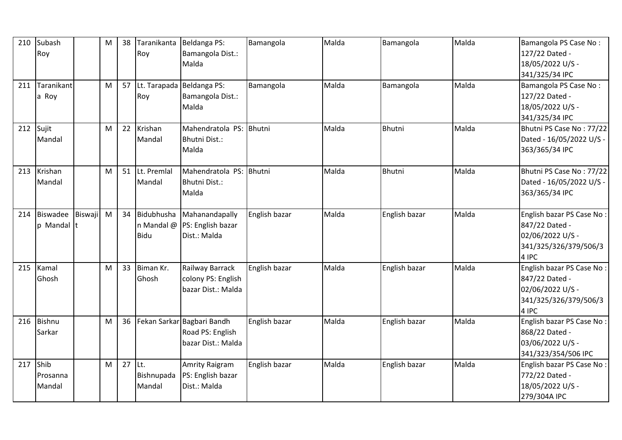| 210 | Subash<br>Roy              |                | M | 38     | Taranikanta<br>Roy                  | Beldanga PS:<br>Bamangola Dist.:<br>Malda                                 | Bamangola     | Malda | Bamangola     | Malda | Bamangola PS Case No:<br>127/22 Dated -<br>18/05/2022 U/S -<br>341/325/34 IPC                     |
|-----|----------------------------|----------------|---|--------|-------------------------------------|---------------------------------------------------------------------------|---------------|-------|---------------|-------|---------------------------------------------------------------------------------------------------|
| 211 | Taranikant<br>a Roy        |                | M |        | 57 Lt. Tarapada Beldanga PS:<br>Roy | Bamangola Dist.:<br>Malda                                                 | Bamangola     | Malda | Bamangola     | Malda | Bamangola PS Case No:<br>127/22 Dated -<br>18/05/2022 U/S -<br>341/325/34 IPC                     |
| 212 | Sujit<br>Mandal            |                | M | 22     | Krishan<br>Mandal                   | Mahendratola PS: Bhutni<br>Bhutni Dist.:<br>Malda                         |               | Malda | <b>Bhutni</b> | Malda | Bhutni PS Case No: 77/22<br>Dated - 16/05/2022 U/S -<br>363/365/34 IPC                            |
| 213 | Krishan<br>Mandal          |                | M | 51     | Lt. Premlal<br>Mandal               | Mahendratola PS: Bhutni<br>Bhutni Dist.:<br>Malda                         |               | Malda | <b>Bhutni</b> | Malda | Bhutni PS Case No: 77/22<br>Dated - 16/05/2022 U/S -<br>363/365/34 IPC                            |
| 214 | Biswadee<br>p Mandal t     | <b>Biswaji</b> | M | 34     | <b>Bidu</b>                         | Bidubhusha Mahanandapally<br>n Mandal @ PS: English bazar<br>Dist.: Malda | English bazar | Malda | English bazar | Malda | English bazar PS Case No:<br>847/22 Dated -<br>02/06/2022 U/S -<br>341/325/326/379/506/3<br>4 IPC |
| 215 | Kamal<br>Ghosh             |                | M | 33     | Biman Kr.<br>Ghosh                  | Railway Barrack<br>colony PS: English<br>bazar Dist.: Malda               | English bazar | Malda | English bazar | Malda | English bazar PS Case No:<br>847/22 Dated -<br>02/06/2022 U/S -<br>341/325/326/379/506/3<br>4 IPC |
| 216 | Bishnu<br>Sarkar           |                | M | 36     |                                     | Fekan Sarkar Bagbari Bandh<br>Road PS: English<br>bazar Dist.: Malda      | English bazar | Malda | English bazar | Malda | English bazar PS Case No:<br>868/22 Dated -<br>03/06/2022 U/S -<br>341/323/354/506 IPC            |
| 217 | Shib<br>Prosanna<br>Mandal |                | M | 27 Lt. | Bishnupada<br>Mandal                | Amrity Raigram<br>PS: English bazar<br>Dist.: Malda                       | English bazar | Malda | English bazar | Malda | English bazar PS Case No:<br>772/22 Dated -<br>18/05/2022 U/S -<br>279/304A IPC                   |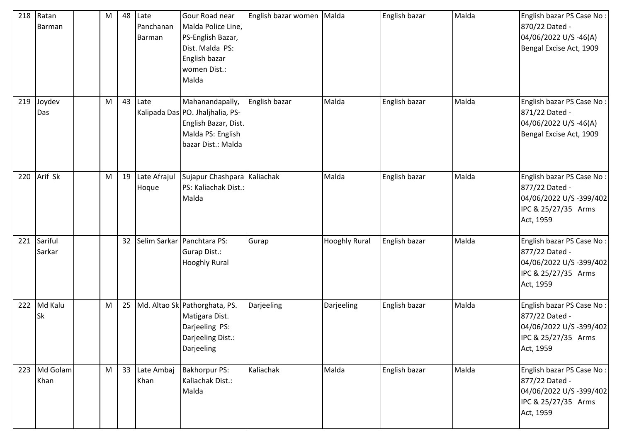| 218 | Ratan<br>Barman      | М | 48 | Late<br>Panchanan<br>Barman | Gour Road near<br>Malda Police Line,<br>PS-English Bazar,<br>Dist. Malda PS:<br>English bazar<br>women Dist.:<br>Malda | English bazar women | Malda                | English bazar | Malda | English bazar PS Case No:<br>870/22 Dated -<br>04/06/2022 U/S -46(A)<br>Bengal Excise Act, 1909            |
|-----|----------------------|---|----|-----------------------------|------------------------------------------------------------------------------------------------------------------------|---------------------|----------------------|---------------|-------|------------------------------------------------------------------------------------------------------------|
| 219 | Joydev<br>Das        | M | 43 | Late                        | Mahanandapally,<br>Kalipada Das PO. Jhaljhalia, PS-<br>English Bazar, Dist.<br>Malda PS: English<br>bazar Dist.: Malda | English bazar       | Malda                | English bazar | Malda | English bazar PS Case No:<br>871/22 Dated -<br>04/06/2022 U/S -46(A)<br>Bengal Excise Act, 1909            |
| 220 | Arif Sk              | M | 19 | Late Afrajul<br>Hoque       | Sujapur Chashpara Kaliachak<br>PS: Kaliachak Dist.:<br>Malda                                                           |                     | Malda                | English bazar | Malda | English bazar PS Case No:<br>877/22 Dated -<br>04/06/2022 U/S-399/402<br>IPC & 25/27/35 Arms<br>Act, 1959  |
| 221 | Sariful<br>Sarkar    |   | 32 |                             | Selim Sarkar Panchtara PS:<br><b>Gurap Dist.:</b><br><b>Hooghly Rural</b>                                              | Gurap               | <b>Hooghly Rural</b> | English bazar | Malda | English bazar PS Case No:<br>877/22 Dated -<br>04/06/2022 U/S-399/402<br>IPC & 25/27/35 Arms<br>Act, 1959  |
| 222 | Md Kalu<br><b>Sk</b> | M | 25 |                             | Md. Altao Sk Pathorghata, PS.<br>Matigara Dist.<br>Darjeeling PS:<br>Darjeeling Dist.:<br>Darjeeling                   | Darjeeling          | Darjeeling           | English bazar | Malda | English bazar PS Case No:<br>877/22 Dated -<br>04/06/2022 U/S-399/402<br>IPC & 25/27/35 Arms<br>Act, 1959  |
| 223 | Md Golam<br>Khan     | M | 33 | Late Ambaj<br>Khan          | <b>Bakhorpur PS:</b><br>Kaliachak Dist.:<br>Malda                                                                      | Kaliachak           | Malda                | English bazar | Malda | English bazar PS Case No:<br>877/22 Dated -<br>04/06/2022 U/S -399/402<br>IPC & 25/27/35 Arms<br>Act, 1959 |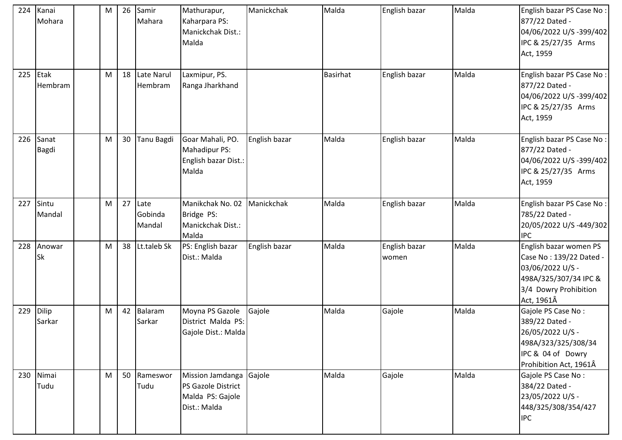| 224 | Kanai<br>Mohara       | M | 26 | Samir<br>Mahara           | Mathurapur,<br>Kaharpara PS:<br>Manickchak Dist.:<br>Malda                 | Manickchak    | Malda           | English bazar          | Malda | English bazar PS Case No:<br>877/22 Dated -<br>04/06/2022 U/S -399/402<br>IPC & 25/27/35 Arms<br>Act, 1959                            |
|-----|-----------------------|---|----|---------------------------|----------------------------------------------------------------------------|---------------|-----------------|------------------------|-------|---------------------------------------------------------------------------------------------------------------------------------------|
| 225 | Etak<br>Hembram       | M | 18 | Late Narul<br>Hembram     | Laxmipur, PS.<br>Ranga Jharkhand                                           |               | <b>Basirhat</b> | English bazar          | Malda | English bazar PS Case No:<br>877/22 Dated -<br>04/06/2022 U/S -399/402<br>IPC & 25/27/35 Arms<br>Act, 1959                            |
| 226 | Sanat<br><b>Bagdi</b> | M | 30 | Tanu Bagdi                | Goar Mahali, PO.<br>Mahadipur PS:<br>English bazar Dist.:<br>Malda         | English bazar | Malda           | English bazar          | Malda | English bazar PS Case No:<br>877/22 Dated -<br>04/06/2022 U/S -399/402<br>IPC & 25/27/35 Arms<br>Act, 1959                            |
| 227 | Sintu<br>Mandal       | M | 27 | Late<br>Gobinda<br>Mandal | Manikchak No. 02<br>Bridge PS:<br>Manickchak Dist.:<br>Malda               | Manickchak    | Malda           | English bazar          | Malda | English bazar PS Case No:<br>785/22 Dated -<br>20/05/2022 U/S-449/302<br><b>IPC</b>                                                   |
| 228 | Anowar<br><b>Sk</b>   | M | 38 | Lt.taleb Sk               | PS: English bazar<br>Dist.: Malda                                          | English bazar | Malda           | English bazar<br>women | Malda | English bazar women PS<br>Case No: 139/22 Dated -<br>03/06/2022 U/S -<br>498A/325/307/34 IPC &<br>3/4 Dowry Prohibition<br>Act, 1961Â |
| 229 | Dilip<br>Sarkar       | M | 42 | Balaram<br>Sarkar         | Moyna PS Gazole<br>District Malda PS:<br>Gajole Dist.: Malda               | Gajole        | Malda           | Gajole                 | Malda | Gajole PS Case No:<br>389/22 Dated -<br>26/05/2022 U/S -<br>498A/323/325/308/34<br>IPC & 04 of Dowry<br>Prohibition Act, 1961Â        |
| 230 | Nimai<br>Tudu         | M | 50 | Rameswor<br>Tudu          | Mission Jamdanga<br>PS Gazole District<br>Malda PS: Gajole<br>Dist.: Malda | Gajole        | Malda           | Gajole                 | Malda | Gajole PS Case No:<br>384/22 Dated -<br>23/05/2022 U/S -<br>448/325/308/354/427<br><b>IPC</b>                                         |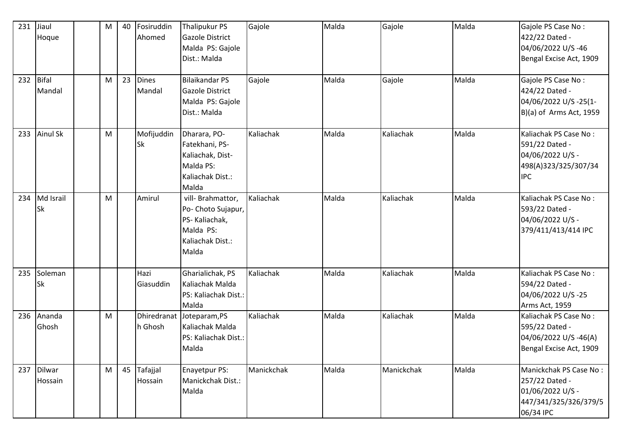| 231<br>232 | Jiaul<br>Hoque<br>Bifal<br>Mandal | M<br>M | 40<br>23 | Fosiruddin<br>Ahomed<br><b>Dines</b><br>Mandal | Thalipukur PS<br><b>Gazole District</b><br>Malda PS: Gajole<br>Dist.: Malda<br><b>Bilaikandar PS</b><br><b>Gazole District</b><br>Malda PS: Gajole<br>Dist.: Malda | Gajole<br>Gajole | Malda<br>Malda | Gajole<br>Gajole | Malda<br>Malda | Gajole PS Case No:<br>422/22 Dated -<br>04/06/2022 U/S-46<br>Bengal Excise Act, 1909<br>Gajole PS Case No:<br>424/22 Dated -<br>04/06/2022 U/S -25(1-<br>$B)(a)$ of Arms Act, 1959 |
|------------|-----------------------------------|--------|----------|------------------------------------------------|--------------------------------------------------------------------------------------------------------------------------------------------------------------------|------------------|----------------|------------------|----------------|------------------------------------------------------------------------------------------------------------------------------------------------------------------------------------|
| 233        | <b>Ainul Sk</b>                   | M      |          | Mofijuddin<br><b>Sk</b>                        | Dharara, PO-<br>Fatekhani, PS-<br>Kaliachak, Dist-<br>Malda PS:<br>Kaliachak Dist.:<br>Malda                                                                       | Kaliachak        | Malda          | Kaliachak        | Malda          | Kaliachak PS Case No:<br>591/22 Dated -<br>04/06/2022 U/S -<br>498(A)323/325/307/34<br><b>IPC</b>                                                                                  |
| 234        | Md Israil<br><b>Sk</b>            | M      |          | Amirul                                         | vill- Brahmattor,<br>Po- Choto Sujapur,<br>PS-Kaliachak,<br>Malda PS:<br>Kaliachak Dist.:<br>Malda                                                                 | Kaliachak        | Malda          | Kaliachak        | Malda          | Kaliachak PS Case No:<br>593/22 Dated -<br>04/06/2022 U/S -<br>379/411/413/414 IPC                                                                                                 |
| 235        | Soleman<br><b>Sk</b>              |        |          | Hazi<br>Giasuddin                              | Gharialichak, PS<br>Kaliachak Malda<br>PS: Kaliachak Dist.:<br>Malda                                                                                               | Kaliachak        | Malda          | Kaliachak        | Malda          | Kaliachak PS Case No:<br>594/22 Dated -<br>04/06/2022 U/S-25<br>Arms Act, 1959                                                                                                     |
| 236        | Ananda<br>Ghosh                   | M      |          | h Ghosh                                        | Dhiredranat Joteparam, PS<br>Kaliachak Malda<br>PS: Kaliachak Dist.:<br>Malda                                                                                      | Kaliachak        | Malda          | Kaliachak        | Malda          | Kaliachak PS Case No:<br>595/22 Dated -<br>04/06/2022 U/S -46(A)<br>Bengal Excise Act, 1909                                                                                        |
| 237        | Dilwar<br>Hossain                 | M      | 45       | Tafajjal<br>Hossain                            | Enayetpur PS:<br>Manickchak Dist.:<br>Malda                                                                                                                        | Manickchak       | Malda          | Manickchak       | Malda          | Manickchak PS Case No:<br>257/22 Dated -<br>01/06/2022 U/S -<br>447/341/325/326/379/5<br>06/34 IPC                                                                                 |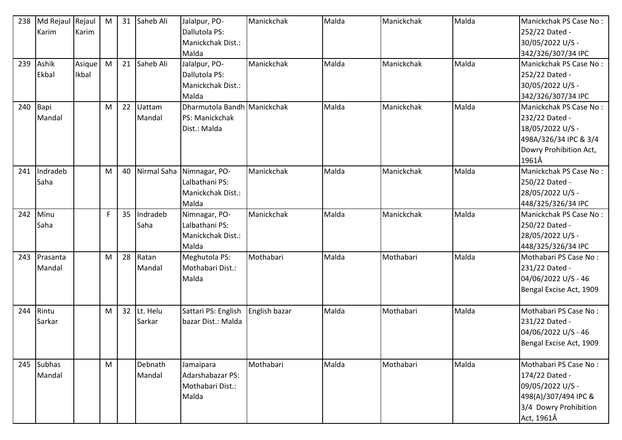| 238 | Md Rejaul Rejaul |        | M  | 31 | Saheb Ali | Jalalpur, PO-                | Manickchak    | Malda | Manickchak | Malda | Manickchak PS Case No:  |
|-----|------------------|--------|----|----|-----------|------------------------------|---------------|-------|------------|-------|-------------------------|
|     | Karim            | Karim  |    |    |           | Dallutola PS:                |               |       |            |       | 252/22 Dated -          |
|     |                  |        |    |    |           | Manickchak Dist.:            |               |       |            |       | 30/05/2022 U/S -        |
|     |                  |        |    |    |           | Malda                        |               |       |            |       | 342/326/307/34 IPC      |
| 239 | Ashik            | Asique | M  | 21 | Saheb Ali | Jalalpur, PO-                | Manickchak    | Malda | Manickchak | Malda | Manickchak PS Case No:  |
|     | Ekbal            | Ikbal  |    |    |           | Dallutola PS:                |               |       |            |       | 252/22 Dated -          |
|     |                  |        |    |    |           | Manickchak Dist.:            |               |       |            |       | 30/05/2022 U/S -        |
|     |                  |        |    |    |           | Malda                        |               |       |            |       | 342/326/307/34 IPC      |
| 240 | Bapi             |        | M  | 22 | Uattam    | Dharmutola Bandh Manickchak  |               | Malda | Manickchak | Malda | Manickchak PS Case No:  |
|     | Mandal           |        |    |    | Mandal    | PS: Manickchak               |               |       |            |       | 232/22 Dated -          |
|     |                  |        |    |    |           | Dist.: Malda                 |               |       |            |       | 18/05/2022 U/S -        |
|     |                  |        |    |    |           |                              |               |       |            |       | 498A/326/34 IPC & 3/4   |
|     |                  |        |    |    |           |                              |               |       |            |       | Dowry Prohibition Act,  |
|     |                  |        |    |    |           |                              |               |       |            |       | 1961Â                   |
| 241 | Indradeb         |        | M  |    |           | 40 Nirmal Saha Nimnagar, PO- | Manickchak    | Malda | Manickchak | Malda | Manickchak PS Case No:  |
|     | Saha             |        |    |    |           | Lalbathani PS:               |               |       |            |       | 250/22 Dated -          |
|     |                  |        |    |    |           | Manickchak Dist.:            |               |       |            |       | 28/05/2022 U/S -        |
|     |                  |        |    |    |           | Malda                        |               |       |            |       | 448/325/326/34 IPC      |
| 242 | Minu             |        | F. | 35 | Indradeb  | Nimnagar, PO-                | Manickchak    | Malda | Manickchak | Malda | Manickchak PS Case No:  |
|     | Saha             |        |    |    | Saha      | Lalbathani PS:               |               |       |            |       | 250/22 Dated -          |
|     |                  |        |    |    |           | Manickchak Dist.:            |               |       |            |       | 28/05/2022 U/S -        |
|     |                  |        |    |    |           | Malda                        |               |       |            |       | 448/325/326/34 IPC      |
| 243 | Prasanta         |        | M  | 28 | Ratan     | Meghutola PS:                | Mothabari     | Malda | Mothabari  | Malda | Mothabari PS Case No:   |
|     | Mandal           |        |    |    | Mandal    | Mothabari Dist.:             |               |       |            |       | 231/22 Dated -          |
|     |                  |        |    |    |           | Malda                        |               |       |            |       | 04/06/2022 U/S - 46     |
|     |                  |        |    |    |           |                              |               |       |            |       | Bengal Excise Act, 1909 |
|     |                  |        |    |    |           |                              |               |       |            |       |                         |
| 244 | Rintu            |        | M  | 32 | Lt. Helu  | Sattari PS: English          | English bazar | Malda | Mothabari  | Malda | Mothabari PS Case No:   |
|     | Sarkar           |        |    |    | Sarkar    | bazar Dist.: Malda           |               |       |            |       | 231/22 Dated -          |
|     |                  |        |    |    |           |                              |               |       |            |       | 04/06/2022 U/S - 46     |
|     |                  |        |    |    |           |                              |               |       |            |       | Bengal Excise Act, 1909 |
|     |                  |        |    |    |           |                              |               |       |            |       |                         |
| 245 | Subhas           |        | M  |    | Debnath   | Jamaipara                    | Mothabari     | Malda | Mothabari  | Malda | Mothabari PS Case No:   |
|     | Mandal           |        |    |    | Mandal    | Adarshabazar PS:             |               |       |            |       | 174/22 Dated -          |
|     |                  |        |    |    |           | Mothabari Dist.:             |               |       |            |       | 09/05/2022 U/S -        |
|     |                  |        |    |    |           | Malda                        |               |       |            |       | 498(A)/307/494 IPC &    |
|     |                  |        |    |    |           |                              |               |       |            |       | 3/4 Dowry Prohibition   |
|     |                  |        |    |    |           |                              |               |       |            |       | Act, 1961Â              |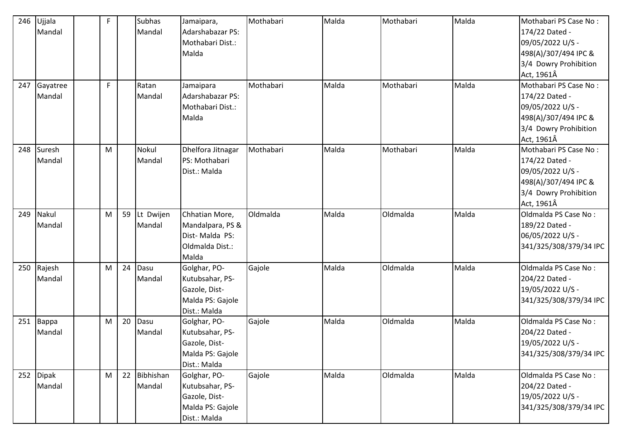| 246 | Ujjala   | F. |    | <b>Subhas</b> | Jamaipara,        | Mothabari | Malda | Mothabari | Malda | Mothabari PS Case No:  |
|-----|----------|----|----|---------------|-------------------|-----------|-------|-----------|-------|------------------------|
|     | Mandal   |    |    | Mandal        | Adarshabazar PS:  |           |       |           |       | 174/22 Dated -         |
|     |          |    |    |               | Mothabari Dist.:  |           |       |           |       | 09/05/2022 U/S -       |
|     |          |    |    |               | Malda             |           |       |           |       | 498(A)/307/494 IPC &   |
|     |          |    |    |               |                   |           |       |           |       | 3/4 Dowry Prohibition  |
|     |          |    |    |               |                   |           |       |           |       | Act, 1961Â             |
| 247 | Gayatree | F. |    | Ratan         | Jamaipara         | Mothabari | Malda | Mothabari | Malda | Mothabari PS Case No:  |
|     | Mandal   |    |    | Mandal        | Adarshabazar PS:  |           |       |           |       | 174/22 Dated -         |
|     |          |    |    |               | Mothabari Dist.:  |           |       |           |       | 09/05/2022 U/S -       |
|     |          |    |    |               | Malda             |           |       |           |       | 498(A)/307/494 IPC &   |
|     |          |    |    |               |                   |           |       |           |       | 3/4 Dowry Prohibition  |
|     |          |    |    |               |                   |           |       |           |       | Act, 1961Â             |
| 248 | Suresh   | M  |    | Nokul         | Dhelfora Jitnagar | Mothabari | Malda | Mothabari | Malda | Mothabari PS Case No:  |
|     | Mandal   |    |    | Mandal        | PS: Mothabari     |           |       |           |       | 174/22 Dated -         |
|     |          |    |    |               | Dist.: Malda      |           |       |           |       | 09/05/2022 U/S -       |
|     |          |    |    |               |                   |           |       |           |       | 498(A)/307/494 IPC &   |
|     |          |    |    |               |                   |           |       |           |       | 3/4 Dowry Prohibition  |
|     |          |    |    |               |                   |           |       |           |       | Act, 1961Â             |
| 249 | Nakul    | M  | 59 | Lt Dwijen     | Chhatian More,    | Oldmalda  | Malda | Oldmalda  | Malda | Oldmalda PS Case No:   |
|     | Mandal   |    |    | Mandal        | Mandalpara, PS &  |           |       |           |       | 189/22 Dated -         |
|     |          |    |    |               | Dist-Malda PS:    |           |       |           |       | 06/05/2022 U/S -       |
|     |          |    |    |               | Oldmalda Dist.:   |           |       |           |       | 341/325/308/379/34 IPC |
|     |          |    |    |               | Malda             |           |       |           |       |                        |
| 250 | Rajesh   | M  | 24 | Dasu          | Golghar, PO-      | Gajole    | Malda | Oldmalda  | Malda | Oldmalda PS Case No:   |
|     | Mandal   |    |    | Mandal        | Kutubsahar, PS-   |           |       |           |       | 204/22 Dated -         |
|     |          |    |    |               | Gazole, Dist-     |           |       |           |       | 19/05/2022 U/S -       |
|     |          |    |    |               | Malda PS: Gajole  |           |       |           |       | 341/325/308/379/34 IPC |
|     |          |    |    |               | Dist.: Malda      |           |       |           |       |                        |
| 251 | Bappa    | M  | 20 | Dasu          | Golghar, PO-      | Gajole    | Malda | Oldmalda  | Malda | Oldmalda PS Case No:   |
|     | Mandal   |    |    | Mandal        | Kutubsahar, PS-   |           |       |           |       | 204/22 Dated -         |
|     |          |    |    |               | Gazole, Dist-     |           |       |           |       | 19/05/2022 U/S -       |
|     |          |    |    |               | Malda PS: Gajole  |           |       |           |       | 341/325/308/379/34 IPC |
|     |          |    |    |               | Dist.: Malda      |           |       |           |       |                        |
| 252 | Dipak    | M  | 22 | Bibhishan     | Golghar, PO-      | Gajole    | Malda | Oldmalda  | Malda | Oldmalda PS Case No:   |
|     | Mandal   |    |    | Mandal        | Kutubsahar, PS-   |           |       |           |       | 204/22 Dated -         |
|     |          |    |    |               | Gazole, Dist-     |           |       |           |       | 19/05/2022 U/S -       |
|     |          |    |    |               | Malda PS: Gajole  |           |       |           |       | 341/325/308/379/34 IPC |
|     |          |    |    |               | Dist.: Malda      |           |       |           |       |                        |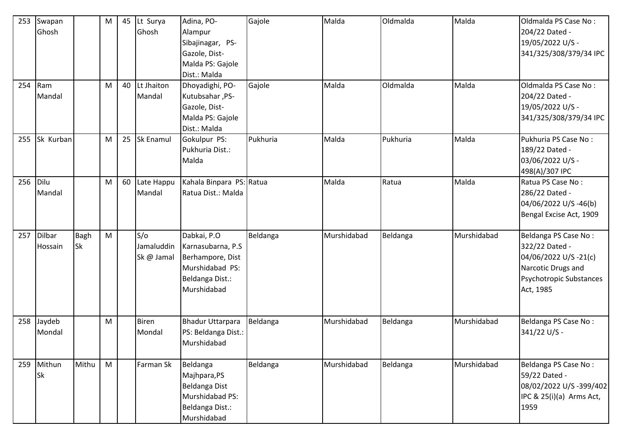| 253 | Swapan         |             | M         | 45 | Lt Surya         | Adina, PO-               | Gajole   | Malda       | Oldmalda | Malda       | Oldmalda PS Case No:     |
|-----|----------------|-------------|-----------|----|------------------|--------------------------|----------|-------------|----------|-------------|--------------------------|
|     | Ghosh          |             |           |    | Ghosh            | Alampur                  |          |             |          |             | 204/22 Dated -           |
|     |                |             |           |    |                  | Sibajinagar, PS-         |          |             |          |             | 19/05/2022 U/S -         |
|     |                |             |           |    |                  | Gazole, Dist-            |          |             |          |             | 341/325/308/379/34 IPC   |
|     |                |             |           |    |                  | Malda PS: Gajole         |          |             |          |             |                          |
|     |                |             |           |    |                  | Dist.: Malda             |          |             |          |             |                          |
| 254 | $\mathsf{Ram}$ |             | M         | 40 | Lt Jhaiton       | Dhoyadighi, PO-          | Gajole   | Malda       | Oldmalda | Malda       | Oldmalda PS Case No:     |
|     | Mandal         |             |           |    | Mandal           | Kutubsahar, PS-          |          |             |          |             | 204/22 Dated -           |
|     |                |             |           |    |                  | Gazole, Dist-            |          |             |          |             | 19/05/2022 U/S -         |
|     |                |             |           |    |                  | Malda PS: Gajole         |          |             |          |             | 341/325/308/379/34 IPC   |
|     |                |             |           |    |                  | Dist.: Malda             |          |             |          |             |                          |
| 255 | Sk Kurban      |             | M         | 25 | <b>Sk Enamul</b> | Gokulpur PS:             | Pukhuria | Malda       | Pukhuria | Malda       | Pukhuria PS Case No:     |
|     |                |             |           |    |                  | Pukhuria Dist.:          |          |             |          |             | 189/22 Dated -           |
|     |                |             |           |    |                  | Malda                    |          |             |          |             | 03/06/2022 U/S -         |
|     |                |             |           |    |                  |                          |          |             |          |             | 498(A)/307 IPC           |
| 256 | Dilu           |             | M         | 60 | Late Happu       | Kahala Binpara PS: Ratua |          | Malda       | Ratua    | Malda       | Ratua PS Case No:        |
|     | Mandal         |             |           |    | Mandal           | Ratua Dist.: Malda       |          |             |          |             | 286/22 Dated -           |
|     |                |             |           |    |                  |                          |          |             |          |             | 04/06/2022 U/S -46(b)    |
|     |                |             |           |    |                  |                          |          |             |          |             | Bengal Excise Act, 1909  |
|     |                |             |           |    |                  |                          |          |             |          |             |                          |
| 257 | Dilbar         | <b>Bagh</b> | ${\sf M}$ |    | S/O              | Dabkai, P.O              | Beldanga | Murshidabad | Beldanga | Murshidabad | Beldanga PS Case No:     |
|     | Hossain        | <b>Sk</b>   |           |    | Jamaluddin       | Karnasubarna, P.S        |          |             |          |             | 322/22 Dated -           |
|     |                |             |           |    | Sk @ Jamal       | Berhampore, Dist         |          |             |          |             | 04/06/2022 U/S -21(c)    |
|     |                |             |           |    |                  | Murshidabad PS:          |          |             |          |             | Narcotic Drugs and       |
|     |                |             |           |    |                  | Beldanga Dist.:          |          |             |          |             | Psychotropic Substances  |
|     |                |             |           |    |                  | Murshidabad              |          |             |          |             | Act, 1985                |
|     |                |             |           |    |                  |                          |          |             |          |             |                          |
|     |                |             |           |    |                  |                          |          |             |          |             |                          |
| 258 | Jaydeb         |             | M         |    | <b>Biren</b>     | <b>Bhadur Uttarpara</b>  | Beldanga | Murshidabad | Beldanga | Murshidabad | Beldanga PS Case No:     |
|     | Mondal         |             |           |    | Mondal           | PS: Beldanga Dist.:      |          |             |          |             | 341/22 U/S -             |
|     |                |             |           |    |                  | Murshidabad              |          |             |          |             |                          |
| 259 | Mithun         | Mithu       | M         |    | Farman Sk        | Beldanga                 | Beldanga | Murshidabad | Beldanga | Murshidabad | Beldanga PS Case No:     |
|     | Sk             |             |           |    |                  | Majhpara,PS              |          |             |          |             | 59/22 Dated -            |
|     |                |             |           |    |                  | <b>Beldanga Dist</b>     |          |             |          |             | 08/02/2022 U/S-399/402   |
|     |                |             |           |    |                  | Murshidabad PS:          |          |             |          |             | IPC & 25(i)(a) Arms Act, |
|     |                |             |           |    |                  | Beldanga Dist.:          |          |             |          |             | 1959                     |
|     |                |             |           |    |                  | Murshidabad              |          |             |          |             |                          |
|     |                |             |           |    |                  |                          |          |             |          |             |                          |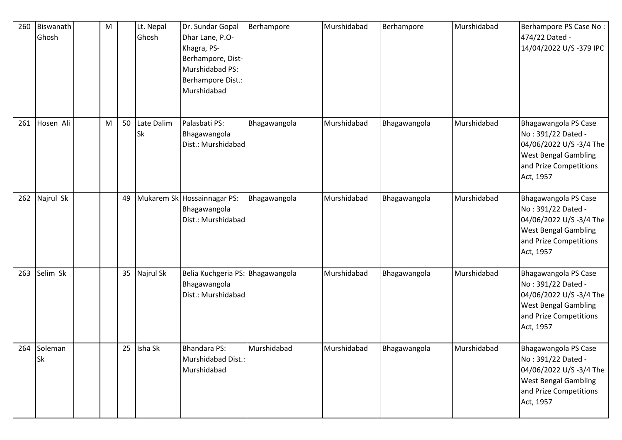| 260 | Biswanath<br>Ghosh       | M |    | Lt. Nepal<br>Ghosh | Dr. Sundar Gopal<br>Dhar Lane, P.O-<br>Khagra, PS-<br>Berhampore, Dist-<br>Murshidabad PS:<br>Berhampore Dist.:<br>Murshidabad | Berhampore   | Murshidabad | Berhampore   | Murshidabad | Berhampore PS Case No:<br>474/22 Dated -<br>14/04/2022 U/S-379 IPC                                                                          |
|-----|--------------------------|---|----|--------------------|--------------------------------------------------------------------------------------------------------------------------------|--------------|-------------|--------------|-------------|---------------------------------------------------------------------------------------------------------------------------------------------|
| 261 | Hosen Ali                | M | 50 | Late Dalim<br>Sk   | Palasbati PS:<br>Bhagawangola<br>Dist.: Murshidabad                                                                            | Bhagawangola | Murshidabad | Bhagawangola | Murshidabad | Bhagawangola PS Case<br>No: 391/22 Dated -<br>04/06/2022 U/S -3/4 The<br><b>West Bengal Gambling</b><br>and Prize Competitions<br>Act, 1957 |
| 262 | Najrul Sk                |   | 49 |                    | Mukarem Sk Hossainnagar PS:<br>Bhagawangola<br>Dist.: Murshidabad                                                              | Bhagawangola | Murshidabad | Bhagawangola | Murshidabad | Bhagawangola PS Case<br>No: 391/22 Dated -<br>04/06/2022 U/S -3/4 The<br><b>West Bengal Gambling</b><br>and Prize Competitions<br>Act, 1957 |
| 263 | Selim Sk                 |   | 35 | Najrul Sk          | Belia Kuchgeria PS: Bhagawangola<br>Bhagawangola<br>Dist.: Murshidabad                                                         |              | Murshidabad | Bhagawangola | Murshidabad | Bhagawangola PS Case<br>No: 391/22 Dated -<br>04/06/2022 U/S -3/4 The<br><b>West Bengal Gambling</b><br>and Prize Competitions<br>Act, 1957 |
|     | 264 Soleman<br><b>Sk</b> |   |    | 25 Isha Sk         | <b>Bhandara PS:</b><br>Murshidabad Dist.:<br>Murshidabad                                                                       | Murshidabad  | Murshidabad | Bhagawangola | Murshidabad | Bhagawangola PS Case<br>No: 391/22 Dated -<br>04/06/2022 U/S -3/4 The<br><b>West Bengal Gambling</b><br>and Prize Competitions<br>Act, 1957 |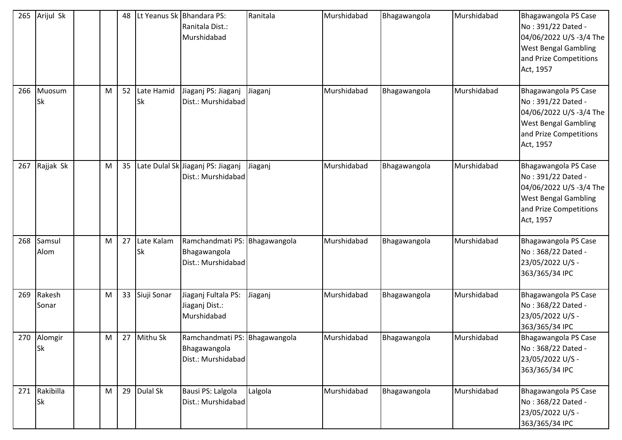| 265 | Arijul Sk                  |   | 48 |                         | Lt Yeanus Sk Bhandara PS:<br>Ranitala Dist.:<br>Murshidabad         | Ranitala | Murshidabad | Bhagawangola | Murshidabad | Bhagawangola PS Case<br>No: 391/22 Dated -<br>04/06/2022 U/S -3/4 The<br><b>West Bengal Gambling</b><br>and Prize Competitions<br>Act, 1957 |
|-----|----------------------------|---|----|-------------------------|---------------------------------------------------------------------|----------|-------------|--------------|-------------|---------------------------------------------------------------------------------------------------------------------------------------------|
| 266 | Muosum<br><b>Sk</b>        | M | 52 | Late Hamid<br>Sk        | Jiaganj PS: Jiaganj<br>Dist.: Murshidabad                           | Jiaganj  | Murshidabad | Bhagawangola | Murshidabad | Bhagawangola PS Case<br>No: 391/22 Dated -<br>04/06/2022 U/S -3/4 The<br><b>West Bengal Gambling</b><br>and Prize Competitions<br>Act, 1957 |
| 267 | Rajjak Sk                  | M | 35 |                         | Late Dulal Sk Jiaganj PS: Jiaganj<br>Dist.: Murshidabad             | Jiaganj  | Murshidabad | Bhagawangola | Murshidabad | Bhagawangola PS Case<br>No: 391/22 Dated -<br>04/06/2022 U/S -3/4 The<br><b>West Bengal Gambling</b><br>and Prize Competitions<br>Act, 1957 |
| 268 | Samsul<br>Alom             | M | 27 | Late Kalam<br><b>Sk</b> | Ramchandmati PS: Bhagawangola<br>Bhagawangola<br>Dist.: Murshidabad |          | Murshidabad | Bhagawangola | Murshidabad | Bhagawangola PS Case<br>No: 368/22 Dated -<br>23/05/2022 U/S -<br>363/365/34 IPC                                                            |
| 269 | Rakesh<br>Sonar            | M | 33 | Siuji Sonar             | Jiaganj Fultala PS:<br>Jiaganj Dist.:<br>Murshidabad                | Jiaganj  | Murshidabad | Bhagawangola | Murshidabad | Bhagawangola PS Case<br>No: 368/22 Dated -<br>23/05/2022 U/S -<br>363/365/34 IPC                                                            |
| 270 | Alomgir<br><b>Sk</b>       | M | 27 | Mithu Sk                | Ramchandmati PS: Bhagawangola<br>Bhagawangola<br>Dist.: Murshidabad |          | Murshidabad | Bhagawangola | Murshidabad | Bhagawangola PS Case<br>No: 368/22 Dated -<br>23/05/2022 U/S -<br>363/365/34 IPC                                                            |
|     | 271 Rakibilla<br><b>Sk</b> | M | 29 | Dulal Sk                | Bausi PS: Lalgola<br>Dist.: Murshidabad                             | Lalgola  | Murshidabad | Bhagawangola | Murshidabad | Bhagawangola PS Case<br>No: 368/22 Dated -<br>23/05/2022 U/S -<br>363/365/34 IPC                                                            |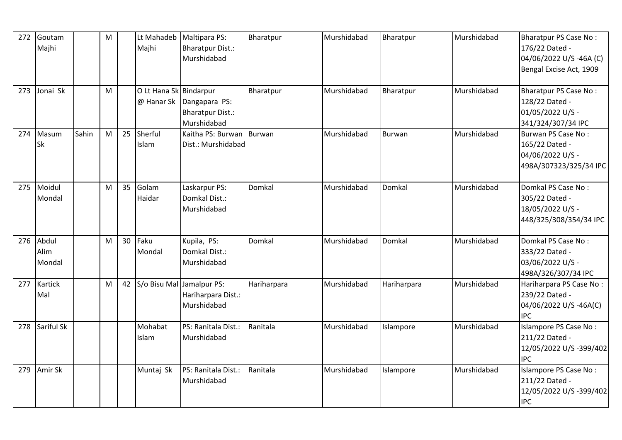| 272 | Goutam<br>Majhi         |       | M         |    | Lt Mahadeb<br>Majhi                  | Maltipara PS:<br><b>Bharatpur Dist.:</b><br>Murshidabad | Bharatpur     | Murshidabad | Bharatpur     | Murshidabad | <b>Bharatpur PS Case No:</b><br>176/22 Dated -<br>04/06/2022 U/S-46A (C)<br>Bengal Excise Act, 1909 |
|-----|-------------------------|-------|-----------|----|--------------------------------------|---------------------------------------------------------|---------------|-------------|---------------|-------------|-----------------------------------------------------------------------------------------------------|
| 273 | Jonai Sk                |       | M         |    | O Lt Hana Sk Bindarpur<br>@ Hanar Sk | Dangapara PS:<br><b>Bharatpur Dist.:</b><br>Murshidabad | Bharatpur     | Murshidabad | Bharatpur     | Murshidabad | <b>Bharatpur PS Case No:</b><br>128/22 Dated -<br>01/05/2022 U/S -<br>341/324/307/34 IPC            |
| 274 | Masum<br>Sk             | Sahin | ${\sf M}$ | 25 | Sherful<br>Islam                     | Kaitha PS: Burwan<br>Dist.: Murshidabad                 | <b>Burwan</b> | Murshidabad | <b>Burwan</b> | Murshidabad | Burwan PS Case No:<br>165/22 Dated -<br>04/06/2022 U/S -<br>498A/307323/325/34 IPC                  |
| 275 | Moidul<br>Mondal        |       | M         | 35 | Golam<br>Haidar                      | Laskarpur PS:<br>Domkal Dist.:<br>Murshidabad           | Domkal        | Murshidabad | Domkal        | Murshidabad | Domkal PS Case No:<br>305/22 Dated -<br>18/05/2022 U/S -<br>448/325/308/354/34 IPC                  |
| 276 | Abdul<br>Alim<br>Mondal |       | M         | 30 | Faku<br>Mondal                       | Kupila, PS:<br>Domkal Dist.:<br>Murshidabad             | Domkal        | Murshidabad | Domkal        | Murshidabad | Domkal PS Case No:<br>333/22 Dated -<br>03/06/2022 U/S -<br>498A/326/307/34 IPC                     |
| 277 | Kartick<br>Mal          |       | M         | 42 | S/o Bisu Mal Jamalpur PS:            | Hariharpara Dist.:<br>Murshidabad                       | Hariharpara   | Murshidabad | Hariharpara   | Murshidabad | Hariharpara PS Case No:<br>239/22 Dated -<br>04/06/2022 U/S-46A(C)<br><b>IPC</b>                    |
| 278 | Sariful Sk              |       |           |    | Mohabat<br>Islam                     | PS: Ranitala Dist.:<br>Murshidabad                      | Ranitala      | Murshidabad | Islampore     | Murshidabad | Islampore PS Case No:<br>211/22 Dated -<br>12/05/2022 U/S-399/402<br><b>IPC</b>                     |
| 279 | Amir Sk                 |       |           |    | Muntaj Sk                            | PS: Ranitala Dist.:<br>Murshidabad                      | Ranitala      | Murshidabad | Islampore     | Murshidabad | Islampore PS Case No:<br>211/22 Dated -<br>12/05/2022 U/S-399/402<br><b>IPC</b>                     |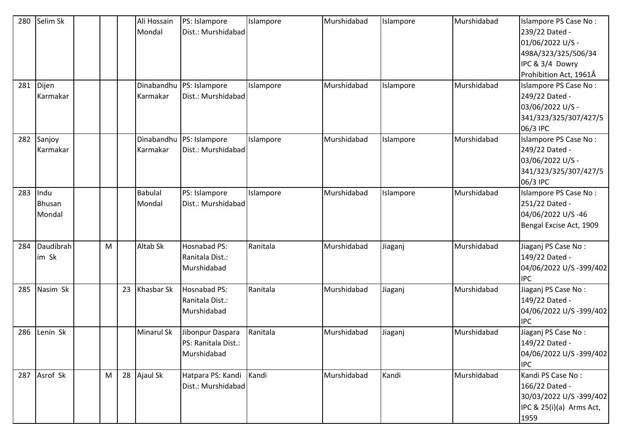| 280 | Selim Sk  |   |    | Ali Hossain       | PS: Islampore       | Islampore | Murshidabad | Islampore | Murshidabad | Islampore PS Case No:    |
|-----|-----------|---|----|-------------------|---------------------|-----------|-------------|-----------|-------------|--------------------------|
|     |           |   |    | Mondal            | Dist.: Murshidabad  |           |             |           |             | 239/22 Dated -           |
|     |           |   |    |                   |                     |           |             |           |             | 01/06/2022 U/S -         |
|     |           |   |    |                   |                     |           |             |           |             | 498A/323/325/506/34      |
|     |           |   |    |                   |                     |           |             |           |             | IPC & 3/4 Dowry          |
|     |           |   |    |                   |                     |           |             |           |             | Prohibition Act, 1961Â   |
| 281 | Dijen     |   |    | Dinabandhu        | PS: Islampore       | Islampore | Murshidabad | Islampore | Murshidabad | Islampore PS Case No:    |
|     | Karmakar  |   |    | Karmakar          | Dist.: Murshidabad  |           |             |           |             | 249/22 Dated -           |
|     |           |   |    |                   |                     |           |             |           |             | 03/06/2022 U/S -         |
|     |           |   |    |                   |                     |           |             |           |             | 341/323/325/307/427/5    |
|     |           |   |    |                   |                     |           |             |           |             | 06/3 IPC                 |
| 282 | Sanjoy    |   |    | Dinabandhu        | PS: Islampore       | Islampore | Murshidabad | Islampore | Murshidabad | Islampore PS Case No:    |
|     | Karmakar  |   |    | Karmakar          | Dist.: Murshidabad  |           |             |           |             | 249/22 Dated -           |
|     |           |   |    |                   |                     |           |             |           |             | 03/06/2022 U/S -         |
|     |           |   |    |                   |                     |           |             |           |             | 341/323/325/307/427/5    |
|     |           |   |    |                   |                     |           |             |           |             | 06/3 IPC                 |
| 283 | Indu      |   |    | <b>Babulal</b>    | PS: Islampore       | Islampore | Murshidabad | Islampore | Murshidabad | Islampore PS Case No:    |
|     | Bhusan    |   |    | Mondal            | Dist.: Murshidabad  |           |             |           |             | 251/22 Dated -           |
|     | Mondal    |   |    |                   |                     |           |             |           |             | 04/06/2022 U/S-46        |
|     |           |   |    |                   |                     |           |             |           |             | Bengal Excise Act, 1909  |
|     |           |   |    |                   |                     |           |             |           |             |                          |
| 284 | Daudibrah | M |    | Altab Sk          | <b>Hosnabad PS:</b> | Ranitala  | Murshidabad | Jiaganj   | Murshidabad | Jiaganj PS Case No:      |
|     | im Sk     |   |    |                   | Ranitala Dist.:     |           |             |           |             | 149/22 Dated -           |
|     |           |   |    |                   | Murshidabad         |           |             |           |             | 04/06/2022 U/S-399/402   |
|     |           |   |    |                   |                     |           |             |           |             | <b>IPC</b>               |
| 285 | Nasim Sk  |   | 23 | Khasbar Sk        | Hosnabad PS:        | Ranitala  | Murshidabad | Jiaganj   | Murshidabad | Jiaganj PS Case No:      |
|     |           |   |    |                   | Ranitala Dist.:     |           |             |           |             | 149/22 Dated -           |
|     |           |   |    |                   | Murshidabad         |           |             |           |             | 04/06/2022 U/S-399/402   |
|     |           |   |    |                   |                     |           |             |           |             | <b>IPC</b>               |
| 286 | Lenin Sk  |   |    | <b>Minarul Sk</b> | Jibonpur Daspara    | Ranitala  | Murshidabad | Jiaganj   | Murshidabad | Jiaganj PS Case No:      |
|     |           |   |    |                   | PS: Ranitala Dist.: |           |             |           |             | 149/22 Dated -           |
|     |           |   |    |                   | Murshidabad         |           |             |           |             | 04/06/2022 U/S-399/402   |
|     |           |   |    |                   |                     |           |             |           |             | <b>IPC</b>               |
| 287 | Asrof Sk  | M |    | 28 Ajaul Sk       | Hatpara PS: Kandi   | Kandi     | Murshidabad | Kandi     | Murshidabad | Kandi PS Case No:        |
|     |           |   |    |                   | Dist.: Murshidabad  |           |             |           |             | 166/22 Dated -           |
|     |           |   |    |                   |                     |           |             |           |             | 30/03/2022 U/S -399/402  |
|     |           |   |    |                   |                     |           |             |           |             | IPC & 25(i)(a) Arms Act, |
|     |           |   |    |                   |                     |           |             |           |             | 1959                     |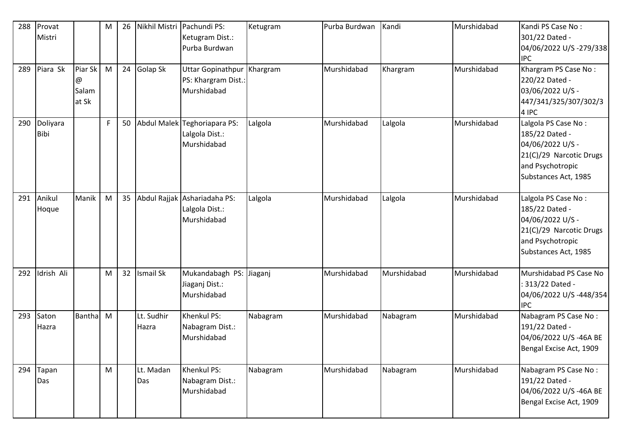| 288 | Provat      |               | M | 26 |                  | Nikhil Mistri Pachundi PS:   | Ketugram | Purba Burdwan | Kandi       | Murshidabad | Kandi PS Case No:       |
|-----|-------------|---------------|---|----|------------------|------------------------------|----------|---------------|-------------|-------------|-------------------------|
|     | Mistri      |               |   |    |                  | Ketugram Dist.:              |          |               |             |             | 301/22 Dated -          |
|     |             |               |   |    |                  | Purba Burdwan                |          |               |             |             | 04/06/2022 U/S-279/338  |
|     |             |               |   |    |                  |                              |          |               |             |             | <b>IPC</b>              |
| 289 | Piara Sk    | Piar Sk       | M | 24 | Golap Sk         | Uttar Gopinathpur   Khargram |          | Murshidabad   | Khargram    | Murshidabad | Khargram PS Case No:    |
|     |             | @             |   |    |                  | PS: Khargram Dist.:          |          |               |             |             | 220/22 Dated -          |
|     |             | Salam         |   |    |                  | Murshidabad                  |          |               |             |             | 03/06/2022 U/S -        |
|     |             | at Sk         |   |    |                  |                              |          |               |             |             | 447/341/325/307/302/3   |
|     |             |               |   |    |                  |                              |          |               |             |             | 4 IPC                   |
| 290 | Doliyara    |               | F | 50 |                  | Abdul Malek Teghoriapara PS: | Lalgola  | Murshidabad   | Lalgola     | Murshidabad | Lalgola PS Case No:     |
|     | <b>Bibi</b> |               |   |    |                  | Lalgola Dist.:               |          |               |             |             | 185/22 Dated -          |
|     |             |               |   |    |                  | Murshidabad                  |          |               |             |             | 04/06/2022 U/S -        |
|     |             |               |   |    |                  |                              |          |               |             |             | 21(C)/29 Narcotic Drugs |
|     |             |               |   |    |                  |                              |          |               |             |             | and Psychotropic        |
|     |             |               |   |    |                  |                              |          |               |             |             | Substances Act, 1985    |
| 291 | Anikul      | Manik         | M | 35 |                  | Abdul Rajjak Ashariadaha PS: | Lalgola  | Murshidabad   | Lalgola     | Murshidabad | Lalgola PS Case No:     |
|     | Hoque       |               |   |    |                  | Lalgola Dist.:               |          |               |             |             | 185/22 Dated -          |
|     |             |               |   |    |                  | Murshidabad                  |          |               |             |             | 04/06/2022 U/S -        |
|     |             |               |   |    |                  |                              |          |               |             |             | 21(C)/29 Narcotic Drugs |
|     |             |               |   |    |                  |                              |          |               |             |             | and Psychotropic        |
|     |             |               |   |    |                  |                              |          |               |             |             | Substances Act, 1985    |
|     |             |               |   |    |                  |                              |          |               |             |             |                         |
| 292 | Idrish Ali  |               | M | 32 | <b>Ismail Sk</b> | Mukandabagh PS: Jiaganj      |          | Murshidabad   | Murshidabad | Murshidabad | Murshidabad PS Case No  |
|     |             |               |   |    |                  | Jiaganj Dist.:               |          |               |             |             | 313/22 Dated -          |
|     |             |               |   |    |                  | Murshidabad                  |          |               |             |             | 04/06/2022 U/S-448/354  |
|     |             |               |   |    |                  |                              |          |               |             |             | <b>IPC</b>              |
| 293 | Saton       | <b>Bantha</b> | M |    | Lt. Sudhir       | Khenkul PS:                  | Nabagram | Murshidabad   | Nabagram    | Murshidabad | Nabagram PS Case No:    |
|     | Hazra       |               |   |    | Hazra            | Nabagram Dist.:              |          |               |             |             | 191/22 Dated -          |
|     |             |               |   |    |                  | Murshidabad                  |          |               |             |             | 04/06/2022 U/S-46A BE   |
|     |             |               |   |    |                  |                              |          |               |             |             | Bengal Excise Act, 1909 |
|     |             |               |   |    |                  |                              |          |               |             |             |                         |
| 294 | Tapan       |               | M |    | Lt. Madan        | Khenkul PS:                  | Nabagram | Murshidabad   | Nabagram    | Murshidabad | Nabagram PS Case No:    |
|     | Das         |               |   |    | Das              | Nabagram Dist.:              |          |               |             |             | 191/22 Dated -          |
|     |             |               |   |    |                  | Murshidabad                  |          |               |             |             | 04/06/2022 U/S-46A BE   |
|     |             |               |   |    |                  |                              |          |               |             |             | Bengal Excise Act, 1909 |
|     |             |               |   |    |                  |                              |          |               |             |             |                         |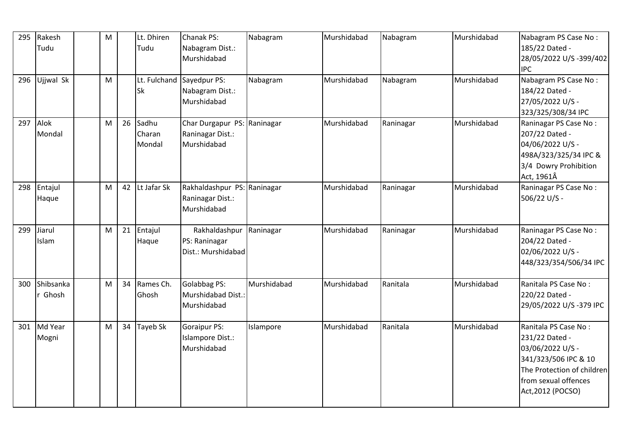| 295 | Rakesh<br>Tudu       | M |    | Lt. Dhiren<br>Tudu        | Chanak PS:<br>Nabagram Dist.:<br>Murshidabad                   | Nabagram    | Murshidabad | Nabagram  | Murshidabad | Nabagram PS Case No:<br>185/22 Dated -<br>28/05/2022 U/S -399/402<br><b>IPC</b>                                                                               |
|-----|----------------------|---|----|---------------------------|----------------------------------------------------------------|-------------|-------------|-----------|-------------|---------------------------------------------------------------------------------------------------------------------------------------------------------------|
| 296 | Ujjwal Sk            | M |    | Sk                        | Lt. Fulchand Sayedpur PS:<br>Nabagram Dist.:<br>Murshidabad    | Nabagram    | Murshidabad | Nabagram  | Murshidabad | Nabagram PS Case No:<br>184/22 Dated -<br>27/05/2022 U/S -<br>323/325/308/34 IPC                                                                              |
| 297 | Alok<br>Mondal       | M | 26 | Sadhu<br>Charan<br>Mondal | Char Durgapur PS: Raninagar<br>Raninagar Dist.:<br>Murshidabad |             | Murshidabad | Raninagar | Murshidabad | Raninagar PS Case No:<br>207/22 Dated -<br>04/06/2022 U/S -<br>498A/323/325/34 IPC &<br>3/4 Dowry Prohibition<br>Act, 1961Â                                   |
| 298 | Entajul<br>Haque     | M | 42 | Lt Jafar Sk               | Rakhaldashpur PS: Raninagar<br>Raninagar Dist.:<br>Murshidabad |             | Murshidabad | Raninagar | Murshidabad | Raninagar PS Case No:<br>506/22 U/S -                                                                                                                         |
| 299 | Jiarul<br>Islam      | M | 21 | Entajul<br>Haque          | Rakhaldashpur Raninagar<br>PS: Raninagar<br>Dist.: Murshidabad |             | Murshidabad | Raninagar | Murshidabad | Raninagar PS Case No:<br>204/22 Dated -<br>02/06/2022 U/S -<br>448/323/354/506/34 IPC                                                                         |
| 300 | Shibsanka<br>r Ghosh | M | 34 | Rames Ch.<br>Ghosh        | Golabbag PS:<br>Murshidabad Dist.:<br>Murshidabad              | Murshidabad | Murshidabad | Ranitala  | Murshidabad | Ranitala PS Case No:<br>220/22 Dated -<br>29/05/2022 U/S-379 IPC                                                                                              |
| 301 | Md Year<br>Mogni     | M | 34 | Tayeb Sk                  | Goraipur PS:<br>Islampore Dist.:<br>Murshidabad                | Islampore   | Murshidabad | Ranitala  | Murshidabad | Ranitala PS Case No:<br>231/22 Dated -<br>03/06/2022 U/S -<br>341/323/506 IPC & 10<br>The Protection of children<br>from sexual offences<br>Act, 2012 (POCSO) |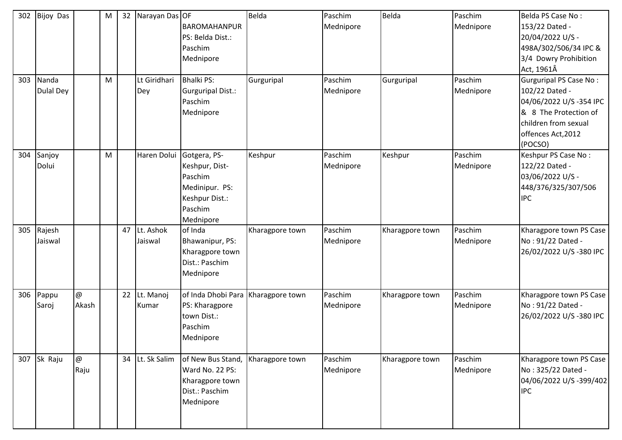| 302<br>303 | <b>Bijoy Das</b><br>Nanda<br>Dulal Dey |                                   | M<br>M | 32 | Narayan Das OF<br>Lt Giridhari<br>Dey | BAROMAHANPUR<br>PS: Belda Dist.:<br>Paschim<br>Mednipore<br><b>Bhalki PS:</b><br>Gurguripal Dist.:<br>Paschim<br>Mednipore | Belda<br>Gurguripal | Paschim<br>Mednipore<br>Paschim<br>Mednipore | Belda<br>Gurguripal | Paschim<br>Mednipore<br>Paschim<br>Mednipore | Belda PS Case No:<br>153/22 Dated -<br>20/04/2022 U/S -<br>498A/302/506/34 IPC &<br>3/4 Dowry Prohibition<br>Act, 1961Â<br><b>Gurguripal PS Case No:</b><br>102/22 Dated -<br>04/06/2022 U/S -354 IPC<br>& 8 The Protection of<br>children from sexual<br>offences Act, 2012 |
|------------|----------------------------------------|-----------------------------------|--------|----|---------------------------------------|----------------------------------------------------------------------------------------------------------------------------|---------------------|----------------------------------------------|---------------------|----------------------------------------------|------------------------------------------------------------------------------------------------------------------------------------------------------------------------------------------------------------------------------------------------------------------------------|
| 304        | Sanjoy<br>Dolui                        |                                   | M      |    | Haren Dolui                           | Gotgera, PS-<br>Keshpur, Dist-<br>Paschim<br>Medinipur. PS:<br>Keshpur Dist.:<br>Paschim<br>Mednipore                      | Keshpur             | Paschim<br>Mednipore                         | Keshpur             | Paschim<br>Mednipore                         | (POCSO)<br>Keshpur PS Case No:<br>122/22 Dated -<br>03/06/2022 U/S -<br>448/376/325/307/506<br><b>IPC</b>                                                                                                                                                                    |
| 305        | Rajesh<br>Jaiswal                      |                                   |        | 47 | Lt. Ashok<br>Jaiswal                  | of Inda<br>Bhawanipur, PS:<br>Kharagpore town<br>Dist.: Paschim<br>Mednipore                                               | Kharagpore town     | Paschim<br>Mednipore                         | Kharagpore town     | Paschim<br>Mednipore                         | Kharagpore town PS Case<br>No: 91/22 Dated -<br>26/02/2022 U/S-380 IPC                                                                                                                                                                                                       |
| 306        | Pappu<br>Saroj                         | @<br>Akash                        |        | 22 | Lt. Manoj<br>Kumar                    | of Inda Dhobi Para   Kharagpore town<br>PS: Kharagpore<br>town Dist.:<br>Paschim<br>Mednipore                              |                     | Paschim<br>Mednipore                         | Kharagpore town     | Paschim<br>Mednipore                         | Kharagpore town PS Case<br>No: 91/22 Dated -<br>26/02/2022 U/S-380 IPC                                                                                                                                                                                                       |
| 307        | Sk Raju                                | $^\text{\textregistered}$<br>Raju |        |    | 34 Lt. Sk Salim                       | of New Bus Stand,<br>Ward No. 22 PS:<br>Kharagpore town<br>Dist.: Paschim<br>Mednipore                                     | Kharagpore town     | Paschim<br>Mednipore                         | Kharagpore town     | Paschim<br>Mednipore                         | Kharagpore town PS Case<br>No: 325/22 Dated -<br>04/06/2022 U/S -399/402<br><b>IPC</b>                                                                                                                                                                                       |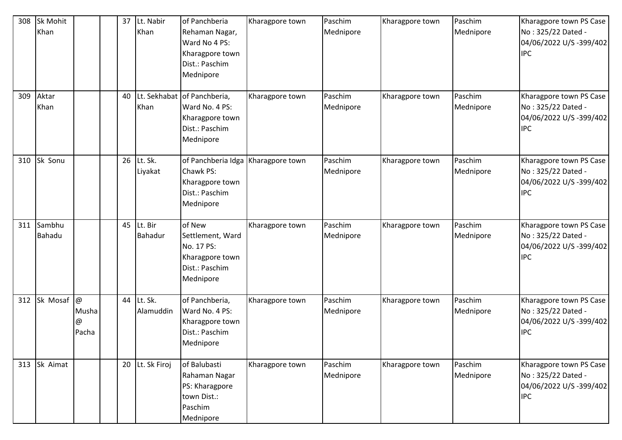| 308 | Sk Mohit<br>Khan |                                    | 37 | Lt. Nabir<br>Khan         | of Panchberia<br>Rehaman Nagar,<br>Ward No 4 PS:<br>Kharagpore town<br>Dist.: Paschim                        | Kharagpore town | Paschim<br>Mednipore | Kharagpore town | Paschim<br>Mednipore | Kharagpore town PS Case<br>No: 325/22 Dated -<br>04/06/2022 U/S-399/402<br><b>IPC</b>  |
|-----|------------------|------------------------------------|----|---------------------------|--------------------------------------------------------------------------------------------------------------|-----------------|----------------------|-----------------|----------------------|----------------------------------------------------------------------------------------|
| 309 | Aktar<br>Khan    |                                    | 40 | Khan                      | Mednipore<br>Lt. Sekhabat of Panchberia,<br>Ward No. 4 PS:<br>Kharagpore town<br>Dist.: Paschim<br>Mednipore | Kharagpore town | Paschim<br>Mednipore | Kharagpore town | Paschim<br>Mednipore | Kharagpore town PS Case<br>No: 325/22 Dated -<br>04/06/2022 U/S-399/402<br><b>IPC</b>  |
| 310 | Sk Sonu          |                                    | 26 | Lt. Sk.<br>Liyakat        | of Panchberia Idga Kharagpore town<br>Chawk PS:<br>Kharagpore town<br>Dist.: Paschim<br>Mednipore            |                 | Paschim<br>Mednipore | Kharagpore town | Paschim<br>Mednipore | Kharagpore town PS Case<br>No: 325/22 Dated -<br>04/06/2022 U/S-399/402<br><b>IPC</b>  |
| 311 | Sambhu<br>Bahadu |                                    | 45 | Lt. Bir<br><b>Bahadur</b> | of New<br>Settlement, Ward<br>No. 17 PS:<br>Kharagpore town<br>Dist.: Paschim<br>Mednipore                   | Kharagpore town | Paschim<br>Mednipore | Kharagpore town | Paschim<br>Mednipore | Kharagpore town PS Case<br>No: 325/22 Dated -<br>04/06/2022 U/S-399/402<br><b>IPC</b>  |
| 312 | Sk Mosaf         | $\circledR$<br>Musha<br>@<br>Pacha | 44 | Lt. Sk.<br>Alamuddin      | of Panchberia,<br>Ward No. 4 PS:<br>Kharagpore town<br>Dist.: Paschim<br>Mednipore                           | Kharagpore town | Paschim<br>Mednipore | Kharagpore town | Paschim<br>Mednipore | Kharagpore town PS Case<br>No: 325/22 Dated -<br>04/06/2022 U/S-399/402<br><b>IPC</b>  |
| 313 | Sk Aimat         |                                    |    | 20 Lt. Sk Firoj           | of Balubasti<br>Rahaman Nagar<br>PS: Kharagpore<br>town Dist.:<br>Paschim<br>Mednipore                       | Kharagpore town | Paschim<br>Mednipore | Kharagpore town | Paschim<br>Mednipore | Kharagpore town PS Case<br>No: 325/22 Dated -<br>04/06/2022 U/S -399/402<br><b>IPC</b> |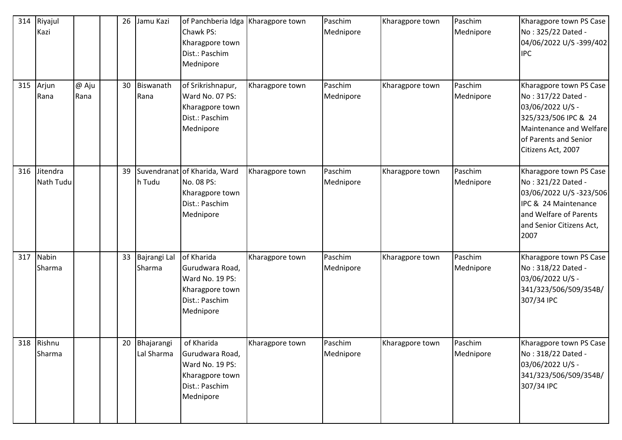| 314 | Riyajul<br>Kazi        |               | 26              | Jamu Kazi                   | of Panchberia Idga   Kharagpore town<br>Chawk PS:<br>Kharagpore town<br>Dist.: Paschim<br>Mednipore |                 | Paschim<br>Mednipore | Kharagpore town | Paschim<br>Mednipore | Kharagpore town PS Case<br>No: 325/22 Dated -<br>04/06/2022 U/S -399/402<br><b>IPC</b>                                                                              |
|-----|------------------------|---------------|-----------------|-----------------------------|-----------------------------------------------------------------------------------------------------|-----------------|----------------------|-----------------|----------------------|---------------------------------------------------------------------------------------------------------------------------------------------------------------------|
| 315 | Arjun<br>Rana          | @ Aju<br>Rana | 30 <sup>°</sup> | Biswanath<br>Rana           | of Srikrishnapur,<br>Ward No. 07 PS:<br>Kharagpore town<br>Dist.: Paschim<br>Mednipore              | Kharagpore town | Paschim<br>Mednipore | Kharagpore town | Paschim<br>Mednipore | Kharagpore town PS Case<br>No: 317/22 Dated -<br>03/06/2022 U/S -<br>325/323/506 IPC & 24<br>Maintenance and Welfare<br>of Parents and Senior<br>Citizens Act, 2007 |
| 316 | Jitendra<br>Nath Tudu  |               | 39              | h Tudu                      | Suvendranat of Kharida, Ward<br>No. 08 PS:<br>Kharagpore town<br>Dist.: Paschim<br>Mednipore        | Kharagpore town | Paschim<br>Mednipore | Kharagpore town | Paschim<br>Mednipore | Kharagpore town PS Case<br>No: 321/22 Dated -<br>03/06/2022 U/S-323/506<br>IPC & 24 Maintenance<br>and Welfare of Parents<br>and Senior Citizens Act,<br>2007       |
| 317 | <b>Nabin</b><br>Sharma |               | 33              | Bajrangi Lal<br>Sharma      | of Kharida<br>Gurudwara Road,<br>Ward No. 19 PS:<br>Kharagpore town<br>Dist.: Paschim<br>Mednipore  | Kharagpore town | Paschim<br>Mednipore | Kharagpore town | Paschim<br>Mednipore | Kharagpore town PS Case<br>No: 318/22 Dated -<br>03/06/2022 U/S -<br>341/323/506/509/354B/<br>307/34 IPC                                                            |
|     | 318 Rishnu<br>Sharma   |               |                 | 20 Bhajarangi<br>Lal Sharma | of Kharida<br>Gurudwara Road,<br>Ward No. 19 PS:<br>Kharagpore town<br>Dist.: Paschim<br>Mednipore  | Kharagpore town | Paschim<br>Mednipore | Kharagpore town | Paschim<br>Mednipore | Kharagpore town PS Case<br>No: 318/22 Dated -<br>03/06/2022 U/S -<br>341/323/506/509/354B/<br>307/34 IPC                                                            |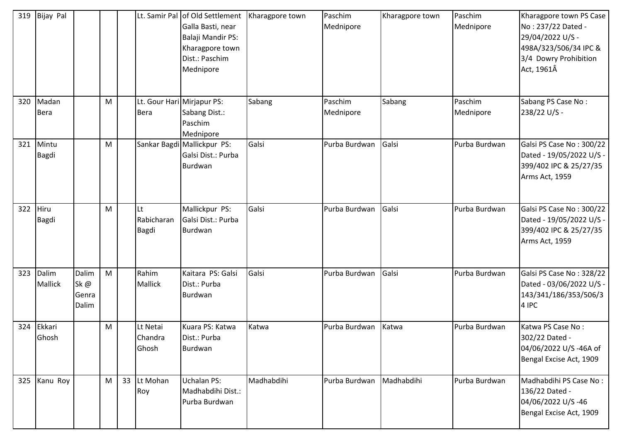| 319 | <b>Bijay Pal</b>        |                                |   |    |                                           | Lt. Samir Pal of Old Settlement<br>Galla Basti, near<br>Balaji Mandir PS:<br>Kharagpore town<br>Dist.: Paschim<br>Mednipore | Kharagpore town | Paschim<br>Mednipore     | Kharagpore town | Paschim<br>Mednipore | Kharagpore town PS Case<br>No: 237/22 Dated -<br>29/04/2022 U/S -<br>498A/323/506/34 IPC &<br>3/4 Dowry Prohibition<br>Act, 1961Â |
|-----|-------------------------|--------------------------------|---|----|-------------------------------------------|-----------------------------------------------------------------------------------------------------------------------------|-----------------|--------------------------|-----------------|----------------------|-----------------------------------------------------------------------------------------------------------------------------------|
| 320 | Madan<br><b>Bera</b>    |                                | M |    | Lt. Gour Hari Mirjapur PS:<br><b>Bera</b> | Sabang Dist.:<br>Paschim<br>Mednipore                                                                                       | Sabang          | Paschim<br>Mednipore     | Sabang          | Paschim<br>Mednipore | Sabang PS Case No:<br>238/22 U/S -                                                                                                |
| 321 | Mintu<br>Bagdi          |                                | M |    |                                           | Sankar Bagdi Mallickpur PS:<br>Galsi Dist.: Purba<br>Burdwan                                                                | Galsi           | Purba Burdwan            | Galsi           | Purba Burdwan        | Galsi PS Case No: 300/22<br>Dated - 19/05/2022 U/S -<br>399/402 IPC & 25/27/35<br>Arms Act, 1959                                  |
| 322 | Hiru<br>Bagdi           |                                | M |    | Lt<br>Rabicharan<br><b>Bagdi</b>          | Mallickpur PS:<br>Galsi Dist.: Purba<br>Burdwan                                                                             | Galsi           | Purba Burdwan            | Galsi           | Purba Burdwan        | Galsi PS Case No: 300/22<br>Dated - 19/05/2022 U/S -<br>399/402 IPC & 25/27/35<br>Arms Act, 1959                                  |
| 323 | Dalim<br><b>Mallick</b> | Dalim<br>Sk@<br>Genra<br>Dalim | M |    | Rahim<br>Mallick                          | Kaitara PS: Galsi<br>Dist.: Purba<br>Burdwan                                                                                | Galsi           | Purba Burdwan            | Galsi           | Purba Burdwan        | Galsi PS Case No: 328/22<br>Dated - 03/06/2022 U/S -<br>143/341/186/353/506/3<br>4 IPC                                            |
| 324 | Ekkari<br>Ghosh         |                                | M |    | Lt Netai<br>Chandra<br>Ghosh              | Kuara PS: Katwa<br>Dist.: Purba<br>Burdwan                                                                                  | Katwa           | Purba Burdwan            | Katwa           | Purba Burdwan        | Katwa PS Case No:<br>302/22 Dated -<br>04/06/2022 U/S -46A of<br>Bengal Excise Act, 1909                                          |
| 325 | Kanu Roy                |                                | M | 33 | Lt Mohan<br>Roy                           | <b>Uchalan PS:</b><br>Madhabdihi Dist.:<br>Purba Burdwan                                                                    | Madhabdihi      | Purba Burdwan Madhabdihi |                 | Purba Burdwan        | Madhabdihi PS Case No:<br>136/22 Dated -<br>04/06/2022 U/S-46<br>Bengal Excise Act, 1909                                          |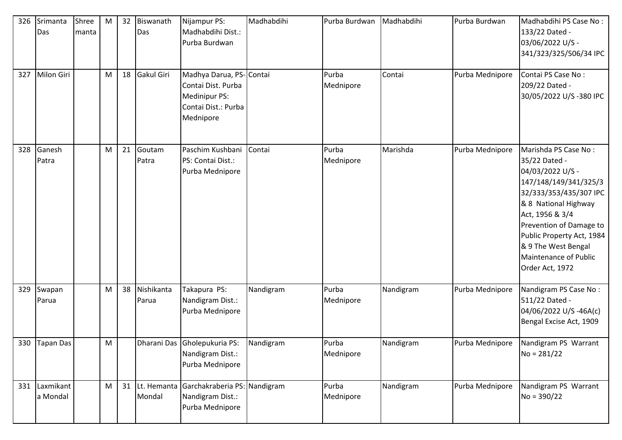| 326 | Srimanta<br>Das           | Shree<br>manta | M | 32 | Biswanath<br>Das    | Nijampur PS:<br>Madhabdihi Dist.:<br>Purba Burdwan                                                 | Madhabdihi | Purba Burdwan      | Madhabdihi | Purba Burdwan   | Madhabdihi PS Case No:<br>133/22 Dated -<br>03/06/2022 U/S -<br>341/323/325/506/34 IPC                                                                                                                                                                                             |
|-----|---------------------------|----------------|---|----|---------------------|----------------------------------------------------------------------------------------------------|------------|--------------------|------------|-----------------|------------------------------------------------------------------------------------------------------------------------------------------------------------------------------------------------------------------------------------------------------------------------------------|
| 327 | Milon Giri                |                | M | 18 | Gakul Giri          | Madhya Darua, PS-Contai<br>Contai Dist. Purba<br>Medinipur PS:<br>Contai Dist.: Purba<br>Mednipore |            | Purba<br>Mednipore | Contai     | Purba Mednipore | Contai PS Case No:<br>209/22 Dated -<br>30/05/2022 U/S-380 IPC                                                                                                                                                                                                                     |
| 328 | Ganesh<br>Patra           |                | M | 21 | Goutam<br>Patra     | Paschim Kushbani<br>PS: Contai Dist.:<br>Purba Mednipore                                           | Contai     | Purba<br>Mednipore | Marishda   | Purba Mednipore | Marishda PS Case No:<br>35/22 Dated -<br>04/03/2022 U/S -<br>147/148/149/341/325/3<br>32/333/353/435/307 IPC<br>& 8 National Highway<br>Act, 1956 & 3/4<br>Prevention of Damage to<br>Public Property Act, 1984<br>& 9 The West Bengal<br>Maintenance of Public<br>Order Act, 1972 |
| 329 | Swapan<br>Parua           |                | M | 38 | Nishikanta<br>Parua | Takapura PS:<br>Nandigram Dist.:<br>Purba Mednipore                                                | Nandigram  | Purba<br>Mednipore | Nandigram  | Purba Mednipore | Nandigram PS Case No:<br>511/22 Dated -<br>04/06/2022 U/S -46A(c)<br>Bengal Excise Act, 1909                                                                                                                                                                                       |
| 330 | <b>Tapan Das</b>          |                | M |    |                     | Dharani Das Gholepukuria PS:<br>Nandigram Dist.:<br>Purba Mednipore                                | Nandigram  | Purba<br>Mednipore | Nandigram  | Purba Mednipore | Nandigram PS Warrant<br>$No = 281/22$                                                                                                                                                                                                                                              |
|     | 331 Laxmikant<br>a Mondal |                | M | 31 | Mondal              | Lt. Hemanta Garchakraberia PS: Nandigram<br>Nandigram Dist.:<br>Purba Mednipore                    |            | Purba<br>Mednipore | Nandigram  | Purba Mednipore | Nandigram PS Warrant<br>$No = 390/22$                                                                                                                                                                                                                                              |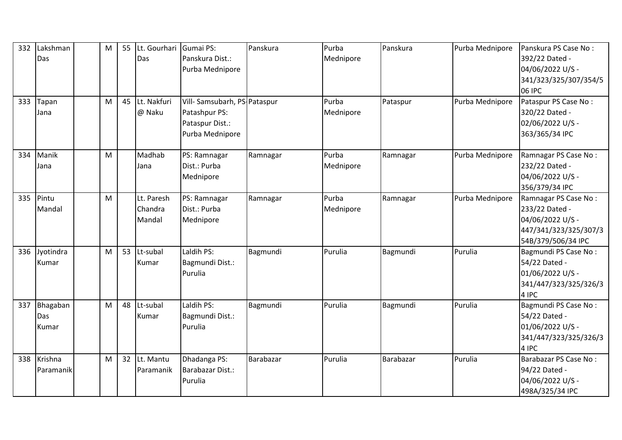| 332<br>333 | Lakshman<br>Das<br>Tapan<br>Jana | M<br>M | 55<br>45 | Lt. Gourhari Gumai PS:<br>Das<br>Lt. Nakfuri<br>@ Naku | Panskura Dist.:<br>Purba Mednipore<br>Vill-Samsubarh, PS-Pataspur<br>Patashpur PS:<br>Pataspur Dist.: | Panskura  | Purba<br>Mednipore<br>Purba<br>Mednipore | Panskura<br>Pataspur | Purba Mednipore<br>Purba Mednipore | Panskura PS Case No:<br>392/22 Dated -<br>04/06/2022 U/S -<br>341/323/325/307/354/5<br><b>06 IPC</b><br>Pataspur PS Case No:<br>320/22 Dated -<br>02/06/2022 U/S - |
|------------|----------------------------------|--------|----------|--------------------------------------------------------|-------------------------------------------------------------------------------------------------------|-----------|------------------------------------------|----------------------|------------------------------------|--------------------------------------------------------------------------------------------------------------------------------------------------------------------|
|            |                                  |        |          |                                                        | Purba Mednipore                                                                                       |           |                                          |                      |                                    | 363/365/34 IPC                                                                                                                                                     |
| 334        | Manik<br>Jana                    | M      |          | Madhab<br>Jana                                         | PS: Ramnagar<br>Dist.: Purba<br>Mednipore                                                             | Ramnagar  | Purba<br>Mednipore                       | Ramnagar             | Purba Mednipore                    | Ramnagar PS Case No:<br>232/22 Dated -<br>04/06/2022 U/S -<br>356/379/34 IPC                                                                                       |
| 335        | Pintu<br>Mandal                  | M      |          | Lt. Paresh<br>Chandra<br>Mandal                        | PS: Ramnagar<br>Dist.: Purba<br>Mednipore                                                             | Ramnagar  | Purba<br>Mednipore                       | Ramnagar             | Purba Mednipore                    | Ramnagar PS Case No:<br>233/22 Dated -<br>04/06/2022 U/S -<br>447/341/323/325/307/3<br>54B/379/506/34 IPC                                                          |
| 336        | Jyotindra<br>Kumar               | M      | 53       | Lt-subal<br>Kumar                                      | Laldih PS:<br>Bagmundi Dist.:<br>Purulia                                                              | Bagmundi  | Purulia                                  | Bagmundi             | Purulia                            | Bagmundi PS Case No:<br>54/22 Dated -<br>01/06/2022 U/S -<br>341/447/323/325/326/3<br>4 IPC                                                                        |
| 337        | Bhagaban<br>Das<br>Kumar         | M      | 48       | Lt-subal<br>Kumar                                      | Laldih PS:<br>Bagmundi Dist.:<br>Purulia                                                              | Bagmundi  | Purulia                                  | Bagmundi             | Purulia                            | Bagmundi PS Case No:<br>54/22 Dated -<br>01/06/2022 U/S -<br>341/447/323/325/326/3<br>4 IPC                                                                        |
| 338        | Krishna<br>Paramanik             | M      | 32       | Lt. Mantu<br>Paramanik                                 | Dhadanga PS:<br>Barabazar Dist.:<br>Purulia                                                           | Barabazar | Purulia                                  | Barabazar            | Purulia                            | Barabazar PS Case No:<br>94/22 Dated -<br>04/06/2022 U/S -<br>498A/325/34 IPC                                                                                      |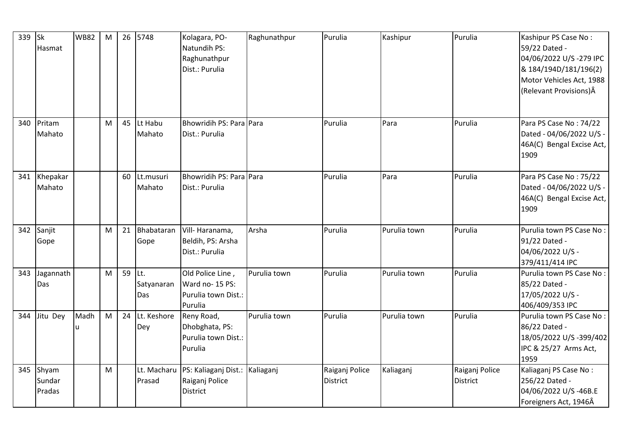| 339 | $\mathsf{lsk}$<br>Hasmat  | <b>WB82</b> | M | 26 | 5748                      | Kolagara, PO-<br>Natundih PS:<br>Raghunathpur<br>Dist.: Purulia       | Raghunathpur | Purulia                           | Kashipur     | Purulia                           | Kashipur PS Case No:<br>59/22 Dated -<br>04/06/2022 U/S-279 IPC<br>& 184/194D/181/196(2)<br>Motor Vehicles Act, 1988<br>(Relevant Provisions)Â |
|-----|---------------------------|-------------|---|----|---------------------------|-----------------------------------------------------------------------|--------------|-----------------------------------|--------------|-----------------------------------|------------------------------------------------------------------------------------------------------------------------------------------------|
| 340 | Pritam<br>Mahato          |             | M | 45 | Lt Habu<br>Mahato         | Bhowridih PS: Para Para<br>Dist.: Purulia                             |              | Purulia                           | Para         | Purulia                           | Para PS Case No: 74/22<br>Dated - 04/06/2022 U/S -<br>46A(C) Bengal Excise Act,<br>1909                                                        |
| 341 | Khepakar<br>Mahato        |             |   | 60 | Lt.musuri<br>Mahato       | Bhowridih PS: Para Para<br>Dist.: Purulia                             |              | Purulia                           | Para         | Purulia                           | Para PS Case No: 75/22<br>Dated - 04/06/2022 U/S -<br>46A(C) Bengal Excise Act,<br>1909                                                        |
| 342 | Sanjit<br>Gope            |             | M | 21 | Bhabataran<br>Gope        | Vill-Haranama,<br>Beldih, PS: Arsha<br>Dist.: Purulia                 | Arsha        | Purulia                           | Purulia town | Purulia                           | Purulia town PS Case No:<br>91/22 Dated -<br>04/06/2022 U/S -<br>379/411/414 IPC                                                               |
| 343 | Jagannath<br>Das          |             | M | 59 | ILt.<br>Satyanaran<br>Das | Old Police Line,<br>Ward no- 15 PS:<br>Purulia town Dist.:<br>Purulia | Purulia town | Purulia                           | Purulia town | Purulia                           | Purulia town PS Case No:<br>85/22 Dated -<br>17/05/2022 U/S -<br>406/409/353 IPC                                                               |
| 344 | Jitu Dey                  | Madh        | M | 24 | Lt. Keshore<br>Dey        | Reny Road,<br>Dhobghata, PS:<br>Purulia town Dist.:<br>Purulia        | Purulia town | Purulia                           | Purulia town | Purulia                           | Purulia town PS Case No:<br>86/22 Dated -<br>18/05/2022 U/S-399/402<br>IPC & 25/27 Arms Act,<br>1959                                           |
| 345 | Shyam<br>Sundar<br>Pradas |             | M |    | Lt. Macharu<br>Prasad     | PS: Kaliaganj Dist.:<br>Raiganj Police<br><b>District</b>             | Kaliaganj    | Raiganj Police<br><b>District</b> | Kaliaganj    | Raiganj Police<br><b>District</b> | Kaliaganj PS Case No:<br>256/22 Dated -<br>04/06/2022 U/S-46B.E<br>Foreigners Act, 1946Â                                                       |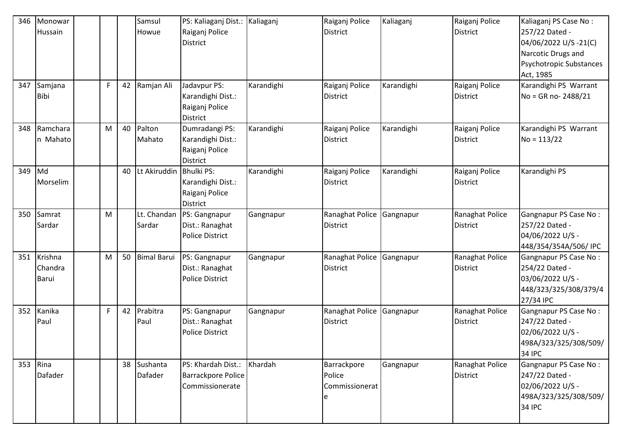| 346 | Monowar<br>Hussain          |   |    | Samsul<br>Howue        | PS: Kaliaganj Dist.:<br>Raiganj Police<br><b>District</b>                   | Kaliaganj  | Raiganj Police<br><b>District</b>            | Kaliaganj  | Raiganj Police<br>District         | Kaliaganj PS Case No:<br>257/22 Dated -<br>04/06/2022 U/S-21(C)<br>Narcotic Drugs and<br>Psychotropic Substances<br>Act, 1985 |
|-----|-----------------------------|---|----|------------------------|-----------------------------------------------------------------------------|------------|----------------------------------------------|------------|------------------------------------|-------------------------------------------------------------------------------------------------------------------------------|
| 347 | Samjana<br><b>Bibi</b>      | F | 42 | Ramjan Ali             | Jadavpur PS:<br>Karandighi Dist.:<br>Raiganj Police<br><b>District</b>      | Karandighi | Raiganj Police<br>District                   | Karandighi | Raiganj Police<br><b>District</b>  | Karandighi PS Warrant<br>No = GR no-2488/21                                                                                   |
| 348 | Ramchara<br>n Mahato        | M | 40 | Palton<br>Mahato       | Dumradangi PS:<br>Karandighi Dist.:<br>Raiganj Police<br><b>District</b>    | Karandighi | Raiganj Police<br>District                   | Karandighi | Raiganj Police<br><b>District</b>  | Karandighi PS Warrant<br>$No = 113/22$                                                                                        |
| 349 | Md<br>Morselim              |   | 40 | Lt Akiruddin           | <b>Bhulki PS:</b><br>Karandighi Dist.:<br>Raiganj Police<br><b>District</b> | Karandighi | Raiganj Police<br><b>District</b>            | Karandighi | Raiganj Police<br><b>District</b>  | Karandighi PS                                                                                                                 |
| 350 | Samrat<br>Sardar            | M |    | Lt. Chandan<br>Sardar  | PS: Gangnapur<br>Dist.: Ranaghat<br><b>Police District</b>                  | Gangnapur  | Ranaghat Police<br>District                  | Gangnapur  | Ranaghat Police<br><b>District</b> | Gangnapur PS Case No:<br>257/22 Dated -<br>04/06/2022 U/S -<br>448/354/354A/506/ IPC                                          |
| 351 | Krishna<br>Chandra<br>Barui | M | 50 | <b>Bimal Barui</b>     | PS: Gangnapur<br>Dist.: Ranaghat<br><b>Police District</b>                  | Gangnapur  | Ranaghat Police<br>District                  | Gangnapur  | Ranaghat Police<br><b>District</b> | Gangnapur PS Case No:<br>254/22 Dated -<br>03/06/2022 U/S -<br>448/323/325/308/379/4<br>27/34 IPC                             |
| 352 | Kanika<br>Paul              | F | 42 | Prabitra<br>Paul       | PS: Gangnapur<br>Dist.: Ranaghat<br><b>Police District</b>                  | Gangnapur  | Ranaghat Police<br>District                  | Gangnapur  | Ranaghat Police<br><b>District</b> | Gangnapur PS Case No:<br>247/22 Dated -<br>02/06/2022 U/S -<br>498A/323/325/308/509/<br><b>34 IPC</b>                         |
| 353 | Rina<br>Dafader             |   |    | 38 Sushanta<br>Dafader | PS: Khardah Dist.:<br>Barrackpore Police<br>Commissionerate                 | Khardah    | Barrackpore<br>Police<br>Commissionerat<br>e | Gangnapur  | Ranaghat Police<br><b>District</b> | Gangnapur PS Case No:<br>247/22 Dated -<br>02/06/2022 U/S -<br>498A/323/325/308/509/<br><b>34 IPC</b>                         |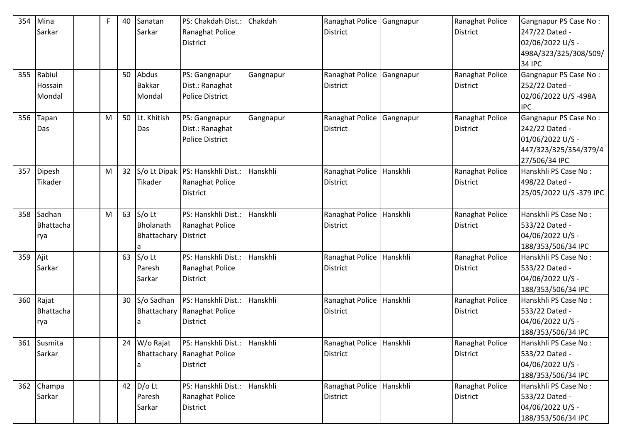| 354 | Mina<br>Sarkar              | F | 40 | Sanatan<br>Sarkar                                    | PS: Chakdah Dist.:<br>Ranaghat Police<br><b>District</b>                       | Chakdah   | Ranaghat Police<br><b>District</b>          | Gangnapur | Ranaghat Police<br><b>District</b> | Gangnapur PS Case No:<br>247/22 Dated -<br>02/06/2022 U/S -<br>498A/323/325/308/509/                  |
|-----|-----------------------------|---|----|------------------------------------------------------|--------------------------------------------------------------------------------|-----------|---------------------------------------------|-----------|------------------------------------|-------------------------------------------------------------------------------------------------------|
| 355 | Rabiul<br>Hossain<br>Mondal |   | 50 | Abdus<br><b>Bakkar</b><br>Mondal                     | PS: Gangnapur<br>Dist.: Ranaghat<br><b>Police District</b>                     | Gangnapur | Ranaghat Police<br><b>District</b>          | Gangnapur | Ranaghat Police<br><b>District</b> | 34 IPC<br>Gangnapur PS Case No:<br>252/22 Dated -<br>02/06/2022 U/S-498A<br><b>IPC</b>                |
| 356 | Tapan<br>Das                | M | 50 | Lt. Khitish<br>Das                                   | PS: Gangnapur<br>Dist.: Ranaghat<br><b>Police District</b>                     | Gangnapur | Ranaghat Police<br><b>District</b>          | Gangnapur | Ranaghat Police<br><b>District</b> | Gangnapur PS Case No:<br>242/22 Dated -<br>01/06/2022 U/S -<br>447/323/325/354/379/4<br>27/506/34 IPC |
| 357 | Dipesh<br>Tikader           | M | 32 | Tikader                                              | S/o Lt Dipak   PS: Hanskhli Dist.:<br>Ranaghat Police<br>District              | Hanskhli  | Ranaghat Police<br><b>District</b>          | Hanskhli  | Ranaghat Police<br><b>District</b> | Hanskhli PS Case No:<br>498/22 Dated -<br>25/05/2022 U/S-379 IPC                                      |
| 358 | Sadhan<br>Bhattacha<br>rya  | M | 63 | $S/O$ Lt<br>Bholanath<br><b>Bhattachary District</b> | PS: Hanskhli Dist.:<br>Ranaghat Police                                         | Hanskhli  | Ranaghat Police<br><b>District</b>          | Hanskhli  | Ranaghat Police<br><b>District</b> | Hanskhli PS Case No:<br>533/22 Dated -<br>04/06/2022 U/S -<br>188/353/506/34 IPC                      |
| 359 | Ajit<br>Sarkar              |   | 63 | S/o Lt<br>Paresh<br>Sarkar                           | PS: Hanskhli Dist.:<br>Ranaghat Police<br><b>District</b>                      | Hanskhli  | Ranaghat Police<br><b>District</b>          | Hanskhli  | Ranaghat Police<br>District        | Hanskhli PS Case No:<br>533/22 Dated -<br>04/06/2022 U/S -<br>188/353/506/34 IPC                      |
| 360 | Rajat<br>Bhattacha<br>rya   |   | 30 | S/o Sadhan                                           | PS: Hanskhli Dist.:<br>Bhattachary Ranaghat Police<br><b>District</b>          | Hanskhli  | Ranaghat Police<br><b>District</b>          | Hanskhli  | Ranaghat Police<br><b>District</b> | Hanskhli PS Case No:<br>533/22 Dated -<br>04/06/2022 U/S -<br>188/353/506/34 IPC                      |
|     | 361 Susmita<br>Sarkar       |   |    | 24 W/o Rajat<br>l a                                  | PS: Hanskhli Dist.: Hanskhli<br>Bhattachary Ranaghat Police<br><b>District</b> |           | Ranaghat Police Hanskhli<br><b>District</b> |           | Ranaghat Police<br>District        | Hanskhli PS Case No:<br>533/22 Dated -<br>04/06/2022 U/S -<br>188/353/506/34 IPC                      |
| 362 | Champa<br>Sarkar            |   | 42 | $D/O$ Lt<br>Paresh<br>Sarkar                         | PS: Hanskhli Dist.:<br>Ranaghat Police<br><b>District</b>                      | Hanskhli  | Ranaghat Police Hanskhli<br><b>District</b> |           | Ranaghat Police<br><b>District</b> | Hanskhli PS Case No:<br>533/22 Dated -<br>04/06/2022 U/S -<br>188/353/506/34 IPC                      |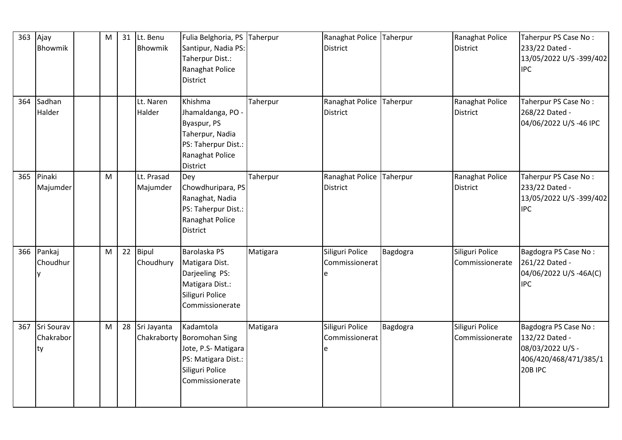| 363 | Ajay<br>Bhowmik               | M |    | 31 Lt. Benu<br>Bhowmik     | Fulia Belghoria, PS Taherpur<br>Santipur, Nadia PS:<br>Taherpur Dist.:<br>Ranaghat Police<br><b>District</b>           |          | Ranaghat Police Taherpur<br><b>District</b> |          | Ranaghat Police<br><b>District</b> | Taherpur PS Case No:<br>233/22 Dated -<br>13/05/2022 U/S -399/402<br><b>IPC</b>                |
|-----|-------------------------------|---|----|----------------------------|------------------------------------------------------------------------------------------------------------------------|----------|---------------------------------------------|----------|------------------------------------|------------------------------------------------------------------------------------------------|
| 364 | Sadhan<br>Halder              |   |    | Lt. Naren<br>Halder        | Khishma<br>Jhamaldanga, PO -<br>Byaspur, PS<br>Taherpur, Nadia<br>PS: Taherpur Dist.:<br>Ranaghat Police<br>District   | Taherpur | Ranaghat Police<br><b>District</b>          | Taherpur | Ranaghat Police<br><b>District</b> | Taherpur PS Case No:<br>268/22 Dated -<br>04/06/2022 U/S-46 IPC                                |
| 365 | Pinaki<br>Majumder            | M |    | Lt. Prasad<br>Majumder     | Dey<br>Chowdhuripara, PS<br>Ranaghat, Nadia<br>PS: Taherpur Dist.:<br>Ranaghat Police<br><b>District</b>               | Taherpur | Ranaghat Police<br><b>District</b>          | Taherpur | Ranaghat Police<br><b>District</b> | Taherpur PS Case No:<br>233/22 Dated -<br>13/05/2022 U/S -399/402<br><b>IPC</b>                |
|     | 366 Pankaj<br>Choudhur        | M | 22 | Bipul<br>Choudhury         | Barolaska PS<br>Matigara Dist.<br>Darjeeling PS:<br>Matigara Dist.:<br>Siliguri Police<br>Commissionerate              | Matigara | Siliguri Police<br>Commissionerat           | Bagdogra | Siliguri Police<br>Commissionerate | Bagdogra PS Case No:<br>261/22 Dated -<br>04/06/2022 U/S -46A(C)<br><b>IPC</b>                 |
| 367 | Sri Sourav<br>Chakrabor<br>ty | M | 28 | Sri Jayanta<br>Chakraborty | Kadamtola<br><b>Boromohan Sing</b><br>Jote, P.S- Matigara<br>PS: Matigara Dist.:<br>Siliguri Police<br>Commissionerate | Matigara | Siliguri Police<br>Commissionerat<br>e      | Bagdogra | Siliguri Police<br>Commissionerate | Bagdogra PS Case No:<br>132/22 Dated -<br>08/03/2022 U/S -<br>406/420/468/471/385/1<br>20B IPC |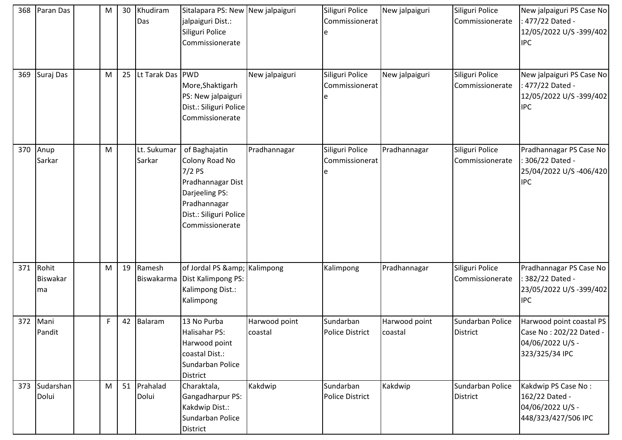| 368 | Paran Das                       | M | 30 | Khudiram<br>Das       | Sitalapara PS: New New jalpaiguri<br>jalpaiguri Dist.:<br>Siliguri Police<br>Commissionerate                                                    |                          | Siliguri Police<br>Commissionerat       | New jalpaiguri           | Siliguri Police<br>Commissionerate  | New jalpaiguri PS Case No<br>477/22 Dated -<br>12/05/2022 U/S -399/402<br><b>IPC</b>      |
|-----|---------------------------------|---|----|-----------------------|-------------------------------------------------------------------------------------------------------------------------------------------------|--------------------------|-----------------------------------------|--------------------------|-------------------------------------|-------------------------------------------------------------------------------------------|
| 369 | Suraj Das                       | M | 25 | Lt Tarak Das PWD      | More, Shaktigarh<br>PS: New jalpaiguri<br>Dist.: Siliguri Police<br>Commissionerate                                                             | New jalpaiguri           | Siliguri Police<br>Commissionerat<br>e  | New jalpaiguri           | Siliguri Police<br>Commissionerate  | New jalpaiguri PS Case No<br>477/22 Dated -<br>12/05/2022 U/S -399/402<br><b>IPC</b>      |
| 370 | Anup<br>Sarkar                  | M |    | Lt. Sukumar<br>Sarkar | of Baghajatin<br>Colony Road No<br>$7/2$ PS<br>Pradhannagar Dist<br>Darjeeling PS:<br>Pradhannagar<br>Dist.: Siliguri Police<br>Commissionerate | Pradhannagar             | Siliguri Police<br>Commissionerat<br>le | Pradhannagar             | Siliguri Police<br>Commissionerate  | Pradhannagar PS Case No<br>306/22 Dated -<br>25/04/2022 U/S -406/420<br><b>IPC</b>        |
| 371 | Rohit<br><b>Biswakar</b><br>lma | M | 19 | Ramesh                | of Jordal PS & Kalimpong<br>Biswakarma Dist Kalimpong PS:<br>Kalimpong Dist.:<br>Kalimpong                                                      |                          | Kalimpong                               | Pradhannagar             | Siliguri Police<br>Commissionerate  | Pradhannagar PS Case No<br>382/22 Dated -<br>23/05/2022 U/S -399/402<br><b>IPC</b>        |
| 372 | Mani<br>Pandit                  | F | 42 | Balaram               | 13 No Purba<br>Halisahar PS:<br>Harwood point<br>coastal Dist.:<br>Sundarban Police<br><b>District</b>                                          | Harwood point<br>coastal | Sundarban<br>Police District            | Harwood point<br>coastal | Sundarban Police<br><b>District</b> | Harwood point coastal PS<br>Case No: 202/22 Dated -<br>04/06/2022 U/S -<br>323/325/34 IPC |
| 373 | Sudarshan<br>Dolui              | M | 51 | Prahalad<br>Dolui     | Charaktala,<br>Gangadharpur PS:<br>Kakdwip Dist.:<br>Sundarban Police<br><b>District</b>                                                        | Kakdwip                  | Sundarban<br><b>Police District</b>     | Kakdwip                  | Sundarban Police<br><b>District</b> | Kakdwip PS Case No:<br>162/22 Dated -<br>04/06/2022 U/S -<br>448/323/427/506 IPC          |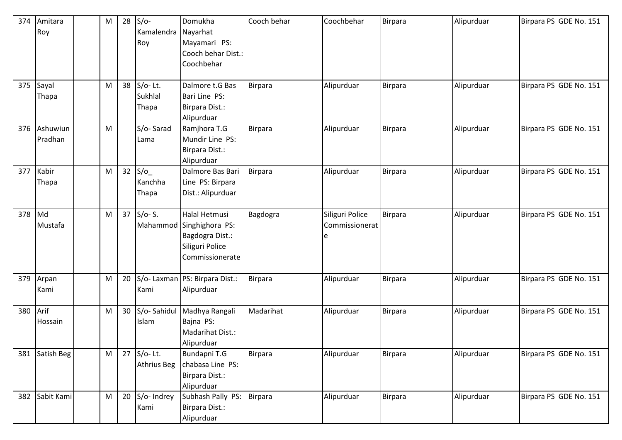| 374 | Amitara<br>Roy | M | 28 | $S/O-$<br>Kamalendra | Domukha<br>Nayarhat              | Cooch behar    | Coochbehar      | Birpara        | Alipurduar | Birpara PS GDE No. 151 |
|-----|----------------|---|----|----------------------|----------------------------------|----------------|-----------------|----------------|------------|------------------------|
|     |                |   |    | Roy                  | Mayamari PS:                     |                |                 |                |            |                        |
|     |                |   |    |                      | Cooch behar Dist.:<br>Coochbehar |                |                 |                |            |                        |
|     |                |   |    |                      |                                  |                |                 |                |            |                        |
| 375 | Sayal          | M | 38 | S/o-Lt.              | Dalmore t.G Bas                  | <b>Birpara</b> | Alipurduar      | Birpara        | Alipurduar | Birpara PS GDE No. 151 |
|     | Thapa          |   |    | Sukhlal              | Bari Line PS:                    |                |                 |                |            |                        |
|     |                |   |    | Thapa                | Birpara Dist.:                   |                |                 |                |            |                        |
|     |                |   |    |                      | Alipurduar                       |                |                 |                |            |                        |
| 376 | Ashuwiun       | M |    | S/o-Sarad            | Ramjhora T.G                     | Birpara        | Alipurduar      | Birpara        | Alipurduar | Birpara PS GDE No. 151 |
|     | Pradhan        |   |    | Lama                 | Mundir Line PS:                  |                |                 |                |            |                        |
|     |                |   |    |                      | Birpara Dist.:                   |                |                 |                |            |                        |
|     |                |   |    |                      | Alipurduar                       |                |                 |                |            |                        |
| 377 | Kabir          | M | 32 | S/O                  | Dalmore Bas Bari                 | <b>Birpara</b> | Alipurduar      | <b>Birpara</b> | Alipurduar | Birpara PS GDE No. 151 |
|     | Thapa          |   |    | Kanchha              | Line PS: Birpara                 |                |                 |                |            |                        |
|     |                |   |    | Thapa                | Dist.: Alipurduar                |                |                 |                |            |                        |
| 378 | Md             | M | 37 | $S/O-S$ .            | Halal Hetmusi                    | Bagdogra       | Siliguri Police | Birpara        | Alipurduar | Birpara PS GDE No. 151 |
|     | Mustafa        |   |    | Mahammod             | Singhighora PS:                  |                | Commissionerat  |                |            |                        |
|     |                |   |    |                      | Bagdogra Dist.:                  |                |                 |                |            |                        |
|     |                |   |    |                      | Siliguri Police                  |                |                 |                |            |                        |
|     |                |   |    |                      | Commissionerate                  |                |                 |                |            |                        |
| 379 | Arpan          | M | 20 |                      | S/o- Laxman   PS: Birpara Dist.: | Birpara        | Alipurduar      | Birpara        | Alipurduar | Birpara PS GDE No. 151 |
|     | Kami           |   |    | Kami                 | Alipurduar                       |                |                 |                |            |                        |
| 380 | Arif           | M | 30 | S/o-Sahidul          | Madhya Rangali                   | Madarihat      | Alipurduar      | <b>Birpara</b> | Alipurduar | Birpara PS GDE No. 151 |
|     | Hossain        |   |    | Islam                | Bajna PS:                        |                |                 |                |            |                        |
|     |                |   |    |                      | Madarihat Dist.:                 |                |                 |                |            |                        |
|     |                |   |    |                      | Alipurduar                       |                |                 |                |            |                        |
| 381 | Satish Beg     | M |    | 27 S/o-Lt.           | Bundapni T.G                     | <b>Birpara</b> | Alipurduar      | <b>Birpara</b> | Alipurduar | Birpara PS GDE No. 151 |
|     |                |   |    | <b>Athrius Beg</b>   | chabasa Line PS:                 |                |                 |                |            |                        |
|     |                |   |    |                      | Birpara Dist.:                   |                |                 |                |            |                        |
|     |                |   |    |                      | Alipurduar                       |                |                 |                |            |                        |
| 382 | Sabit Kami     | M | 20 | S/o- Indrey          | Subhash Pally PS:                | <b>Birpara</b> | Alipurduar      | Birpara        | Alipurduar | Birpara PS GDE No. 151 |
|     |                |   |    | Kami                 | Birpara Dist.:                   |                |                 |                |            |                        |
|     |                |   |    |                      | Alipurduar                       |                |                 |                |            |                        |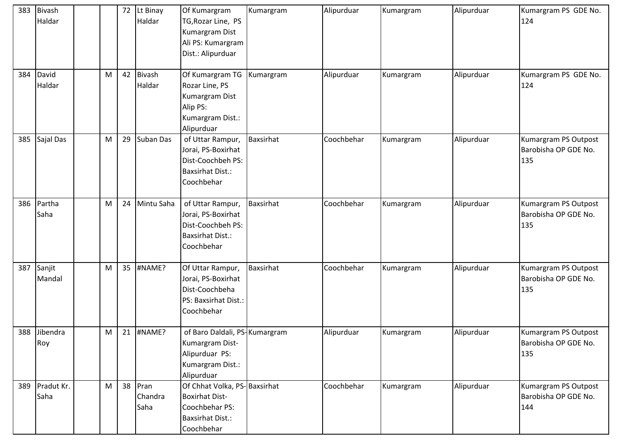| 383 | Bivash<br>Haldar   |   | 72 | Lt Binay<br>Haldar         | Of Kumargram<br>TG, Rozar Line, PS<br>Kumargram Dist<br>Ali PS: Kumargram<br>Dist.: Alipurduar                   | Kumargram        | Alipurduar | Kumargram | Alipurduar | Kumargram PS GDE No.<br>124                         |
|-----|--------------------|---|----|----------------------------|------------------------------------------------------------------------------------------------------------------|------------------|------------|-----------|------------|-----------------------------------------------------|
| 384 | David<br>Haldar    | M | 42 | <b>Bivash</b><br>Haldar    | Of Kumargram TG<br>Rozar Line, PS<br>Kumargram Dist<br>Alip PS:<br>Kumargram Dist.:<br>Alipurduar                | Kumargram        | Alipurduar | Kumargram | Alipurduar | Kumargram PS GDE No.<br>124                         |
| 385 | Sajal Das          | M | 29 | Suban Das                  | of Uttar Rampur,<br>Jorai, PS-Boxirhat<br>Dist-Coochbeh PS:<br><b>Baxsirhat Dist.:</b><br>Coochbehar             | Baxsirhat        | Coochbehar | Kumargram | Alipurduar | Kumargram PS Outpost<br>Barobisha OP GDE No.<br>135 |
| 386 | Partha<br>Saha     | M | 24 | Mintu Saha                 | of Uttar Rampur,<br>Jorai, PS-Boxirhat<br>Dist-Coochbeh PS:<br><b>Baxsirhat Dist.:</b><br>Coochbehar             | <b>Baxsirhat</b> | Coochbehar | Kumargram | Alipurduar | Kumargram PS Outpost<br>Barobisha OP GDE No.<br>135 |
| 387 | Sanjit<br>Mandal   | M | 35 | #NAME?                     | Of Uttar Rampur,<br>Jorai, PS-Boxirhat<br>Dist-Coochbeha<br>PS: Baxsirhat Dist.:<br>Coochbehar                   | Baxsirhat        | Coochbehar | Kumargram | Alipurduar | Kumargram PS Outpost<br>Barobisha OP GDE No.<br>135 |
| 388 | Jibendra<br>Roy    | M | 21 | #NAME?                     | of Baro Daldali, PS-Kumargram<br>Kumargram Dist-<br>Alipurduar PS:<br>Kumargram Dist.:<br>Alipurduar             |                  | Alipurduar | Kumargram | Alipurduar | Kumargram PS Outpost<br>Barobisha OP GDE No.<br>135 |
| 389 | Pradut Kr.<br>Saha | M |    | 38 Pran<br>Chandra<br>Saha | Of Chhat Volka, PS-Baxsirhat<br><b>Boxirhat Dist-</b><br>Coochbehar PS:<br><b>Baxsirhat Dist.:</b><br>Coochbehar |                  | Coochbehar | Kumargram | Alipurduar | Kumargram PS Outpost<br>Barobisha OP GDE No.<br>144 |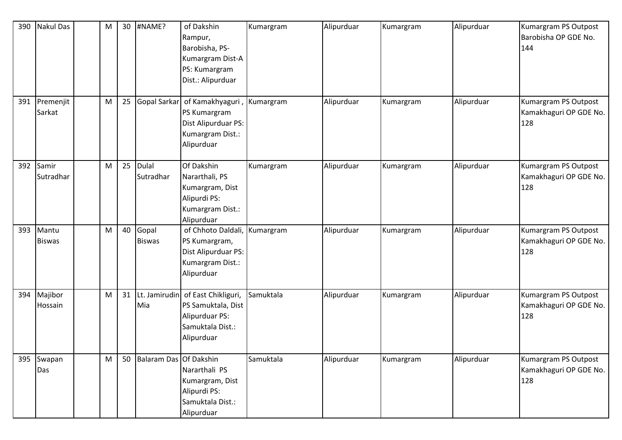| 390 | <b>Nakul Das</b>       | M | 30 | #NAME?                 | of Dakshin<br>Rampur,<br>Barobisha, PS-<br>Kumargram Dist-A<br>PS: Kumargram<br>Dist.: Alipurduar           | Kumargram | Alipurduar | Kumargram | Alipurduar | Kumargram PS Outpost<br>Barobisha OP GDE No.<br>144   |
|-----|------------------------|---|----|------------------------|-------------------------------------------------------------------------------------------------------------|-----------|------------|-----------|------------|-------------------------------------------------------|
| 391 | Premenjit<br>Sarkat    | M | 25 | Gopal Sarkar           | of Kamakhyaguri,<br>PS Kumargram<br>Dist Alipurduar PS:<br>Kumargram Dist.:<br>Alipurduar                   | Kumargram | Alipurduar | Kumargram | Alipurduar | Kumargram PS Outpost<br>Kamakhaguri OP GDE No.<br>128 |
| 392 | Samir<br>Sutradhar     | M | 25 | Dulal<br>Sutradhar     | Of Dakshin<br>Nararthali, PS<br>Kumargram, Dist<br>Alipurdi PS:<br>Kumargram Dist.:<br>Alipurduar           | Kumargram | Alipurduar | Kumargram | Alipurduar | Kumargram PS Outpost<br>Kamakhaguri OP GDE No.<br>128 |
| 393 | Mantu<br><b>Biswas</b> | M | 40 | Gopal<br><b>Biswas</b> | of Chhoto Daldali, Kumargram<br>PS Kumargram,<br>Dist Alipurduar PS:<br>Kumargram Dist.:<br>Alipurduar      |           | Alipurduar | Kumargram | Alipurduar | Kumargram PS Outpost<br>Kamakhaguri OP GDE No.<br>128 |
| 394 | Majibor<br>Hossain     | M | 31 | Mia                    | Lt. Jamirudin of East Chikliguri,<br>PS Samuktala, Dist<br>Alipurduar PS:<br>Samuktala Dist.:<br>Alipurduar | Samuktala | Alipurduar | Kumargram | Alipurduar | Kumargram PS Outpost<br>Kamakhaguri OP GDE No.<br>128 |
| 395 | Swapan<br>Das          | M | 50 | Balaram Das Of Dakshin | Nararthali PS<br>Kumargram, Dist<br>Alipurdi PS:<br>Samuktala Dist.:<br>Alipurduar                          | Samuktala | Alipurduar | Kumargram | Alipurduar | Kumargram PS Outpost<br>Kamakhaguri OP GDE No.<br>128 |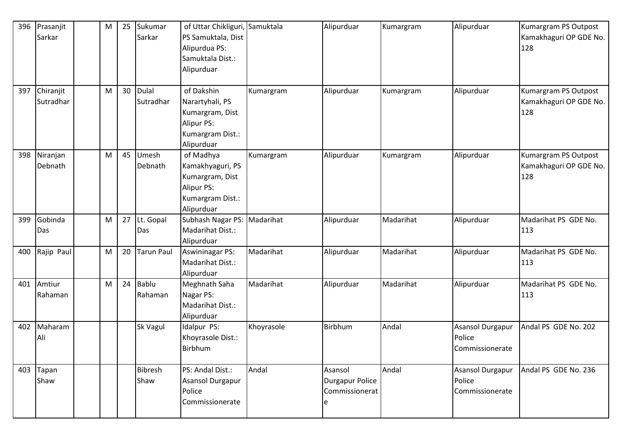| 396 | Prasanjit<br>Sarkar    | M | 25 | Sukumar<br>Sarkar         | of Uttar Chikliguri, Samuktala<br>PS Samuktala, Dist<br>Alipurdua PS:<br>Samuktala Dist.:<br>Alipurduar |            | Alipurduar                                               | Kumargram | Alipurduar                                           | Kumargram PS Outpost<br>Kamakhaguri OP GDE No.<br>128 |
|-----|------------------------|---|----|---------------------------|---------------------------------------------------------------------------------------------------------|------------|----------------------------------------------------------|-----------|------------------------------------------------------|-------------------------------------------------------|
| 397 | Chiranjit<br>Sutradhar | M | 30 | <b>Dulal</b><br>Sutradhar | of Dakshin<br>Narartyhali, PS<br>Kumargram, Dist<br>Alipur PS:<br>Kumargram Dist.:<br>Alipurduar        | Kumargram  | Alipurduar                                               | Kumargram | Alipurduar                                           | Kumargram PS Outpost<br>Kamakhaguri OP GDE No.<br>128 |
| 398 | Niranjan<br>Debnath    | M | 45 | Umesh<br>Debnath          | of Madhya<br>Kamakhyaguri, PS<br>Kumargram, Dist<br>Alipur PS:<br>Kumargram Dist.:<br>Alipurduar        | Kumargram  | Alipurduar                                               | Kumargram | Alipurduar                                           | Kumargram PS Outpost<br>Kamakhaguri OP GDE No.<br>128 |
| 399 | Gobinda<br>Das         | M | 27 | Lt. Gopal<br>Das          | Subhash Nagar PS: Madarihat<br>Madarihat Dist.:<br>Alipurduar                                           |            | Alipurduar                                               | Madarihat | Alipurduar                                           | Madarihat PS GDE No.<br>113                           |
| 400 | Rajip Paul             | М | 20 | <b>Tarun Paul</b>         | <b>Aswininagar PS:</b><br>Madarihat Dist.:<br>Alipurduar                                                | Madarihat  | Alipurduar                                               | Madarihat | Alipurduar                                           | Madarihat PS GDE No.<br>113                           |
| 401 | Amtiur<br>Rahaman      | M | 24 | <b>Bablu</b><br>Rahaman   | Meghnath Saha<br>Nagar PS:<br>Madarihat Dist.:<br>Alipurduar                                            | Madarihat  | Alipurduar                                               | Madarihat | Alipurduar                                           | Madarihat PS GDE No.<br>113                           |
| 402 | Maharam<br>Ali         |   |    | Sk Vagul                  | Idalpur PS:<br>Khoyrasole Dist.:<br>Birbhum                                                             | Khoyrasole | Birbhum                                                  | Andal     | Asansol Durgapur<br>Police<br>Commissionerate        | Andal PS GDE No. 202                                  |
| 403 | Tapan<br>Shaw          |   |    | <b>Bibresh</b><br>Shaw    | PS: Andal Dist.:<br>Asansol Durgapur<br>Police<br>Commissionerate                                       | Andal      | Asansol<br><b>Durgapur Police</b><br>Commissionerat<br>e | Andal     | <b>Asansol Durgapur</b><br>Police<br>Commissionerate | Andal PS GDE No. 236                                  |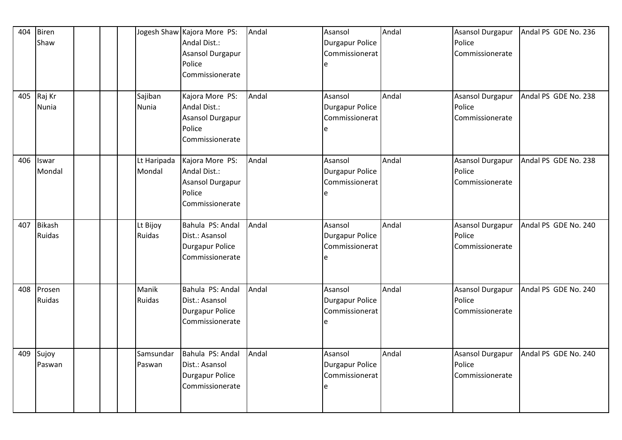| 404<br>405 | Biren<br>Shaw<br>Raj Kr<br>Nunia |  | Sajiban<br>Nunia      | Jogesh Shaw Kajora More PS:<br>Andal Dist.:<br>Asansol Durgapur<br>Police<br>Commissionerate<br>Kajora More PS:<br>Andal Dist.:<br>Asansol Durgapur<br>Police | Andal<br>Andal | Asansol<br><b>Durgapur Police</b><br>Commissionerat<br>e<br>Asansol<br><b>Durgapur Police</b><br>Commissionerat<br>e | Andal<br>Andal | <b>Asansol Durgapur</b><br>Police<br>Commissionerate<br><b>Asansol Durgapur</b><br>Police<br>Commissionerate | Andal PS GDE No. 236<br>Andal PS GDE No. 238 |
|------------|----------------------------------|--|-----------------------|---------------------------------------------------------------------------------------------------------------------------------------------------------------|----------------|----------------------------------------------------------------------------------------------------------------------|----------------|--------------------------------------------------------------------------------------------------------------|----------------------------------------------|
|            |                                  |  |                       | Commissionerate                                                                                                                                               |                |                                                                                                                      |                |                                                                                                              |                                              |
| 406        | Iswar<br>Mondal                  |  | Lt Haripada<br>Mondal | Kajora More PS:<br>Andal Dist.:<br>Asansol Durgapur<br>Police<br>Commissionerate                                                                              | Andal          | Asansol<br><b>Durgapur Police</b><br>Commissionerat<br>е                                                             | Andal          | <b>Asansol Durgapur</b><br>Police<br>Commissionerate                                                         | Andal PS GDE No. 238                         |
| 407        | <b>Bikash</b><br>Ruidas          |  | Lt Bijoy<br>Ruidas    | Bahula PS: Andal<br>Dist.: Asansol<br>Durgapur Police<br>Commissionerate                                                                                      | Andal          | Asansol<br><b>Durgapur Police</b><br>Commissionerat<br>e                                                             | Andal          | <b>Asansol Durgapur</b><br>Police<br>Commissionerate                                                         | Andal PS GDE No. 240                         |
| 408        | Prosen<br>Ruidas                 |  | Manik<br>Ruidas       | Bahula PS: Andal<br>Dist.: Asansol<br><b>Durgapur Police</b><br>Commissionerate                                                                               | Andal          | Asansol<br><b>Durgapur Police</b><br>Commissionerat<br>e                                                             | Andal          | <b>Asansol Durgapur</b><br>Police<br>Commissionerate                                                         | Andal PS GDE No. 240                         |
| 409        | Sujoy<br>Paswan                  |  | Samsundar<br>Paswan   | Bahula PS: Andal<br>Dist.: Asansol<br><b>Durgapur Police</b><br>Commissionerate                                                                               | Andal          | Asansol<br><b>Durgapur Police</b><br>Commissionerat<br>e                                                             | Andal          | <b>Asansol Durgapur</b><br>Police<br>Commissionerate                                                         | Andal PS GDE No. 240                         |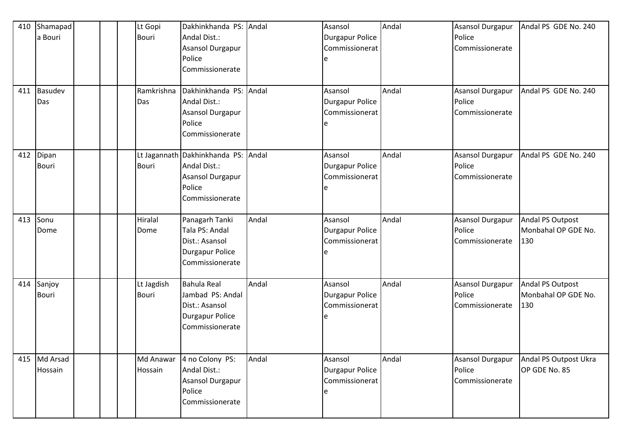| 410<br>411 | Shamapad<br>a Bouri<br>Basudev |  | Lt Gopi<br><b>Bouri</b><br>Ramkrishna | Dakhinkhanda PS: Andal<br>Andal Dist.:<br>Asansol Durgapur<br>Police<br>Commissionerate<br>Dakhinkhanda PS: Andal |       | Asansol<br><b>Durgapur Police</b><br>Commissionerat<br>Asansol | Andal<br>Andal | <b>Asansol Durgapur</b><br>Police<br>Commissionerate<br><b>Asansol Durgapur</b> | Andal PS GDE No. 240<br>Andal PS GDE No. 240   |
|------------|--------------------------------|--|---------------------------------------|-------------------------------------------------------------------------------------------------------------------|-------|----------------------------------------------------------------|----------------|---------------------------------------------------------------------------------|------------------------------------------------|
|            | Das                            |  | Das                                   | Andal Dist.:<br>Asansol Durgapur<br>Police<br>Commissionerate                                                     |       | <b>Durgapur Police</b><br>Commissionerat                       |                | Police<br>Commissionerate                                                       |                                                |
| 412        | Dipan<br><b>Bouri</b>          |  | <b>Bouri</b>                          | Lt Jagannath Dakhinkhanda PS: Andal<br>Andal Dist.:<br>Asansol Durgapur<br>Police<br>Commissionerate              |       | Asansol<br><b>Durgapur Police</b><br>Commissionerat            | Andal          | Asansol Durgapur<br>Police<br>Commissionerate                                   | Andal PS GDE No. 240                           |
| 413        | Sonu<br>Dome                   |  | Hiralal<br>Dome                       | Panagarh Tanki<br>Tala PS: Andal<br>Dist.: Asansol<br><b>Durgapur Police</b><br>Commissionerate                   | Andal | Asansol<br>Durgapur Police<br>Commissionerat                   | Andal          | Asansol Durgapur<br>Police<br>Commissionerate                                   | Andal PS Outpost<br>Monbahal OP GDE No.<br>130 |
| 414        | Sanjoy<br><b>Bouri</b>         |  | Lt Jagdish<br><b>Bouri</b>            | <b>Bahula Real</b><br>Jambad PS: Andal<br>Dist.: Asansol<br><b>Durgapur Police</b><br>Commissionerate             | Andal | Asansol<br><b>Durgapur Police</b><br>Commissionerat            | Andal          | Asansol Durgapur<br>Police<br>Commissionerate                                   | Andal PS Outpost<br>Monbahal OP GDE No.<br>130 |
| 415        | Md Arsad<br>Hossain            |  | Md Anawar<br>Hossain                  | 4 no Colony PS:<br>Andal Dist.:<br>Asansol Durgapur<br>Police<br>Commissionerate                                  | Andal | Asansol<br><b>Durgapur Police</b><br>Commissionerat            | Andal          | Asansol Durgapur<br>Police<br>Commissionerate                                   | Andal PS Outpost Ukra<br>OP GDE No. 85         |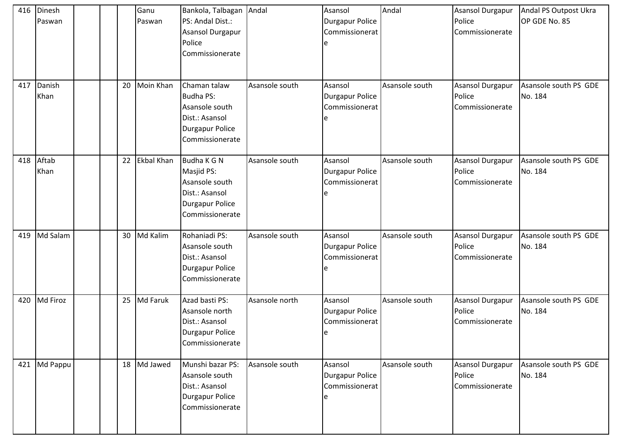| 416<br>417 | Dinesh<br>Paswan<br>Danish |  | 20 | Ganu<br>Paswan<br>Moin Khan | Bankola, Talbagan Andal<br>PS: Andal Dist.:<br>Asansol Durgapur<br>Police<br>Commissionerate<br>Chaman talaw | Asansole south | Asansol<br>Durgapur Police<br>Commissionerat<br>Asansol | Andal<br>Asansole south | Asansol Durgapur<br>Police<br>Commissionerate<br>Asansol Durgapur | Andal PS Outpost Ukra<br>OP GDE No. 85<br>Asansole south PS GDE |
|------------|----------------------------|--|----|-----------------------------|--------------------------------------------------------------------------------------------------------------|----------------|---------------------------------------------------------|-------------------------|-------------------------------------------------------------------|-----------------------------------------------------------------|
|            | Khan                       |  |    |                             | <b>Budha PS:</b><br>Asansole south<br>Dist.: Asansol<br><b>Durgapur Police</b><br>Commissionerate            |                | Durgapur Police<br>Commissionerat                       |                         | Police<br>Commissionerate                                         | No. 184                                                         |
| 418        | Aftab<br>Khan              |  | 22 | <b>Ekbal Khan</b>           | Budha K G N<br>Masjid PS:<br>Asansole south<br>Dist.: Asansol<br><b>Durgapur Police</b><br>Commissionerate   | Asansole south | Asansol<br>Durgapur Police<br>Commissionerat            | Asansole south          | Asansol Durgapur<br>Police<br>Commissionerate                     | Asansole south PS GDE<br>No. 184                                |
| 419        | Md Salam                   |  | 30 | Md Kalim                    | Rohaniadi PS:<br>Asansole south<br>Dist.: Asansol<br><b>Durgapur Police</b><br>Commissionerate               | Asansole south | Asansol<br>Durgapur Police<br>Commissionerat            | Asansole south          | <b>Asansol Durgapur</b><br>Police<br>Commissionerate              | Asansole south PS GDE<br>No. 184                                |
| 420        | Md Firoz                   |  | 25 | Md Faruk                    | Azad basti PS:<br>Asansole north<br>Dist.: Asansol<br><b>Durgapur Police</b><br>Commissionerate              | Asansole north | Asansol<br>Durgapur Police<br>Commissionerat<br>le      | Asansole south          | Asansol Durgapur<br>Police<br>Commissionerate                     | Asansole south PS GDE<br>No. 184                                |
| 421        | Md Pappu                   |  |    | 18 Md Jawed                 | Munshi bazar PS:<br>Asansole south<br>Dist.: Asansol<br>Durgapur Police<br>Commissionerate                   | Asansole south | Asansol<br><b>Durgapur Police</b><br>Commissionerat     | Asansole south          | <b>Asansol Durgapur</b><br>Police<br>Commissionerate              | Asansole south PS GDE<br>No. 184                                |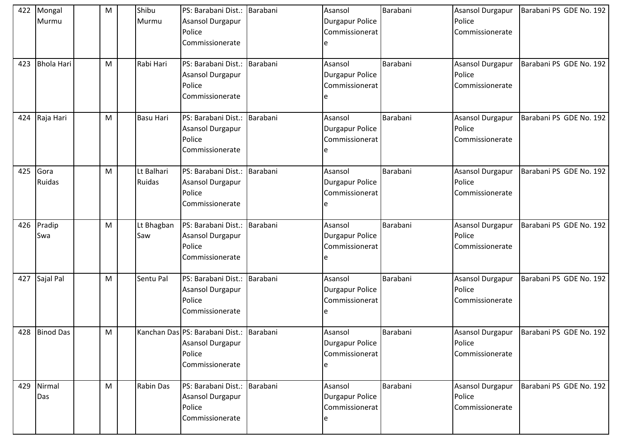| 422 | Mongal<br>Murmu   | M | Shibu<br>Murmu       | PS: Barabani Dist.: Barabani<br>Asansol Durgapur<br>Police<br>Commissionerate             |          | Asansol<br><b>Durgapur Police</b><br>Commissionerat<br>e | Barabani | <b>Asansol Durgapur</b><br>Police<br>Commissionerate | Barabani PS GDE No. 192                    |
|-----|-------------------|---|----------------------|-------------------------------------------------------------------------------------------|----------|----------------------------------------------------------|----------|------------------------------------------------------|--------------------------------------------|
| 423 | <b>Bhola Hari</b> | M | Rabi Hari            | PS: Barabani Dist.:<br>Asansol Durgapur<br>Police<br>Commissionerate                      | Barabani | Asansol<br>Durgapur Police<br>Commissionerat             | Barabani | <b>Asansol Durgapur</b><br>Police<br>Commissionerate | Barabani PS GDE No. 192                    |
| 424 | Raja Hari         | M | <b>Basu Hari</b>     | PS: Barabani Dist.:<br>Asansol Durgapur<br>Police<br>Commissionerate                      | Barabani | Asansol<br>Durgapur Police<br>Commissionerat             | Barabani | <b>Asansol Durgapur</b><br>Police<br>Commissionerate | Barabani PS GDE No. 192                    |
| 425 | Gora<br>Ruidas    | M | Lt Balhari<br>Ruidas | PS: Barabani Dist.:<br>Asansol Durgapur<br>Police<br>Commissionerate                      | Barabani | Asansol<br>Durgapur Police<br>Commissionerat             | Barabani | <b>Asansol Durgapur</b><br>Police<br>Commissionerate | Barabani PS GDE No. 192                    |
| 426 | Pradip<br>Swa     | M | Lt Bhagban<br>Saw    | PS: Barabani Dist.:<br>Asansol Durgapur<br>Police<br>Commissionerate                      | Barabani | Asansol<br>Durgapur Police<br>Commissionerat             | Barabani | Asansol Durgapur<br>Police<br>Commissionerate        | Barabani PS GDE No. 192                    |
| 427 | Sajal Pal         | M | Sentu Pal            | PS: Barabani Dist.:<br>Asansol Durgapur<br>Police<br>Commissionerate                      | Barabani | Asansol<br>Durgapur Police<br>Commissionerat             | Barabani | <b>Asansol Durgapur</b><br>Police<br>Commissionerate | Barabani PS GDE No. 192                    |
|     | 428 Binod Das     | M |                      | Kanchan Das PS: Barabani Dist.: Barabani<br>Asansol Durgapur<br>Police<br>Commissionerate |          | Asansol<br>Durgapur Police<br>Commissionerat<br>e        | Barabani | Police<br>Commissionerate                            | Asansol Durgapur   Barabani PS GDE No. 192 |
| 429 | Nirmal<br>Das     | M | Rabin Das            | PS: Barabani Dist.:<br>Asansol Durgapur<br>Police<br>Commissionerate                      | Barabani | Asansol<br>Durgapur Police<br>Commissionerat<br>e        | Barabani | Asansol Durgapur<br>Police<br>Commissionerate        | Barabani PS GDE No. 192                    |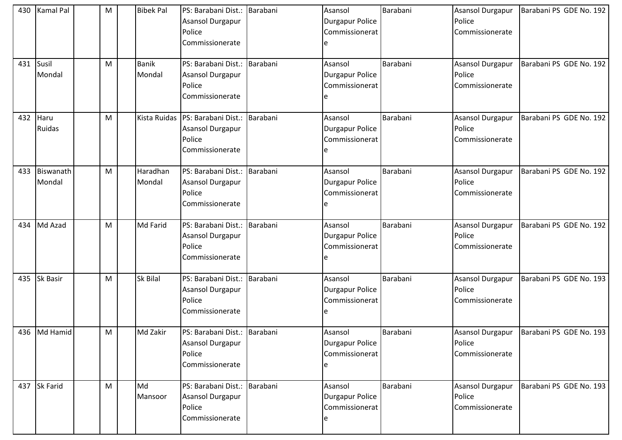| 430 | Kamal Pal           | M | <b>Bibek Pal</b>       | PS: Barabani Dist.: Barabani<br>Asansol Durgapur<br>Police<br>Commissionerate |          | Asansol<br><b>Durgapur Police</b><br>Commissionerat | Barabani | <b>Asansol Durgapur</b><br>Police<br>Commissionerate | Barabani PS GDE No. 192 |
|-----|---------------------|---|------------------------|-------------------------------------------------------------------------------|----------|-----------------------------------------------------|----------|------------------------------------------------------|-------------------------|
| 431 | Susil<br>Mondal     | M | <b>Banik</b><br>Mondal | PS: Barabani Dist.: Barabani<br>Asansol Durgapur<br>Police<br>Commissionerate |          | Asansol<br><b>Durgapur Police</b><br>Commissionerat | Barabani | <b>Asansol Durgapur</b><br>Police<br>Commissionerate | Barabani PS GDE No. 192 |
| 432 | Haru<br>Ruidas      | M | Kista Ruidas           | PS: Barabani Dist.:<br>Asansol Durgapur<br>Police<br>Commissionerate          | Barabani | Asansol<br><b>Durgapur Police</b><br>Commissionerat | Barabani | <b>Asansol Durgapur</b><br>Police<br>Commissionerate | Barabani PS GDE No. 192 |
| 433 | Biswanath<br>Mondal | M | Haradhan<br>Mondal     | PS: Barabani Dist.:<br>Asansol Durgapur<br>Police<br>Commissionerate          | Barabani | Asansol<br><b>Durgapur Police</b><br>Commissionerat | Barabani | <b>Asansol Durgapur</b><br>Police<br>Commissionerate | Barabani PS GDE No. 192 |
| 434 | Md Azad             | M | Md Farid               | PS: Barabani Dist.:<br>Asansol Durgapur<br>Police<br>Commissionerate          | Barabani | Asansol<br>Durgapur Police<br>Commissionerat        | Barabani | <b>Asansol Durgapur</b><br>Police<br>Commissionerate | Barabani PS GDE No. 192 |
| 435 | Sk Basir            | M | <b>Sk Bilal</b>        | PS: Barabani Dist.: Barabani<br>Asansol Durgapur<br>Police<br>Commissionerate |          | Asansol<br><b>Durgapur Police</b><br>Commissionerat | Barabani | Asansol Durgapur<br>Police<br>Commissionerate        | Barabani PS GDE No. 193 |
|     | 436 Md Hamid        | M | Md Zakir               | PS: Barabani Dist.: Barabani<br>Asansol Durgapur<br>Police<br>Commissionerate |          | Asansol<br>Durgapur Police<br>Commissionerat<br>e   | Barabani | Asansol Durgapur<br>Police<br>Commissionerate        | Barabani PS GDE No. 193 |
|     | 437 Sk Farid        | M | Md<br>Mansoor          | PS: Barabani Dist.: Barabani<br>Asansol Durgapur<br>Police<br>Commissionerate |          | Asansol<br><b>Durgapur Police</b><br>Commissionerat | Barabani | Asansol Durgapur<br>Police<br>Commissionerate        | Barabani PS GDE No. 193 |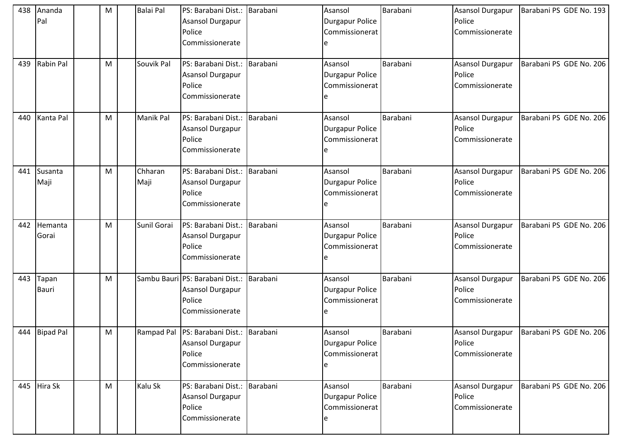| 438 | Ananda<br>Pal         | M | <b>Balai Pal</b> | PS: Barabani Dist.: Barabani<br>Asansol Durgapur<br>Police<br>Commissionerate             |          | Asansol<br><b>Durgapur Police</b><br>Commissionerat<br>e  | Barabani | <b>Asansol Durgapur</b><br>Police<br>Commissionerate | Barabani PS GDE No. 193 |
|-----|-----------------------|---|------------------|-------------------------------------------------------------------------------------------|----------|-----------------------------------------------------------|----------|------------------------------------------------------|-------------------------|
| 439 | Rabin Pal             | M | Souvik Pal       | PS: Barabani Dist.: Barabani<br>Asansol Durgapur<br>Police<br>Commissionerate             |          | Asansol<br><b>Durgapur Police</b><br>Commissionerat       | Barabani | Asansol Durgapur<br>Police<br>Commissionerate        | Barabani PS GDE No. 206 |
| 440 | Kanta Pal             | M | Manik Pal        | PS: Barabani Dist.:<br>Asansol Durgapur<br>Police<br>Commissionerate                      | Barabani | Asansol<br><b>Durgapur Police</b><br>Commissionerat       | Barabani | Asansol Durgapur<br>Police<br>Commissionerate        | Barabani PS GDE No. 206 |
| 441 | Susanta<br>Maji       | M | Chharan<br>Maji  | PS: Barabani Dist.:<br>Asansol Durgapur<br>Police<br>Commissionerate                      | Barabani | Asansol<br><b>Durgapur Police</b><br>Commissionerat       | Barabani | Asansol Durgapur<br>Police<br>Commissionerate        | Barabani PS GDE No. 206 |
| 442 | Hemanta<br>Gorai      | M | Sunil Gorai      | PS: Barabani Dist.:<br>Asansol Durgapur<br>Police<br>Commissionerate                      | Barabani | Asansol<br><b>Durgapur Police</b><br>Commissionerat       | Barabani | Asansol Durgapur<br>Police<br>Commissionerate        | Barabani PS GDE No. 206 |
| 443 | Tapan<br><b>Bauri</b> | M |                  | Sambu Bauri PS: Barabani Dist.: Barabani<br>Asansol Durgapur<br>Police<br>Commissionerate |          | Asansol<br><b>Durgapur Police</b><br>Commissionerat<br>e  | Barabani | <b>Asansol Durgapur</b><br>Police<br>Commissionerate | Barabani PS GDE No. 206 |
|     | 444 Bipad Pal         | M |                  | Rampad Pal PS: Barabani Dist.: Barabani<br>Asansol Durgapur<br>Police<br>Commissionerate  |          | Asansol<br><b>Durgapur Police</b><br>Commissionerat<br>e  | Barabani | Asansol Durgapur<br>Police<br>Commissionerate        | Barabani PS GDE No. 206 |
|     | 445 Hira Sk           | M | Kalu Sk          | PS: Barabani Dist.: Barabani<br>Asansol Durgapur<br>Police<br>Commissionerate             |          | Asansol<br><b>Durgapur Police</b><br>Commissionerat<br>ıе | Barabani | Asansol Durgapur<br>Police<br>Commissionerate        | Barabani PS GDE No. 206 |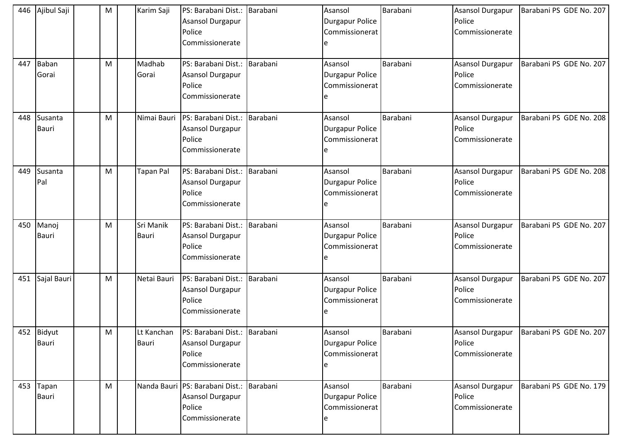| 446 | Ajibul Saji                | M | Karim Saji          | PS: Barabani Dist.: Barabani<br>Asansol Durgapur<br>Police<br>Commissionerate    |          | Asansol<br><b>Durgapur Police</b><br>Commissionerat<br>e  | Barabani | <b>Asansol Durgapur</b><br>Police<br>Commissionerate | Barabani PS GDE No. 207 |
|-----|----------------------------|---|---------------------|----------------------------------------------------------------------------------|----------|-----------------------------------------------------------|----------|------------------------------------------------------|-------------------------|
| 447 | Baban<br>Gorai             | M | Madhab<br>Gorai     | PS: Barabani Dist.: Barabani<br>Asansol Durgapur<br>Police<br>Commissionerate    |          | Asansol<br><b>Durgapur Police</b><br>Commissionerat       | Barabani | Asansol Durgapur<br>Police<br>Commissionerate        | Barabani PS GDE No. 207 |
| 448 | Susanta<br>Bauri           | M | Nimai Bauri         | PS: Barabani Dist.:<br>Asansol Durgapur<br>Police<br>Commissionerate             | Barabani | Asansol<br><b>Durgapur Police</b><br>Commissionerat       | Barabani | Asansol Durgapur<br>Police<br>Commissionerate        | Barabani PS GDE No. 208 |
| 449 | Susanta<br>Pal             | M | <b>Tapan Pal</b>    | PS: Barabani Dist.:<br>Asansol Durgapur<br>Police<br>Commissionerate             | Barabani | Asansol<br><b>Durgapur Police</b><br>Commissionerat       | Barabani | Asansol Durgapur<br>Police<br>Commissionerate        | Barabani PS GDE No. 208 |
| 450 | Manoj<br>Bauri             | M | Sri Manik<br>Bauri  | PS: Barabani Dist.:<br>Asansol Durgapur<br>Police<br>Commissionerate             | Barabani | Asansol<br><b>Durgapur Police</b><br>Commissionerat       | Barabani | Asansol Durgapur<br>Police<br>Commissionerate        | Barabani PS GDE No. 207 |
| 451 | Sajal Bauri                | M | Netai Bauri         | PS: Barabani Dist.: Barabani<br>Asansol Durgapur<br>Police<br>Commissionerate    |          | Asansol<br><b>Durgapur Police</b><br>Commissionerat<br>e  | Barabani | <b>Asansol Durgapur</b><br>Police<br>Commissionerate | Barabani PS GDE No. 207 |
|     | 452 Bidyut<br><b>Bauri</b> | M | Lt Kanchan<br>Bauri | PS: Barabani Dist.: Barabani<br>Asansol Durgapur<br>Police<br>Commissionerate    |          | Asansol<br><b>Durgapur Police</b><br>Commissionerat<br>e  | Barabani | Asansol Durgapur<br>Police<br>Commissionerate        | Barabani PS GDE No. 207 |
|     | 453 Tapan<br>Bauri         | M |                     | Nanda Bauri PS: Barabani Dist.:<br>Asansol Durgapur<br>Police<br>Commissionerate | Barabani | Asansol<br><b>Durgapur Police</b><br>Commissionerat<br>ıе | Barabani | Asansol Durgapur<br>Police<br>Commissionerate        | Barabani PS GDE No. 179 |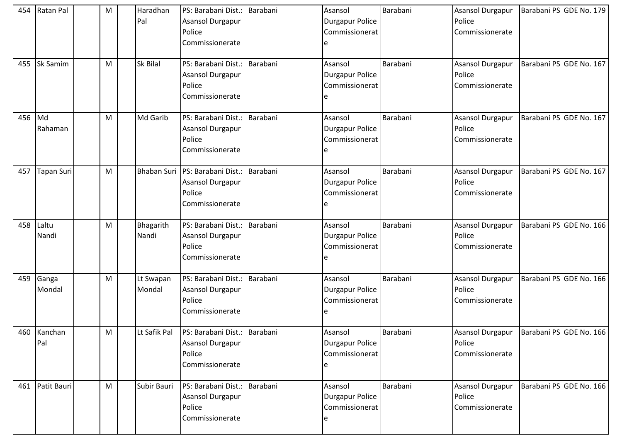| 454 | Ratan Pal          | M | Haradhan<br>Pal     | PS: Barabani Dist.: Barabani<br>Asansol Durgapur<br>Police<br>Commissionerate |          | Asansol<br><b>Durgapur Police</b><br>Commissionerat<br>e | Barabani | <b>Asansol Durgapur</b><br>Police<br>Commissionerate | Barabani PS GDE No. 179                    |
|-----|--------------------|---|---------------------|-------------------------------------------------------------------------------|----------|----------------------------------------------------------|----------|------------------------------------------------------|--------------------------------------------|
| 455 | <b>Sk Samim</b>    | M | Sk Bilal            | PS: Barabani Dist.:<br>Asansol Durgapur<br>Police<br>Commissionerate          | Barabani | Asansol<br>Durgapur Police<br>Commissionerat             | Barabani | <b>Asansol Durgapur</b><br>Police<br>Commissionerate | Barabani PS GDE No. 167                    |
| 456 | Md<br>Rahaman      | M | Md Garib            | PS: Barabani Dist.:<br>Asansol Durgapur<br>Police<br>Commissionerate          | Barabani | Asansol<br>Durgapur Police<br>Commissionerat             | Barabani | <b>Asansol Durgapur</b><br>Police<br>Commissionerate | Barabani PS GDE No. 167                    |
| 457 | Tapan Suri         | M | <b>Bhaban Suri</b>  | PS: Barabani Dist.:<br>Asansol Durgapur<br>Police<br>Commissionerate          | Barabani | Asansol<br>Durgapur Police<br>Commissionerat             | Barabani | <b>Asansol Durgapur</b><br>Police<br>Commissionerate | Barabani PS GDE No. 167                    |
| 458 | Laltu<br>Nandi     | M | Bhagarith<br>Nandi  | PS: Barabani Dist.:<br>Asansol Durgapur<br>Police<br>Commissionerate          | Barabani | Asansol<br>Durgapur Police<br>Commissionerat             | Barabani | Asansol Durgapur<br>Police<br>Commissionerate        | Barabani PS GDE No. 166                    |
| 459 | Ganga<br>Mondal    | M | Lt Swapan<br>Mondal | PS: Barabani Dist.:<br>Asansol Durgapur<br>Police<br>Commissionerate          | Barabani | Asansol<br>Durgapur Police<br>Commissionerat             | Barabani | <b>Asansol Durgapur</b><br>Police<br>Commissionerate | Barabani PS GDE No. 166                    |
|     | 460 Kanchan<br>Pal | M | Lt Safik Pal        | PS: Barabani Dist.: Barabani<br>Asansol Durgapur<br>Police<br>Commissionerate |          | Asansol<br>Durgapur Police<br>Commissionerat<br>e        | Barabani | Police<br>Commissionerate                            | Asansol Durgapur   Barabani PS GDE No. 166 |
| 461 | Patit Bauri        | M | Subir Bauri         | PS: Barabani Dist.:<br>Asansol Durgapur<br>Police<br>Commissionerate          | Barabani | Asansol<br>Durgapur Police<br>Commissionerat<br>e        | Barabani | Asansol Durgapur<br>Police<br>Commissionerate        | Barabani PS GDE No. 166                    |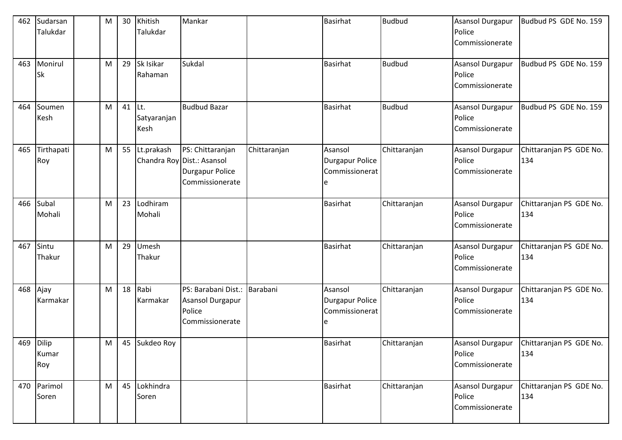| 462 | Sudarsan<br>Talukdar  | M | 30 | Khitish<br>Talukdar         | Mankar                                                                                      |              | <b>Basirhat</b>                                     | <b>Budbud</b> | Asansol Durgapur<br>Police<br>Commissionerate        | Budbud PS GDE No. 159          |
|-----|-----------------------|---|----|-----------------------------|---------------------------------------------------------------------------------------------|--------------|-----------------------------------------------------|---------------|------------------------------------------------------|--------------------------------|
| 463 | Monirul<br><b>Sk</b>  | M | 29 | Sk Isikar<br>Rahaman        | Sukdal                                                                                      |              | Basirhat                                            | <b>Budbud</b> | Asansol Durgapur<br>Police<br>Commissionerate        | Budbud PS GDE No. 159          |
| 464 | Soumen<br>Kesh        | M | 41 | ILt.<br>Satyaranjan<br>Kesh | <b>Budbud Bazar</b>                                                                         |              | <b>Basirhat</b>                                     | <b>Budbud</b> | <b>Asansol Durgapur</b><br>Police<br>Commissionerate | Budbud PS GDE No. 159          |
| 465 | Tirthapati<br>Roy     | M | 55 | Lt.prakash                  | PS: Chittaranjan<br>Chandra Roy Dist.: Asansol<br><b>Durgapur Police</b><br>Commissionerate | Chittaranjan | Asansol<br><b>Durgapur Police</b><br>Commissionerat | Chittaranjan  | <b>Asansol Durgapur</b><br>Police<br>Commissionerate | Chittaranjan PS GDE No.<br>134 |
| 466 | Subal<br>Mohali       | M | 23 | Lodhiram<br>Mohali          |                                                                                             |              | <b>Basirhat</b>                                     | Chittaranjan  | Asansol Durgapur<br>Police<br>Commissionerate        | Chittaranjan PS GDE No.<br>134 |
| 467 | Sintu<br>Thakur       | M | 29 | Umesh<br>Thakur             |                                                                                             |              | <b>Basirhat</b>                                     | Chittaranjan  | Asansol Durgapur<br>Police<br>Commissionerate        | Chittaranjan PS GDE No.<br>134 |
| 468 | Ajay<br>Karmakar      | M | 18 | Rabi<br>Karmakar            | PS: Barabani Dist.:<br>Asansol Durgapur<br>Police<br>Commissionerate                        | Barabani     | Asansol<br><b>Durgapur Police</b><br>Commissionerat | Chittaranjan  | <b>Asansol Durgapur</b><br>Police<br>Commissionerate | Chittaranjan PS GDE No.<br>134 |
| 469 | Dilip<br>Kumar<br>Roy | M | 45 | Sukdeo Roy                  |                                                                                             |              | Basirhat                                            | Chittaranjan  | <b>Asansol Durgapur</b><br>Police<br>Commissionerate | Chittaranjan PS GDE No.<br>134 |
| 470 | Parimol<br>Soren      | M | 45 | Lokhindra<br>Soren          |                                                                                             |              | Basirhat                                            | Chittaranjan  | Asansol Durgapur<br>Police<br>Commissionerate        | Chittaranjan PS GDE No.<br>134 |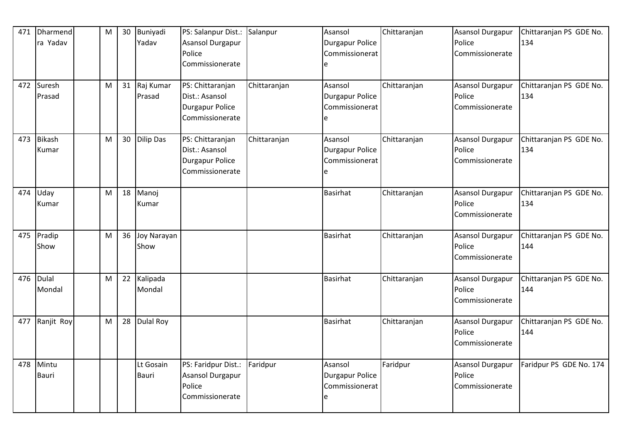| 471 | Dharmend<br>ra Yadav  | ${\sf M}$ | 30 | Buniyadi<br>Yadav   | PS: Salanpur Dist.:<br>Asansol Durgapur<br>Police<br>Commissionerate            | Salanpur     | Asansol<br><b>Durgapur Police</b><br>Commissionerat<br>e | Chittaranjan | <b>Asansol Durgapur</b><br>Police<br>Commissionerate | Chittaranjan PS GDE No.<br>134 |
|-----|-----------------------|-----------|----|---------------------|---------------------------------------------------------------------------------|--------------|----------------------------------------------------------|--------------|------------------------------------------------------|--------------------------------|
| 472 | Suresh<br>Prasad      | M         | 31 | Raj Kumar<br>Prasad | PS: Chittaranjan<br>Dist.: Asansol<br><b>Durgapur Police</b><br>Commissionerate | Chittaranjan | Asansol<br>Durgapur Police<br>Commissionerat<br>e        | Chittaranjan | <b>Asansol Durgapur</b><br>Police<br>Commissionerate | Chittaranjan PS GDE No.<br>134 |
| 473 | Bikash<br>Kumar       | M         | 30 | Dilip Das           | PS: Chittaranjan<br>Dist.: Asansol<br><b>Durgapur Police</b><br>Commissionerate | Chittaranjan | Asansol<br><b>Durgapur Police</b><br>Commissionerat<br>e | Chittaranjan | <b>Asansol Durgapur</b><br>Police<br>Commissionerate | Chittaranjan PS GDE No.<br>134 |
| 474 | Uday<br>Kumar         | M         | 18 | Manoj<br>Kumar      |                                                                                 |              | <b>Basirhat</b>                                          | Chittaranjan | <b>Asansol Durgapur</b><br>Police<br>Commissionerate | Chittaranjan PS GDE No.<br>134 |
| 475 | Pradip<br>Show        | M         | 36 | Joy Narayan<br>Show |                                                                                 |              | <b>Basirhat</b>                                          | Chittaranjan | <b>Asansol Durgapur</b><br>Police<br>Commissionerate | Chittaranjan PS GDE No.<br>144 |
| 476 | Dulal<br>Mondal       | M         | 22 | Kalipada<br>Mondal  |                                                                                 |              | <b>Basirhat</b>                                          | Chittaranjan | <b>Asansol Durgapur</b><br>Police<br>Commissionerate | Chittaranjan PS GDE No.<br>144 |
| 477 | Ranjit Roy            | M         | 28 | <b>Dulal Roy</b>    |                                                                                 |              | <b>Basirhat</b>                                          | Chittaranjan | <b>Asansol Durgapur</b><br>Police<br>Commissionerate | Chittaranjan PS GDE No.<br>144 |
| 478 | Mintu<br><b>Bauri</b> |           |    | Lt Gosain<br>Bauri  | PS: Faridpur Dist.:<br>Asansol Durgapur<br>Police<br>Commissionerate            | Faridpur     | Asansol<br><b>Durgapur Police</b><br>Commissionerat<br>e | Faridpur     | <b>Asansol Durgapur</b><br>Police<br>Commissionerate | Faridpur PS GDE No. 174        |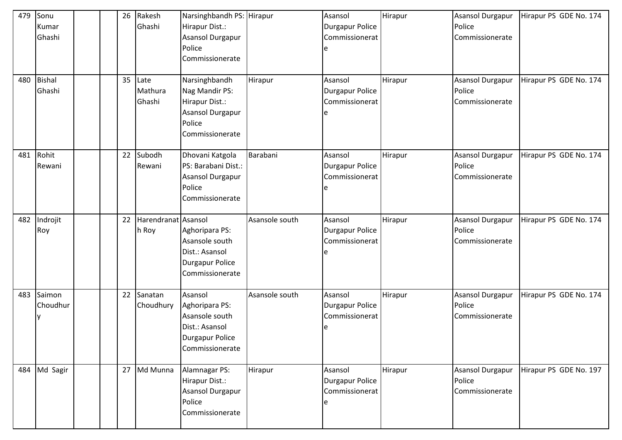| 479<br>480 | Sonu<br>Kumar<br>Ghashi<br><b>Bishal</b> |  | 26<br>35 | Rakesh<br>Ghashi<br>Late     | Narsinghbandh PS: Hirapur<br>Hirapur Dist.:<br>Asansol Durgapur<br>Police<br>Commissionerate<br>Narsinghbandh | Hirapur        | Asansol<br><b>Durgapur Police</b><br>Commissionerat<br>e<br>Asansol | Hirapur<br>Hirapur | <b>Asansol Durgapur</b><br>Police<br>Commissionerate<br><b>Asansol Durgapur</b> | Hirapur PS GDE No. 174<br>Hirapur PS GDE No. 174 |
|------------|------------------------------------------|--|----------|------------------------------|---------------------------------------------------------------------------------------------------------------|----------------|---------------------------------------------------------------------|--------------------|---------------------------------------------------------------------------------|--------------------------------------------------|
|            | Ghashi                                   |  |          | Mathura<br>Ghashi            | Nag Mandir PS:<br>Hirapur Dist.:<br>Asansol Durgapur<br>Police<br>Commissionerate                             |                | <b>Durgapur Police</b><br>Commissionerat<br>e                       |                    | Police<br>Commissionerate                                                       |                                                  |
| 481        | Rohit<br>Rewani                          |  | 22       | Subodh<br>Rewani             | Dhovani Katgola<br>PS: Barabani Dist.:<br>Asansol Durgapur<br>Police<br>Commissionerate                       | Barabani       | Asansol<br><b>Durgapur Police</b><br>Commissionerat                 | Hirapur            | <b>Asansol Durgapur</b><br>Police<br>Commissionerate                            | Hirapur PS GDE No. 174                           |
| 482        | Indrojit<br>Roy                          |  | 22       | Harendranat Asansol<br>h Roy | Aghoripara PS:<br>Asansole south<br>Dist.: Asansol<br>Durgapur Police<br>Commissionerate                      | Asansole south | Asansol<br><b>Durgapur Police</b><br>Commissionerat<br>e            | Hirapur            | <b>Asansol Durgapur</b><br>Police<br>Commissionerate                            | Hirapur PS GDE No. 174                           |
| 483        | Saimon<br>Choudhur                       |  | 22       | Sanatan<br>Choudhury         | Asansol<br>Aghoripara PS:<br>Asansole south<br>Dist.: Asansol<br>Durgapur Police<br>Commissionerate           | Asansole south | Asansol<br><b>Durgapur Police</b><br>Commissionerat<br>e            | Hirapur            | Asansol Durgapur<br>Police<br>Commissionerate                                   | Hirapur PS GDE No. 174                           |
| 484        | Md Sagir                                 |  |          | 27 Md Munna                  | Alamnagar PS:<br>Hirapur Dist.:<br>Asansol Durgapur<br>Police<br>Commissionerate                              | Hirapur        | Asansol<br><b>Durgapur Police</b><br>Commissionerat<br>le           | Hirapur            | <b>Asansol Durgapur</b><br>Police<br>Commissionerate                            | Hirapur PS GDE No. 197                           |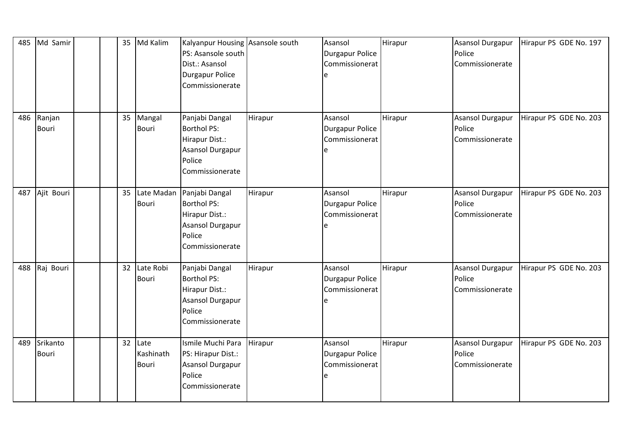| 485 | Md Samir                 |  | 35 | Md Kalim                        | Kalyanpur Housing Asansole south<br>PS: Asansole south<br>Dist.: Asansol<br><b>Durgapur Police</b><br>Commissionerate |         | Asansol<br><b>Durgapur Police</b><br>Commissionerat<br>e | Hirapur | <b>Asansol Durgapur</b><br>Police<br>Commissionerate | Hirapur PS GDE No. 197 |
|-----|--------------------------|--|----|---------------------------------|-----------------------------------------------------------------------------------------------------------------------|---------|----------------------------------------------------------|---------|------------------------------------------------------|------------------------|
| 486 | Ranjan<br><b>Bouri</b>   |  | 35 | Mangal<br>Bouri                 | Panjabi Dangal<br><b>Borthol PS:</b><br>Hirapur Dist.:<br>Asansol Durgapur<br>Police<br>Commissionerate               | Hirapur | Asansol<br><b>Durgapur Police</b><br>Commissionerat<br>e | Hirapur | Asansol Durgapur<br>Police<br>Commissionerate        | Hirapur PS GDE No. 203 |
| 487 | Ajit Bouri               |  | 35 | Late Madan<br><b>Bouri</b>      | Panjabi Dangal<br><b>Borthol PS:</b><br>Hirapur Dist.:<br>Asansol Durgapur<br>Police<br>Commissionerate               | Hirapur | Asansol<br><b>Durgapur Police</b><br>Commissionerat      | Hirapur | Asansol Durgapur<br>Police<br>Commissionerate        | Hirapur PS GDE No. 203 |
| 488 | Raj Bouri                |  | 32 | Late Robi<br><b>Bouri</b>       | Panjabi Dangal<br><b>Borthol PS:</b><br>Hirapur Dist.:<br><b>Asansol Durgapur</b><br>Police<br>Commissionerate        | Hirapur | Asansol<br><b>Durgapur Police</b><br>Commissionerat<br>e | Hirapur | <b>Asansol Durgapur</b><br>Police<br>Commissionerate | Hirapur PS GDE No. 203 |
| 489 | Srikanto<br><b>Bouri</b> |  |    | $32$ Late<br>Kashinath<br>Bouri | Ismile Muchi Para<br>PS: Hirapur Dist.:<br>Asansol Durgapur<br>Police<br>Commissionerate                              | Hirapur | Asansol<br><b>Durgapur Police</b><br>Commissionerat<br>e | Hirapur | Asansol Durgapur<br>Police<br>Commissionerate        | Hirapur PS GDE No. 203 |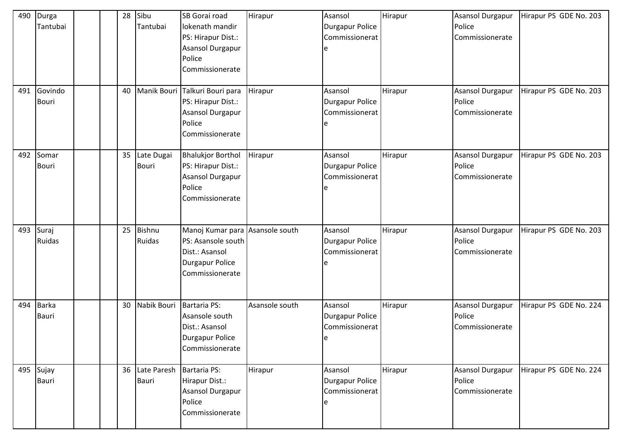| 490<br>491 | Durga<br>Tantubai<br>Govindo |  | 28<br>40 | Sibu<br>Tantubai<br>Manik Bouri | SB Gorai road<br>lokenath mandir<br>PS: Hirapur Dist.:<br><b>Asansol Durgapur</b><br>Police<br>Commissionerate<br>Talkuri Bouri para | Hirapur<br>Hirapur | Asansol<br><b>Durgapur Police</b><br>Commissionerat<br>e<br>Asansol | Hirapur<br>Hirapur | <b>Asansol Durgapur</b><br>Police<br>Commissionerate<br>Asansol Durgapur | Hirapur PS GDE No. 203<br>Hirapur PS GDE No. 203 |
|------------|------------------------------|--|----------|---------------------------------|--------------------------------------------------------------------------------------------------------------------------------------|--------------------|---------------------------------------------------------------------|--------------------|--------------------------------------------------------------------------|--------------------------------------------------|
|            | Bouri                        |  |          |                                 | PS: Hirapur Dist.:<br>Asansol Durgapur<br>Police<br>Commissionerate                                                                  |                    | <b>Durgapur Police</b><br>Commissionerat<br>e                       |                    | Police<br>Commissionerate                                                |                                                  |
| 492        | Somar<br><b>Bouri</b>        |  | 35       | Late Dugai<br><b>Bouri</b>      | <b>Bhalukjor Borthol</b><br>PS: Hirapur Dist.:<br>Asansol Durgapur<br>Police<br>Commissionerate                                      | Hirapur            | Asansol<br><b>Durgapur Police</b><br>Commissionerat<br>e            | Hirapur            | <b>Asansol Durgapur</b><br>Police<br>Commissionerate                     | Hirapur PS GDE No. 203                           |
| 493        | Suraj<br>Ruidas              |  | 25       | <b>Bishnu</b><br>Ruidas         | Manoj Kumar para Asansole south<br>PS: Asansole south<br>Dist.: Asansol<br>Durgapur Police<br>Commissionerate                        |                    | Asansol<br><b>Durgapur Police</b><br>Commissionerat<br>e            | Hirapur            | <b>Asansol Durgapur</b><br>Police<br>Commissionerate                     | Hirapur PS GDE No. 203                           |
| 494        | <b>Barka</b><br>Bauri        |  | 30       | Nabik Bouri                     | Bartaria PS:<br>Asansole south<br>Dist.: Asansol<br>Durgapur Police<br>Commissionerate                                               | Asansole south     | Asansol<br><b>Durgapur Police</b><br>Commissionerat<br>e            | Hirapur            | Asansol Durgapur<br>Police<br>Commissionerate                            | Hirapur PS GDE No. 224                           |
| 495        | Sujay<br>Bauri               |  | 36       | Late Paresh<br>Bauri            | Bartaria PS:<br>Hirapur Dist.:<br>Asansol Durgapur<br>Police<br>Commissionerate                                                      | Hirapur            | Asansol<br><b>Durgapur Police</b><br>Commissionerat<br>e            | Hirapur            | <b>Asansol Durgapur</b><br>Police<br>Commissionerate                     | Hirapur PS GDE No. 224                           |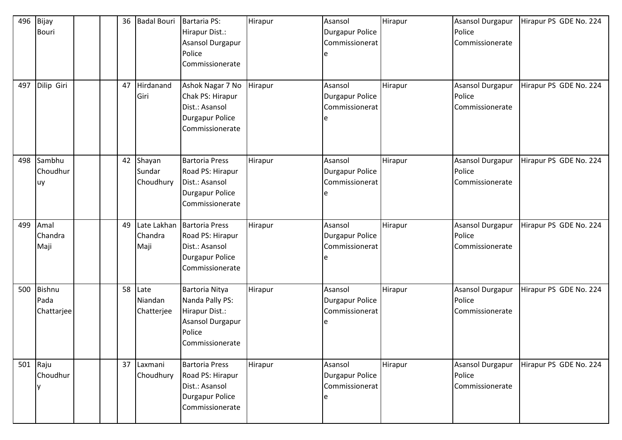| 496 | Bijay<br><b>Bouri</b>               |  | 36 | <b>Badal Bouri</b>               | Bartaria PS:<br>Hirapur Dist.:<br><b>Asansol Durgapur</b><br>Police<br>Commissionerate               | Hirapur | Asansol<br>Durgapur Police<br>Commissionerat<br>e | Hirapur | <b>Asansol Durgapur</b><br>Police<br>Commissionerate | Hirapur PS GDE No. 224 |
|-----|-------------------------------------|--|----|----------------------------------|------------------------------------------------------------------------------------------------------|---------|---------------------------------------------------|---------|------------------------------------------------------|------------------------|
| 497 | Dilip Giri                          |  | 47 | Hirdanand<br>Giri                | Ashok Nagar 7 No<br>Chak PS: Hirapur<br>Dist.: Asansol<br>Durgapur Police<br>Commissionerate         | Hirapur | Asansol<br>Durgapur Police<br>Commissionerat      | Hirapur | <b>Asansol Durgapur</b><br>Police<br>Commissionerate | Hirapur PS GDE No. 224 |
| 498 | Sambhu<br>Choudhur<br>uy            |  | 42 | Shayan<br>Sundar<br>Choudhury    | <b>Bartoria Press</b><br>Road PS: Hirapur<br>Dist.: Asansol<br>Durgapur Police<br>Commissionerate    | Hirapur | Asansol<br>Durgapur Police<br>Commissionerat<br>e | Hirapur | <b>Asansol Durgapur</b><br>Police<br>Commissionerate | Hirapur PS GDE No. 224 |
| 499 | Amal<br>Chandra<br>Maji             |  | 49 | Late Lakhan<br>Chandra<br>Maji   | <b>Bartoria Press</b><br>Road PS: Hirapur<br>Dist.: Asansol<br>Durgapur Police<br>Commissionerate    | Hirapur | Asansol<br>Durgapur Police<br>Commissionerat      | Hirapur | <b>Asansol Durgapur</b><br>Police<br>Commissionerate | Hirapur PS GDE No. 224 |
| 500 | <b>Bishnu</b><br>Pada<br>Chattarjee |  |    | 58 Late<br>Niandan<br>Chatterjee | Bartoria Nitya<br>Nanda Pally PS:<br>Hirapur Dist.:<br>Asansol Durgapur<br>Police<br>Commissionerate | Hirapur | Asansol<br>Durgapur Police<br>Commissionerat      | Hirapur | <b>Asansol Durgapur</b><br>Police<br>Commissionerate | Hirapur PS GDE No. 224 |
| 501 | Raju<br>Choudhur<br>v               |  | 37 | Laxmani<br>Choudhury             | <b>Bartoria Press</b><br>Road PS: Hirapur<br>Dist.: Asansol<br>Durgapur Police<br>Commissionerate    | Hirapur | Asansol<br>Durgapur Police<br>Commissionerat<br>e | Hirapur | <b>Asansol Durgapur</b><br>Police<br>Commissionerate | Hirapur PS GDE No. 224 |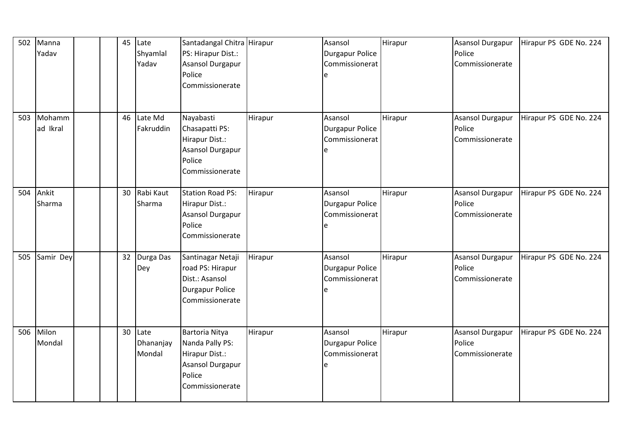| 502 | Manna<br>Yadav     |  | 45 | Late<br>Shyamlal<br>Yadav   | Santadangal Chitra Hirapur<br>PS: Hirapur Dist.:<br>Asansol Durgapur<br>Police<br>Commissionerate    |         | Asansol<br>Durgapur Police<br>Commissionerat<br>e        | Hirapur | <b>Asansol Durgapur</b><br>Police<br>Commissionerate | Hirapur PS GDE No. 224 |
|-----|--------------------|--|----|-----------------------------|------------------------------------------------------------------------------------------------------|---------|----------------------------------------------------------|---------|------------------------------------------------------|------------------------|
| 503 | Mohamm<br>ad Ikral |  | 46 | Late Md<br>Fakruddin        | Nayabasti<br>Chasapatti PS:<br>Hirapur Dist.:<br>Asansol Durgapur<br>Police<br>Commissionerate       | Hirapur | Asansol<br>Durgapur Police<br>Commissionerat             | Hirapur | Asansol Durgapur<br>Police<br>Commissionerate        | Hirapur PS GDE No. 224 |
| 504 | Ankit<br>Sharma    |  | 30 | Rabi Kaut<br>Sharma         | <b>Station Road PS:</b><br>Hirapur Dist.:<br>Asansol Durgapur<br>Police<br>Commissionerate           | Hirapur | Asansol<br>Durgapur Police<br>Commissionerat             | Hirapur | Asansol Durgapur<br>Police<br>Commissionerate        | Hirapur PS GDE No. 224 |
| 505 | Samir Dey          |  | 32 | Durga Das<br>Dey            | Santinagar Netaji<br>road PS: Hirapur<br>Dist.: Asansol<br><b>Durgapur Police</b><br>Commissionerate | Hirapur | Asansol<br><b>Durgapur Police</b><br>Commissionerat<br>e | Hirapur | <b>Asansol Durgapur</b><br>Police<br>Commissionerate | Hirapur PS GDE No. 224 |
| 506 | Milon<br>Mondal    |  | 30 | Late<br>Dhananjay<br>Mondal | Bartoria Nitya<br>Nanda Pally PS:<br>Hirapur Dist.:<br>Asansol Durgapur<br>Police<br>Commissionerate | Hirapur | Asansol<br>Durgapur Police<br>Commissionerat             | Hirapur | Asansol Durgapur<br>Police<br>Commissionerate        | Hirapur PS GDE No. 224 |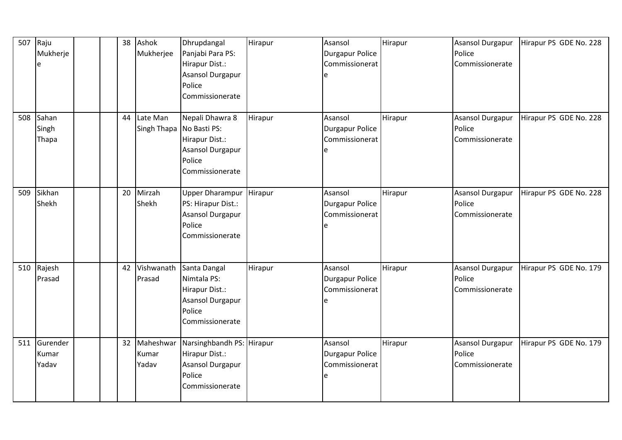| 507 | Raju<br>Mukherje<br>e      |  | 38 | Ashok<br>Mukherjee                   | Dhrupdangal<br>Panjabi Para PS:<br>Hirapur Dist.:<br><b>Asansol Durgapur</b><br>Police<br>Commissionerate | Hirapur | Asansol<br><b>Durgapur Police</b><br>Commissionerat      | Hirapur | <b>Asansol Durgapur</b><br>Police<br>Commissionerate | Hirapur PS GDE No. 228 |
|-----|----------------------------|--|----|--------------------------------------|-----------------------------------------------------------------------------------------------------------|---------|----------------------------------------------------------|---------|------------------------------------------------------|------------------------|
| 508 | Sahan<br>Singh<br>Thapa    |  | 44 | Late Man<br>Singh Thapa No Basti PS: | Nepali Dhawra 8<br>Hirapur Dist.:<br>Asansol Durgapur<br>Police<br>Commissionerate                        | Hirapur | Asansol<br><b>Durgapur Police</b><br>Commissionerat      | Hirapur | Asansol Durgapur<br>Police<br>Commissionerate        | Hirapur PS GDE No. 228 |
| 509 | Sikhan<br>Shekh            |  | 20 | Mirzah<br>Shekh                      | <b>Upper Dharampur</b><br>PS: Hirapur Dist.:<br>Asansol Durgapur<br>Police<br>Commissionerate             | Hirapur | Asansol<br><b>Durgapur Police</b><br>Commissionerat      | Hirapur | <b>Asansol Durgapur</b><br>Police<br>Commissionerate | Hirapur PS GDE No. 228 |
| 510 | Rajesh<br>Prasad           |  | 42 | Vishwanath<br>Prasad                 | Santa Dangal<br>Nimtala PS:<br>Hirapur Dist.:<br><b>Asansol Durgapur</b><br>Police<br>Commissionerate     | Hirapur | Asansol<br>Durgapur Police<br>Commissionerat<br>e        | Hirapur | <b>Asansol Durgapur</b><br>Police<br>Commissionerate | Hirapur PS GDE No. 179 |
| 511 | Gurender<br>Kumar<br>Yadav |  | 32 | Maheshwar<br>Kumar<br>Yadav          | Narsinghbandh PS: Hirapur<br>Hirapur Dist.:<br>Asansol Durgapur<br>Police<br>Commissionerate              |         | Asansol<br><b>Durgapur Police</b><br>Commissionerat<br>e | Hirapur | <b>Asansol Durgapur</b><br>Police<br>Commissionerate | Hirapur PS GDE No. 179 |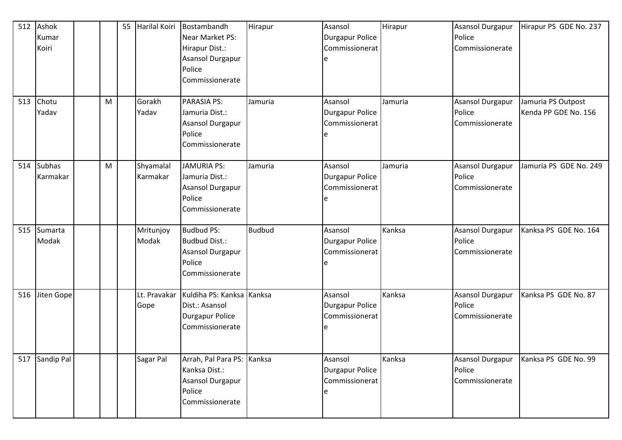| 512<br>513 | Ashok<br>Kumar<br>Koiri<br>Chotu | M | 55 | Harilal Koiri<br>Gorakh | Bostambandh<br>Near Market PS:<br>Hirapur Dist.:<br>Asansol Durgapur<br>Police<br>Commissionerate<br><b>PARASIA PS:</b> | Hirapur<br>Jamuria | Asansol<br>Durgapur Police<br>Commissionerat<br>Asansol | Hirapur<br>Jamuria | <b>Asansol Durgapur</b><br>Police<br>Commissionerate<br><b>Asansol Durgapur</b> | Hirapur PS GDE No. 237<br>Jamuria PS Outpost |
|------------|----------------------------------|---|----|-------------------------|-------------------------------------------------------------------------------------------------------------------------|--------------------|---------------------------------------------------------|--------------------|---------------------------------------------------------------------------------|----------------------------------------------|
|            | Yadav                            |   |    | Yadav                   | Jamuria Dist.:<br>Asansol Durgapur<br>Police<br>Commissionerate                                                         |                    | Durgapur Police<br>Commissionerat                       |                    | Police<br>Commissionerate                                                       | Kenda PP GDE No. 156                         |
| 514        | <b>Subhas</b><br>Karmakar        | M |    | Shyamalal<br>Karmakar   | <b>JAMURIA PS:</b><br>Jamuria Dist.:<br>Asansol Durgapur<br>Police<br>Commissionerate                                   | Jamuria            | Asansol<br><b>Durgapur Police</b><br>Commissionerat     | Jamuria            | Asansol Durgapur<br>Police<br>Commissionerate                                   | Jamuria PS GDE No. 249                       |
| 515        | Sumarta<br>Modak                 |   |    | Mritunjoy<br>Modak      | <b>Budbud PS:</b><br><b>Budbud Dist.:</b><br>Asansol Durgapur<br>Police<br>Commissionerate                              | <b>Budbud</b>      | Asansol<br>Durgapur Police<br>Commissionerat            | Kanksa             | Asansol Durgapur<br>Police<br>Commissionerate                                   | Kanksa PS GDE No. 164                        |
| 516        | Jiten Gope                       |   |    | Lt. Pravakar<br>Gope    | Kuldiha PS: Kanksa Kanksa<br>Dist.: Asansol<br><b>Durgapur Police</b><br>Commissionerate                                |                    | Asansol<br>Durgapur Police<br>Commissionerat            | Kanksa             | Asansol Durgapur<br>Police<br>Commissionerate                                   | Kanksa PS GDE No. 87                         |
| 517        | Sandip Pal                       |   |    | Sagar Pal               | Arrah, Pal Para PS: Kanksa<br>Kanksa Dist.:<br>Asansol Durgapur<br>Police<br>Commissionerate                            |                    | Asansol<br>Durgapur Police<br>Commissionerat            | Kanksa             | <b>Asansol Durgapur</b><br>Police<br>Commissionerate                            | Kanksa PS GDE No. 99                         |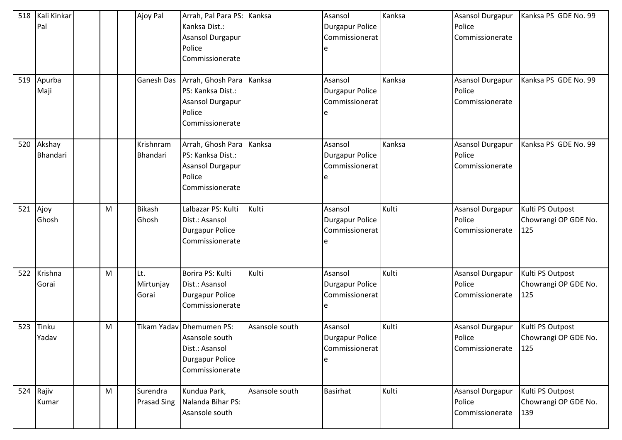| 518<br>519 | Kali Kinkar<br>Pal<br>Apurba<br>Maji |   | Ajoy Pal<br>Ganesh Das         | Arrah, Pal Para PS: Kanksa<br>Kanksa Dist.:<br><b>Asansol Durgapur</b><br>Police<br>Commissionerate<br>Arrah, Ghosh Para Kanksa<br>PS: Kanksa Dist.:<br><b>Asansol Durgapur</b><br>Police<br>Commissionerate |                | Asansol<br><b>Durgapur Police</b><br>Commissionerat<br>e<br>Asansol<br><b>Durgapur Police</b><br>Commissionerat<br>e | Kanksa<br>Kanksa | <b>Asansol Durgapur</b><br>Police<br>Commissionerate<br><b>Asansol Durgapur</b><br>Police<br>Commissionerate | Kanksa PS GDE No. 99<br>Kanksa PS GDE No. 99    |
|------------|--------------------------------------|---|--------------------------------|--------------------------------------------------------------------------------------------------------------------------------------------------------------------------------------------------------------|----------------|----------------------------------------------------------------------------------------------------------------------|------------------|--------------------------------------------------------------------------------------------------------------|-------------------------------------------------|
| 520        | Akshay<br><b>Bhandari</b>            |   | Krishnram<br>Bhandari          | Arrah, Ghosh Para Kanksa<br>PS: Kanksa Dist.:<br><b>Asansol Durgapur</b><br>Police<br>Commissionerate                                                                                                        |                | Asansol<br><b>Durgapur Police</b><br>Commissionerat                                                                  | Kanksa           | Asansol Durgapur<br>Police<br>Commissionerate                                                                | Kanksa PS GDE No. 99                            |
| 521        | Ajoy<br>Ghosh                        | M | <b>Bikash</b><br>Ghosh         | Lalbazar PS: Kulti<br>Dist.: Asansol<br>Durgapur Police<br>Commissionerate                                                                                                                                   | Kulti          | Asansol<br><b>Durgapur Police</b><br>Commissionerat                                                                  | Kulti            | Asansol Durgapur<br>Police<br>Commissionerate                                                                | Kulti PS Outpost<br>Chowrangi OP GDE No.<br>125 |
| 522        | Krishna<br>Gorai                     | M | Lt.<br>Mirtunjay<br>Gorai      | Borira PS: Kulti<br>Dist.: Asansol<br>Durgapur Police<br>Commissionerate                                                                                                                                     | Kulti          | Asansol<br><b>Durgapur Police</b><br>Commissionerat                                                                  | Kulti            | <b>Asansol Durgapur</b><br>Police<br>Commissionerate                                                         | Kulti PS Outpost<br>Chowrangi OP GDE No.<br>125 |
| 523        | Tinku<br>Yadav                       | M |                                | Tikam Yadav Dhemumen PS:<br>Asansole south<br>Dist.: Asansol<br>Durgapur Police<br>Commissionerate                                                                                                           | Asansole south | Asansol<br>Durgapur Police<br>Commissionerat                                                                         | Kulti            | Asansol Durgapur<br>Police<br>Commissionerate                                                                | Kulti PS Outpost<br>Chowrangi OP GDE No.<br>125 |
|            | 524 Rajiv<br>Kumar                   | M | Surendra<br><b>Prasad Sing</b> | Kundua Park,<br>Nalanda Bihar PS:<br>Asansole south                                                                                                                                                          | Asansole south | <b>Basirhat</b>                                                                                                      | Kulti            | Asansol Durgapur<br>Police<br>Commissionerate                                                                | Kulti PS Outpost<br>Chowrangi OP GDE No.<br>139 |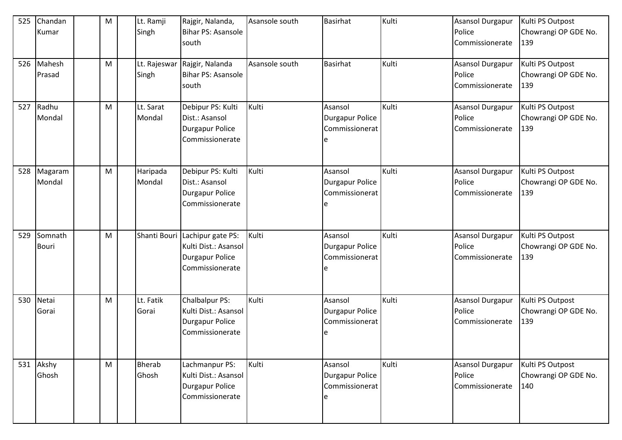| 525 | Chandan<br>Kumar | M | Lt. Ramji<br>Singh | Rajgir, Nalanda,<br>Bihar PS: Asansole | Asansole south | <b>Basirhat</b>        | Kulti | Asansol Durgapur<br>Police | Kulti PS Outpost<br>Chowrangi OP GDE No. |
|-----|------------------|---|--------------------|----------------------------------------|----------------|------------------------|-------|----------------------------|------------------------------------------|
|     |                  |   |                    | south                                  |                |                        |       | Commissionerate            | 139                                      |
| 526 | Mahesh           | M |                    | Lt. Rajeswar Rajgir, Nalanda           | Asansole south | <b>Basirhat</b>        | Kulti | Asansol Durgapur           | Kulti PS Outpost                         |
|     | Prasad           |   | Singh              | Bihar PS: Asansole                     |                |                        |       | Police                     | Chowrangi OP GDE No.                     |
|     |                  |   |                    | south                                  |                |                        |       | Commissionerate            | 139                                      |
| 527 | Radhu            | M | Lt. Sarat          | Debipur PS: Kulti                      | Kulti          | Asansol                | Kulti | Asansol Durgapur           | Kulti PS Outpost                         |
|     | Mondal           |   | Mondal             | Dist.: Asansol                         |                | <b>Durgapur Police</b> |       | Police                     | Chowrangi OP GDE No.                     |
|     |                  |   |                    | Durgapur Police                        |                | Commissionerat         |       | Commissionerate            | 139                                      |
|     |                  |   |                    | Commissionerate                        |                |                        |       |                            |                                          |
|     |                  |   |                    |                                        |                |                        |       |                            |                                          |
| 528 | Magaram          | M | Haripada           | Debipur PS: Kulti                      | Kulti          | Asansol                | Kulti | Asansol Durgapur           | Kulti PS Outpost                         |
|     | Mondal           |   | Mondal             | Dist.: Asansol                         |                | <b>Durgapur Police</b> |       | Police                     | Chowrangi OP GDE No.                     |
|     |                  |   |                    | <b>Durgapur Police</b>                 |                | Commissionerat         |       | Commissionerate            | 139                                      |
|     |                  |   |                    | Commissionerate                        |                | e                      |       |                            |                                          |
|     |                  |   |                    |                                        |                |                        |       |                            |                                          |
| 529 | Somnath          | M |                    | Shanti Bouri Lachipur gate PS:         | Kulti          | Asansol                | Kulti | <b>Asansol Durgapur</b>    | Kulti PS Outpost                         |
|     | <b>Bouri</b>     |   |                    | Kulti Dist.: Asansol                   |                | <b>Durgapur Police</b> |       | Police                     | Chowrangi OP GDE No.                     |
|     |                  |   |                    | <b>Durgapur Police</b>                 |                | Commissionerat         |       | Commissionerate            | 139                                      |
|     |                  |   |                    | Commissionerate                        |                |                        |       |                            |                                          |
|     |                  |   |                    |                                        |                |                        |       |                            |                                          |
|     |                  |   |                    |                                        |                |                        |       |                            |                                          |
| 530 | Netai            | M | Lt. Fatik          | Chalbalpur PS:                         | Kulti          | Asansol                | Kulti | <b>Asansol Durgapur</b>    | Kulti PS Outpost                         |
|     | Gorai            |   | Gorai              | Kulti Dist.: Asansol                   |                | <b>Durgapur Police</b> |       | Police                     | Chowrangi OP GDE No.                     |
|     |                  |   |                    | <b>Durgapur Police</b>                 |                | Commissionerat         |       | Commissionerate            | 139                                      |
|     |                  |   |                    | Commissionerate                        |                | le                     |       |                            |                                          |
|     |                  |   |                    |                                        |                |                        |       |                            |                                          |
|     | 531 Akshy        | M | Bherab             | Lachmanpur PS:                         | Kulti          | Asansol                | Kulti | Asansol Durgapur           | Kulti PS Outpost                         |
|     | Ghosh            |   | Ghosh              | Kulti Dist.: Asansol                   |                | <b>Durgapur Police</b> |       | Police                     | Chowrangi OP GDE No.                     |
|     |                  |   |                    | Durgapur Police                        |                | Commissionerat         |       | Commissionerate            | 140                                      |
|     |                  |   |                    | Commissionerate                        |                |                        |       |                            |                                          |
|     |                  |   |                    |                                        |                |                        |       |                            |                                          |
|     |                  |   |                    |                                        |                |                        |       |                            |                                          |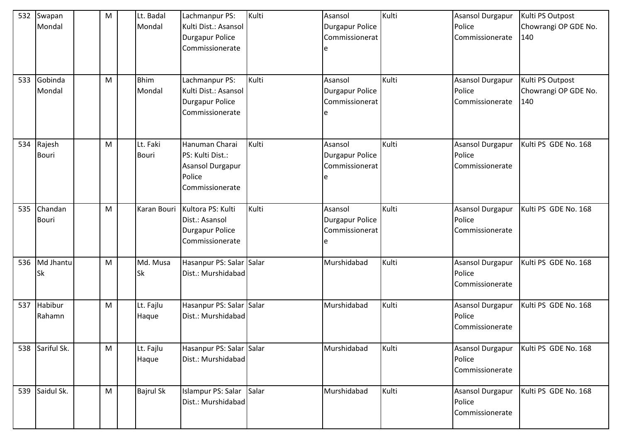| 532 | Swapan<br>Mondal        | M | Lt. Badal<br>Mondal      | Lachmanpur PS:<br>Kulti Dist.: Asansol<br>Durgapur Police<br>Commissionerate        | Kulti | Asansol<br>Durgapur Police<br>Commissionerat<br>e        | Kulti | <b>Asansol Durgapur</b><br>Police<br>Commissionerate | Kulti PS Outpost<br>Chowrangi OP GDE No.<br>140 |
|-----|-------------------------|---|--------------------------|-------------------------------------------------------------------------------------|-------|----------------------------------------------------------|-------|------------------------------------------------------|-------------------------------------------------|
| 533 | Gobinda<br>Mondal       | M | <b>Bhim</b><br>Mondal    | Lachmanpur PS:<br>Kulti Dist.: Asansol<br>Durgapur Police<br>Commissionerate        | Kulti | Asansol<br><b>Durgapur Police</b><br>Commissionerat<br>e | Kulti | <b>Asansol Durgapur</b><br>Police<br>Commissionerate | Kulti PS Outpost<br>Chowrangi OP GDE No.<br>140 |
| 534 | Rajesh<br><b>Bouri</b>  | M | Lt. Faki<br><b>Bouri</b> | Hanuman Charai<br>PS: Kulti Dist.:<br>Asansol Durgapur<br>Police<br>Commissionerate | Kulti | Asansol<br><b>Durgapur Police</b><br>Commissionerat<br>e | Kulti | <b>Asansol Durgapur</b><br>Police<br>Commissionerate | Kulti PS GDE No. 168                            |
| 535 | Chandan<br><b>Bouri</b> | M | Karan Bouri              | Kultora PS: Kulti<br>Dist.: Asansol<br>Durgapur Police<br>Commissionerate           | Kulti | Asansol<br><b>Durgapur Police</b><br>Commissionerat<br>e | Kulti | <b>Asansol Durgapur</b><br>Police<br>Commissionerate | Kulti PS GDE No. 168                            |
| 536 | Md Jhantu<br><b>Sk</b>  | M | Md. Musa<br><b>Sk</b>    | Hasanpur PS: Salar Salar<br>Dist.: Murshidabad                                      |       | Murshidabad                                              | Kulti | Asansol Durgapur<br>Police<br>Commissionerate        | Kulti PS GDE No. 168                            |
| 537 | Habibur<br>Rahamn       | M | Lt. Fajlu<br>Haque       | Hasanpur PS: Salar Salar<br>Dist.: Murshidabad                                      |       | Murshidabad                                              | Kulti | <b>Asansol Durgapur</b><br>Police<br>Commissionerate | Kulti PS GDE No. 168                            |
| 538 | Sariful Sk.             | M | Lt. Fajlu<br>Haque       | Hasanpur PS: Salar Salar<br>Dist.: Murshidabad                                      |       | Murshidabad                                              | Kulti | Asansol Durgapur<br>Police<br>Commissionerate        | Kulti PS GDE No. 168                            |
| 539 | Saidul Sk.              | M | <b>Bajrul Sk</b>         | Islampur PS: Salar Salar<br>Dist.: Murshidabad                                      |       | Murshidabad                                              | Kulti | Asansol Durgapur<br>Police<br>Commissionerate        | Kulti PS GDE No. 168                            |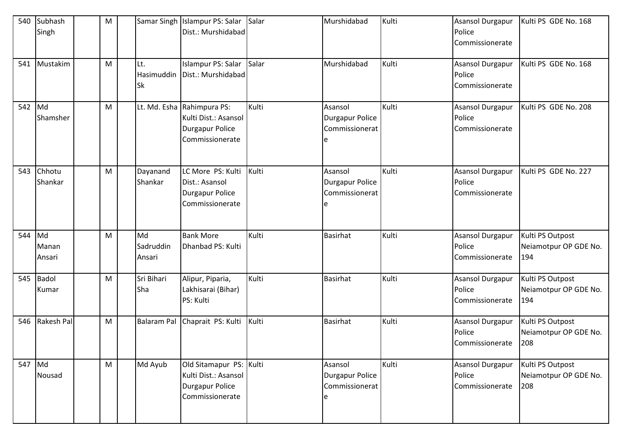| 540    | Subhash<br>Singh      | M |                           | Samar Singh Islampur PS: Salar<br>Dist.: Murshidabad                                            | Salar | Murshidabad                                       | Kulti | <b>Asansol Durgapur</b><br>Police<br>Commissionerate | Kulti PS GDE No. 168                             |
|--------|-----------------------|---|---------------------------|-------------------------------------------------------------------------------------------------|-------|---------------------------------------------------|-------|------------------------------------------------------|--------------------------------------------------|
|        | 541 Mustakim          | M | Lt.<br><b>Sk</b>          | Islampur PS: Salar<br>Hasimuddin   Dist.: Murshidabad                                           | Salar | Murshidabad                                       | Kulti | Asansol Durgapur<br>Police<br>Commissionerate        | Kulti PS GDE No. 168                             |
| 542    | Md<br>Shamsher        | M |                           | Lt. Md. Esha Rahimpura PS:<br>Kulti Dist.: Asansol<br><b>Durgapur Police</b><br>Commissionerate | Kulti | Asansol<br>Durgapur Police<br>Commissionerat      | Kulti | Asansol Durgapur<br>Police<br>Commissionerate        | Kulti PS GDE No. 208                             |
| 543    | Chhotu<br>Shankar     | M | Dayanand<br>Shankar       | LC More PS: Kulti<br>Dist.: Asansol<br><b>Durgapur Police</b><br>Commissionerate                | Kulti | Asansol<br>Durgapur Police<br>Commissionerat<br>e | Kulti | <b>Asansol Durgapur</b><br>Police<br>Commissionerate | Kulti PS GDE No. 227                             |
| 544    | Md<br>Manan<br>Ansari | M | Md<br>Sadruddin<br>Ansari | <b>Bank More</b><br>Dhanbad PS: Kulti                                                           | Kulti | <b>Basirhat</b>                                   | Kulti | Asansol Durgapur<br>Police<br>Commissionerate        | Kulti PS Outpost<br>Neiamotpur OP GDE No.<br>194 |
| 545    | Badol<br>Kumar        | M | Sri Bihari<br>Sha         | Alipur, Piparia,<br>Lakhisarai (Bihar)<br>PS: Kulti                                             | Kulti | <b>Basirhat</b>                                   | Kulti | <b>Asansol Durgapur</b><br>Police<br>Commissionerate | Kulti PS Outpost<br>Neiamotpur OP GDE No.<br>194 |
| 546    | Rakesh Pal            | M |                           | Balaram Pal Chaprait PS: Kulti                                                                  | Kulti | <b>Basirhat</b>                                   | Kulti | Asansol Durgapur<br>Police<br>Commissionerate        | Kulti PS Outpost<br>Neiamotpur OP GDE No.<br>208 |
| 547 Md | Nousad                | M | Md Ayub                   | Old Sitamapur PS: Kulti<br>Kulti Dist.: Asansol<br>Durgapur Police<br>Commissionerate           |       | Asansol<br>Durgapur Police<br>Commissionerat      | Kulti | Asansol Durgapur<br>Police<br>Commissionerate        | Kulti PS Outpost<br>Neiamotpur OP GDE No.<br>208 |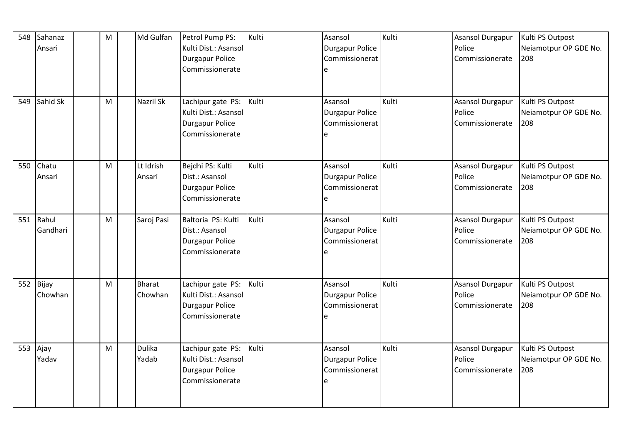| 548 | Sahanaz  | M | Md Gulfan        | Petrol Pump PS:        | Kulti | Asansol         | Kulti | Asansol Durgapur        | Kulti PS Outpost      |
|-----|----------|---|------------------|------------------------|-------|-----------------|-------|-------------------------|-----------------------|
|     | Ansari   |   |                  | Kulti Dist.: Asansol   |       | Durgapur Police |       | Police                  | Neiamotpur OP GDE No. |
|     |          |   |                  | Durgapur Police        |       | Commissionerat  |       | Commissionerate         | 208                   |
|     |          |   |                  | Commissionerate        |       |                 |       |                         |                       |
|     |          |   |                  |                        |       |                 |       |                         |                       |
|     |          |   |                  |                        |       |                 |       |                         |                       |
| 549 | Sahid Sk | M | <b>Nazril Sk</b> | Lachipur gate PS:      | Kulti | Asansol         | Kulti | <b>Asansol Durgapur</b> | Kulti PS Outpost      |
|     |          |   |                  | Kulti Dist.: Asansol   |       | Durgapur Police |       | Police                  | Neiamotpur OP GDE No. |
|     |          |   |                  | Durgapur Police        |       | Commissionerat  |       | Commissionerate         | 208                   |
|     |          |   |                  | Commissionerate        |       | e               |       |                         |                       |
|     |          |   |                  |                        |       |                 |       |                         |                       |
|     |          |   |                  |                        |       |                 |       |                         |                       |
| 550 | Chatu    | M | Lt Idrish        | Bejdhi PS: Kulti       | Kulti | Asansol         | Kulti | <b>Asansol Durgapur</b> | Kulti PS Outpost      |
|     | Ansari   |   | Ansari           | Dist.: Asansol         |       | Durgapur Police |       | Police                  | Neiamotpur OP GDE No. |
|     |          |   |                  | Durgapur Police        |       | Commissionerat  |       | Commissionerate         | 208                   |
|     |          |   |                  | Commissionerate        |       | e               |       |                         |                       |
|     |          |   |                  |                        |       |                 |       |                         |                       |
| 551 | Rahul    | M | Saroj Pasi       | Baltoria PS: Kulti     | Kulti | Asansol         | Kulti | Asansol Durgapur        | Kulti PS Outpost      |
|     | Gandhari |   |                  | Dist.: Asansol         |       | Durgapur Police |       | Police                  | Neiamotpur OP GDE No. |
|     |          |   |                  | <b>Durgapur Police</b> |       | Commissionerat  |       | Commissionerate         | 208                   |
|     |          |   |                  | Commissionerate        |       | e               |       |                         |                       |
|     |          |   |                  |                        |       |                 |       |                         |                       |
|     |          |   |                  |                        |       |                 |       |                         |                       |
| 552 | Bijay    | M | <b>Bharat</b>    | Lachipur gate PS:      | Kulti | Asansol         | Kulti | <b>Asansol Durgapur</b> | Kulti PS Outpost      |
|     | Chowhan  |   | Chowhan          | Kulti Dist.: Asansol   |       | Durgapur Police |       | Police                  | Neiamotpur OP GDE No. |
|     |          |   |                  | Durgapur Police        |       | Commissionerat  |       | Commissionerate         | 208                   |
|     |          |   |                  | Commissionerate        |       |                 |       |                         |                       |
|     |          |   |                  |                        |       |                 |       |                         |                       |
|     |          |   |                  |                        |       |                 |       |                         |                       |
| 553 | Ajay     | M | Dulika           | Lachipur gate PS:      | Kulti | Asansol         | Kulti | <b>Asansol Durgapur</b> | Kulti PS Outpost      |
|     | Yadav    |   | Yadab            | Kulti Dist.: Asansol   |       | Durgapur Police |       | Police                  | Neiamotpur OP GDE No. |
|     |          |   |                  | Durgapur Police        |       | Commissionerat  |       | Commissionerate         | 208                   |
|     |          |   |                  | Commissionerate        |       | e               |       |                         |                       |
|     |          |   |                  |                        |       |                 |       |                         |                       |
|     |          |   |                  |                        |       |                 |       |                         |                       |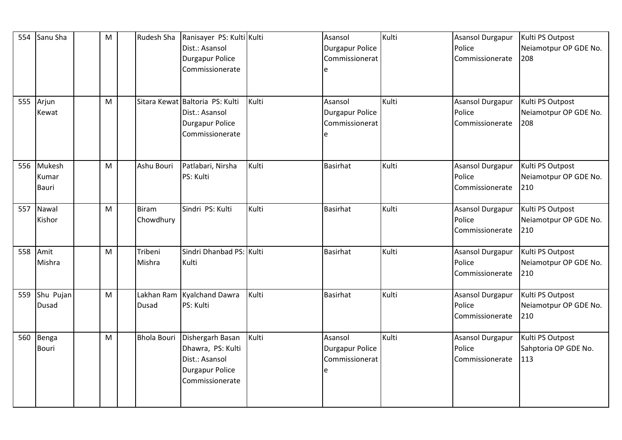| 554 | Sanu Sha                        | M | Rudesh Sha         | Ranisayer PS: Kulti Kulti<br>Dist.: Asansol<br>Durgapur Police<br>Commissionerate<br>Sitara Kewat Baltoria PS: Kulti |       | Asansol<br><b>Durgapur Police</b><br>Commissionerat<br>e | Kulti | <b>Asansol Durgapur</b><br>Police<br>Commissionerate | Kulti PS Outpost<br>Neiamotpur OP GDE No.<br>208 |
|-----|---------------------------------|---|--------------------|----------------------------------------------------------------------------------------------------------------------|-------|----------------------------------------------------------|-------|------------------------------------------------------|--------------------------------------------------|
| 555 | Arjun<br>Kewat                  | M |                    | Dist.: Asansol<br>Durgapur Police<br>Commissionerate                                                                 | Kulti | Asansol<br><b>Durgapur Police</b><br>Commissionerat<br>e | Kulti | Asansol Durgapur<br>Police<br>Commissionerate        | Kulti PS Outpost<br>Neiamotpur OP GDE No.<br>208 |
| 556 | Mukesh<br>Kumar<br><b>Bauri</b> | M | Ashu Bouri         | Patlabari, Nirsha<br>PS: Kulti                                                                                       | Kulti | <b>Basirhat</b>                                          | Kulti | Asansol Durgapur<br>Police<br>Commissionerate        | Kulti PS Outpost<br>Neiamotpur OP GDE No.<br>210 |
| 557 | Nawal<br>Kishor                 | M | Biram<br>Chowdhury | Sindri PS: Kulti                                                                                                     | Kulti | <b>Basirhat</b>                                          | Kulti | Asansol Durgapur<br>Police<br>Commissionerate        | Kulti PS Outpost<br>Neiamotpur OP GDE No.<br>210 |
| 558 | Amit<br>Mishra                  | M | Tribeni<br>Mishra  | Sindri Dhanbad PS: Kulti<br>Kulti                                                                                    |       | <b>Basirhat</b>                                          | Kulti | Asansol Durgapur<br>Police<br>Commissionerate        | Kulti PS Outpost<br>Neiamotpur OP GDE No.<br>210 |
| 559 | Shu Pujan<br><b>Dusad</b>       | M | Dusad              | Lakhan Ram Kyalchand Dawra<br>PS: Kulti                                                                              | Kulti | <b>Basirhat</b>                                          | Kulti | Asansol Durgapur<br>Police<br>Commissionerate        | Kulti PS Outpost<br>Neiamotpur OP GDE No.<br>210 |
| 560 | Benga<br><b>Bouri</b>           | M | <b>Bhola Bouri</b> | Dishergarh Basan<br>Dhawra, PS: Kulti<br>Dist.: Asansol<br>Durgapur Police<br>Commissionerate                        | Kulti | Asansol<br><b>Durgapur Police</b><br>Commissionerat<br>e | Kulti | Asansol Durgapur<br>Police<br>Commissionerate        | Kulti PS Outpost<br>Sahptoria OP GDE No.<br>113  |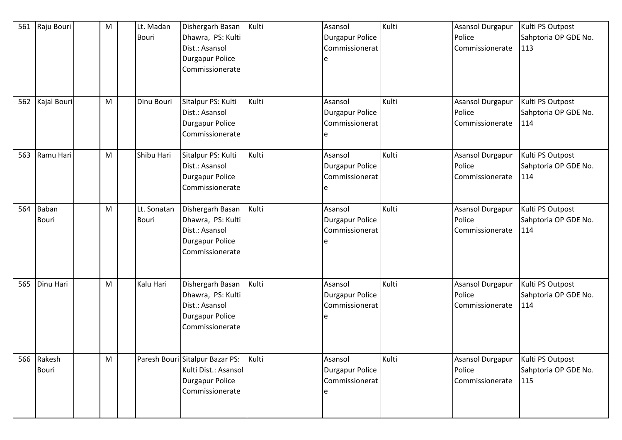| 561 | Raju Bouri            | M | Lt. Madan<br><b>Bouri</b>   | Dishergarh Basan<br>Dhawra, PS: Kulti<br>Dist.: Asansol<br>Durgapur Police<br>Commissionerate        | Kulti | Asansol<br><b>Durgapur Police</b><br>Commissionerat | Kulti | <b>Asansol Durgapur</b><br>Police<br>Commissionerate | Kulti PS Outpost<br>Sahptoria OP GDE No.<br>113 |
|-----|-----------------------|---|-----------------------------|------------------------------------------------------------------------------------------------------|-------|-----------------------------------------------------|-------|------------------------------------------------------|-------------------------------------------------|
| 562 | Kajal Bouri           | M | Dinu Bouri                  | Sitalpur PS: Kulti<br>Dist.: Asansol<br>Durgapur Police<br>Commissionerate                           | Kulti | Asansol<br><b>Durgapur Police</b><br>Commissionerat | Kulti | <b>Asansol Durgapur</b><br>Police<br>Commissionerate | Kulti PS Outpost<br>Sahptoria OP GDE No.<br>114 |
| 563 | Ramu Hari             | M | Shibu Hari                  | Sitalpur PS: Kulti<br>Dist.: Asansol<br>Durgapur Police<br>Commissionerate                           | Kulti | Asansol<br><b>Durgapur Police</b><br>Commissionerat | Kulti | Asansol Durgapur<br>Police<br>Commissionerate        | Kulti PS Outpost<br>Sahptoria OP GDE No.<br>114 |
| 564 | Baban<br><b>Bouri</b> | M | Lt. Sonatan<br><b>Bouri</b> | Dishergarh Basan<br>Dhawra, PS: Kulti<br>Dist.: Asansol<br><b>Durgapur Police</b><br>Commissionerate | Kulti | Asansol<br><b>Durgapur Police</b><br>Commissionerat | Kulti | Asansol Durgapur<br>Police<br>Commissionerate        | Kulti PS Outpost<br>Sahptoria OP GDE No.<br>114 |
| 565 | Dinu Hari             | M | Kalu Hari                   | Dishergarh Basan<br>Dhawra, PS: Kulti<br>Dist.: Asansol<br>Durgapur Police<br>Commissionerate        | Kulti | Asansol<br><b>Durgapur Police</b><br>Commissionerat | Kulti | <b>Asansol Durgapur</b><br>Police<br>Commissionerate | Kulti PS Outpost<br>Sahptoria OP GDE No.<br>114 |
| 566 | Rakesh<br>Bouri       | M |                             | Paresh Bouri Sitalpur Bazar PS:<br>Kulti Dist.: Asansol<br>Durgapur Police<br>Commissionerate        | Kulti | Asansol<br>Durgapur Police<br>Commissionerat        | Kulti | Asansol Durgapur<br>Police<br>Commissionerate        | Kulti PS Outpost<br>Sahptoria OP GDE No.<br>115 |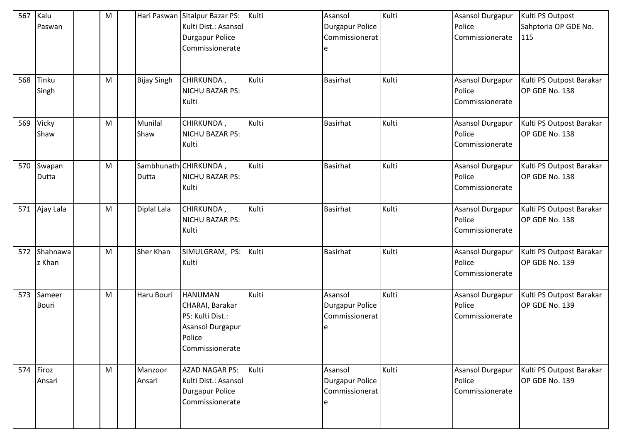| 567 | Kalu<br>Paswan         | M |                    | Hari Paswan Sitalpur Bazar PS:<br>Kulti Dist.: Asansol<br>Durgapur Police<br>Commissionerate           | Kulti | Asansol<br><b>Durgapur Police</b><br>Commissionerat<br>le | Kulti | <b>Asansol Durgapur</b><br>Police<br>Commissionerate | Kulti PS Outpost<br>Sahptoria OP GDE No.<br>115 |
|-----|------------------------|---|--------------------|--------------------------------------------------------------------------------------------------------|-------|-----------------------------------------------------------|-------|------------------------------------------------------|-------------------------------------------------|
| 568 | Tinku<br>Singh         | M | <b>Bijay Singh</b> | CHIRKUNDA,<br>NICHU BAZAR PS:                                                                          | Kulti | <b>Basirhat</b>                                           | Kulti | Asansol Durgapur<br>Police                           | Kulti PS Outpost Barakar<br>OP GDE No. 138      |
|     |                        |   |                    | Kulti                                                                                                  |       |                                                           |       | Commissionerate                                      |                                                 |
| 569 | Vicky<br>Shaw          | M | Munilal<br>Shaw    | CHIRKUNDA,<br>NICHU BAZAR PS:<br>Kulti                                                                 | Kulti | <b>Basirhat</b>                                           | Kulti | Asansol Durgapur<br>Police<br>Commissionerate        | Kulti PS Outpost Barakar<br>OP GDE No. 138      |
| 570 | Swapan<br>Dutta        | M | Dutta              | Sambhunath CHIRKUNDA,<br>NICHU BAZAR PS:<br>Kulti                                                      | Kulti | <b>Basirhat</b>                                           | Kulti | Asansol Durgapur<br>Police<br>Commissionerate        | Kulti PS Outpost Barakar<br>OP GDE No. 138      |
| 571 | Ajay Lala              | M | Diplal Lala        | CHIRKUNDA,<br>NICHU BAZAR PS:<br>Kulti                                                                 | Kulti | <b>Basirhat</b>                                           | Kulti | Asansol Durgapur<br>Police<br>Commissionerate        | Kulti PS Outpost Barakar<br>OP GDE No. 138      |
| 572 | Shahnawa<br>z Khan     | M | Sher Khan          | SIMULGRAM, PS:<br>Kulti                                                                                | Kulti | <b>Basirhat</b>                                           | Kulti | Asansol Durgapur<br>Police<br>Commissionerate        | Kulti PS Outpost Barakar<br>OP GDE No. 139      |
| 573 | Sameer<br><b>Bouri</b> | M | Haru Bouri         | <b>HANUMAN</b><br>CHARAI, Barakar<br>PS: Kulti Dist.:<br>Asansol Durgapur<br>Police<br>Commissionerate | Kulti | Asansol<br><b>Durgapur Police</b><br>Commissionerat<br>le | Kulti | Asansol Durgapur<br>Police<br>Commissionerate        | Kulti PS Outpost Barakar<br>OP GDE No. 139      |
| 574 | Firoz<br>Ansari        | M | Manzoor<br>Ansari  | <b>AZAD NAGAR PS:</b><br>Kulti Dist.: Asansol<br>Durgapur Police<br>Commissionerate                    | Kulti | Asansol<br><b>Durgapur Police</b><br>Commissionerat       | Kulti | Asansol Durgapur<br>Police<br>Commissionerate        | Kulti PS Outpost Barakar<br>OP GDE No. 139      |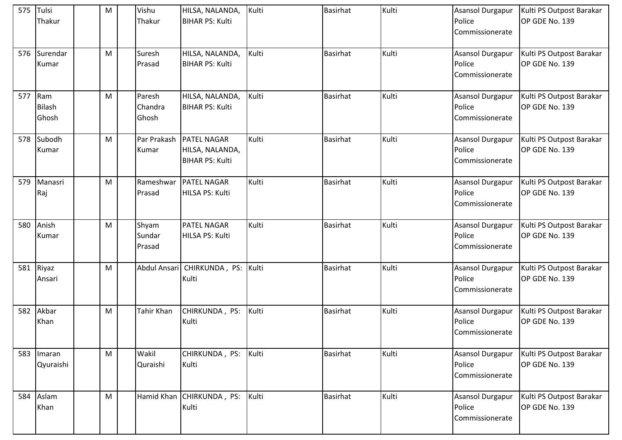|     | 575 Tulsi<br>Thakur           | M | Vishu<br>Thakur            | HILSA, NALANDA,<br><b>BIHAR PS: Kulti</b>                              | Kulti | <b>Basirhat</b> | Kulti | Asansol Durgapur<br>Police<br>Commissionerate        | Kulti PS Outpost Barakar<br>OP GDE No. 139 |
|-----|-------------------------------|---|----------------------------|------------------------------------------------------------------------|-------|-----------------|-------|------------------------------------------------------|--------------------------------------------|
| 576 | Surendar<br>Kumar             | M | Suresh<br>Prasad           | HILSA, NALANDA,<br><b>BIHAR PS: Kulti</b>                              | Kulti | Basirhat        | Kulti | Asansol Durgapur<br>Police<br>Commissionerate        | Kulti PS Outpost Barakar<br>OP GDE No. 139 |
| 577 | Ram<br><b>Bilash</b><br>Ghosh | M | Paresh<br>Chandra<br>Ghosh | HILSA, NALANDA,<br><b>BIHAR PS: Kulti</b>                              | Kulti | <b>Basirhat</b> | Kulti | Asansol Durgapur<br>Police<br>Commissionerate        | Kulti PS Outpost Barakar<br>OP GDE No. 139 |
| 578 | Subodh<br>Kumar               | M | Kumar                      | Par Prakash   PATEL NAGAR<br>HILSA, NALANDA,<br><b>BIHAR PS: Kulti</b> | Kulti | <b>Basirhat</b> | Kulti | Asansol Durgapur<br>Police<br>Commissionerate        | Kulti PS Outpost Barakar<br>OP GDE No. 139 |
| 579 | Manasri<br>Raj                | M | Prasad                     | Rameshwar   PATEL NAGAR<br>HILSA PS: Kulti                             | Kulti | <b>Basirhat</b> | Kulti | Asansol Durgapur<br>Police<br>Commissionerate        | Kulti PS Outpost Barakar<br>OP GDE No. 139 |
| 580 | Anish<br>Kumar                | M | Shyam<br>Sundar<br>Prasad  | <b>PATEL NAGAR</b><br>HILSA PS: Kulti                                  | Kulti | <b>Basirhat</b> | Kulti | <b>Asansol Durgapur</b><br>Police<br>Commissionerate | Kulti PS Outpost Barakar<br>OP GDE No. 139 |
| 581 | Riyaz<br>Ansari               | M |                            | Abdul Ansari   CHIRKUNDA, PS: Kulti<br>Kulti                           |       | <b>Basirhat</b> | Kulti | <b>Asansol Durgapur</b><br>Police<br>Commissionerate | Kulti PS Outpost Barakar<br>OP GDE No. 139 |
| 582 | Akbar<br>Khan                 | M | Tahir Khan                 | CHIRKUNDA, PS:<br>Kulti                                                | Kulti | <b>Basirhat</b> | Kulti | Asansol Durgapur<br>Police<br>Commissionerate        | Kulti PS Outpost Barakar<br>OP GDE No. 139 |
|     | 583 Imaran<br>Qyuraishi       | M | Wakil<br>Quraishi          | CHIRKUNDA, PS:<br>Kulti                                                | Kulti | <b>Basirhat</b> | Kulti | Asansol Durgapur<br>Police<br>Commissionerate        | Kulti PS Outpost Barakar<br>OP GDE No. 139 |
| 584 | Aslam<br>Khan                 | M |                            | Hamid Khan CHIRKUNDA, PS:<br>Kulti                                     | Kulti | <b>Basirhat</b> | Kulti | Asansol Durgapur<br>Police<br>Commissionerate        | Kulti PS Outpost Barakar<br>OP GDE No. 139 |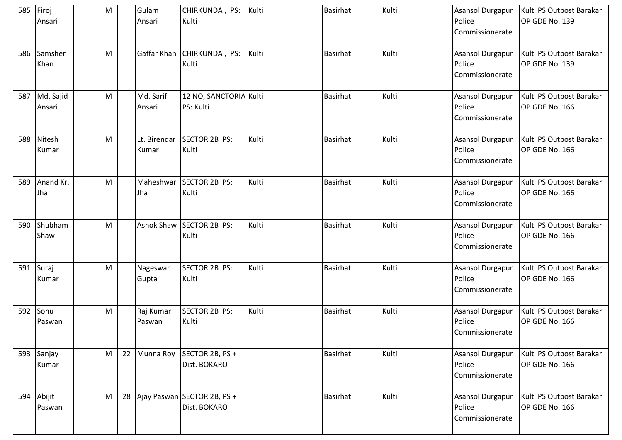|     | 585 Firoj<br>Ansari  | M | Gulam<br>Ansari       | CHIRKUNDA, PS:<br>Kulti                        | Kulti | <b>Basirhat</b> | Kulti | Asansol Durgapur<br>Police<br>Commissionerate        | Kulti PS Outpost Barakar<br>OP GDE No. 139 |
|-----|----------------------|---|-----------------------|------------------------------------------------|-------|-----------------|-------|------------------------------------------------------|--------------------------------------------|
| 586 | Samsher<br>Khan      | M |                       | Gaffar Khan CHIRKUNDA, PS:<br>Kulti            | Kulti | <b>Basirhat</b> | Kulti | Asansol Durgapur<br>Police<br>Commissionerate        | Kulti PS Outpost Barakar<br>OP GDE No. 139 |
| 587 | Md. Sajid<br>Ansari  | M | Md. Sarif<br>Ansari   | 12 NO, SANCTORIA Kulti<br>PS: Kulti            |       | <b>Basirhat</b> | Kulti | <b>Asansol Durgapur</b><br>Police<br>Commissionerate | Kulti PS Outpost Barakar<br>OP GDE No. 166 |
| 588 | Nitesh<br>Kumar      | M | Lt. Birendar<br>Kumar | SECTOR 2B PS:<br>Kulti                         | Kulti | <b>Basirhat</b> | Kulti | Asansol Durgapur<br>Police<br>Commissionerate        | Kulti PS Outpost Barakar<br>OP GDE No. 166 |
| 589 | Anand Kr.<br>Jha     | M | Maheshwar<br>Jha      | SECTOR 2B PS:<br>Kulti                         | Kulti | <b>Basirhat</b> | Kulti | Asansol Durgapur<br>Police<br>Commissionerate        | Kulti PS Outpost Barakar<br>OP GDE No. 166 |
| 590 | Shubham<br>Shaw      | M |                       | Ashok Shaw SECTOR 2B PS:<br>Kulti              | Kulti | <b>Basirhat</b> | Kulti | <b>Asansol Durgapur</b><br>Police<br>Commissionerate | Kulti PS Outpost Barakar<br>OP GDE No. 166 |
| 591 | Suraj<br>Kumar       | M | Nageswar<br>Gupta     | SECTOR 2B PS:<br>Kulti                         | Kulti | <b>Basirhat</b> | Kulti | Asansol Durgapur<br>Police<br>Commissionerate        | Kulti PS Outpost Barakar<br>OP GDE No. 166 |
|     | 592 Sonu<br>Paswan   | M | Raj Kumar<br>Paswan   | SECTOR 2B PS:<br>Kulti                         | Kulti | <b>Basirhat</b> | Kulti | Asansol Durgapur<br>Police<br>Commissionerate        | Kulti PS Outpost Barakar<br>OP GDE No. 166 |
|     | 593 Sanjay<br>Kumar  | M | 22 Munna Roy          | SECTOR 2B, PS +<br>Dist. BOKARO                |       | <b>Basirhat</b> | Kulti | Asansol Durgapur<br>Police<br>Commissionerate        | Kulti PS Outpost Barakar<br>OP GDE No. 166 |
|     | 594 Abijit<br>Paswan | M |                       | 28 Ajay Paswan SECTOR 2B, PS +<br>Dist. BOKARO |       | <b>Basirhat</b> | Kulti | Asansol Durgapur<br>Police<br>Commissionerate        | Kulti PS Outpost Barakar<br>OP GDE No. 166 |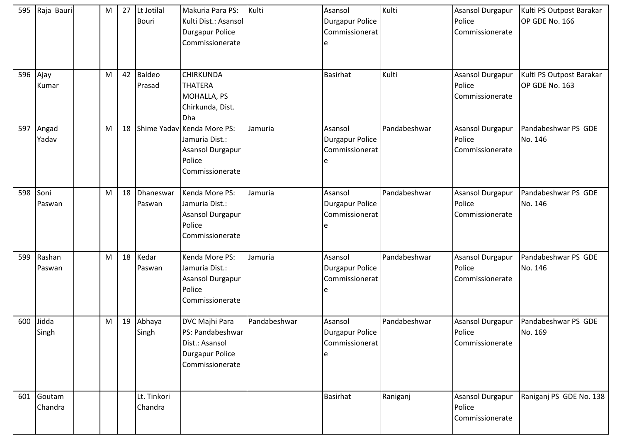| 595 | Raja Bauri        | M | 27 | Lt Jotilal<br><b>Bouri</b> | Makuria Para PS:<br>Kulti Dist.: Asansol<br>Durgapur Police<br>Commissionerate                | Kulti        | Asansol<br><b>Durgapur Police</b><br>Commissionerat<br>e | Kulti        | Asansol Durgapur<br>Police<br>Commissionerate        | Kulti PS Outpost Barakar<br>OP GDE No. 166 |
|-----|-------------------|---|----|----------------------------|-----------------------------------------------------------------------------------------------|--------------|----------------------------------------------------------|--------------|------------------------------------------------------|--------------------------------------------|
| 596 | Ajay<br>Kumar     | M | 42 | <b>Baldeo</b><br>Prasad    | <b>CHIRKUNDA</b><br><b>THATERA</b><br>MOHALLA, PS<br>Chirkunda, Dist.<br>Dha                  |              | <b>Basirhat</b>                                          | Kulti        | <b>Asansol Durgapur</b><br>Police<br>Commissionerate | Kulti PS Outpost Barakar<br>OP GDE No. 163 |
| 597 | Angad<br>Yadav    | M | 18 |                            | Shime Yadav Kenda More PS:<br>Jamuria Dist.:<br>Asansol Durgapur<br>Police<br>Commissionerate | Jamuria      | Asansol<br><b>Durgapur Police</b><br>Commissionerat      | Pandabeshwar | Asansol Durgapur<br>Police<br>Commissionerate        | Pandabeshwar PS GDE<br>No. 146             |
| 598 | Soni<br>Paswan    | M | 18 | Dhaneswar<br>Paswan        | Kenda More PS:<br>Jamuria Dist.:<br><b>Asansol Durgapur</b><br>Police<br>Commissionerate      | Jamuria      | Asansol<br><b>Durgapur Police</b><br>Commissionerat      | Pandabeshwar | Asansol Durgapur<br>Police<br>Commissionerate        | Pandabeshwar PS GDE<br>No. 146             |
| 599 | Rashan<br>Paswan  | M | 18 | Kedar<br>Paswan            | Kenda More PS:<br>Jamuria Dist.:<br>Asansol Durgapur<br>Police<br>Commissionerate             | Jamuria      | Asansol<br><b>Durgapur Police</b><br>Commissionerat      | Pandabeshwar | Asansol Durgapur<br>Police<br>Commissionerate        | Pandabeshwar PS GDE<br>No. 146             |
| 600 | Jidda<br>Singh    | M | 19 | Abhaya<br>Singh            | DVC Majhi Para<br>PS: Pandabeshwar<br>Dist.: Asansol<br>Durgapur Police<br>Commissionerate    | Pandabeshwar | Asansol<br>Durgapur Police<br>Commissionerat             | Pandabeshwar | Asansol Durgapur<br>Police<br>Commissionerate        | Pandabeshwar PS GDE<br>No. 169             |
| 601 | Goutam<br>Chandra |   |    | Lt. Tinkori<br>Chandra     |                                                                                               |              | <b>Basirhat</b>                                          | Raniganj     | <b>Asansol Durgapur</b><br>Police<br>Commissionerate | Raniganj PS GDE No. 138                    |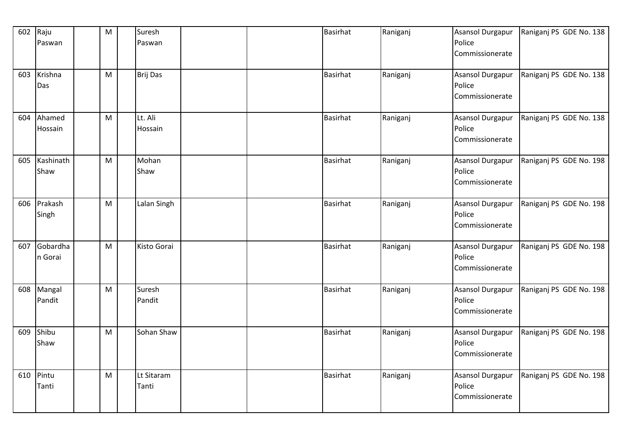| 602 | Raju<br>Paswan      | ${\sf M}$ | Suresh<br>Paswan    |  | <b>Basirhat</b> | Raniganj | <b>Asansol Durgapur</b><br>Police<br>Commissionerate | Raniganj PS GDE No. 138 |
|-----|---------------------|-----------|---------------------|--|-----------------|----------|------------------------------------------------------|-------------------------|
| 603 | Krishna<br>Das      | M         | Brij Das            |  | Basirhat        | Raniganj | <b>Asansol Durgapur</b><br>Police<br>Commissionerate | Raniganj PS GDE No. 138 |
| 604 | Ahamed<br>Hossain   | M         | Lt. Ali<br>Hossain  |  | <b>Basirhat</b> | Raniganj | Asansol Durgapur<br>Police<br>Commissionerate        | Raniganj PS GDE No. 138 |
| 605 | Kashinath<br>Shaw   | M         | Mohan<br>Shaw       |  | <b>Basirhat</b> | Raniganj | Asansol Durgapur<br>Police<br>Commissionerate        | Raniganj PS GDE No. 198 |
| 606 | Prakash<br>Singh    | M         | Lalan Singh         |  | <b>Basirhat</b> | Raniganj | Asansol Durgapur<br>Police<br>Commissionerate        | Raniganj PS GDE No. 198 |
| 607 | Gobardha<br>n Gorai | M         | <b>Kisto Gorai</b>  |  | <b>Basirhat</b> | Raniganj | Asansol Durgapur<br>Police<br>Commissionerate        | Raniganj PS GDE No. 198 |
| 608 | Mangal<br>Pandit    | M         | Suresh<br>Pandit    |  | <b>Basirhat</b> | Raniganj | Asansol Durgapur<br>Police<br>Commissionerate        | Raniganj PS GDE No. 198 |
| 609 | Shibu<br>Shaw       | M         | Sohan Shaw          |  | <b>Basirhat</b> | Raniganj | <b>Asansol Durgapur</b><br>Police<br>Commissionerate | Raniganj PS GDE No. 198 |
| 610 | Pintu<br>Tanti      | M         | Lt Sitaram<br>Tanti |  | <b>Basirhat</b> | Raniganj | Asansol Durgapur<br>Police<br>Commissionerate        | Raniganj PS GDE No. 198 |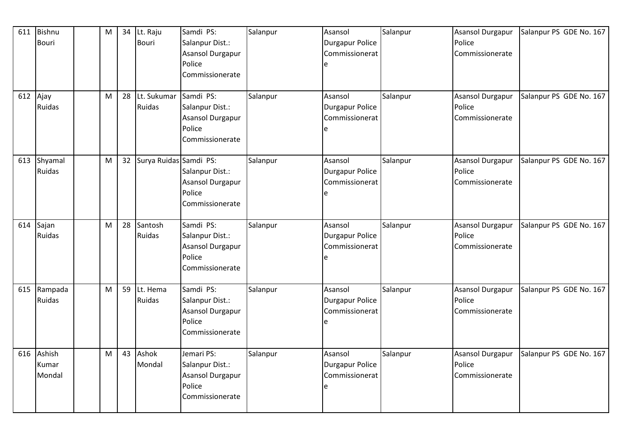| 611 | Bishnu        | M | 34 | Lt. Raju               | Samdi PS:                           | Salanpur | Asansol                                  | Salanpur | <b>Asansol Durgapur</b>   | Salanpur PS GDE No. 167 |
|-----|---------------|---|----|------------------------|-------------------------------------|----------|------------------------------------------|----------|---------------------------|-------------------------|
|     | <b>Bouri</b>  |   |    | <b>Bouri</b>           | Salanpur Dist.:<br>Asansol Durgapur |          | <b>Durgapur Police</b><br>Commissionerat |          | Police<br>Commissionerate |                         |
|     |               |   |    |                        | Police                              |          |                                          |          |                           |                         |
|     |               |   |    |                        | Commissionerate                     |          |                                          |          |                           |                         |
|     |               |   |    |                        |                                     |          |                                          |          |                           |                         |
| 612 | Ajay          | M | 28 | Lt. Sukumar            | Samdi PS:                           | Salanpur | Asansol                                  | Salanpur | <b>Asansol Durgapur</b>   | Salanpur PS GDE No. 167 |
|     | Ruidas        |   |    | Ruidas                 | Salanpur Dist.:                     |          | <b>Durgapur Police</b>                   |          | Police                    |                         |
|     |               |   |    |                        | <b>Asansol Durgapur</b>             |          | Commissionerat                           |          | Commissionerate           |                         |
|     |               |   |    |                        | Police                              |          | e                                        |          |                           |                         |
|     |               |   |    |                        | Commissionerate                     |          |                                          |          |                           |                         |
| 613 | Shyamal       | M | 32 | Surya Ruidas Samdi PS: |                                     | Salanpur | Asansol                                  | Salanpur | <b>Asansol Durgapur</b>   | Salanpur PS GDE No. 167 |
|     | Ruidas        |   |    |                        | Salanpur Dist.:                     |          | <b>Durgapur Police</b>                   |          | Police                    |                         |
|     |               |   |    |                        | <b>Asansol Durgapur</b>             |          | Commissionerat                           |          | Commissionerate           |                         |
|     |               |   |    |                        | Police                              |          | e                                        |          |                           |                         |
|     |               |   |    |                        | Commissionerate                     |          |                                          |          |                           |                         |
|     |               |   |    |                        |                                     |          |                                          |          |                           |                         |
| 614 | Sajan         | M | 28 | Santosh                | Samdi PS:                           | Salanpur | Asansol                                  | Salanpur | Asansol Durgapur          | Salanpur PS GDE No. 167 |
|     | Ruidas        |   |    | Ruidas                 | Salanpur Dist.:                     |          | <b>Durgapur Police</b>                   |          | Police                    |                         |
|     |               |   |    |                        | <b>Asansol Durgapur</b>             |          | Commissionerat                           |          | Commissionerate           |                         |
|     |               |   |    |                        | Police                              |          | e                                        |          |                           |                         |
|     |               |   |    |                        | Commissionerate                     |          |                                          |          |                           |                         |
| 615 | Rampada       | M | 59 | Lt. Hema               | Samdi PS:                           | Salanpur | Asansol                                  | Salanpur | Asansol Durgapur          | Salanpur PS GDE No. 167 |
|     | <b>Ruidas</b> |   |    | <b>Ruidas</b>          | Salanpur Dist.:                     |          | <b>Durgapur Police</b>                   |          | Police                    |                         |
|     |               |   |    |                        | Asansol Durgapur                    |          | Commissionerat                           |          | Commissionerate           |                         |
|     |               |   |    |                        | Police                              |          | e                                        |          |                           |                         |
|     |               |   |    |                        | Commissionerate                     |          |                                          |          |                           |                         |
| 616 | Ashish        | M | 43 | Ashok                  | Jemari PS:                          | Salanpur | Asansol                                  | Salanpur | <b>Asansol Durgapur</b>   | Salanpur PS GDE No. 167 |
|     | Kumar         |   |    | Mondal                 | Salanpur Dist.:                     |          | <b>Durgapur Police</b>                   |          | Police                    |                         |
|     | Mondal        |   |    |                        | Asansol Durgapur                    |          | Commissionerat                           |          | Commissionerate           |                         |
|     |               |   |    |                        | Police                              |          | e                                        |          |                           |                         |
|     |               |   |    |                        | Commissionerate                     |          |                                          |          |                           |                         |
|     |               |   |    |                        |                                     |          |                                          |          |                           |                         |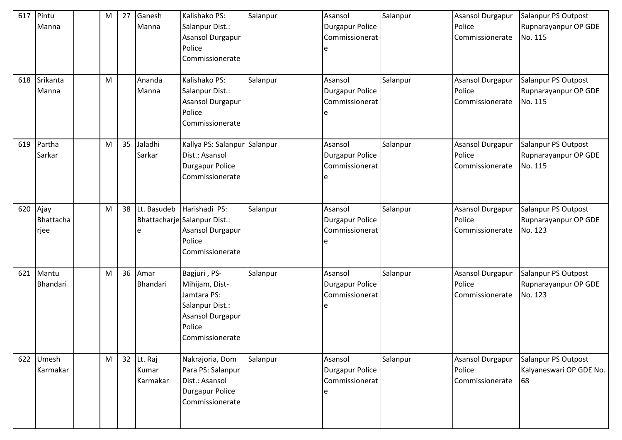| 617<br>618 | Pintu<br>Manna<br>Srikanta<br>Manna | M<br>M | 27 | Ganesh<br>Manna<br>Ananda<br>Manna | Kalishako PS:<br>Salanpur Dist.:<br><b>Asansol Durgapur</b><br>Police<br>Commissionerate<br>Kalishako PS:<br>Salanpur Dist.:<br><b>Asansol Durgapur</b><br>Police<br>Commissionerate | Salanpur<br>Salanpur | Asansol<br><b>Durgapur Police</b><br>Commissionerat<br>e<br>Asansol<br><b>Durgapur Police</b><br>Commissionerat | Salanpur<br>Salanpur | <b>Asansol Durgapur</b><br>Police<br>Commissionerate<br><b>Asansol Durgapur</b><br>Police<br>Commissionerate | Salanpur PS Outpost<br>Rupnarayanpur OP GDE<br>No. 115<br>Salanpur PS Outpost<br>Rupnarayanpur OP GDE<br>No. 115 |
|------------|-------------------------------------|--------|----|------------------------------------|--------------------------------------------------------------------------------------------------------------------------------------------------------------------------------------|----------------------|-----------------------------------------------------------------------------------------------------------------|----------------------|--------------------------------------------------------------------------------------------------------------|------------------------------------------------------------------------------------------------------------------|
| 619        | Partha<br>Sarkar                    | M      | 35 | Jaladhi<br>Sarkar                  | Kallya PS: Salanpur Salanpur<br>Dist.: Asansol<br>Durgapur Police<br>Commissionerate                                                                                                 |                      | Asansol<br><b>Durgapur Police</b><br>Commissionerat                                                             | Salanpur             | <b>Asansol Durgapur</b><br>Police<br>Commissionerate                                                         | Salanpur PS Outpost<br>Rupnarayanpur OP GDE<br>No. 115                                                           |
| 620        | Ajay<br>Bhattacha<br>rjee           | M      | 38 | Lt. Basudeb<br>e                   | Harishadi PS:<br>Bhattacharje Salanpur Dist.:<br>Asansol Durgapur<br>Police<br>Commissionerate                                                                                       | Salanpur             | Asansol<br><b>Durgapur Police</b><br>Commissionerat                                                             | Salanpur             | Asansol Durgapur<br>Police<br>Commissionerate                                                                | Salanpur PS Outpost<br>Rupnarayanpur OP GDE<br>No. 123                                                           |
| 621        | Mantu<br>Bhandari                   | M      | 36 | Amar<br>Bhandari                   | Bagjuri, PS-<br>Mihijam, Dist-<br>Jamtara PS:<br>Salanpur Dist.:<br>Asansol Durgapur<br>Police<br>Commissionerate                                                                    | Salanpur             | Asansol<br><b>Durgapur Police</b><br>Commissionerat                                                             | Salanpur             | <b>Asansol Durgapur</b><br>Police<br>Commissionerate                                                         | Salanpur PS Outpost<br>Rupnarayanpur OP GDE<br>No. 123                                                           |
| 622        | Umesh<br>Karmakar                   | M      |    | 32 Lt. Raj<br>Kumar<br>Karmakar    | Nakrajoria, Dom<br>Para PS: Salanpur<br>Dist.: Asansol<br>Durgapur Police<br>Commissionerate                                                                                         | Salanpur             | Asansol<br><b>Durgapur Police</b><br>Commissionerat                                                             | Salanpur             | Asansol Durgapur<br>Police<br>Commissionerate                                                                | Salanpur PS Outpost<br>Kalyaneswari OP GDE No.<br>68                                                             |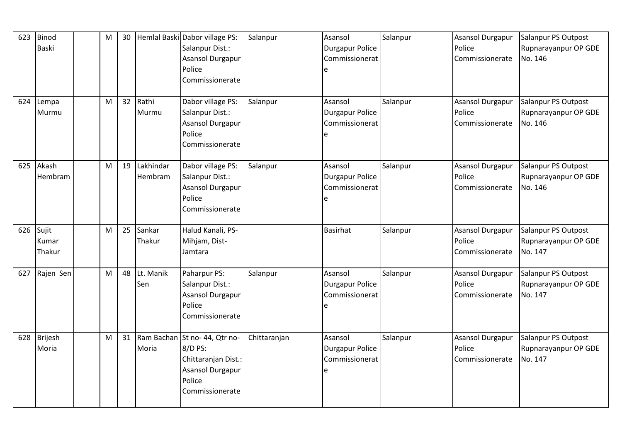| 623 | Binod<br><b>Baski</b>    | M | 30 |                      | Hemlal Baski Dabor village PS:<br>Salanpur Dist.:<br>Asansol Durgapur<br>Police<br>Commissionerate              | Salanpur     | Asansol<br><b>Durgapur Police</b><br>Commissionerat<br>e | Salanpur | <b>Asansol Durgapur</b><br>Police<br>Commissionerate | Salanpur PS Outpost<br>Rupnarayanpur OP GDE<br>No. 146 |
|-----|--------------------------|---|----|----------------------|-----------------------------------------------------------------------------------------------------------------|--------------|----------------------------------------------------------|----------|------------------------------------------------------|--------------------------------------------------------|
| 624 | Lempa<br>Murmu           | M | 32 | Rathi<br>Murmu       | Dabor village PS:<br>Salanpur Dist.:<br>Asansol Durgapur<br>Police<br>Commissionerate                           | Salanpur     | Asansol<br><b>Durgapur Police</b><br>Commissionerat      | Salanpur | Asansol Durgapur<br>Police<br>Commissionerate        | Salanpur PS Outpost<br>Rupnarayanpur OP GDE<br>No. 146 |
| 625 | Akash<br>Hembram         | M | 19 | Lakhindar<br>Hembram | Dabor village PS:<br>Salanpur Dist.:<br>Asansol Durgapur<br>Police<br>Commissionerate                           | Salanpur     | Asansol<br><b>Durgapur Police</b><br>Commissionerat<br>e | Salanpur | Asansol Durgapur<br>Police<br>Commissionerate        | Salanpur PS Outpost<br>Rupnarayanpur OP GDE<br>No. 146 |
| 626 | Sujit<br>Kumar<br>Thakur | M | 25 | Sankar<br>Thakur     | Halud Kanali, PS-<br>Mihjam, Dist-<br>Jamtara                                                                   |              | <b>Basirhat</b>                                          | Salanpur | Asansol Durgapur<br>Police<br>Commissionerate        | Salanpur PS Outpost<br>Rupnarayanpur OP GDE<br>No. 147 |
| 627 | Rajen Sen                | M | 48 | Lt. Manik<br>Sen     | Paharpur PS:<br>Salanpur Dist.:<br>Asansol Durgapur<br>Police<br>Commissionerate                                | Salanpur     | Asansol<br><b>Durgapur Police</b><br>Commissionerat<br>e | Salanpur | <b>Asansol Durgapur</b><br>Police<br>Commissionerate | Salanpur PS Outpost<br>Rupnarayanpur OP GDE<br>No. 147 |
| 628 | Brijesh<br>Moria         | M | 31 | Moria                | Ram Bachan St no-44, Qtr no-<br>8/D PS:<br>Chittaranjan Dist.:<br>Asansol Durgapur<br>Police<br>Commissionerate | Chittaranjan | Asansol<br><b>Durgapur Police</b><br>Commissionerat<br>e | Salanpur | Asansol Durgapur<br>Police<br>Commissionerate        | Salanpur PS Outpost<br>Rupnarayanpur OP GDE<br>No. 147 |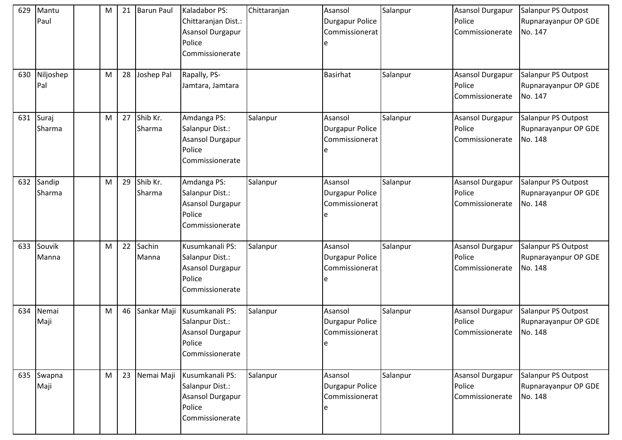| 629 | Mantu<br>Paul    | M | 21 | <b>Barun Paul</b>  | Kaladabor PS:<br>Chittaranjan Dist.:<br>Asansol Durgapur<br>Police<br>Commissionerate      | Chittaranjan | Asansol<br><b>Durgapur Police</b><br>Commissionerat<br>e  | Salanpur | <b>Asansol Durgapur</b><br>Police<br>Commissionerate | Salanpur PS Outpost<br>Rupnarayanpur OP GDE<br>No. 147 |
|-----|------------------|---|----|--------------------|--------------------------------------------------------------------------------------------|--------------|-----------------------------------------------------------|----------|------------------------------------------------------|--------------------------------------------------------|
| 630 | Niljoshep<br>Pal | M | 28 | Joshep Pal         | Rapally, PS-<br>Jamtara, Jamtara                                                           |              | <b>Basirhat</b>                                           | Salanpur | <b>Asansol Durgapur</b><br>Police<br>Commissionerate | Salanpur PS Outpost<br>Rupnarayanpur OP GDE<br>No. 147 |
| 631 | Suraj<br>Sharma  | M | 27 | Shib Kr.<br>Sharma | Amdanga PS:<br>Salanpur Dist.:<br><b>Asansol Durgapur</b><br>Police<br>Commissionerate     | Salanpur     | Asansol<br><b>Durgapur Police</b><br>Commissionerat       | Salanpur | Asansol Durgapur<br>Police<br>Commissionerate        | Salanpur PS Outpost<br>Rupnarayanpur OP GDE<br>No. 148 |
| 632 | Sandip<br>Sharma | M | 29 | Shib Kr.<br>Sharma | Amdanga PS:<br>Salanpur Dist.:<br><b>Asansol Durgapur</b><br>Police<br>Commissionerate     | Salanpur     | Asansol<br><b>Durgapur Police</b><br>Commissionerat       | Salanpur | Asansol Durgapur<br>Police<br>Commissionerate        | Salanpur PS Outpost<br>Rupnarayanpur OP GDE<br>No. 148 |
| 633 | Souvik<br>Manna  | M | 22 | Sachin<br>Manna    | Kusumkanali PS:<br>Salanpur Dist.:<br><b>Asansol Durgapur</b><br>Police<br>Commissionerate | Salanpur     | Asansol<br><b>Durgapur Police</b><br>Commissionerat       | Salanpur | Asansol Durgapur<br>Police<br>Commissionerate        | Salanpur PS Outpost<br>Rupnarayanpur OP GDE<br>No. 148 |
| 634 | Nemai<br>Maji    | M | 46 | Sankar Maji        | Kusumkanali PS:<br>Salanpur Dist.:<br>Asansol Durgapur<br>Police<br>Commissionerate        | Salanpur     | Asansol<br><b>Durgapur Police</b><br>Commissionerat<br>le | Salanpur | Asansol Durgapur<br>Police<br>Commissionerate        | Salanpur PS Outpost<br>Rupnarayanpur OP GDE<br>No. 148 |
| 635 | Swapna<br>Maji   | M | 23 | Nemai Maji         | Kusumkanali PS:<br>Salanpur Dist.:<br>Asansol Durgapur<br>Police<br>Commissionerate        | Salanpur     | Asansol<br><b>Durgapur Police</b><br>Commissionerat       | Salanpur | Asansol Durgapur<br>Police<br>Commissionerate        | Salanpur PS Outpost<br>Rupnarayanpur OP GDE<br>No. 148 |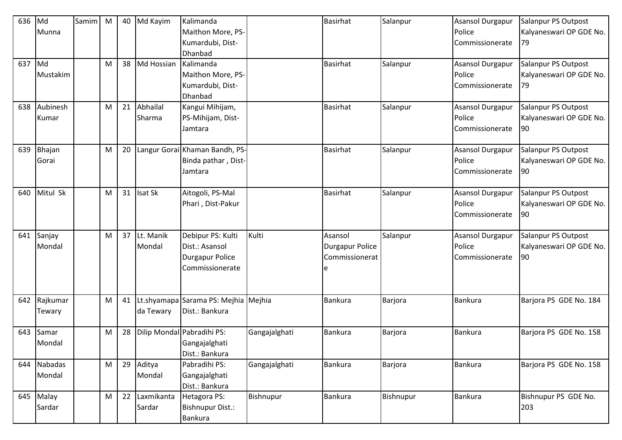| 636 | Md       | Samim | M | 40 | Md Kayim   | Kalimanda                            |               | <b>Basirhat</b>        | Salanpur  | <b>Asansol Durgapur</b> | Salanpur PS Outpost     |
|-----|----------|-------|---|----|------------|--------------------------------------|---------------|------------------------|-----------|-------------------------|-------------------------|
|     | Munna    |       |   |    |            | Maithon More, PS-                    |               |                        |           | Police                  | Kalyaneswari OP GDE No. |
|     |          |       |   |    |            | Kumardubi, Dist-                     |               |                        |           | Commissionerate         | 79                      |
|     |          |       |   |    |            | Dhanbad                              |               |                        |           |                         |                         |
| 637 | Md       |       | M | 38 | Md Hossian | Kalimanda                            |               | <b>Basirhat</b>        | Salanpur  | Asansol Durgapur        | Salanpur PS Outpost     |
|     | Mustakim |       |   |    |            | Maithon More, PS-                    |               |                        |           | Police                  | Kalyaneswari OP GDE No. |
|     |          |       |   |    |            | Kumardubi, Dist-                     |               |                        |           | Commissionerate         | 79                      |
|     |          |       |   |    |            | Dhanbad                              |               |                        |           |                         |                         |
| 638 | Aubinesh |       | M | 21 | Abhailal   | Kangui Mihijam,                      |               | <b>Basirhat</b>        | Salanpur  | <b>Asansol Durgapur</b> | Salanpur PS Outpost     |
|     | Kumar    |       |   |    | Sharma     | PS-Mihijam, Dist-                    |               |                        |           | Police                  | Kalyaneswari OP GDE No. |
|     |          |       |   |    |            | Jamtara                              |               |                        |           | Commissionerate         | 90                      |
|     |          |       |   |    |            |                                      |               |                        |           |                         |                         |
| 639 | Bhajan   |       | M | 20 |            | Langur Gorai Khaman Bandh, PS-       |               | <b>Basirhat</b>        | Salanpur  | Asansol Durgapur        | Salanpur PS Outpost     |
|     | Gorai    |       |   |    |            | Binda pathar, Dist-                  |               |                        |           | Police                  | Kalyaneswari OP GDE No. |
|     |          |       |   |    |            | Jamtara                              |               |                        |           | Commissionerate         | 90                      |
|     |          |       |   |    |            |                                      |               |                        |           |                         |                         |
| 640 | Mitul Sk |       | M | 31 | Isat Sk    | Aitogoli, PS-Mal                     |               | <b>Basirhat</b>        | Salanpur  | Asansol Durgapur        | Salanpur PS Outpost     |
|     |          |       |   |    |            | Phari, Dist-Pakur                    |               |                        |           | Police                  | Kalyaneswari OP GDE No. |
|     |          |       |   |    |            |                                      |               |                        |           | Commissionerate         | 90                      |
|     |          |       |   |    |            |                                      |               |                        |           |                         |                         |
| 641 | Sanjay   |       | M | 37 | Lt. Manik  | Debipur PS: Kulti                    | Kulti         | Asansol                | Salanpur  | Asansol Durgapur        | Salanpur PS Outpost     |
|     | Mondal   |       |   |    | Mondal     | Dist.: Asansol                       |               | <b>Durgapur Police</b> |           | Police                  | Kalyaneswari OP GDE No. |
|     |          |       |   |    |            | <b>Durgapur Police</b>               |               | Commissionerat         |           | Commissionerate         | 90                      |
|     |          |       |   |    |            | Commissionerate                      |               |                        |           |                         |                         |
|     |          |       |   |    |            |                                      |               |                        |           |                         |                         |
|     |          |       |   |    |            |                                      |               |                        |           |                         |                         |
| 642 | Rajkumar |       | M | 41 |            | Lt.shyamapa Sarama PS: Mejhia Mejhia |               | Bankura                | Barjora   | Bankura                 | Barjora PS GDE No. 184  |
|     | Tewary   |       |   |    | da Tewary  | Dist.: Bankura                       |               |                        |           |                         |                         |
|     |          |       |   |    |            |                                      |               |                        |           |                         |                         |
| 643 | Samar    |       | M | 28 |            | Dilip Mondal Pabradihi PS:           | Gangajalghati | Bankura                | Barjora   | <b>Bankura</b>          | Barjora PS GDE No. 158  |
|     | Mondal   |       |   |    |            | Gangajalghati                        |               |                        |           |                         |                         |
|     |          |       |   |    |            | Dist.: Bankura                       |               |                        |           |                         |                         |
| 644 | Nabadas  |       | M | 29 | Aditya     | Pabradihi PS:                        | Gangajalghati | <b>Bankura</b>         | Barjora   | <b>Bankura</b>          | Barjora PS GDE No. 158  |
|     | Mondal   |       |   |    | Mondal     | Gangajalghati                        |               |                        |           |                         |                         |
|     |          |       |   |    |            | Dist.: Bankura                       |               |                        |           |                         |                         |
| 645 | Malay    |       | M | 22 | Laxmikanta | Hetagora PS:                         | Bishnupur     | <b>Bankura</b>         | Bishnupur | <b>Bankura</b>          | Bishnupur PS GDE No.    |
|     | Sardar   |       |   |    | Sardar     | Bishnupur Dist.:                     |               |                        |           |                         | 203                     |
|     |          |       |   |    |            | <b>Bankura</b>                       |               |                        |           |                         |                         |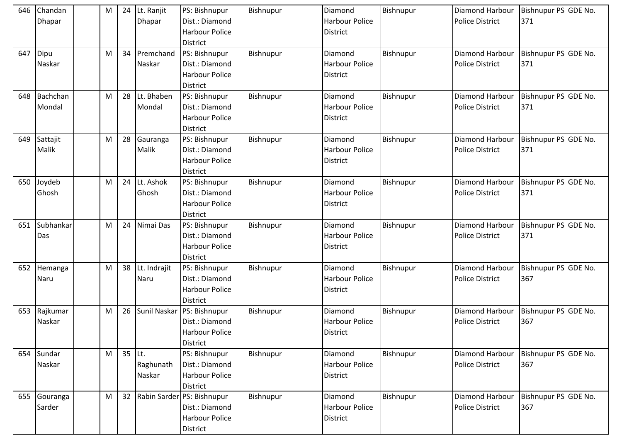| 646 | Chandan<br><b>Dhapar</b>  | M | 24     | Lt. Ranjit<br><b>Dhapar</b> | PS: Bishnupur<br>Dist.: Diamond<br><b>Harbour Police</b><br><b>District</b>              | Bishnupur | Diamond<br><b>Harbour Police</b><br><b>District</b> | Bishnupur | Diamond Harbour<br><b>Police District</b>        | Bishnupur PS GDE No.<br>371 |
|-----|---------------------------|---|--------|-----------------------------|------------------------------------------------------------------------------------------|-----------|-----------------------------------------------------|-----------|--------------------------------------------------|-----------------------------|
| 647 | Dipu<br>Naskar            | M | 34     | Premchand<br>Naskar         | PS: Bishnupur<br>Dist.: Diamond<br><b>Harbour Police</b><br>District                     | Bishnupur | Diamond<br><b>Harbour Police</b><br><b>District</b> | Bishnupur | Diamond Harbour<br><b>Police District</b>        | Bishnupur PS GDE No.<br>371 |
| 648 | <b>Bachchan</b><br>Mondal | M | 28     | Lt. Bhaben<br>Mondal        | PS: Bishnupur<br>Dist.: Diamond<br><b>Harbour Police</b><br><b>District</b>              | Bishnupur | Diamond<br><b>Harbour Police</b><br><b>District</b> | Bishnupur | <b>Diamond Harbour</b><br><b>Police District</b> | Bishnupur PS GDE No.<br>371 |
| 649 | Sattajit<br>Malik         | M | 28     | Gauranga<br>Malik           | PS: Bishnupur<br>Dist.: Diamond<br><b>Harbour Police</b><br><b>District</b>              | Bishnupur | Diamond<br><b>Harbour Police</b><br><b>District</b> | Bishnupur | Diamond Harbour<br><b>Police District</b>        | Bishnupur PS GDE No.<br>371 |
| 650 | Joydeb<br>Ghosh           | M | 24     | Lt. Ashok<br>Ghosh          | PS: Bishnupur<br>Dist.: Diamond<br><b>Harbour Police</b><br><b>District</b>              | Bishnupur | Diamond<br><b>Harbour Police</b><br><b>District</b> | Bishnupur | Diamond Harbour<br><b>Police District</b>        | Bishnupur PS GDE No.<br>371 |
| 651 | Subhankar<br>Das          | M | 24     | Nimai Das                   | PS: Bishnupur<br>Dist.: Diamond<br><b>Harbour Police</b><br><b>District</b>              | Bishnupur | Diamond<br><b>Harbour Police</b><br><b>District</b> | Bishnupur | Diamond Harbour<br><b>Police District</b>        | Bishnupur PS GDE No.<br>371 |
| 652 | Hemanga<br>Naru           | M | 38     | Lt. Indrajit<br>Naru        | PS: Bishnupur<br>Dist.: Diamond<br><b>Harbour Police</b><br><b>District</b>              | Bishnupur | Diamond<br><b>Harbour Police</b><br><b>District</b> | Bishnupur | Diamond Harbour<br><b>Police District</b>        | Bishnupur PS GDE No.<br>367 |
| 653 | Rajkumar<br>Naskar        | M | 26     |                             | Sunil Naskar PS: Bishnupur<br>Dist.: Diamond<br><b>Harbour Police</b><br><b>District</b> | Bishnupur | Diamond<br><b>Harbour Police</b><br><b>District</b> | Bishnupur | Diamond Harbour<br><b>Police District</b>        | Bishnupur PS GDE No.<br>367 |
| 654 | Sundar<br>Naskar          | M | 35 Lt. | Raghunath<br>Naskar         | PS: Bishnupur<br>Dist.: Diamond<br>Harbour Police<br><b>District</b>                     | Bishnupur | Diamond<br><b>Harbour Police</b><br><b>District</b> | Bishnupur | Diamond Harbour<br><b>Police District</b>        | Bishnupur PS GDE No.<br>367 |
| 655 | Gouranga<br>Sarder        | M | 32     |                             | Rabin Sarder PS: Bishnupur<br>Dist.: Diamond<br>Harbour Police<br><b>District</b>        | Bishnupur | Diamond<br><b>Harbour Police</b><br><b>District</b> | Bishnupur | Diamond Harbour<br><b>Police District</b>        | Bishnupur PS GDE No.<br>367 |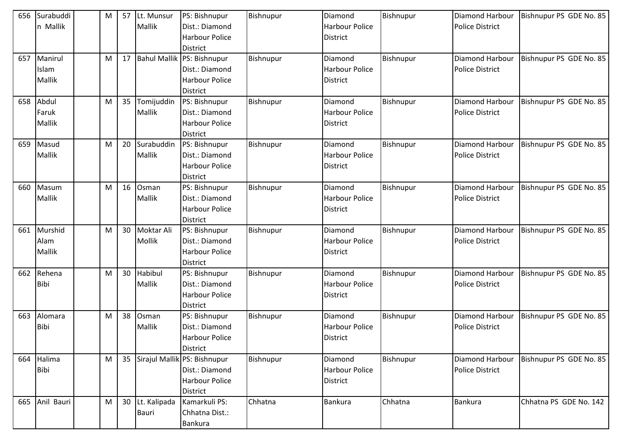| 656 | Surabuddi<br>n Mallik      | M | 57 | Lt. Munsur<br>Mallik  | PS: Bishnupur<br>Dist.: Diamond<br><b>Harbour Police</b><br><b>District</b>                | Bishnupur | Diamond<br><b>Harbour Police</b><br>District        | Bishnupur | <b>Diamond Harbour</b><br><b>Police District</b> | Bishnupur PS GDE No. 85 |
|-----|----------------------------|---|----|-----------------------|--------------------------------------------------------------------------------------------|-----------|-----------------------------------------------------|-----------|--------------------------------------------------|-------------------------|
| 657 | Manirul<br>Islam<br>Mallik | M | 17 |                       | Bahul Mallik PS: Bishnupur<br>Dist.: Diamond<br><b>Harbour Police</b><br>District          | Bishnupur | Diamond<br><b>Harbour Police</b><br><b>District</b> | Bishnupur | Diamond Harbour<br><b>Police District</b>        | Bishnupur PS GDE No. 85 |
| 658 | Abdul<br>Faruk<br>Mallik   | M | 35 | Tomijuddin<br>Mallik  | PS: Bishnupur<br>Dist.: Diamond<br><b>Harbour Police</b><br><b>District</b>                | Bishnupur | Diamond<br><b>Harbour Police</b><br><b>District</b> | Bishnupur | Diamond Harbour<br><b>Police District</b>        | Bishnupur PS GDE No. 85 |
| 659 | Masud<br>Mallik            | М | 20 | Surabuddin<br>Mallik  | PS: Bishnupur<br>Dist.: Diamond<br><b>Harbour Police</b><br><b>District</b>                | Bishnupur | Diamond<br><b>Harbour Police</b><br>District        | Bishnupur | Diamond Harbour<br><b>Police District</b>        | Bishnupur PS GDE No. 85 |
| 660 | Masum<br>Mallik            | M | 16 | Osman<br>Mallik       | PS: Bishnupur<br>Dist.: Diamond<br><b>Harbour Police</b><br><b>District</b>                | Bishnupur | Diamond<br><b>Harbour Police</b><br><b>District</b> | Bishnupur | Diamond Harbour<br><b>Police District</b>        | Bishnupur PS GDE No. 85 |
| 661 | Murshid<br>Alam<br>Mallik  | M | 30 | Moktar Ali<br>Mollik  | PS: Bishnupur<br>Dist.: Diamond<br><b>Harbour Police</b><br><b>District</b>                | Bishnupur | Diamond<br><b>Harbour Police</b><br><b>District</b> | Bishnupur | Diamond Harbour<br><b>Police District</b>        | Bishnupur PS GDE No. 85 |
| 662 | Rehena<br><b>Bibi</b>      | М | 30 | Habibul<br>Mallik     | PS: Bishnupur<br>Dist.: Diamond<br><b>Harbour Police</b><br><b>District</b>                | Bishnupur | Diamond<br><b>Harbour Police</b><br><b>District</b> | Bishnupur | Diamond Harbour<br><b>Police District</b>        | Bishnupur PS GDE No. 85 |
| 663 | Alomara<br><b>Bibi</b>     | M | 38 | Osman<br>Mallik       | PS: Bishnupur<br>Dist.: Diamond<br><b>Harbour Police</b><br><b>District</b>                | Bishnupur | Diamond<br><b>Harbour Police</b><br><b>District</b> | Bishnupur | Diamond Harbour<br><b>Police District</b>        | Bishnupur PS GDE No. 85 |
| 664 | Halima<br>Bibi             | M | 35 |                       | Sirajul Mallik PS: Bishnupur<br>Dist.: Diamond<br><b>Harbour Police</b><br><b>District</b> | Bishnupur | Diamond<br><b>Harbour Police</b><br><b>District</b> | Bishnupur | Diamond Harbour<br><b>Police District</b>        | Bishnupur PS GDE No. 85 |
| 665 | Anil Bauri                 | M | 30 | Lt. Kalipada<br>Bauri | Kamarkuli PS:<br>Chhatna Dist.:<br><b>Bankura</b>                                          | Chhatna   | Bankura                                             | Chhatna   | <b>Bankura</b>                                   | Chhatna PS GDE No. 142  |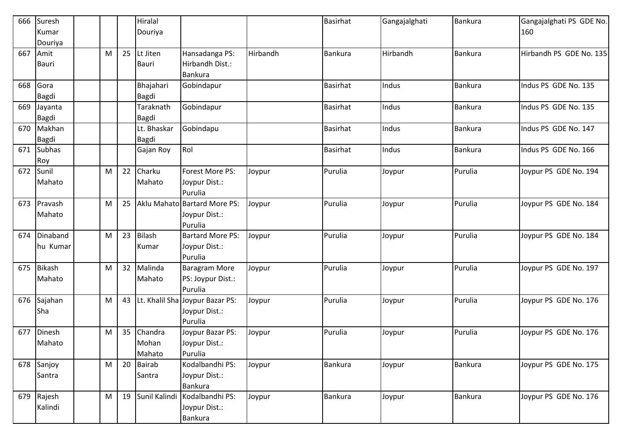| 666 | Suresh        |   |    | Hiralal       |                                 |          | <b>Basirhat</b> | Gangajalghati | Bankura        | Gangajalghati PS GDE No. |
|-----|---------------|---|----|---------------|---------------------------------|----------|-----------------|---------------|----------------|--------------------------|
|     | Kumar         |   |    | Douriya       |                                 |          |                 |               |                | 160                      |
|     | Douriya       |   |    |               |                                 |          |                 |               |                |                          |
| 667 | Amit          | M | 25 | Lt Jiten      | Hansadanga PS:                  | Hirbandh | <b>Bankura</b>  | Hirbandh      | <b>Bankura</b> | Hirbandh PS GDE No. 135  |
|     | <b>Bauri</b>  |   |    | <b>Bauri</b>  | Hirbandh Dist.:                 |          |                 |               |                |                          |
|     |               |   |    |               | Bankura                         |          |                 |               |                |                          |
| 668 | Gora          |   |    | Bhajahari     | Gobindapur                      |          | <b>Basirhat</b> | Indus         | <b>Bankura</b> | Indus PS GDE No. 135     |
|     | Bagdi         |   |    | Bagdi         |                                 |          |                 |               |                |                          |
| 669 | Jayanta       |   |    | Taraknath     | Gobindapur                      |          | Basirhat        | Indus         | Bankura        | Indus PS GDE No. 135     |
|     | Bagdi         |   |    | Bagdi         |                                 |          |                 |               |                |                          |
| 670 | Makhan        |   |    | Lt. Bhaskar   | Gobindapu                       |          | <b>Basirhat</b> | Indus         | <b>Bankura</b> | Indus PS GDE No. 147     |
|     | <b>Bagdi</b>  |   |    | Bagdi         |                                 |          |                 |               |                |                          |
| 671 | <b>Subhas</b> |   |    | Gajan Roy     | Rol                             |          | <b>Basirhat</b> | Indus         | <b>Bankura</b> | Indus PS GDE No. 166     |
|     | Roy           |   |    |               |                                 |          |                 |               |                |                          |
| 672 | Sunil         | M | 22 | Charku        | Forest More PS:                 | Joypur   | Purulia         | Joypur        | Purulia        | Joypur PS GDE No. 194    |
|     | Mahato        |   |    | Mahato        | Joypur Dist.:                   |          |                 |               |                |                          |
|     |               |   |    |               | Purulia                         |          |                 |               |                |                          |
| 673 | Pravash       | M | 25 |               | Aklu Mahato Bartard More PS:    | Joypur   | Purulia         | Joypur        | Purulia        | Joypur PS GDE No. 184    |
|     | Mahato        |   |    |               | Joypur Dist.:                   |          |                 |               |                |                          |
|     |               |   |    |               | Purulia                         |          |                 |               |                |                          |
| 674 | Dinaband      | M | 23 | <b>Bilash</b> | <b>Bartard More PS:</b>         | Joypur   | Purulia         | Joypur        | Purulia        | Joypur PS GDE No. 184    |
|     | hu Kumar      |   |    | Kumar         | Joypur Dist.:                   |          |                 |               |                |                          |
|     |               |   |    |               | Purulia                         |          |                 |               |                |                          |
| 675 | <b>Bikash</b> | M | 32 | Malinda       | <b>Baragram More</b>            | Joypur   | Purulia         | Joypur        | Purulia        | Joypur PS GDE No. 197    |
|     | Mahato        |   |    | Mahato        | PS: Joypur Dist.:               |          |                 |               |                |                          |
|     |               |   |    |               | Purulia                         |          |                 |               |                |                          |
| 676 | Sajahan       | M | 43 |               | Lt. Khalil Sha Joypur Bazar PS: | Joypur   | Purulia         | Joypur        | Purulia        | Joypur PS GDE No. 176    |
|     | Sha           |   |    |               | Joypur Dist.:                   |          |                 |               |                |                          |
|     |               |   |    |               | Purulia                         |          |                 |               |                |                          |
| 677 | Dinesh        | M | 35 | Chandra       | Joypur Bazar PS:                | Joypur   | Purulia         | Joypur        | Purulia        | Joypur PS GDE No. 176    |
|     | Mahato        |   |    | Mohan         | Joypur Dist.:                   |          |                 |               |                |                          |
|     |               |   |    | Mahato        | Purulia                         |          |                 |               |                |                          |
|     | 678 Sanjoy    | M | 20 | Bairab        | Kodalbandhi PS:                 | Joypur   | <b>Bankura</b>  | Joypur        | <b>Bankura</b> | Joypur PS GDE No. 175    |
|     | Santra        |   |    | Santra        | Joypur Dist.:                   |          |                 |               |                |                          |
|     |               |   |    |               | Bankura                         |          |                 |               |                |                          |
| 679 | Rajesh        | M | 19 | Sunil Kalindi | Kodalbandhi PS:                 | Joypur   | Bankura         | Joypur        | <b>Bankura</b> | Joypur PS GDE No. 176    |
|     | Kalindi       |   |    |               | Joypur Dist.:                   |          |                 |               |                |                          |
|     |               |   |    |               | <b>Bankura</b>                  |          |                 |               |                |                          |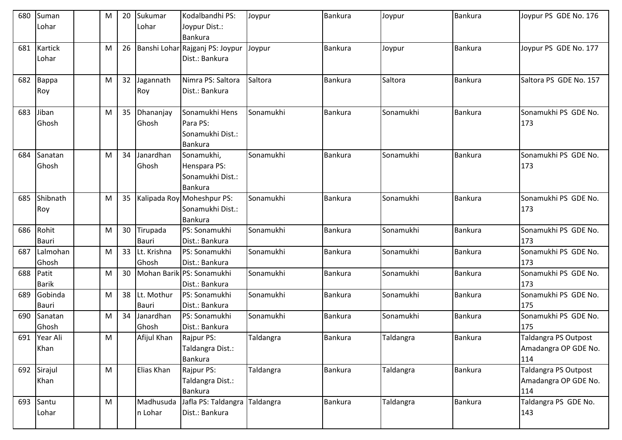| 680 | Suman<br>Lohar          | M | 20 | Sukumar<br>Lohar     | Kodalbandhi PS:<br>Joypur Dist.:<br><b>Bankura</b>               | Joypur           | <b>Bankura</b> | Joypur    | <b>Bankura</b> | Joypur PS GDE No. 176                                      |
|-----|-------------------------|---|----|----------------------|------------------------------------------------------------------|------------------|----------------|-----------|----------------|------------------------------------------------------------|
| 681 | <b>Kartick</b><br>Lohar | M | 26 |                      | Banshi Lohar Rajganj PS: Joypur<br>Dist.: Bankura                | Joypur           | <b>Bankura</b> | Joypur    | <b>Bankura</b> | Joypur PS GDE No. 177                                      |
| 682 | Bappa<br>Roy            | M | 32 | Jagannath<br>Roy     | Nimra PS: Saltora<br>Dist.: Bankura                              | Saltora          | Bankura        | Saltora   | <b>Bankura</b> | Saltora PS GDE No. 157                                     |
| 683 | Jiban<br>Ghosh          | M | 35 | Dhananjay<br>Ghosh   | Sonamukhi Hens<br>Para PS:<br>Sonamukhi Dist.:<br><b>Bankura</b> | Sonamukhi        | Bankura        | Sonamukhi | <b>Bankura</b> | Sonamukhi PS GDE No.<br>173                                |
| 684 | Sanatan<br>Ghosh        | M | 34 | Janardhan<br>Ghosh   | Sonamukhi,<br>Henspara PS:<br>Sonamukhi Dist.:<br><b>Bankura</b> | Sonamukhi        | Bankura        | Sonamukhi | <b>Bankura</b> | Sonamukhi PS GDE No.<br>173                                |
| 685 | Shibnath<br>Roy         | M | 35 |                      | Kalipada Roy Moheshpur PS:<br>Sonamukhi Dist.:<br><b>Bankura</b> | Sonamukhi        | Bankura        | Sonamukhi | <b>Bankura</b> | Sonamukhi PS GDE No.<br>173                                |
| 686 | Rohit<br><b>Bauri</b>   | M | 30 | Tirupada<br>Bauri    | PS: Sonamukhi<br>Dist.: Bankura                                  | Sonamukhi        | <b>Bankura</b> | Sonamukhi | <b>Bankura</b> | Sonamukhi PS GDE No.<br>173                                |
| 687 | Lalmohan<br>Ghosh       | M | 33 | Lt. Krishna<br>Ghosh | PS: Sonamukhi<br>Dist.: Bankura                                  | Sonamukhi        | <b>Bankura</b> | Sonamukhi | <b>Bankura</b> | Sonamukhi PS GDE No.<br>173                                |
| 688 | Patit<br><b>Barik</b>   | M | 30 |                      | Mohan Barik PS: Sonamukhi<br>Dist.: Bankura                      | Sonamukhi        | Bankura        | Sonamukhi | Bankura        | Sonamukhi PS GDE No.<br>173                                |
| 689 | Gobinda<br>Bauri        | M | 38 | Lt. Mothur<br>Bauri  | PS: Sonamukhi<br>Dist.: Bankura                                  | Sonamukhi        | <b>Bankura</b> | Sonamukhi | <b>Bankura</b> | Sonamukhi PS GDE No.<br>175                                |
| 690 | Sanatan<br>Ghosh        | M | 34 | Janardhan<br>Ghosh   | PS: Sonamukhi<br>Dist.: Bankura                                  | Sonamukhi        | <b>Bankura</b> | Sonamukhi | <b>Bankura</b> | Sonamukhi PS GDE No.<br>175                                |
|     | 691 Year Ali<br>Khan    | M |    | Afijul Khan          | Rajpur PS:<br>Taldangra Dist.:<br>Bankura                        | Taldangra        | Bankura        | Taldangra | <b>Bankura</b> | <b>Taldangra PS Outpost</b><br>Amadangra OP GDE No.<br>114 |
| 692 | Sirajul<br>Khan         | M |    | Elias Khan           | Rajpur PS:<br>Taldangra Dist.:<br><b>Bankura</b>                 | Taldangra        | <b>Bankura</b> | Taldangra | <b>Bankura</b> | Taldangra PS Outpost<br>Amadangra OP GDE No.<br>114        |
| 693 | Santu<br>Lohar          | M |    | Madhusuda<br>n Lohar | Jafla PS: Taldangra<br>Dist.: Bankura                            | <b>Taldangra</b> | Bankura        | Taldangra | <b>Bankura</b> | Taldangra PS GDE No.<br>143                                |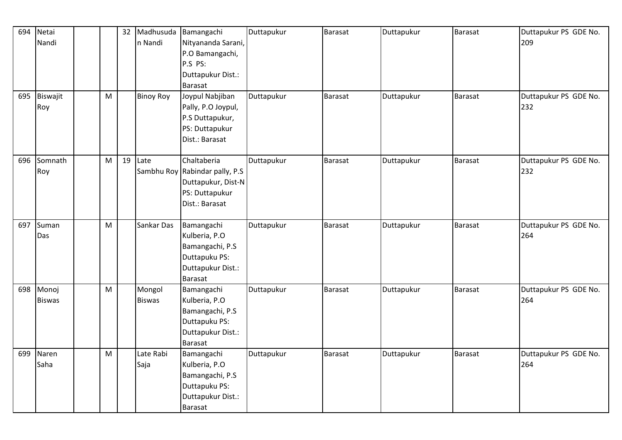| 694 | Netai         |   | 32 | Madhusuda        | Bamangachi                     | Duttapukur | <b>Barasat</b> | Duttapukur | <b>Barasat</b> | Duttapukur PS GDE No. |
|-----|---------------|---|----|------------------|--------------------------------|------------|----------------|------------|----------------|-----------------------|
|     | Nandi         |   |    | n Nandi          | Nityananda Sarani,             |            |                |            |                | 209                   |
|     |               |   |    |                  | P.O Bamangachi,                |            |                |            |                |                       |
|     |               |   |    |                  | P.S PS:                        |            |                |            |                |                       |
|     |               |   |    |                  | Duttapukur Dist.:              |            |                |            |                |                       |
|     |               |   |    |                  | Barasat                        |            |                |            |                |                       |
| 695 | Biswajit      | M |    | <b>Binoy Roy</b> | Joypul Nabjiban                | Duttapukur | <b>Barasat</b> | Duttapukur | <b>Barasat</b> | Duttapukur PS GDE No. |
|     | Roy           |   |    |                  | Pally, P.O Joypul,             |            |                |            |                | 232                   |
|     |               |   |    |                  | P.S Duttapukur,                |            |                |            |                |                       |
|     |               |   |    |                  | PS: Duttapukur                 |            |                |            |                |                       |
|     |               |   |    |                  | Dist.: Barasat                 |            |                |            |                |                       |
|     |               |   |    |                  |                                |            |                |            |                |                       |
| 696 | Somnath       | M | 19 | Late             | Chaltaberia                    | Duttapukur | Barasat        | Duttapukur | Barasat        | Duttapukur PS GDE No. |
|     | Roy           |   |    |                  | Sambhu Roy Rabindar pally, P.S |            |                |            |                | 232                   |
|     |               |   |    |                  | Duttapukur, Dist-N             |            |                |            |                |                       |
|     |               |   |    |                  | PS: Duttapukur                 |            |                |            |                |                       |
|     |               |   |    |                  | Dist.: Barasat                 |            |                |            |                |                       |
|     |               |   |    |                  |                                |            |                |            |                |                       |
| 697 | Suman         | M |    | Sankar Das       | Bamangachi                     | Duttapukur | <b>Barasat</b> | Duttapukur | <b>Barasat</b> | Duttapukur PS GDE No. |
|     | Das           |   |    |                  | Kulberia, P.O                  |            |                |            |                | 264                   |
|     |               |   |    |                  | Bamangachi, P.S                |            |                |            |                |                       |
|     |               |   |    |                  | Duttapuku PS:                  |            |                |            |                |                       |
|     |               |   |    |                  | Duttapukur Dist.:              |            |                |            |                |                       |
|     |               |   |    |                  | <b>Barasat</b>                 |            |                |            |                |                       |
| 698 | Monoj         | M |    | Mongol           | Bamangachi                     | Duttapukur | Barasat        | Duttapukur | <b>Barasat</b> | Duttapukur PS GDE No. |
|     | <b>Biswas</b> |   |    | <b>Biswas</b>    | Kulberia, P.O                  |            |                |            |                | 264                   |
|     |               |   |    |                  | Bamangachi, P.S                |            |                |            |                |                       |
|     |               |   |    |                  | Duttapuku PS:                  |            |                |            |                |                       |
|     |               |   |    |                  | Duttapukur Dist.:              |            |                |            |                |                       |
|     |               |   |    |                  | <b>Barasat</b>                 |            |                |            |                |                       |
| 699 | Naren         | M |    | Late Rabi        | Bamangachi                     | Duttapukur | <b>Barasat</b> | Duttapukur | <b>Barasat</b> | Duttapukur PS GDE No. |
|     | Saha          |   |    | Saja             | Kulberia, P.O                  |            |                |            |                | 264                   |
|     |               |   |    |                  | Bamangachi, P.S                |            |                |            |                |                       |
|     |               |   |    |                  | Duttapuku PS:                  |            |                |            |                |                       |
|     |               |   |    |                  | Duttapukur Dist.:              |            |                |            |                |                       |
|     |               |   |    |                  | <b>Barasat</b>                 |            |                |            |                |                       |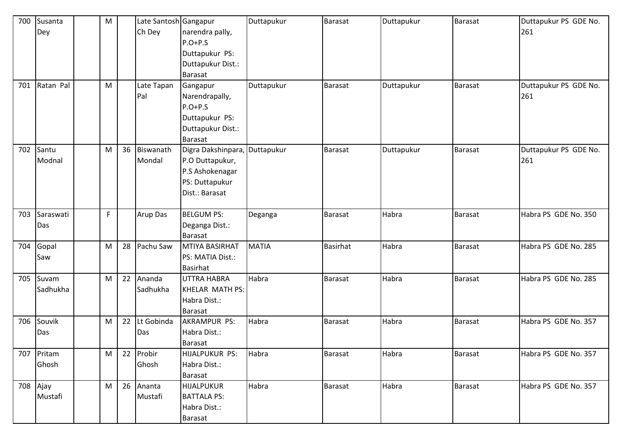| 700 | Susanta   | M  |    | Late Santosh Gangapur |                               | Duttapukur   | <b>Barasat</b>  | Duttapukur | <b>Barasat</b> | Duttapukur PS GDE No. |
|-----|-----------|----|----|-----------------------|-------------------------------|--------------|-----------------|------------|----------------|-----------------------|
|     | Dey       |    |    | Ch Dey                | narendra pally,               |              |                 |            |                | 261                   |
|     |           |    |    |                       | $P.O+P.S$                     |              |                 |            |                |                       |
|     |           |    |    |                       | Duttapukur PS:                |              |                 |            |                |                       |
|     |           |    |    |                       | Duttapukur Dist.:             |              |                 |            |                |                       |
|     |           |    |    |                       | <b>Barasat</b>                |              |                 |            |                |                       |
| 701 | Ratan Pal | M  |    | Late Tapan            | Gangapur                      | Duttapukur   | <b>Barasat</b>  | Duttapukur | <b>Barasat</b> | Duttapukur PS GDE No. |
|     |           |    |    | Pal                   | Narendrapally,                |              |                 |            |                | 261                   |
|     |           |    |    |                       | $P.O+P.S$                     |              |                 |            |                |                       |
|     |           |    |    |                       | Duttapukur PS:                |              |                 |            |                |                       |
|     |           |    |    |                       | Duttapukur Dist.:             |              |                 |            |                |                       |
|     |           |    |    |                       | <b>Barasat</b>                |              |                 |            |                |                       |
| 702 | Santu     | M  | 36 | Biswanath             | Digra Dakshinpara, Duttapukur |              | <b>Barasat</b>  | Duttapukur | <b>Barasat</b> | Duttapukur PS GDE No. |
|     | Modnal    |    |    | Mondal                | P.O Duttapukur,               |              |                 |            |                | 261                   |
|     |           |    |    |                       | P.S Ashokenagar               |              |                 |            |                |                       |
|     |           |    |    |                       | PS: Duttapukur                |              |                 |            |                |                       |
|     |           |    |    |                       | Dist.: Barasat                |              |                 |            |                |                       |
|     |           |    |    |                       |                               |              |                 |            |                |                       |
| 703 | Saraswati | F. |    | Arup Das              | <b>BELGUM PS:</b>             | Deganga      | <b>Barasat</b>  | Habra      | Barasat        | Habra PS GDE No. 350  |
|     | Das       |    |    |                       | Deganga Dist.:                |              |                 |            |                |                       |
|     |           |    |    |                       | <b>Barasat</b>                |              |                 |            |                |                       |
| 704 | Gopal     | M  | 28 | Pachu Saw             | MTIYA BASIRHAT                | <b>MATIA</b> | <b>Basirhat</b> | Habra      | <b>Barasat</b> | Habra PS GDE No. 285  |
|     | Saw       |    |    |                       | PS: MATIA Dist.:              |              |                 |            |                |                       |
|     |           |    |    |                       | <b>Basirhat</b>               |              |                 |            |                |                       |
| 705 | Suvam     | M  | 22 | Ananda                | UTTRA HABRA                   | Habra        | <b>Barasat</b>  | Habra      | <b>Barasat</b> | Habra PS GDE No. 285  |
|     | Sadhukha  |    |    | Sadhukha              | KHELAR MATH PS:               |              |                 |            |                |                       |
|     |           |    |    |                       | Habra Dist.:                  |              |                 |            |                |                       |
|     |           |    |    |                       | <b>Barasat</b>                |              |                 |            |                |                       |
| 706 | Souvik    | M  | 22 | Lt Gobinda            | <b>AKRAMPUR PS:</b>           | Habra        | <b>Barasat</b>  | Habra      | <b>Barasat</b> | Habra PS GDE No. 357  |
|     | Das       |    |    | Das                   | Habra Dist.:                  |              |                 |            |                |                       |
|     |           |    |    |                       | Barasat                       |              |                 |            |                |                       |
| 707 | Pritam    | M  | 22 | Probir                | HIJALPUKUR PS:                | Habra        | <b>Barasat</b>  | Habra      | Barasat        | Habra PS GDE No. 357  |
|     | Ghosh     |    |    | Ghosh                 | Habra Dist.:                  |              |                 |            |                |                       |
|     |           |    |    |                       | <b>Barasat</b>                |              |                 |            |                |                       |
| 708 | Ajay      | M  | 26 | Ananta                | HIJALPUKUR                    | Habra        | Barasat         | Habra      | <b>Barasat</b> | Habra PS GDE No. 357  |
|     | Mustafi   |    |    | Mustafi               | <b>BATTALA PS:</b>            |              |                 |            |                |                       |
|     |           |    |    |                       | Habra Dist.:                  |              |                 |            |                |                       |
|     |           |    |    |                       | <b>Barasat</b>                |              |                 |            |                |                       |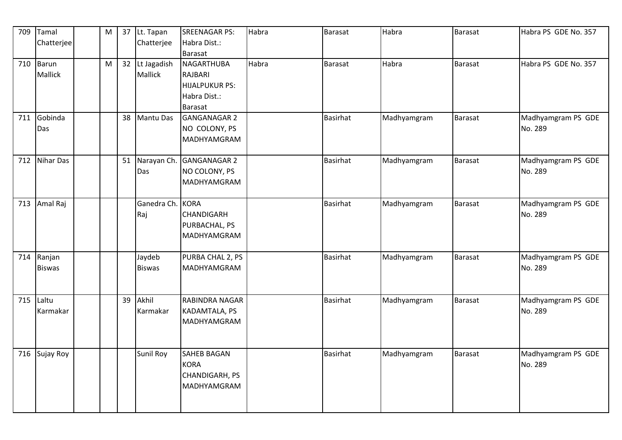| 709 | Tamal          | M |    | 37 Lt. Tapan     | <b>SREENAGAR PS:</b>     | Habra | <b>Barasat</b>  | Habra       | <b>Barasat</b> | Habra PS GDE No. 357 |
|-----|----------------|---|----|------------------|--------------------------|-------|-----------------|-------------|----------------|----------------------|
|     | Chatterjee     |   |    | Chatterjee       | Habra Dist.:             |       |                 |             |                |                      |
|     |                |   |    |                  | <b>Barasat</b>           |       |                 |             |                |                      |
| 710 | Barun          | M | 32 | Lt Jagadish      | NAGARTHUBA               | Habra | <b>Barasat</b>  | Habra       | Barasat        | Habra PS GDE No. 357 |
|     | <b>Mallick</b> |   |    | Mallick          | RAJBARI                  |       |                 |             |                |                      |
|     |                |   |    |                  | HIJALPUKUR PS:           |       |                 |             |                |                      |
|     |                |   |    |                  | Habra Dist.:             |       |                 |             |                |                      |
|     |                |   |    |                  | Barasat                  |       |                 |             |                |                      |
| 711 | Gobinda        |   | 38 | Mantu Das        | GANGANAGAR 2             |       | <b>Basirhat</b> | Madhyamgram | <b>Barasat</b> | Madhyamgram PS GDE   |
|     | Das            |   |    |                  | NO COLONY, PS            |       |                 |             |                | No. 289              |
|     |                |   |    |                  | MADHYAMGRAM              |       |                 |             |                |                      |
|     |                |   |    |                  |                          |       |                 |             |                |                      |
| 712 | Nihar Das      |   | 51 |                  | Narayan Ch. GANGANAGAR 2 |       | <b>Basirhat</b> | Madhyamgram | Barasat        | Madhyamgram PS GDE   |
|     |                |   |    | Das              | NO COLONY, PS            |       |                 |             |                | No. 289              |
|     |                |   |    |                  | MADHYAMGRAM              |       |                 |             |                |                      |
|     |                |   |    |                  |                          |       |                 |             |                |                      |
| 713 | Amal Raj       |   |    | Ganedra Ch. KORA |                          |       | <b>Basirhat</b> | Madhyamgram | <b>Barasat</b> | Madhyamgram PS GDE   |
|     |                |   |    | Raj              | <b>CHANDIGARH</b>        |       |                 |             |                | No. 289              |
|     |                |   |    |                  | PURBACHAL, PS            |       |                 |             |                |                      |
|     |                |   |    |                  | MADHYAMGRAM              |       |                 |             |                |                      |
|     |                |   |    |                  |                          |       |                 |             |                |                      |
| 714 | Ranjan         |   |    | Jaydeb           | PURBA CHAL 2, PS         |       | <b>Basirhat</b> | Madhyamgram | <b>Barasat</b> | Madhyamgram PS GDE   |
|     | <b>Biswas</b>  |   |    | <b>Biswas</b>    | MADHYAMGRAM              |       |                 |             |                | No. 289              |
|     |                |   |    |                  |                          |       |                 |             |                |                      |
|     |                |   |    |                  |                          |       |                 |             |                |                      |
| 715 | Laltu          |   | 39 | Akhil            | RABINDRA NAGAR           |       | <b>Basirhat</b> | Madhyamgram | <b>Barasat</b> | Madhyamgram PS GDE   |
|     | Karmakar       |   |    | Karmakar         | KADAMTALA, PS            |       |                 |             |                | No. 289              |
|     |                |   |    |                  | <b>MADHYAMGRAM</b>       |       |                 |             |                |                      |
|     |                |   |    |                  |                          |       |                 |             |                |                      |
|     |                |   |    |                  |                          |       |                 |             |                |                      |
| 716 | Sujay Roy      |   |    | <b>Sunil Roy</b> | <b>SAHEB BAGAN</b>       |       | <b>Basirhat</b> | Madhyamgram | Barasat        | Madhyamgram PS GDE   |
|     |                |   |    |                  | <b>KORA</b>              |       |                 |             |                | No. 289              |
|     |                |   |    |                  | CHANDIGARH, PS           |       |                 |             |                |                      |
|     |                |   |    |                  | MADHYAMGRAM              |       |                 |             |                |                      |
|     |                |   |    |                  |                          |       |                 |             |                |                      |
|     |                |   |    |                  |                          |       |                 |             |                |                      |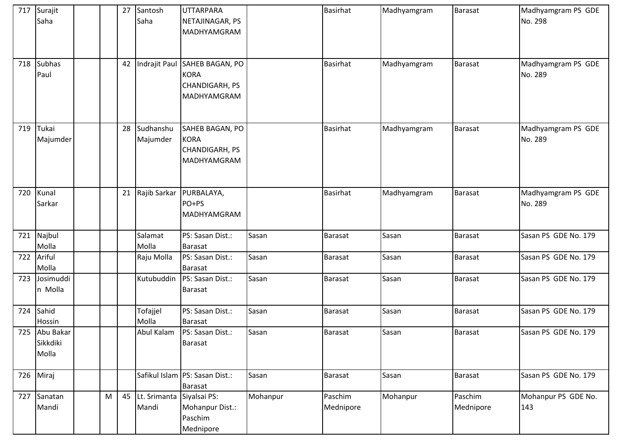|     | 717 Surajit<br>Saha                |   | 27 | Santosh<br>Saha       | <b>UTTARPARA</b><br>NETAJINAGAR, PS<br>MADHYAMGRAM                            |          | <b>Basirhat</b>      | Madhyamgram | <b>Barasat</b>       | Madhyamgram PS GDE<br>No. 298 |
|-----|------------------------------------|---|----|-----------------------|-------------------------------------------------------------------------------|----------|----------------------|-------------|----------------------|-------------------------------|
| 718 | <b>Subhas</b><br>Paul              |   | 42 |                       | Indrajit Paul SAHEB BAGAN, PO<br><b>KORA</b><br>CHANDIGARH, PS<br>MADHYAMGRAM |          | <b>Basirhat</b>      | Madhyamgram | <b>Barasat</b>       | Madhyamgram PS GDE<br>No. 289 |
| 719 | Tukai<br>Majumder                  |   | 28 | Sudhanshu<br>Majumder | SAHEB BAGAN, PO<br><b>KORA</b><br>CHANDIGARH, PS<br>MADHYAMGRAM               |          | <b>Basirhat</b>      | Madhyamgram | <b>Barasat</b>       | Madhyamgram PS GDE<br>No. 289 |
| 720 | Kunal<br>Sarkar                    |   | 21 | Rajib Sarkar          | PURBALAYA,<br>PO+PS<br>MADHYAMGRAM                                            |          | <b>Basirhat</b>      | Madhyamgram | <b>Barasat</b>       | Madhyamgram PS GDE<br>No. 289 |
| 721 | Najbul<br>Molla                    |   |    | Salamat<br>Molla      | PS: Sasan Dist.:<br>Barasat                                                   | Sasan    | <b>Barasat</b>       | Sasan       | <b>Barasat</b>       | Sasan PS GDE No. 179          |
| 722 | Ariful<br>Molla                    |   |    | Raju Molla            | PS: Sasan Dist.:<br><b>Barasat</b>                                            | Sasan    | <b>Barasat</b>       | Sasan       | <b>Barasat</b>       | Sasan PS GDE No. 179          |
| 723 | Josimuddi<br>n Molla               |   |    | Kutubuddin            | PS: Sasan Dist.:<br><b>Barasat</b>                                            | Sasan    | <b>Barasat</b>       | Sasan       | <b>Barasat</b>       | Sasan PS GDE No. 179          |
| 724 | Sahid<br>Hossin                    |   |    | Tofajjel<br>Molla     | PS: Sasan Dist.:<br>Barasat                                                   | Sasan    | <b>Barasat</b>       | Sasan       | <b>Barasat</b>       | Sasan PS GDE No. 179          |
|     | 725 Abu Bakar<br>Sikkdiki<br>Molla |   |    | Abul Kalam            | PS: Sasan Dist.:<br><b>Barasat</b>                                            | Sasan    | Barasat              | Sasan       | <b>Barasat</b>       | Sasan PS GDE No. 179          |
| 726 | Miraj                              |   |    |                       | Safikul Islam PS: Sasan Dist.:<br><b>Barasat</b>                              | Sasan    | Barasat              | Sasan       | <b>Barasat</b>       | Sasan PS GDE No. 179          |
| 727 | Sanatan<br>Mandi                   | M | 45 | Lt. Srimanta<br>Mandi | Siyalsai PS:<br>Mohanpur Dist.:<br>Paschim<br>Mednipore                       | Mohanpur | Paschim<br>Mednipore | Mohanpur    | Paschim<br>Mednipore | Mohanpur PS GDE No.<br>143    |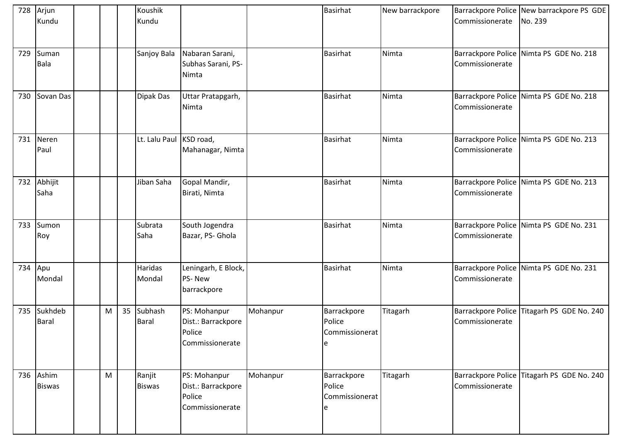|         | 728 Arjun<br>Kundu      |   |    | Koushik<br>Kundu        |                                                                 |          | <b>Basirhat</b>                              | New barrackpore | Commissionerate | Barrackpore Police New barrackpore PS GDE<br>No. 239 |
|---------|-------------------------|---|----|-------------------------|-----------------------------------------------------------------|----------|----------------------------------------------|-----------------|-----------------|------------------------------------------------------|
| 729     | Suman<br><b>Bala</b>    |   |    | Sanjoy Bala             | Nabaran Sarani,<br>Subhas Sarani, PS-<br>Nimta                  |          | <b>Basirhat</b>                              | Nimta           | Commissionerate | Barrackpore Police Nimta PS GDE No. 218              |
| 730     | Sovan Das               |   |    | Dipak Das               | Uttar Pratapgarh,<br>Nimta                                      |          | <b>Basirhat</b>                              | Nimta           | Commissionerate | Barrackpore Police Nimta PS GDE No. 218              |
| 731     | Neren<br>Paul           |   |    | Lt. Lalu Paul KSD road, | Mahanagar, Nimta                                                |          | <b>Basirhat</b>                              | Nimta           | Commissionerate | Barrackpore Police Nimta PS GDE No. 213              |
|         | 732 Abhijit<br>Saha     |   |    | Jiban Saha              | Gopal Mandir,<br>Birati, Nimta                                  |          | <b>Basirhat</b>                              | Nimta           | Commissionerate | Barrackpore Police Nimta PS GDE No. 213              |
| 733     | Sumon<br>Roy            |   |    | Subrata<br>Saha         | South Jogendra<br>Bazar, PS- Ghola                              |          | <b>Basirhat</b>                              | Nimta           | Commissionerate | Barrackpore Police Nimta PS GDE No. 231              |
| 734 Apu | Mondal                  |   |    | Haridas<br>Mondal       | Leningarh, E Block,<br>PS-New<br>barrackpore                    |          | <b>Basirhat</b>                              | Nimta           | Commissionerate | Barrackpore Police Nimta PS GDE No. 231              |
| 735     | Sukhdeb<br><b>Baral</b> | M | 35 | Subhash<br><b>Baral</b> | PS: Mohanpur<br>Dist.: Barrackpore<br>Police<br>Commissionerate | Mohanpur | Barrackpore<br>Police<br>Commissionerat<br>e | Titagarh        | Commissionerate | Barrackpore Police Titagarh PS GDE No. 240           |
| 736     | Ashim<br><b>Biswas</b>  | M |    | Ranjit<br><b>Biswas</b> | PS: Mohanpur<br>Dist.: Barrackpore<br>Police<br>Commissionerate | Mohanpur | Barrackpore<br>Police<br>Commissionerat      | Titagarh        | Commissionerate | Barrackpore Police Titagarh PS GDE No. 240           |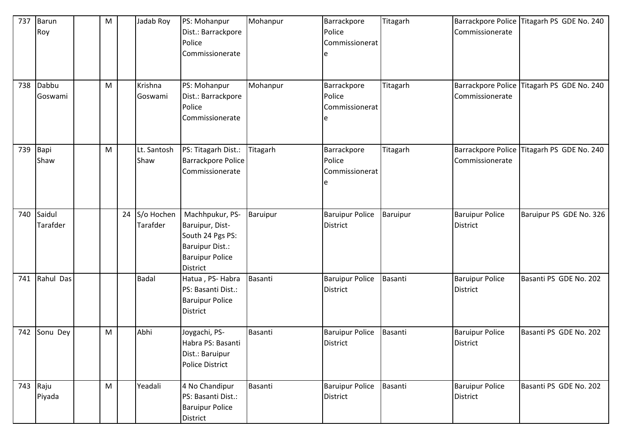| 737 | Barun<br>Roy       | M |    | Jadab Roy              | PS: Mohanpur<br>Dist.: Barrackpore<br>Police<br>Commissionerate                                                               | Mohanpur | Barrackpore<br>Police<br>Commissionerat   | Titagarh       | Commissionerate                           | Barrackpore Police Titagarh PS GDE No. 240 |
|-----|--------------------|---|----|------------------------|-------------------------------------------------------------------------------------------------------------------------------|----------|-------------------------------------------|----------------|-------------------------------------------|--------------------------------------------|
| 738 | Dabbu<br>Goswami   | M |    | Krishna<br>Goswami     | PS: Mohanpur<br>Dist.: Barrackpore<br>Police<br>Commissionerate                                                               | Mohanpur | Barrackpore<br>Police<br>Commissionerat   | Titagarh       | Barrackpore Police<br>Commissionerate     | Titagarh PS GDE No. 240                    |
| 739 | Bapi<br>Shaw       | M |    | Lt. Santosh<br>Shaw    | PS: Titagarh Dist.:<br><b>Barrackpore Police</b><br>Commissionerate                                                           | Titagarh | Barrackpore<br>Police<br>Commissionerat   | Titagarh       | Commissionerate                           | Barrackpore Police Titagarh PS GDE No. 240 |
| 740 | Saidul<br>Tarafder |   | 24 | S/o Hochen<br>Tarafder | Machhpukur, PS-<br>Baruipur, Dist-<br>South 24 Pgs PS:<br><b>Baruipur Dist.:</b><br><b>Baruipur Police</b><br><b>District</b> | Baruipur | <b>Baruipur Police</b><br><b>District</b> | Baruipur       | <b>Baruipur Police</b><br><b>District</b> | Baruipur PS GDE No. 326                    |
| 741 | Rahul Das          |   |    | <b>Badal</b>           | Hatua, PS-Habra<br>PS: Basanti Dist.:<br><b>Baruipur Police</b><br><b>District</b>                                            | Basanti  | <b>Baruipur Police</b><br><b>District</b> | <b>Basanti</b> | <b>Baruipur Police</b><br><b>District</b> | Basanti PS GDE No. 202                     |
| 742 | Sonu Dey           | M |    | Abhi                   | Joygachi, PS-<br>Habra PS: Basanti<br>Dist.: Baruipur<br><b>Police District</b>                                               | Basanti  | <b>Baruipur Police</b><br><b>District</b> | <b>Basanti</b> | <b>Baruipur Police</b><br><b>District</b> | Basanti PS GDE No. 202                     |
|     | 743 Raju<br>Piyada | M |    | Yeadali                | 4 No Chandipur<br>PS: Basanti Dist.:<br><b>Baruipur Police</b><br>District                                                    | Basanti  | <b>Baruipur Police</b><br><b>District</b> | Basanti        | <b>Baruipur Police</b><br>District        | Basanti PS GDE No. 202                     |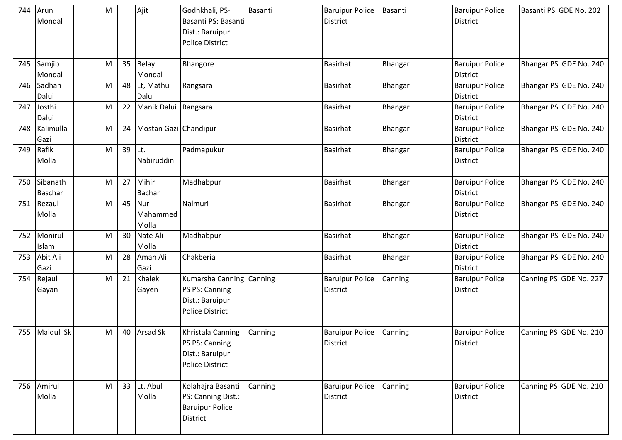| 744 | Arun<br>Mondal             | M |    | Ajit                     | Godhkhali, PS-<br>Basanti PS: Basanti<br>Dist.: Baruipur<br><b>Police District</b>      | Basanti | <b>Baruipur Police</b><br><b>District</b> | Basanti | <b>Baruipur Police</b><br><b>District</b> | Basanti PS GDE No. 202 |
|-----|----------------------------|---|----|--------------------------|-----------------------------------------------------------------------------------------|---------|-------------------------------------------|---------|-------------------------------------------|------------------------|
| 745 | Samjib<br>Mondal           | M | 35 | Belay<br>Mondal          | Bhangore                                                                                |         | <b>Basirhat</b>                           | Bhangar | <b>Baruipur Police</b><br><b>District</b> | Bhangar PS GDE No. 240 |
| 746 | Sadhan<br>Dalui            | M |    | 48 Lt, Mathu<br>Dalui    | Rangsara                                                                                |         | <b>Basirhat</b>                           | Bhangar | <b>Baruipur Police</b><br>District        | Bhangar PS GDE No. 240 |
| 747 | Josthi<br>Dalui            | M | 22 | Manik Dalui Rangsara     |                                                                                         |         | <b>Basirhat</b>                           | Bhangar | <b>Baruipur Police</b><br><b>District</b> | Bhangar PS GDE No. 240 |
| 748 | Kalimulla<br>Gazi          | M | 24 | Mostan Gazi Chandipur    |                                                                                         |         | <b>Basirhat</b>                           | Bhangar | <b>Baruipur Police</b><br><b>District</b> | Bhangar PS GDE No. 240 |
| 749 | Rafik<br>Molla             | M | 39 | Lt.<br>Nabiruddin        | Padmapukur                                                                              |         | <b>Basirhat</b>                           | Bhangar | <b>Baruipur Police</b><br><b>District</b> | Bhangar PS GDE No. 240 |
| 750 | Sibanath<br><b>Baschar</b> | M | 27 | Mihir<br><b>Bachar</b>   | Madhabpur                                                                               |         | <b>Basirhat</b>                           | Bhangar | <b>Baruipur Police</b><br><b>District</b> | Bhangar PS GDE No. 240 |
| 751 | Rezaul<br>Molla            | M | 45 | Nur<br>Mahammed<br>Molla | Nalmuri                                                                                 |         | <b>Basirhat</b>                           | Bhangar | <b>Baruipur Police</b><br><b>District</b> | Bhangar PS GDE No. 240 |
| 752 | Monirul<br>Islam           | M | 30 | Nate Ali<br>Molla        | Madhabpur                                                                               |         | <b>Basirhat</b>                           | Bhangar | <b>Baruipur Police</b><br><b>District</b> | Bhangar PS GDE No. 240 |
| 753 | Abit Ali<br>Gazi           | M | 28 | Aman Ali<br>Gazi         | Chakberia                                                                               |         | <b>Basirhat</b>                           | Bhangar | <b>Baruipur Police</b><br>District        | Bhangar PS GDE No. 240 |
| 754 | Rejaul<br>Gayan            | M | 21 | Khalek<br>Gayen          | Kumarsha Canning Canning<br>PS PS: Canning<br>Dist.: Baruipur<br><b>Police District</b> |         | <b>Baruipur Police</b><br><b>District</b> | Canning | <b>Baruipur Police</b><br><b>District</b> | Canning PS GDE No. 227 |
| 755 | Maidul Sk                  | M | 40 | <b>Arsad Sk</b>          | Khristala Canning<br>PS PS: Canning<br>Dist.: Baruipur<br><b>Police District</b>        | Canning | <b>Baruipur Police</b><br><b>District</b> | Canning | <b>Baruipur Police</b><br><b>District</b> | Canning PS GDE No. 210 |
|     | 756 Amirul<br>Molla        | M |    | 33 Lt. Abul<br>Molla     | Kolahajra Basanti<br>PS: Canning Dist.:<br><b>Baruipur Police</b><br>District           | Canning | <b>Baruipur Police</b><br><b>District</b> | Canning | <b>Baruipur Police</b><br>District        | Canning PS GDE No. 210 |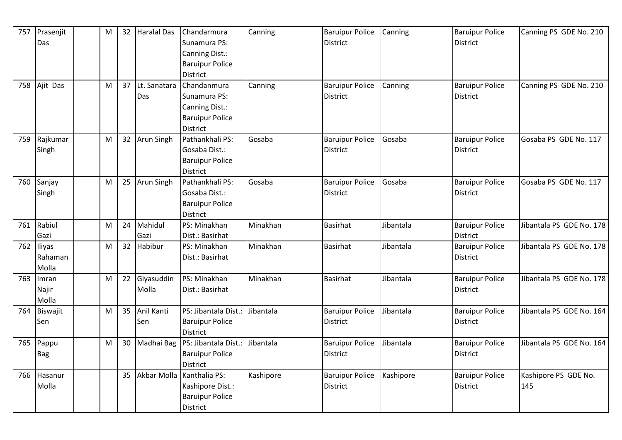| 757 | Prasenjit    | M | 32 | <b>Haralal Das</b> | Chandarmura               | Canning   | <b>Baruipur Police</b> | Canning   | <b>Baruipur Police</b> | Canning PS GDE No. 210   |
|-----|--------------|---|----|--------------------|---------------------------|-----------|------------------------|-----------|------------------------|--------------------------|
|     | Das          |   |    |                    | Sunamura PS:              |           | <b>District</b>        |           | <b>District</b>        |                          |
|     |              |   |    |                    | Canning Dist.:            |           |                        |           |                        |                          |
|     |              |   |    |                    | <b>Baruipur Police</b>    |           |                        |           |                        |                          |
|     |              |   |    |                    | <b>District</b>           |           |                        |           |                        |                          |
| 758 | Ajit Das     | M | 37 | Lt. Sanatara       | Chandanmura               | Canning   | <b>Baruipur Police</b> | Canning   | <b>Baruipur Police</b> | Canning PS GDE No. 210   |
|     |              |   |    | Das                | Sunamura PS:              |           | <b>District</b>        |           | <b>District</b>        |                          |
|     |              |   |    |                    | Canning Dist.:            |           |                        |           |                        |                          |
|     |              |   |    |                    | <b>Baruipur Police</b>    |           |                        |           |                        |                          |
|     |              |   |    |                    | <b>District</b>           |           |                        |           |                        |                          |
| 759 | Rajkumar     | M | 32 | Arun Singh         | Pathankhali PS:           | Gosaba    | <b>Baruipur Police</b> | Gosaba    | <b>Baruipur Police</b> | Gosaba PS GDE No. 117    |
|     | Singh        |   |    |                    | Gosaba Dist.:             |           | District               |           | District               |                          |
|     |              |   |    |                    | <b>Baruipur Police</b>    |           |                        |           |                        |                          |
|     |              |   |    |                    | <b>District</b>           |           |                        |           |                        |                          |
| 760 | Sanjay       | M | 25 | <b>Arun Singh</b>  | Pathankhali PS:           | Gosaba    | <b>Baruipur Police</b> | Gosaba    | <b>Baruipur Police</b> | Gosaba PS GDE No. 117    |
|     | Singh        |   |    |                    | Gosaba Dist.:             |           | <b>District</b>        |           | <b>District</b>        |                          |
|     |              |   |    |                    | <b>Baruipur Police</b>    |           |                        |           |                        |                          |
|     |              |   |    |                    | <b>District</b>           |           |                        |           |                        |                          |
| 761 | Rabiul       | M | 24 | Mahidul            | PS: Minakhan              | Minakhan  | <b>Basirhat</b>        | Jibantala | <b>Baruipur Police</b> | Jibantala PS GDE No. 178 |
|     | Gazi         |   |    | Gazi               | Dist.: Basirhat           |           |                        |           | <b>District</b>        |                          |
| 762 | Iliyas       | M | 32 | Habibur            | PS: Minakhan              | Minakhan  | <b>Basirhat</b>        | Jibantala | <b>Baruipur Police</b> | Jibantala PS GDE No. 178 |
|     | Rahaman      |   |    |                    | Dist.: Basirhat           |           |                        |           | <b>District</b>        |                          |
|     | Molla        |   |    |                    |                           |           |                        |           |                        |                          |
| 763 | <b>Imran</b> | M | 22 | Giyasuddin         | PS: Minakhan              | Minakhan  | <b>Basirhat</b>        | Jibantala | <b>Baruipur Police</b> | Jibantala PS GDE No. 178 |
|     | Najir        |   |    | Molla              | Dist.: Basirhat           |           |                        |           | <b>District</b>        |                          |
|     | Molla        |   |    |                    |                           |           |                        |           |                        |                          |
| 764 | Biswajit     | M | 35 | Anil Kanti         | PS: Jibantala Dist.:      | Jibantala | <b>Baruipur Police</b> | Jibantala | <b>Baruipur Police</b> | Jibantala PS GDE No. 164 |
|     | Sen          |   |    | Sen                | <b>Baruipur Police</b>    |           | <b>District</b>        |           | <b>District</b>        |                          |
|     |              |   |    |                    | <b>District</b>           |           |                        |           |                        |                          |
| 765 | Pappu        | M | 30 | Madhai Bag         | PS: Jibantala Dist.:      | Jibantala | <b>Baruipur Police</b> | Jibantala | <b>Baruipur Police</b> | Jibantala PS GDE No. 164 |
|     | <b>Bag</b>   |   |    |                    | <b>Baruipur Police</b>    |           | <b>District</b>        |           | <b>District</b>        |                          |
|     |              |   |    |                    | <b>District</b>           |           |                        |           |                        |                          |
| 766 | Hasanur      |   | 35 |                    | Akbar Molla Kanthalia PS: | Kashipore | <b>Baruipur Police</b> | Kashipore | <b>Baruipur Police</b> | Kashipore PS GDE No.     |
|     | Molla        |   |    |                    | Kashipore Dist.:          |           | <b>District</b>        |           | <b>District</b>        | 145                      |
|     |              |   |    |                    | <b>Baruipur Police</b>    |           |                        |           |                        |                          |
|     |              |   |    |                    | District                  |           |                        |           |                        |                          |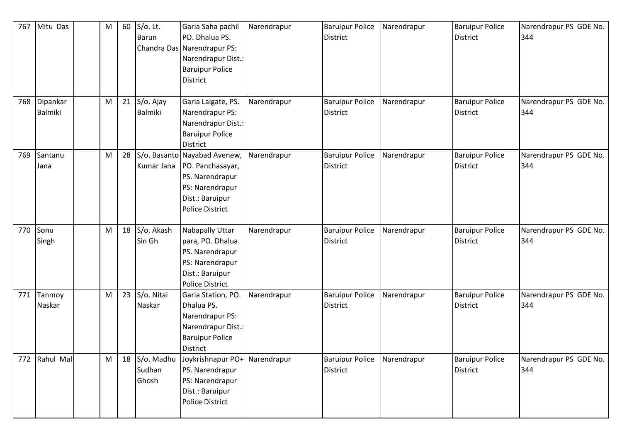| 767 | Mitu Das         | M | 60 | $S$ /o. Lt.<br><b>Barun</b>      | Garia Saha pachil<br>PO. Dhalua PS.<br>Chandra Das Narendrapur PS:<br>Narendrapur Dist.:<br><b>Baruipur Police</b><br><b>District</b>            | Narendrapur | <b>Baruipur Police</b><br><b>District</b> | Narendrapur | <b>Baruipur Police</b><br><b>District</b> | Narendrapur PS GDE No.<br>344 |
|-----|------------------|---|----|----------------------------------|--------------------------------------------------------------------------------------------------------------------------------------------------|-------------|-------------------------------------------|-------------|-------------------------------------------|-------------------------------|
| 768 | Dipankar         | M | 21 | S/o. Ajay                        | Garia Lalgate, PS.                                                                                                                               | Narendrapur | <b>Baruipur Police</b>                    | Narendrapur | <b>Baruipur Police</b>                    | Narendrapur PS GDE No.        |
|     | Balmiki          |   |    | <b>Balmiki</b>                   | Narendrapur PS:<br>Narendrapur Dist.:<br><b>Baruipur Police</b><br><b>District</b>                                                               |             | <b>District</b>                           |             | <b>District</b>                           | 344                           |
| 769 | Santanu<br>Jana  | M | 28 |                                  | S/o. Basanto Nayabad Avenew,<br>Kumar Jana   PO. Panchasayar,<br>PS. Narendrapur<br>PS: Narendrapur<br>Dist.: Baruipur<br><b>Police District</b> | Narendrapur | <b>Baruipur Police</b><br><b>District</b> | Narendrapur | <b>Baruipur Police</b><br><b>District</b> | Narendrapur PS GDE No.<br>344 |
| 770 | Sonu<br>Singh    | M | 18 | S/o. Akash<br>Sin Gh             | Nabapally Uttar<br>para, PO. Dhalua<br>PS. Narendrapur<br>PS: Narendrapur<br>Dist.: Baruipur<br><b>Police District</b>                           | Narendrapur | <b>Baruipur Police</b><br><b>District</b> | Narendrapur | <b>Baruipur Police</b><br><b>District</b> | Narendrapur PS GDE No.<br>344 |
| 771 | Tanmoy<br>Naskar | M | 23 | S/o. Nitai<br>Naskar             | Garia Station, PO.<br>Dhalua PS.<br>Narendrapur PS:<br>Narendrapur Dist.:<br><b>Baruipur Police</b><br><b>District</b>                           | Narendrapur | <b>Baruipur Police</b><br><b>District</b> | Narendrapur | <b>Baruipur Police</b><br><b>District</b> | Narendrapur PS GDE No.<br>344 |
| 772 | Rahul Mal        | M |    | 18 S/o. Madhu<br>Sudhan<br>Ghosh | Joykrishnapur PO+ Narendrapur<br>PS. Narendrapur<br>PS: Narendrapur<br>Dist.: Baruipur<br><b>Police District</b>                                 |             | <b>Baruipur Police</b><br><b>District</b> | Narendrapur | <b>Baruipur Police</b><br><b>District</b> | Narendrapur PS GDE No.<br>344 |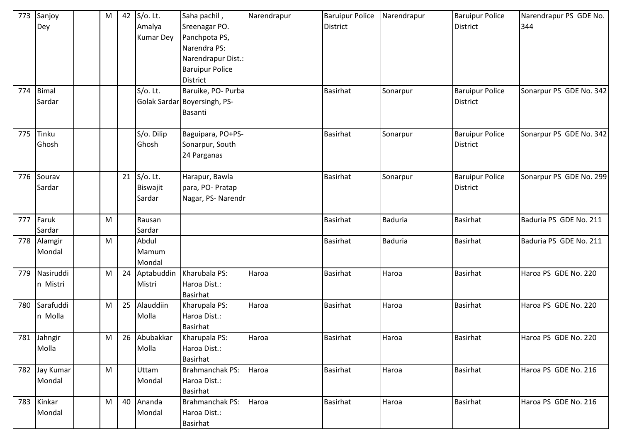| 773 | Sanjoy<br>Dey          | M | 42 | S/o. Lt.<br>Amalya<br><b>Kumar Dey</b> | Saha pachil,<br>Sreenagar PO.<br>Panchpota PS,<br>Narendra PS:<br>Narendrapur Dist.:<br><b>Baruipur Police</b><br><b>District</b> | Narendrapur | <b>Baruipur Police</b><br><b>District</b> | Narendrapur    | <b>Baruipur Police</b><br><b>District</b> | Narendrapur PS GDE No.<br>344 |
|-----|------------------------|---|----|----------------------------------------|-----------------------------------------------------------------------------------------------------------------------------------|-------------|-------------------------------------------|----------------|-------------------------------------------|-------------------------------|
| 774 | <b>Bimal</b><br>Sardar |   |    | $S$ /o. Lt.                            | Baruike, PO- Purba<br>Golak Sardar Boyersingh, PS-<br>Basanti                                                                     |             | <b>Basirhat</b>                           | Sonarpur       | <b>Baruipur Police</b><br><b>District</b> | Sonarpur PS GDE No. 342       |
| 775 | Tinku<br>Ghosh         |   |    | S/o. Dilip<br>Ghosh                    | Baguipara, PO+PS-<br>Sonarpur, South<br>24 Parganas                                                                               |             | Basirhat                                  | Sonarpur       | <b>Baruipur Police</b><br><b>District</b> | Sonarpur PS GDE No. 342       |
| 776 | Sourav<br>Sardar       |   |    | 21 S/o. Lt.<br>Biswajit<br>Sardar      | Harapur, Bawla<br>para, PO- Pratap<br>Nagar, PS- Narendr                                                                          |             | Basirhat                                  | Sonarpur       | <b>Baruipur Police</b><br><b>District</b> | Sonarpur PS GDE No. 299       |
| 777 | Faruk<br>Sardar        | M |    | Rausan<br>Sardar                       |                                                                                                                                   |             | <b>Basirhat</b>                           | <b>Baduria</b> | <b>Basirhat</b>                           | Baduria PS GDE No. 211        |
| 778 | Alamgir<br>Mondal      | M |    | Abdul<br>Mamum<br>Mondal               |                                                                                                                                   |             | <b>Basirhat</b>                           | <b>Baduria</b> | <b>Basirhat</b>                           | Baduria PS GDE No. 211        |
| 779 | Nasiruddi<br>n Mistri  | M | 24 | Aptabuddin<br>Mistri                   | Kharubala PS:<br>Haroa Dist.:<br><b>Basirhat</b>                                                                                  | Haroa       | <b>Basirhat</b>                           | Haroa          | <b>Basirhat</b>                           | Haroa PS GDE No. 220          |
| 780 | Sarafuddi<br>n Molla   | M | 25 | Alauddiin<br>Molla                     | Kharupala PS:<br>Haroa Dist.:<br><b>Basirhat</b>                                                                                  | Haroa       | Basirhat                                  | Haroa          | Basirhat                                  | Haroa PS GDE No. 220          |
|     | 781 Jahngir<br>Molla   | M | 26 | Abubakkar<br>Molla                     | Kharupala PS:<br>Haroa Dist.:<br><b>Basirhat</b>                                                                                  | Haroa       | Basirhat                                  | Haroa          | <b>Basirhat</b>                           | Haroa PS GDE No. 220          |
| 782 | Jay Kumar<br>Mondal    | M |    | Uttam<br>Mondal                        | Brahmanchak PS:<br>Haroa Dist.:<br><b>Basirhat</b>                                                                                | Haroa       | <b>Basirhat</b>                           | Haroa          | <b>Basirhat</b>                           | Haroa PS GDE No. 216          |
| 783 | Kinkar<br>Mondal       | M | 40 | Ananda<br>Mondal                       | <b>Brahmanchak PS:</b><br>Haroa Dist.:<br><b>Basirhat</b>                                                                         | Haroa       | <b>Basirhat</b>                           | Haroa          | Basirhat                                  | Haroa PS GDE No. 216          |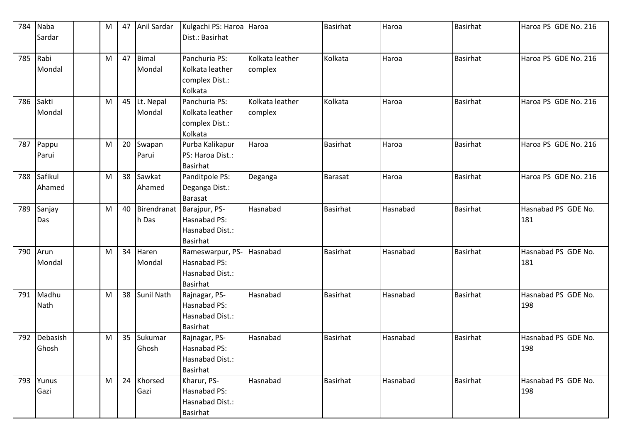| 784 | Naba     | M | 47 | Anil Sardar       | Kulgachi PS: Haroa Haroa |                 | <b>Basirhat</b> | Haroa    | <b>Basirhat</b> | Haroa PS GDE No. 216 |
|-----|----------|---|----|-------------------|--------------------------|-----------------|-----------------|----------|-----------------|----------------------|
|     | Sardar   |   |    |                   | Dist.: Basirhat          |                 |                 |          |                 |                      |
|     |          |   |    |                   |                          |                 |                 |          |                 |                      |
| 785 | Rabi     | M | 47 | <b>Bimal</b>      | Panchuria PS:            | Kolkata leather | Kolkata         | Haroa    | <b>Basirhat</b> | Haroa PS GDE No. 216 |
|     | Mondal   |   |    | Mondal            | Kolkata leather          | complex         |                 |          |                 |                      |
|     |          |   |    |                   | complex Dist.:           |                 |                 |          |                 |                      |
|     |          |   |    |                   | Kolkata                  |                 |                 |          |                 |                      |
| 786 | Sakti    | M | 45 | Lt. Nepal         | Panchuria PS:            | Kolkata leather | Kolkata         | Haroa    | <b>Basirhat</b> | Haroa PS GDE No. 216 |
|     | Mondal   |   |    | Mondal            | Kolkata leather          | complex         |                 |          |                 |                      |
|     |          |   |    |                   | complex Dist.:           |                 |                 |          |                 |                      |
|     |          |   |    |                   | Kolkata                  |                 |                 |          |                 |                      |
| 787 | Pappu    | M | 20 | Swapan            | Purba Kalikapur          | Haroa           | <b>Basirhat</b> | Haroa    | <b>Basirhat</b> | Haroa PS GDE No. 216 |
|     | Parui    |   |    | Parui             | PS: Haroa Dist.:         |                 |                 |          |                 |                      |
|     |          |   |    |                   | <b>Basirhat</b>          |                 |                 |          |                 |                      |
| 788 | Safikul  | M | 38 | Sawkat            | Panditpole PS:           | Deganga         | Barasat         | Haroa    | <b>Basirhat</b> | Haroa PS GDE No. 216 |
|     | Ahamed   |   |    | Ahamed            | Deganga Dist.:           |                 |                 |          |                 |                      |
|     |          |   |    |                   | <b>Barasat</b>           |                 |                 |          |                 |                      |
| 789 | Sanjay   | M | 40 | Birendranat       | Barajpur, PS-            | Hasnabad        | <b>Basirhat</b> | Hasnabad | <b>Basirhat</b> | Hasnabad PS GDE No.  |
|     | Das      |   |    | h Das             | Hasnabad PS:             |                 |                 |          |                 | 181                  |
|     |          |   |    |                   | Hasnabad Dist.:          |                 |                 |          |                 |                      |
|     |          |   |    |                   | <b>Basirhat</b>          |                 |                 |          |                 |                      |
| 790 | Arun     | M | 34 | Haren             | Rameswarpur, PS-         | Hasnabad        | <b>Basirhat</b> | Hasnabad | <b>Basirhat</b> | Hasnabad PS GDE No.  |
|     | Mondal   |   |    | Mondal            | Hasnabad PS:             |                 |                 |          |                 | 181                  |
|     |          |   |    |                   | Hasnabad Dist.:          |                 |                 |          |                 |                      |
|     |          |   |    |                   | <b>Basirhat</b>          |                 |                 |          |                 |                      |
| 791 | Madhu    | M | 38 | <b>Sunil Nath</b> | Rajnagar, PS-            | Hasnabad        | <b>Basirhat</b> | Hasnabad | <b>Basirhat</b> | Hasnabad PS GDE No.  |
|     | Nath     |   |    |                   | Hasnabad PS:             |                 |                 |          |                 | 198                  |
|     |          |   |    |                   | Hasnabad Dist.:          |                 |                 |          |                 |                      |
|     |          |   |    |                   | <b>Basirhat</b>          |                 |                 |          |                 |                      |
| 792 | Debasish | M | 35 | Sukumar           | Rajnagar, PS-            | Hasnabad        | <b>Basirhat</b> | Hasnabad | <b>Basirhat</b> | Hasnabad PS GDE No.  |
|     | Ghosh    |   |    | Ghosh             | Hasnabad PS:             |                 |                 |          |                 | 198                  |
|     |          |   |    |                   | Hasnabad Dist.:          |                 |                 |          |                 |                      |
|     |          |   |    |                   | <b>Basirhat</b>          |                 |                 |          |                 |                      |
| 793 | Yunus    | M | 24 | Khorsed           | Kharur, PS-              | Hasnabad        | <b>Basirhat</b> | Hasnabad | <b>Basirhat</b> | Hasnabad PS GDE No.  |
|     | Gazi     |   |    | Gazi              | Hasnabad PS:             |                 |                 |          |                 | 198                  |
|     |          |   |    |                   | Hasnabad Dist.:          |                 |                 |          |                 |                      |
|     |          |   |    |                   | <b>Basirhat</b>          |                 |                 |          |                 |                      |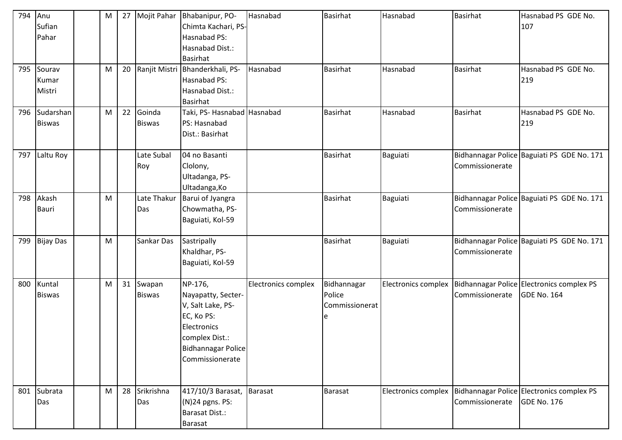| 794 | Anu<br>Sufian<br>Pahar     | M |    |                         | 27 Mojit Pahar Bhabanipur, PO-<br>Chimta Kachari, PS-<br>Hasnabad PS:<br>Hasnabad Dist.:<br><b>Basirhat</b>                                       | Hasnabad            | <b>Basirhat</b>                         | Hasnabad            | <b>Basirhat</b> | Hasnabad PS GDE No.<br>107                                                       |
|-----|----------------------------|---|----|-------------------------|---------------------------------------------------------------------------------------------------------------------------------------------------|---------------------|-----------------------------------------|---------------------|-----------------|----------------------------------------------------------------------------------|
| 795 | Sourav<br>Kumar<br>Mistri  | M | 20 |                         | Ranjit Mistri Bhanderkhali, PS-<br>Hasnabad PS:<br>Hasnabad Dist.:<br><b>Basirhat</b>                                                             | Hasnabad            | <b>Basirhat</b>                         | Hasnabad            | <b>Basirhat</b> | Hasnabad PS GDE No.<br>219                                                       |
| 796 | Sudarshan<br><b>Biswas</b> | M | 22 | Goinda<br><b>Biswas</b> | Taki, PS- Hasnabad Hasnabad<br>PS: Hasnabad<br>Dist.: Basirhat                                                                                    |                     | Basirhat                                | Hasnabad            | Basirhat        | Hasnabad PS GDE No.<br>219                                                       |
| 797 | Laltu Roy                  |   |    | Late Subal<br>Roy       | 04 no Basanti<br>Clolony,<br>Ultadanga, PS-<br>Ultadanga, Ko                                                                                      |                     | <b>Basirhat</b>                         | Baguiati            | Commissionerate | Bidhannagar Police Baguiati PS GDE No. 171                                       |
| 798 | Akash<br><b>Bauri</b>      | M |    | Late Thakur<br>Das      | Barui of Jyangra<br>Chowmatha, PS-<br>Baguiati, Kol-59                                                                                            |                     | <b>Basirhat</b>                         | Baguiati            | Commissionerate | Bidhannagar Police Baguiati PS GDE No. 171                                       |
| 799 | <b>Bijay Das</b>           | M |    | Sankar Das              | Sastripally<br>Khaldhar, PS-<br>Baguiati, Kol-59                                                                                                  |                     | Basirhat                                | Baguiati            | Commissionerate | Bidhannagar Police Baguiati PS GDE No. 171                                       |
| 800 | Kuntal<br><b>Biswas</b>    | M | 31 | Swapan<br><b>Biswas</b> | NP-176,<br>Nayapatty, Secter-<br>V, Salt Lake, PS-<br>EC, Ko PS:<br>Electronics<br>complex Dist.:<br><b>Bidhannagar Police</b><br>Commissionerate | Electronics complex | Bidhannagar<br>Police<br>Commissionerat | Electronics complex | Commissionerate | Bidhannagar Police Electronics complex PS<br>GDE No. 164                         |
| 801 | Subrata<br>Das             | M | 28 | Srikrishna<br>Das       | 417/10/3 Barasat,<br>(N)24 pgns. PS:<br><b>Barasat Dist.:</b><br><b>Barasat</b>                                                                   | Barasat             | <b>Barasat</b>                          |                     | Commissionerate | Electronics complex   Bidhannagar Police   Electronics complex PS<br>GDE No. 176 |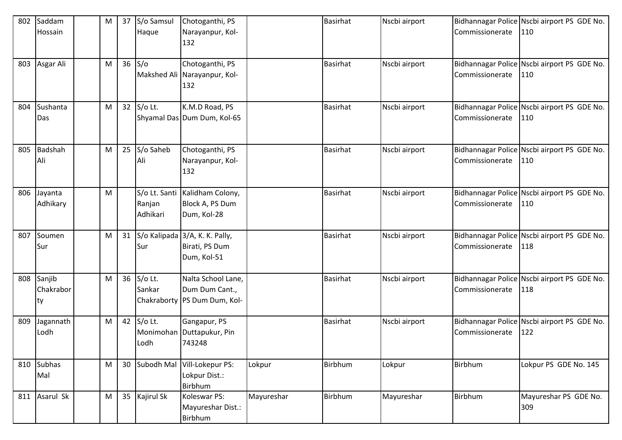| 802 | Saddam                    | M | 37 | S/o Samsul         | Chotoganthi, PS                                                        |            | <b>Basirhat</b> | Nscbi airport |                 | Bidhannagar Police Nscbi airport PS GDE No.        |
|-----|---------------------------|---|----|--------------------|------------------------------------------------------------------------|------------|-----------------|---------------|-----------------|----------------------------------------------------|
|     | Hossain                   |   |    | Haque              | Narayanpur, Kol-<br>132                                                |            |                 |               | Commissionerate | 110                                                |
| 803 | Asgar Ali                 | M | 36 | S/O                | Chotoganthi, PS<br>Makshed Ali Narayanpur, Kol-<br>132                 |            | <b>Basirhat</b> | Nscbi airport | Commissionerate | Bidhannagar Police Nscbi airport PS GDE No.<br>110 |
| 804 | Sushanta<br>Das           | M |    | 32 S/o Lt.         | K.M.D Road, PS<br>Shyamal Das Dum Dum, Kol-65                          |            | <b>Basirhat</b> | Nscbi airport | Commissionerate | Bidhannagar Police Nscbi airport PS GDE No.<br>110 |
| 805 | Badshah<br>Ali            | M | 25 | S/o Saheb<br>Ali   | Chotoganthi, PS<br>Narayanpur, Kol-<br>132                             |            | <b>Basirhat</b> | Nscbi airport | Commissionerate | Bidhannagar Police Nscbi airport PS GDE No.<br>110 |
| 806 | Jayanta<br>Adhikary       | M |    | Ranjan<br>Adhikari | S/o Lt. Santi   Kalidham Colony,<br>Block A, PS Dum<br>Dum, Kol-28     |            | <b>Basirhat</b> | Nscbi airport | Commissionerate | Bidhannagar Police Nscbi airport PS GDE No.<br>110 |
| 807 | Soumen<br>Sur             | M | 31 | <b>Sur</b>         | S/o Kalipada 3/A, K. K. Pally,<br>Birati, PS Dum<br>Dum, Kol-51        |            | <b>Basirhat</b> | Nscbi airport | Commissionerate | Bidhannagar Police Nscbi airport PS GDE No.<br>118 |
| 808 | Sanjib<br>Chakrabor<br>ty | M | 36 | S/o Lt.<br>Sankar  | Nalta School Lane,<br>Dum Dum Cant.,<br>Chakraborty   PS Dum Dum, Kol- |            | <b>Basirhat</b> | Nscbi airport | Commissionerate | Bidhannagar Police Nscbi airport PS GDE No.<br>118 |
| 809 | Jagannath<br>Lodh         | M | 42 | S/o Lt.<br>Lodh    | Gangapur, PS<br>Monimohan Duttapukur, Pin<br>743248                    |            | <b>Basirhat</b> | Nscbi airport | Commissionerate | Bidhannagar Police Nscbi airport PS GDE No.<br>122 |
| 810 | <b>Subhas</b><br>Mal      | M | 30 |                    | Subodh Mal Vill-Lokepur PS:<br>Lokpur Dist.:<br>Birbhum                | Lokpur     | Birbhum         | Lokpur        | Birbhum         | Lokpur PS GDE No. 145                              |
| 811 | Asarul Sk                 | M | 35 | Kajirul Sk         | Koleswar PS:<br>Mayureshar Dist.:<br>Birbhum                           | Mayureshar | <b>Birbhum</b>  | Mayureshar    | Birbhum         | Mayureshar PS GDE No.<br>309                       |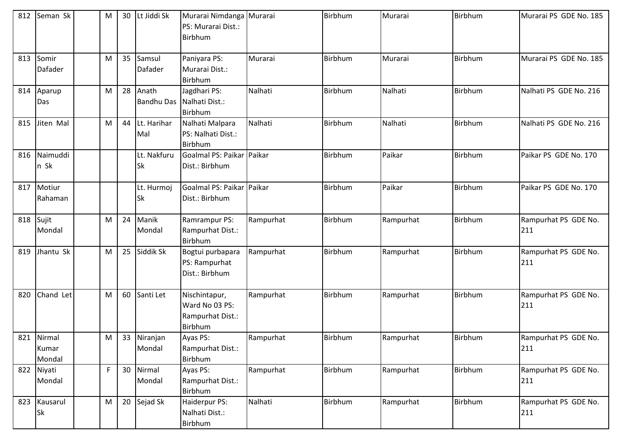| 812 | Seman Sk                      | M | 30 | Lt Jiddi Sk                | Murarai Nimdanga Murarai<br>PS: Murarai Dist.:<br>Birbhum      |           | <b>Birbhum</b> | Murarai   | Birbhum        | Murarai PS GDE No. 185      |
|-----|-------------------------------|---|----|----------------------------|----------------------------------------------------------------|-----------|----------------|-----------|----------------|-----------------------------|
| 813 | Somir<br><b>Dafader</b>       | M | 35 | Samsul<br>Dafader          | Paniyara PS:<br>Murarai Dist.:<br>Birbhum                      | Murarai   | Birbhum        | Murarai   | <b>Birbhum</b> | Murarai PS GDE No. 185      |
| 814 | Aparup<br>Das                 | M | 28 | Anath<br><b>Bandhu Das</b> | Jagdhari PS:<br>Nalhati Dist.:<br>Birbhum                      | Nalhati   | <b>Birbhum</b> | Nalhati   | <b>Birbhum</b> | Nalhati PS GDE No. 216      |
| 815 | Jiten Mal                     | M | 44 | Lt. Harihar<br>Mal         | Nalhati Malpara<br>PS: Nalhati Dist.:<br><b>Birbhum</b>        | Nalhati   | <b>Birbhum</b> | Nalhati   | <b>Birbhum</b> | Nalhati PS GDE No. 216      |
| 816 | Naimuddi<br>n Sk              |   |    | Lt. Nakfuru<br>Sk          | Goalmal PS: Paikar<br>Dist.: Birbhum                           | Paikar    | <b>Birbhum</b> | Paikar    | <b>Birbhum</b> | Paikar PS GDE No. 170       |
| 817 | Motiur<br>Rahaman             |   |    | Lt. Hurmoj<br>Sk           | <b>Goalmal PS: Paikar Paikar</b><br>Dist.: Birbhum             |           | <b>Birbhum</b> | Paikar    | Birbhum        | Paikar PS GDE No. 170       |
| 818 | Sujit<br>Mondal               | M | 24 | Manik<br>Mondal            | Ramrampur PS:<br>Rampurhat Dist.:<br>Birbhum                   | Rampurhat | <b>Birbhum</b> | Rampurhat | <b>Birbhum</b> | Rampurhat PS GDE No.<br>211 |
| 819 | Jhantu Sk                     | M | 25 | Siddik Sk                  | Bogtui purbapara<br>PS: Rampurhat<br>Dist.: Birbhum            | Rampurhat | <b>Birbhum</b> | Rampurhat | <b>Birbhum</b> | Rampurhat PS GDE No.<br>211 |
| 820 | Chand Let                     | M | 60 | Santi Let                  | Nischintapur,<br>Ward No 03 PS:<br>Rampurhat Dist.:<br>Birbhum | Rampurhat | Birbhum        | Rampurhat | <b>Birbhum</b> | Rampurhat PS GDE No.<br>211 |
|     | 821 Nirmal<br>Kumar<br>Mondal | M |    | 33 Niranjan<br>Mondal      | Ayas PS:<br>Rampurhat Dist.:<br>Birbhum                        | Rampurhat | Birbhum        | Rampurhat | Birbhum        | Rampurhat PS GDE No.<br>211 |
| 822 | Niyati<br>Mondal              | F | 30 | Nirmal<br>Mondal           | Ayas PS:<br>Rampurhat Dist.:<br>Birbhum                        | Rampurhat | Birbhum        | Rampurhat | Birbhum        | Rampurhat PS GDE No.<br>211 |
| 823 | Kausarul<br><b>Sk</b>         | M | 20 | Sejad Sk                   | Haiderpur PS:<br>Nalhati Dist.:<br>Birbhum                     | Nalhati   | Birbhum        | Rampurhat | Birbhum        | Rampurhat PS GDE No.<br>211 |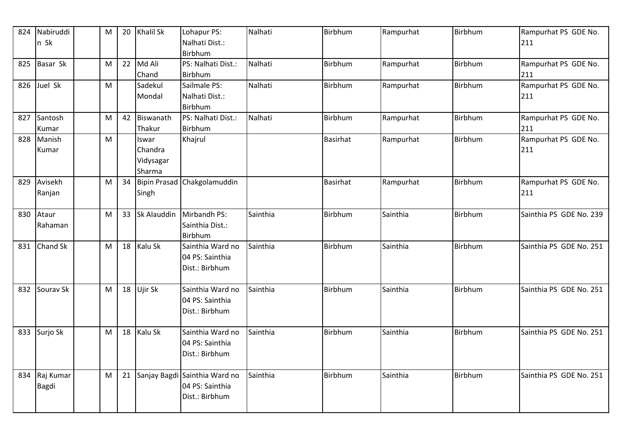| 824 | Nabiruddi | M | 20 | <b>Khalil Sk</b> | Lohapur PS:                   | Nalhati  | Birbhum         | Rampurhat | Birbhum        | Rampurhat PS GDE No.    |
|-----|-----------|---|----|------------------|-------------------------------|----------|-----------------|-----------|----------------|-------------------------|
|     | n Sk      |   |    |                  | Nalhati Dist.:                |          |                 |           |                | 211                     |
|     |           |   |    |                  | Birbhum                       |          |                 |           |                |                         |
| 825 | Basar Sk  | M |    | 22 Md Ali        | PS: Nalhati Dist.:            | Nalhati  | <b>Birbhum</b>  | Rampurhat | Birbhum        | Rampurhat PS GDE No.    |
|     |           |   |    | Chand            | Birbhum                       |          |                 |           |                | 211                     |
| 826 | Juel Sk   | M |    | Sadekul          | Sailmale PS:                  | Nalhati  | Birbhum         | Rampurhat | <b>Birbhum</b> | Rampurhat PS GDE No.    |
|     |           |   |    | Mondal           | Nalhati Dist.:                |          |                 |           |                | 211                     |
|     |           |   |    |                  | <b>Birbhum</b>                |          |                 |           |                |                         |
| 827 | Santosh   | M |    | 42 Biswanath     | PS: Nalhati Dist.:            | Nalhati  | <b>Birbhum</b>  | Rampurhat | <b>Birbhum</b> | Rampurhat PS GDE No.    |
|     | Kumar     |   |    | Thakur           | <b>Birbhum</b>                |          |                 |           |                | 211                     |
| 828 | Manish    | M |    | Iswar            | Khajrul                       |          | <b>Basirhat</b> | Rampurhat | Birbhum        | Rampurhat PS GDE No.    |
|     | Kumar     |   |    | Chandra          |                               |          |                 |           |                | 211                     |
|     |           |   |    | Vidysagar        |                               |          |                 |           |                |                         |
|     |           |   |    | Sharma           |                               |          |                 |           |                |                         |
| 829 | Avisekh   | M | 34 |                  | Bipin Prasad Chakgolamuddin   |          | <b>Basirhat</b> | Rampurhat | Birbhum        | Rampurhat PS GDE No.    |
|     | Ranjan    |   |    | Singh            |                               |          |                 |           |                | 211                     |
|     |           |   |    |                  |                               |          |                 |           |                |                         |
| 830 | Ataur     | M | 33 | Sk Alauddin      | Mirbandh PS:                  | Sainthia | Birbhum         | Sainthia  | Birbhum        | Sainthia PS GDE No. 239 |
|     | Rahaman   |   |    |                  | Sainthia Dist.:               |          |                 |           |                |                         |
|     |           |   |    |                  | <b>Birbhum</b>                |          |                 |           |                |                         |
| 831 | Chand Sk  | M |    | 18 Kalu Sk       | Sainthia Ward no              | Sainthia | <b>Birbhum</b>  | Sainthia  | Birbhum        | Sainthia PS GDE No. 251 |
|     |           |   |    |                  | 04 PS: Sainthia               |          |                 |           |                |                         |
|     |           |   |    |                  | Dist.: Birbhum                |          |                 |           |                |                         |
|     |           |   |    |                  |                               |          |                 |           |                |                         |
| 832 | Sourav Sk | M |    | 18 Ujir Sk       | Sainthia Ward no              | Sainthia | Birbhum         | Sainthia  | Birbhum        | Sainthia PS GDE No. 251 |
|     |           |   |    |                  | 04 PS: Sainthia               |          |                 |           |                |                         |
|     |           |   |    |                  | Dist.: Birbhum                |          |                 |           |                |                         |
|     |           |   |    |                  |                               |          |                 |           |                |                         |
| 833 | Surjo Sk  | M | 18 | Kalu Sk          | Sainthia Ward no              | Sainthia | Birbhum         | Sainthia  | Birbhum        | Sainthia PS GDE No. 251 |
|     |           |   |    |                  | 04 PS: Sainthia               |          |                 |           |                |                         |
|     |           |   |    |                  | Dist.: Birbhum                |          |                 |           |                |                         |
|     |           |   |    |                  |                               |          |                 |           |                |                         |
| 834 | Raj Kumar | M | 21 |                  | Sanjay Bagdi Sainthia Ward no | Sainthia | Birbhum         | Sainthia  | Birbhum        | Sainthia PS GDE No. 251 |
|     | Bagdi     |   |    |                  | 04 PS: Sainthia               |          |                 |           |                |                         |
|     |           |   |    |                  | Dist.: Birbhum                |          |                 |           |                |                         |
|     |           |   |    |                  |                               |          |                 |           |                |                         |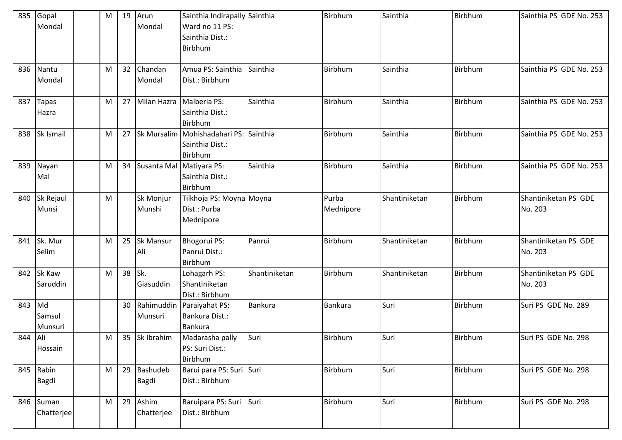| 835     | Gopal<br>Mondal         | М | 19 | Arun<br>Mondal          | Sainthia Indirapally Sainthia<br>Ward no 11 PS:<br>Sainthia Dist.:<br>Birbhum |               | Birbhum            | Sainthia      | Birbhum | Sainthia PS GDE No. 253         |
|---------|-------------------------|---|----|-------------------------|-------------------------------------------------------------------------------|---------------|--------------------|---------------|---------|---------------------------------|
| 836     | Nantu<br>Mondal         | M | 32 | Chandan<br>Mondal       | Amua PS: Sainthia<br>Dist.: Birbhum                                           | Sainthia      | <b>Birbhum</b>     | Sainthia      | Birbhum | Sainthia PS GDE No. 253         |
| 837     | <b>Tapas</b><br>Hazra   | M | 27 | Milan Hazra             | Malberia PS:<br>Sainthia Dist.:<br>Birbhum                                    | Sainthia      | Birbhum            | Sainthia      | Birbhum | Sainthia PS GDE No. 253         |
| 838     | Sk Ismail               | M | 27 |                         | Sk Mursalim Mohishadahari PS: Sainthia<br>Sainthia Dist.:<br>Birbhum          |               | <b>Birbhum</b>     | Sainthia      | Birbhum | Sainthia PS GDE No. 253         |
| 839     | Nayan<br>Mal            | M | 34 | Susanta Mal             | Matiyara PS:<br>Sainthia Dist.:<br>Birbhum                                    | Sainthia      | Birbhum            | Sainthia      | Birbhum | Sainthia PS GDE No. 253         |
| 840     | Sk Rejaul<br>Munsi      | M |    | Sk Monjur<br>Munshi     | Tilkhoja PS: Moyna Moyna<br>Dist.: Purba<br>Mednipore                         |               | Purba<br>Mednipore | Shantiniketan | Birbhum | Shantiniketan PS GDE<br>No. 203 |
| 841     | Sk. Mur<br>Selim        | M | 25 | <b>Sk Mansur</b><br>Ali | Bhogorui PS:<br>Panrui Dist.:<br>Birbhum                                      | Panrui        | Birbhum            | Shantiniketan | Birbhum | Shantiniketan PS GDE<br>No. 203 |
| 842     | Sk Kaw<br>Saruddin      | M | 38 | Sk.<br>Giasuddin        | Lohagarh PS:<br>Shantiniketan<br>Dist.: Birbhum                               | Shantiniketan | <b>Birbhum</b>     | Shantiniketan | Birbhum | Shantiniketan PS GDE<br>No. 203 |
| 843     | Md<br>Samsul<br>Munsuri |   | 30 | Rahimuddin<br>Munsuri   | Paraiyahat PS:<br>Bankura Dist.:<br><b>Bankura</b>                            | Bankura       | <b>Bankura</b>     | Suri          | Birbhum | Suri PS GDE No. 289             |
| 844 Ali | Hossain                 | M | 35 | Sk Ibrahim              | Madarasha pally<br>PS: Suri Dist.:<br>Birbhum                                 | Suri          | Birbhum            | Suri          | Birbhum | Suri PS GDE No. 298             |
|         | 845 Rabin<br>Bagdi      | M | 29 | Bashudeb<br>Bagdi       | Barui para PS: Suri Suri<br>Dist.: Birbhum                                    |               | Birbhum            | Suri          | Birbhum | Suri PS GDE No. 298             |
| 846     | Suman<br>Chatterjee     | M | 29 | Ashim<br>Chatterjee     | Baruipara PS: Suri Suri<br>Dist.: Birbhum                                     |               | Birbhum            | Suri          | Birbhum | Suri PS GDE No. 298             |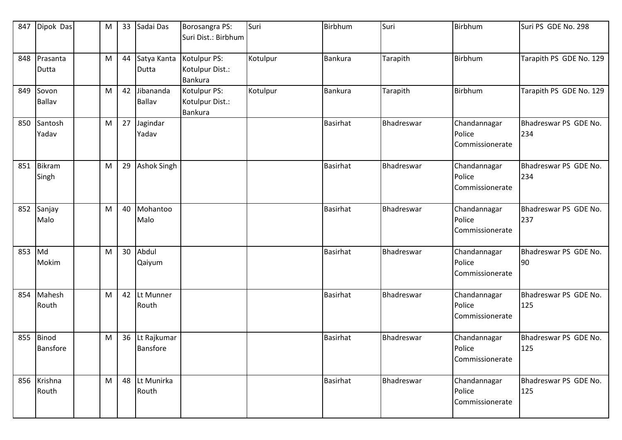| 847 | Dipok Das                | M | 33 | Sadai Das                  | Borosangra PS:<br>Suri Dist.: Birbhum             | Suri     | Birbhum         | Suri       | <b>Birbhum</b>                            | Suri PS GDE No. 298          |
|-----|--------------------------|---|----|----------------------------|---------------------------------------------------|----------|-----------------|------------|-------------------------------------------|------------------------------|
| 848 | Prasanta<br>Dutta        | M | 44 | Satya Kanta<br>Dutta       | Kotulpur PS:<br>Kotulpur Dist.:<br><b>Bankura</b> | Kotulpur | <b>Bankura</b>  | Tarapith   | Birbhum                                   | Tarapith PS GDE No. 129      |
| 849 | Sovon<br><b>Ballav</b>   | M | 42 | Jibananda<br><b>Ballav</b> | Kotulpur PS:<br>Kotulpur Dist.:<br><b>Bankura</b> | Kotulpur | Bankura         | Tarapith   | Birbhum                                   | Tarapith PS GDE No. 129      |
| 850 | Santosh<br>Yadav         | M | 27 | Jagindar<br>Yadav          |                                                   |          | <b>Basirhat</b> | Bhadreswar | Chandannagar<br>Police<br>Commissionerate | Bhadreswar PS GDE No.<br>234 |
| 851 | Bikram<br>Singh          | M | 29 | <b>Ashok Singh</b>         |                                                   |          | <b>Basirhat</b> | Bhadreswar | Chandannagar<br>Police<br>Commissionerate | Bhadreswar PS GDE No.<br>234 |
| 852 | Sanjay<br>Malo           | M | 40 | Mohantoo<br>Malo           |                                                   |          | <b>Basirhat</b> | Bhadreswar | Chandannagar<br>Police<br>Commissionerate | Bhadreswar PS GDE No.<br>237 |
| 853 | Md<br>Mokim              | M | 30 | Abdul<br>Qaiyum            |                                                   |          | <b>Basirhat</b> | Bhadreswar | Chandannagar<br>Police<br>Commissionerate | Bhadreswar PS GDE No.<br>90  |
| 854 | Mahesh<br>Routh          | M | 42 | Lt Munner<br>Routh         |                                                   |          | <b>Basirhat</b> | Bhadreswar | Chandannagar<br>Police<br>Commissionerate | Bhadreswar PS GDE No.<br>125 |
| 855 | Binod<br><b>Bansfore</b> | M | 36 | Lt Rajkumar<br>Bansfore    |                                                   |          | <b>Basirhat</b> | Bhadreswar | Chandannagar<br>Police<br>Commissionerate | Bhadreswar PS GDE No.<br>125 |
|     | 856 Krishna<br>Routh     | M | 48 | Lt Munirka<br>Routh        |                                                   |          | Basirhat        | Bhadreswar | Chandannagar<br>Police<br>Commissionerate | Bhadreswar PS GDE No.<br>125 |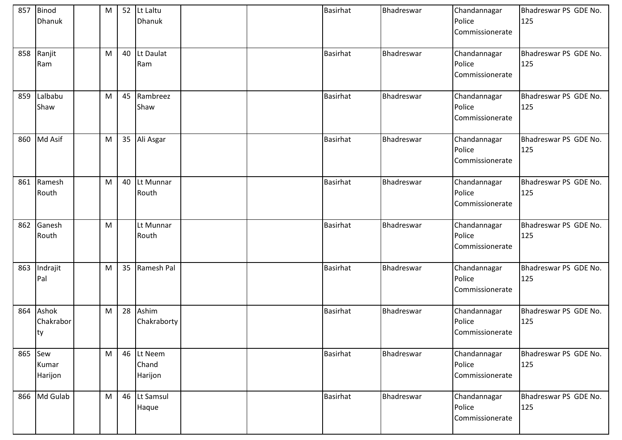|     | 857 Binod<br><b>Dhanuk</b> | M |    | 52 Lt Laltu<br><b>Dhanuk</b>   |  | <b>Basirhat</b> | Bhadreswar | Chandannagar<br>Police<br>Commissionerate | Bhadreswar PS GDE No.<br>125 |
|-----|----------------------------|---|----|--------------------------------|--|-----------------|------------|-------------------------------------------|------------------------------|
| 858 | Ranjit<br>Ram              | M | 40 | Lt Daulat<br>Ram               |  | <b>Basirhat</b> | Bhadreswar | Chandannagar<br>Police<br>Commissionerate | Bhadreswar PS GDE No.<br>125 |
| 859 | Lalbabu<br>Shaw            | M | 45 | Rambreez<br>Shaw               |  | <b>Basirhat</b> | Bhadreswar | Chandannagar<br>Police<br>Commissionerate | Bhadreswar PS GDE No.<br>125 |
| 860 | Md Asif                    | M | 35 | Ali Asgar                      |  | <b>Basirhat</b> | Bhadreswar | Chandannagar<br>Police<br>Commissionerate | Bhadreswar PS GDE No.<br>125 |
| 861 | Ramesh<br>Routh            | M | 40 | Lt Munnar<br>Routh             |  | <b>Basirhat</b> | Bhadreswar | Chandannagar<br>Police<br>Commissionerate | Bhadreswar PS GDE No.<br>125 |
| 862 | Ganesh<br>Routh            | M |    | Lt Munnar<br>Routh             |  | <b>Basirhat</b> | Bhadreswar | Chandannagar<br>Police<br>Commissionerate | Bhadreswar PS GDE No.<br>125 |
| 863 | Indrajit<br>Pal            | M | 35 | Ramesh Pal                     |  | <b>Basirhat</b> | Bhadreswar | Chandannagar<br>Police<br>Commissionerate | Bhadreswar PS GDE No.<br>125 |
| 864 | Ashok<br>Chakrabor<br>ty   | M | 28 | Ashim<br>Chakraborty           |  | <b>Basirhat</b> | Bhadreswar | Chandannagar<br>Police<br>Commissionerate | Bhadreswar PS GDE No.<br>125 |
| 865 | Sew<br>Kumar<br>Harijon    | M |    | 46 Lt Neem<br>Chand<br>Harijon |  | Basirhat        | Bhadreswar | Chandannagar<br>Police<br>Commissionerate | Bhadreswar PS GDE No.<br>125 |
|     | 866 Md Gulab               | M |    | 46 Lt Samsul<br>Haque          |  | <b>Basirhat</b> | Bhadreswar | Chandannagar<br>Police<br>Commissionerate | Bhadreswar PS GDE No.<br>125 |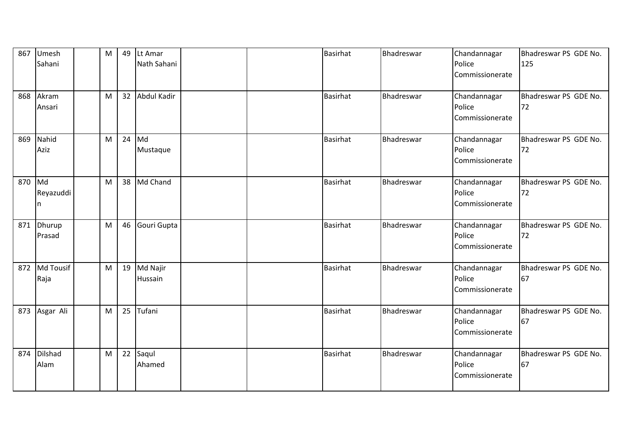| 867 | Umesh<br>Sahani      | M | 49 | Lt Amar<br>Nath Sahani |  | <b>Basirhat</b> | Bhadreswar | Chandannagar<br>Police                    | Bhadreswar PS GDE No.<br>125 |
|-----|----------------------|---|----|------------------------|--|-----------------|------------|-------------------------------------------|------------------------------|
|     |                      |   |    |                        |  |                 |            | Commissionerate                           |                              |
| 868 | Akram<br>Ansari      | M | 32 | Abdul Kadir            |  | <b>Basirhat</b> | Bhadreswar | Chandannagar<br>Police<br>Commissionerate | Bhadreswar PS GDE No.<br>72  |
| 869 | Nahid<br>Aziz        | M | 24 | Md<br>Mustaque         |  | Basirhat        | Bhadreswar | Chandannagar<br>Police<br>Commissionerate | Bhadreswar PS GDE No.<br>72  |
| 870 | Md<br>Reyazuddi<br>n | M | 38 | Md Chand               |  | <b>Basirhat</b> | Bhadreswar | Chandannagar<br>Police<br>Commissionerate | Bhadreswar PS GDE No.<br>72  |
| 871 | Dhurup<br>Prasad     | M | 46 | Gouri Gupta            |  | <b>Basirhat</b> | Bhadreswar | Chandannagar<br>Police<br>Commissionerate | Bhadreswar PS GDE No.<br>72  |
| 872 | Md Tousif<br>Raja    | M | 19 | Md Najir<br>Hussain    |  | <b>Basirhat</b> | Bhadreswar | Chandannagar<br>Police<br>Commissionerate | Bhadreswar PS GDE No.<br>67  |
| 873 | Asgar Ali            | M | 25 | Tufani                 |  | <b>Basirhat</b> | Bhadreswar | Chandannagar<br>Police<br>Commissionerate | Bhadreswar PS GDE No.<br>67  |
| 874 | Dilshad<br>Alam      | M | 22 | Saqul<br>Ahamed        |  | <b>Basirhat</b> | Bhadreswar | Chandannagar<br>Police<br>Commissionerate | Bhadreswar PS GDE No.<br>67  |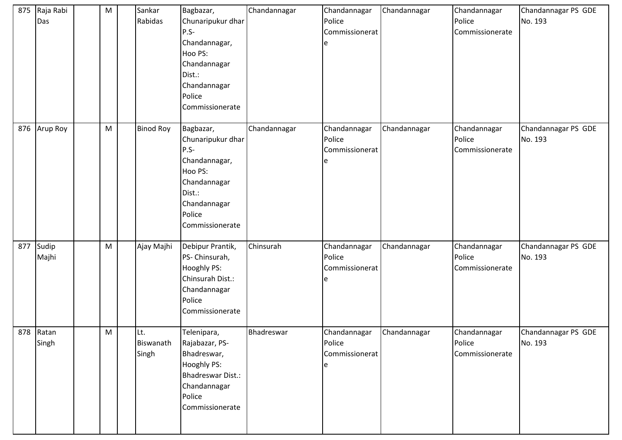| 875 | Raja Rabi<br>Das   | M | Sankar<br>Rabidas         | Bagbazar,<br>Chunaripukur dhar<br>$P.S-$<br>Chandannagar,<br>Hoo PS:<br>Chandannagar<br>Dist.:<br>Chandannagar<br>Police<br>Commissionerate | Chandannagar | Chandannagar<br>Police<br>Commissionerat<br>e | Chandannagar | Chandannagar<br>Police<br>Commissionerate | Chandannagar PS GDE<br>No. 193 |
|-----|--------------------|---|---------------------------|---------------------------------------------------------------------------------------------------------------------------------------------|--------------|-----------------------------------------------|--------------|-------------------------------------------|--------------------------------|
|     | 876 Arup Roy       | M | <b>Binod Roy</b>          | Bagbazar,<br>Chunaripukur dhar<br>$P.S-$<br>Chandannagar,<br>Hoo PS:<br>Chandannagar<br>Dist.:<br>Chandannagar<br>Police<br>Commissionerate | Chandannagar | Chandannagar<br>Police<br>Commissionerat<br>e | Chandannagar | Chandannagar<br>Police<br>Commissionerate | Chandannagar PS GDE<br>No. 193 |
| 877 | Sudip<br>Majhi     | M | Ajay Majhi                | Debipur Prantik,<br>PS- Chinsurah,<br><b>Hooghly PS:</b><br>Chinsurah Dist.:<br>Chandannagar<br>Police<br>Commissionerate                   | Chinsurah    | Chandannagar<br>Police<br>Commissionerat<br>e | Chandannagar | Chandannagar<br>Police<br>Commissionerate | Chandannagar PS GDE<br>No. 193 |
|     | 878 Ratan<br>Singh | M | Lt.<br>Biswanath<br>Singh | Telenipara,<br>Rajabazar, PS-<br>Bhadreswar,<br>Hooghly PS:<br>Bhadreswar Dist.:<br>Chandannagar<br>Police<br>Commissionerate               | Bhadreswar   | Chandannagar<br>Police<br>Commissionerat<br>e | Chandannagar | Chandannagar<br>Police<br>Commissionerate | Chandannagar PS GDE<br>No. 193 |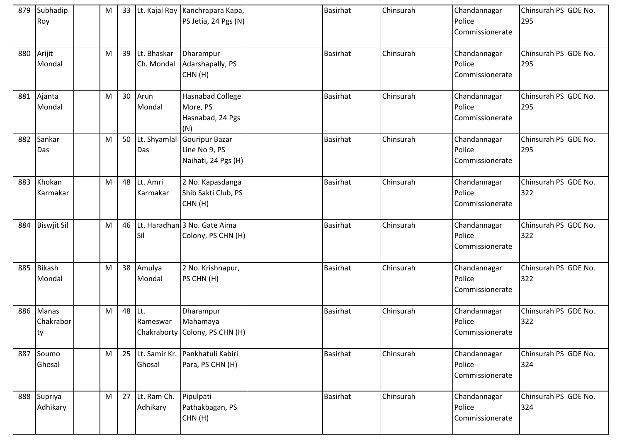| 879 | Subhadip<br>Roy                  | M | 33 |                           | Lt. Kajal Roy Kanchrapara Kapa,<br>PS Jetia, 24 Pgs (N)        | <b>Basirhat</b> | Chinsurah | Chandannagar<br>Police<br>Commissionerate | Chinsurah PS GDE No.<br>295 |
|-----|----------------------------------|---|----|---------------------------|----------------------------------------------------------------|-----------------|-----------|-------------------------------------------|-----------------------------|
| 880 | Arijit<br>Mondal                 | M | 39 | Lt. Bhaskar<br>Ch. Mondal | Dharampur<br>Adarshapally, PS<br>CHN(H)                        | <b>Basirhat</b> | Chinsurah | Chandannagar<br>Police<br>Commissionerate | Chinsurah PS GDE No.<br>295 |
| 881 | Ajanta<br>Mondal                 | M | 30 | Arun<br>Mondal            | <b>Hasnabad College</b><br>More, PS<br>Hasnabad, 24 Pgs<br>(N) | <b>Basirhat</b> | Chinsurah | Chandannagar<br>Police<br>Commissionerate | Chinsurah PS GDE No.<br>295 |
| 882 | Sankar<br>Das                    | M | 50 | Lt. Shyamlal<br>Das       | Gouripur Bazar<br>Line No 9, PS<br>Naihati, 24 Pgs (H)         | <b>Basirhat</b> | Chinsurah | Chandannagar<br>Police<br>Commissionerate | Chinsurah PS GDE No.<br>295 |
| 883 | Khokan<br>Karmakar               | M | 48 | Lt. Amri<br>Karmakar      | 2 No. Kapasdanga<br>Shib Sakti Club, PS<br>CHN(H)              | <b>Basirhat</b> | Chinsurah | Chandannagar<br>Police<br>Commissionerate | Chinsurah PS GDE No.<br>322 |
| 884 | <b>Biswjit Sil</b>               | M | 46 | Sil                       | Lt. Haradhan 3 No. Gate Aima<br>Colony, PS CHN (H)             | <b>Basirhat</b> | Chinsurah | Chandannagar<br>Police<br>Commissionerate | Chinsurah PS GDE No.<br>322 |
| 885 | Bikash<br>Mondal                 | M | 38 | Amulya<br>Mondal          | 2 No. Krishnapur,<br>PS CHN (H)                                | <b>Basirhat</b> | Chinsurah | Chandannagar<br>Police<br>Commissionerate | Chinsurah PS GDE No.<br>322 |
| 886 | <b>Manas</b><br>Chakrabor<br> ty | M | 48 | Lt.<br>Rameswar           | Dharampur<br>Mahamaya<br>Chakraborty Colony, PS CHN (H)        | <b>Basirhat</b> | Chinsurah | Chandannagar<br>Police<br>Commissionerate | Chinsurah PS GDE No.<br>322 |
| 887 | Soumo<br>Ghosal                  | M | 25 | Ghosal                    | Lt. Samir Kr. Pankhatuli Kabiri<br>Para, PS CHN (H)            | <b>Basirhat</b> | Chinsurah | Chandannagar<br>Police<br>Commissionerate | Chinsurah PS GDE No.<br>324 |
| 888 | Supriya<br>Adhikary              | M | 27 | Lt. Ram Ch.<br>Adhikary   | Pipulpati<br>Pathakbagan, PS<br>CHN(H)                         | <b>Basirhat</b> | Chinsurah | Chandannagar<br>Police<br>Commissionerate | Chinsurah PS GDE No.<br>324 |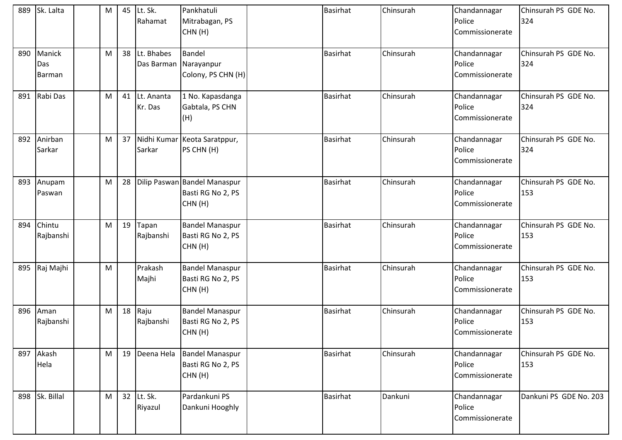| 889 | Sk. Lalta               | M         | 45 | Lt. Sk.<br>Rahamat       | Pankhatuli<br>Mitrabagan, PS<br>CHN(H)                      | <b>Basirhat</b> | Chinsurah | Chandannagar<br>Police<br>Commissionerate | Chinsurah PS GDE No.<br>324 |
|-----|-------------------------|-----------|----|--------------------------|-------------------------------------------------------------|-----------------|-----------|-------------------------------------------|-----------------------------|
| 890 | Manick<br>Das<br>Barman | M         | 38 | Lt. Bhabes<br>Das Barman | Bandel<br>Narayanpur<br>Colony, PS CHN (H)                  | <b>Basirhat</b> | Chinsurah | Chandannagar<br>Police<br>Commissionerate | Chinsurah PS GDE No.<br>324 |
| 891 | Rabi Das                | M         | 41 | Lt. Ananta<br>Kr. Das    | 1 No. Kapasdanga<br>Gabtala, PS CHN<br>(H)                  | <b>Basirhat</b> | Chinsurah | Chandannagar<br>Police<br>Commissionerate | Chinsurah PS GDE No.<br>324 |
| 892 | Anirban<br>Sarkar       | M         | 37 | Sarkar                   | Nidhi Kumar Keota Saratppur,<br>PS CHN (H)                  | <b>Basirhat</b> | Chinsurah | Chandannagar<br>Police<br>Commissionerate | Chinsurah PS GDE No.<br>324 |
| 893 | Anupam<br>Paswan        | M         | 28 |                          | Dilip Paswan Bandel Manaspur<br>Basti RG No 2, PS<br>CHN(H) | <b>Basirhat</b> | Chinsurah | Chandannagar<br>Police<br>Commissionerate | Chinsurah PS GDE No.<br>153 |
| 894 | Chintu<br>Rajbanshi     | M         | 19 | Tapan<br>Rajbanshi       | <b>Bandel Manaspur</b><br>Basti RG No 2, PS<br>CHN(H)       | <b>Basirhat</b> | Chinsurah | Chandannagar<br>Police<br>Commissionerate | Chinsurah PS GDE No.<br>153 |
| 895 | Raj Majhi               | M         |    | Prakash<br>Majhi         | <b>Bandel Manaspur</b><br>Basti RG No 2, PS<br>CHN(H)       | <b>Basirhat</b> | Chinsurah | Chandannagar<br>Police<br>Commissionerate | Chinsurah PS GDE No.<br>153 |
| 896 | Aman<br>Rajbanshi       | ${\sf M}$ | 18 | Raju<br>Rajbanshi        | <b>Bandel Manaspur</b><br>Basti RG No 2, PS<br>CHN(H)       | <b>Basirhat</b> | Chinsurah | Chandannagar<br>Police<br>Commissionerate | Chinsurah PS GDE No.<br>153 |
| 897 | Akash<br>Hela           | M         | 19 | Deena Hela               | <b>Bandel Manaspur</b><br>Basti RG No 2, PS<br>CHN(H)       | <b>Basirhat</b> | Chinsurah | Chandannagar<br>Police<br>Commissionerate | Chinsurah PS GDE No.<br>153 |
|     | 898 Sk. Billal          | M         | 32 | Lt. Sk.<br>Riyazul       | Pardankuni PS<br>Dankuni Hooghly                            | <b>Basirhat</b> | Dankuni   | Chandannagar<br>Police<br>Commissionerate | Dankuni PS GDE No. 203      |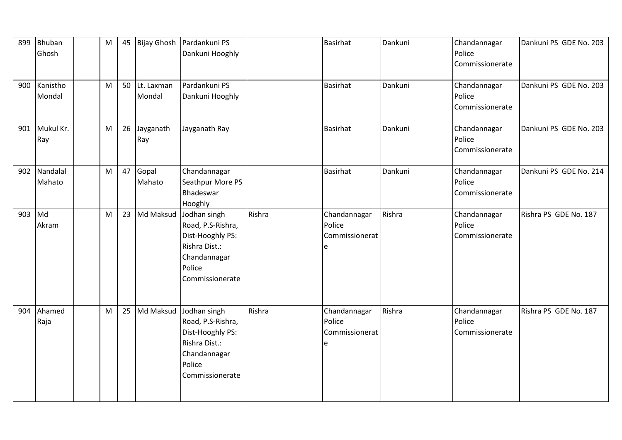| 899 | <b>Bhuban</b><br>Ghosh | M | 45 | <b>Bijay Ghosh</b>   | Pardankuni PS<br>Dankuni Hooghly                                                                                    |        | <b>Basirhat</b>                               | Dankuni | Chandannagar<br>Police<br>Commissionerate | Dankuni PS GDE No. 203 |
|-----|------------------------|---|----|----------------------|---------------------------------------------------------------------------------------------------------------------|--------|-----------------------------------------------|---------|-------------------------------------------|------------------------|
| 900 | Kanistho<br>Mondal     | M | 50 | Lt. Laxman<br>Mondal | Pardankuni PS<br>Dankuni Hooghly                                                                                    |        | <b>Basirhat</b>                               | Dankuni | Chandannagar<br>Police<br>Commissionerate | Dankuni PS GDE No. 203 |
| 901 | Mukul Kr.<br>Ray       | M | 26 | Jayganath<br>Ray     | Jayganath Ray                                                                                                       |        | <b>Basirhat</b>                               | Dankuni | Chandannagar<br>Police<br>Commissionerate | Dankuni PS GDE No. 203 |
| 902 | Nandalal<br>Mahato     | M | 47 | Gopal<br>Mahato      | Chandannagar<br>Seathpur More PS<br>Bhadeswar<br>Hooghly                                                            |        | <b>Basirhat</b>                               | Dankuni | Chandannagar<br>Police<br>Commissionerate | Dankuni PS GDE No. 214 |
| 903 | Md<br>Akram            | M | 23 | Md Maksud            | Jodhan singh<br>Road, P.S-Rishra,<br>Dist-Hooghly PS:<br>Rishra Dist.:<br>Chandannagar<br>Police<br>Commissionerate | Rishra | Chandannagar<br>Police<br>Commissionerat<br>e | Rishra  | Chandannagar<br>Police<br>Commissionerate | Rishra PS GDE No. 187  |
| 904 | Ahamed<br>Raja         | M | 25 | Md Maksud            | Jodhan singh<br>Road, P.S-Rishra,<br>Dist-Hooghly PS:<br>Rishra Dist.:<br>Chandannagar<br>Police<br>Commissionerate | Rishra | Chandannagar<br>Police<br>Commissionerat<br>e | Rishra  | Chandannagar<br>Police<br>Commissionerate | Rishra PS GDE No. 187  |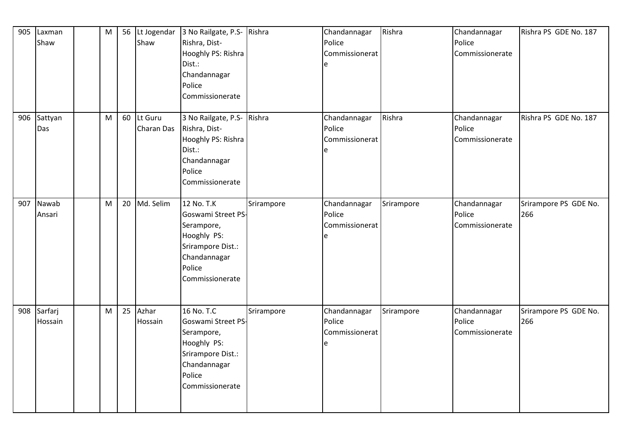| 905 | Laxman<br>Shaw         | M | 56 | Lt Jogendar<br>Shaw          | 3 No Railgate, P.S-<br>Rishra, Dist-<br>Hooghly PS: Rishra<br>Dist.:<br>Chandannagar<br>Police<br>Commissionerate               | Rishra     | Chandannagar<br>Police<br>Commissionerat<br>e | Rishra     | Chandannagar<br>Police<br>Commissionerate | Rishra PS GDE No. 187        |
|-----|------------------------|---|----|------------------------------|---------------------------------------------------------------------------------------------------------------------------------|------------|-----------------------------------------------|------------|-------------------------------------------|------------------------------|
|     | 906 Sattyan<br>Das     | M | 60 | Lt Guru<br><b>Charan Das</b> | 3 No Railgate, P.S- Rishra<br>Rishra, Dist-<br>Hooghly PS: Rishra<br>Dist.:<br>Chandannagar<br>Police<br>Commissionerate        |            | Chandannagar<br>Police<br>Commissionerat<br>e | Rishra     | Chandannagar<br>Police<br>Commissionerate | Rishra PS GDE No. 187        |
| 907 | Nawab<br>Ansari        | M | 20 | Md. Selim                    | 12 No. T.K<br>Goswami Street PS-<br>Serampore,<br>Hooghly PS:<br>Srirampore Dist.:<br>Chandannagar<br>Police<br>Commissionerate | Srirampore | Chandannagar<br>Police<br>Commissionerat      | Srirampore | Chandannagar<br>Police<br>Commissionerate | Srirampore PS GDE No.<br>266 |
|     | 908 Sarfarj<br>Hossain | M | 25 | Azhar<br>Hossain             | 16 No. T.C<br>Goswami Street PS-<br>Serampore,<br>Hooghly PS:<br>Srirampore Dist.:<br>Chandannagar<br>Police<br>Commissionerate | Srirampore | Chandannagar<br>Police<br>Commissionerat      | Srirampore | Chandannagar<br>Police<br>Commissionerate | Srirampore PS GDE No.<br>266 |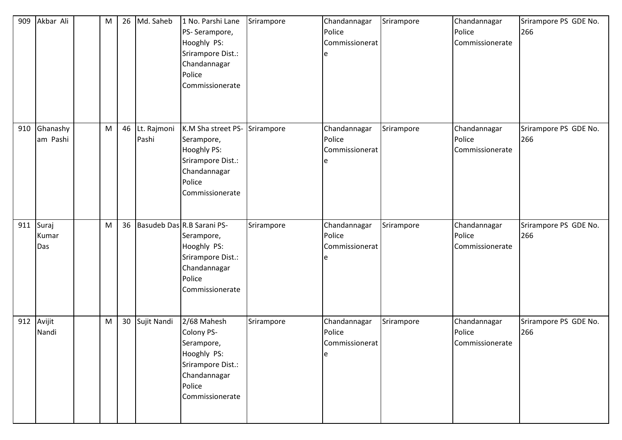| 909 | Akbar Ali             | M | 26 | Md. Saheb            | 1 No. Parshi Lane<br>PS-Serampore,<br>Hooghly PS:<br>Srirampore Dist.:<br>Chandannagar<br>Police<br>Commissionerate                 | Srirampore | Chandannagar<br>Police<br>Commissionerat<br>e  | Srirampore | Chandannagar<br>Police<br>Commissionerate | Srirampore PS GDE No.<br>266 |
|-----|-----------------------|---|----|----------------------|-------------------------------------------------------------------------------------------------------------------------------------|------------|------------------------------------------------|------------|-------------------------------------------|------------------------------|
| 910 | Ghanashy<br>am Pashi  | M | 46 | Lt. Rajmoni<br>Pashi | K.M Sha street PS- Srirampore<br>Serampore,<br><b>Hooghly PS:</b><br>Srirampore Dist.:<br>Chandannagar<br>Police<br>Commissionerate |            | Chandannagar<br>Police<br>Commissionerat       | Srirampore | Chandannagar<br>Police<br>Commissionerate | Srirampore PS GDE No.<br>266 |
| 911 | Suraj<br>Kumar<br>Das | M | 36 |                      | Basudeb Das R.B Sarani PS-<br>Serampore,<br>Hooghly PS:<br>Srirampore Dist.:<br>Chandannagar<br>Police<br>Commissionerate           | Srirampore | Chandannagar<br>Police<br>Commissionerat       | Srirampore | Chandannagar<br>Police<br>Commissionerate | Srirampore PS GDE No.<br>266 |
| 912 | Avijit<br>Nandi       | M | 30 | Sujit Nandi          | 2/68 Mahesh<br>Colony PS-<br>Serampore,<br>Hooghly PS:<br>Srirampore Dist.:<br>Chandannagar<br>Police<br>Commissionerate            | Srirampore | Chandannagar<br>Police<br>Commissionerat<br>le | Srirampore | Chandannagar<br>Police<br>Commissionerate | Srirampore PS GDE No.<br>266 |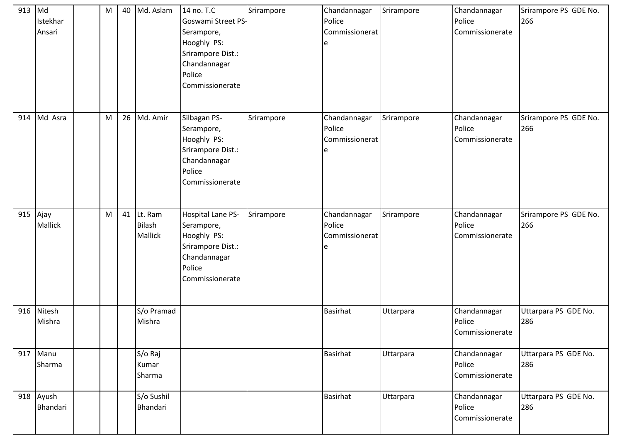| 913 | Md<br>Istekhar<br>Ansari | M | 40 | Md. Aslam                           | 14 no. T.C<br>Goswami Street PS-<br>Serampore,<br>Hooghly PS:<br>Srirampore Dist.:<br>Chandannagar<br>Police<br>Commissionerate | Srirampore | Chandannagar<br>Police<br>Commissionerat<br>e | Srirampore | Chandannagar<br>Police<br>Commissionerate | Srirampore PS GDE No.<br>266 |
|-----|--------------------------|---|----|-------------------------------------|---------------------------------------------------------------------------------------------------------------------------------|------------|-----------------------------------------------|------------|-------------------------------------------|------------------------------|
| 914 | Md Asra                  | M | 26 | Md. Amir                            | Silbagan PS-<br>Serampore,<br>Hooghly PS:<br>Srirampore Dist.:<br>Chandannagar<br>Police<br>Commissionerate                     | Srirampore | Chandannagar<br>Police<br>Commissionerat<br>e | Srirampore | Chandannagar<br>Police<br>Commissionerate | Srirampore PS GDE No.<br>266 |
| 915 | Ajay<br><b>Mallick</b>   | M | 41 | Lt. Ram<br><b>Bilash</b><br>Mallick | Hospital Lane PS-<br>Serampore,<br>Hooghly PS:<br>Srirampore Dist.:<br>Chandannagar<br>Police<br>Commissionerate                | Srirampore | Chandannagar<br>Police<br>Commissionerat<br>e | Srirampore | Chandannagar<br>Police<br>Commissionerate | Srirampore PS GDE No.<br>266 |
| 916 | Nitesh<br>Mishra         |   |    | S/o Pramad<br>Mishra                |                                                                                                                                 |            | <b>Basirhat</b>                               | Uttarpara  | Chandannagar<br>Police<br>Commissionerate | Uttarpara PS GDE No.<br>286  |
| 917 | Manu<br>Sharma           |   |    | S/o Raj<br>Kumar<br>Sharma          |                                                                                                                                 |            | Basirhat                                      | Uttarpara  | Chandannagar<br>Police<br>Commissionerate | Uttarpara PS GDE No.<br>286  |
| 918 | Ayush<br>Bhandari        |   |    | S/o Sushil<br>Bhandari              |                                                                                                                                 |            | <b>Basirhat</b>                               | Uttarpara  | Chandannagar<br>Police<br>Commissionerate | Uttarpara PS GDE No.<br>286  |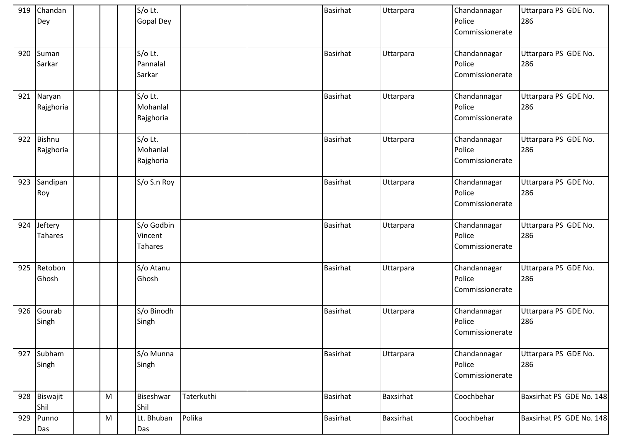| 919 | Chandan<br>Dey             |   | S/o Lt.<br><b>Gopal Dey</b>      |            | <b>Basirhat</b> | Uttarpara | Chandannagar<br>Police<br>Commissionerate | Uttarpara PS GDE No.<br>286 |
|-----|----------------------------|---|----------------------------------|------------|-----------------|-----------|-------------------------------------------|-----------------------------|
| 920 | Suman<br>Sarkar            |   | S/o Lt.<br>Pannalal<br>Sarkar    |            | <b>Basirhat</b> | Uttarpara | Chandannagar<br>Police<br>Commissionerate | Uttarpara PS GDE No.<br>286 |
| 921 | Naryan<br>Rajghoria        |   | S/o Lt.<br>Mohanlal<br>Rajghoria |            | <b>Basirhat</b> | Uttarpara | Chandannagar<br>Police<br>Commissionerate | Uttarpara PS GDE No.<br>286 |
| 922 | <b>Bishnu</b><br>Rajghoria |   | S/o Lt.<br>Mohanlal<br>Rajghoria |            | <b>Basirhat</b> | Uttarpara | Chandannagar<br>Police<br>Commissionerate | Uttarpara PS GDE No.<br>286 |
| 923 | Sandipan<br>Roy            |   | S/o S.n Roy                      |            | Basirhat        | Uttarpara | Chandannagar<br>Police<br>Commissionerate | Uttarpara PS GDE No.<br>286 |
| 924 | Jeftery<br>Tahares         |   | S/o Godbin<br>Vincent<br>Tahares |            | <b>Basirhat</b> | Uttarpara | Chandannagar<br>Police<br>Commissionerate | Uttarpara PS GDE No.<br>286 |
| 925 | Retobon<br>Ghosh           |   | S/o Atanu<br>Ghosh               |            | <b>Basirhat</b> | Uttarpara | Chandannagar<br>Police<br>Commissionerate | Uttarpara PS GDE No.<br>286 |
| 926 | Gourab<br>Singh            |   | S/o Binodh<br>Singh              |            | <b>Basirhat</b> | Uttarpara | Chandannagar<br>Police<br>Commissionerate | Uttarpara PS GDE No.<br>286 |
| 927 | Subham<br>Singh            |   | S/o Munna<br>Singh               |            | Basirhat        | Uttarpara | Chandannagar<br>Police<br>Commissionerate | Uttarpara PS GDE No.<br>286 |
| 928 | Biswajit<br>Shil           | M | Biseshwar<br>Shil                | Taterkuthi | <b>Basirhat</b> | Baxsirhat | Coochbehar                                | Baxsirhat PS GDE No. 148    |
| 929 | Punno<br>Das               | M | Lt. Bhuban<br>Das                | Polika     | <b>Basirhat</b> | Baxsirhat | Coochbehar                                | Baxsirhat PS GDE No. 148    |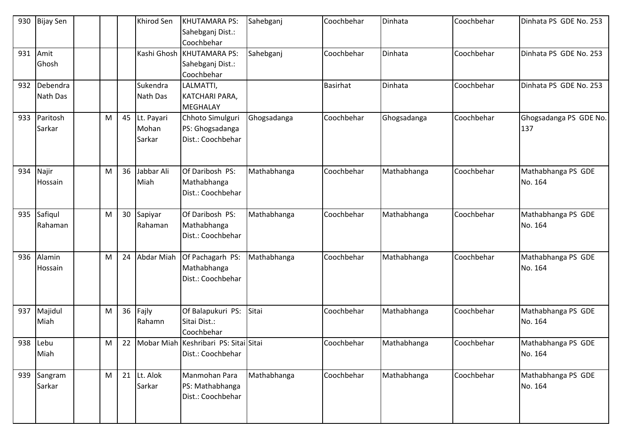| 930 | <b>Bijay Sen</b>     |   |    | Khirod Sen                    | <b>KHUTAMARA PS:</b><br>Sahebganj Dist.:<br>Coochbehar      | Sahebganj   | Coochbehar | Dinhata     | Coochbehar | Dinhata PS GDE No. 253        |
|-----|----------------------|---|----|-------------------------------|-------------------------------------------------------------|-------------|------------|-------------|------------|-------------------------------|
| 931 | Amit<br>Ghosh        |   |    |                               | Kashi Ghosh KHUTAMARA PS:<br>Sahebganj Dist.:<br>Coochbehar | Sahebganj   | Coochbehar | Dinhata     | Coochbehar | Dinhata PS GDE No. 253        |
| 932 | Debendra<br>Nath Das |   |    | Sukendra<br>Nath Das          | LALMATTI,<br>KATCHARI PARA,<br><b>MEGHALAY</b>              |             | Basirhat   | Dinhata     | Coochbehar | Dinhata PS GDE No. 253        |
| 933 | Paritosh<br>Sarkar   | M | 45 | Lt. Payari<br>Mohan<br>Sarkar | Chhoto Simulguri<br>PS: Ghogsadanga<br>Dist.: Coochbehar    | Ghogsadanga | Coochbehar | Ghogsadanga | Coochbehar | Ghogsadanga PS GDE No.<br>137 |
| 934 | Najir<br>Hossain     | M | 36 | Jabbar Ali<br>Miah            | Of Daribosh PS:<br>Mathabhanga<br>Dist.: Coochbehar         | Mathabhanga | Coochbehar | Mathabhanga | Coochbehar | Mathabhanga PS GDE<br>No. 164 |
| 935 | Safiqul<br>Rahaman   | M | 30 | Sapiyar<br>Rahaman            | Of Daribosh PS:<br>Mathabhanga<br>Dist.: Coochbehar         | Mathabhanga | Coochbehar | Mathabhanga | Coochbehar | Mathabhanga PS GDE<br>No. 164 |
| 936 | Alamin<br>Hossain    | M | 24 | Abdar Miah                    | Of Pachagarh PS:<br>Mathabhanga<br>Dist.: Coochbehar        | Mathabhanga | Coochbehar | Mathabhanga | Coochbehar | Mathabhanga PS GDE<br>No. 164 |
| 937 | Majidul<br>Miah      | M | 36 | Fajly<br>Rahamn               | Of Balapukuri PS:<br>Sitai Dist.:<br>Coochbehar             | Sitai       | Coochbehar | Mathabhanga | Coochbehar | Mathabhanga PS GDE<br>No. 164 |
|     | 938 Lebu<br>Miah     | M | 22 |                               | Mobar Miah Keshribari PS: Sitai Sitai<br>Dist.: Coochbehar  |             | Coochbehar | Mathabhanga | Coochbehar | Mathabhanga PS GDE<br>No. 164 |
| 939 | Sangram<br>Sarkar    | M | 21 | Lt. Alok<br>Sarkar            | Manmohan Para<br>PS: Mathabhanga<br>Dist.: Coochbehar       | Mathabhanga | Coochbehar | Mathabhanga | Coochbehar | Mathabhanga PS GDE<br>No. 164 |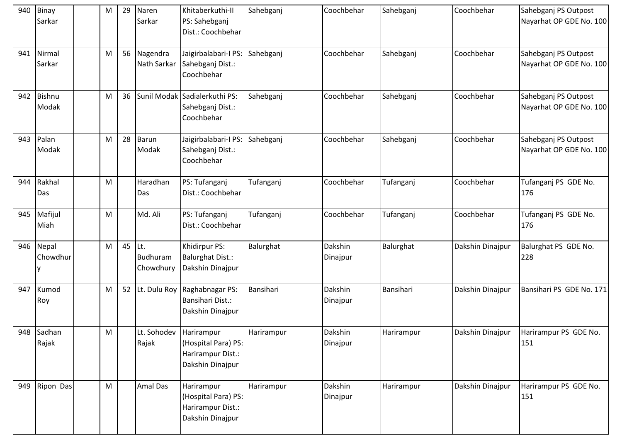| 940 | Binay<br>Sarkar        | M | 29 | Naren<br>Sarkar              | Khitaberkuthi-II<br>PS: Sahebganj<br>Dist.: Coochbehar                     | Sahebganj  | Coochbehar          | Sahebganj  | Coochbehar       | Sahebganj PS Outpost<br>Nayarhat OP GDE No. 100 |
|-----|------------------------|---|----|------------------------------|----------------------------------------------------------------------------|------------|---------------------|------------|------------------|-------------------------------------------------|
| 941 | Nirmal<br>Sarkar       | M | 56 | Nagendra<br>Nath Sarkar      | Jaigirbalabari-I PS:<br>Sahebganj Dist.:<br>Coochbehar                     | Sahebganj  | Coochbehar          | Sahebganj  | Coochbehar       | Sahebganj PS Outpost<br>Nayarhat OP GDE No. 100 |
| 942 | <b>Bishnu</b><br>Modak | M | 36 |                              | Sunil Modak Sadialerkuthi PS:<br>Sahebganj Dist.:<br>Coochbehar            | Sahebganj  | Coochbehar          | Sahebganj  | Coochbehar       | Sahebganj PS Outpost<br>Nayarhat OP GDE No. 100 |
| 943 | Palan<br>Modak         | M | 28 | Barun<br>Modak               | Jaigirbalabari-I PS:<br>Sahebganj Dist.:<br>Coochbehar                     | Sahebganj  | Coochbehar          | Sahebganj  | Coochbehar       | Sahebganj PS Outpost<br>Nayarhat OP GDE No. 100 |
| 944 | Rakhal<br>Das          | M |    | Haradhan<br>Das              | PS: Tufanganj<br>Dist.: Coochbehar                                         | Tufanganj  | Coochbehar          | Tufanganj  | Coochbehar       | Tufanganj PS GDE No.<br>176                     |
| 945 | Mafijul<br>Miah        | M |    | Md. Ali                      | PS: Tufanganj<br>Dist.: Coochbehar                                         | Tufanganj  | Coochbehar          | Tufanganj  | Coochbehar       | Tufanganj PS GDE No.<br>176                     |
| 946 | Nepal<br>Chowdhur      | M | 45 | Lt.<br>Budhuram<br>Chowdhury | Khidirpur PS:<br><b>Balurghat Dist.:</b><br>Dakshin Dinajpur               | Balurghat  | Dakshin<br>Dinajpur | Balurghat  | Dakshin Dinajpur | Balurghat PS GDE No.<br>228                     |
| 947 | Kumod<br>Roy           | M | 52 | Lt. Dulu Roy                 | Raghabnagar PS:<br>Bansihari Dist.:<br>Dakshin Dinajpur                    | Bansihari  | Dakshin<br>Dinajpur | Bansihari  | Dakshin Dinajpur | Bansihari PS GDE No. 171                        |
|     | 948 Sadhan<br>Rajak    | M |    | Lt. Sohodev<br>Rajak         | Harirampur<br>(Hospital Para) PS:<br>Harirampur Dist.:<br>Dakshin Dinajpur | Harirampur | Dakshin<br>Dinajpur | Harirampur | Dakshin Dinajpur | Harirampur PS GDE No.<br>151                    |
| 949 | Ripon Das              | M |    | Amal Das                     | Harirampur<br>(Hospital Para) PS:<br>Harirampur Dist.:<br>Dakshin Dinajpur | Harirampur | Dakshin<br>Dinajpur | Harirampur | Dakshin Dinajpur | Harirampur PS GDE No.<br>151                    |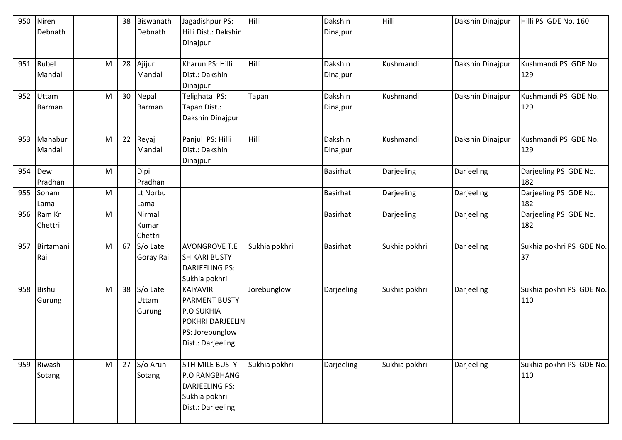| 950 | Niren     |   | 38 | Biswanath | Jagadishpur PS:                              | Hilli         | Dakshin         | Hilli         | Dakshin Dinajpur | Hilli PS GDE No. 160     |
|-----|-----------|---|----|-----------|----------------------------------------------|---------------|-----------------|---------------|------------------|--------------------------|
|     | Debnath   |   |    | Debnath   | Hilli Dist.: Dakshin                         |               | Dinajpur        |               |                  |                          |
|     |           |   |    |           | Dinajpur                                     |               |                 |               |                  |                          |
|     |           |   |    |           |                                              |               |                 |               |                  |                          |
| 951 | Rubel     | M | 28 | Ajijur    | Kharun PS: Hilli                             | Hilli         | Dakshin         | Kushmandi     | Dakshin Dinajpur | Kushmandi PS GDE No.     |
|     | Mandal    |   |    | Mandal    | Dist.: Dakshin                               |               | Dinajpur        |               |                  | 129                      |
|     |           |   |    |           | Dinajpur                                     |               |                 |               |                  |                          |
| 952 | Uttam     | M | 30 | Nepal     | Telighata PS:                                | Tapan         | Dakshin         | Kushmandi     | Dakshin Dinajpur | Kushmandi PS GDE No.     |
|     | Barman    |   |    | Barman    | Tapan Dist.:                                 |               | Dinajpur        |               |                  | 129                      |
|     |           |   |    |           | Dakshin Dinajpur                             |               |                 |               |                  |                          |
| 953 | Mahabur   | M | 22 | Reyaj     | Panjul PS: Hilli                             | Hilli         | Dakshin         | Kushmandi     | Dakshin Dinajpur | Kushmandi PS GDE No.     |
|     | Mandal    |   |    | Mandal    | Dist.: Dakshin                               |               | Dinajpur        |               |                  | 129                      |
|     |           |   |    |           | Dinajpur                                     |               |                 |               |                  |                          |
| 954 | Dew       | M |    | Dipil     |                                              |               | <b>Basirhat</b> | Darjeeling    | Darjeeling       | Darjeeling PS GDE No.    |
|     | Pradhan   |   |    | Pradhan   |                                              |               |                 |               |                  | 182                      |
| 955 | Sonam     | M |    | Lt Norbu  |                                              |               | <b>Basirhat</b> | Darjeeling    | Darjeeling       | Darjeeling PS GDE No.    |
|     | Lama      |   |    | Lama      |                                              |               |                 |               |                  | 182                      |
| 956 | Ram Kr    | M |    | Nirmal    |                                              |               | <b>Basirhat</b> | Darjeeling    | Darjeeling       | Darjeeling PS GDE No.    |
|     | Chettri   |   |    | Kumar     |                                              |               |                 |               |                  | 182                      |
|     |           |   |    | Chettri   |                                              |               |                 |               |                  |                          |
| 957 | Birtamani | M | 67 | S/o Late  | <b>AVONGROVE T.E</b>                         | Sukhia pokhri | <b>Basirhat</b> | Sukhia pokhri | Darjeeling       | Sukhia pokhri PS GDE No. |
|     | Rai       |   |    | Goray Rai | <b>SHIKARI BUSTY</b>                         |               |                 |               |                  | 37                       |
|     |           |   |    |           | <b>DARJEELING PS:</b>                        |               |                 |               |                  |                          |
|     |           |   |    |           | Sukhia pokhri                                |               |                 |               |                  |                          |
| 958 | Bishu     | M | 38 | S/o Late  | <b>KAIYAVIR</b>                              | Jorebunglow   | Darjeeling      | Sukhia pokhri | Darjeeling       | Sukhia pokhri PS GDE No. |
|     | Gurung    |   |    | Uttam     | <b>PARMENT BUSTY</b>                         |               |                 |               |                  | 110                      |
|     |           |   |    | Gurung    | <b>P.O SUKHIA</b><br><b>POKHRI DARJEELIN</b> |               |                 |               |                  |                          |
|     |           |   |    |           | PS: Jorebunglow                              |               |                 |               |                  |                          |
|     |           |   |    |           | Dist.: Darjeeling                            |               |                 |               |                  |                          |
|     |           |   |    |           |                                              |               |                 |               |                  |                          |
| 959 | Riwash    | M | 27 | S/o Arun  | <b>5TH MILE BUSTY</b>                        | Sukhia pokhri | Darjeeling      | Sukhia pokhri | Darjeeling       | Sukhia pokhri PS GDE No. |
|     | Sotang    |   |    | Sotang    | P.O RANGBHANG                                |               |                 |               |                  | 110                      |
|     |           |   |    |           | DARJEELING PS:                               |               |                 |               |                  |                          |
|     |           |   |    |           | Sukhia pokhri                                |               |                 |               |                  |                          |
|     |           |   |    |           | Dist.: Darjeeling                            |               |                 |               |                  |                          |
|     |           |   |    |           |                                              |               |                 |               |                  |                          |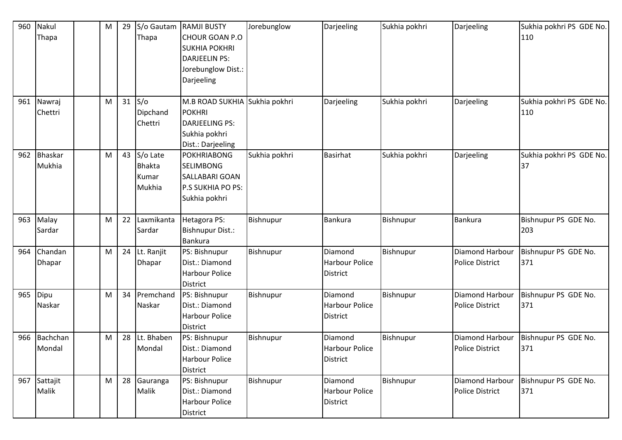| 960<br>961 | Nakul<br>Thapa<br>Nawraj<br>Chettri | M<br>M | 29<br>31 | S/o Gautam<br>Thapa<br>S/O<br>Dipchand       | <b>RAMJI BUSTY</b><br><b>CHOUR GOAN P.O</b><br><b>SUKHIA POKHRI</b><br><b>DARJEELIN PS:</b><br>Jorebunglow Dist.:<br>Darjeeling<br>M.B ROAD SUKHIA Sukhia pokhri<br><b>POKHRI</b> | Jorebunglow   | Darjeeling<br>Darjeeling                            | Sukhia pokhri<br>Sukhia pokhri | Darjeeling<br>Darjeeling                         | Sukhia pokhri PS GDE No.<br>110<br>Sukhia pokhri PS GDE No.<br>110 |
|------------|-------------------------------------|--------|----------|----------------------------------------------|-----------------------------------------------------------------------------------------------------------------------------------------------------------------------------------|---------------|-----------------------------------------------------|--------------------------------|--------------------------------------------------|--------------------------------------------------------------------|
|            |                                     |        |          | Chettri                                      | <b>DARJEELING PS:</b><br>Sukhia pokhri<br>Dist.: Darjeeling                                                                                                                       |               |                                                     |                                |                                                  |                                                                    |
| 962        | <b>Bhaskar</b><br>Mukhia            | M      | 43       | S/o Late<br><b>Bhakta</b><br>Kumar<br>Mukhia | <b>POKHRIABONG</b><br><b>SELIMBONG</b><br>SALLABARI GOAN<br><b>P.S SUKHIA PO PS:</b><br>Sukhia pokhri                                                                             | Sukhia pokhri | <b>Basirhat</b>                                     | Sukhia pokhri                  | Darjeeling                                       | Sukhia pokhri PS GDE No.<br>37                                     |
| 963        | Malay<br>Sardar                     | M      | 22       | Laxmikanta<br>Sardar                         | Hetagora PS:<br><b>Bishnupur Dist.:</b><br><b>Bankura</b>                                                                                                                         | Bishnupur     | Bankura                                             | Bishnupur                      | <b>Bankura</b>                                   | Bishnupur PS GDE No.<br>203                                        |
| 964        | Chandan<br>Dhapar                   | M      | 24       | Lt. Ranjit<br>Dhapar                         | PS: Bishnupur<br>Dist.: Diamond<br><b>Harbour Police</b><br><b>District</b>                                                                                                       | Bishnupur     | Diamond<br><b>Harbour Police</b><br><b>District</b> | Bishnupur                      | Diamond Harbour<br><b>Police District</b>        | Bishnupur PS GDE No.<br>371                                        |
| 965        | Dipu<br>Naskar                      | M      | 34       | Premchand<br>Naskar                          | PS: Bishnupur<br>Dist.: Diamond<br><b>Harbour Police</b><br><b>District</b>                                                                                                       | Bishnupur     | Diamond<br><b>Harbour Police</b><br><b>District</b> | Bishnupur                      | <b>Diamond Harbour</b><br><b>Police District</b> | Bishnupur PS GDE No.<br>371                                        |
| 966        | Bachchan<br>Mondal                  | M      | 28       | Lt. Bhaben<br>Mondal                         | PS: Bishnupur<br>Dist.: Diamond<br><b>Harbour Police</b><br><b>District</b>                                                                                                       | Bishnupur     | Diamond<br>Harbour Police<br>District               | Bishnupur                      | Diamond Harbour<br><b>Police District</b>        | Bishnupur PS GDE No.<br>371                                        |
| 967        | Sattajit<br>Malik                   | M      | 28       | Gauranga<br>Malik                            | PS: Bishnupur<br>Dist.: Diamond<br><b>Harbour Police</b><br>District                                                                                                              | Bishnupur     | Diamond<br><b>Harbour Police</b><br><b>District</b> | Bishnupur                      | Diamond Harbour<br><b>Police District</b>        | Bishnupur PS GDE No.<br>371                                        |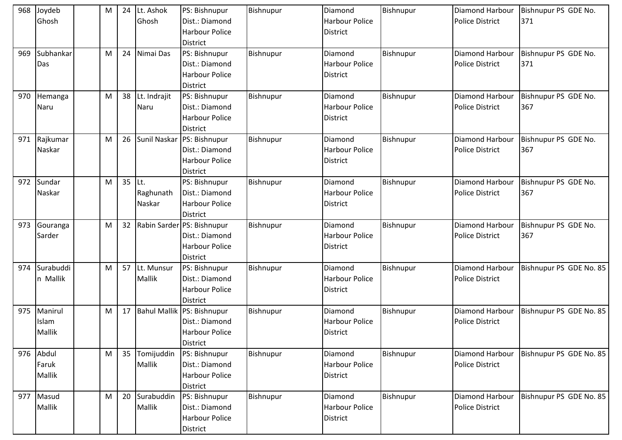|     | 968 Joydeb<br>Ghosh               | M | 24 | Lt. Ashok<br>Ghosh          | PS: Bishnupur<br>Dist.: Diamond<br><b>Harbour Police</b><br>District                     | Bishnupur | Diamond<br><b>Harbour Police</b><br><b>District</b> | Bishnupur | Diamond Harbour<br><b>Police District</b>        | Bishnupur PS GDE No.<br>371 |
|-----|-----------------------------------|---|----|-----------------------------|------------------------------------------------------------------------------------------|-----------|-----------------------------------------------------|-----------|--------------------------------------------------|-----------------------------|
| 969 | Subhankar<br>Das                  | M | 24 | Nimai Das                   | PS: Bishnupur<br>Dist.: Diamond<br>Harbour Police<br><b>District</b>                     | Bishnupur | Diamond<br><b>Harbour Police</b><br><b>District</b> | Bishnupur | Diamond Harbour<br><b>Police District</b>        | Bishnupur PS GDE No.<br>371 |
| 970 | Hemanga<br>Naru                   | M | 38 | Lt. Indrajit<br>Naru        | PS: Bishnupur<br>Dist.: Diamond<br><b>Harbour Police</b><br><b>District</b>              | Bishnupur | Diamond<br><b>Harbour Police</b><br><b>District</b> | Bishnupur | Diamond Harbour<br><b>Police District</b>        | Bishnupur PS GDE No.<br>367 |
| 971 | Rajkumar<br>Naskar                | M | 26 |                             | Sunil Naskar PS: Bishnupur<br>Dist.: Diamond<br><b>Harbour Police</b><br><b>District</b> | Bishnupur | Diamond<br><b>Harbour Police</b><br><b>District</b> | Bishnupur | <b>Diamond Harbour</b><br><b>Police District</b> | Bishnupur PS GDE No.<br>367 |
| 972 | Sundar<br>Naskar                  | M | 35 | ILt.<br>Raghunath<br>Naskar | PS: Bishnupur<br>Dist.: Diamond<br>Harbour Police<br><b>District</b>                     | Bishnupur | Diamond<br><b>Harbour Police</b><br><b>District</b> | Bishnupur | Diamond Harbour<br><b>Police District</b>        | Bishnupur PS GDE No.<br>367 |
| 973 | Gouranga<br>Sarder                | M | 32 |                             | Rabin Sarder PS: Bishnupur<br>Dist.: Diamond<br><b>Harbour Police</b><br><b>District</b> | Bishnupur | Diamond<br><b>Harbour Police</b><br><b>District</b> | Bishnupur | <b>Diamond Harbour</b><br><b>Police District</b> | Bishnupur PS GDE No.<br>367 |
| 974 | Surabuddi<br>n Mallik             | M | 57 | Lt. Munsur<br>Mallik        | PS: Bishnupur<br>Dist.: Diamond<br>Harbour Police<br><b>District</b>                     | Bishnupur | Diamond<br><b>Harbour Police</b><br><b>District</b> | Bishnupur | Diamond Harbour<br><b>Police District</b>        | Bishnupur PS GDE No. 85     |
| 975 | Manirul<br>Islam<br><b>Mallik</b> | M | 17 |                             | Bahul Mallik PS: Bishnupur<br>Dist.: Diamond<br>Harbour Police<br><b>District</b>        | Bishnupur | Diamond<br><b>Harbour Police</b><br><b>District</b> | Bishnupur | Diamond Harbour<br><b>Police District</b>        | Bishnupur PS GDE No. 85     |
|     | 976 Abdul<br>Faruk<br>Mallik      | M | 35 | Tomijuddin<br>Mallik        | PS: Bishnupur<br>Dist.: Diamond<br><b>Harbour Police</b><br><b>District</b>              | Bishnupur | Diamond<br><b>Harbour Police</b><br><b>District</b> | Bishnupur | <b>Diamond Harbour</b><br><b>Police District</b> | Bishnupur PS GDE No. 85     |
| 977 | Masud<br><b>Mallik</b>            | M | 20 | Surabuddin<br>Mallik        | PS: Bishnupur<br>Dist.: Diamond<br>Harbour Police<br><b>District</b>                     | Bishnupur | Diamond<br><b>Harbour Police</b><br><b>District</b> | Bishnupur | Diamond Harbour<br><b>Police District</b>        | Bishnupur PS GDE No. 85     |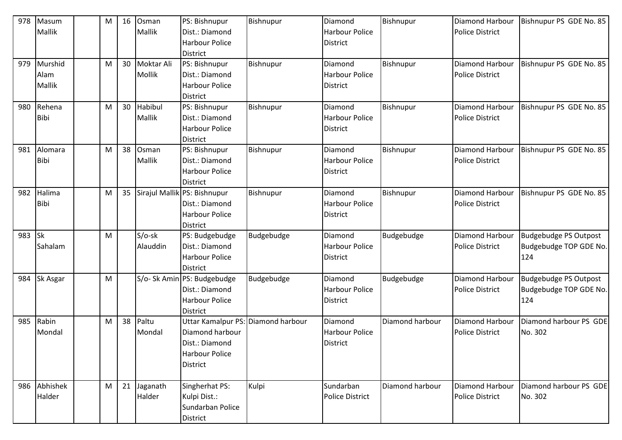| 978 | Masum       | М | 16 | Osman      | PS: Bishnupur                            | Bishnupur  | Diamond                | Bishnupur       | <b>Diamond Harbour</b> | Bishnupur PS GDE No. 85 |
|-----|-------------|---|----|------------|------------------------------------------|------------|------------------------|-----------------|------------------------|-------------------------|
|     | Mallik      |   |    | Mallik     | Dist.: Diamond                           |            | <b>Harbour Police</b>  |                 | <b>Police District</b> |                         |
|     |             |   |    |            | <b>Harbour Police</b>                    |            | District               |                 |                        |                         |
|     |             |   |    |            | <b>District</b>                          |            |                        |                 |                        |                         |
| 979 | Murshid     | М | 30 | Moktar Ali | PS: Bishnupur                            | Bishnupur  | Diamond                | Bishnupur       | Diamond Harbour        | Bishnupur PS GDE No. 85 |
|     | Alam        |   |    | Mollik     | Dist.: Diamond                           |            | <b>Harbour Police</b>  |                 | <b>Police District</b> |                         |
|     | Mallik      |   |    |            | <b>Harbour Police</b>                    |            | <b>District</b>        |                 |                        |                         |
|     |             |   |    |            | District                                 |            |                        |                 |                        |                         |
| 980 | Rehena      | M | 30 | Habibul    | PS: Bishnupur                            | Bishnupur  | Diamond                | Bishnupur       | <b>Diamond Harbour</b> | Bishnupur PS GDE No. 85 |
|     | <b>Bibi</b> |   |    | Mallik     | Dist.: Diamond                           |            | <b>Harbour Police</b>  |                 | <b>Police District</b> |                         |
|     |             |   |    |            | <b>Harbour Police</b>                    |            | <b>District</b>        |                 |                        |                         |
|     |             |   |    |            | <b>District</b>                          |            |                        |                 |                        |                         |
| 981 | Alomara     | М | 38 | Osman      | PS: Bishnupur                            | Bishnupur  | Diamond                | Bishnupur       | Diamond Harbour        | Bishnupur PS GDE No. 85 |
|     | <b>Bibi</b> |   |    | Mallik     | Dist.: Diamond                           |            | <b>Harbour Police</b>  |                 | <b>Police District</b> |                         |
|     |             |   |    |            | <b>Harbour Police</b>                    |            | <b>District</b>        |                 |                        |                         |
|     |             |   |    |            | <b>District</b>                          |            |                        |                 |                        |                         |
| 982 | Halima      | M | 35 |            | Sirajul Mallik PS: Bishnupur             | Bishnupur  | Diamond                | Bishnupur       | <b>Diamond Harbour</b> | Bishnupur PS GDE No. 85 |
|     | <b>Bibi</b> |   |    |            | Dist.: Diamond                           |            | <b>Harbour Police</b>  |                 | <b>Police District</b> |                         |
|     |             |   |    |            | <b>Harbour Police</b>                    |            | District               |                 |                        |                         |
|     |             |   |    |            | <b>District</b>                          |            |                        |                 |                        |                         |
| 983 | <b>Sk</b>   | M |    | $S/O$ -sk  | PS: Budgebudge                           | Budgebudge | Diamond                | Budgebudge      | Diamond Harbour        | Budgebudge PS Outpost   |
|     | Sahalam     |   |    | Alauddin   | Dist.: Diamond                           |            | <b>Harbour Police</b>  |                 | <b>Police District</b> | Budgebudge TOP GDE No.  |
|     |             |   |    |            | <b>Harbour Police</b>                    |            | <b>District</b>        |                 |                        | 124                     |
|     |             |   |    |            | <b>District</b>                          |            |                        |                 |                        |                         |
| 984 | Sk Asgar    | М |    |            | S/o- Sk Amin PS: Budgebudge              | Budgebudge | Diamond                | Budgebudge      | Diamond Harbour        | Budgebudge PS Outpost   |
|     |             |   |    |            | Dist.: Diamond                           |            | <b>Harbour Police</b>  |                 | <b>Police District</b> | Budgebudge TOP GDE No.  |
|     |             |   |    |            | <b>Harbour Police</b><br><b>District</b> |            | <b>District</b>        |                 |                        | 124                     |
| 985 | Rabin       | M | 38 | Paltu      | Uttar Kamalpur PS: Diamond harbour       |            | Diamond                | Diamond harbour | Diamond Harbour        | Diamond harbour PS GDE  |
|     | Mondal      |   |    | Mondal     | Diamond harbour                          |            | <b>Harbour Police</b>  |                 | <b>Police District</b> | No. 302                 |
|     |             |   |    |            | Dist.: Diamond                           |            | <b>District</b>        |                 |                        |                         |
|     |             |   |    |            | <b>Harbour Police</b>                    |            |                        |                 |                        |                         |
|     |             |   |    |            | <b>District</b>                          |            |                        |                 |                        |                         |
|     |             |   |    |            |                                          |            |                        |                 |                        |                         |
| 986 | Abhishek    | M | 21 | Jaganath   | Singherhat PS:                           | Kulpi      | Sundarban              | Diamond harbour | Diamond Harbour        | Diamond harbour PS GDE  |
|     | Halder      |   |    | Halder     | Kulpi Dist.:                             |            | <b>Police District</b> |                 | <b>Police District</b> | No. 302                 |
|     |             |   |    |            | Sundarban Police                         |            |                        |                 |                        |                         |
|     |             |   |    |            | District                                 |            |                        |                 |                        |                         |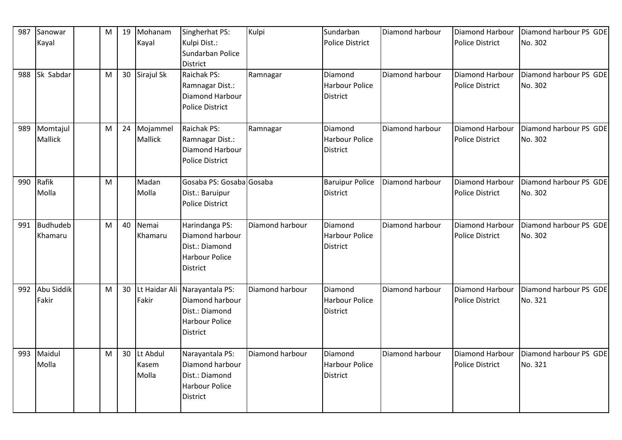| 987 | Sanowar    | M | 19 | Mohanam       | Singherhat PS:           | Kulpi           | Sundarban              | Diamond harbour | Diamond Harbour        | Diamond harbour PS GDE |
|-----|------------|---|----|---------------|--------------------------|-----------------|------------------------|-----------------|------------------------|------------------------|
|     | Kayal      |   |    | Kayal         | Kulpi Dist.:             |                 | <b>Police District</b> |                 | <b>Police District</b> | No. 302                |
|     |            |   |    |               | Sundarban Police         |                 |                        |                 |                        |                        |
|     |            |   |    |               | <b>District</b>          |                 |                        |                 |                        |                        |
| 988 | Sk Sabdar  | M | 30 | Sirajul Sk    | Raichak PS:              | Ramnagar        | Diamond                | Diamond harbour | Diamond Harbour        | Diamond harbour PS GDE |
|     |            |   |    |               | Ramnagar Dist.:          |                 | <b>Harbour Police</b>  |                 | <b>Police District</b> | No. 302                |
|     |            |   |    |               | Diamond Harbour          |                 | <b>District</b>        |                 |                        |                        |
|     |            |   |    |               | <b>Police District</b>   |                 |                        |                 |                        |                        |
|     |            |   |    |               |                          |                 |                        |                 |                        |                        |
| 989 | Momtajul   | M | 24 | Mojammel      | Raichak PS:              | Ramnagar        | Diamond                | Diamond harbour | Diamond Harbour        | Diamond harbour PS GDE |
|     | Mallick    |   |    | Mallick       | Ramnagar Dist.:          |                 | <b>Harbour Police</b>  |                 | Police District        | No. 302                |
|     |            |   |    |               | Diamond Harbour          |                 | District               |                 |                        |                        |
|     |            |   |    |               | <b>Police District</b>   |                 |                        |                 |                        |                        |
|     |            |   |    |               |                          |                 |                        |                 |                        |                        |
| 990 | Rafik      | M |    | Madan         | Gosaba PS: Gosaba Gosaba |                 | <b>Baruipur Police</b> | Diamond harbour | Diamond Harbour        | Diamond harbour PS GDE |
|     | Molla      |   |    | Molla         | Dist.: Baruipur          |                 | <b>District</b>        |                 | <b>Police District</b> | No. 302                |
|     |            |   |    |               | Police District          |                 |                        |                 |                        |                        |
|     |            |   |    |               |                          |                 |                        |                 |                        |                        |
| 991 | Budhudeb   | M | 40 | Nemai         | Harindanga PS:           | Diamond harbour | Diamond                | Diamond harbour | Diamond Harbour        | Diamond harbour PS GDE |
|     | Khamaru    |   |    | Khamaru       | Diamond harbour          |                 | <b>Harbour Police</b>  |                 | Police District        | No. 302                |
|     |            |   |    |               | Dist.: Diamond           |                 | <b>District</b>        |                 |                        |                        |
|     |            |   |    |               | <b>Harbour Police</b>    |                 |                        |                 |                        |                        |
|     |            |   |    |               | <b>District</b>          |                 |                        |                 |                        |                        |
| 992 | Abu Siddik | M | 30 | Lt Haidar Ali | Narayantala PS:          | Diamond harbour | Diamond                | Diamond harbour | Diamond Harbour        | Diamond harbour PS GDE |
|     | Fakir      |   |    | Fakir         | Diamond harbour          |                 | <b>Harbour Police</b>  |                 | <b>Police District</b> | No. 321                |
|     |            |   |    |               | Dist.: Diamond           |                 | District               |                 |                        |                        |
|     |            |   |    |               | <b>Harbour Police</b>    |                 |                        |                 |                        |                        |
|     |            |   |    |               | <b>District</b>          |                 |                        |                 |                        |                        |
|     |            |   |    |               |                          |                 |                        |                 |                        |                        |
| 993 | Maidul     | M | 30 | Lt Abdul      | Narayantala PS:          | Diamond harbour | Diamond                | Diamond harbour | Diamond Harbour        | Diamond harbour PS GDE |
|     | Molla      |   |    | Kasem         | Diamond harbour          |                 | <b>Harbour Police</b>  |                 | <b>Police District</b> | No. 321                |
|     |            |   |    | Molla         | Dist.: Diamond           |                 | District               |                 |                        |                        |
|     |            |   |    |               | <b>Harbour Police</b>    |                 |                        |                 |                        |                        |
|     |            |   |    |               | <b>District</b>          |                 |                        |                 |                        |                        |
|     |            |   |    |               |                          |                 |                        |                 |                        |                        |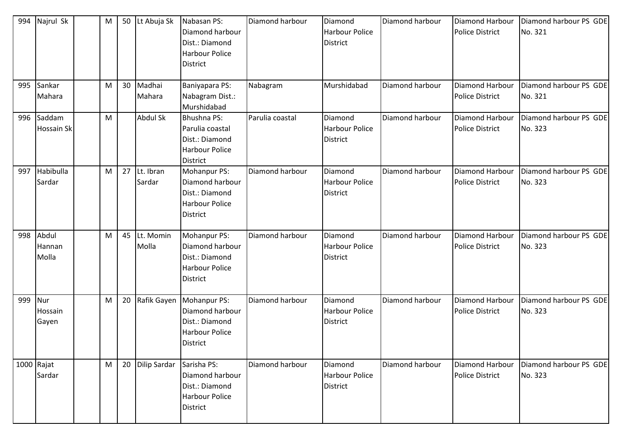| 994 | Najrul Sk                   | M | 50 | Lt Abuja Sk         | Nabasan PS:<br>Diamond harbour<br>Dist.: Diamond<br><b>Harbour Police</b><br><b>District</b>         | Diamond harbour | Diamond<br><b>Harbour Police</b><br>District        | Diamond harbour | Diamond Harbour<br><b>Police District</b>        | Diamond harbour PS GDE<br>No. 321 |
|-----|-----------------------------|---|----|---------------------|------------------------------------------------------------------------------------------------------|-----------------|-----------------------------------------------------|-----------------|--------------------------------------------------|-----------------------------------|
| 995 | Sankar<br>Mahara            | M | 30 | Madhai<br>Mahara    | Baniyapara PS:<br>Nabagram Dist.:<br>Murshidabad                                                     | Nabagram        | Murshidabad                                         | Diamond harbour | <b>Diamond Harbour</b><br><b>Police District</b> | Diamond harbour PS GDE<br>No. 321 |
| 996 | Saddam<br><b>Hossain Sk</b> | M |    | Abdul Sk            | <b>Bhushna PS:</b><br>Parulia coastal<br>Dist.: Diamond<br><b>Harbour Police</b><br><b>District</b>  | Parulia coastal | Diamond<br><b>Harbour Police</b><br><b>District</b> | Diamond harbour | Diamond Harbour<br><b>Police District</b>        | Diamond harbour PS GDE<br>No. 323 |
| 997 | Habibulla<br>Sardar         | M | 27 | Lt. Ibran<br>Sardar | <b>Mohanpur PS:</b><br>Diamond harbour<br>Dist.: Diamond<br><b>Harbour Police</b><br><b>District</b> | Diamond harbour | Diamond<br><b>Harbour Police</b><br><b>District</b> | Diamond harbour | Diamond Harbour<br><b>Police District</b>        | Diamond harbour PS GDE<br>No. 323 |
| 998 | Abdul<br>Hannan<br>Molla    | M | 45 | Lt. Momin<br>Molla  | Mohanpur PS:<br>Diamond harbour<br>Dist.: Diamond<br><b>Harbour Police</b><br><b>District</b>        | Diamond harbour | Diamond<br><b>Harbour Police</b><br>District        | Diamond harbour | Diamond Harbour<br><b>Police District</b>        | Diamond harbour PS GDE<br>No. 323 |
| 999 | Nur<br>Hossain<br>Gayen     | М | 20 | Rafik Gayen         | Mohanpur PS:<br>Diamond harbour<br>Dist.: Diamond<br><b>Harbour Police</b><br><b>District</b>        | Diamond harbour | Diamond<br><b>Harbour Police</b><br><b>District</b> | Diamond harbour | Diamond Harbour<br><b>Police District</b>        | Diamond harbour PS GDE<br>No. 323 |
|     | $1000$ Rajat<br>Sardar      | M | 20 | <b>Dilip Sardar</b> | Sarisha PS:<br>Diamond harbour<br>Dist.: Diamond<br><b>Harbour Police</b><br><b>District</b>         | Diamond harbour | Diamond<br><b>Harbour Police</b><br><b>District</b> | Diamond harbour | Diamond Harbour<br><b>Police District</b>        | Diamond harbour PS GDE<br>No. 323 |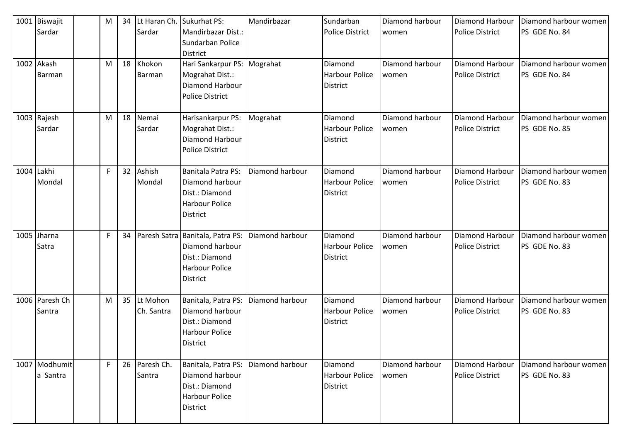| 1001 Biswajit             | M | 34 | Lt Haran Ch.            | Sukurhat PS:                                                                                               | Mandirbazar     | Sundarban                                           | Diamond harbour          | Diamond Harbour                                  | Diamond harbour women                  |
|---------------------------|---|----|-------------------------|------------------------------------------------------------------------------------------------------------|-----------------|-----------------------------------------------------|--------------------------|--------------------------------------------------|----------------------------------------|
| Sardar                    |   |    | Sardar                  | Mandirbazar Dist.:<br>Sundarban Police<br><b>District</b>                                                  |                 | <b>Police District</b>                              | women                    | <b>Police District</b>                           | PS GDE No. 84                          |
| 1002 Akash<br>Barman      | M | 18 | Khokon<br>Barman        | Hari Sankarpur PS: Mograhat<br>Mograhat Dist.:<br>Diamond Harbour<br><b>Police District</b>                |                 | Diamond<br><b>Harbour Police</b><br><b>District</b> | Diamond harbour<br>women | <b>Diamond Harbour</b><br><b>Police District</b> | Diamond harbour women<br>PS GDE No. 84 |
| 1003 Rajesh<br>Sardar     | M | 18 | Nemai<br>Sardar         | Harisankarpur PS:<br>Mograhat Dist.:<br><b>Diamond Harbour</b><br><b>Police District</b>                   | Mograhat        | Diamond<br><b>Harbour Police</b><br><b>District</b> | Diamond harbour<br>women | <b>Diamond Harbour</b><br><b>Police District</b> | Diamond harbour women<br>PS GDE No. 85 |
| 1004 Lakhi<br>Mondal      | F | 32 | Ashish<br>Mondal        | Banitala Patra PS:<br>Diamond harbour<br>Dist.: Diamond<br><b>Harbour Police</b><br><b>District</b>        | Diamond harbour | Diamond<br><b>Harbour Police</b><br><b>District</b> | Diamond harbour<br>women | <b>Diamond Harbour</b><br><b>Police District</b> | Diamond harbour women<br>PS GDE No. 83 |
| 1005 Jharna<br>Satra      | F | 34 |                         | Paresh Satra Banitala, Patra PS:<br>Diamond harbour<br>Dist.: Diamond<br><b>Harbour Police</b><br>District | Diamond harbour | Diamond<br><b>Harbour Police</b><br><b>District</b> | Diamond harbour<br>women | Diamond Harbour<br><b>Police District</b>        | Diamond harbour women<br>PS GDE No. 83 |
| 1006 Paresh Ch<br>Santra  | M | 35 | Lt Mohon<br>Ch. Santra  | Banitala, Patra PS:<br>Diamond harbour<br>Dist.: Diamond<br><b>Harbour Police</b><br><b>District</b>       | Diamond harbour | Diamond<br><b>Harbour Police</b><br><b>District</b> | Diamond harbour<br>women | <b>Diamond Harbour</b><br><b>Police District</b> | Diamond harbour women<br>PS GDE No. 83 |
| 1007 Modhumit<br>a Santra | F |    | 26 Paresh Ch.<br>Santra | Banitala, Patra PS:<br>Diamond harbour<br>Dist.: Diamond<br><b>Harbour Police</b><br><b>District</b>       | Diamond harbour | Diamond<br><b>Harbour Police</b><br><b>District</b> | Diamond harbour<br>women | Diamond Harbour<br><b>Police District</b>        | Diamond harbour women<br>PS GDE No. 83 |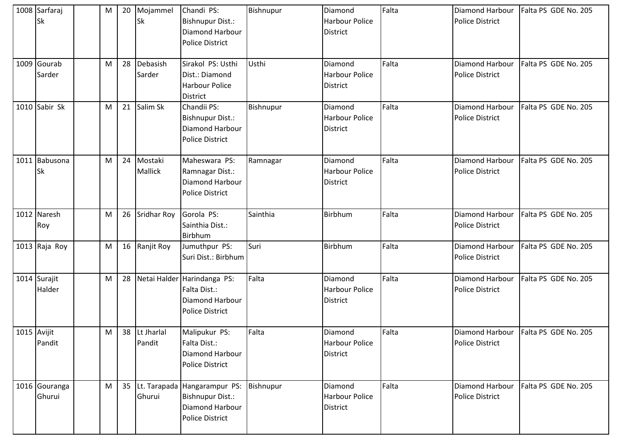| 1008 Sarfaraj<br><b>Sk</b> | M | 20 | Mojammel<br>Sk           | Chandi PS:<br><b>Bishnupur Dist.:</b><br>Diamond Harbour<br><b>Police District</b>                         | Bishnupur | Diamond<br><b>Harbour Police</b><br><b>District</b> | Falta | Diamond Harbour<br><b>Police District</b> | Falta PS GDE No. 205                 |
|----------------------------|---|----|--------------------------|------------------------------------------------------------------------------------------------------------|-----------|-----------------------------------------------------|-------|-------------------------------------------|--------------------------------------|
| 1009 Gourab<br>Sarder      | M | 28 | Debasish<br>Sarder       | Sirakol PS: Usthi<br>Dist.: Diamond<br>Harbour Police<br>District                                          | Usthi     | Diamond<br>Harbour Police<br><b>District</b>        | Falta | Diamond Harbour<br><b>Police District</b> | Falta PS GDE No. 205                 |
| 1010 Sabir Sk              | M | 21 | Salim Sk                 | Chandii PS:<br><b>Bishnupur Dist.:</b><br>Diamond Harbour<br>Police District                               | Bishnupur | Diamond<br><b>Harbour Police</b><br><b>District</b> | Falta | Diamond Harbour<br><b>Police District</b> | Falta PS GDE No. 205                 |
| 1011 Babusona<br><b>Sk</b> | M | 24 | Mostaki<br>Mallick       | Maheswara PS:<br>Ramnagar Dist.:<br><b>Diamond Harbour</b><br><b>Police District</b>                       | Ramnagar  | Diamond<br><b>Harbour Police</b><br><b>District</b> | Falta | Diamond Harbour<br><b>Police District</b> | Falta PS GDE No. 205                 |
| 1012 Naresh<br>Roy         | M |    | 26 Sridhar Roy           | Gorola PS:<br>Sainthia Dist.:<br>Birbhum                                                                   | Sainthia  | Birbhum                                             | Falta | Diamond Harbour<br><b>Police District</b> | Falta PS GDE No. 205                 |
| 1013 Raja Roy              | M | 16 | Ranjit Roy               | Jumuthpur PS:<br>Suri Dist.: Birbhum                                                                       | Suri      | Birbhum                                             | Falta | Diamond Harbour<br><b>Police District</b> | Falta PS GDE No. 205                 |
| 1014 Surajit<br>Halder     | M | 28 | Netai Halder             | Harindanga PS:<br>Falta Dist.:<br>Diamond Harbour<br><b>Police District</b>                                | Falta     | Diamond<br><b>Harbour Police</b><br><b>District</b> | Falta | Diamond Harbour<br><b>Police District</b> | Falta PS GDE No. 205                 |
| 1015 Avijit<br>Pandit      | M |    | 38  Lt Jharlal<br>Pandit | Malipukur PS:<br>Falta Dist.:<br>Diamond Harbour<br>Police District                                        | Falta     | Diamond<br>Harbour Police<br><b>District</b>        | Falta | <b>Police District</b>                    | Diamond Harbour Falta PS GDE No. 205 |
| 1016 Gouranga<br>Ghurui    | M |    | Ghurui                   | 35 Lt. Tarapada Hangarampur PS: Bishnupur<br><b>Bishnupur Dist.:</b><br>Diamond Harbour<br>Police District |           | Diamond<br>Harbour Police<br><b>District</b>        | Falta | Diamond Harbour<br><b>Police District</b> | Falta PS GDE No. 205                 |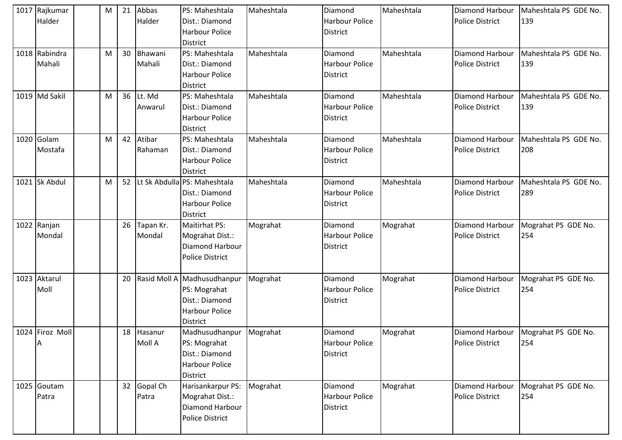| 1017 Rajkumar<br>Halder | M | 21 | Abbas<br>Halder     | PS: Maheshtala<br>Dist.: Diamond<br><b>Harbour Police</b><br><b>District</b>                              | Maheshtala | Diamond<br><b>Harbour Police</b><br><b>District</b> | Maheshtala | Diamond Harbour<br><b>Police District</b>        | Maheshtala PS GDE No.<br>139                 |
|-------------------------|---|----|---------------------|-----------------------------------------------------------------------------------------------------------|------------|-----------------------------------------------------|------------|--------------------------------------------------|----------------------------------------------|
| 1018 Rabindra<br>Mahali | M | 30 | Bhawani<br>Mahali   | PS: Maheshtala<br>Dist.: Diamond<br><b>Harbour Police</b><br><b>District</b>                              | Maheshtala | Diamond<br><b>Harbour Police</b><br><b>District</b> | Maheshtala | Diamond Harbour<br><b>Police District</b>        | Maheshtala PS GDE No.<br>139                 |
| 1019 Md Sakil           | M | 36 | Lt. Md<br>Anwarul   | PS: Maheshtala<br>Dist.: Diamond<br><b>Harbour Police</b><br><b>District</b>                              | Maheshtala | Diamond<br><b>Harbour Police</b><br><b>District</b> | Maheshtala | <b>Diamond Harbour</b><br><b>Police District</b> | Maheshtala PS GDE No.<br>139                 |
| 1020 Golam<br>Mostafa   | M | 42 | Atibar<br>Rahaman   | PS: Maheshtala<br>Dist.: Diamond<br><b>Harbour Police</b><br><b>District</b>                              | Maheshtala | Diamond<br><b>Harbour Police</b><br><b>District</b> | Maheshtala | Diamond Harbour<br><b>Police District</b>        | Maheshtala PS GDE No.<br>208                 |
| 1021 Sk Abdul           | M | 52 |                     | Lt Sk Abdulla PS: Maheshtala<br>Dist.: Diamond<br><b>Harbour Police</b><br><b>District</b>                | Maheshtala | Diamond<br><b>Harbour Police</b><br><b>District</b> | Maheshtala | Diamond Harbour<br><b>Police District</b>        | Maheshtala PS GDE No.<br>289                 |
| 1022 Ranjan<br>Mondal   |   | 26 | Tapan Kr.<br>Mondal | Maitirhat PS:<br>Mograhat Dist.:<br>Diamond Harbour<br><b>Police District</b>                             | Mograhat   | Diamond<br><b>Harbour Police</b><br><b>District</b> | Mograhat   | Diamond Harbour<br><b>Police District</b>        | Mograhat PS GDE No.<br>254                   |
| 1023 Aktarul<br>Moll    |   | 20 |                     | Rasid Moll A Madhusudhanpur<br>PS: Mograhat<br>Dist.: Diamond<br><b>Harbour Police</b><br><b>District</b> | Mograhat   | Diamond<br><b>Harbour Police</b><br><b>District</b> | Mograhat   | Diamond Harbour<br><b>Police District</b>        | Mograhat PS GDE No.<br>254                   |
| 1024 Firoz Moll<br>A    |   | 18 | Hasanur<br>Moll A   | Madhusudhanpur<br>PS: Mograhat<br>Dist.: Diamond<br><b>Harbour Police</b><br><b>District</b>              | Mograhat   | Diamond<br><b>Harbour Police</b><br><b>District</b> | Mograhat   | <b>Police District</b>                           | Diamond Harbour   Mograhat PS GDE No.<br>254 |
| 1025 Goutam<br>Patra    |   | 32 | Gopal Ch<br>Patra   | Harisankarpur PS:<br>Mograhat Dist.:<br>Diamond Harbour<br><b>Police District</b>                         | Mograhat   | Diamond<br><b>Harbour Police</b><br>District        | Mograhat   | Diamond Harbour<br><b>Police District</b>        | Mograhat PS GDE No.<br>254                   |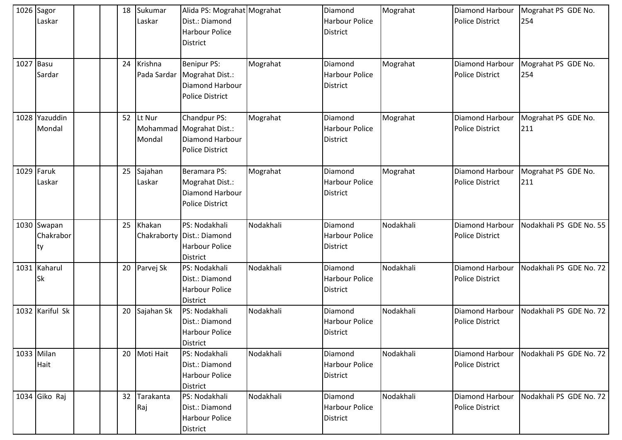| 1026 Sagor<br>Laskar            |  | 18 | Sukumar<br>Laskar | Alida PS: Mograhat Mograhat<br>Dist.: Diamond<br><b>Harbour Police</b><br><b>District</b>        |           | Diamond<br><b>Harbour Police</b><br><b>District</b> | Mograhat  | <b>Diamond Harbour</b><br><b>Police District</b> | Mograhat PS GDE No.<br>254 |
|---------------------------------|--|----|-------------------|--------------------------------------------------------------------------------------------------|-----------|-----------------------------------------------------|-----------|--------------------------------------------------|----------------------------|
| 1027 Basu<br>Sardar             |  | 24 | Krishna           | <b>Benipur PS:</b><br>Pada Sardar   Mograhat Dist.:<br>Diamond Harbour<br><b>Police District</b> | Mograhat  | Diamond<br>Harbour Police<br><b>District</b>        | Mograhat  | Diamond Harbour<br><b>Police District</b>        | Mograhat PS GDE No.<br>254 |
| 1028 Yazuddin<br>Mondal         |  | 52 | Lt Nur<br>Mondal  | Chandpur PS:<br>Mohammad Mograhat Dist.:<br>Diamond Harbour<br><b>Police District</b>            | Mograhat  | Diamond<br><b>Harbour Police</b><br><b>District</b> | Mograhat  | Diamond Harbour<br><b>Police District</b>        | Mograhat PS GDE No.<br>211 |
| 1029 Faruk<br>Laskar            |  | 25 | Sajahan<br>Laskar | Beramara PS:<br>Mograhat Dist.:<br>Diamond Harbour<br><b>Police District</b>                     | Mograhat  | Diamond<br><b>Harbour Police</b><br><b>District</b> | Mograhat  | Diamond Harbour<br><b>Police District</b>        | Mograhat PS GDE No.<br>211 |
| 1030 Swapan<br>Chakrabor<br>Ity |  | 25 | Khakan            | PS: Nodakhali<br>Chakraborty   Dist.: Diamond<br><b>Harbour Police</b><br><b>District</b>        | Nodakhali | Diamond<br><b>Harbour Police</b><br><b>District</b> | Nodakhali | Diamond Harbour<br><b>Police District</b>        | Nodakhali PS GDE No. 55    |
| 1031 Kaharul<br><b>Sk</b>       |  | 20 | Parvej Sk         | PS: Nodakhali<br>Dist.: Diamond<br><b>Harbour Police</b><br><b>District</b>                      | Nodakhali | Diamond<br>Harbour Police<br><b>District</b>        | Nodakhali | Diamond Harbour<br><b>Police District</b>        | Nodakhali PS GDE No. 72    |
| 1032 Kariful Sk                 |  | 20 | Sajahan Sk        | PS: Nodakhali<br>Dist.: Diamond<br><b>Harbour Police</b><br><b>District</b>                      | Nodakhali | Diamond<br><b>Harbour Police</b><br><b>District</b> | Nodakhali | Diamond Harbour<br><b>Police District</b>        | Nodakhali PS GDE No. 72    |
| 1033 Milan<br>Hait              |  |    | 20 Moti Hait      | PS: Nodakhali<br>Dist.: Diamond<br>Harbour Police<br>District                                    | Nodakhali | Diamond<br>Harbour Police<br><b>District</b>        | Nodakhali | Diamond Harbour<br><b>Police District</b>        | Nodakhali PS GDE No. 72    |
| 1034 Giko Raj                   |  | 32 | Tarakanta<br>Raj  | PS: Nodakhali<br>Dist.: Diamond<br>Harbour Police<br>District                                    | Nodakhali | Diamond<br>Harbour Police<br><b>District</b>        | Nodakhali | Diamond Harbour<br><b>Police District</b>        | Nodakhali PS GDE No. 72    |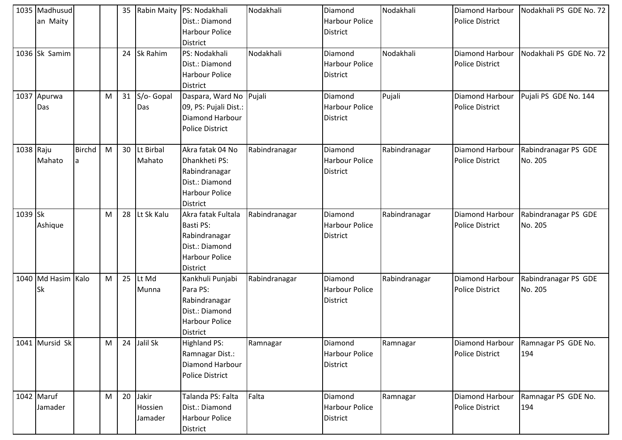|           | 1035 Madhusud<br>an Maity  |                    |           | 35 |                             | Rabin Maity PS: Nodakhali<br>Dist.: Diamond<br><b>Harbour Police</b><br>District                          | Nodakhali     | Diamond<br><b>Harbour Police</b><br><b>District</b> | Nodakhali     | Diamond Harbour<br><b>Police District</b>        | Nodakhali PS GDE No. 72         |
|-----------|----------------------------|--------------------|-----------|----|-----------------------------|-----------------------------------------------------------------------------------------------------------|---------------|-----------------------------------------------------|---------------|--------------------------------------------------|---------------------------------|
|           | 1036 Sk Samim              |                    |           | 24 | Sk Rahim                    | PS: Nodakhali<br>Dist.: Diamond<br><b>Harbour Police</b><br>District                                      | Nodakhali     | Diamond<br><b>Harbour Police</b><br><b>District</b> | Nodakhali     | <b>Diamond Harbour</b><br><b>Police District</b> | Nodakhali PS GDE No. 72         |
|           | 1037 Apurwa<br>Das         |                    | M         | 31 | S/o- Gopal<br>Das           | Daspara, Ward No<br>09, PS: Pujali Dist.:<br>Diamond Harbour<br><b>Police District</b>                    | Pujali        | Diamond<br><b>Harbour Police</b><br><b>District</b> | Pujali        | Diamond Harbour<br><b>Police District</b>        | Pujali PS GDE No. 144           |
| 1038 Raju | Mahato                     | <b>Birchd</b><br>a | ${\sf M}$ | 30 | Lt Birbal<br>Mahato         | Akra fatak 04 No<br>Dhankheti PS:<br>Rabindranagar<br>Dist.: Diamond<br><b>Harbour Police</b><br>District | Rabindranagar | Diamond<br><b>Harbour Police</b><br><b>District</b> | Rabindranagar | Diamond Harbour<br><b>Police District</b>        | Rabindranagar PS GDE<br>No. 205 |
| 1039 Sk   | Ashique                    |                    | M         | 28 | Lt Sk Kalu                  | Akra fatak Fultala<br>Basti PS:<br>Rabindranagar<br>Dist.: Diamond<br><b>Harbour Police</b><br>District   | Rabindranagar | Diamond<br><b>Harbour Police</b><br><b>District</b> | Rabindranagar | Diamond Harbour<br><b>Police District</b>        | Rabindranagar PS GDE<br>No. 205 |
|           | 1040 Md Hasim<br><b>Sk</b> | Kalo               | M         | 25 | Lt Md<br>Munna              | Kankhuli Punjabi<br>Para PS:<br>Rabindranagar<br>Dist.: Diamond<br><b>Harbour Police</b><br>District      | Rabindranagar | Diamond<br><b>Harbour Police</b><br><b>District</b> | Rabindranagar | Diamond Harbour<br><b>Police District</b>        | Rabindranagar PS GDE<br>No. 205 |
|           | 1041 Mursid Sk             |                    | M         | 24 | Jalil Sk                    | <b>Highland PS:</b><br>Ramnagar Dist.:<br>Diamond Harbour<br>Police District                              | Ramnagar      | Diamond<br>Harbour Police<br><b>District</b>        | Ramnagar      | Diamond Harbour<br><b>Police District</b>        | Ramnagar PS GDE No.<br>194      |
|           | 1042 Maruf<br>Jamader      |                    | M         | 20 | Jakir<br>Hossien<br>Jamader | Talanda PS: Falta<br>Dist.: Diamond<br>Harbour Police<br>District                                         | Falta         | Diamond<br>Harbour Police<br><b>District</b>        | Ramnagar      | Diamond Harbour<br><b>Police District</b>        | Ramnagar PS GDE No.<br>194      |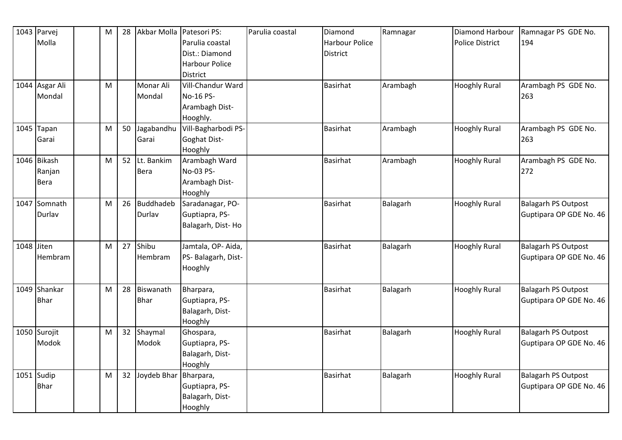|            | 1043 Parvej    | M | 28 | Akbar Molla Patesori PS: |                     | Parulia coastal | Diamond               | Ramnagar | <b>Diamond Harbour</b> | Ramnagar PS GDE No.        |
|------------|----------------|---|----|--------------------------|---------------------|-----------------|-----------------------|----------|------------------------|----------------------------|
|            | Molla          |   |    |                          | Parulia coastal     |                 | <b>Harbour Police</b> |          | <b>Police District</b> | 194                        |
|            |                |   |    |                          | Dist.: Diamond      |                 | <b>District</b>       |          |                        |                            |
|            |                |   |    |                          | Harbour Police      |                 |                       |          |                        |                            |
|            |                |   |    |                          | <b>District</b>     |                 |                       |          |                        |                            |
|            | 1044 Asgar Ali | M |    | Monar Ali                | Vill-Chandur Ward   |                 | <b>Basirhat</b>       | Arambagh | <b>Hooghly Rural</b>   | Arambagh PS GDE No.        |
|            | Mondal         |   |    | Mondal                   | No-16 PS-           |                 |                       |          |                        | 263                        |
|            |                |   |    |                          | Arambagh Dist-      |                 |                       |          |                        |                            |
|            |                |   |    |                          | Hooghly.            |                 |                       |          |                        |                            |
|            | 1045 Tapan     | M | 50 | Jagabandhu               | Vill-Bagharbodi PS- |                 | <b>Basirhat</b>       | Arambagh | <b>Hooghly Rural</b>   | Arambagh PS GDE No.        |
|            | Garai          |   |    | Garai                    | Goghat Dist-        |                 |                       |          |                        | 263                        |
|            |                |   |    |                          | Hooghly             |                 |                       |          |                        |                            |
|            | 1046 Bikash    | M | 52 | Lt. Bankim               | Arambagh Ward       |                 | <b>Basirhat</b>       | Arambagh | <b>Hooghly Rural</b>   | Arambagh PS GDE No.        |
|            | Ranjan         |   |    | Bera                     | No-03 PS-           |                 |                       |          |                        | 272                        |
|            | Bera           |   |    |                          | Arambagh Dist-      |                 |                       |          |                        |                            |
|            |                |   |    |                          | Hooghly             |                 |                       |          |                        |                            |
|            | 1047 Somnath   | M | 26 | <b>Buddhadeb</b>         | Saradanagar, PO-    |                 | <b>Basirhat</b>       | Balagarh | <b>Hooghly Rural</b>   | <b>Balagarh PS Outpost</b> |
|            | Durlav         |   |    | Durlav                   | Guptiapra, PS-      |                 |                       |          |                        | Guptipara OP GDE No. 46    |
|            |                |   |    |                          | Balagarh, Dist-Ho   |                 |                       |          |                        |                            |
|            |                |   |    |                          |                     |                 |                       |          |                        |                            |
| 1048 Jiten |                | M | 27 | Shibu                    | Jamtala, OP-Aida,   |                 | <b>Basirhat</b>       | Balagarh | <b>Hooghly Rural</b>   | <b>Balagarh PS Outpost</b> |
|            | <b>Hembram</b> |   |    | Hembram                  | PS- Balagarh, Dist- |                 |                       |          |                        | Guptipara OP GDE No. 46    |
|            |                |   |    |                          | Hooghly             |                 |                       |          |                        |                            |
|            |                |   |    |                          |                     |                 |                       |          |                        |                            |
|            | 1049 Shankar   | M | 28 | Biswanath                | Bharpara,           |                 | <b>Basirhat</b>       | Balagarh | <b>Hooghly Rural</b>   | <b>Balagarh PS Outpost</b> |
|            | <b>Bhar</b>    |   |    | <b>Bhar</b>              | Guptiapra, PS-      |                 |                       |          |                        | Guptipara OP GDE No. 46    |
|            |                |   |    |                          | Balagarh, Dist-     |                 |                       |          |                        |                            |
|            |                |   |    |                          | Hooghly             |                 |                       |          |                        |                            |
|            | 1050 Surojit   | M | 32 | Shaymal                  | Ghospara,           |                 | <b>Basirhat</b>       | Balagarh | <b>Hooghly Rural</b>   | <b>Balagarh PS Outpost</b> |
|            | Modok          |   |    | Modok                    | Guptiapra, PS-      |                 |                       |          |                        | Guptipara OP GDE No. 46    |
|            |                |   |    |                          | Balagarh, Dist-     |                 |                       |          |                        |                            |
|            |                |   |    |                          | Hooghly             |                 |                       |          |                        |                            |
|            | $1051$ Sudip   | M | 32 | Joydeb Bhar Bharpara,    |                     |                 | <b>Basirhat</b>       | Balagarh | <b>Hooghly Rural</b>   | <b>Balagarh PS Outpost</b> |
|            | <b>Bhar</b>    |   |    |                          | Guptiapra, PS-      |                 |                       |          |                        | Guptipara OP GDE No. 46    |
|            |                |   |    |                          | Balagarh, Dist-     |                 |                       |          |                        |                            |
|            |                |   |    |                          | Hooghly             |                 |                       |          |                        |                            |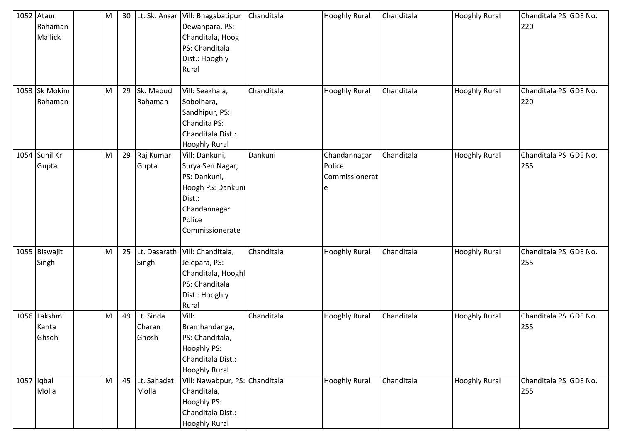| 1052 Ataur<br>Rahaman<br>Mallick | M | 30 | Lt. Sk. Ansar                | Vill: Bhagabatipur<br>Dewanpara, PS:<br>Chanditala, Hoog<br>PS: Chanditala<br>Dist.: Hooghly<br>Rural                          | Chanditala | <b>Hooghly Rural</b>                          | Chanditala | <b>Hooghly Rural</b> | Chanditala PS GDE No.<br>220 |
|----------------------------------|---|----|------------------------------|--------------------------------------------------------------------------------------------------------------------------------|------------|-----------------------------------------------|------------|----------------------|------------------------------|
| 1053 Sk Mokim<br>Rahaman         | M | 29 | Sk. Mabud<br>Rahaman         | Vill: Seakhala,<br>Sobolhara,<br>Sandhipur, PS:<br>Chandita PS:<br>Chanditala Dist.:<br><b>Hooghly Rural</b>                   | Chanditala | <b>Hooghly Rural</b>                          | Chanditala | <b>Hooghly Rural</b> | Chanditala PS GDE No.<br>220 |
| 1054 Sunil Kr<br>Gupta           | M | 29 | Raj Kumar<br>Gupta           | Vill: Dankuni,<br>Surya Sen Nagar,<br>PS: Dankuni,<br>Hoogh PS: Dankuni<br>Dist.:<br>Chandannagar<br>Police<br>Commissionerate | Dankuni    | Chandannagar<br>Police<br>Commissionerat<br>е | Chanditala | <b>Hooghly Rural</b> | Chanditala PS GDE No.<br>255 |
| 1055 Biswajit<br>Singh           | M | 25 | Lt. Dasarath<br>Singh        | Vill: Chanditala,<br>Jelepara, PS:<br>Chanditala, Hooghl<br>PS: Chanditala<br>Dist.: Hooghly<br>Rural                          | Chanditala | <b>Hooghly Rural</b>                          | Chanditala | <b>Hooghly Rural</b> | Chanditala PS GDE No.<br>255 |
| 1056 Lakshmi<br>Kanta<br>Ghsoh   | M | 49 | Lt. Sinda<br>Charan<br>Ghosh | Vill:<br>Bramhandanga,<br>PS: Chanditala,<br>Hooghly PS:<br>Chanditala Dist.:<br><b>Hooghly Rural</b>                          | Chanditala | <b>Hooghly Rural</b>                          | Chanditala | <b>Hooghly Rural</b> | Chanditala PS GDE No.<br>255 |
| $1057$ Iqbal<br>Molla            | M | 45 | Lt. Sahadat<br>Molla         | Vill: Nawabpur, PS: Chanditala<br>Chanditala,<br>Hooghly PS:<br>Chanditala Dist.:<br><b>Hooghly Rural</b>                      |            | <b>Hooghly Rural</b>                          | Chanditala | <b>Hooghly Rural</b> | Chanditala PS GDE No.<br>255 |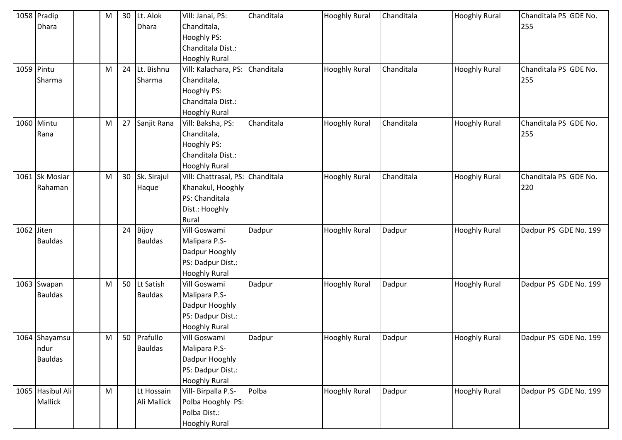|            | 1058 Pradip<br><b>Dhara</b>             | M         | 30 | Lt. Alok<br>Dhara           | Vill: Janai, PS:<br>Chanditala,<br>Hooghly PS:<br>Chanditala Dist.:<br><b>Hooghly Rural</b>     | Chanditala | <b>Hooghly Rural</b> | Chanditala | <b>Hooghly Rural</b> | Chanditala PS GDE No.<br>255 |
|------------|-----------------------------------------|-----------|----|-----------------------------|-------------------------------------------------------------------------------------------------|------------|----------------------|------------|----------------------|------------------------------|
|            | 1059 Pintu<br>Sharma                    | M         | 24 | Lt. Bishnu<br>Sharma        | Vill: Kalachara, PS:<br>Chanditala,<br>Hooghly PS:<br>Chanditala Dist.:<br><b>Hooghly Rural</b> | Chanditala | <b>Hooghly Rural</b> | Chanditala | <b>Hooghly Rural</b> | Chanditala PS GDE No.<br>255 |
|            | 1060 Mintu<br>Rana                      | M         | 27 | Sanjit Rana                 | Vill: Baksha, PS:<br>Chanditala,<br>Hooghly PS:<br>Chanditala Dist.:<br><b>Hooghly Rural</b>    | Chanditala | <b>Hooghly Rural</b> | Chanditala | <b>Hooghly Rural</b> | Chanditala PS GDE No.<br>255 |
|            | 1061 Sk Mosiar<br>Rahaman               | ${\sf M}$ | 30 | Sk. Sirajul<br>Haque        | Vill: Chattrasal, PS:<br>Khanakul, Hooghly<br>PS: Chanditala<br>Dist.: Hooghly<br>Rural         | Chanditala | <b>Hooghly Rural</b> | Chanditala | <b>Hooghly Rural</b> | Chanditala PS GDE No.<br>220 |
| 1062 Jiten | <b>Bauldas</b>                          |           | 24 | Bijoy<br><b>Bauldas</b>     | Vill Goswami<br>Malipara P.S-<br>Dadpur Hooghly<br>PS: Dadpur Dist.:<br><b>Hooghly Rural</b>    | Dadpur     | <b>Hooghly Rural</b> | Dadpur     | <b>Hooghly Rural</b> | Dadpur PS GDE No. 199        |
|            | 1063 Swapan<br><b>Bauldas</b>           | M         | 50 | Lt Satish<br><b>Bauldas</b> | Vill Goswami<br>Malipara P.S-<br>Dadpur Hooghly<br>PS: Dadpur Dist.:<br><b>Hooghly Rural</b>    | Dadpur     | <b>Hooghly Rural</b> | Dadpur     | <b>Hooghly Rural</b> | Dadpur PS GDE No. 199        |
|            | 1064 Shayamsu<br>ndur<br><b>Bauldas</b> | M         | 50 | Prafullo<br><b>Bauldas</b>  | Vill Goswami<br>Malipara P.S-<br>Dadpur Hooghly<br>PS: Dadpur Dist.:<br><b>Hooghly Rural</b>    | Dadpur     | <b>Hooghly Rural</b> | Dadpur     | <b>Hooghly Rural</b> | Dadpur PS GDE No. 199        |
|            | 1065 Hasibul Ali<br><b>Mallick</b>      | M         |    | Lt Hossain<br>Ali Mallick   | Vill- Birpalla P.S-<br>Polba Hooghly PS:<br>Polba Dist.:<br><b>Hooghly Rural</b>                | Polba      | <b>Hooghly Rural</b> | Dadpur     | <b>Hooghly Rural</b> | Dadpur PS GDE No. 199        |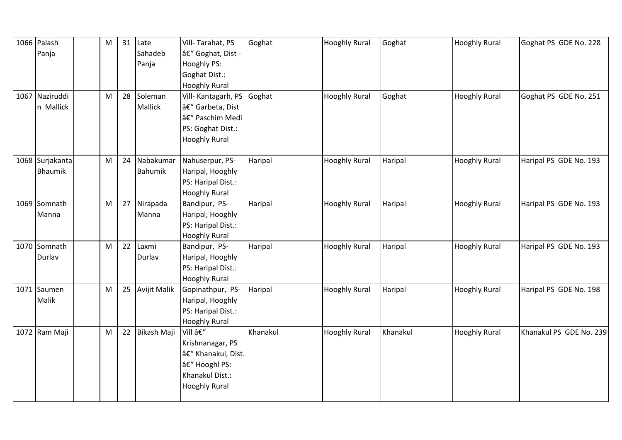| 1066 Palash     | ${\sf M}$ |    | $31$ Late           | Vill-Tarahat, PS     | Goghat   | <b>Hooghly Rural</b> | Goghat   | <b>Hooghly Rural</b> | Goghat PS GDE No. 228   |
|-----------------|-----------|----|---------------------|----------------------|----------|----------------------|----------|----------------------|-------------------------|
| Panja           |           |    | Sahadeb             | â€" Goghat, Dist -   |          |                      |          |                      |                         |
|                 |           |    | Panja               | Hooghly PS:          |          |                      |          |                      |                         |
|                 |           |    |                     | Goghat Dist.:        |          |                      |          |                      |                         |
|                 |           |    |                     | <b>Hooghly Rural</b> |          |                      |          |                      |                         |
| 1067 Naziruddi  | M         | 28 | Soleman             | Vill- Kantagarh, PS  | Goghat   | <b>Hooghly Rural</b> | Goghat   | <b>Hooghly Rural</b> | Goghat PS GDE No. 251   |
| n Mallick       |           |    | Mallick             | – Garbeta, Dist      |          |                      |          |                      |                         |
|                 |           |    |                     | – Paschim Medi       |          |                      |          |                      |                         |
|                 |           |    |                     | PS: Goghat Dist.:    |          |                      |          |                      |                         |
|                 |           |    |                     | <b>Hooghly Rural</b> |          |                      |          |                      |                         |
|                 |           |    |                     |                      |          |                      |          |                      |                         |
| 1068 Surjakanta | M         | 24 | Nabakumar           | Nahuserpur, PS-      | Haripal  | <b>Hooghly Rural</b> | Haripal  | <b>Hooghly Rural</b> | Haripal PS GDE No. 193  |
| <b>Bhaumik</b>  |           |    | Bahumik             | Haripal, Hooghly     |          |                      |          |                      |                         |
|                 |           |    |                     | PS: Haripal Dist.:   |          |                      |          |                      |                         |
|                 |           |    |                     | <b>Hooghly Rural</b> |          |                      |          |                      |                         |
| 1069 Somnath    | M         | 27 | Nirapada            | Bandipur, PS-        | Haripal  | <b>Hooghly Rural</b> | Haripal  | <b>Hooghly Rural</b> | Haripal PS GDE No. 193  |
| Manna           |           |    | Manna               | Haripal, Hooghly     |          |                      |          |                      |                         |
|                 |           |    |                     | PS: Haripal Dist.:   |          |                      |          |                      |                         |
|                 |           |    |                     | <b>Hooghly Rural</b> |          |                      |          |                      |                         |
| 1070 Somnath    | M         | 22 | Laxmi               | Bandipur, PS-        | Haripal  | <b>Hooghly Rural</b> | Haripal  | <b>Hooghly Rural</b> | Haripal PS GDE No. 193  |
| Durlav          |           |    | Durlav              | Haripal, Hooghly     |          |                      |          |                      |                         |
|                 |           |    |                     | PS: Haripal Dist.:   |          |                      |          |                      |                         |
|                 |           |    |                     | <b>Hooghly Rural</b> |          |                      |          |                      |                         |
| 1071 Saumen     | M         | 25 | <b>Avijit Malik</b> | Gopinathpur, PS-     | Haripal  | <b>Hooghly Rural</b> | Haripal  | <b>Hooghly Rural</b> | Haripal PS GDE No. 198  |
| Malik           |           |    |                     | Haripal, Hooghly     |          |                      |          |                      |                         |
|                 |           |    |                     | PS: Haripal Dist.:   |          |                      |          |                      |                         |
|                 |           |    |                     | <b>Hooghly Rural</b> |          |                      |          |                      |                         |
| 1072 Ram Maji   | ${\sf M}$ | 22 | Bikash Maji         | Vill –               | Khanakul | <b>Hooghly Rural</b> | Khanakul | <b>Hooghly Rural</b> | Khanakul PS GDE No. 239 |
|                 |           |    |                     | Krishnanagar, PS     |          |                      |          |                      |                         |
|                 |           |    |                     | – Khanakul, Dist.    |          |                      |          |                      |                         |
|                 |           |    |                     | â€" Hooghl PS:       |          |                      |          |                      |                         |
|                 |           |    |                     | Khanakul Dist.:      |          |                      |          |                      |                         |
|                 |           |    |                     | <b>Hooghly Rural</b> |          |                      |          |                      |                         |
|                 |           |    |                     |                      |          |                      |          |                      |                         |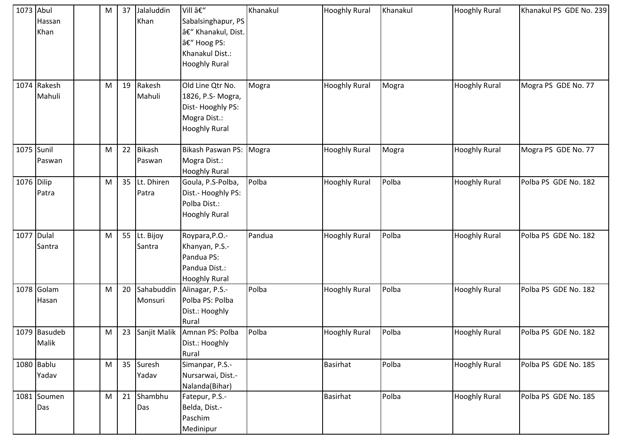| 1073 Abul  |              | M | 37 | Jalaluddin    | Vill –                       | Khanakul | <b>Hooghly Rural</b> | Khanakul | <b>Hooghly Rural</b> | Khanakul PS GDE No. 239 |
|------------|--------------|---|----|---------------|------------------------------|----------|----------------------|----------|----------------------|-------------------------|
|            | Hassan       |   |    | Khan          | Sabalsinghapur, PS           |          |                      |          |                      |                         |
|            | Khan         |   |    |               | â€" Khanakul, Dist.          |          |                      |          |                      |                         |
|            |              |   |    |               | – Hoog PS:                   |          |                      |          |                      |                         |
|            |              |   |    |               | Khanakul Dist.:              |          |                      |          |                      |                         |
|            |              |   |    |               | <b>Hooghly Rural</b>         |          |                      |          |                      |                         |
|            |              |   |    |               |                              |          |                      |          |                      |                         |
|            | 1074 Rakesh  | M | 19 | Rakesh        | Old Line Qtr No.             | Mogra    | <b>Hooghly Rural</b> | Mogra    | <b>Hooghly Rural</b> | Mogra PS GDE No. 77     |
|            | Mahuli       |   |    | Mahuli        | 1826, P.S- Mogra,            |          |                      |          |                      |                         |
|            |              |   |    |               | Dist-Hooghly PS:             |          |                      |          |                      |                         |
|            |              |   |    |               | Mogra Dist.:                 |          |                      |          |                      |                         |
|            |              |   |    |               | <b>Hooghly Rural</b>         |          |                      |          |                      |                         |
|            |              |   |    |               |                              |          |                      |          |                      |                         |
|            | 1075 Sunil   | M | 22 | <b>Bikash</b> | Bikash Paswan PS:            | Mogra    | <b>Hooghly Rural</b> | Mogra    | <b>Hooghly Rural</b> | Mogra PS GDE No. 77     |
|            | Paswan       |   |    | Paswan        | Mogra Dist.:                 |          |                      |          |                      |                         |
|            |              |   |    |               | <b>Hooghly Rural</b>         |          |                      |          |                      |                         |
| 1076 Dilip |              | M | 35 | Lt. Dhiren    | Goula, P.S-Polba,            | Polba    | <b>Hooghly Rural</b> | Polba    | <b>Hooghly Rural</b> | Polba PS GDE No. 182    |
|            | Patra        |   |    | Patra         | Dist.- Hooghly PS:           |          |                      |          |                      |                         |
|            |              |   |    |               | Polba Dist.:                 |          |                      |          |                      |                         |
|            |              |   |    |               | <b>Hooghly Rural</b>         |          |                      |          |                      |                         |
|            |              |   |    |               |                              |          |                      |          |                      |                         |
|            | 1077 Dulal   | M | 55 | Lt. Bijoy     | Roypara, P.O.-               | Pandua   | <b>Hooghly Rural</b> | Polba    | <b>Hooghly Rural</b> | Polba PS GDE No. 182    |
|            | Santra       |   |    | Santra        | Khanyan, P.S.-               |          |                      |          |                      |                         |
|            |              |   |    |               | Pandua PS:                   |          |                      |          |                      |                         |
|            |              |   |    |               | Pandua Dist.:                |          |                      |          |                      |                         |
|            |              |   |    |               | <b>Hooghly Rural</b>         |          |                      |          |                      |                         |
|            | 1078 Golam   | M | 20 | Sahabuddin    | Alinagar, P.S.-              | Polba    | <b>Hooghly Rural</b> | Polba    | <b>Hooghly Rural</b> | Polba PS GDE No. 182    |
|            | Hasan        |   |    | Monsuri       | Polba PS: Polba              |          |                      |          |                      |                         |
|            |              |   |    |               | Dist.: Hooghly               |          |                      |          |                      |                         |
|            |              |   |    |               | Rural                        |          |                      |          |                      |                         |
|            | 1079 Basudeb | M | 23 |               | Sanjit Malik Amnan PS: Polba | Polba    | <b>Hooghly Rural</b> | Polba    | <b>Hooghly Rural</b> | Polba PS GDE No. 182    |
|            | Malik        |   |    |               | Dist.: Hooghly               |          |                      |          |                      |                         |
|            |              |   |    |               | Rural                        |          |                      |          |                      |                         |
|            | 1080 Bablu   | M |    | 35 Suresh     | Simanpar, P.S.-              |          | Basirhat             | Polba    | <b>Hooghly Rural</b> | Polba PS GDE No. 185    |
|            | Yadav        |   |    | Yadav         | Nursarwai, Dist.-            |          |                      |          |                      |                         |
|            |              |   |    |               | Nalanda(Bihar)               |          |                      |          |                      |                         |
|            | 1081 Soumen  | M | 21 | Shambhu       | Fatepur, P.S.-               |          | <b>Basirhat</b>      | Polba    | <b>Hooghly Rural</b> | Polba PS GDE No. 185    |
|            | Das          |   |    | Das           | Belda, Dist.-                |          |                      |          |                      |                         |
|            |              |   |    |               | Paschim                      |          |                      |          |                      |                         |
|            |              |   |    |               | Medinipur                    |          |                      |          |                      |                         |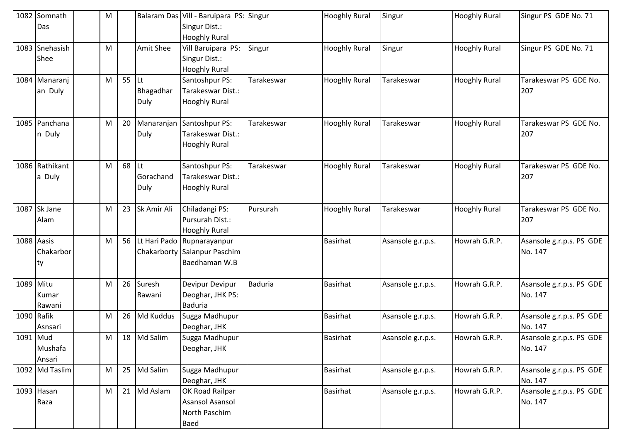| 1082       | Somnath        | M |    |                  | Balaram Das Vill - Baruipara PS: Singur |                | <b>Hooghly Rural</b> | Singur            | <b>Hooghly Rural</b> | Singur PS GDE No. 71     |
|------------|----------------|---|----|------------------|-----------------------------------------|----------------|----------------------|-------------------|----------------------|--------------------------|
|            | Das            |   |    |                  | Singur Dist.:                           |                |                      |                   |                      |                          |
|            |                |   |    |                  | <b>Hooghly Rural</b>                    |                |                      |                   |                      |                          |
|            | 1083 Snehasish | M |    | <b>Amit Shee</b> | Vill Baruipara PS:                      | Singur         | <b>Hooghly Rural</b> | Singur            | <b>Hooghly Rural</b> | Singur PS GDE No. 71     |
|            | Shee           |   |    |                  | Singur Dist.:                           |                |                      |                   |                      |                          |
|            |                |   |    |                  | <b>Hooghly Rural</b>                    |                |                      |                   |                      |                          |
|            | 1084 Manaranj  | M | 55 | ILt.             | Santoshpur PS:                          | Tarakeswar     | <b>Hooghly Rural</b> | Tarakeswar        | <b>Hooghly Rural</b> | Tarakeswar PS GDE No.    |
|            | an Duly        |   |    | Bhagadhar        | Tarakeswar Dist.:                       |                |                      |                   |                      | 207                      |
|            |                |   |    | Duly             | <b>Hooghly Rural</b>                    |                |                      |                   |                      |                          |
|            |                |   |    |                  |                                         |                |                      |                   |                      |                          |
|            | 1085 Panchana  | M | 20 | Manaranjan       | Santoshpur PS:                          | Tarakeswar     | <b>Hooghly Rural</b> | Tarakeswar        | <b>Hooghly Rural</b> | Tarakeswar PS GDE No.    |
|            | n Duly         |   |    | Duly             | Tarakeswar Dist.:                       |                |                      |                   |                      | 207                      |
|            |                |   |    |                  | <b>Hooghly Rural</b>                    |                |                      |                   |                      |                          |
|            | 1086 Rathikant | M | 68 | ILt              | Santoshpur PS:                          | Tarakeswar     | <b>Hooghly Rural</b> | Tarakeswar        | <b>Hooghly Rural</b> | Tarakeswar PS GDE No.    |
|            | a Duly         |   |    | Gorachand        | Tarakeswar Dist.:                       |                |                      |                   |                      | 207                      |
|            |                |   |    | Duly             | <b>Hooghly Rural</b>                    |                |                      |                   |                      |                          |
|            |                |   |    |                  |                                         |                |                      |                   |                      |                          |
| 1087       | Sk Jane        | M | 23 | Sk Amir Ali      | Chiladangi PS:                          | Pursurah       | <b>Hooghly Rural</b> | Tarakeswar        | <b>Hooghly Rural</b> | Tarakeswar PS GDE No.    |
|            | Alam           |   |    |                  | Pursurah Dist.:                         |                |                      |                   |                      | 207                      |
|            |                |   |    |                  | <b>Hooghly Rural</b>                    |                |                      |                   |                      |                          |
| 1088 Aasis |                | M | 56 |                  | Lt Hari Pado Rupnarayanpur              |                | <b>Basirhat</b>      | Asansole g.r.p.s. | Howrah G.R.P.        | Asansole g.r.p.s. PS GDE |
|            | Chakarbor      |   |    |                  | Chakarborty Salanpur Paschim            |                |                      |                   |                      | No. 147                  |
|            | ty             |   |    |                  | Baedhaman W.B                           |                |                      |                   |                      |                          |
|            |                |   |    |                  |                                         |                |                      |                   |                      |                          |
| 1089 Mitu  |                | M | 26 | Suresh           | Devipur Devipur                         | <b>Baduria</b> | <b>Basirhat</b>      | Asansole g.r.p.s. | Howrah G.R.P.        | Asansole g.r.p.s. PS GDE |
|            | Kumar          |   |    | Rawani           | Deoghar, JHK PS:                        |                |                      |                   |                      | No. 147                  |
|            | Rawani         |   |    |                  | <b>Baduria</b>                          |                |                      |                   |                      |                          |
| 1090 Rafik |                | M | 26 | <b>Md Kuddus</b> | Sugga Madhupur                          |                | <b>Basirhat</b>      | Asansole g.r.p.s. | Howrah G.R.P.        | Asansole g.r.p.s. PS GDE |
|            | Asnsari        |   |    |                  | Deoghar, JHK                            |                |                      |                   |                      | No. 147                  |
| 1091 Mud   |                | M | 18 | Md Salim         | Sugga Madhupur                          |                | <b>Basirhat</b>      | Asansole g.r.p.s. | Howrah G.R.P.        | Asansole g.r.p.s. PS GDE |
|            | Mushafa        |   |    |                  | Deoghar, JHK                            |                |                      |                   |                      | No. 147                  |
|            | Ansari         |   |    |                  |                                         |                |                      |                   |                      |                          |
|            | 1092 Md Taslim | M | 25 | Md Salim         | Sugga Madhupur                          |                | <b>Basirhat</b>      | Asansole g.r.p.s. | Howrah G.R.P.        | Asansole g.r.p.s. PS GDE |
|            |                |   |    |                  | Deoghar, JHK                            |                |                      |                   |                      | No. 147                  |
|            | 1093 Hasan     | M | 21 | Md Aslam         | OK Road Railpar                         |                | Basirhat             | Asansole g.r.p.s. | Howrah G.R.P.        | Asansole g.r.p.s. PS GDE |
|            | Raza           |   |    |                  | Asansol Asansol                         |                |                      |                   |                      | No. 147                  |
|            |                |   |    |                  | North Paschim                           |                |                      |                   |                      |                          |
|            |                |   |    |                  | <b>Baed</b>                             |                |                      |                   |                      |                          |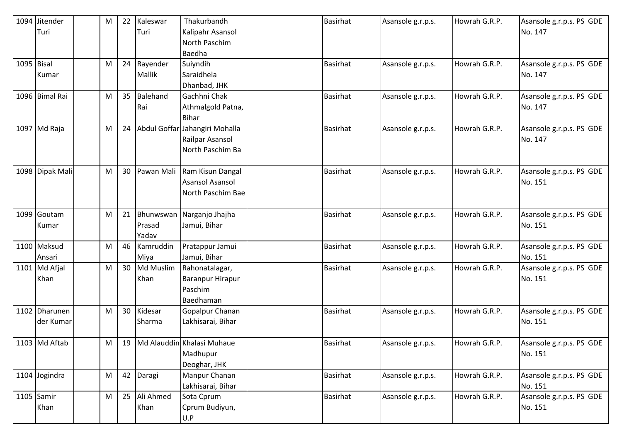|            | 1094 Jitender   | M | 22 | Kaleswar     | Thakurbandh                | <b>Basirhat</b> | Asansole g.r.p.s. | Howrah G.R.P. | Asansole g.r.p.s. PS GDE |
|------------|-----------------|---|----|--------------|----------------------------|-----------------|-------------------|---------------|--------------------------|
|            | Turi            |   |    | Turi         | Kalipahr Asansol           |                 |                   |               | No. 147                  |
|            |                 |   |    |              | North Paschim              |                 |                   |               |                          |
|            |                 |   |    |              | Baedha                     |                 |                   |               |                          |
| 1095 Bisal |                 | M | 24 | Rayender     | Suiyndih                   | <b>Basirhat</b> | Asansole g.r.p.s. | Howrah G.R.P. | Asansole g.r.p.s. PS GDE |
|            | Kumar           |   |    | Mallik       | Saraidhela                 |                 |                   |               | No. 147                  |
|            |                 |   |    |              | Dhanbad, JHK               |                 |                   |               |                          |
|            | 1096 Bimal Rai  | M | 35 | Balehand     | Gachhni Chak               | <b>Basirhat</b> | Asansole g.r.p.s. | Howrah G.R.P. | Asansole g.r.p.s. PS GDE |
|            |                 |   |    | Rai          | Athmalgold Patna,          |                 |                   |               | No. 147                  |
|            |                 |   |    |              | <b>Bihar</b>               |                 |                   |               |                          |
|            | 1097 Md Raja    | M | 24 | Abdul Goffar | Jahangiri Mohalla          | <b>Basirhat</b> | Asansole g.r.p.s. | Howrah G.R.P. | Asansole g.r.p.s. PS GDE |
|            |                 |   |    |              | Railpar Asansol            |                 |                   |               | No. 147                  |
|            |                 |   |    |              | North Paschim Ba           |                 |                   |               |                          |
|            |                 |   |    |              |                            |                 |                   |               |                          |
|            | 1098 Dipak Mali | M | 30 | Pawan Mali   | Ram Kisun Dangal           | <b>Basirhat</b> | Asansole g.r.p.s. | Howrah G.R.P. | Asansole g.r.p.s. PS GDE |
|            |                 |   |    |              | <b>Asansol Asansol</b>     |                 |                   |               | No. 151                  |
|            |                 |   |    |              | North Paschim Bae          |                 |                   |               |                          |
|            |                 |   |    |              |                            |                 |                   |               |                          |
|            | 1099 Goutam     | M | 21 | Bhunwswan    | Narganjo Jhajha            | <b>Basirhat</b> | Asansole g.r.p.s. | Howrah G.R.P. | Asansole g.r.p.s. PS GDE |
|            | Kumar           |   |    | Prasad       | Jamui, Bihar               |                 |                   |               | No. 151                  |
|            |                 |   |    | Yadav        |                            |                 |                   |               |                          |
|            | 1100 Maksud     | M | 46 | Kamruddin    | Pratappur Jamui            | <b>Basirhat</b> | Asansole g.r.p.s. | Howrah G.R.P. | Asansole g.r.p.s. PS GDE |
|            | Ansari          |   |    | Miya         | Jamui, Bihar               |                 |                   |               | No. 151                  |
|            | $1101$ Md Afjal | M | 30 | Md Muslim    | Rahonatalagar,             | <b>Basirhat</b> | Asansole g.r.p.s. | Howrah G.R.P. | Asansole g.r.p.s. PS GDE |
|            | Khan            |   |    | Khan         | Baranpur Hirapur           |                 |                   |               | No. 151                  |
|            |                 |   |    |              | Paschim                    |                 |                   |               |                          |
|            |                 |   |    |              | Baedhaman                  |                 |                   |               |                          |
|            | 1102 Dharunen   | M | 30 | Kidesar      | Gopalpur Chanan            | <b>Basirhat</b> | Asansole g.r.p.s. | Howrah G.R.P. | Asansole g.r.p.s. PS GDE |
|            | der Kumar       |   |    | Sharma       | Lakhisarai, Bihar          |                 |                   |               | No. 151                  |
|            |                 |   |    |              |                            |                 |                   |               |                          |
|            | 1103 Md Aftab   | M | 19 |              | Md Alauddin Khalasi Muhaue | <b>Basirhat</b> | Asansole g.r.p.s. | Howrah G.R.P. | Asansole g.r.p.s. PS GDE |
|            |                 |   |    |              | Madhupur                   |                 |                   |               | No. 151                  |
|            |                 |   |    |              | Deoghar, JHK               |                 |                   |               |                          |
|            | 1104 Jogindra   | M | 42 | Daragi       | Manpur Chanan              | <b>Basirhat</b> | Asansole g.r.p.s. | Howrah G.R.P. | Asansole g.r.p.s. PS GDE |
|            |                 |   |    |              | Lakhisarai, Bihar          |                 |                   |               | No. 151                  |
|            | 1105 Samir      | M |    | 25 Ali Ahmed | Sota Cprum                 | <b>Basirhat</b> | Asansole g.r.p.s. | Howrah G.R.P. | Asansole g.r.p.s. PS GDE |
|            | Khan            |   |    | Khan         | Cprum Budiyun,             |                 |                   |               | No. 151                  |
|            |                 |   |    |              | U.P                        |                 |                   |               |                          |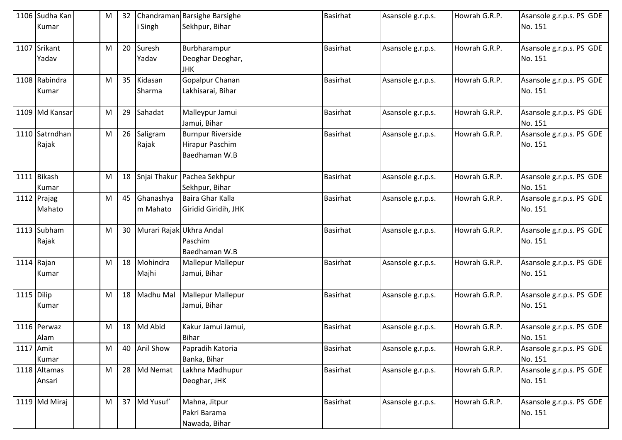|            | 1106 Sudha Kan | M         | 32 |                          | Chandraman Barsighe Barsighe   | <b>Basirhat</b> | Asansole g.r.p.s. | Howrah G.R.P. | Asansole g.r.p.s. PS GDE |
|------------|----------------|-----------|----|--------------------------|--------------------------------|-----------------|-------------------|---------------|--------------------------|
|            | Kumar          |           |    | Singh                    | Sekhpur, Bihar                 |                 |                   |               | No. 151                  |
| 1107       | Srikant        | M         | 20 | Suresh                   | Burbharampur                   | <b>Basirhat</b> | Asansole g.r.p.s. | Howrah G.R.P. | Asansole g.r.p.s. PS GDE |
|            | Yadav          |           |    | Yadav                    | Deoghar Deoghar,<br><b>JHK</b> |                 |                   |               | No. 151                  |
|            | 1108 Rabindra  | M         | 35 | Kidasan                  | Gopalpur Chanan                | <b>Basirhat</b> | Asansole g.r.p.s. | Howrah G.R.P. | Asansole g.r.p.s. PS GDE |
|            | Kumar          |           |    | Sharma                   | Lakhisarai, Bihar              |                 |                   |               | No. 151                  |
|            | 1109 Md Kansar | M         | 29 | Sahadat                  | Malleypur Jamui                | <b>Basirhat</b> | Asansole g.r.p.s. | Howrah G.R.P. | Asansole g.r.p.s. PS GDE |
|            |                |           |    |                          | Jamui, Bihar                   |                 |                   |               | No. 151                  |
|            | 1110 Satrndhan | M         | 26 | Saligram                 | <b>Burnpur Riverside</b>       | <b>Basirhat</b> | Asansole g.r.p.s. | Howrah G.R.P. | Asansole g.r.p.s. PS GDE |
|            | Rajak          |           |    | Rajak                    | Hirapur Paschim                |                 |                   |               | No. 151                  |
|            |                |           |    |                          | Baedhaman W.B                  |                 |                   |               |                          |
|            | 1111 Bikash    | ${\sf M}$ | 18 | Snjai Thakur             | Pachea Sekhpur                 | <b>Basirhat</b> | Asansole g.r.p.s. | Howrah G.R.P. | Asansole g.r.p.s. PS GDE |
|            | Kumar          |           |    |                          | Sekhpur, Bihar                 |                 |                   |               | No. 151                  |
|            | 1112 Prajag    | M         | 45 | Ghanashya                | Baira Ghar Kalla               | <b>Basirhat</b> | Asansole g.r.p.s. | Howrah G.R.P. | Asansole g.r.p.s. PS GDE |
|            | Mahato         |           |    | m Mahato                 | Giridid Giridih, JHK           |                 |                   |               | No. 151                  |
|            | 1113 Subham    | M         | 30 | Murari Rajak Ukhra Andal |                                | <b>Basirhat</b> | Asansole g.r.p.s. | Howrah G.R.P. | Asansole g.r.p.s. PS GDE |
|            | Rajak          |           |    |                          | Paschim                        |                 |                   |               | No. 151                  |
|            |                |           |    |                          | Baedhaman W.B                  |                 |                   |               |                          |
|            | 1114 Rajan     | M         | 18 | Mohindra                 | Mallepur Mallepur              | <b>Basirhat</b> | Asansole g.r.p.s. | Howrah G.R.P. | Asansole g.r.p.s. PS GDE |
|            | Kumar          |           |    | Majhi                    | Jamui, Bihar                   |                 |                   |               | No. 151                  |
| 1115 Dilip |                | M         | 18 | Madhu Mal                | Mallepur Mallepur              | <b>Basirhat</b> | Asansole g.r.p.s. | Howrah G.R.P. | Asansole g.r.p.s. PS GDE |
|            | Kumar          |           |    |                          | Jamui, Bihar                   |                 |                   |               | No. 151                  |
|            | 1116 Perwaz    | м         | 18 | Md Abid                  | Kakur Jamui Jamui,             | <b>Basirhat</b> | Asansole g.r.p.s. | Howrah G.R.P. | Asansole g.r.p.s. PS GDE |
|            | Alam           |           |    |                          | <b>Bihar</b>                   |                 |                   |               | No. 151                  |
| 1117 Amit  |                | M         | 40 | <b>Anil Show</b>         | Papradih Katoria               | <b>Basirhat</b> | Asansole g.r.p.s. | Howrah G.R.P. | Asansole g.r.p.s. PS GDE |
|            | Kumar          |           |    |                          | Banka, Bihar                   |                 |                   |               | No. 151                  |
|            | 1118 Altamas   | M         |    | 28 Md Nemat              | Lakhna Madhupur                | <b>Basirhat</b> | Asansole g.r.p.s. | Howrah G.R.P. | Asansole g.r.p.s. PS GDE |
|            | Ansari         |           |    |                          | Deoghar, JHK                   |                 |                   |               | No. 151                  |
|            | 1119 Md Miraj  | M         |    | 37 Md Yusuf              | Mahna, Jitpur                  | <b>Basirhat</b> | Asansole g.r.p.s. | Howrah G.R.P. | Asansole g.r.p.s. PS GDE |
|            |                |           |    |                          | Pakri Barama                   |                 |                   |               | No. 151                  |
|            |                |           |    |                          | Nawada, Bihar                  |                 |                   |               |                          |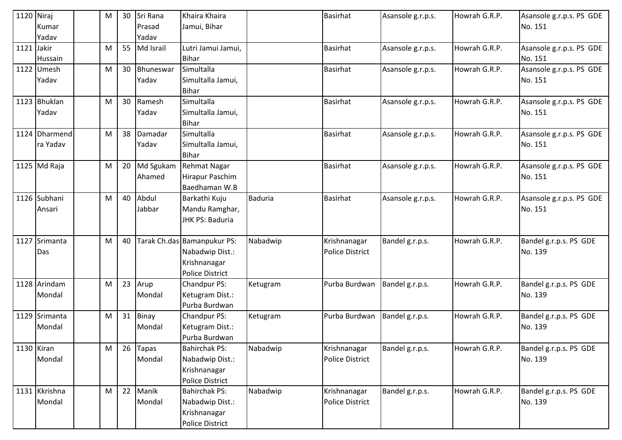| 1120 Niraj |                | М | 30 | Sri Rana     | Khaira Khaira               |          | <b>Basirhat</b>        | Asansole g.r.p.s. | Howrah G.R.P. | Asansole g.r.p.s. PS GDE |
|------------|----------------|---|----|--------------|-----------------------------|----------|------------------------|-------------------|---------------|--------------------------|
|            | Kumar          |   |    | Prasad       | Jamui, Bihar                |          |                        |                   |               | No. 151                  |
|            | Yadav          |   |    | Yadav        |                             |          |                        |                   |               |                          |
| 1121       | Jakir          | M | 55 | Md Israil    | Lutri Jamui Jamui,          |          | <b>Basirhat</b>        | Asansole g.r.p.s. | Howrah G.R.P. | Asansole g.r.p.s. PS GDE |
|            | Hussain        |   |    |              | <b>Bihar</b>                |          |                        |                   |               | No. 151                  |
| 1122       | Umesh          | M | 30 | Bhuneswar    | Simultalla                  |          | <b>Basirhat</b>        | Asansole g.r.p.s. | Howrah G.R.P. | Asansole g.r.p.s. PS GDE |
|            | Yadav          |   |    | Yadav        | Simultalla Jamui,           |          |                        |                   |               | No. 151                  |
|            |                |   |    |              | <b>Bihar</b>                |          |                        |                   |               |                          |
|            | 1123 Bhuklan   | M | 30 | Ramesh       | Simultalla                  |          | <b>Basirhat</b>        | Asansole g.r.p.s. | Howrah G.R.P. | Asansole g.r.p.s. PS GDE |
|            | Yadav          |   |    | Yadav        | Simultalla Jamui,           |          |                        |                   |               | No. 151                  |
|            |                |   |    |              | <b>Bihar</b>                |          |                        |                   |               |                          |
|            | 1124 Dharmend  | M | 38 | Damadar      | Simultalla                  |          | <b>Basirhat</b>        | Asansole g.r.p.s. | Howrah G.R.P. | Asansole g.r.p.s. PS GDE |
|            | ra Yadav       |   |    | Yadav        | Simultalla Jamui,           |          |                        |                   |               | No. 151                  |
|            |                |   |    |              | <b>Bihar</b>                |          |                        |                   |               |                          |
|            | $1125$ Md Raja | M | 20 | Md Sgukam    | Rehmat Nagar                |          | <b>Basirhat</b>        | Asansole g.r.p.s. | Howrah G.R.P. | Asansole g.r.p.s. PS GDE |
|            |                |   |    | Ahamed       | Hirapur Paschim             |          |                        |                   |               | No. 151                  |
|            |                |   |    |              | Baedhaman W.B               |          |                        |                   |               |                          |
|            | 1126 Subhani   | M | 40 | Abdul        | Barkathi Kuju               | Baduria  | <b>Basirhat</b>        | Asansole g.r.p.s. | Howrah G.R.P. | Asansole g.r.p.s. PS GDE |
|            | Ansari         |   |    | Jabbar       | Mandu Ramghar,              |          |                        |                   |               | No. 151                  |
|            |                |   |    |              | JHK PS: Baduria             |          |                        |                   |               |                          |
|            |                |   |    |              |                             |          |                        |                   |               |                          |
| 1127       | Srimanta       | M | 40 |              | Tarak Ch.das Bamanpukur PS: | Nabadwip | Krishnanagar           | Bandel g.r.p.s.   | Howrah G.R.P. | Bandel g.r.p.s. PS GDE   |
|            | Das            |   |    |              | Nabadwip Dist.:             |          | <b>Police District</b> |                   |               | No. 139                  |
|            |                |   |    |              | Krishnanagar                |          |                        |                   |               |                          |
|            |                |   |    |              | <b>Police District</b>      |          |                        |                   |               |                          |
|            | 1128 Arindam   | M | 23 | Arup         | Chandpur PS:                | Ketugram | Purba Burdwan          | Bandel g.r.p.s.   | Howrah G.R.P. | Bandel g.r.p.s. PS GDE   |
|            | Mondal         |   |    | Mondal       | Ketugram Dist.:             |          |                        |                   |               | No. 139                  |
|            |                |   |    |              | Purba Burdwan               |          |                        |                   |               |                          |
|            | 1129 Srimanta  | M |    | 31 Binay     | Chandpur PS:                | Ketugram | Purba Burdwan          | Bandel g.r.p.s.   | Howrah G.R.P. | Bandel g.r.p.s. PS GDE   |
|            | Mondal         |   |    | Mondal       | Ketugram Dist.:             |          |                        |                   |               | No. 139                  |
|            |                |   |    |              | Purba Burdwan               |          |                        |                   |               |                          |
|            | 1130 Kiran     | M | 26 | <b>Tapas</b> | <b>Bahirchak PS:</b>        | Nabadwip | Krishnanagar           | Bandel g.r.p.s.   | Howrah G.R.P. | Bandel g.r.p.s. PS GDE   |
|            | Mondal         |   |    | Mondal       | Nabadwip Dist.:             |          | <b>Police District</b> |                   |               | No. 139                  |
|            |                |   |    |              | Krishnanagar                |          |                        |                   |               |                          |
|            |                |   |    |              | Police District             |          |                        |                   |               |                          |
|            | 1131 Kkrishna  | M | 22 | Manik        | <b>Bahirchak PS:</b>        | Nabadwip | Krishnanagar           | Bandel g.r.p.s.   | Howrah G.R.P. | Bandel g.r.p.s. PS GDE   |
|            | Mondal         |   |    | Mondal       | Nabadwip Dist.:             |          | <b>Police District</b> |                   |               | No. 139                  |
|            |                |   |    |              | Krishnanagar                |          |                        |                   |               |                          |
|            |                |   |    |              | <b>Police District</b>      |          |                        |                   |               |                          |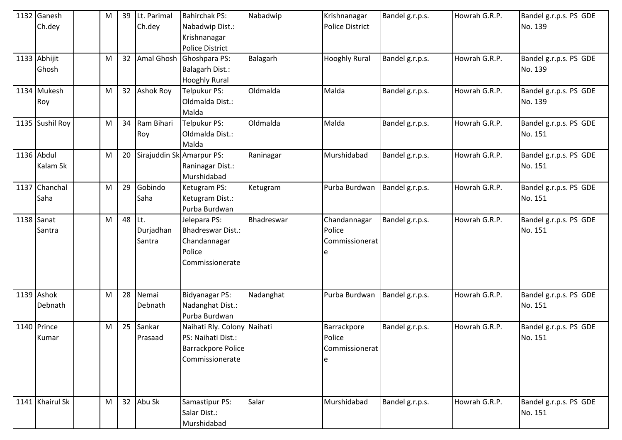| 1132 Ganesh<br>Ch.dey  | M | 39 | Lt. Parimal<br>Ch.dey      | <b>Bahirchak PS:</b><br>Nabadwip Dist.:<br>Krishnanagar<br><b>Police District</b>                 | Nabadwip   | Krishnanagar<br><b>Police District</b>        | Bandel g.r.p.s. | Howrah G.R.P. | Bandel g.r.p.s. PS GDE<br>No. 139 |
|------------------------|---|----|----------------------------|---------------------------------------------------------------------------------------------------|------------|-----------------------------------------------|-----------------|---------------|-----------------------------------|
| 1133 Abhijit<br>Ghosh  | M | 32 |                            | Amal Ghosh Ghoshpara PS:<br>Balagarh Dist.:<br><b>Hooghly Rural</b>                               | Balagarh   | <b>Hooghly Rural</b>                          | Bandel g.r.p.s. | Howrah G.R.P. | Bandel g.r.p.s. PS GDE<br>No. 139 |
| 1134 Mukesh<br>Roy     | M | 32 | <b>Ashok Roy</b>           | Telpukur PS:<br>Oldmalda Dist.:<br>Malda                                                          | Oldmalda   | Malda                                         | Bandel g.r.p.s. | Howrah G.R.P. | Bandel g.r.p.s. PS GDE<br>No. 139 |
| 1135 Sushil Roy        | M | 34 | Ram Bihari<br>Roy          | Telpukur PS:<br>Oldmalda Dist.:<br>Malda                                                          | Oldmalda   | Malda                                         | Bandel g.r.p.s. | Howrah G.R.P. | Bandel g.r.p.s. PS GDE<br>No. 151 |
| 1136 Abdul<br>Kalam Sk | M | 20 |                            | Sirajuddin Sk Amarpur PS:<br>Raninagar Dist.:<br>Murshidabad                                      | Raninagar  | Murshidabad                                   | Bandel g.r.p.s. | Howrah G.R.P. | Bandel g.r.p.s. PS GDE<br>No. 151 |
| 1137 Chanchal<br>Saha  | M | 29 | Gobindo<br>Saha            | Ketugram PS:<br>Ketugram Dist.:<br>Purba Burdwan                                                  | Ketugram   | Purba Burdwan                                 | Bandel g.r.p.s. | Howrah G.R.P. | Bandel g.r.p.s. PS GDE<br>No. 151 |
| $1138$ Sanat<br>Santra | M | 48 | Lt.<br>Durjadhan<br>Santra | Jelepara PS:<br>Bhadreswar Dist.:<br>Chandannagar<br>Police<br>Commissionerate                    | Bhadreswar | Chandannagar<br>Police<br>Commissionerat<br>e | Bandel g.r.p.s. | Howrah G.R.P. | Bandel g.r.p.s. PS GDE<br>No. 151 |
| 1139 Ashok<br>Debnath  | M | 28 | Nemai<br>Debnath           | Bidyanagar PS:<br>Nadanghat Dist.:<br>Purba Burdwan                                               | Nadanghat  | Purba Burdwan                                 | Bandel g.r.p.s. | Howrah G.R.P. | Bandel g.r.p.s. PS GDE<br>No. 151 |
| 1140 Prince<br>Kumar   | M | 25 | Sankar<br>Prasaad          | Naihati Rly. Colony Naihati<br>PS: Naihati Dist.:<br><b>Barrackpore Police</b><br>Commissionerate |            | Barrackpore<br>Police<br>Commissionerat       | Bandel g.r.p.s. | Howrah G.R.P. | Bandel g.r.p.s. PS GDE<br>No. 151 |
| 1141 Khairul Sk        | M |    | 32 Abu Sk                  | Samastipur PS:<br>Salar Dist.:<br>Murshidabad                                                     | Salar      | Murshidabad                                   | Bandel g.r.p.s. | Howrah G.R.P. | Bandel g.r.p.s. PS GDE<br>No. 151 |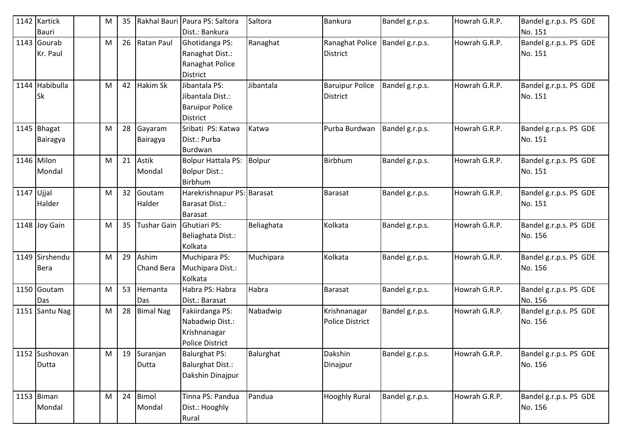|              | 1142 Kartick   | M | 35 |                   | Rakhal Bauri Paura PS: Saltora | Saltora       | Bankura                | Bandel g.r.p.s. | Howrah G.R.P. | Bandel g.r.p.s. PS GDE |
|--------------|----------------|---|----|-------------------|--------------------------------|---------------|------------------------|-----------------|---------------|------------------------|
|              | <b>Bauri</b>   |   |    |                   | Dist.: Bankura                 |               |                        |                 |               | No. 151                |
|              | 1143 Gourab    | M | 26 | Ratan Paul        | Ghotidanga PS:                 | Ranaghat      | Ranaghat Police        | Bandel g.r.p.s. | Howrah G.R.P. | Bandel g.r.p.s. PS GDE |
|              | Kr. Paul       |   |    |                   | Ranaghat Dist.:                |               | <b>District</b>        |                 |               | No. 151                |
|              |                |   |    |                   | Ranaghat Police                |               |                        |                 |               |                        |
|              |                |   |    |                   | <b>District</b>                |               |                        |                 |               |                        |
|              | 1144 Habibulla | M | 42 | <b>Hakim Sk</b>   | Jibantala PS:                  | Jibantala     | <b>Baruipur Police</b> | Bandel g.r.p.s. | Howrah G.R.P. | Bandel g.r.p.s. PS GDE |
|              | <b>Sk</b>      |   |    |                   | Jibantala Dist.:               |               | District               |                 |               | No. 151                |
|              |                |   |    |                   | <b>Baruipur Police</b>         |               |                        |                 |               |                        |
|              |                |   |    |                   | District                       |               |                        |                 |               |                        |
|              | 1145 Bhagat    | M | 28 | Gayaram           | Sribati PS: Katwa              | Katwa         | Purba Burdwan          | Bandel g.r.p.s. | Howrah G.R.P. | Bandel g.r.p.s. PS GDE |
|              | Bairagya       |   |    | Bairagya          | Dist.: Purba                   |               |                        |                 |               | No. 151                |
|              |                |   |    |                   | Burdwan                        |               |                        |                 |               |                        |
|              | 1146 Milon     | M | 21 | Astik             | <b>Bolpur Hattala PS:</b>      | <b>Bolpur</b> | <b>Birbhum</b>         | Bandel g.r.p.s. | Howrah G.R.P. | Bandel g.r.p.s. PS GDE |
|              | Mondal         |   |    | Mondal            | <b>Bolpur Dist.:</b>           |               |                        |                 |               | No. 151                |
|              |                |   |    |                   | <b>Birbhum</b>                 |               |                        |                 |               |                        |
| $1147$ Ujjal |                | M | 32 | Goutam            | Harekrishnapur PS: Barasat     |               | <b>Barasat</b>         | Bandel g.r.p.s. | Howrah G.R.P. | Bandel g.r.p.s. PS GDE |
|              | Halder         |   |    | Halder            | Barasat Dist.:                 |               |                        |                 |               | No. 151                |
|              |                |   |    |                   | <b>Barasat</b>                 |               |                        |                 |               |                        |
|              | 1148 Joy Gain  | M | 35 | Tushar Gain       | <b>Ghutiari PS:</b>            | Beliaghata    | Kolkata                | Bandel g.r.p.s. | Howrah G.R.P. | Bandel g.r.p.s. PS GDE |
|              |                |   |    |                   | Beliaghata Dist.:              |               |                        |                 |               | No. 156                |
|              |                |   |    |                   | Kolkata                        |               |                        |                 |               |                        |
|              | 1149 Sirshendu | M | 29 | Ashim             | Muchipara PS:                  | Muchipara     | Kolkata                | Bandel g.r.p.s. | Howrah G.R.P. | Bandel g.r.p.s. PS GDE |
|              | <b>Bera</b>    |   |    | <b>Chand Bera</b> | Muchipara Dist.:               |               |                        |                 |               | No. 156                |
|              |                |   |    |                   | Kolkata                        |               |                        |                 |               |                        |
|              | 1150 Goutam    | M | 53 | Hemanta           | Habra PS: Habra                | Habra         | Barasat                | Bandel g.r.p.s. | Howrah G.R.P. | Bandel g.r.p.s. PS GDE |
|              | Das            |   |    | Das               | Dist.: Barasat                 |               |                        |                 |               | No. 156                |
|              | 1151 Santu Nag | M | 28 | <b>Bimal Nag</b>  | Fakiirdanga PS:                | Nabadwip      | Krishnanagar           | Bandel g.r.p.s. | Howrah G.R.P. | Bandel g.r.p.s. PS GDE |
|              |                |   |    |                   | Nabadwip Dist.:                |               | <b>Police District</b> |                 |               | No. 156                |
|              |                |   |    |                   | Krishnanagar                   |               |                        |                 |               |                        |
|              |                |   |    |                   | Police District                |               |                        |                 |               |                        |
|              | 1152 Sushovan  | M | 19 | Suranjan          | <b>Balurghat PS:</b>           | Balurghat     | Dakshin                | Bandel g.r.p.s. | Howrah G.R.P. | Bandel g.r.p.s. PS GDE |
|              | Dutta          |   |    | Dutta             | <b>Balurghat Dist.:</b>        |               | Dinajpur               |                 |               | No. 156                |
|              |                |   |    |                   | Dakshin Dinajpur               |               |                        |                 |               |                        |
|              |                |   |    |                   |                                |               |                        |                 |               |                        |
|              | 1153 Biman     | M | 24 | Bimol             | Tinna PS: Pandua               | Pandua        | <b>Hooghly Rural</b>   | Bandel g.r.p.s. | Howrah G.R.P. | Bandel g.r.p.s. PS GDE |
|              | Mondal         |   |    | Mondal            | Dist.: Hooghly                 |               |                        |                 |               | No. 156                |
|              |                |   |    |                   | Rural                          |               |                        |                 |               |                        |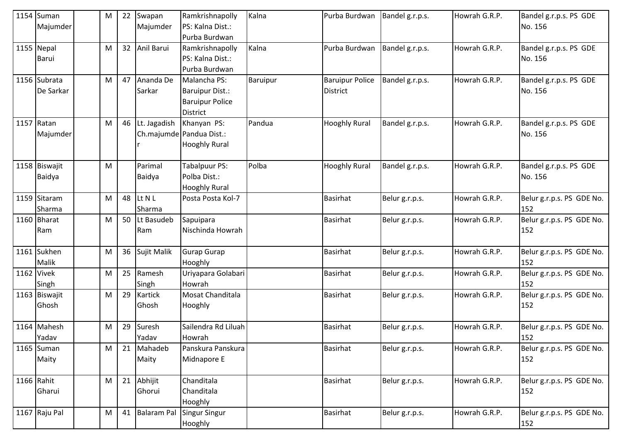|      | 1154 Suman<br>Majumder    | M | 22 | Swapan<br>Majumder  | Ramkrishnapolly<br>PS: Kalna Dist.:<br>Purba Burdwan                         | Kalna    | Purba Burdwan                             | Bandel g.r.p.s. | Howrah G.R.P. | Bandel g.r.p.s. PS GDE<br>No. 156 |
|------|---------------------------|---|----|---------------------|------------------------------------------------------------------------------|----------|-------------------------------------------|-----------------|---------------|-----------------------------------|
|      | 1155 Nepal<br>Barui       | M | 32 | Anil Barui          | Ramkrishnapolly<br>PS: Kalna Dist.:<br>Purba Burdwan                         | Kalna    | Purba Burdwan                             | Bandel g.r.p.s. | Howrah G.R.P. | Bandel g.r.p.s. PS GDE<br>No. 156 |
|      | 1156 Subrata<br>De Sarkar | M | 47 | Ananda De<br>Sarkar | Malancha PS:<br>Baruipur Dist.:<br><b>Baruipur Police</b><br><b>District</b> | Baruipur | <b>Baruipur Police</b><br><b>District</b> | Bandel g.r.p.s. | Howrah G.R.P. | Bandel g.r.p.s. PS GDE<br>No. 156 |
| 1157 | Ratan<br>Majumder         | M | 46 | Lt. Jagadish        | Khanyan PS:<br>Ch.majumde Pandua Dist.:<br><b>Hooghly Rural</b>              | Pandua   | <b>Hooghly Rural</b>                      | Bandel g.r.p.s. | Howrah G.R.P. | Bandel g.r.p.s. PS GDE<br>No. 156 |
|      | 1158 Biswajit<br>Baidya   | M |    | Parimal<br>Baidya   | <b>Tabalpuur PS:</b><br>Polba Dist.:<br><b>Hooghly Rural</b>                 | Polba    | <b>Hooghly Rural</b>                      | Bandel g.r.p.s. | Howrah G.R.P. | Bandel g.r.p.s. PS GDE<br>No. 156 |
|      | 1159 Sitaram<br>Sharma    | M | 48 | Lt N L<br>Sharma    | Posta Posta Kol-7                                                            |          | <b>Basirhat</b>                           | Belur g.r.p.s.  | Howrah G.R.P. | Belur g.r.p.s. PS GDE No.<br>152  |
|      | 1160 Bharat<br>Ram        | M | 50 | Lt Basudeb<br>Ram   | Sapuipara<br>Nischinda Howrah                                                |          | <b>Basirhat</b>                           | Belur g.r.p.s.  | Howrah G.R.P. | Belur g.r.p.s. PS GDE No.<br>152  |
|      | 1161 Sukhen<br>Malik      | M | 36 | Sujit Malik         | Gurap Gurap<br>Hooghly                                                       |          | <b>Basirhat</b>                           | Belur g.r.p.s.  | Howrah G.R.P. | Belur g.r.p.s. PS GDE No.<br>152  |
|      | 1162 Vivek<br>Singh       | M | 25 | Ramesh<br>Singh     | Uriyapara Golabari<br>Howrah                                                 |          | Basirhat                                  | Belur g.r.p.s.  | Howrah G.R.P. | Belur g.r.p.s. PS GDE No.<br>152  |
|      | 1163 Biswajit<br>Ghosh    | M | 29 | Kartick<br>Ghosh    | Mosat Chanditala<br>Hooghly                                                  |          | <b>Basirhat</b>                           | Belur g.r.p.s.  | Howrah G.R.P. | Belur g.r.p.s. PS GDE No.<br>152  |
|      | 1164 Mahesh<br>Yadav      | M | 29 | Suresh<br>Yadav     | Sailendra Rd Liluah<br>Howrah                                                |          | <b>Basirhat</b>                           | Belur g.r.p.s.  | Howrah G.R.P. | Belur g.r.p.s. PS GDE No.<br>152  |
|      | $1165$ Suman<br>Maity     | M | 21 | Mahadeb<br>Maity    | Panskura Panskura<br>Midnapore E                                             |          | <b>Basirhat</b>                           | Belur g.r.p.s.  | Howrah G.R.P. | Belur g.r.p.s. PS GDE No.<br>152  |
|      | 1166 Rahit<br>Gharui      | M | 21 | Abhijit<br>Ghorui   | Chanditala<br>Chanditala<br>Hooghly                                          |          | Basirhat                                  | Belur g.r.p.s.  | Howrah G.R.P. | Belur g.r.p.s. PS GDE No.<br>152  |
|      | 1167 Raju Pal             | M | 41 | Balaram Pal         | Singur Singur<br>Hooghly                                                     |          | <b>Basirhat</b>                           | Belur g.r.p.s.  | Howrah G.R.P. | Belur g.r.p.s. PS GDE No.<br>152  |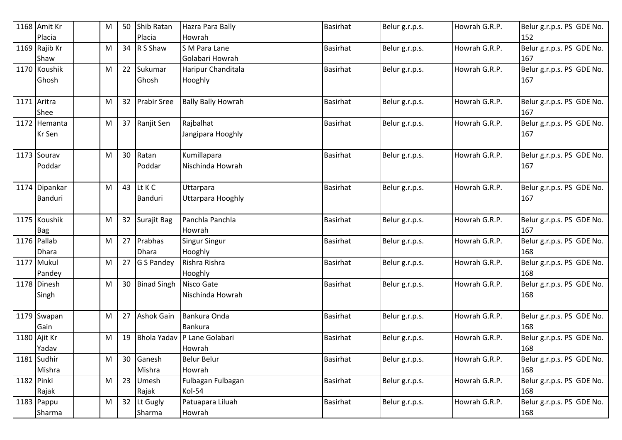|            | 1168 Amit Kr  | М | 50 | Shib Ratan         | Hazra Para Bally            | <b>Basirhat</b> | Belur g.r.p.s. | Howrah G.R.P. | Belur g.r.p.s. PS GDE No. |
|------------|---------------|---|----|--------------------|-----------------------------|-----------------|----------------|---------------|---------------------------|
|            | Placia        |   |    | Placia             | Howrah                      |                 |                |               | 152                       |
|            | 1169 Rajib Kr | M | 34 | R S Shaw           | S M Para Lane               | <b>Basirhat</b> | Belur g.r.p.s. | Howrah G.R.P. | Belur g.r.p.s. PS GDE No. |
|            | Shaw          |   |    |                    | Golabari Howrah             |                 |                |               | 167                       |
|            | 1170 Koushik  | M | 22 | Sukumar            | Haripur Chanditala          | <b>Basirhat</b> | Belur g.r.p.s. | Howrah G.R.P. | Belur g.r.p.s. PS GDE No. |
|            | Ghosh         |   |    | Ghosh              | Hooghly                     |                 |                |               | 167                       |
|            |               |   |    |                    |                             |                 |                |               |                           |
|            | 1171 Aritra   | M | 32 | <b>Prabir Sree</b> | <b>Bally Bally Howrah</b>   | <b>Basirhat</b> | Belur g.r.p.s. | Howrah G.R.P. | Belur g.r.p.s. PS GDE No. |
|            | Shee          |   |    |                    |                             |                 |                |               | 167                       |
|            | 1172 Hemanta  | M | 37 | Ranjit Sen         | Rajbalhat                   | <b>Basirhat</b> | Belur g.r.p.s. | Howrah G.R.P. | Belur g.r.p.s. PS GDE No. |
|            | Kr Sen        |   |    |                    | Jangipara Hooghly           |                 |                |               | 167                       |
|            |               |   |    |                    |                             |                 |                |               |                           |
|            | 1173 Sourav   | М | 30 | Ratan              | Kumillapara                 | Basirhat        | Belur g.r.p.s. | Howrah G.R.P. | Belur g.r.p.s. PS GDE No. |
|            | Poddar        |   |    | Poddar             | Nischinda Howrah            |                 |                |               | 167                       |
|            |               |   |    |                    |                             |                 |                |               |                           |
|            | 1174 Dipankar | M | 43 | Lt K C             | Uttarpara                   | Basirhat        | Belur g.r.p.s. | Howrah G.R.P. | Belur g.r.p.s. PS GDE No. |
|            | Banduri       |   |    | Banduri            | Uttarpara Hooghly           |                 |                |               | 167                       |
|            |               |   |    |                    |                             |                 |                |               |                           |
|            | 1175 Koushik  | M | 32 | Surajit Bag        | Panchla Panchla             | <b>Basirhat</b> | Belur g.r.p.s. | Howrah G.R.P. | Belur g.r.p.s. PS GDE No. |
|            | <b>Bag</b>    |   |    |                    | Howrah                      |                 |                |               | 167                       |
|            | 1176 Pallab   | M | 27 | Prabhas            | Singur Singur               | <b>Basirhat</b> | Belur g.r.p.s. | Howrah G.R.P. | Belur g.r.p.s. PS GDE No. |
|            | <b>Dhara</b>  |   |    | <b>Dhara</b>       | Hooghly                     |                 |                |               | 168                       |
|            | 1177 Mukul    | M | 27 | G S Pandey         | Rishra Rishra               | <b>Basirhat</b> | Belur g.r.p.s. | Howrah G.R.P. | Belur g.r.p.s. PS GDE No. |
|            | Pandey        |   |    |                    | Hooghly                     |                 |                |               | 168                       |
|            | 1178 Dinesh   | M | 30 | <b>Binad Singh</b> | Nisco Gate                  | <b>Basirhat</b> | Belur g.r.p.s. | Howrah G.R.P. | Belur g.r.p.s. PS GDE No. |
|            | Singh         |   |    |                    | Nischinda Howrah            |                 |                |               | 168                       |
|            |               |   |    |                    |                             |                 |                |               |                           |
|            | 1179 Swapan   | M | 27 | <b>Ashok Gain</b>  | Bankura Onda                | <b>Basirhat</b> | Belur g.r.p.s. | Howrah G.R.P. | Belur g.r.p.s. PS GDE No. |
|            | Gain          |   |    |                    | <b>Bankura</b>              |                 |                |               | 168                       |
|            | 1180 Ajit Kr  | M | 19 |                    | Bhola Yadav P Lane Golabari | <b>Basirhat</b> | Belur g.r.p.s. | Howrah G.R.P. | Belur g.r.p.s. PS GDE No. |
|            | Yadav         |   |    |                    | Howrah                      |                 |                |               | 168                       |
|            | 1181 Sudhir   | M | 30 | Ganesh             | <b>Belur Belur</b>          | <b>Basirhat</b> | Belur g.r.p.s. | Howrah G.R.P. | Belur g.r.p.s. PS GDE No. |
|            | Mishra        |   |    | Mishra             | Howrah                      |                 |                |               | 168                       |
| 1182 Pinki |               | M | 23 | Umesh              | Fulbagan Fulbagan           | <b>Basirhat</b> | Belur g.r.p.s. | Howrah G.R.P. | Belur g.r.p.s. PS GDE No. |
|            | Rajak         |   |    | Rajak              | Kol-54                      |                 |                |               | 168                       |
|            | 1183 Pappu    | M |    | 32 Lt Gugly        | Patuapara Liluah            | <b>Basirhat</b> | Belur g.r.p.s. | Howrah G.R.P. | Belur g.r.p.s. PS GDE No. |
|            | Sharma        |   |    | Sharma             | Howrah                      |                 |                |               | 168                       |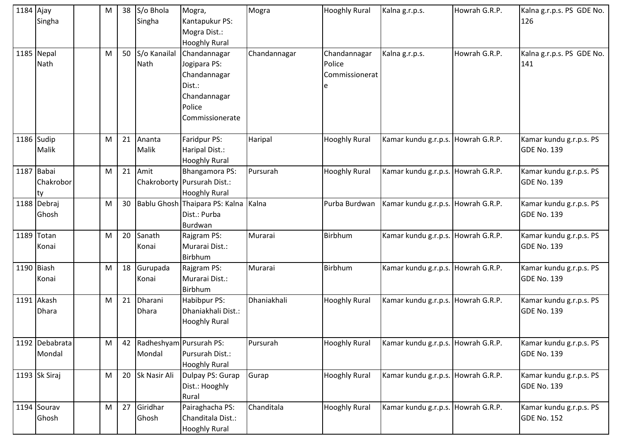| 1184 Ajay | Singha                          | M |    | 38 S/o Bhola<br>Singha            | Mogra,<br>Kantapukur PS:<br>Mogra Dist.:<br><b>Hooghly Rural</b>                                    | Mogra        | <b>Hooghly Rural</b>                          | Kalna g.r.p.s.                     | Howrah G.R.P. | Kalna g.r.p.s. PS GDE No.<br>126              |
|-----------|---------------------------------|---|----|-----------------------------------|-----------------------------------------------------------------------------------------------------|--------------|-----------------------------------------------|------------------------------------|---------------|-----------------------------------------------|
|           | 1185 Nepal<br>Nath              | M | 50 | S/o Kanailal<br>Nath              | Chandannagar<br>Jogipara PS:<br>Chandannagar<br>Dist.:<br>Chandannagar<br>Police<br>Commissionerate | Chandannagar | Chandannagar<br>Police<br>Commissionerat<br>e | Kalna g.r.p.s.                     | Howrah G.R.P. | Kalna g.r.p.s. PS GDE No.<br>141              |
|           | 1186 Sudip<br>Malik             | M | 21 | Ananta<br>Malik                   | Faridpur PS:<br>Haripal Dist.:<br><b>Hooghly Rural</b>                                              | Haripal      | <b>Hooghly Rural</b>                          | Kamar kundu g.r.p.s. Howrah G.R.P. |               | Kamar kundu g.r.p.s. PS<br><b>GDE No. 139</b> |
|           | 1187 Babai<br>Chakrobor<br>lty. | M | 21 | Amit                              | <b>Bhangamora PS:</b><br>Chakroborty Pursurah Dist.:<br><b>Hooghly Rural</b>                        | Pursurah     | <b>Hooghly Rural</b>                          | Kamar kundu g.r.p.s. Howrah G.R.P. |               | Kamar kundu g.r.p.s. PS<br>GDE No. 139        |
|           | 1188 Debraj<br>Ghosh            | M | 30 |                                   | Bablu Ghosh Thaipara PS: Kalna<br>Dist.: Purba<br>Burdwan                                           | Kalna        | Purba Burdwan                                 | Kamar kundu g.r.p.s. Howrah G.R.P. |               | Kamar kundu g.r.p.s. PS<br><b>GDE No. 139</b> |
|           | 1189 Totan<br>Konai             | M | 20 | Sanath<br>Konai                   | Rajgram PS:<br>Murarai Dist.:<br>Birbhum                                                            | Murarai      | Birbhum                                       | Kamar kundu g.r.p.s. Howrah G.R.P. |               | Kamar kundu g.r.p.s. PS<br><b>GDE No. 139</b> |
|           | 1190 Biash<br>Konai             | M | 18 | Gurupada<br>Konai                 | Rajgram PS:<br>Murarai Dist.:<br>Birbhum                                                            | Murarai      | Birbhum                                       | Kamar kundu g.r.p.s. Howrah G.R.P. |               | Kamar kundu g.r.p.s. PS<br><b>GDE No. 139</b> |
|           | 1191 Akash<br>Dhara             | M | 21 | Dharani<br><b>Dhara</b>           | Habibpur PS:<br>Dhaniakhali Dist.:<br><b>Hooghly Rural</b>                                          | Dhaniakhali  | <b>Hooghly Rural</b>                          | Kamar kundu g.r.p.s.               | Howrah G.R.P. | Kamar kundu g.r.p.s. PS<br>GDE No. 139        |
|           | 1192 Debabrata<br>Mondal        | M | 42 | Radheshyam Pursurah PS:<br>Mondal | Pursurah Dist.:<br><b>Hooghly Rural</b>                                                             | Pursurah     | <b>Hooghly Rural</b>                          | Kamar kundu g.r.p.s. Howrah G.R.P. |               | Kamar kundu g.r.p.s. PS<br>GDE No. 139        |
|           | 1193 Sk Siraj                   | M | 20 | Sk Nasir Ali                      | Dulpay PS: Gurap<br>Dist.: Hooghly<br>Rural                                                         | Gurap        | <b>Hooghly Rural</b>                          | Kamar kundu g.r.p.s. Howrah G.R.P. |               | Kamar kundu g.r.p.s. PS<br>GDE No. 139        |
|           | 1194 Sourav<br>Ghosh            | M | 27 | Giridhar<br>Ghosh                 | Pairaghacha PS:<br>Chanditala Dist.:<br><b>Hooghly Rural</b>                                        | Chanditala   | <b>Hooghly Rural</b>                          | Kamar kundu g.r.p.s. Howrah G.R.P. |               | Kamar kundu g.r.p.s. PS<br><b>GDE No. 152</b> |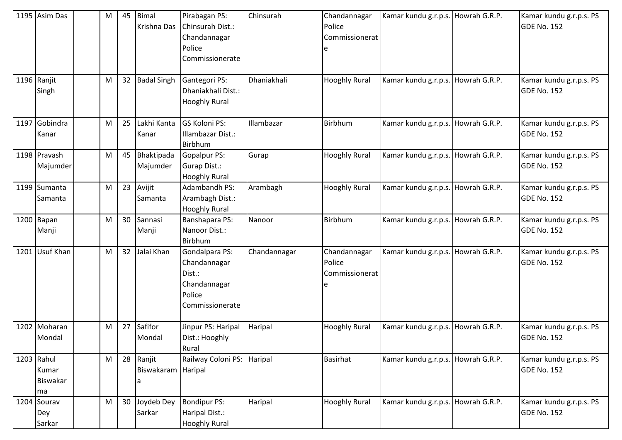| 1195 Asim Das                         | M | 45 | <b>Bimal</b><br>Krishna Das       | Pirabagan PS:<br>Chinsurah Dist.:<br>Chandannagar<br>Police<br>Commissionerate        | Chinsurah    | Chandannagar<br>Police<br>Commissionerat | Kamar kundu g.r.p.s. Howrah G.R.P. |               | Kamar kundu g.r.p.s. PS<br>GDE No. 152        |
|---------------------------------------|---|----|-----------------------------------|---------------------------------------------------------------------------------------|--------------|------------------------------------------|------------------------------------|---------------|-----------------------------------------------|
| 1196 Ranjit<br>Singh                  | M | 32 | <b>Badal Singh</b>                | Gantegori PS:<br>Dhaniakhali Dist.:<br><b>Hooghly Rural</b>                           | Dhaniakhali  | <b>Hooghly Rural</b>                     | Kamar kundu g.r.p.s. Howrah G.R.P. |               | Kamar kundu g.r.p.s. PS<br><b>GDE No. 152</b> |
| 1197 Gobindra<br>Kanar                | M | 25 | Lakhi Kanta<br>Kanar              | <b>GS Koloni PS:</b><br>Illambazar Dist.:<br>Birbhum                                  | Illambazar   | Birbhum                                  | Kamar kundu g.r.p.s. Howrah G.R.P. |               | Kamar kundu g.r.p.s. PS<br>GDE No. 152        |
| 1198 Pravash<br>Majumder              | M | 45 | Bhaktipada<br>Majumder            | Gopalpur PS:<br>Gurap Dist.:<br><b>Hooghly Rural</b>                                  | Gurap        | <b>Hooghly Rural</b>                     | Kamar kundu g.r.p.s. Howrah G.R.P. |               | Kamar kundu g.r.p.s. PS<br><b>GDE No. 152</b> |
| 1199 Sumanta<br>Samanta               | M | 23 | Avijit<br>Samanta                 | Adambandh PS:<br>Arambagh Dist.:<br><b>Hooghly Rural</b>                              | Arambagh     | <b>Hooghly Rural</b>                     | Kamar kundu g.r.p.s. Howrah G.R.P. |               | Kamar kundu g.r.p.s. PS<br>GDE No. 152        |
| 1200 Bapan<br>Manji                   | M | 30 | Sannasi<br>Manji                  | Banshapara PS:<br>Nanoor Dist.:<br>Birbhum                                            | Nanoor       | Birbhum                                  | Kamar kundu g.r.p.s. Howrah G.R.P. |               | Kamar kundu g.r.p.s. PS<br>GDE No. 152        |
| 1201 Usuf Khan                        | M | 32 | Jalai Khan                        | Gondalpara PS:<br>Chandannagar<br>Dist.:<br>Chandannagar<br>Police<br>Commissionerate | Chandannagar | Chandannagar<br>Police<br>Commissionerat | Kamar kundu g.r.p.s.               | Howrah G.R.P. | Kamar kundu g.r.p.s. PS<br>GDE No. 152        |
| 1202 Moharan<br>Mondal                | M | 27 | Safifor<br>Mondal                 | Jinpur PS: Haripal<br>Dist.: Hooghly<br>Rural                                         | Haripal      | <b>Hooghly Rural</b>                     | Kamar kundu g.r.p.s. Howrah G.R.P. |               | Kamar kundu g.r.p.s. PS<br><b>GDE No. 152</b> |
| 1203 Rahul<br>Kumar<br>Biswakar<br>ma | M | 28 | Ranjit<br>Biswakaram Haripal<br>a | Railway Coloni PS: Haripal                                                            |              | <b>Basirhat</b>                          | Kamar kundu g.r.p.s. Howrah G.R.P. |               | Kamar kundu g.r.p.s. PS<br>GDE No. 152        |
| 1204 Sourav<br>Dey<br>Sarkar          | M | 30 | Joydeb Dey<br>Sarkar              | <b>Bondipur PS:</b><br>Haripal Dist.:<br><b>Hooghly Rural</b>                         | Haripal      | <b>Hooghly Rural</b>                     | Kamar kundu g.r.p.s. Howrah G.R.P. |               | Kamar kundu g.r.p.s. PS<br>GDE No. 152        |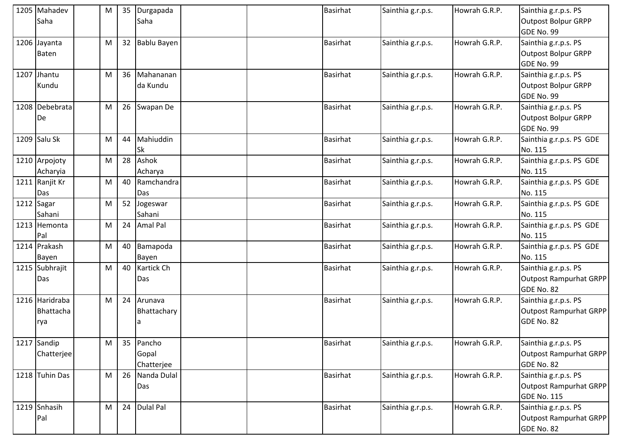| 1205 Mahadev   | M | 35 | Durgapada    | Basirhat        | Sainthia g.r.p.s. | Howrah G.R.P. | Sainthia g.r.p.s. PS          |
|----------------|---|----|--------------|-----------------|-------------------|---------------|-------------------------------|
| Saha           |   |    | Saha         |                 |                   |               | Outpost Bolpur GRPP           |
|                |   |    |              |                 |                   |               | GDE No. 99                    |
| 1206 Jayanta   | M | 32 | Bablu Bayen  | <b>Basirhat</b> | Sainthia g.r.p.s. | Howrah G.R.P. | Sainthia g.r.p.s. PS          |
| <b>Baten</b>   |   |    |              |                 |                   |               | <b>Outpost Bolpur GRPP</b>    |
|                |   |    |              |                 |                   |               | GDE No. 99                    |
| 1207 Jhantu    | M | 36 | Mahananan    | Basirhat        | Sainthia g.r.p.s. | Howrah G.R.P. | Sainthia g.r.p.s. PS          |
| Kundu          |   |    | da Kundu     |                 |                   |               | <b>Outpost Bolpur GRPP</b>    |
|                |   |    |              |                 |                   |               | GDE No. 99                    |
| 1208 Debebrata | M |    | 26 Swapan De | <b>Basirhat</b> | Sainthia g.r.p.s. | Howrah G.R.P. | Sainthia g.r.p.s. PS          |
| De             |   |    |              |                 |                   |               | Outpost Bolpur GRPP           |
|                |   |    |              |                 |                   |               | GDE No. 99                    |
| 1209 Salu Sk   | M | 44 | Mahiuddin    | <b>Basirhat</b> | Sainthia g.r.p.s. | Howrah G.R.P. | Sainthia g.r.p.s. PS GDE      |
|                |   |    | Sk           |                 |                   |               | No. 115                       |
| 1210 Arpojoty  | M | 28 | Ashok        | Basirhat        | Sainthia g.r.p.s. | Howrah G.R.P. | Sainthia g.r.p.s. PS GDE      |
| Acharyia       |   |    | Acharya      |                 |                   |               | No. 115                       |
| 1211 Ranjit Kr | M | 40 | Ramchandra   | <b>Basirhat</b> | Sainthia g.r.p.s. | Howrah G.R.P. | Sainthia g.r.p.s. PS GDE      |
| Das            |   |    | Das          |                 |                   |               | No. 115                       |
| 1212 Sagar     | M | 52 | Jogeswar     | Basirhat        | Sainthia g.r.p.s. | Howrah G.R.P. | Sainthia g.r.p.s. PS GDE      |
| Sahani         |   |    | Sahani       |                 |                   |               | No. 115                       |
| 1213 Hemonta   | M | 24 | Amal Pal     | <b>Basirhat</b> | Sainthia g.r.p.s. | Howrah G.R.P. | Sainthia g.r.p.s. PS GDE      |
| Pal            |   |    |              |                 |                   |               | No. 115                       |
| 1214 Prakash   | M | 40 | Bamapoda     | Basirhat        | Sainthia g.r.p.s. | Howrah G.R.P. | Sainthia g.r.p.s. PS GDE      |
| Bayen          |   |    | Bayen        |                 |                   |               | No. 115                       |
| 1215 Subhrajit | M | 40 | Kartick Ch   | Basirhat        | Sainthia g.r.p.s. | Howrah G.R.P. | Sainthia g.r.p.s. PS          |
| Das            |   |    | Das          |                 |                   |               | <b>Outpost Rampurhat GRPP</b> |
|                |   |    |              |                 |                   |               | GDE No. 82                    |
| 1216 Haridraba | M | 24 | Arunava      | <b>Basirhat</b> | Sainthia g.r.p.s. | Howrah G.R.P. | Sainthia g.r.p.s. PS          |
| Bhattacha      |   |    | Bhattachary  |                 |                   |               | <b>Outpost Rampurhat GRPP</b> |
| rya            |   |    | a            |                 |                   |               | GDE No. 82                    |
| 1217 Sandip    | M | 35 | Pancho       | Basirhat        | Sainthia g.r.p.s. | Howrah G.R.P. | Sainthia g.r.p.s. PS          |
| Chatterjee     |   |    | Gopal        |                 |                   |               | <b>Outpost Rampurhat GRPP</b> |
|                |   |    | Chatterjee   |                 |                   |               | GDE No. 82                    |
| 1218 Tuhin Das | M | 26 | Nanda Dulal  | Basirhat        | Sainthia g.r.p.s. | Howrah G.R.P. | Sainthia g.r.p.s. PS          |
|                |   |    | Das          |                 |                   |               | <b>Outpost Rampurhat GRPP</b> |
|                |   |    |              |                 |                   |               | <b>GDE No. 115</b>            |
| 1219 Snhasih   | M |    | 24 Dulal Pal | Basirhat        | Sainthia g.r.p.s. | Howrah G.R.P. | Sainthia g.r.p.s. PS          |
| Pal            |   |    |              |                 |                   |               | <b>Outpost Rampurhat GRPP</b> |
|                |   |    |              |                 |                   |               | GDE No. 82                    |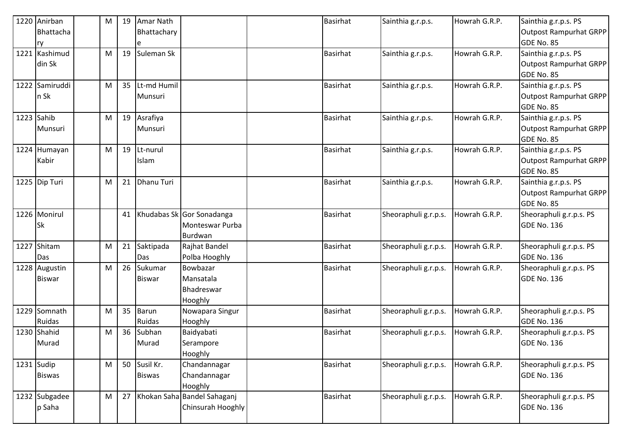|      | 1220 Anirban   | M         | 19 | Amar Nath         |                             | <b>Basirhat</b> | Sainthia g.r.p.s.    | Howrah G.R.P. | Sainthia g.r.p.s. PS          |
|------|----------------|-----------|----|-------------------|-----------------------------|-----------------|----------------------|---------------|-------------------------------|
|      | Bhattacha      |           |    | Bhattachary       |                             |                 |                      |               | Outpost Rampurhat GRPP        |
|      | ry             |           |    |                   |                             |                 |                      |               | GDE No. 85                    |
|      | 1221 Kashimud  | M         | 19 | Suleman Sk        |                             | <b>Basirhat</b> | Sainthia g.r.p.s.    | Howrah G.R.P. | Sainthia g.r.p.s. PS          |
|      | din Sk         |           |    |                   |                             |                 |                      |               | <b>Outpost Rampurhat GRPP</b> |
|      |                |           |    |                   |                             |                 |                      |               | GDE No. 85                    |
|      | 1222 Samiruddi | M         | 35 | Lt-md Humil       |                             | <b>Basirhat</b> | Sainthia g.r.p.s.    | Howrah G.R.P. | Sainthia g.r.p.s. PS          |
|      | n Sk           |           |    | Munsuri           |                             |                 |                      |               | <b>Outpost Rampurhat GRPP</b> |
|      |                |           |    |                   |                             |                 |                      |               | GDE No. 85                    |
|      | 1223 Sahib     | M         | 19 | Asrafiya          |                             | <b>Basirhat</b> | Sainthia g.r.p.s.    | Howrah G.R.P. | Sainthia g.r.p.s. PS          |
|      | <b>Munsuri</b> |           |    | Munsuri           |                             |                 |                      |               | <b>Outpost Rampurhat GRPP</b> |
|      |                |           |    |                   |                             |                 |                      |               | GDE No. 85                    |
|      | 1224 Humayan   | ${\sf M}$ | 19 | Lt-nurul          |                             | <b>Basirhat</b> | Sainthia g.r.p.s.    | Howrah G.R.P. | Sainthia g.r.p.s. PS          |
|      | Kabir          |           |    | Islam             |                             |                 |                      |               | Outpost Rampurhat GRPP        |
|      |                |           |    |                   |                             |                 |                      |               | GDE No. 85                    |
|      | 1225 Dip Turi  | M         | 21 | <b>Dhanu Turi</b> |                             | <b>Basirhat</b> | Sainthia g.r.p.s.    | Howrah G.R.P. | Sainthia g.r.p.s. PS          |
|      |                |           |    |                   |                             |                 |                      |               | <b>Outpost Rampurhat GRPP</b> |
|      |                |           |    |                   |                             |                 |                      |               | GDE No. 85                    |
|      | 1226 Monirul   |           | 41 |                   | Khudabas Sk Gor Sonadanga   | <b>Basirhat</b> | Sheoraphuli g.r.p.s. | Howrah G.R.P. | Sheoraphuli g.r.p.s. PS       |
|      | <b>Sk</b>      |           |    |                   | Monteswar Purba             |                 |                      |               | <b>GDE No. 136</b>            |
|      |                |           |    |                   | Burdwan                     |                 |                      |               |                               |
| 1227 | Shitam         | M         | 21 | Saktipada         | Rajhat Bandel               | <b>Basirhat</b> | Sheoraphuli g.r.p.s. | Howrah G.R.P. | Sheoraphuli g.r.p.s. PS       |
|      | Das            |           |    | Das               | Polba Hooghly               |                 |                      |               | GDE No. 136                   |
|      | 1228 Augustin  | M         | 26 | Sukumar           | Bowbazar                    | <b>Basirhat</b> | Sheoraphuli g.r.p.s. | Howrah G.R.P. | Sheoraphuli g.r.p.s. PS       |
|      | <b>Biswar</b>  |           |    | <b>Biswar</b>     | Mansatala                   |                 |                      |               | <b>GDE No. 136</b>            |
|      |                |           |    |                   | Bhadreswar                  |                 |                      |               |                               |
|      |                |           |    |                   | Hooghly                     |                 |                      |               |                               |
|      | 1229 Somnath   | M         | 35 | <b>Barun</b>      | Nowapara Singur             | <b>Basirhat</b> | Sheoraphuli g.r.p.s. | Howrah G.R.P. | Sheoraphuli g.r.p.s. PS       |
|      | Ruidas         |           |    | Ruidas            | Hooghly                     |                 |                      |               | <b>GDE No. 136</b>            |
|      | 1230 Shahid    | M         | 36 | Subhan            | Baidyabati                  | <b>Basirhat</b> | Sheoraphuli g.r.p.s. | Howrah G.R.P. | Sheoraphuli g.r.p.s. PS       |
|      | Murad          |           |    | Murad             | Serampore                   |                 |                      |               | GDE No. 136                   |
|      |                |           |    |                   | Hooghly                     |                 |                      |               |                               |
|      | $1231$ Sudip   | M         | 50 | Susil Kr.         | Chandannagar                | <b>Basirhat</b> | Sheoraphuli g.r.p.s. | Howrah G.R.P. | Sheoraphuli g.r.p.s. PS       |
|      | <b>Biswas</b>  |           |    | <b>Biswas</b>     | Chandannagar                |                 |                      |               | <b>GDE No. 136</b>            |
|      |                |           |    |                   | Hooghly                     |                 |                      |               |                               |
|      | 1232 Subgadee  | M         | 27 |                   | Khokan Saha Bandel Sahaganj | <b>Basirhat</b> | Sheoraphuli g.r.p.s. | Howrah G.R.P. | Sheoraphuli g.r.p.s. PS       |
|      | p Saha         |           |    |                   | Chinsurah Hooghly           |                 |                      |               | GDE No. 136                   |
|      |                |           |    |                   |                             |                 |                      |               |                               |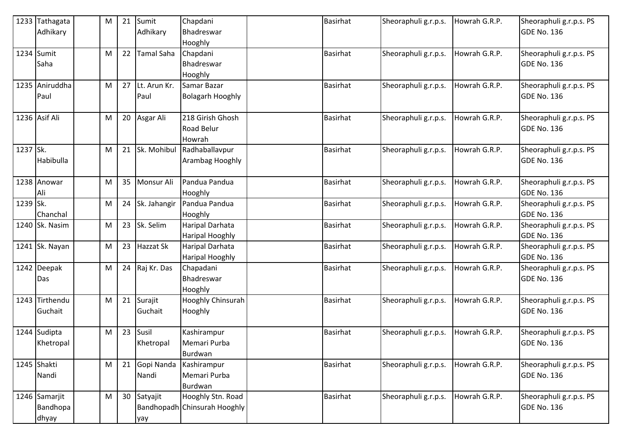|          | 1233 Tathagata | M | 21 | Sumit             | Chapdani                     | <b>Basirhat</b> | Sheoraphuli g.r.p.s. | Howrah G.R.P. | Sheoraphuli g.r.p.s. PS |
|----------|----------------|---|----|-------------------|------------------------------|-----------------|----------------------|---------------|-------------------------|
|          | Adhikary       |   |    | Adhikary          | Bhadreswar                   |                 |                      |               | <b>GDE No. 136</b>      |
|          |                |   |    |                   | Hooghly                      |                 |                      |               |                         |
|          | 1234 Sumit     | M | 22 | <b>Tamal Saha</b> | Chapdani                     | <b>Basirhat</b> | Sheoraphuli g.r.p.s. | Howrah G.R.P. | Sheoraphuli g.r.p.s. PS |
|          | Saha           |   |    |                   | Bhadreswar                   |                 |                      |               | <b>GDE No. 136</b>      |
|          |                |   |    |                   | Hooghly                      |                 |                      |               |                         |
|          | 1235 Aniruddha | M | 27 | Lt. Arun Kr.      | Samar Bazar                  | <b>Basirhat</b> | Sheoraphuli g.r.p.s. | Howrah G.R.P. | Sheoraphuli g.r.p.s. PS |
|          | Paul           |   |    | Paul              | <b>Bolagarh Hooghly</b>      |                 |                      |               | GDE No. 136             |
|          |                |   |    |                   |                              |                 |                      |               |                         |
|          | 1236 Asif Ali  | M | 20 | Asgar Ali         | 218 Girish Ghosh             | <b>Basirhat</b> | Sheoraphuli g.r.p.s. | Howrah G.R.P. | Sheoraphuli g.r.p.s. PS |
|          |                |   |    |                   | <b>Road Belur</b>            |                 |                      |               | <b>GDE No. 136</b>      |
|          |                |   |    |                   | Howrah                       |                 |                      |               |                         |
| 1237 Sk. |                | M | 21 | Sk. Mohibul       | Radhaballavpur               | <b>Basirhat</b> | Sheoraphuli g.r.p.s. | Howrah G.R.P. | Sheoraphuli g.r.p.s. PS |
|          | Habibulla      |   |    |                   | Arambag Hooghly              |                 |                      |               | <b>GDE No. 136</b>      |
|          |                |   |    |                   |                              |                 |                      |               |                         |
|          | 1238 Anowar    | M | 35 | Monsur Ali        | Pandua Pandua                | <b>Basirhat</b> | Sheoraphuli g.r.p.s. | Howrah G.R.P. | Sheoraphuli g.r.p.s. PS |
|          | Ali            |   |    |                   | Hooghly                      |                 |                      |               | GDE No. 136             |
| 1239 Sk. |                | M | 24 | Sk. Jahangir      | Pandua Pandua                | <b>Basirhat</b> | Sheoraphuli g.r.p.s. | Howrah G.R.P. | Sheoraphuli g.r.p.s. PS |
|          | Chanchal       |   |    |                   | Hooghly                      |                 |                      |               | GDE No. 136             |
|          | 1240 Sk. Nasim | M | 23 | Sk. Selim         | Haripal Darhata              | <b>Basirhat</b> | Sheoraphuli g.r.p.s. | Howrah G.R.P. | Sheoraphuli g.r.p.s. PS |
|          |                |   |    |                   | <b>Haripal Hooghly</b>       |                 |                      |               | <b>GDE No. 136</b>      |
|          | 1241 Sk. Nayan | M | 23 | Hazzat Sk         | <b>Haripal Darhata</b>       | <b>Basirhat</b> | Sheoraphuli g.r.p.s. | Howrah G.R.P. | Sheoraphuli g.r.p.s. PS |
|          |                |   |    |                   | <b>Haripal Hooghly</b>       |                 |                      |               | GDE No. 136             |
|          | 1242 Deepak    | M | 24 | Raj Kr. Das       | Chapadani                    | <b>Basirhat</b> | Sheoraphuli g.r.p.s. | Howrah G.R.P. | Sheoraphuli g.r.p.s. PS |
|          | Das            |   |    |                   | Bhadreswar                   |                 |                      |               | <b>GDE No. 136</b>      |
|          |                |   |    |                   | Hooghly                      |                 |                      |               |                         |
|          | 1243 Tirthendu | M | 21 | Surajit           | <b>Hooghly Chinsurah</b>     | <b>Basirhat</b> | Sheoraphuli g.r.p.s. | Howrah G.R.P. | Sheoraphuli g.r.p.s. PS |
|          | Guchait        |   |    | Guchait           | Hooghly                      |                 |                      |               | <b>GDE No. 136</b>      |
|          |                |   |    |                   |                              |                 |                      |               |                         |
|          | 1244 Sudipta   | M | 23 | Susil             | Kashirampur                  | <b>Basirhat</b> | Sheoraphuli g.r.p.s. | Howrah G.R.P. | Sheoraphuli g.r.p.s. PS |
|          | Khetropal      |   |    | Khetropal         | Memari Purba                 |                 |                      |               | <b>GDE No. 136</b>      |
|          |                |   |    |                   | Burdwan                      |                 |                      |               |                         |
|          | 1245 Shakti    | M | 21 | Gopi Nanda        | Kashirampur                  | <b>Basirhat</b> | Sheoraphuli g.r.p.s. | Howrah G.R.P. | Sheoraphuli g.r.p.s. PS |
|          | Nandi          |   |    | Nandi             | Memari Purba                 |                 |                      |               | <b>GDE No. 136</b>      |
|          |                |   |    |                   | Burdwan                      |                 |                      |               |                         |
|          | 1246 Samarjit  | M |    | 30 Satyajit       | Hooghly Stn. Road            | <b>Basirhat</b> | Sheoraphuli g.r.p.s. | Howrah G.R.P. | Sheoraphuli g.r.p.s. PS |
|          | Bandhopa       |   |    |                   | Bandhopadh Chinsurah Hooghly |                 |                      |               | <b>GDE No. 136</b>      |
|          | dhyay          |   |    | yay               |                              |                 |                      |               |                         |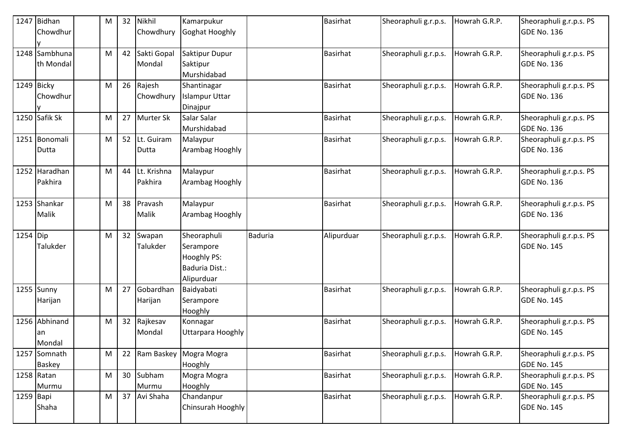| 1247       | Bidhan        | м | 32 | Nikhil      | Kamarpukur            |                | <b>Basirhat</b> | Sheoraphuli g.r.p.s. | Howrah G.R.P. | Sheoraphuli g.r.p.s. PS |
|------------|---------------|---|----|-------------|-----------------------|----------------|-----------------|----------------------|---------------|-------------------------|
|            | Chowdhur      |   |    | Chowdhury   | Goghat Hooghly        |                |                 |                      |               | <b>GDE No. 136</b>      |
|            |               |   |    |             |                       |                |                 |                      |               |                         |
|            | 1248 Sambhuna | M | 42 | Sakti Gopal | Saktipur Dupur        |                | <b>Basirhat</b> | Sheoraphuli g.r.p.s. | Howrah G.R.P. | Sheoraphuli g.r.p.s. PS |
|            | th Mondal     |   |    | Mondal      | Saktipur              |                |                 |                      |               | <b>GDE No. 136</b>      |
|            |               |   |    |             | Murshidabad           |                |                 |                      |               |                         |
| 1249 Bicky |               | M | 26 | Rajesh      | Shantinagar           |                | <b>Basirhat</b> | Sheoraphuli g.r.p.s. | Howrah G.R.P. | Sheoraphuli g.r.p.s. PS |
|            | Chowdhur      |   |    | Chowdhury   | <b>Islampur Uttar</b> |                |                 |                      |               | <b>GDE No. 136</b>      |
|            |               |   |    |             | Dinajpur              |                |                 |                      |               |                         |
|            | 1250 Safik Sk | M | 27 | Murter Sk   | Salar Salar           |                | <b>Basirhat</b> | Sheoraphuli g.r.p.s. | Howrah G.R.P. | Sheoraphuli g.r.p.s. PS |
|            |               |   |    |             | Murshidabad           |                |                 |                      |               | <b>GDE No. 136</b>      |
|            | 1251 Bonomali | M | 52 | Lt. Guiram  | Malaypur              |                | <b>Basirhat</b> | Sheoraphuli g.r.p.s. | Howrah G.R.P. | Sheoraphuli g.r.p.s. PS |
|            | Dutta         |   |    | Dutta       | Arambag Hooghly       |                |                 |                      |               | <b>GDE No. 136</b>      |
|            |               |   |    |             |                       |                |                 |                      |               |                         |
|            | 1252 Haradhan | M | 44 | Lt. Krishna | Malaypur              |                | <b>Basirhat</b> | Sheoraphuli g.r.p.s. | Howrah G.R.P. | Sheoraphuli g.r.p.s. PS |
|            | Pakhira       |   |    | Pakhira     | Arambag Hooghly       |                |                 |                      |               | <b>GDE No. 136</b>      |
|            |               |   |    |             |                       |                |                 |                      |               |                         |
|            | 1253 Shankar  | M | 38 | Pravash     | Malaypur              |                | <b>Basirhat</b> | Sheoraphuli g.r.p.s. | Howrah G.R.P. | Sheoraphuli g.r.p.s. PS |
|            | Malik         |   |    | Malik       | Arambag Hooghly       |                |                 |                      |               | <b>GDE No. 136</b>      |
|            |               |   |    |             |                       |                |                 |                      |               |                         |
| 1254 Dip   |               | M | 32 | Swapan      | Sheoraphuli           | <b>Baduria</b> | Alipurduar      | Sheoraphuli g.r.p.s. | Howrah G.R.P. | Sheoraphuli g.r.p.s. PS |
|            | Talukder      |   |    | Talukder    | Serampore             |                |                 |                      |               | <b>GDE No. 145</b>      |
|            |               |   |    |             | Hooghly PS:           |                |                 |                      |               |                         |
|            |               |   |    |             | Baduria Dist.:        |                |                 |                      |               |                         |
|            |               |   |    |             | Alipurduar            |                |                 |                      |               |                         |
|            | $1255$ Sunny  | M | 27 | Gobardhan   | Baidyabati            |                | <b>Basirhat</b> | Sheoraphuli g.r.p.s. | Howrah G.R.P. | Sheoraphuli g.r.p.s. PS |
|            | Harijan       |   |    | Harijan     | Serampore             |                |                 |                      |               | <b>GDE No. 145</b>      |
|            |               |   |    |             | Hooghly               |                |                 |                      |               |                         |
|            | 1256 Abhinand | M | 32 | Rajkesav    | Konnagar              |                | <b>Basirhat</b> | Sheoraphuli g.r.p.s. | Howrah G.R.P. | Sheoraphuli g.r.p.s. PS |
|            | an            |   |    | Mondal      | Uttarpara Hooghly     |                |                 |                      |               | <b>GDE No. 145</b>      |
|            | Mondal        |   |    |             |                       |                |                 |                      |               |                         |
| 1257       | Somnath       | M | 22 | Ram Baskey  | Mogra Mogra           |                | <b>Basirhat</b> | Sheoraphuli g.r.p.s. | Howrah G.R.P. | Sheoraphuli g.r.p.s. PS |
|            | <b>Baskey</b> |   |    |             | Hooghly               |                |                 |                      |               | GDE No. 145             |
|            | 1258 Ratan    | M | 30 | Subham      | Mogra Mogra           |                | <b>Basirhat</b> | Sheoraphuli g.r.p.s. | Howrah G.R.P. | Sheoraphuli g.r.p.s. PS |
|            | Murmu         |   |    | Murmu       | Hooghly               |                |                 |                      |               | <b>GDE No. 145</b>      |
| 1259 Bapi  |               | M | 37 | Avi Shaha   | Chandanpur            |                | <b>Basirhat</b> | Sheoraphuli g.r.p.s. | Howrah G.R.P. | Sheoraphuli g.r.p.s. PS |
|            | Shaha         |   |    |             | Chinsurah Hooghly     |                |                 |                      |               | <b>GDE No. 145</b>      |
|            |               |   |    |             |                       |                |                 |                      |               |                         |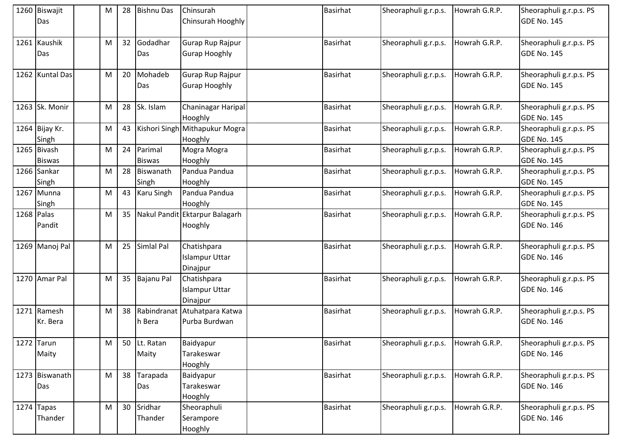| 1260 Biswajit<br>Das         | M | 28 | <b>Bishnu Das</b>        | Chinsurah<br>Chinsurah Hooghly                   | <b>Basirhat</b> | Sheoraphuli g.r.p.s. | Howrah G.R.P. | Sheoraphuli g.r.p.s. PS<br><b>GDE No. 145</b> |
|------------------------------|---|----|--------------------------|--------------------------------------------------|-----------------|----------------------|---------------|-----------------------------------------------|
| 1261 Kaushik<br>Das          | M | 32 | Godadhar<br>Das          | Gurap Rup Rajpur<br><b>Gurap Hooghly</b>         | <b>Basirhat</b> | Sheoraphuli g.r.p.s. | Howrah G.R.P. | Sheoraphuli g.r.p.s. PS<br><b>GDE No. 145</b> |
| 1262 Kuntal Das              | M | 20 | Mohadeb<br>Das           | Gurap Rup Rajpur<br><b>Gurap Hooghly</b>         | <b>Basirhat</b> | Sheoraphuli g.r.p.s. | Howrah G.R.P. | Sheoraphuli g.r.p.s. PS<br><b>GDE No. 145</b> |
| 1263 Sk. Monir               | M | 28 | Sk. Islam                | <b>Chaninagar Haripal</b><br>Hooghly             | <b>Basirhat</b> | Sheoraphuli g.r.p.s. | Howrah G.R.P. | Sheoraphuli g.r.p.s. PS<br>GDE No. 145        |
| 1264 Bijay Kr.<br>Singh      | M | 43 |                          | Kishori Singh Mithapukur Mogra<br>Hooghly        | <b>Basirhat</b> | Sheoraphuli g.r.p.s. | Howrah G.R.P. | Sheoraphuli g.r.p.s. PS<br>GDE No. 145        |
| 1265 Bivash<br><b>Biswas</b> | M | 24 | Parimal<br><b>Biswas</b> | Mogra Mogra<br>Hooghly                           | <b>Basirhat</b> | Sheoraphuli g.r.p.s. | Howrah G.R.P. | Sheoraphuli g.r.p.s. PS<br><b>GDE No. 145</b> |
| 1266 Sankar<br>Singh         | M | 28 | Biswanath<br>Singh       | Pandua Pandua<br>Hooghly                         | <b>Basirhat</b> | Sheoraphuli g.r.p.s. | Howrah G.R.P. | Sheoraphuli g.r.p.s. PS<br>GDE No. 145        |
| 1267 Munna<br>Singh          | M | 43 | <b>Karu Singh</b>        | Pandua Pandua<br>Hooghly                         | <b>Basirhat</b> | Sheoraphuli g.r.p.s. | Howrah G.R.P. | Sheoraphuli g.r.p.s. PS<br>GDE No. 145        |
| 1268 Palas<br>Pandit         | M | 35 |                          | Nakul Pandit Ektarpur Balagarh<br>Hooghly        | <b>Basirhat</b> | Sheoraphuli g.r.p.s. | Howrah G.R.P. | Sheoraphuli g.r.p.s. PS<br><b>GDE No. 146</b> |
| 1269 Manoj Pal               | M | 25 | Simlal Pal               | Chatishpara<br><b>Islampur Uttar</b><br>Dinajpur | <b>Basirhat</b> | Sheoraphuli g.r.p.s. | Howrah G.R.P. | Sheoraphuli g.r.p.s. PS<br><b>GDE No. 146</b> |
| 1270 Amar Pal                | M | 35 | <b>Bajanu Pal</b>        | Chatishpara<br><b>Islampur Uttar</b><br>Dinajpur | <b>Basirhat</b> | Sheoraphuli g.r.p.s. | Howrah G.R.P. | Sheoraphuli g.r.p.s. PS<br><b>GDE No. 146</b> |
| 1271 Ramesh<br>Kr. Bera      | M | 38 | h Bera                   | Rabindranat Atuhatpara Katwa<br>Purba Burdwan    | <b>Basirhat</b> | Sheoraphuli g.r.p.s. | Howrah G.R.P. | Sheoraphuli g.r.p.s. PS<br><b>GDE No. 146</b> |
| 1272 Tarun<br>Maity          | M |    | 50 Lt. Ratan<br>Maity    | Baidyapur<br>Tarakeswar<br>Hooghly               | <b>Basirhat</b> | Sheoraphuli g.r.p.s. | Howrah G.R.P. | Sheoraphuli g.r.p.s. PS<br>GDE No. 146        |
| 1273 Biswanath<br>Das        | M | 38 | Tarapada<br>Das          | Baidyapur<br>Tarakeswar<br>Hooghly               | <b>Basirhat</b> | Sheoraphuli g.r.p.s. | Howrah G.R.P. | Sheoraphuli g.r.p.s. PS<br>GDE No. 146        |
| $1274$ Tapas<br>Thander      | M | 30 | Sridhar<br>Thander       | Sheoraphuli<br>Serampore<br>Hooghly              | <b>Basirhat</b> | Sheoraphuli g.r.p.s. | Howrah G.R.P. | Sheoraphuli g.r.p.s. PS<br><b>GDE No. 146</b> |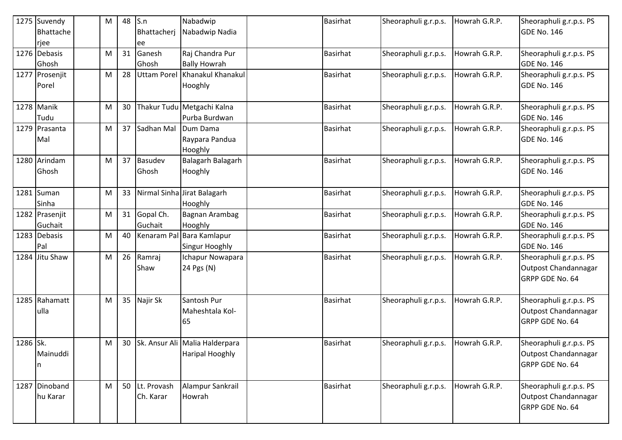|          | 1275 Suvendy<br>Bhattache<br>rjee | M | 48 | S.n<br>Bhattacherj<br>ee | Nabadwip<br>Nabadwip Nadia                               | <b>Basirhat</b> | Sheoraphuli g.r.p.s. | Howrah G.R.P. | Sheoraphuli g.r.p.s. PS<br><b>GDE No. 146</b>                      |
|----------|-----------------------------------|---|----|--------------------------|----------------------------------------------------------|-----------------|----------------------|---------------|--------------------------------------------------------------------|
|          | 1276 Debasis<br>Ghosh             | M | 31 | Ganesh<br>Ghosh          | Raj Chandra Pur<br><b>Bally Howrah</b>                   | <b>Basirhat</b> | Sheoraphuli g.r.p.s. | Howrah G.R.P. | Sheoraphuli g.r.p.s. PS<br><b>GDE No. 146</b>                      |
|          | 1277 Prosenjit<br>Porel           | M | 28 | <b>Uttam Porel</b>       | Khanakul Khanakul<br>Hooghly                             | <b>Basirhat</b> | Sheoraphuli g.r.p.s. | Howrah G.R.P. | Sheoraphuli g.r.p.s. PS<br><b>GDE No. 146</b>                      |
|          | 1278 Manik<br>Tudu                | M | 30 |                          | Thakur Tudu Metgachi Kalna<br>Purba Burdwan              | <b>Basirhat</b> | Sheoraphuli g.r.p.s. | Howrah G.R.P. | Sheoraphuli g.r.p.s. PS<br><b>GDE No. 146</b>                      |
|          | 1279 Prasanta<br>Mal              | M | 37 | Sadhan Mal               | Dum Dama<br>Raypara Pandua<br>Hooghly                    | <b>Basirhat</b> | Sheoraphuli g.r.p.s. | Howrah G.R.P. | Sheoraphuli g.r.p.s. PS<br><b>GDE No. 146</b>                      |
|          | 1280 Arindam<br>Ghosh             | M | 37 | Basudev<br>Ghosh         | Balagarh Balagarh<br>Hooghly                             | <b>Basirhat</b> | Sheoraphuli g.r.p.s. | Howrah G.R.P. | Sheoraphuli g.r.p.s. PS<br><b>GDE No. 146</b>                      |
|          | 1281 Suman<br>Sinha               | M | 33 |                          | Nirmal Sinha Jirat Balagarh<br>Hooghly                   | <b>Basirhat</b> | Sheoraphuli g.r.p.s. | Howrah G.R.P. | Sheoraphuli g.r.p.s. PS<br>GDE No. 146                             |
|          | 1282 Prasenjit<br>Guchait         | M | 31 | Gopal Ch.<br>Guchait     | Bagnan Arambag<br>Hooghly                                | <b>Basirhat</b> | Sheoraphuli g.r.p.s. | Howrah G.R.P. | Sheoraphuli g.r.p.s. PS<br><b>GDE No. 146</b>                      |
|          | 1283 Debasis<br>Pal               | M | 40 |                          | Kenaram Pal Bara Kamlapur<br><b>Singur Hooghly</b>       | <b>Basirhat</b> | Sheoraphuli g.r.p.s. | Howrah G.R.P. | Sheoraphuli g.r.p.s. PS<br>GDE No. 146                             |
|          | 1284 Jitu Shaw                    | M | 26 | Ramraj<br>Shaw           | Ichapur Nowapara<br>24 Pgs (N)                           | <b>Basirhat</b> | Sheoraphuli g.r.p.s. | Howrah G.R.P. | Sheoraphuli g.r.p.s. PS<br>Outpost Chandannagar<br>GRPP GDE No. 64 |
|          | 1285 Rahamatt<br>ulla             | M | 35 | Najir Sk                 | Santosh Pur<br>Maheshtala Kol-<br>65                     | <b>Basirhat</b> | Sheoraphuli g.r.p.s. | Howrah G.R.P. | Sheoraphuli g.r.p.s. PS<br>Outpost Chandannagar<br>GRPP GDE No. 64 |
| 1286 Sk. | Mainuddi                          | M | 30 |                          | Sk. Ansur Ali Malia Halderpara<br><b>Haripal Hooghly</b> | <b>Basirhat</b> | Sheoraphuli g.r.p.s. | Howrah G.R.P. | Sheoraphuli g.r.p.s. PS<br>Outpost Chandannagar<br>GRPP GDE No. 64 |
| 1287     | Dinoband<br>hu Karar              | M | 50 | Lt. Provash<br>Ch. Karar | Alampur Sankrail<br>Howrah                               | <b>Basirhat</b> | Sheoraphuli g.r.p.s. | Howrah G.R.P. | Sheoraphuli g.r.p.s. PS<br>Outpost Chandannagar<br>GRPP GDE No. 64 |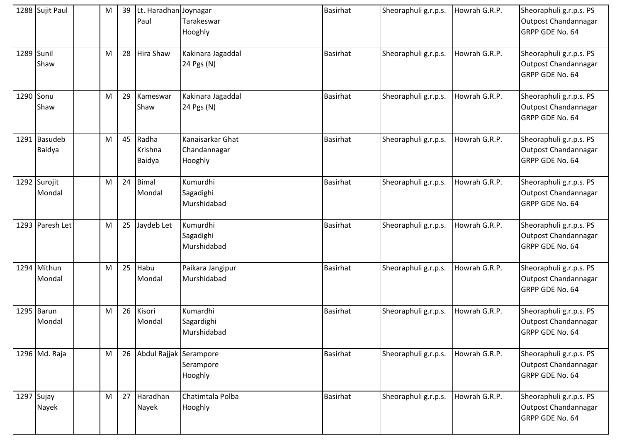|            | 1288 Sujit Paul        | M | 39 | Lt. Haradhan Joynagar<br>Paul | Tarakeswar<br>Hooghly                       | <b>Basirhat</b> | Sheoraphuli g.r.p.s. | Howrah G.R.P. | Sheoraphuli g.r.p.s. PS<br>Outpost Chandannagar<br>GRPP GDE No. 64 |
|------------|------------------------|---|----|-------------------------------|---------------------------------------------|-----------------|----------------------|---------------|--------------------------------------------------------------------|
| 1289 Sunil | Shaw                   | M | 28 | Hira Shaw                     | Kakinara Jagaddal<br>24 Pgs (N)             | <b>Basirhat</b> | Sheoraphuli g.r.p.s. | Howrah G.R.P. | Sheoraphuli g.r.p.s. PS<br>Outpost Chandannagar<br>GRPP GDE No. 64 |
| 1290 Sonu  | Shaw                   | M | 29 | Kameswar<br>Shaw              | Kakinara Jagaddal<br>24 Pgs (N)             | <b>Basirhat</b> | Sheoraphuli g.r.p.s. | Howrah G.R.P. | Sheoraphuli g.r.p.s. PS<br>Outpost Chandannagar<br>GRPP GDE No. 64 |
|            | 1291 Basudeb<br>Baidya | M | 45 | Radha<br>Krishna<br>Baidya    | Kanaisarkar Ghat<br>Chandannagar<br>Hooghly | <b>Basirhat</b> | Sheoraphuli g.r.p.s. | Howrah G.R.P. | Sheoraphuli g.r.p.s. PS<br>Outpost Chandannagar<br>GRPP GDE No. 64 |
|            | 1292 Surojit<br>Mondal | M | 24 | <b>Bimal</b><br>Mondal        | Kumurdhi<br>Sagadighi<br>Murshidabad        | <b>Basirhat</b> | Sheoraphuli g.r.p.s. | Howrah G.R.P. | Sheoraphuli g.r.p.s. PS<br>Outpost Chandannagar<br>GRPP GDE No. 64 |
|            | 1293 Paresh Let        | M | 25 | Jaydeb Let                    | Kumurdhi<br>Sagadighi<br>Murshidabad        | <b>Basirhat</b> | Sheoraphuli g.r.p.s. | Howrah G.R.P. | Sheoraphuli g.r.p.s. PS<br>Outpost Chandannagar<br>GRPP GDE No. 64 |
|            | 1294 Mithun<br>Mondal  | M | 25 | Habu<br>Mondal                | Paikara Jangipur<br>Murshidabad             | <b>Basirhat</b> | Sheoraphuli g.r.p.s. | Howrah G.R.P. | Sheoraphuli g.r.p.s. PS<br>Outpost Chandannagar<br>GRPP GDE No. 64 |
|            | 1295 Barun<br>Mondal   | M | 26 | Kisori<br>Mondal              | Kumardhi<br>Sagardighi<br>Murshidabad       | <b>Basirhat</b> | Sheoraphuli g.r.p.s. | Howrah G.R.P. | Sheoraphuli g.r.p.s. PS<br>Outpost Chandannagar<br>GRPP GDE No. 64 |
|            | 1296 Md. Raja          | M | 26 | Abdul Rajjak Serampore        | Serampore<br>Hooghly                        | <b>Basirhat</b> | Sheoraphuli g.r.p.s. | Howrah G.R.P. | Sheoraphuli g.r.p.s. PS<br>Outpost Chandannagar<br>GRPP GDE No. 64 |
|            | 1297 Sujay<br>Nayek    | M | 27 | Haradhan<br>Nayek             | Chatimtala Polba<br>Hooghly                 | <b>Basirhat</b> | Sheoraphuli g.r.p.s. | Howrah G.R.P. | Sheoraphuli g.r.p.s. PS<br>Outpost Chandannagar<br>GRPP GDE No. 64 |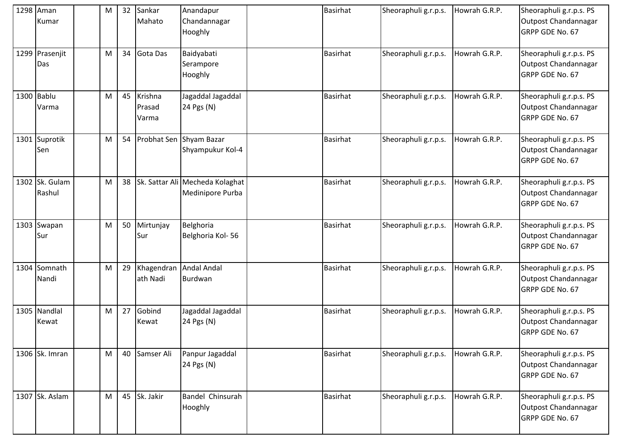|      | 1298 Aman<br>Kumar       | M         | 32 | Sankar<br>Mahato           | Anandapur<br>Chandannagar<br>Hooghly                | <b>Basirhat</b> | Sheoraphuli g.r.p.s. | Howrah G.R.P. | Sheoraphuli g.r.p.s. PS<br>Outpost Chandannagar<br>GRPP GDE No. 67        |
|------|--------------------------|-----------|----|----------------------------|-----------------------------------------------------|-----------------|----------------------|---------------|---------------------------------------------------------------------------|
|      | 1299 Prasenjit<br>Das    | M         | 34 | Gota Das                   | Baidyabati<br>Serampore<br>Hooghly                  | <b>Basirhat</b> | Sheoraphuli g.r.p.s. | Howrah G.R.P. | Sheoraphuli g.r.p.s. PS<br>Outpost Chandannagar<br>GRPP GDE No. 67        |
|      | 1300 Bablu<br>Varma      | M         | 45 | Krishna<br>Prasad<br>Varma | Jagaddal Jagaddal<br>24 Pgs (N)                     | <b>Basirhat</b> | Sheoraphuli g.r.p.s. | Howrah G.R.P. | Sheoraphuli g.r.p.s. PS<br>Outpost Chandannagar<br>GRPP GDE No. 67        |
| 1301 | Suprotik<br>Sen          | M         | 54 | Probhat Sen                | Shyam Bazar<br>Shyampukur Kol-4                     | <b>Basirhat</b> | Sheoraphuli g.r.p.s. | Howrah G.R.P. | Sheoraphuli g.r.p.s. PS<br>Outpost Chandannagar<br>GRPP GDE No. 67        |
|      | 1302 Sk. Gulam<br>Rashul | M         | 38 |                            | Sk. Sattar Ali Mecheda Kolaghat<br>Medinipore Purba | <b>Basirhat</b> | Sheoraphuli g.r.p.s. | Howrah G.R.P. | Sheoraphuli g.r.p.s. PS<br>Outpost Chandannagar<br><b>GRPP GDE No. 67</b> |
|      | 1303 Swapan<br>Sur       | M         | 50 | Mirtunjay<br>Sur           | Belghoria<br>Belghoria Kol-56                       | <b>Basirhat</b> | Sheoraphuli g.r.p.s. | Howrah G.R.P. | Sheoraphuli g.r.p.s. PS<br>Outpost Chandannagar<br>GRPP GDE No. 67        |
|      | 1304 Somnath<br>Nandi    | M         | 29 | Khagendran<br>ath Nadi     | <b>Andal Andal</b><br>Burdwan                       | <b>Basirhat</b> | Sheoraphuli g.r.p.s. | Howrah G.R.P. | Sheoraphuli g.r.p.s. PS<br>Outpost Chandannagar<br>GRPP GDE No. 67        |
|      | 1305 Nandlal<br>Kewat    | M         | 27 | Gobind<br>Kewat            | Jagaddal Jagaddal<br>24 Pgs (N)                     | <b>Basirhat</b> | Sheoraphuli g.r.p.s. | Howrah G.R.P. | Sheoraphuli g.r.p.s. PS<br>Outpost Chandannagar<br>GRPP GDE No. 67        |
|      | 1306 Sk. Imran           | ${\sf M}$ | 40 | Samser Ali                 | Panpur Jagaddal<br>24 Pgs (N)                       | <b>Basirhat</b> | Sheoraphuli g.r.p.s. | Howrah G.R.P. | Sheoraphuli g.r.p.s. PS<br>Outpost Chandannagar<br>GRPP GDE No. 67        |
|      | 1307 Sk. Aslam           | M         | 45 | Sk. Jakir                  | Bandel Chinsurah<br>Hooghly                         | <b>Basirhat</b> | Sheoraphuli g.r.p.s. | Howrah G.R.P. | Sheoraphuli g.r.p.s. PS<br>Outpost Chandannagar<br>GRPP GDE No. 67        |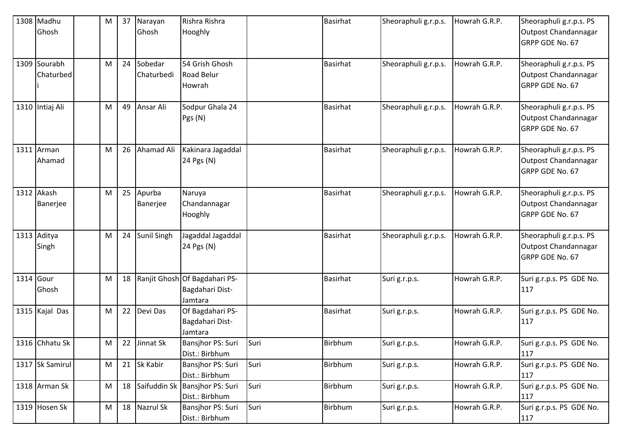| 1308 Madhu      | M | 37 | Narayan     | Rishra Rishra                  |      | <b>Basirhat</b> | Sheoraphuli g.r.p.s. | Howrah G.R.P. | Sheoraphuli g.r.p.s. PS  |
|-----------------|---|----|-------------|--------------------------------|------|-----------------|----------------------|---------------|--------------------------|
| Ghosh           |   |    | Ghosh       | Hooghly                        |      |                 |                      |               | Outpost Chandannagar     |
|                 |   |    |             |                                |      |                 |                      |               | GRPP GDE No. 67          |
|                 |   |    |             |                                |      |                 |                      |               |                          |
| 1309 Sourabh    | M | 24 | Sobedar     | 54 Grish Ghosh                 |      | <b>Basirhat</b> | Sheoraphuli g.r.p.s. | Howrah G.R.P. | Sheoraphuli g.r.p.s. PS  |
| Chaturbed       |   |    | Chaturbedi  | <b>Road Belur</b>              |      |                 |                      |               | Outpost Chandannagar     |
|                 |   |    |             | Howrah                         |      |                 |                      |               | GRPP GDE No. 67          |
|                 |   |    |             |                                |      |                 |                      |               |                          |
| 1310 Intiaj Ali | M | 49 | Ansar Ali   | Sodpur Ghala 24                |      | <b>Basirhat</b> | Sheoraphuli g.r.p.s. | Howrah G.R.P. | Sheoraphuli g.r.p.s. PS  |
|                 |   |    |             | Pgs (N)                        |      |                 |                      |               | Outpost Chandannagar     |
|                 |   |    |             |                                |      |                 |                      |               | GRPP GDE No. 67          |
|                 |   |    |             |                                |      |                 |                      |               |                          |
| 1311 $Arman$    | M | 26 | Ahamad Ali  | Kakinara Jagaddal              |      | Basirhat        | Sheoraphuli g.r.p.s. | Howrah G.R.P. | Sheoraphuli g.r.p.s. PS  |
| Ahamad          |   |    |             | 24 Pgs (N)                     |      |                 |                      |               | Outpost Chandannagar     |
|                 |   |    |             |                                |      |                 |                      |               | GRPP GDE No. 67          |
|                 |   |    |             |                                |      |                 |                      |               |                          |
| 1312 Akash      | M | 25 | Apurba      | Naruya                         |      | <b>Basirhat</b> | Sheoraphuli g.r.p.s. | Howrah G.R.P. | Sheoraphuli g.r.p.s. PS  |
| Banerjee        |   |    | Banerjee    | Chandannagar                   |      |                 |                      |               | Outpost Chandannagar     |
|                 |   |    |             | Hooghly                        |      |                 |                      |               | GRPP GDE No. 67          |
|                 |   |    |             |                                |      |                 |                      |               |                          |
| 1313 Aditya     | M | 24 | Sunil Singh | Jagaddal Jagaddal              |      | <b>Basirhat</b> | Sheoraphuli g.r.p.s. | Howrah G.R.P. | Sheoraphuli g.r.p.s. PS  |
| Singh           |   |    |             | 24 Pgs (N)                     |      |                 |                      |               | Outpost Chandannagar     |
|                 |   |    |             |                                |      |                 |                      |               | GRPP GDE No. 67          |
|                 |   |    |             |                                |      |                 |                      |               |                          |
| 1314 Gour       | M | 18 |             | Ranjit Ghosh Of Bagdahari PS-  |      | <b>Basirhat</b> | Suri g.r.p.s.        | Howrah G.R.P. | Suri g.r.p.s. PS GDE No. |
| Ghosh           |   |    |             | Bagdahari Dist-                |      |                 |                      |               | 117                      |
|                 |   |    |             | Jamtara                        |      |                 |                      |               |                          |
| 1315 Kajal Das  | M | 22 | Devi Das    | Of Bagdahari PS-               |      | <b>Basirhat</b> | Suri g.r.p.s.        | Howrah G.R.P. | Suri g.r.p.s. PS GDE No. |
|                 |   |    |             | Bagdahari Dist-                |      |                 |                      |               | 117                      |
|                 |   |    |             | Jamtara                        |      |                 |                      |               |                          |
| 1316 Chhatu Sk  | M | 22 | Jinnat Sk   | Bansjhor PS: Suri              | Suri | Birbhum         | Suri g.r.p.s.        | Howrah G.R.P. | Suri g.r.p.s. PS GDE No. |
|                 |   |    |             | Dist.: Birbhum                 |      |                 |                      |               | 117                      |
| 1317 Sk Samirul | M | 21 | Sk Kabir    | Bansjhor PS: Suri              | Suri | Birbhum         | Suri g.r.p.s.        | Howrah G.R.P. | Suri g.r.p.s. PS GDE No. |
|                 |   |    |             | Dist.: Birbhum                 |      |                 |                      |               | 117                      |
| 1318 Arman Sk   | M | 18 |             | Saifuddin Sk Bansjhor PS: Suri | Suri | Birbhum         | Suri g.r.p.s.        | Howrah G.R.P. | Suri g.r.p.s. PS GDE No. |
|                 |   |    |             | Dist.: Birbhum                 |      |                 |                      |               | 117                      |
| 1319 Hosen Sk   | M | 18 | Nazrul Sk   | Bansjhor PS: Suri              | Suri | <b>Birbhum</b>  | Suri g.r.p.s.        | Howrah G.R.P. | Suri g.r.p.s. PS GDE No. |
|                 |   |    |             | Dist.: Birbhum                 |      |                 |                      |               | 117                      |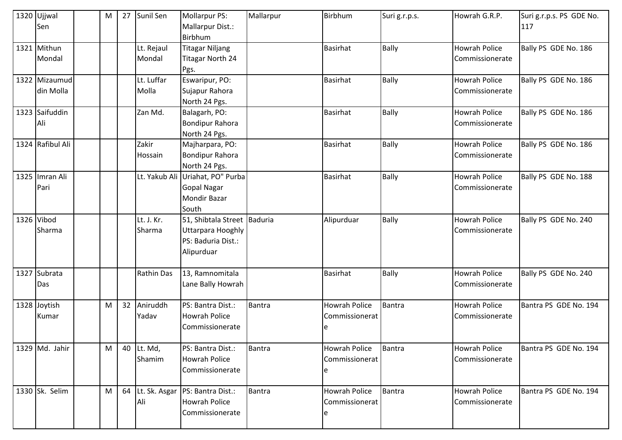|      | 1320 Ujjwal<br>Sen         | М | 27 | Sunil Sen            | <b>Mollarpur PS:</b><br>Mallarpur Dist.:<br>Birbhum                                         | Mallarpur     | Birbhum                                      | Suri g.r.p.s. | Howrah G.R.P.                           | Suri g.r.p.s. PS GDE No.<br>117 |
|------|----------------------------|---|----|----------------------|---------------------------------------------------------------------------------------------|---------------|----------------------------------------------|---------------|-----------------------------------------|---------------------------------|
|      | 1321 Mithun<br>Mondal      |   |    | Lt. Rejaul<br>Mondal | <b>Titagar Niljang</b><br><b>Titagar North 24</b><br>Pgs.                                   |               | <b>Basirhat</b>                              | <b>Bally</b>  | <b>Howrah Police</b><br>Commissionerate | Bally PS GDE No. 186            |
|      | 1322 Mizaumud<br>din Molla |   |    | Lt. Luffar<br>Molla  | Eswaripur, PO:<br>Sujapur Rahora<br>North 24 Pgs.                                           |               | <b>Basirhat</b>                              | <b>Bally</b>  | <b>Howrah Police</b><br>Commissionerate | Bally PS GDE No. 186            |
|      | 1323 Saifuddin<br>Ali      |   |    | Zan Md.              | Balagarh, PO:<br><b>Bondipur Rahora</b><br>North 24 Pgs.                                    |               | <b>Basirhat</b>                              | <b>Bally</b>  | <b>Howrah Police</b><br>Commissionerate | Bally PS GDE No. 186            |
|      | 1324 Rafibul Ali           |   |    | Zakir<br>Hossain     | Majharpara, PO:<br>Bondipur Rahora<br>North 24 Pgs.                                         |               | <b>Basirhat</b>                              | <b>Bally</b>  | <b>Howrah Police</b><br>Commissionerate | Bally PS GDE No. 186            |
|      | 1325 Imran Ali<br>Pari     |   |    |                      | Lt. Yakub Ali Uriahat, PO" Purba<br><b>Gopal Nagar</b><br><b>Mondir Bazar</b><br>South      |               | <b>Basirhat</b>                              | <b>Bally</b>  | <b>Howrah Police</b><br>Commissionerate | Bally PS GDE No. 188            |
|      | 1326 Vibod<br>Sharma       |   |    | Lt. J. Kr.<br>Sharma | 51, Shibtala Street Baduria<br><b>Uttarpara Hooghly</b><br>PS: Baduria Dist.:<br>Alipurduar |               | Alipurduar                                   | <b>Bally</b>  | <b>Howrah Police</b><br>Commissionerate | Bally PS GDE No. 240            |
| 1327 | Subrata<br>Das             |   |    | <b>Rathin Das</b>    | 13, Ramnomitala<br>Lane Bally Howrah                                                        |               | <b>Basirhat</b>                              | <b>Bally</b>  | <b>Howrah Police</b><br>Commissionerate | Bally PS GDE No. 240            |
|      | 1328 Joytish<br>Kumar      | M | 32 | Aniruddh<br>Yadav    | PS: Bantra Dist.:<br><b>Howrah Police</b><br>Commissionerate                                | <b>Bantra</b> | <b>Howrah Police</b><br>Commissionerat<br>le | <b>Bantra</b> | <b>Howrah Police</b><br>Commissionerate | Bantra PS GDE No. 194           |
|      | 1329 Md. Jahir             | M |    | 40 Lt. Md,<br>Shamim | PS: Bantra Dist.:<br><b>Howrah Police</b><br>Commissionerate                                | Bantra        | <b>Howrah Police</b><br>Commissionerat<br>e  | Bantra        | Howrah Police<br>Commissionerate        | Bantra PS GDE No. 194           |
|      | 1330 Sk. Selim             | M | 64 | Ali                  | Lt. Sk. Asgar   PS: Bantra Dist.:<br><b>Howrah Police</b><br>Commissionerate                | Bantra        | <b>Howrah Police</b><br>Commissionerat       | Bantra        | <b>Howrah Police</b><br>Commissionerate | Bantra PS GDE No. 194           |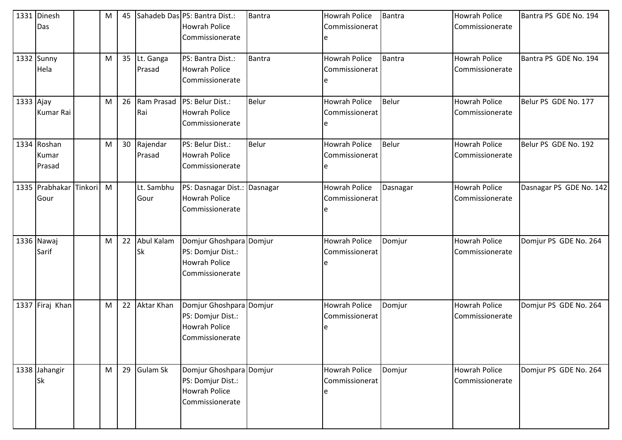|           | 1331 Dinesh<br>Das             |         | M | 45 |                         | Sahadeb Das PS: Bantra Dist.:<br><b>Howrah Police</b><br>Commissionerate                | <b>Bantra</b> | <b>Howrah Police</b><br>Commissionerat | <b>Bantra</b> | <b>Howrah Police</b><br>Commissionerate | Bantra PS GDE No. 194   |
|-----------|--------------------------------|---------|---|----|-------------------------|-----------------------------------------------------------------------------------------|---------------|----------------------------------------|---------------|-----------------------------------------|-------------------------|
|           | 1332 Sunny<br>Hela             |         | M | 35 | Lt. Ganga<br>Prasad     | PS: Bantra Dist.:<br><b>Howrah Police</b><br>Commissionerate                            | Bantra        | <b>Howrah Police</b><br>Commissionerat | Bantra        | <b>Howrah Police</b><br>Commissionerate | Bantra PS GDE No. 194   |
| 1333 Ajay | Kumar Rai                      |         | M | 26 | Ram Prasad<br>Rai       | PS: Belur Dist.:<br><b>Howrah Police</b><br>Commissionerate                             | Belur         | <b>Howrah Police</b><br>Commissionerat | Belur         | <b>Howrah Police</b><br>Commissionerate | Belur PS GDE No. 177    |
|           | 1334 Roshan<br>Kumar<br>Prasad |         | M | 30 | Rajendar<br>Prasad      | PS: Belur Dist.:<br><b>Howrah Police</b><br>Commissionerate                             | <b>Belur</b>  | <b>Howrah Police</b><br>Commissionerat | Belur         | <b>Howrah Police</b><br>Commissionerate | Belur PS GDE No. 192    |
|           | 1335 Prabhakar<br>Gour         | Tinkori | M |    | Lt. Sambhu<br>Gour      | PS: Dasnagar Dist.: Dasnagar<br><b>Howrah Police</b><br>Commissionerate                 |               | <b>Howrah Police</b><br>Commissionerat | Dasnagar      | <b>Howrah Police</b><br>Commissionerate | Dasnagar PS GDE No. 142 |
|           | 1336 Nawaj<br>Sarif            |         | M | 22 | Abul Kalam<br><b>Sk</b> | Domjur Ghoshpara Domjur<br>PS: Domjur Dist.:<br><b>Howrah Police</b><br>Commissionerate |               | <b>Howrah Police</b><br>Commissionerat | Domjur        | <b>Howrah Police</b><br>Commissionerate | Domjur PS GDE No. 264   |
|           | 1337 Firaj Khan                |         | M | 22 | <b>Aktar Khan</b>       | Domjur Ghoshpara Domjur<br>PS: Domjur Dist.:<br><b>Howrah Police</b><br>Commissionerate |               | <b>Howrah Police</b><br>Commissionerat | Domjur        | <b>Howrah Police</b><br>Commissionerate | Domjur PS GDE No. 264   |
|           | 1338 Jahangir<br><b>Sk</b>     |         | M | 29 | <b>Gulam Sk</b>         | Domjur Ghoshpara Domjur<br>PS: Domjur Dist.:<br><b>Howrah Police</b><br>Commissionerate |               | <b>Howrah Police</b><br>Commissionerat | Domjur        | <b>Howrah Police</b><br>Commissionerate | Domjur PS GDE No. 264   |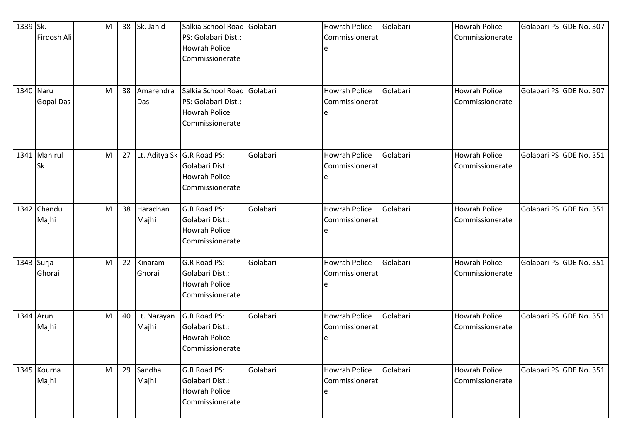| 1339 Sk.<br>1340 Naru | Firdosh Ali               | M<br>M | 38<br>38 | Sk. Jahid<br>Amarendra     | Salkia School Road Golabari<br>PS: Golabari Dist.:<br><b>Howrah Police</b><br>Commissionerate<br>Salkia School Road Golabari |          | <b>Howrah Police</b><br>Commissionerat<br><b>Howrah Police</b> | Golabari<br>Golabari | <b>Howrah Police</b><br>Commissionerate<br><b>Howrah Police</b> | Golabari PS GDE No. 307<br>Golabari PS GDE No. 307 |
|-----------------------|---------------------------|--------|----------|----------------------------|------------------------------------------------------------------------------------------------------------------------------|----------|----------------------------------------------------------------|----------------------|-----------------------------------------------------------------|----------------------------------------------------|
|                       | <b>Gopal Das</b>          |        |          | Das                        | PS: Golabari Dist.:<br><b>Howrah Police</b><br>Commissionerate                                                               |          | Commissionerat                                                 |                      | Commissionerate                                                 |                                                    |
|                       | 1341 Manirul<br><b>Sk</b> | M      | 27       | Lt. Aditya Sk G.R Road PS: | Golabari Dist.:<br><b>Howrah Police</b><br>Commissionerate                                                                   | Golabari | <b>Howrah Police</b><br>Commissionerat                         | Golabari             | <b>Howrah Police</b><br>Commissionerate                         | Golabari PS GDE No. 351                            |
|                       | 1342 Chandu<br>Majhi      | M      | 38       | Haradhan<br>Majhi          | G.R Road PS:<br>Golabari Dist.:<br><b>Howrah Police</b><br>Commissionerate                                                   | Golabari | <b>Howrah Police</b><br>Commissionerat                         | Golabari             | <b>Howrah Police</b><br>Commissionerate                         | Golabari PS GDE No. 351                            |
| 1343 Surja            | Ghorai                    | M      | 22       | Kinaram<br>Ghorai          | G.R Road PS:<br>Golabari Dist.:<br><b>Howrah Police</b><br>Commissionerate                                                   | Golabari | <b>Howrah Police</b><br>Commissionerat                         | Golabari             | <b>Howrah Police</b><br>Commissionerate                         | Golabari PS GDE No. 351                            |
| 1344 Arun             | Majhi                     | M      | 40       | Lt. Narayan<br>Majhi       | G.R Road PS:<br>Golabari Dist.:<br><b>Howrah Police</b><br>Commissionerate                                                   | Golabari | <b>Howrah Police</b><br>Commissionerat                         | Golabari             | <b>Howrah Police</b><br>Commissionerate                         | Golabari PS GDE No. 351                            |
|                       | 1345 Kourna<br>Majhi      | M      | 29       | Sandha<br>Majhi            | G.R Road PS:<br>Golabari Dist.:<br><b>Howrah Police</b><br>Commissionerate                                                   | Golabari | <b>Howrah Police</b><br>Commissionerat<br>e                    | Golabari             | <b>Howrah Police</b><br>Commissionerate                         | Golabari PS GDE No. 351                            |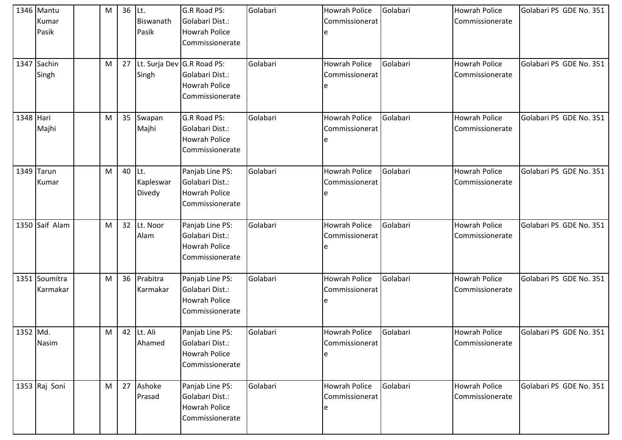|           | 1346 Mantu     | M | 36 Lt. |            | G.R Road PS:               | Golabari | <b>Howrah Police</b> | Golabari | <b>Howrah Police</b> | Golabari PS GDE No. 351 |
|-----------|----------------|---|--------|------------|----------------------------|----------|----------------------|----------|----------------------|-------------------------|
|           | Kumar          |   |        | Biswanath  | Golabari Dist.:            |          | Commissionerat       |          | Commissionerate      |                         |
|           | Pasik          |   |        | Pasik      | <b>Howrah Police</b>       |          |                      |          |                      |                         |
|           |                |   |        |            | Commissionerate            |          |                      |          |                      |                         |
|           |                |   |        |            |                            |          |                      |          |                      |                         |
|           | 1347 Sachin    | M | 27     |            | Lt. Surja Dev G.R Road PS: | Golabari | <b>Howrah Police</b> | Golabari | <b>Howrah Police</b> | Golabari PS GDE No. 351 |
|           | Singh          |   |        | Singh      | Golabari Dist.:            |          | Commissionerat       |          | Commissionerate      |                         |
|           |                |   |        |            | <b>Howrah Police</b>       |          |                      |          |                      |                         |
|           |                |   |        |            | Commissionerate            |          |                      |          |                      |                         |
|           |                |   |        |            |                            |          |                      |          |                      |                         |
| 1348 Hari |                | M | 35     | Swapan     | G.R Road PS:               | Golabari | <b>Howrah Police</b> | Golabari | <b>Howrah Police</b> | Golabari PS GDE No. 351 |
|           | Majhi          |   |        | Majhi      | Golabari Dist.:            |          | Commissionerat       |          | Commissionerate      |                         |
|           |                |   |        |            | <b>Howrah Police</b>       |          |                      |          |                      |                         |
|           |                |   |        |            | Commissionerate            |          |                      |          |                      |                         |
|           | 1349 Tarun     | M | 40     | Lt.        | Panjab Line PS:            | Golabari | <b>Howrah Police</b> | Golabari | <b>Howrah Police</b> | Golabari PS GDE No. 351 |
|           | Kumar          |   |        | Kapleswar  | Golabari Dist.:            |          | Commissionerat       |          | Commissionerate      |                         |
|           |                |   |        | Divedy     | <b>Howrah Police</b>       |          |                      |          |                      |                         |
|           |                |   |        |            | Commissionerate            |          |                      |          |                      |                         |
|           |                |   |        |            |                            |          |                      |          |                      |                         |
|           | 1350 Saif Alam | M | 32     | Lt. Noor   | Panjab Line PS:            | Golabari | <b>Howrah Police</b> | Golabari | <b>Howrah Police</b> | Golabari PS GDE No. 351 |
|           |                |   |        | Alam       | Golabari Dist.:            |          | Commissionerat       |          | Commissionerate      |                         |
|           |                |   |        |            | <b>Howrah Police</b>       |          |                      |          |                      |                         |
|           |                |   |        |            | Commissionerate            |          |                      |          |                      |                         |
|           |                |   |        |            |                            |          |                      |          |                      |                         |
|           | 1351 Soumitra  | M | 36     | Prabitra   | Panjab Line PS:            | Golabari | <b>Howrah Police</b> | Golabari | <b>Howrah Police</b> | Golabari PS GDE No. 351 |
|           | Karmakar       |   |        | Karmakar   | Golabari Dist.:            |          | Commissionerat       |          | Commissionerate      |                         |
|           |                |   |        |            | <b>Howrah Police</b>       |          |                      |          |                      |                         |
|           |                |   |        |            | Commissionerate            |          |                      |          |                      |                         |
| 1352 Md.  |                |   |        | 42 Lt. Ali |                            | Golabari | Howrah Police        | Golabari | <b>Howrah Police</b> | Golabari PS GDE No. 351 |
|           |                | M |        | Ahamed     | Panjab Line PS:            |          |                      |          |                      |                         |
|           | Nasim          |   |        |            | Golabari Dist.:            |          | Commissionerat       |          | Commissionerate      |                         |
|           |                |   |        |            | <b>Howrah Police</b>       |          |                      |          |                      |                         |
|           |                |   |        |            | Commissionerate            |          |                      |          |                      |                         |
|           | 1353 Raj Soni  | M | 27     | Ashoke     | Panjab Line PS:            | Golabari | Howrah Police        | Golabari | Howrah Police        | Golabari PS GDE No. 351 |
|           |                |   |        | Prasad     | Golabari Dist.:            |          | Commissionerat       |          | Commissionerate      |                         |
|           |                |   |        |            | <b>Howrah Police</b>       |          |                      |          |                      |                         |
|           |                |   |        |            | Commissionerate            |          |                      |          |                      |                         |
|           |                |   |        |            |                            |          |                      |          |                      |                         |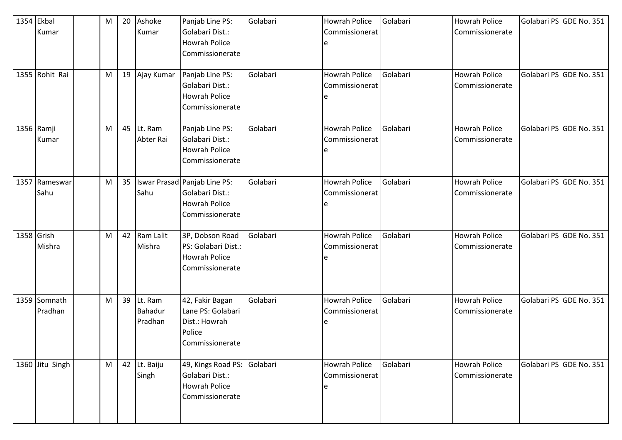| 1354 Ekbal<br>Kumar<br>1355 Rohit Rai | M<br>M | 20<br>19 | Ashoke<br>Kumar<br>Ajay Kumar | Panjab Line PS:<br>Golabari Dist.:<br><b>Howrah Police</b><br>Commissionerate<br>Panjab Line PS:<br>Golabari Dist.:<br><b>Howrah Police</b> | Golabari<br>Golabari | <b>Howrah Police</b><br>Commissionerat<br><b>Howrah Police</b><br>Commissionerat | Golabari<br>Golabari | <b>Howrah Police</b><br>Commissionerate<br><b>Howrah Police</b><br>Commissionerate | Golabari PS GDE No. 351<br>Golabari PS GDE No. 351 |
|---------------------------------------|--------|----------|-------------------------------|---------------------------------------------------------------------------------------------------------------------------------------------|----------------------|----------------------------------------------------------------------------------|----------------------|------------------------------------------------------------------------------------|----------------------------------------------------|
|                                       |        |          |                               | Commissionerate                                                                                                                             |                      |                                                                                  |                      |                                                                                    |                                                    |
| 1356 Ramji<br>Kumar                   | M      | 45       | Lt. Ram<br>Abter Rai          | Panjab Line PS:<br>Golabari Dist.:<br><b>Howrah Police</b><br>Commissionerate                                                               | Golabari             | <b>Howrah Police</b><br>Commissionerat                                           | Golabari             | <b>Howrah Police</b><br>Commissionerate                                            | Golabari PS GDE No. 351                            |
| 1357 Rameswar<br>Sahu                 | M      | 35       | Sahu                          | Iswar Prasad Panjab Line PS:<br>Golabari Dist.:<br><b>Howrah Police</b><br>Commissionerate                                                  | Golabari             | <b>Howrah Police</b><br>Commissionerat                                           | Golabari             | <b>Howrah Police</b><br>Commissionerate                                            | Golabari PS GDE No. 351                            |
| 1358 Grish<br>Mishra                  | M      | 42       | Ram Lalit<br>Mishra           | 3P, Dobson Road<br>PS: Golabari Dist.:<br>Howrah Police<br>Commissionerate                                                                  | Golabari             | <b>Howrah Police</b><br>Commissionerat                                           | Golabari             | <b>Howrah Police</b><br>Commissionerate                                            | Golabari PS GDE No. 351                            |
| 1359 Somnath<br>Pradhan               | M      | 39       | Lt. Ram<br>Bahadur<br>Pradhan | 42, Fakir Bagan<br>Lane PS: Golabari<br>Dist.: Howrah<br>Police<br>Commissionerate                                                          | Golabari             | <b>Howrah Police</b><br>Commissionerat                                           | Golabari             | <b>Howrah Police</b><br>Commissionerate                                            | Golabari PS GDE No. 351                            |
| 1360 Jitu Singh                       | M      |          | 42 Lt. Baiju<br>Singh         | 49, Kings Road PS:<br>Golabari Dist.:<br><b>Howrah Police</b><br>Commissionerate                                                            | Golabari             | <b>Howrah Police</b><br>Commissionerat<br>e                                      | Golabari             | Howrah Police<br>Commissionerate                                                   | Golabari PS GDE No. 351                            |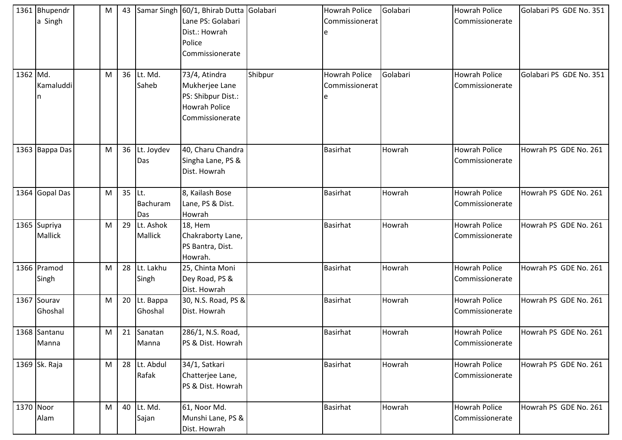|          | 1361 Bhupendr<br>a Singh | M | 43 |                         | Samar Singh 60/1, Bhirab Dutta Golabari<br>Lane PS: Golabari<br>Dist.: Howrah<br>Police<br>Commissionerate |         | <b>Howrah Police</b><br>Commissionerat      | Golabari | <b>Howrah Police</b><br>Commissionerate | Golabari PS GDE No. 351 |
|----------|--------------------------|---|----|-------------------------|------------------------------------------------------------------------------------------------------------|---------|---------------------------------------------|----------|-----------------------------------------|-------------------------|
| 1362 Md. | Kamaluddi<br>n           | M | 36 | Lt. Md.<br>Saheb        | 73/4, Atindra<br>Mukherjee Lane<br>PS: Shibpur Dist.:<br>Howrah Police<br>Commissionerate                  | Shibpur | <b>Howrah Police</b><br>Commissionerat<br>e | Golabari | <b>Howrah Police</b><br>Commissionerate | Golabari PS GDE No. 351 |
|          | 1363 Bappa Das           | M | 36 | Lt. Joydev<br>Das       | 40, Charu Chandra<br>Singha Lane, PS &<br>Dist. Howrah                                                     |         | Basirhat                                    | Howrah   | <b>Howrah Police</b><br>Commissionerate | Howrah PS GDE No. 261   |
|          | 1364 Gopal Das           | M | 35 | ILt.<br>Bachuram<br>Das | 8, Kailash Bose<br>Lane, PS & Dist.<br>Howrah                                                              |         | Basirhat                                    | Howrah   | <b>Howrah Police</b><br>Commissionerate | Howrah PS GDE No. 261   |
|          | 1365 Supriya<br>Mallick  | M | 29 | Lt. Ashok<br>Mallick    | 18, Hem<br>Chakraborty Lane,<br>PS Bantra, Dist.<br>Howrah.                                                |         | <b>Basirhat</b>                             | Howrah   | <b>Howrah Police</b><br>Commissionerate | Howrah PS GDE No. 261   |
|          | 1366 Pramod<br>Singh     | M | 28 | Lt. Lakhu<br>Singh      | 25, Chinta Moni<br>Dey Road, PS &<br>Dist. Howrah                                                          |         | <b>Basirhat</b>                             | Howrah   | <b>Howrah Police</b><br>Commissionerate | Howrah PS GDE No. 261   |
|          | 1367 Sourav<br>Ghoshal   | M | 20 | Lt. Bappa<br>Ghoshal    | 30, N.S. Road, PS &<br>Dist. Howrah                                                                        |         | Basirhat                                    | Howrah   | <b>Howrah Police</b><br>Commissionerate | Howrah PS GDE No. 261   |
|          | 1368 Santanu<br>Manna    | M | 21 | Sanatan<br>Manna        | 286/1, N.S. Road,<br>PS & Dist. Howrah                                                                     |         | <b>Basirhat</b>                             | Howrah   | <b>Howrah Police</b><br>Commissionerate | Howrah PS GDE No. 261   |
|          | 1369 Sk. Raja            | M |    | 28 Lt. Abdul<br>Rafak   | 34/1, Satkari<br>Chatterjee Lane,<br>PS & Dist. Howrah                                                     |         | <b>Basirhat</b>                             | Howrah   | Howrah Police<br>Commissionerate        | Howrah PS GDE No. 261   |
|          | 1370 Noor<br>Alam        | M | 40 | Lt. Md.<br>Sajan        | 61, Noor Md.<br>Munshi Lane, PS &<br>Dist. Howrah                                                          |         | <b>Basirhat</b>                             | Howrah   | Howrah Police<br>Commissionerate        | Howrah PS GDE No. 261   |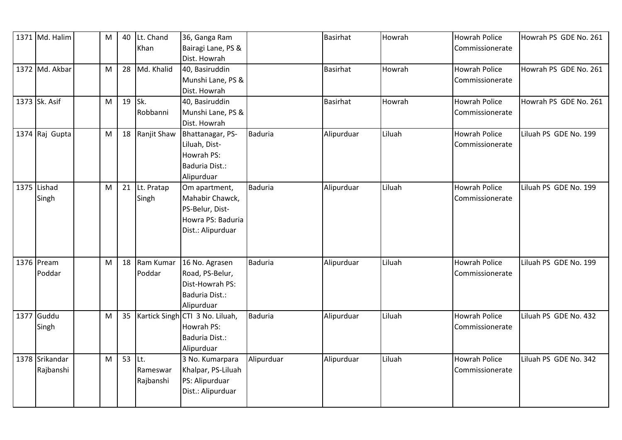| 1371 Md. Halim | ${\sf M}$ | 40     | Lt. Chand      | 36, Ganga Ram                   |                | <b>Basirhat</b> | Howrah | <b>Howrah Police</b> | Howrah PS GDE No. 261 |
|----------------|-----------|--------|----------------|---------------------------------|----------------|-----------------|--------|----------------------|-----------------------|
|                |           |        | Khan           | Bairagi Lane, PS &              |                |                 |        | Commissionerate      |                       |
|                |           |        |                | Dist. Howrah                    |                |                 |        |                      |                       |
| 1372 Md. Akbar | M         | 28     | Md. Khalid     | 40, Basiruddin                  |                | <b>Basirhat</b> | Howrah | <b>Howrah Police</b> | Howrah PS GDE No. 261 |
|                |           |        |                | Munshi Lane, PS &               |                |                 |        | Commissionerate      |                       |
|                |           |        |                | Dist. Howrah                    |                |                 |        |                      |                       |
| 1373 Sk. Asif  | M         |        | 19 Sk.         | 40, Basiruddin                  |                | <b>Basirhat</b> | Howrah | <b>Howrah Police</b> | Howrah PS GDE No. 261 |
|                |           |        | Robbanni       | Munshi Lane, PS &               |                |                 |        | Commissionerate      |                       |
|                |           |        |                | Dist. Howrah                    |                |                 |        |                      |                       |
| 1374 Raj Gupta | ${\sf M}$ |        | 18 Ranjit Shaw | Bhattanagar, PS-                | <b>Baduria</b> | Alipurduar      | Liluah | <b>Howrah Police</b> | Liluah PS GDE No. 199 |
|                |           |        |                | Liluah, Dist-                   |                |                 |        | Commissionerate      |                       |
|                |           |        |                | Howrah PS:                      |                |                 |        |                      |                       |
|                |           |        |                | Baduria Dist.:                  |                |                 |        |                      |                       |
|                |           |        |                | Alipurduar                      |                |                 |        |                      |                       |
| 1375 Lishad    | M         | 21     | Lt. Pratap     | Om apartment,                   | <b>Baduria</b> | Alipurduar      | Liluah | <b>Howrah Police</b> | Liluah PS GDE No. 199 |
| Singh          |           |        | Singh          | Mahabir Chawck,                 |                |                 |        | Commissionerate      |                       |
|                |           |        |                | PS-Belur, Dist-                 |                |                 |        |                      |                       |
|                |           |        |                | Howra PS: Baduria               |                |                 |        |                      |                       |
|                |           |        |                | Dist.: Alipurduar               |                |                 |        |                      |                       |
|                |           |        |                |                                 |                |                 |        |                      |                       |
|                |           |        |                |                                 |                |                 |        |                      |                       |
| 1376 Pream     | M         | 18     | Ram Kumar      | 16 No. Agrasen                  | <b>Baduria</b> | Alipurduar      | Liluah | <b>Howrah Police</b> | Liluah PS GDE No. 199 |
| Poddar         |           |        | Poddar         | Road, PS-Belur,                 |                |                 |        | Commissionerate      |                       |
|                |           |        |                | Dist-Howrah PS:                 |                |                 |        |                      |                       |
|                |           |        |                | Baduria Dist.:                  |                |                 |        |                      |                       |
|                |           |        |                | Alipurduar                      |                |                 |        |                      |                       |
| 1377 Guddu     | M         | 35     |                | Kartick Singh CTI 3 No. Liluah, | Baduria        | Alipurduar      | Liluah | <b>Howrah Police</b> | Liluah PS GDE No. 432 |
| Singh          |           |        |                | Howrah PS:                      |                |                 |        | Commissionerate      |                       |
|                |           |        |                | Baduria Dist.:                  |                |                 |        |                      |                       |
|                |           |        |                | Alipurduar                      |                |                 |        |                      |                       |
| 1378 Srikandar | M         | 53 Lt. |                | 3 No. Kumarpara                 | Alipurduar     | Alipurduar      | Liluah | <b>Howrah Police</b> | Liluah PS GDE No. 342 |
| Rajbanshi      |           |        | Rameswar       | Khalpar, PS-Liluah              |                |                 |        | Commissionerate      |                       |
|                |           |        |                |                                 |                |                 |        |                      |                       |
|                |           |        | Rajbanshi      | PS: Alipurduar                  |                |                 |        |                      |                       |
|                |           |        |                | Dist.: Alipurduar               |                |                 |        |                      |                       |
|                |           |        |                |                                 |                |                 |        |                      |                       |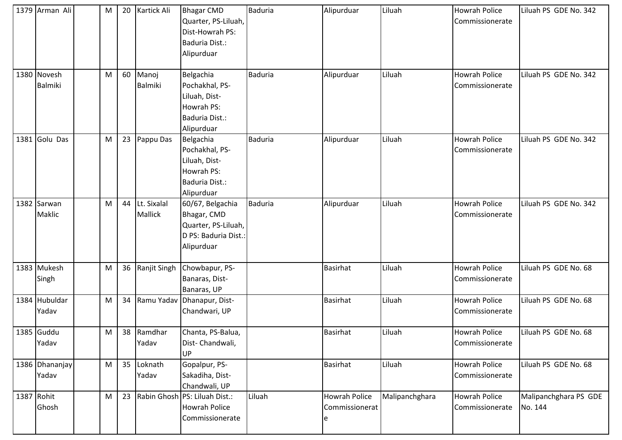| 1379 Arman Ali                | M | 20 | Kartick Ali            | <b>Bhagar CMD</b><br>Quarter, PS-Liluah,<br>Dist-Howrah PS:<br><b>Baduria Dist.:</b><br>Alipurduar | <b>Baduria</b> | Alipurduar                                  | Liluah         | <b>Howrah Police</b><br>Commissionerate | Liluah PS GDE No. 342            |
|-------------------------------|---|----|------------------------|----------------------------------------------------------------------------------------------------|----------------|---------------------------------------------|----------------|-----------------------------------------|----------------------------------|
| 1380 Novesh<br><b>Balmiki</b> | M | 60 | Manoj<br>Balmiki       | Belgachia<br>Pochakhal, PS-<br>Liluah, Dist-<br>Howrah PS:<br>Baduria Dist.:<br>Alipurduar         | <b>Baduria</b> | Alipurduar                                  | Liluah         | <b>Howrah Police</b><br>Commissionerate | Liluah PS GDE No. 342            |
| 1381 Golu Das                 | M | 23 | Pappu Das              | Belgachia<br>Pochakhal, PS-<br>Liluah, Dist-<br>Howrah PS:<br>Baduria Dist.:<br>Alipurduar         | <b>Baduria</b> | Alipurduar                                  | Liluah         | <b>Howrah Police</b><br>Commissionerate | Liluah PS GDE No. 342            |
| 1382 Sarwan<br>Maklic         | M | 44 | Lt. Sixalal<br>Mallick | 60/67, Belgachia<br>Bhagar, CMD<br>Quarter, PS-Liluah,<br>D PS: Baduria Dist.:<br>Alipurduar       | <b>Baduria</b> | Alipurduar                                  | Liluah         | <b>Howrah Police</b><br>Commissionerate | Liluah PS GDE No. 342            |
| 1383 Mukesh<br>Singh          | M | 36 | Ranjit Singh           | Chowbapur, PS-<br>Banaras, Dist-<br>Banaras, UP                                                    |                | <b>Basirhat</b>                             | Liluah         | <b>Howrah Police</b><br>Commissionerate | Liluah PS GDE No. 68             |
| 1384 Hubuldar<br>Yadav        | M | 34 |                        | Ramu Yadav Dhanapur, Dist-<br>Chandwari, UP                                                        |                | <b>Basirhat</b>                             | Liluah         | Howrah Police<br>Commissionerate        | Liluah PS GDE No. 68             |
| 1385 Guddu<br>Yadav           | M | 38 | Ramdhar<br>Yadav       | Chanta, PS-Balua,<br>Dist-Chandwali,<br>UP                                                         |                | <b>Basirhat</b>                             | Liluah         | <b>Howrah Police</b><br>Commissionerate | Liluah PS GDE No. 68             |
| 1386 Dhananjay<br>Yadav       | M | 35 | Loknath<br>Yadav       | Gopalpur, PS-<br>Sakadiha, Dist-<br>Chandwali, UP                                                  |                | <b>Basirhat</b>                             | Liluah         | Howrah Police<br>Commissionerate        | Liluah PS GDE No. 68             |
| 1387 Rohit<br>Ghosh           | M | 23 |                        | Rabin Ghosh PS: Liluah Dist.:<br><b>Howrah Police</b><br>Commissionerate                           | Liluah         | <b>Howrah Police</b><br>Commissionerat<br>e | Malipanchghara | <b>Howrah Police</b><br>Commissionerate | Malipanchghara PS GDE<br>No. 144 |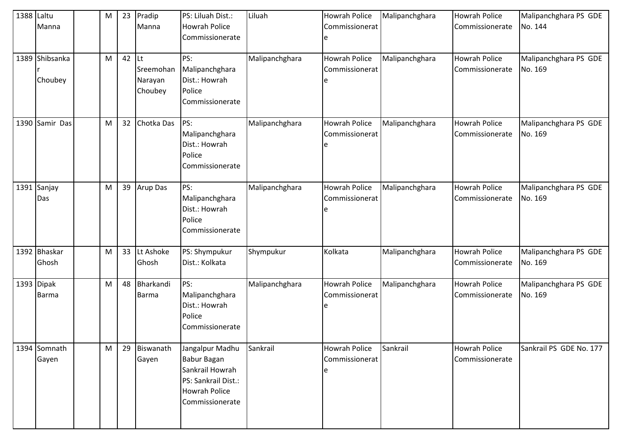| 1388 Laltu | Manna                      | M | 23 | Pradip<br>Manna                              | PS: Liluah Dist.:<br>Howrah Police<br>Commissionerate                                                                      | Liluah         | <b>Howrah Police</b><br>Commissionerat | Malipanchghara | <b>Howrah Police</b><br>Commissionerate | Malipanchghara PS GDE<br>No. 144 |
|------------|----------------------------|---|----|----------------------------------------------|----------------------------------------------------------------------------------------------------------------------------|----------------|----------------------------------------|----------------|-----------------------------------------|----------------------------------|
|            | 1389 Shibsanka<br>Choubey  | M | 42 | <b>Lt</b><br>Sreemohan<br>Narayan<br>Choubey | PS:<br>Malipanchghara<br>Dist.: Howrah<br>Police<br>Commissionerate                                                        | Malipanchghara | Howrah Police<br>Commissionerat        | Malipanchghara | <b>Howrah Police</b><br>Commissionerate | Malipanchghara PS GDE<br>No. 169 |
|            | 1390 Samir Das             | M | 32 | Chotka Das                                   | PS:<br>Malipanchghara<br>Dist.: Howrah<br>Police<br>Commissionerate                                                        | Malipanchghara | Howrah Police<br>Commissionerat        | Malipanchghara | <b>Howrah Police</b><br>Commissionerate | Malipanchghara PS GDE<br>No. 169 |
|            | 1391 Sanjay<br>Das         | M | 39 | Arup Das                                     | PS:<br>Malipanchghara<br>Dist.: Howrah<br>Police<br>Commissionerate                                                        | Malipanchghara | Howrah Police<br>Commissionerat        | Malipanchghara | <b>Howrah Police</b><br>Commissionerate | Malipanchghara PS GDE<br>No. 169 |
|            | 1392 Bhaskar<br>Ghosh      | M | 33 | Lt Ashoke<br>Ghosh                           | PS: Shympukur<br>Dist.: Kolkata                                                                                            | Shympukur      | Kolkata                                | Malipanchghara | <b>Howrah Police</b><br>Commissionerate | Malipanchghara PS GDE<br>No. 169 |
|            | 1393 Dipak<br><b>Barma</b> | M | 48 | Bharkandi<br><b>Barma</b>                    | PS:<br>Malipanchghara<br>Dist.: Howrah<br>Police<br>Commissionerate                                                        | Malipanchghara | Howrah Police<br>Commissionerat        | Malipanchghara | <b>Howrah Police</b><br>Commissionerate | Malipanchghara PS GDE<br>No. 169 |
|            | 1394 Somnath<br>Gayen      | M | 29 | Biswanath<br>Gayen                           | Jangalpur Madhu<br><b>Babur Bagan</b><br>Sankrail Howrah<br>PS: Sankrail Dist.:<br><b>Howrah Police</b><br>Commissionerate | Sankrail       | Howrah Police<br>Commissionerat        | Sankrail       | <b>Howrah Police</b><br>Commissionerate | Sankrail PS GDE No. 177          |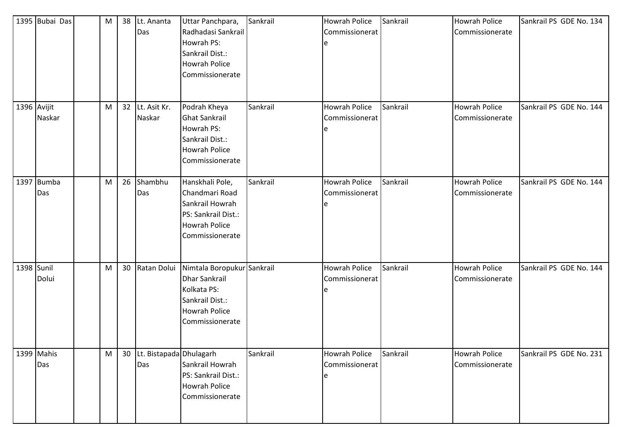|             | 1395 Bubai Das    | M |    | 38 Lt. Ananta<br>Das              | Uttar Panchpara,<br>Radhadasi Sankrail<br>Howrah PS:<br>Sankrail Dist.:<br>Howrah Police<br>Commissionerate              | Sankrail | Howrah Police<br>Commissionerat<br>e        | Sankrail | <b>Howrah Police</b><br>Commissionerate | Sankrail PS GDE No. 134 |
|-------------|-------------------|---|----|-----------------------------------|--------------------------------------------------------------------------------------------------------------------------|----------|---------------------------------------------|----------|-----------------------------------------|-------------------------|
| 1396 Avijit | Naskar            | M |    | 32 Lt. Asit Kr.<br>Naskar         | Podrah Kheya<br><b>Ghat Sankrail</b><br>Howrah PS:<br>Sankrail Dist.:<br><b>Howrah Police</b><br>Commissionerate         | Sankrail | <b>Howrah Police</b><br>Commissionerat<br>e | Sankrail | <b>Howrah Police</b><br>Commissionerate | Sankrail PS GDE No. 144 |
|             | 1397 Bumba<br>Das | M | 26 | Shambhu<br>Das                    | Hanskhali Pole,<br>Chandmari Road<br>Sankrail Howrah<br>PS: Sankrail Dist.:<br><b>Howrah Police</b><br>Commissionerate   | Sankrail | <b>Howrah Police</b><br>Commissionerat<br>e | Sankrail | <b>Howrah Police</b><br>Commissionerate | Sankrail PS GDE No. 144 |
| 1398 Sunil  | Dolui             | M | 30 | Ratan Dolui                       | Nimtala Boropukur Sankrail<br>Dhar Sankrail<br>Kolkata PS:<br>Sankrail Dist.:<br><b>Howrah Police</b><br>Commissionerate |          | Howrah Police<br>Commissionerat<br>e        | Sankrail | Howrah Police<br>Commissionerate        | Sankrail PS GDE No. 144 |
|             | 1399 Mahis<br>Das | M |    | 30 Lt. Bistapada Dhulagarh<br>Das | Sankrail Howrah<br>PS: Sankrail Dist.:<br><b>Howrah Police</b><br>Commissionerate                                        | Sankrail | <b>Howrah Police</b><br>Commissionerat<br>e | Sankrail | <b>Howrah Police</b><br>Commissionerate | Sankrail PS GDE No. 231 |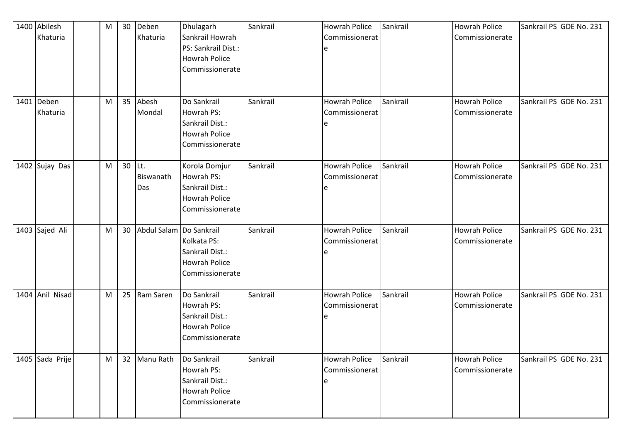| 1400 Abilesh<br>Khaturia | M | 30       | Deben<br>Khaturia       | Dhulagarh<br>Sankrail Howrah<br>PS: Sankrail Dist.:<br>Howrah Police<br>Commissionerate | Sankrail | <b>Howrah Police</b><br>Commissionerat<br>e | Sankrail | <b>Howrah Police</b><br>Commissionerate | Sankrail PS GDE No. 231 |
|--------------------------|---|----------|-------------------------|-----------------------------------------------------------------------------------------|----------|---------------------------------------------|----------|-----------------------------------------|-------------------------|
| 1401 Deben<br>Khaturia   | M | 35       | Abesh<br>Mondal         | Do Sankrail<br>Howrah PS:<br>Sankrail Dist.:<br><b>Howrah Police</b><br>Commissionerate | Sankrail | <b>Howrah Police</b><br>Commissionerat<br>e | Sankrail | <b>Howrah Police</b><br>Commissionerate | Sankrail PS GDE No. 231 |
| 1402 Sujay Das           | M | $30$ Lt. | Biswanath<br>Das        | Korola Domjur<br>Howrah PS:<br>Sankrail Dist.:<br>Howrah Police<br>Commissionerate      | Sankrail | <b>Howrah Police</b><br>Commissionerat      | Sankrail | <b>Howrah Police</b><br>Commissionerate | Sankrail PS GDE No. 231 |
| 1403 Sajed Ali           | M | 30       | Abdul Salam Do Sankrail | Kolkata PS:<br>Sankrail Dist.:<br>Howrah Police<br>Commissionerate                      | Sankrail | <b>Howrah Police</b><br>Commissionerat<br>e | Sankrail | <b>Howrah Police</b><br>Commissionerate | Sankrail PS GDE No. 231 |
| 1404 Anil Nisad          | M | 25       | Ram Saren               | Do Sankrail<br>Howrah PS:<br>Sankrail Dist.:<br><b>Howrah Police</b><br>Commissionerate | Sankrail | <b>Howrah Police</b><br>Commissionerat<br>e | Sankrail | <b>Howrah Police</b><br>Commissionerate | Sankrail PS GDE No. 231 |
| 1405 Sada Prije          | M | 32       | Manu Rath               | Do Sankrail<br>Howrah PS:<br>Sankrail Dist.:<br><b>Howrah Police</b><br>Commissionerate | Sankrail | <b>Howrah Police</b><br>Commissionerat<br>e | Sankrail | <b>Howrah Police</b><br>Commissionerate | Sankrail PS GDE No. 231 |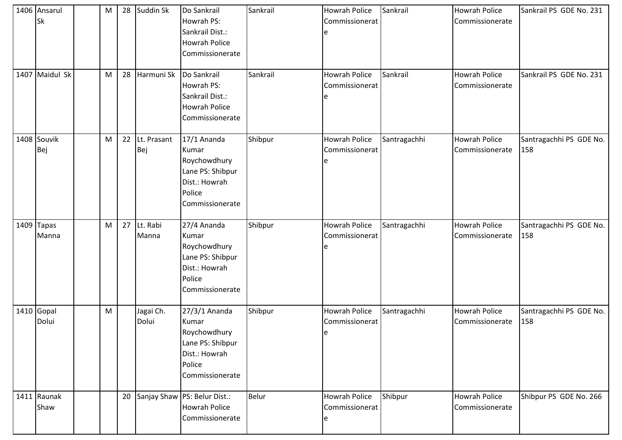| 1406 Ansarul<br>Sk    | M | 28 | Suddin Sk          | Do Sankrail<br>Howrah PS:<br>Sankrail Dist.:<br><b>Howrah Police</b><br>Commissionerate                  | Sankrail     | <b>Howrah Police</b><br>Commissionerat<br>e         | Sankrail     | <b>Howrah Police</b><br>Commissionerate | Sankrail PS GDE No. 231        |
|-----------------------|---|----|--------------------|----------------------------------------------------------------------------------------------------------|--------------|-----------------------------------------------------|--------------|-----------------------------------------|--------------------------------|
| 1407 Maidul Sk        | M | 28 | Harmuni Sk         | Do Sankrail<br>Howrah PS:<br>Sankrail Dist.:<br><b>Howrah Police</b><br>Commissionerate                  | Sankrail     | <b>Howrah Police</b><br>Commissionerat<br>e         | Sankrail     | <b>Howrah Police</b><br>Commissionerate | Sankrail PS GDE No. 231        |
| 1408 Souvik<br>Bej    | M | 22 | Lt. Prasant<br>Bej | 17/1 Ananda<br>Kumar<br>Roychowdhury<br>Lane PS: Shibpur<br>Dist.: Howrah<br>Police<br>Commissionerate   | Shibpur      | <b>Howrah Police</b><br>Commissionerat<br>e         | Santragachhi | <b>Howrah Police</b><br>Commissionerate | Santragachhi PS GDE No.<br>158 |
| $1409$ Tapas<br>Manna | M | 27 | Lt. Rabi<br>Manna  | 27/4 Ananda<br>Kumar<br>Roychowdhury<br>Lane PS: Shibpur<br>Dist.: Howrah<br>Police<br>Commissionerate   | Shibpur      | <b>Howrah Police</b><br>Commissionerat<br>e         | Santragachhi | <b>Howrah Police</b><br>Commissionerate | Santragachhi PS GDE No.<br>158 |
| 1410 Gopal<br>Dolui   | M |    | Jagai Ch.<br>Dolui | 27/3/1 Ananda<br>Kumar<br>Roychowdhury<br>Lane PS: Shibpur<br>Dist.: Howrah<br>Police<br>Commissionerate | Shibpur      | <b>Howrah Police</b><br>Commissionerat<br>${\bf e}$ | Santragachhi | <b>Howrah Police</b><br>Commissionerate | Santragachhi PS GDE No.<br>158 |
| 1411 Raunak<br>Shaw   |   | 20 |                    | Sanjay Shaw PS: Belur Dist.:<br><b>Howrah Police</b><br>Commissionerate                                  | <b>Belur</b> | Howrah Police<br>Commissionerat<br>e                | Shibpur      | <b>Howrah Police</b><br>Commissionerate | Shibpur PS GDE No. 266         |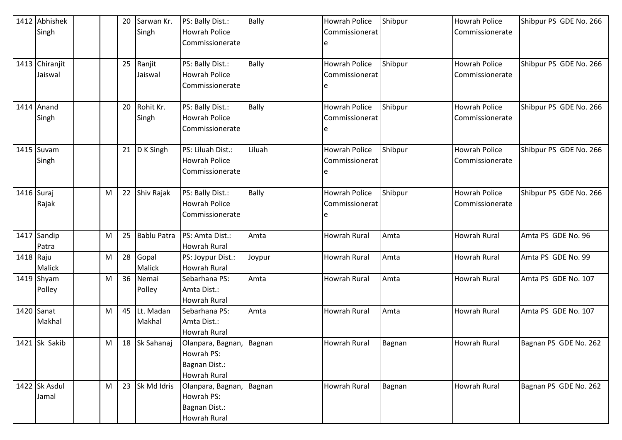|           | 1412 Abhishek  |           | 20 | Sarwan Kr.         | PS: Bally Dist.:         | Bally        | <b>Howrah Police</b> | Shibpur | <b>Howrah Police</b> | Shibpur PS GDE No. 266 |
|-----------|----------------|-----------|----|--------------------|--------------------------|--------------|----------------------|---------|----------------------|------------------------|
|           | Singh          |           |    | Singh              | <b>Howrah Police</b>     |              | Commissionerat       |         | Commissionerate      |                        |
|           |                |           |    |                    | Commissionerate          |              | e                    |         |                      |                        |
|           |                |           |    |                    |                          |              |                      |         |                      |                        |
|           | 1413 Chiranjit |           | 25 | Ranjit             | PS: Bally Dist.:         | <b>Bally</b> | <b>Howrah Police</b> | Shibpur | <b>Howrah Police</b> | Shibpur PS GDE No. 266 |
|           | Jaiswal        |           |    | Jaiswal            | Howrah Police            |              | Commissionerat       |         | Commissionerate      |                        |
|           |                |           |    |                    | Commissionerate          |              | e                    |         |                      |                        |
|           | 1414 Anand     |           | 20 | Rohit Kr.          | PS: Bally Dist.:         | <b>Bally</b> | <b>Howrah Police</b> | Shibpur | <b>Howrah Police</b> | Shibpur PS GDE No. 266 |
|           | Singh          |           |    | Singh              | <b>Howrah Police</b>     |              | Commissionerat       |         | Commissionerate      |                        |
|           |                |           |    |                    | Commissionerate          |              | e                    |         |                      |                        |
|           | $1415$ Suvam   |           | 21 | D K Singh          | PS: Liluah Dist.:        | Liluah       | <b>Howrah Police</b> | Shibpur | <b>Howrah Police</b> | Shibpur PS GDE No. 266 |
|           | Singh          |           |    |                    | <b>Howrah Police</b>     |              | Commissionerat       |         | Commissionerate      |                        |
|           |                |           |    |                    | Commissionerate          |              | e                    |         |                      |                        |
|           | 1416 Suraj     | M         | 22 | Shiv Rajak         | PS: Bally Dist.:         | <b>Bally</b> | <b>Howrah Police</b> | Shibpur | <b>Howrah Police</b> | Shibpur PS GDE No. 266 |
|           | Rajak          |           |    |                    | <b>Howrah Police</b>     |              | Commissionerat       |         | Commissionerate      |                        |
|           |                |           |    |                    | Commissionerate          |              | e                    |         |                      |                        |
|           |                |           |    |                    |                          |              |                      |         |                      |                        |
|           | 1417 Sandip    | M         | 25 | <b>Bablu Patra</b> | PS: Amta Dist.:          | Amta         | <b>Howrah Rural</b>  | Amta    | Howrah Rural         | Amta PS GDE No. 96     |
|           | Patra          |           |    |                    | <b>Howrah Rural</b>      |              |                      |         |                      |                        |
| 1418 Raju |                | ${\sf M}$ | 28 | Gopal              | PS: Joypur Dist.:        | Joypur       | Howrah Rural         | Amta    | Howrah Rural         | Amta PS GDE No. 99     |
|           | Malick         |           |    | Malick             | <b>Howrah Rural</b>      |              |                      |         |                      |                        |
|           | 1419 Shyam     | M         | 36 | Nemai              | Sebarhana PS:            | Amta         | Howrah Rural         | Amta    | Howrah Rural         | Amta PS GDE No. 107    |
|           | Polley         |           |    | Polley             | Amta Dist.:              |              |                      |         |                      |                        |
|           |                |           |    |                    | <b>Howrah Rural</b>      |              |                      |         |                      |                        |
|           | 1420 Sanat     | M         | 45 | Lt. Madan          | Sebarhana PS:            | Amta         | <b>Howrah Rural</b>  | Amta    | Howrah Rural         | Amta PS GDE No. 107    |
|           | Makhal         |           |    | Makhal             | Amta Dist.:              |              |                      |         |                      |                        |
|           |                |           |    |                    | <b>Howrah Rural</b>      |              |                      |         |                      |                        |
|           | 1421 Sk Sakib  | M         |    | 18 Sk Sahanaj      | Olanpara, Bagnan, Bagnan |              | <b>Howrah Rural</b>  | Bagnan  | Howrah Rural         | Bagnan PS GDE No. 262  |
|           |                |           |    |                    | Howrah PS:               |              |                      |         |                      |                        |
|           |                |           |    |                    | Bagnan Dist.:            |              |                      |         |                      |                        |
|           |                |           |    |                    | <b>Howrah Rural</b>      |              |                      |         |                      |                        |
|           | 1422 Sk Asdul  | M         | 23 | Sk Md Idris        | Olanpara, Bagnan,        | Bagnan       | Howrah Rural         | Bagnan  | Howrah Rural         | Bagnan PS GDE No. 262  |
|           | Jamal          |           |    |                    | Howrah PS:               |              |                      |         |                      |                        |
|           |                |           |    |                    | Bagnan Dist.:            |              |                      |         |                      |                        |
|           |                |           |    |                    | <b>Howrah Rural</b>      |              |                      |         |                      |                        |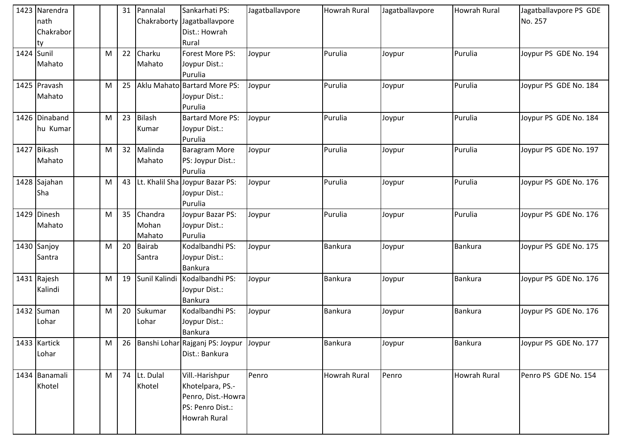|            | 1423 Narendra<br>nath<br>Chakrabor<br> ty |   | 31 | Pannalal                   | Sankarhati PS:<br>Chakraborty Jagatballavpore<br>Dist.: Howrah<br>Rural                              | Jagatballavpore | <b>Howrah Rural</b> | Jagatballavpore | Howrah Rural | Jagatballavpore PS GDE<br>No. 257 |
|------------|-------------------------------------------|---|----|----------------------------|------------------------------------------------------------------------------------------------------|-----------------|---------------------|-----------------|--------------|-----------------------------------|
| 1424 Sunil | Mahato                                    | M | 22 | Charku<br>Mahato           | Forest More PS:<br>Joypur Dist.:<br>Purulia                                                          | Joypur          | Purulia             | Joypur          | Purulia      | Joypur PS GDE No. 194             |
|            | 1425 Pravash<br>Mahato                    | M | 25 |                            | Aklu Mahato Bartard More PS:<br>Joypur Dist.:<br>Purulia                                             | Joypur          | Purulia             | Joypur          | Purulia      | Joypur PS GDE No. 184             |
|            | 1426 Dinaband<br>hu Kumar                 | M | 23 | <b>Bilash</b><br>Kumar     | <b>Bartard More PS:</b><br>Joypur Dist.:<br>Purulia                                                  | Joypur          | Purulia             | Joypur          | Purulia      | Joypur PS GDE No. 184             |
|            | 1427 Bikash<br>Mahato                     | M | 32 | Malinda<br>Mahato          | <b>Baragram More</b><br>PS: Joypur Dist.:<br>Purulia                                                 | Joypur          | Purulia             | Joypur          | Purulia      | Joypur PS GDE No. 197             |
|            | 1428 Sajahan<br>Sha                       | M | 43 |                            | Lt. Khalil Sha Joypur Bazar PS:<br>Joypur Dist.:<br>Purulia                                          | Joypur          | Purulia             | Joypur          | Purulia      | Joypur PS GDE No. 176             |
|            | 1429 Dinesh<br>Mahato                     | M | 35 | Chandra<br>Mohan<br>Mahato | Joypur Bazar PS:<br>Joypur Dist.:<br>Purulia                                                         | Joypur          | Purulia             | Joypur          | Purulia      | Joypur PS GDE No. 176             |
|            | 1430 Sanjoy<br>Santra                     | M | 20 | <b>Bairab</b><br>Santra    | Kodalbandhi PS:<br>Joypur Dist.:<br><b>Bankura</b>                                                   | Joypur          | Bankura             | Joypur          | Bankura      | Joypur PS GDE No. 175             |
|            | 1431 Rajesh<br>Kalindi                    | M | 19 | Sunil Kalindi              | Kodalbandhi PS:<br>Joypur Dist.:<br><b>Bankura</b>                                                   | Joypur          | <b>Bankura</b>      | Joypur          | Bankura      | Joypur PS GDE No. 176             |
|            | 1432 Suman<br>Lohar                       | M | 20 | Sukumar<br>Lohar           | Kodalbandhi PS:<br>Joypur Dist.:<br><b>Bankura</b>                                                   | Joypur          | Bankura             | Joypur          | Bankura      | Joypur PS GDE No. 176             |
|            | 1433 Kartick<br>Lohar                     | M | 26 |                            | Banshi Lohar Rajganj PS: Joypur<br>Dist.: Bankura                                                    | Joypur          | <b>Bankura</b>      | Joypur          | Bankura      | Joypur PS GDE No. 177             |
|            | 1434 Banamali<br>Khotel                   | M | 74 | Lt. Dulal<br>Khotel        | Vill.-Harishpur<br>Khotelpara, PS.-<br>Penro, Dist.-Howra<br>PS: Penro Dist.:<br><b>Howrah Rural</b> | Penro           | Howrah Rural        | Penro           | Howrah Rural | Penro PS GDE No. 154              |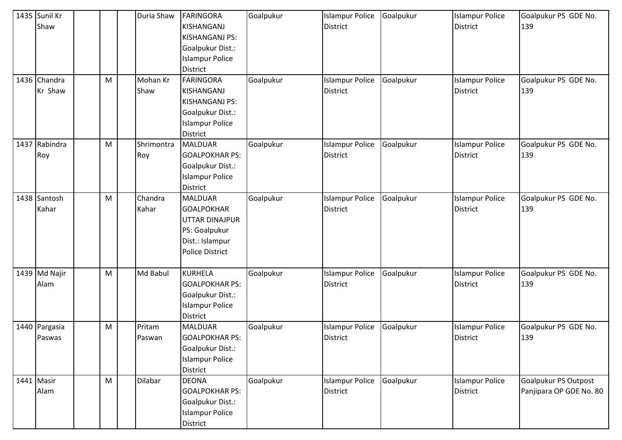| 1435 Sunil Kr<br>Shaw<br>1436 Chandra<br>Kr Shaw | M | Duria Shaw<br>Mohan Kr<br>Shaw | FARINGORA<br><b>KISHANGANJ</b><br><b>KISHANGANJ PS:</b><br>Goalpukur Dist.:<br><b>Islampur Police</b><br><b>District</b><br>FARINGORA<br>KISHANGANJ<br><b>KISHANGANJ PS:</b><br>Goalpukur Dist.:<br><b>Islampur Police</b> | Goalpukur<br>Goalpukur | <b>Islampur Police</b><br><b>District</b><br><b>Islampur Police</b><br><b>District</b> | Goalpukur<br>Goalpukur | <b>Islampur Police</b><br><b>District</b><br><b>Islampur Police</b><br><b>District</b> | Goalpukur PS GDE No.<br>139<br>Goalpukur PS GDE No.<br>139 |
|--------------------------------------------------|---|--------------------------------|----------------------------------------------------------------------------------------------------------------------------------------------------------------------------------------------------------------------------|------------------------|----------------------------------------------------------------------------------------|------------------------|----------------------------------------------------------------------------------------|------------------------------------------------------------|
| 1437 Rabindra<br>Roy                             | M | Shrimontra<br>Roy              | <b>District</b><br><b>MALDUAR</b><br><b>GOALPOKHAR PS:</b><br>Goalpukur Dist.:<br><b>Islampur Police</b><br><b>District</b>                                                                                                | Goalpukur              | <b>Islampur Police</b><br><b>District</b>                                              | Goalpukur              | <b>Islampur Police</b><br><b>District</b>                                              | Goalpukur PS GDE No.<br>139                                |
| 1438 Santosh<br>Kahar                            | M | Chandra<br>Kahar               | <b>MALDUAR</b><br><b>GOALPOKHAR</b><br>UTTAR DINAJPUR<br>PS: Goalpukur<br>Dist.: Islampur<br><b>Police District</b>                                                                                                        | Goalpukur              | <b>Islampur Police</b><br><b>District</b>                                              | Goalpukur              | <b>Islampur Police</b><br>District                                                     | Goalpukur PS GDE No.<br>139                                |
| 1439 Md Najir<br>Alam                            | M | Md Babul                       | <b>KURHELA</b><br><b>GOALPOKHAR PS:</b><br>Goalpukur Dist.:<br><b>Islampur Police</b><br><b>District</b>                                                                                                                   | Goalpukur              | <b>Islampur Police</b><br><b>District</b>                                              | Goalpukur              | <b>Islampur Police</b><br><b>District</b>                                              | Goalpukur PS GDE No.<br>139                                |
| 1440 Pargasia<br>Paswas                          | M | Pritam<br>Paswan               | <b>MALDUAR</b><br><b>GOALPOKHAR PS:</b><br>Goalpukur Dist.:<br><b>Islampur Police</b><br><b>District</b>                                                                                                                   | Goalpukur              | <b>Islampur Police</b><br><b>District</b>                                              | Goalpukur              | <b>Islampur Police</b><br><b>District</b>                                              | Goalpukur PS GDE No.<br>139                                |
| 1441 Masir<br>Alam                               | M | Dilabar                        | <b>DEONA</b><br><b>GOALPOKHAR PS:</b><br>Goalpukur Dist.:<br><b>Islampur Police</b><br>District                                                                                                                            | Goalpukur              | <b>Islampur Police</b><br><b>District</b>                                              | Goalpukur              | <b>Islampur Police</b><br><b>District</b>                                              | Goalpukur PS Outpost<br>Panjipara OP GDE No. 80            |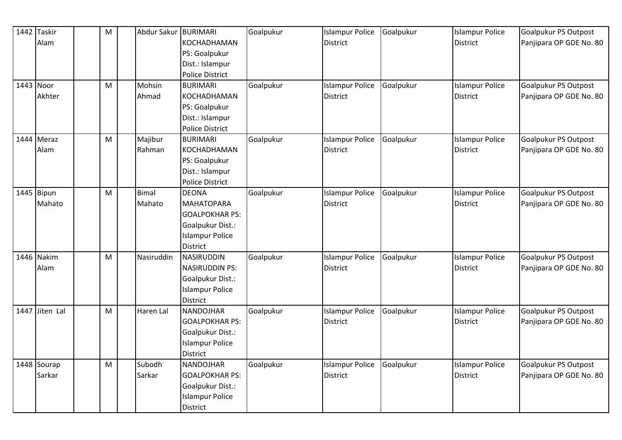| 1442 Taskir    | M | Abdur Sakur BURIMARI |                        | Goalpukur | <b>Islampur Police</b> | Goalpukur | <b>Islampur Police</b> | Goalpukur PS Outpost        |
|----------------|---|----------------------|------------------------|-----------|------------------------|-----------|------------------------|-----------------------------|
| Alam           |   |                      | KOCHADHAMAN            |           | <b>District</b>        |           | <b>District</b>        | Panjipara OP GDE No. 80     |
|                |   |                      | PS: Goalpukur          |           |                        |           |                        |                             |
|                |   |                      | Dist.: Islampur        |           |                        |           |                        |                             |
|                |   |                      | <b>Police District</b> |           |                        |           |                        |                             |
| 1443 Noor      | M | Mohsin               | <b>BURIMARI</b>        | Goalpukur | <b>Islampur Police</b> | Goalpukur | <b>Islampur Police</b> | <b>Goalpukur PS Outpost</b> |
| Akhter         |   | Ahmad                | KOCHADHAMAN            |           | <b>District</b>        |           | <b>District</b>        | Panjipara OP GDE No. 80     |
|                |   |                      | PS: Goalpukur          |           |                        |           |                        |                             |
|                |   |                      | Dist.: Islampur        |           |                        |           |                        |                             |
|                |   |                      | Police District        |           |                        |           |                        |                             |
| 1444 Meraz     | M | Majibur              | <b>BURIMARI</b>        | Goalpukur | <b>Islampur Police</b> | Goalpukur | <b>Islampur Police</b> | <b>Goalpukur PS Outpost</b> |
| Alam           |   | Rahman               | KOCHADHAMAN            |           | District               |           | <b>District</b>        | Panjipara OP GDE No. 80     |
|                |   |                      | PS: Goalpukur          |           |                        |           |                        |                             |
|                |   |                      | Dist.: Islampur        |           |                        |           |                        |                             |
|                |   |                      | Police District        |           |                        |           |                        |                             |
| 1445 Bipun     | M | <b>Bimal</b>         | <b>DEONA</b>           | Goalpukur | <b>Islampur Police</b> | Goalpukur | <b>Islampur Police</b> | Goalpukur PS Outpost        |
| Mahato         |   | Mahato               | <b>MAHATOPARA</b>      |           | <b>District</b>        |           | <b>District</b>        | Panjipara OP GDE No. 80     |
|                |   |                      | <b>GOALPOKHAR PS:</b>  |           |                        |           |                        |                             |
|                |   |                      | Goalpukur Dist.:       |           |                        |           |                        |                             |
|                |   |                      | <b>Islampur Police</b> |           |                        |           |                        |                             |
|                |   |                      | <b>District</b>        |           |                        |           |                        |                             |
| 1446 Nakim     | M | Nasiruddin           | NASIRUDDIN             | Goalpukur | <b>Islampur Police</b> | Goalpukur | <b>Islampur Police</b> | <b>Goalpukur PS Outpost</b> |
| Alam           |   |                      | <b>NASIRUDDIN PS:</b>  |           | District               |           | <b>District</b>        | Panjipara OP GDE No. 80     |
|                |   |                      | Goalpukur Dist.:       |           |                        |           |                        |                             |
|                |   |                      | <b>Islampur Police</b> |           |                        |           |                        |                             |
|                |   |                      | <b>District</b>        |           |                        |           |                        |                             |
| 1447 Jiten Lal | M | Haren Lal            | NANDOJHAR              | Goalpukur | <b>Islampur Police</b> | Goalpukur | <b>Islampur Police</b> | Goalpukur PS Outpost        |
|                |   |                      | <b>GOALPOKHAR PS:</b>  |           | <b>District</b>        |           | <b>District</b>        | Panjipara OP GDE No. 80     |
|                |   |                      | Goalpukur Dist.:       |           |                        |           |                        |                             |
|                |   |                      | <b>Islampur Police</b> |           |                        |           |                        |                             |
|                |   |                      | District               |           |                        |           |                        |                             |
| 1448 Sourap    | M | Subodh               | NANDOJHAR              | Goalpukur | <b>Islampur Police</b> | Goalpukur | <b>Islampur Police</b> | Goalpukur PS Outpost        |
| Sarkar         |   | Sarkar               | <b>GOALPOKHAR PS:</b>  |           | District               |           | District               | Panjipara OP GDE No. 80     |
|                |   |                      | Goalpukur Dist.:       |           |                        |           |                        |                             |
|                |   |                      | <b>Islampur Police</b> |           |                        |           |                        |                             |
|                |   |                      | <b>District</b>        |           |                        |           |                        |                             |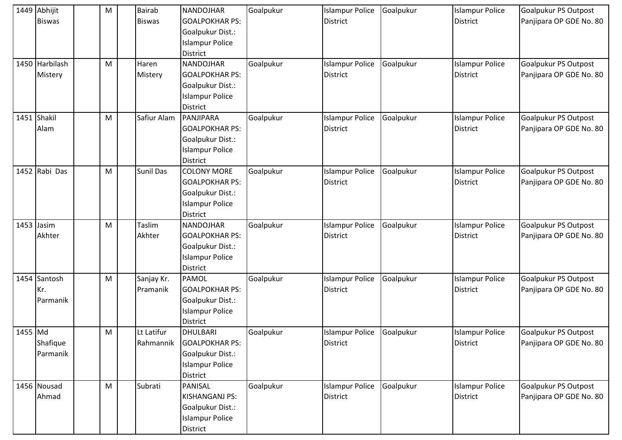|         | 1449 Abhijit   | M | <b>Bairab</b> | <b>NANDOJHAR</b>       | Goalpukur | <b>Islampur Police</b> | Goalpukur | <b>Islampur Police</b> | Goalpukur PS Outpost    |
|---------|----------------|---|---------------|------------------------|-----------|------------------------|-----------|------------------------|-------------------------|
|         | <b>Biswas</b>  |   | <b>Biswas</b> | <b>GOALPOKHAR PS:</b>  |           | <b>District</b>        |           | <b>District</b>        | Panjipara OP GDE No. 80 |
|         |                |   |               | Goalpukur Dist.:       |           |                        |           |                        |                         |
|         |                |   |               | <b>Islampur Police</b> |           |                        |           |                        |                         |
|         |                |   |               | <b>District</b>        |           |                        |           |                        |                         |
|         | 1450 Harbilash | M | Haren         | <b>NANDOJHAR</b>       | Goalpukur | <b>Islampur Police</b> | Goalpukur | <b>Islampur Police</b> | Goalpukur PS Outpost    |
|         | Mistery        |   | Mistery       | <b>GOALPOKHAR PS:</b>  |           | <b>District</b>        |           | <b>District</b>        | Panjipara OP GDE No. 80 |
|         |                |   |               | Goalpukur Dist.:       |           |                        |           |                        |                         |
|         |                |   |               | <b>Islampur Police</b> |           |                        |           |                        |                         |
|         |                |   |               | <b>District</b>        |           |                        |           |                        |                         |
|         | 1451 Shakil    | M | Safiur Alam   | PANJIPARA              | Goalpukur | <b>Islampur Police</b> | Goalpukur | <b>Islampur Police</b> | Goalpukur PS Outpost    |
|         | Alam           |   |               | <b>GOALPOKHAR PS:</b>  |           | <b>District</b>        |           | <b>District</b>        | Panjipara OP GDE No. 80 |
|         |                |   |               | Goalpukur Dist.:       |           |                        |           |                        |                         |
|         |                |   |               | <b>Islampur Police</b> |           |                        |           |                        |                         |
|         |                |   |               | <b>District</b>        |           |                        |           |                        |                         |
|         | 1452 Rabi Das  | M | Sunil Das     | <b>COLONY MORE</b>     | Goalpukur | <b>Islampur Police</b> | Goalpukur | <b>Islampur Police</b> | Goalpukur PS Outpost    |
|         |                |   |               | <b>GOALPOKHAR PS:</b>  |           | <b>District</b>        |           | <b>District</b>        | Panjipara OP GDE No. 80 |
|         |                |   |               | Goalpukur Dist.:       |           |                        |           |                        |                         |
|         |                |   |               | <b>Islampur Police</b> |           |                        |           |                        |                         |
|         |                |   |               | <b>District</b>        |           |                        |           |                        |                         |
|         | 1453 Jasim     | M | Taslim        | <b>NANDOJHAR</b>       | Goalpukur | <b>Islampur Police</b> | Goalpukur | <b>Islampur Police</b> | Goalpukur PS Outpost    |
|         | Akhter         |   | Akhter        | <b>GOALPOKHAR PS:</b>  |           | <b>District</b>        |           | <b>District</b>        | Panjipara OP GDE No. 80 |
|         |                |   |               | Goalpukur Dist.:       |           |                        |           |                        |                         |
|         |                |   |               | <b>Islampur Police</b> |           |                        |           |                        |                         |
|         |                |   |               | District               |           |                        |           |                        |                         |
|         | 1454 Santosh   | M | Sanjay Kr.    | <b>PAMOL</b>           | Goalpukur | <b>Islampur Police</b> | Goalpukur | <b>Islampur Police</b> | Goalpukur PS Outpost    |
|         | Kr.            |   | Pramanik      | <b>GOALPOKHAR PS:</b>  |           | <b>District</b>        |           | <b>District</b>        | Panjipara OP GDE No. 80 |
|         | Parmanik       |   |               | Goalpukur Dist.:       |           |                        |           |                        |                         |
|         |                |   |               | <b>Islampur Police</b> |           |                        |           |                        |                         |
|         |                |   |               | <b>District</b>        |           |                        |           |                        |                         |
| 1455 Md |                | M | Lt Latifur    | DHULBARI               | Goalpukur | <b>Islampur Police</b> | Goalpukur | <b>Islampur Police</b> | Goalpukur PS Outpost    |
|         | Shafique       |   | Rahmannik     | <b>GOALPOKHAR PS:</b>  |           | <b>District</b>        |           | <b>District</b>        | Panjipara OP GDE No. 80 |
|         | Parmanik       |   |               | Goalpukur Dist.:       |           |                        |           |                        |                         |
|         |                |   |               | <b>Islampur Police</b> |           |                        |           |                        |                         |
|         |                |   |               | <b>District</b>        |           |                        |           |                        |                         |
|         | 1456 Nousad    | M | Subrati       | PANISAL                | Goalpukur | <b>Islampur Police</b> | Goalpukur | <b>Islampur Police</b> | Goalpukur PS Outpost    |
|         | Ahmad          |   |               | <b>KISHANGANJ PS:</b>  |           | <b>District</b>        |           | <b>District</b>        | Panjipara OP GDE No. 80 |
|         |                |   |               | Goalpukur Dist.:       |           |                        |           |                        |                         |
|         |                |   |               | <b>Islampur Police</b> |           |                        |           |                        |                         |
|         |                |   |               | District               |           |                        |           |                        |                         |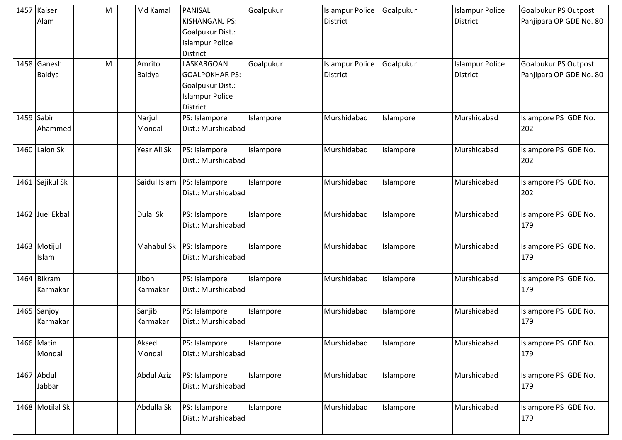| 1457 Kaiser<br>Alam     | M | Md Kamal           | PANISAL<br><b>KISHANGANJ PS:</b><br>Goalpukur Dist.:<br><b>Islampur Police</b><br><b>District</b>    | Goalpukur | <b>Islampur Police</b><br><b>District</b> | Goalpukur | <b>Islampur Police</b><br><b>District</b> | Goalpukur PS Outpost<br>Panjipara OP GDE No. 80 |
|-------------------------|---|--------------------|------------------------------------------------------------------------------------------------------|-----------|-------------------------------------------|-----------|-------------------------------------------|-------------------------------------------------|
| 1458 Ganesh<br>Baidya   | M | Amrito<br>Baidya   | LASKARGOAN<br><b>GOALPOKHAR PS:</b><br>Goalpukur Dist.:<br><b>Islampur Police</b><br><b>District</b> | Goalpukur | <b>Islampur Police</b><br><b>District</b> | Goalpukur | <b>Islampur Police</b><br><b>District</b> | Goalpukur PS Outpost<br>Panjipara OP GDE No. 80 |
| 1459 Sabir<br>Ahammed   |   | Narjul<br>Mondal   | PS: Islampore<br>Dist.: Murshidabad                                                                  | Islampore | Murshidabad                               | Islampore | Murshidabad                               | Islampore PS GDE No.<br>202                     |
| 1460 Lalon Sk           |   | Year Ali Sk        | PS: Islampore<br>Dist.: Murshidabad                                                                  | Islampore | Murshidabad                               | Islampore | Murshidabad                               | Islampore PS GDE No.<br>202                     |
| 1461 Sajikul Sk         |   | Saidul Islam       | PS: Islampore<br>Dist.: Murshidabad                                                                  | Islampore | Murshidabad                               | Islampore | Murshidabad                               | Islampore PS GDE No.<br>202                     |
| 1462 Juel Ekbal         |   | Dulal Sk           | PS: Islampore<br>Dist.: Murshidabad                                                                  | Islampore | Murshidabad                               | Islampore | Murshidabad                               | Islampore PS GDE No.<br>179                     |
| 1463 Motijul<br>Islam   |   | Mahabul Sk         | PS: Islampore<br>Dist.: Murshidabad                                                                  | Islampore | Murshidabad                               | Islampore | Murshidabad                               | Islampore PS GDE No.<br>179                     |
| 1464 Bikram<br>Karmakar |   | Jibon<br>Karmakar  | PS: Islampore<br>Dist.: Murshidabad                                                                  | Islampore | Murshidabad                               | Islampore | Murshidabad                               | Islampore PS GDE No.<br>179                     |
| 1465 Sanjoy<br>Karmakar |   | Sanjib<br>Karmakar | PS: Islampore<br>Dist.: Murshidabad                                                                  | Islampore | Murshidabad                               | Islampore | Murshidabad                               | Islampore PS GDE No.<br>179                     |
| 1466 Matin<br>Mondal    |   | Aksed<br>Mondal    | PS: Islampore<br>Dist.: Murshidabad                                                                  | Islampore | Murshidabad                               | Islampore | Murshidabad                               | Islampore PS GDE No.<br>179                     |
| 1467 Abdul<br>Jabbar    |   | <b>Abdul Aziz</b>  | PS: Islampore<br>Dist.: Murshidabad                                                                  | Islampore | Murshidabad                               | Islampore | Murshidabad                               | Islampore PS GDE No.<br>179                     |
| 1468 Motilal Sk         |   | Abdulla Sk         | PS: Islampore<br>Dist.: Murshidabad                                                                  | Islampore | Murshidabad                               | Islampore | Murshidabad                               | Islampore PS GDE No.<br>179                     |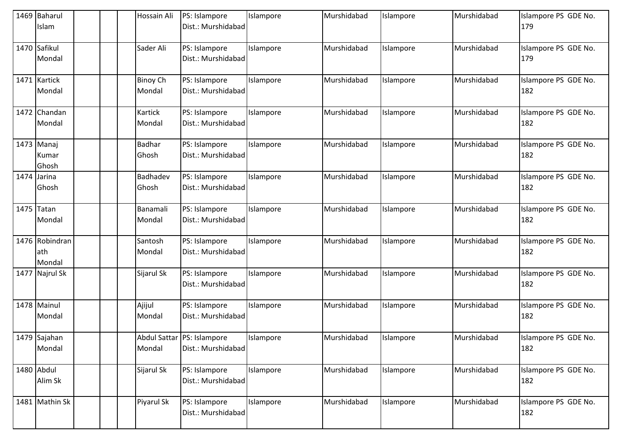|      | 1469 Baharul<br>Islam           |  | Hossain Ali               | PS: Islampore<br>Dist.: Murshidabad                | Islampore | Murshidabad | Islampore | Murshidabad | Islampore PS GDE No.<br>179 |
|------|---------------------------------|--|---------------------------|----------------------------------------------------|-----------|-------------|-----------|-------------|-----------------------------|
|      | 1470 Safikul<br>Mondal          |  | Sader Ali                 | PS: Islampore<br>Dist.: Murshidabad                | Islampore | Murshidabad | Islampore | Murshidabad | Islampore PS GDE No.<br>179 |
|      | 1471 Kartick<br>Mondal          |  | <b>Binoy Ch</b><br>Mondal | PS: Islampore<br>Dist.: Murshidabad                | Islampore | Murshidabad | Islampore | Murshidabad | Islampore PS GDE No.<br>182 |
|      | 1472 Chandan<br>Mondal          |  | Kartick<br>Mondal         | PS: Islampore<br>Dist.: Murshidabad                | Islampore | Murshidabad | Islampore | Murshidabad | Islampore PS GDE No.<br>182 |
|      | 1473 Manaj<br>Kumar<br>Ghosh    |  | <b>Badhar</b><br>Ghosh    | PS: Islampore<br>Dist.: Murshidabad                | Islampore | Murshidabad | Islampore | Murshidabad | Islampore PS GDE No.<br>182 |
| 1474 | Jarina<br>Ghosh                 |  | Badhadev<br>Ghosh         | PS: Islampore<br>Dist.: Murshidabad                | Islampore | Murshidabad | Islampore | Murshidabad | Islampore PS GDE No.<br>182 |
|      | 1475 Tatan<br>Mondal            |  | Banamali<br>Mondal        | PS: Islampore<br>Dist.: Murshidabad                | Islampore | Murshidabad | Islampore | Murshidabad | Islampore PS GDE No.<br>182 |
|      | 1476 Robindran<br>ath<br>Mondal |  | Santosh<br>Mondal         | PS: Islampore<br>Dist.: Murshidabad                | Islampore | Murshidabad | Islampore | Murshidabad | Islampore PS GDE No.<br>182 |
| 1477 | Najrul Sk                       |  | Sijarul Sk                | PS: Islampore<br>Dist.: Murshidabad                | Islampore | Murshidabad | Islampore | Murshidabad | Islampore PS GDE No.<br>182 |
|      | 1478 Mainul<br>Mondal           |  | Ajijul<br>Mondal          | PS: Islampore<br>Dist.: Murshidabad                | Islampore | Murshidabad | Islampore | Murshidabad | Islampore PS GDE No.<br>182 |
|      | 1479 Sajahan<br>Mondal          |  | Mondal                    | Abdul Sattar   PS: Islampore<br>Dist.: Murshidabad | Islampore | Murshidabad | Islampore | Murshidabad | Islampore PS GDE No.<br>182 |
|      | 1480 Abdul<br>Alim Sk           |  | Sijarul Sk                | PS: Islampore<br>Dist.: Murshidabad                | Islampore | Murshidabad | Islampore | Murshidabad | Islampore PS GDE No.<br>182 |
|      | 1481 Mathin Sk                  |  | Piyarul Sk                | PS: Islampore<br>Dist.: Murshidabad                | Islampore | Murshidabad | Islampore | Murshidabad | Islampore PS GDE No.<br>182 |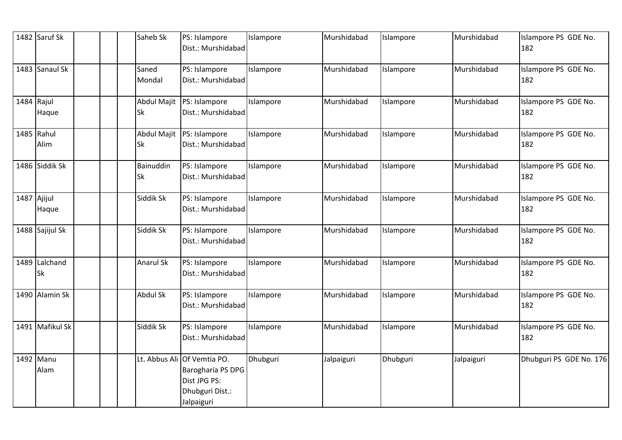| 1482 Saruf Sk   |  | Saheb Sk    | PS: Islampore<br>Dist.: Murshidabad | Islampore | Murshidabad | Islampore | Murshidabad | Islampore PS GDE No.<br>182 |
|-----------------|--|-------------|-------------------------------------|-----------|-------------|-----------|-------------|-----------------------------|
|                 |  |             |                                     |           |             |           |             |                             |
| 1483 Sanaul Sk  |  | Saned       | PS: Islampore                       | Islampore | Murshidabad | Islampore | Murshidabad | Islampore PS GDE No.        |
|                 |  | Mondal      | Dist.: Murshidabad                  |           |             |           |             | 182                         |
| 1484 Rajul      |  | Abdul Majit | PS: Islampore                       | Islampore | Murshidabad | Islampore | Murshidabad | Islampore PS GDE No.        |
| Haque           |  | Sk          | Dist.: Murshidabad                  |           |             |           |             | 182                         |
| 1485 Rahul      |  | Abdul Majit | PS: Islampore                       | Islampore | Murshidabad | Islampore | Murshidabad | Islampore PS GDE No.        |
| Alim            |  | Sk          | Dist.: Murshidabad                  |           |             |           |             | 182                         |
| 1486 Siddik Sk  |  | Bainuddin   | PS: Islampore                       | Islampore | Murshidabad | Islampore | Murshidabad | Islampore PS GDE No.        |
|                 |  | Sk          | Dist.: Murshidabad                  |           |             |           |             | 182                         |
| 1487 Ajijul     |  | Siddik Sk   | PS: Islampore                       | Islampore | Murshidabad | Islampore | Murshidabad | Islampore PS GDE No.        |
| Haque           |  |             | Dist.: Murshidabad                  |           |             |           |             | 182                         |
| 1488 Sajijul Sk |  | Siddik Sk   | PS: Islampore                       | Islampore | Murshidabad | Islampore | Murshidabad | Islampore PS GDE No.        |
|                 |  |             | Dist.: Murshidabad                  |           |             |           |             | 182                         |
| 1489 Lalchand   |  | Anarul Sk   | PS: Islampore                       | Islampore | Murshidabad | Islampore | Murshidabad | Islampore PS GDE No.        |
| <b>Sk</b>       |  |             | Dist.: Murshidabad                  |           |             |           |             | 182                         |
| 1490 Alamin Sk  |  | Abdul Sk    | PS: Islampore                       | Islampore | Murshidabad | Islampore | Murshidabad | Islampore PS GDE No.        |
|                 |  |             | Dist.: Murshidabad                  |           |             |           |             | 182                         |
| 1491 Mafikul Sk |  | Siddik Sk   | PS: Islampore                       | Islampore | Murshidabad | Islampore | Murshidabad | Islampore PS GDE No.        |
|                 |  |             | Dist.: Murshidabad                  |           |             |           |             | 182                         |
| 1492 Manu       |  |             | Lt. Abbus Ali Of Vemtia PO.         | Dhubguri  | Jalpaiguri  | Dhubguri  | Jalpaiguri  | Dhubguri PS GDE No. 176     |
| Alam            |  |             | Barogharia PS DPG                   |           |             |           |             |                             |
|                 |  |             | Dist JPG PS:                        |           |             |           |             |                             |
|                 |  |             | Dhubguri Dist.:                     |           |             |           |             |                             |
|                 |  |             | Jalpaiguri                          |           |             |           |             |                             |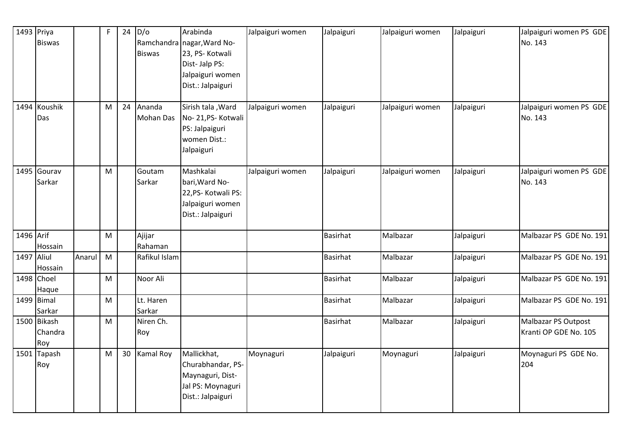| 1493 Priya | <b>Biswas</b>                 |        | F         | 24 | D/O<br><b>Biswas</b>     | Arabinda<br>Ramchandra nagar, Ward No-<br>23, PS- Kotwali<br>Dist-Jalp PS:<br>Jalpaiguri women<br>Dist.: Jalpaiguri | Jalpaiguri women | Jalpaiguri      | Jalpaiguri women | Jalpaiguri | Jalpaiguri women PS GDE<br>No. 143           |
|------------|-------------------------------|--------|-----------|----|--------------------------|---------------------------------------------------------------------------------------------------------------------|------------------|-----------------|------------------|------------|----------------------------------------------|
|            | 1494 Koushik<br>Das           |        | M         | 24 | Ananda<br>Mohan Das      | Sirish tala , Ward<br>No-21, PS-Kotwali<br>PS: Jalpaiguri<br>women Dist.:<br>Jalpaiguri                             | Jalpaiguri women | Jalpaiguri      | Jalpaiguri women | Jalpaiguri | Jalpaiguri women PS GDE<br>No. 143           |
|            | 1495 Gourav<br>Sarkar         |        | M         |    | Goutam<br>Sarkar         | Mashkalai<br>bari, Ward No-<br>22, PS- Kotwali PS:<br>Jalpaiguri women<br>Dist.: Jalpaiguri                         | Jalpaiguri women | Jalpaiguri      | Jalpaiguri women | Jalpaiguri | Jalpaiguri women PS GDE<br>No. 143           |
| 1496 Arif  |                               |        | M         |    | Ajijar                   |                                                                                                                     |                  | <b>Basirhat</b> | Malbazar         | Jalpaiguri | Malbazar PS GDE No. 191                      |
| 1497 Aliul | Hossain<br>Hossain            | Anarul | M         |    | Rahaman<br>Rafikul Islam |                                                                                                                     |                  | <b>Basirhat</b> | Malbazar         | Jalpaiguri | Malbazar PS GDE No. 191                      |
|            | 1498 Choel<br>Haque           |        | ${\sf M}$ |    | Noor Ali                 |                                                                                                                     |                  | <b>Basirhat</b> | Malbazar         | Jalpaiguri | Malbazar PS GDE No. 191                      |
|            | 1499 Bimal<br>Sarkar          |        | M         |    | Lt. Haren<br>Sarkar      |                                                                                                                     |                  | Basirhat        | Malbazar         | Jalpaiguri | Malbazar PS GDE No. 191                      |
|            | 1500 Bikash<br>Chandra<br>Roy |        | M         |    | Niren Ch.<br>Roy         |                                                                                                                     |                  | Basirhat        | Malbazar         | Jalpaiguri | Malbazar PS Outpost<br>Kranti OP GDE No. 105 |
|            | 1501 Tapash<br>Roy            |        | M         | 30 | <b>Kamal Roy</b>         | Mallickhat,<br>Churabhandar, PS-<br>Maynaguri, Dist-<br>Jal PS: Moynaguri<br>Dist.: Jalpaiguri                      | Moynaguri        | Jalpaiguri      | Moynaguri        | Jalpaiguri | Moynaguri PS GDE No.<br>204                  |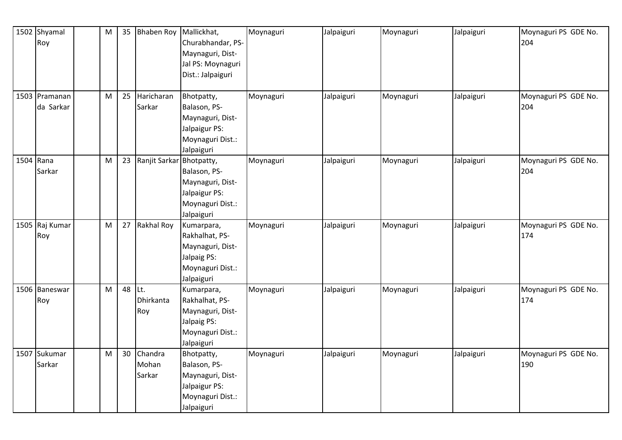| 1502 Shyamal   | ${\sf M}$ | 35 | <b>Bhaben Roy</b> | Mallickhat,       | Moynaguri | Jalpaiguri | Moynaguri | Jalpaiguri | Moynaguri PS GDE No. |
|----------------|-----------|----|-------------------|-------------------|-----------|------------|-----------|------------|----------------------|
| Roy            |           |    |                   | Churabhandar, PS- |           |            |           |            | 204                  |
|                |           |    |                   | Maynaguri, Dist-  |           |            |           |            |                      |
|                |           |    |                   | Jal PS: Moynaguri |           |            |           |            |                      |
|                |           |    |                   | Dist.: Jalpaiguri |           |            |           |            |                      |
|                |           |    |                   |                   |           |            |           |            |                      |
| 1503 Pramanan  | M         | 25 | Haricharan        | Bhotpatty,        | Moynaguri | Jalpaiguri | Moynaguri | Jalpaiguri | Moynaguri PS GDE No. |
| da Sarkar      |           |    | Sarkar            | Balason, PS-      |           |            |           |            | 204                  |
|                |           |    |                   | Maynaguri, Dist-  |           |            |           |            |                      |
|                |           |    |                   | Jalpaigur PS:     |           |            |           |            |                      |
|                |           |    |                   | Moynaguri Dist.:  |           |            |           |            |                      |
|                |           |    |                   | Jalpaiguri        |           |            |           |            |                      |
| 1504 Rana      | M         | 23 | Ranjit Sarkar     | Bhotpatty,        | Moynaguri | Jalpaiguri | Moynaguri | Jalpaiguri | Moynaguri PS GDE No. |
| Sarkar         |           |    |                   | Balason, PS-      |           |            |           |            | 204                  |
|                |           |    |                   | Maynaguri, Dist-  |           |            |           |            |                      |
|                |           |    |                   | Jalpaigur PS:     |           |            |           |            |                      |
|                |           |    |                   | Moynaguri Dist.:  |           |            |           |            |                      |
|                |           |    |                   | Jalpaiguri        |           |            |           |            |                      |
| 1505 Raj Kumar | M         | 27 | <b>Rakhal Roy</b> | Kumarpara,        | Moynaguri | Jalpaiguri | Moynaguri | Jalpaiguri | Moynaguri PS GDE No. |
| Roy            |           |    |                   | Rakhalhat, PS-    |           |            |           |            | 174                  |
|                |           |    |                   | Maynaguri, Dist-  |           |            |           |            |                      |
|                |           |    |                   | Jalpaig PS:       |           |            |           |            |                      |
|                |           |    |                   | Moynaguri Dist.:  |           |            |           |            |                      |
|                |           |    |                   | Jalpaiguri        |           |            |           |            |                      |
| 1506 Baneswar  | M         |    | 48 Lt.            | Kumarpara,        | Moynaguri | Jalpaiguri | Moynaguri | Jalpaiguri | Moynaguri PS GDE No. |
| Roy            |           |    | Dhirkanta         | Rakhalhat, PS-    |           |            |           |            | 174                  |
|                |           |    | Roy               | Maynaguri, Dist-  |           |            |           |            |                      |
|                |           |    |                   | Jalpaig PS:       |           |            |           |            |                      |
|                |           |    |                   | Moynaguri Dist.:  |           |            |           |            |                      |
|                |           |    |                   | Jalpaiguri        |           |            |           |            |                      |
| 1507 Sukumar   | ${\sf M}$ | 30 | Chandra           | Bhotpatty,        | Moynaguri | Jalpaiguri | Moynaguri | Jalpaiguri | Moynaguri PS GDE No. |
| Sarkar         |           |    | Mohan             | Balason, PS-      |           |            |           |            | 190                  |
|                |           |    | Sarkar            | Maynaguri, Dist-  |           |            |           |            |                      |
|                |           |    |                   | Jalpaigur PS:     |           |            |           |            |                      |
|                |           |    |                   | Moynaguri Dist.:  |           |            |           |            |                      |
|                |           |    |                   | Jalpaiguri        |           |            |           |            |                      |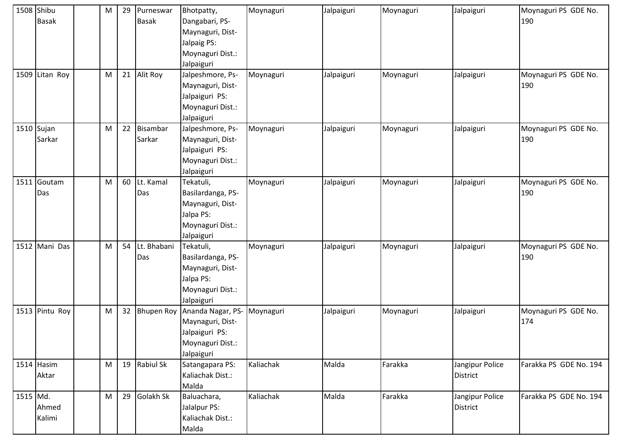|          | 1508 Shibu<br><b>Basak</b> | M         | 29 | Purneswar<br><b>Basak</b> | Bhotpatty,<br>Dangabari, PS-<br>Maynaguri, Dist-<br>Jalpaig PS:<br>Moynaguri Dist.:<br>Jalpaiguri    | Moynaguri | Jalpaiguri | Moynaguri | Jalpaiguri                         | Moynaguri PS GDE No.<br>190 |
|----------|----------------------------|-----------|----|---------------------------|------------------------------------------------------------------------------------------------------|-----------|------------|-----------|------------------------------------|-----------------------------|
|          | 1509 Litan Roy             | M         | 21 | Alit Roy                  | Jalpeshmore, Ps-<br>Maynaguri, Dist-<br>Jalpaiguri PS:<br>Moynaguri Dist.:<br>Jalpaiguri             | Moynaguri | Jalpaiguri | Moynaguri | Jalpaiguri                         | Moynaguri PS GDE No.<br>190 |
|          | $1510$ Sujan<br>Sarkar     | M         | 22 | Bisambar<br>Sarkar        | Jalpeshmore, Ps-<br>Maynaguri, Dist-<br>Jalpaiguri PS:<br>Moynaguri Dist.:<br>Jalpaiguri             | Moynaguri | Jalpaiguri | Moynaguri | Jalpaiguri                         | Moynaguri PS GDE No.<br>190 |
|          | 1511 Goutam<br>Das         | M         | 60 | Lt. Kamal<br>Das          | Tekatuli,<br>Basilardanga, PS-<br>Maynaguri, Dist-<br>Jalpa PS:<br>Moynaguri Dist.:<br>Jalpaiguri    | Moynaguri | Jalpaiguri | Moynaguri | Jalpaiguri                         | Moynaguri PS GDE No.<br>190 |
|          | 1512 Mani Das              | M         | 54 | Lt. Bhabani<br>Das        | Tekatuli,<br>Basilardanga, PS-<br>Maynaguri, Dist-<br>Jalpa PS:<br>Moynaguri Dist.:<br>Jalpaiguri    | Moynaguri | Jalpaiguri | Moynaguri | Jalpaiguri                         | Moynaguri PS GDE No.<br>190 |
|          | 1513 Pintu Roy             | ${\sf M}$ | 32 |                           | Bhupen Roy Ananda Nagar, PS-<br>Maynaguri, Dist-<br>Jalpaiguri PS:<br>Moynaguri Dist.:<br>Jalpaiguri | Moynaguri | Jalpaiguri | Moynaguri | Jalpaiguri                         | Moynaguri PS GDE No.<br>174 |
|          | 1514 Hasim<br>Aktar        | M         |    | 19 Rabiul Sk              | Satangapara PS:<br>Kaliachak Dist.:<br>Malda                                                         | Kaliachak | Malda      | Farakka   | Jangipur Police<br><b>District</b> | Farakka PS GDE No. 194      |
| 1515 Md. | Ahmed<br>Kalimi            | M         | 29 | Golakh Sk                 | Baluachara,<br>Jalalpur PS:<br>Kaliachak Dist.:<br>Malda                                             | Kaliachak | Malda      | Farakka   | Jangipur Police<br><b>District</b> | Farakka PS GDE No. 194      |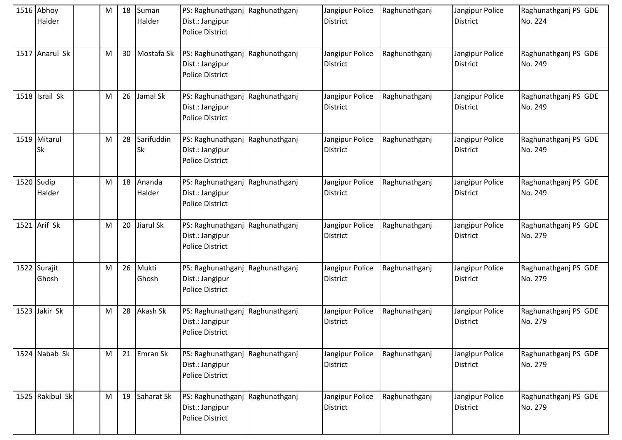| 1516 Abhoy<br>Halder      | M                                                                                                          | 18 | Suman<br>Halder         | PS: Raghunathganj Raghunathganj<br>Dist.: Jangipur<br><b>Police District</b> |               | Jangipur Police<br><b>District</b> | Raghunathganj | Jangipur Police<br><b>District</b> | Raghunathganj PS GDE<br>No. 224 |
|---------------------------|------------------------------------------------------------------------------------------------------------|----|-------------------------|------------------------------------------------------------------------------|---------------|------------------------------------|---------------|------------------------------------|---------------------------------|
| 1517 Anarul Sk            | M                                                                                                          | 30 | Mostafa Sk              | PS: Raghunathganj Raghunathganj<br>Dist.: Jangipur<br><b>Police District</b> |               | Jangipur Police<br><b>District</b> | Raghunathganj | Jangipur Police<br><b>District</b> | Raghunathganj PS GDE<br>No. 249 |
| 1518 Israil Sk            | M                                                                                                          | 26 | Jamal Sk                | PS: Raghunathganj<br>Dist.: Jangipur<br><b>Police District</b>               | Raghunathganj | Jangipur Police<br><b>District</b> | Raghunathganj | Jangipur Police<br><b>District</b> | Raghunathganj PS GDE<br>No. 249 |
| 1519 Mitarul<br><b>Sk</b> | M                                                                                                          | 28 | Sarifuddin<br><b>Sk</b> | PS: Raghunathganj Raghunathganj<br>Dist.: Jangipur<br><b>Police District</b> |               | Jangipur Police<br><b>District</b> | Raghunathganj | Jangipur Police<br><b>District</b> | Raghunathganj PS GDE<br>No. 249 |
| 1520 Sudip<br>Halder      | M                                                                                                          | 18 | Ananda<br>Halder        | PS: Raghunathganj Raghunathganj<br>Dist.: Jangipur<br><b>Police District</b> |               | Jangipur Police<br><b>District</b> | Raghunathganj | Jangipur Police<br><b>District</b> | Raghunathganj PS GDE<br>No. 249 |
| 1521 Arif Sk              | M                                                                                                          | 20 | Jiarul Sk               | PS: Raghunathganj Raghunathganj<br>Dist.: Jangipur<br><b>Police District</b> |               | Jangipur Police<br><b>District</b> | Raghunathganj | Jangipur Police<br><b>District</b> | Raghunathganj PS GDE<br>No. 279 |
| 1522 Surajit<br>Ghosh     | M                                                                                                          | 26 | Mukti<br>Ghosh          | PS: Raghunathganj Raghunathganj<br>Dist.: Jangipur<br><b>Police District</b> |               | Jangipur Police<br><b>District</b> | Raghunathganj | Jangipur Police<br><b>District</b> | Raghunathganj PS GDE<br>No. 279 |
| 1523 Jakir Sk             | M                                                                                                          | 28 | Akash Sk                | PS: Raghunathganj Raghunathganj<br>Dist.: Jangipur<br><b>Police District</b> |               | Jangipur Police<br>District        | Raghunathganj | Jangipur Police<br>District        | Raghunathganj PS GDE<br>No. 279 |
| 1524 Nabab Sk             | $\mathsf{M}% _{T}=\mathsf{M}_{T}\!\left( a,b\right) ,\ \mathsf{M}_{T}=\mathsf{M}_{T}\!\left( a,b\right) ,$ | 21 | Emran Sk                | PS: Raghunathganj Raghunathganj<br>Dist.: Jangipur<br><b>Police District</b> |               | Jangipur Police<br><b>District</b> | Raghunathganj | Jangipur Police<br>District        | Raghunathganj PS GDE<br>No. 279 |
| 1525 Rakibul Sk           | M                                                                                                          | 19 | Saharat Sk              | PS: Raghunathganj Raghunathganj<br>Dist.: Jangipur<br>Police District        |               | Jangipur Police<br><b>District</b> | Raghunathganj | Jangipur Police<br><b>District</b> | Raghunathganj PS GDE<br>No. 279 |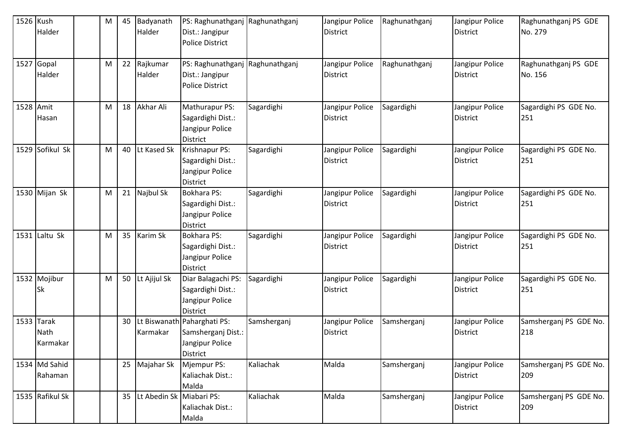| 1526 Kush | Halder                         | M | 45 | Badyanath<br>Halder      | PS: Raghunathganj<br>Dist.: Jangipur<br><b>Police District</b>                   | Raghunathganj | Jangipur Police<br><b>District</b> | Raghunathganj | Jangipur Police<br><b>District</b> | Raghunathganj PS GDE<br>No. 279 |
|-----------|--------------------------------|---|----|--------------------------|----------------------------------------------------------------------------------|---------------|------------------------------------|---------------|------------------------------------|---------------------------------|
|           | 1527 Gopal<br>Halder           | M | 22 | Rajkumar<br>Halder       | PS: Raghunathganj Raghunathganj<br>Dist.: Jangipur<br><b>Police District</b>     |               | Jangipur Police<br><b>District</b> | Raghunathganj | Jangipur Police<br><b>District</b> | Raghunathganj PS GDE<br>No. 156 |
| 1528 Amit | Hasan                          | M | 18 | Akhar Ali                | Mathurapur PS:<br>Sagardighi Dist.:<br>Jangipur Police<br><b>District</b>        | Sagardighi    | Jangipur Police<br>District        | Sagardighi    | Jangipur Police<br><b>District</b> | Sagardighi PS GDE No.<br>251    |
|           | 1529 Sofikul Sk                | M | 40 | Lt Kased Sk              | Krishnapur PS:<br>Sagardighi Dist.:<br>Jangipur Police<br><b>District</b>        | Sagardighi    | Jangipur Police<br>District        | Sagardighi    | Jangipur Police<br><b>District</b> | Sagardighi PS GDE No.<br>251    |
|           | 1530 Mijan Sk                  | M | 21 | Najbul Sk                | Bokhara PS:<br>Sagardighi Dist.:<br>Jangipur Police<br><b>District</b>           | Sagardighi    | Jangipur Police<br><b>District</b> | Sagardighi    | Jangipur Police<br><b>District</b> | Sagardighi PS GDE No.<br>251    |
|           | $1531$ Laltu Sk                | M | 35 | Karim Sk                 | Bokhara PS:<br>Sagardighi Dist.:<br>Jangipur Police<br><b>District</b>           | Sagardighi    | Jangipur Police<br><b>District</b> | Sagardighi    | Jangipur Police<br><b>District</b> | Sagardighi PS GDE No.<br>251    |
|           | 1532 Mojibur<br><b>Sk</b>      | M | 50 | Lt Ajijul Sk             | Diar Balagachi PS:<br>Sagardighi Dist.:<br>Jangipur Police<br><b>District</b>    | Sagardighi    | Jangipur Police<br><b>District</b> | Sagardighi    | Jangipur Police<br><b>District</b> | Sagardighi PS GDE No.<br>251    |
|           | 1533 Tarak<br>Nath<br>Karmakar |   | 30 | Karmakar                 | Lt Biswanath Paharghati PS:<br>Samsherganj Dist.:<br>Jangipur Police<br>District | Samsherganj   | Jangipur Police<br><b>District</b> | Samsherganj   | Jangipur Police<br><b>District</b> | Samsherganj PS GDE No.<br>218   |
|           | 1534 Md Sahid<br>Rahaman       |   | 25 | Majahar Sk               | Mjempur PS:<br>Kaliachak Dist.:<br>Malda                                         | Kaliachak     | Malda                              | Samsherganj   | Jangipur Police<br><b>District</b> | Samsherganj PS GDE No.<br>209   |
|           | 1535 Rafikul Sk                |   | 35 | Lt Abedin Sk Miabari PS: | Kaliachak Dist.:<br>Malda                                                        | Kaliachak     | Malda                              | Samsherganj   | Jangipur Police<br><b>District</b> | Samsherganj PS GDE No.<br>209   |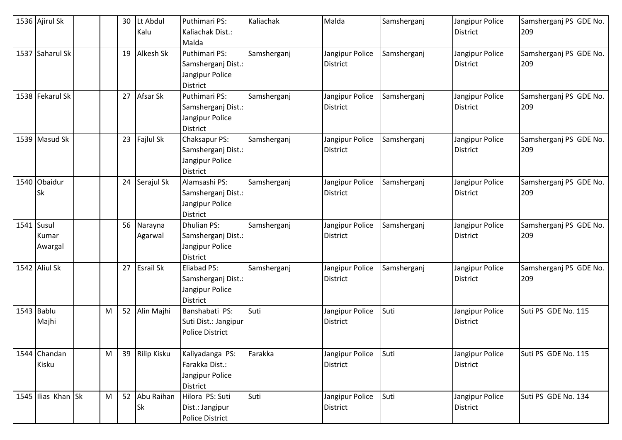| 1536 Ajirul Sk     |   | 30 | Lt Abdul      | Puthimari PS:                      | Kaliachak   | Malda           | Samsherganj | Jangipur Police | Samsherganj PS GDE No. |
|--------------------|---|----|---------------|------------------------------------|-------------|-----------------|-------------|-----------------|------------------------|
|                    |   |    | Kalu          | Kaliachak Dist.:                   |             |                 |             | <b>District</b> | 209                    |
|                    |   |    |               | Malda                              |             |                 |             |                 |                        |
| 1537 Saharul Sk    |   | 19 | Alkesh Sk     | Puthimari PS:                      | Samsherganj | Jangipur Police | Samsherganj | Jangipur Police | Samsherganj PS GDE No. |
|                    |   |    |               | Samsherganj Dist.:                 |             | <b>District</b> |             | <b>District</b> | 209                    |
|                    |   |    |               | Jangipur Police                    |             |                 |             |                 |                        |
|                    |   |    |               | <b>District</b>                    |             |                 |             |                 |                        |
| 1538 Fekarul Sk    |   | 27 | Afsar Sk      | Puthimari PS:                      | Samsherganj | Jangipur Police | Samsherganj | Jangipur Police | Samsherganj PS GDE No. |
|                    |   |    |               | Samsherganj Dist.:                 |             | <b>District</b> |             | <b>District</b> | 209                    |
|                    |   |    |               | Jangipur Police                    |             |                 |             |                 |                        |
|                    |   |    |               | <b>District</b>                    |             |                 |             |                 |                        |
| 1539 Masud Sk      |   |    | 23 Fajlul Sk  | Chaksapur PS:                      | Samsherganj | Jangipur Police | Samsherganj | Jangipur Police | Samsherganj PS GDE No. |
|                    |   |    |               | Samsherganj Dist.:                 |             | <b>District</b> |             | <b>District</b> | 209                    |
|                    |   |    |               | Jangipur Police                    |             |                 |             |                 |                        |
|                    |   |    |               | <b>District</b>                    |             |                 |             |                 |                        |
| 1540 Obaidur       |   | 24 | Serajul Sk    | Alamsashi PS:                      | Samsherganj | Jangipur Police | Samsherganj | Jangipur Police | Samsherganj PS GDE No. |
| <b>Sk</b>          |   |    |               | Samsherganj Dist.:                 |             | <b>District</b> |             | <b>District</b> | 209                    |
|                    |   |    |               | Jangipur Police                    |             |                 |             |                 |                        |
|                    |   |    |               | <b>District</b>                    |             |                 |             |                 |                        |
| 1541 Susul         |   | 56 | Narayna       | <b>Dhulian PS:</b>                 | Samsherganj | Jangipur Police | Samsherganj | Jangipur Police | Samsherganj PS GDE No. |
| Kumar              |   |    | Agarwal       | Samsherganj Dist.:                 |             | <b>District</b> |             | <b>District</b> | 209                    |
| Awargal            |   |    |               | Jangipur Police                    |             |                 |             |                 |                        |
|                    |   |    |               | <b>District</b>                    |             |                 |             |                 |                        |
| 1542 Aliul Sk      |   |    | 27 Esrail Sk  | Eliabad PS:                        | Samsherganj | Jangipur Police | Samsherganj | Jangipur Police | Samsherganj PS GDE No. |
|                    |   |    |               | Samsherganj Dist.:                 |             | <b>District</b> |             | <b>District</b> | 209                    |
|                    |   |    |               | Jangipur Police<br><b>District</b> |             |                 |             |                 |                        |
| $1543$ Bablu       | M | 52 | Alin Majhi    | Banshabati PS:                     | Suti        | Jangipur Police | Suti        | Jangipur Police | Suti PS GDE No. 115    |
| Majhi              |   |    |               | Suti Dist.: Jangipur               |             | <b>District</b> |             | <b>District</b> |                        |
|                    |   |    |               | <b>Police District</b>             |             |                 |             |                 |                        |
|                    |   |    |               |                                    |             |                 |             |                 |                        |
| 1544 Chandan       | M | 39 | Rilip Kisku   | Kaliyadanga PS:                    | Farakka     | Jangipur Police | Suti        | Jangipur Police | Suti PS GDE No. 115    |
| Kisku              |   |    |               | Farakka Dist.:                     |             | <b>District</b> |             | District        |                        |
|                    |   |    |               | Jangipur Police                    |             |                 |             |                 |                        |
|                    |   |    |               | <b>District</b>                    |             |                 |             |                 |                        |
| 1545 Ilias Khan Sk | M |    | 52 Abu Raihan | Hilora PS: Suti                    | Suti        | Jangipur Police | Suti        | Jangipur Police | Suti PS GDE No. 134    |
|                    |   |    | Sk            | Dist.: Jangipur                    |             | <b>District</b> |             | <b>District</b> |                        |
|                    |   |    |               | <b>Police District</b>             |             |                 |             |                 |                        |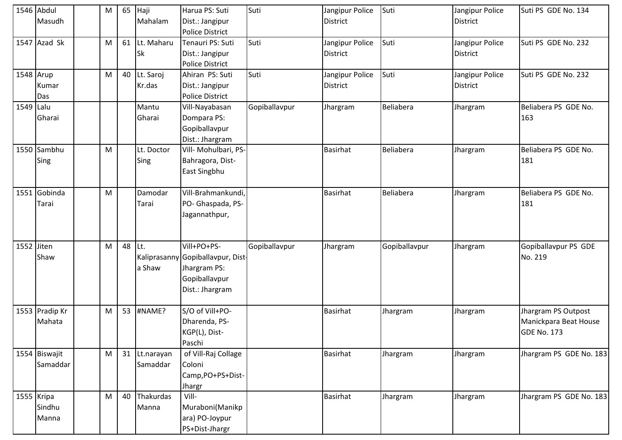|            | 1546 Abdul<br>Masudh          | M | 65 | Haji<br>Mahalam         | Harua PS: Suti<br>Dist.: Jangipur<br><b>Police District</b>                                          | Suti          | Jangipur Police<br><b>District</b> | Suti          | Jangipur Police<br><b>District</b> | Suti PS GDE No. 134                                                |
|------------|-------------------------------|---|----|-------------------------|------------------------------------------------------------------------------------------------------|---------------|------------------------------------|---------------|------------------------------------|--------------------------------------------------------------------|
|            | 1547 Azad Sk                  | M | 61 | Lt. Maharu<br><b>Sk</b> | Tenauri PS: Suti<br>Dist.: Jangipur<br>Police District                                               | Suti          | Jangipur Police<br><b>District</b> | Suti          | Jangipur Police<br><b>District</b> | Suti PS GDE No. 232                                                |
| 1548 Arup  | Kumar<br>Das                  | M | 40 | Lt. Saroj<br>Kr.das     | Ahiran PS: Suti<br>Dist.: Jangipur<br><b>Police District</b>                                         | Suti          | Jangipur Police<br><b>District</b> | Suti          | Jangipur Police<br><b>District</b> | Suti PS GDE No. 232                                                |
| 1549 Lalu  | Gharai                        |   |    | Mantu<br>Gharai         | Vill-Nayabasan<br>Dompara PS:<br>Gopiballavpur<br>Dist.: Jhargram                                    | Gopiballavpur | Jhargram                           | Beliabera     | Jhargram                           | Beliabera PS GDE No.<br>163                                        |
|            | 1550 Sambhu<br>Sing           | M |    | Lt. Doctor<br>Sing      | Vill- Mohulbari, PS-<br>Bahragora, Dist-<br>East Singbhu                                             |               | <b>Basirhat</b>                    | Beliabera     | Jhargram                           | Beliabera PS GDE No.<br>181                                        |
|            | 1551 Gobinda<br>Tarai         | M |    | Damodar<br>Tarai        | Vill-Brahmankundi,<br>PO- Ghaspada, PS-<br>Jagannathpur,                                             |               | <b>Basirhat</b>                    | Beliabera     | Jhargram                           | Beliabera PS GDE No.<br>181                                        |
| 1552 Jiten | Shaw                          | M | 48 | Lt.<br>a Shaw           | Vill+PO+PS-<br>Kaliprasanny Gopiballavpur, Dist-<br>Jhargram PS:<br>Gopiballavpur<br>Dist.: Jhargram | Gopiballavpur | Jhargram                           | Gopiballavpur | Jhargram                           | Gopiballavpur PS GDE<br>No. 219                                    |
|            | 1553 Pradip Kr<br>Mahata      | M | 53 | #NAME?                  | S/O of Vill+PO-<br>Dharenda, PS-<br>KGP(L), Dist-<br>Paschi                                          |               | <b>Basirhat</b>                    | Jhargram      | Jhargram                           | Jhargram PS Outpost<br>Manickpara Beat House<br><b>GDE No. 173</b> |
|            | 1554 Biswajit<br>Samaddar     | M | 31 | Lt.narayan<br>Samaddar  | of Vill-Raj Collage<br>Coloni<br>Camp, PO+PS+Dist-<br>Jhargr                                         |               | <b>Basirhat</b>                    | Jhargram      | Jhargram                           | Jhargram PS GDE No. 183                                            |
|            | 1555 Kripa<br>Sindhu<br>Manna | M | 40 | Thakurdas<br>Manna      | Vill-<br>Muraboni(Manikp<br>ara) PO-Joypur<br>PS+Dist-Jhargr                                         |               | <b>Basirhat</b>                    | Jhargram      | Jhargram                           | Jhargram PS GDE No. 183                                            |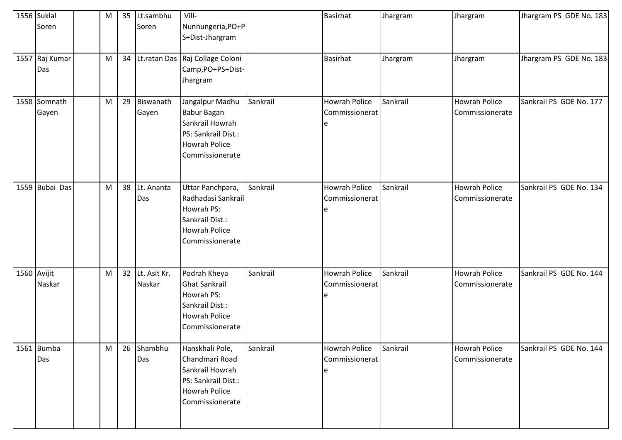| 1556 Suklal           | M | 35 | Lt.sambhu              | Vill-                                                                                                                  |          | <b>Basirhat</b>                              | Jhargram | Jhargram                                | Jhargram PS GDE No. 183 |
|-----------------------|---|----|------------------------|------------------------------------------------------------------------------------------------------------------------|----------|----------------------------------------------|----------|-----------------------------------------|-------------------------|
| Soren                 |   |    | Soren                  | Nunnungeria, PO+P<br>S+Dist-Jhargram                                                                                   |          |                                              |          |                                         |                         |
| 1557 Raj Kumar<br>Das | M | 34 |                        | Lt.ratan Das Raj Collage Coloni<br>Camp, PO+PS+Dist-<br>Jhargram                                                       |          | <b>Basirhat</b>                              | Jhargram | Jhargram                                | Jhargram PS GDE No. 183 |
| 1558 Somnath<br>Gayen | M | 29 | Biswanath<br>Gayen     | Jangalpur Madhu<br><b>Babur Bagan</b><br>Sankrail Howrah<br>PS: Sankrail Dist.:<br>Howrah Police<br>Commissionerate    | Sankrail | <b>Howrah Police</b><br>Commissionerat<br>le | Sankrail | <b>Howrah Police</b><br>Commissionerate | Sankrail PS GDE No. 177 |
| 1559 Bubai Das        | M | 38 | Lt. Ananta<br>Das      | Uttar Panchpara,<br>Radhadasi Sankrail<br>Howrah PS:<br>Sankrail Dist.:<br><b>Howrah Police</b><br>Commissionerate     | Sankrail | <b>Howrah Police</b><br>Commissionerat<br>e  | Sankrail | <b>Howrah Police</b><br>Commissionerate | Sankrail PS GDE No. 134 |
| 1560 Avijit<br>Naskar | M | 32 | Lt. Asit Kr.<br>Naskar | Podrah Kheya<br><b>Ghat Sankrail</b><br>Howrah PS:<br>Sankrail Dist.:<br><b>Howrah Police</b><br>Commissionerate       | Sankrail | <b>Howrah Police</b><br>Commissionerat<br>le | Sankrail | <b>Howrah Police</b><br>Commissionerate | Sankrail PS GDE No. 144 |
| 1561 Bumba<br>Das     | M | 26 | Shambhu<br>Das         | Hanskhali Pole,<br>Chandmari Road<br>Sankrail Howrah<br>PS: Sankrail Dist.:<br><b>Howrah Police</b><br>Commissionerate | Sankrail | <b>Howrah Police</b><br>Commissionerat<br>e  | Sankrail | <b>Howrah Police</b><br>Commissionerate | Sankrail PS GDE No. 144 |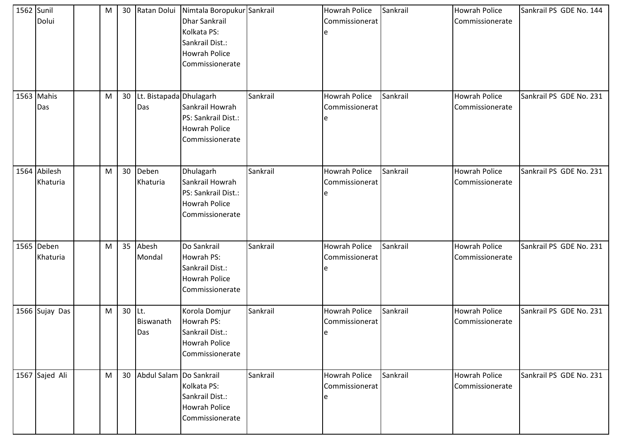| 1562 Sunil | Dolui                    | M |    |                                | 30 Ratan Dolui Nimtala Boropukur Sankrail<br>Dhar Sankrail<br>Kolkata PS:<br>Sankrail Dist.:<br>Howrah Police<br>Commissionerate |          | <b>Howrah Police</b><br>Commissionerat<br>e | Sankrail | <b>Howrah Police</b><br>Commissionerate | Sankrail PS GDE No. 144 |
|------------|--------------------------|---|----|--------------------------------|----------------------------------------------------------------------------------------------------------------------------------|----------|---------------------------------------------|----------|-----------------------------------------|-------------------------|
|            | 1563 Mahis<br>Das        | M | 30 | Lt. Bistapada Dhulagarh<br>Das | Sankrail Howrah<br>PS: Sankrail Dist.:<br>Howrah Police<br>Commissionerate                                                       | Sankrail | <b>Howrah Police</b><br>Commissionerat<br>e | Sankrail | <b>Howrah Police</b><br>Commissionerate | Sankrail PS GDE No. 231 |
|            | 1564 Abilesh<br>Khaturia | M | 30 | Deben<br>Khaturia              | Dhulagarh<br>Sankrail Howrah<br>PS: Sankrail Dist.:<br>Howrah Police<br>Commissionerate                                          | Sankrail | <b>Howrah Police</b><br>Commissionerat<br>e | Sankrail | <b>Howrah Police</b><br>Commissionerate | Sankrail PS GDE No. 231 |
|            | 1565 Deben<br>Khaturia   | M | 35 | Abesh<br>Mondal                | Do Sankrail<br>Howrah PS:<br>Sankrail Dist.:<br><b>Howrah Police</b><br>Commissionerate                                          | Sankrail | <b>Howrah Police</b><br>Commissionerat<br>e | Sankrail | <b>Howrah Police</b><br>Commissionerate | Sankrail PS GDE No. 231 |
|            | 1566 Sujay Das           | M |    | $30$ Lt.<br>Biswanath<br>Das   | Korola Domjur<br>Howrah PS:<br>Sankrail Dist.:<br><b>Howrah Police</b><br>Commissionerate                                        | Sankrail | <b>Howrah Police</b><br>Commissionerat<br>e | Sankrail | <b>Howrah Police</b><br>Commissionerate | Sankrail PS GDE No. 231 |
|            | 1567 Sajed Ali           | M | 30 | Abdul Salam Do Sankrail        | Kolkata PS:<br>Sankrail Dist.:<br><b>Howrah Police</b><br>Commissionerate                                                        | Sankrail | Howrah Police<br>Commissionerat<br>e        | Sankrail | <b>Howrah Police</b><br>Commissionerate | Sankrail PS GDE No. 231 |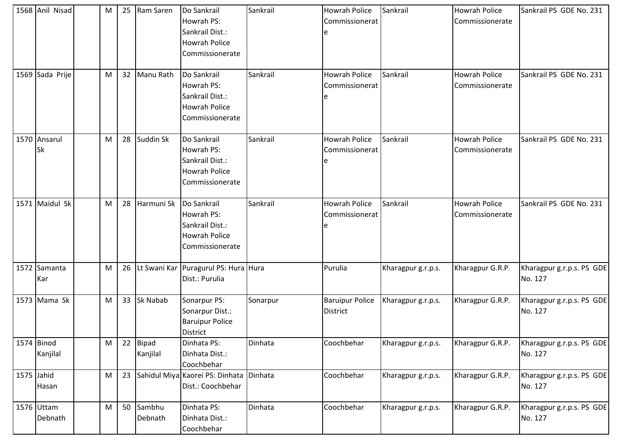|            | 1568 Anil Nisad        | M | 25 | Ram Saren                | Do Sankrail<br>Howrah PS:<br>Sankrail Dist.:<br><b>Howrah Police</b><br>Commissionerate | Sankrail | Howrah Police<br>Commissionerat           | Sankrail           | <b>Howrah Police</b><br>Commissionerate | Sankrail PS GDE No. 231              |
|------------|------------------------|---|----|--------------------------|-----------------------------------------------------------------------------------------|----------|-------------------------------------------|--------------------|-----------------------------------------|--------------------------------------|
|            | 1569 Sada Prije        | M | 32 | Manu Rath                | Do Sankrail<br>Howrah PS:<br>Sankrail Dist.:<br><b>Howrah Police</b><br>Commissionerate | Sankrail | Howrah Police<br>Commissionerat<br>e      | Sankrail           | <b>Howrah Police</b><br>Commissionerate | Sankrail PS GDE No. 231              |
|            | 1570 Ansarul<br>Sk     | M | 28 | Suddin Sk                | Do Sankrail<br>Howrah PS:<br>Sankrail Dist.:<br><b>Howrah Police</b><br>Commissionerate | Sankrail | <b>Howrah Police</b><br>Commissionerat    | Sankrail           | <b>Howrah Police</b><br>Commissionerate | Sankrail PS GDE No. 231              |
|            | 1571 Maidul Sk         | M | 28 | Harmuni Sk               | Do Sankrail<br>Howrah PS:<br>Sankrail Dist.:<br><b>Howrah Police</b><br>Commissionerate | Sankrail | <b>Howrah Police</b><br>Commissionerat    | Sankrail           | <b>Howrah Police</b><br>Commissionerate | Sankrail PS GDE No. 231              |
|            | 1572 Samanta<br>Kar    | M | 26 |                          | Lt Swani Kar   Puragurul PS: Hura   Hura<br>Dist.: Purulia                              |          | Purulia                                   | Kharagpur g.r.p.s. | Kharagpur G.R.P.                        | Kharagpur g.r.p.s. PS GDE<br>No. 127 |
|            | 1573 Mama Sk           | M | 33 | Sk Nabab                 | Sonarpur PS:<br>Sonarpur Dist.:<br><b>Baruipur Police</b><br><b>District</b>            | Sonarpur | <b>Baruipur Police</b><br><b>District</b> | Kharagpur g.r.p.s. | Kharagpur G.R.P.                        | Kharagpur g.r.p.s. PS GDE<br>No. 127 |
|            | 1574 Binod<br>Kanjilal | M | 22 | <b>Bipad</b><br>Kanjilal | Dinhata PS:<br>Dinhata Dist.:<br>Coochbehar                                             | Dinhata  | Coochbehar                                | Kharagpur g.r.p.s. | Kharagpur G.R.P.                        | Kharagpur g.r.p.s. PS GDE<br>No. 127 |
| 1575 Jahid | Hasan                  | M | 23 |                          | Sahidul Miya Kaorei PS: Dinhata<br>Dist.: Coochbehar                                    | Dinhata  | Coochbehar                                | Kharagpur g.r.p.s. | Kharagpur G.R.P.                        | Kharagpur g.r.p.s. PS GDE<br>No. 127 |
|            | 1576 Uttam<br>Debnath  | M | 50 | Sambhu<br>Debnath        | Dinhata PS:<br>Dinhata Dist.:<br>Coochbehar                                             | Dinhata  | Coochbehar                                | Kharagpur g.r.p.s. | Kharagpur G.R.P.                        | Kharagpur g.r.p.s. PS GDE<br>No. 127 |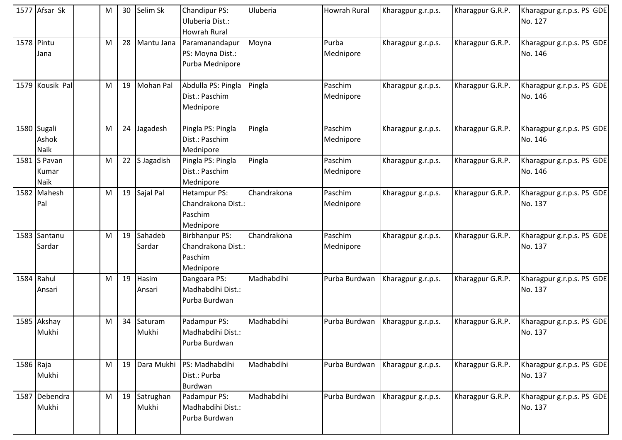|           | 1577 Afsar Sk                       | M | 30 | Selim Sk           | Chandipur PS:<br>Uluberia Dist.:<br><b>Howrah Rural</b>           | Uluberia    | <b>Howrah Rural</b>  | Kharagpur g.r.p.s. | Kharagpur G.R.P. | Kharagpur g.r.p.s. PS GDE<br>No. 127 |
|-----------|-------------------------------------|---|----|--------------------|-------------------------------------------------------------------|-------------|----------------------|--------------------|------------------|--------------------------------------|
|           | 1578 Pintu<br>Jana                  | M | 28 | Mantu Jana         | Paramanandapur<br>PS: Moyna Dist.:<br>Purba Mednipore             | Moyna       | Purba<br>Mednipore   | Kharagpur g.r.p.s. | Kharagpur G.R.P. | Kharagpur g.r.p.s. PS GDE<br>No. 146 |
|           | 1579 Kousik Pal                     | M | 19 | <b>Mohan Pal</b>   | Abdulla PS: Pingla<br>Dist.: Paschim<br>Mednipore                 | Pingla      | Paschim<br>Mednipore | Kharagpur g.r.p.s. | Kharagpur G.R.P. | Kharagpur g.r.p.s. PS GDE<br>No. 146 |
|           | 1580 Sugali<br>Ashok<br><b>Naik</b> | M | 24 | Jagadesh           | Pingla PS: Pingla<br>Dist.: Paschim<br>Mednipore                  | Pingla      | Paschim<br>Mednipore | Kharagpur g.r.p.s. | Kharagpur G.R.P. | Kharagpur g.r.p.s. PS GDE<br>No. 146 |
|           | 1581 S Pavan<br>Kumar<br>Naik       | M | 22 | S Jagadish         | Pingla PS: Pingla<br>Dist.: Paschim<br>Mednipore                  | Pingla      | Paschim<br>Mednipore | Kharagpur g.r.p.s. | Kharagpur G.R.P. | Kharagpur g.r.p.s. PS GDE<br>No. 146 |
|           | 1582 Mahesh<br>Pal                  | M | 19 | Sajal Pal          | <b>Hetampur PS:</b><br>Chandrakona Dist.:<br>Paschim<br>Mednipore | Chandrakona | Paschim<br>Mednipore | Kharagpur g.r.p.s. | Kharagpur G.R.P. | Kharagpur g.r.p.s. PS GDE<br>No. 137 |
|           | 1583 Santanu<br>Sardar              | M | 19 | Sahadeb<br>Sardar  | Birbhanpur PS:<br>Chandrakona Dist.:<br>Paschim<br>Mednipore      | Chandrakona | Paschim<br>Mednipore | Kharagpur g.r.p.s. | Kharagpur G.R.P. | Kharagpur g.r.p.s. PS GDE<br>No. 137 |
|           | 1584 Rahul<br>Ansari                | M | 19 | Hasim<br>Ansari    | Dangoara PS:<br>Madhabdihi Dist.:<br>Purba Burdwan                | Madhabdihi  | Purba Burdwan        | Kharagpur g.r.p.s. | Kharagpur G.R.P. | Kharagpur g.r.p.s. PS GDE<br>No. 137 |
|           | 1585 Akshay<br>Mukhi                | M | 34 | Saturam<br>Mukhi   | Padampur PS:<br>Madhabdihi Dist.:<br>Purba Burdwan                | Madhabdihi  | Purba Burdwan        | Kharagpur g.r.p.s. | Kharagpur G.R.P. | Kharagpur g.r.p.s. PS GDE<br>No. 137 |
| 1586 Raja | Mukhi                               | M | 19 | Dara Mukhi         | PS: Madhabdihi<br>Dist.: Purba<br>Burdwan                         | Madhabdihi  | Purba Burdwan        | Kharagpur g.r.p.s. | Kharagpur G.R.P. | Kharagpur g.r.p.s. PS GDE<br>No. 137 |
|           | 1587 Debendra<br>Mukhi              | M | 19 | Satrughan<br>Mukhi | Padampur PS:<br>Madhabdihi Dist.:<br>Purba Burdwan                | Madhabdihi  | Purba Burdwan        | Kharagpur g.r.p.s. | Kharagpur G.R.P. | Kharagpur g.r.p.s. PS GDE<br>No. 137 |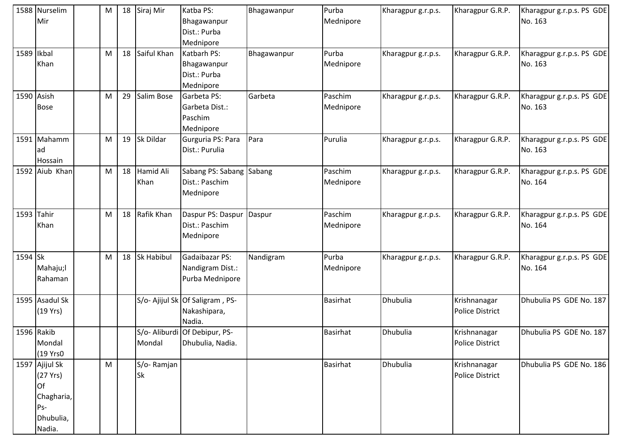|            | 1588 Nurselim<br>Mir                                                                | M | 18 | Siraj Mir               | Katba PS:<br>Bhagawanpur<br>Dist.: Purba<br>Mednipore     | Bhagawanpur | Purba<br>Mednipore   | Kharagpur g.r.p.s. | Kharagpur G.R.P.                       | Kharagpur g.r.p.s. PS GDE<br>No. 163 |
|------------|-------------------------------------------------------------------------------------|---|----|-------------------------|-----------------------------------------------------------|-------------|----------------------|--------------------|----------------------------------------|--------------------------------------|
| 1589 Ikbal | Khan                                                                                | M | 18 | Saiful Khan             | Katbarh PS:<br>Bhagawanpur<br>Dist.: Purba<br>Mednipore   | Bhagawanpur | Purba<br>Mednipore   | Kharagpur g.r.p.s. | Kharagpur G.R.P.                       | Kharagpur g.r.p.s. PS GDE<br>No. 163 |
|            | 1590 Asish<br><b>Bose</b>                                                           | M | 29 | Salim Bose              | Garbeta PS:<br>Garbeta Dist.:<br>Paschim<br>Mednipore     | Garbeta     | Paschim<br>Mednipore | Kharagpur g.r.p.s. | Kharagpur G.R.P.                       | Kharagpur g.r.p.s. PS GDE<br>No. 163 |
|            | 1591 Mahamm<br>lad<br>Hossain                                                       | M | 19 | Sk Dildar               | Gurguria PS: Para<br>Dist.: Purulia                       | Para        | Purulia              | Kharagpur g.r.p.s. | Kharagpur G.R.P.                       | Kharagpur g.r.p.s. PS GDE<br>No. 163 |
|            | 1592 Aiub Khan                                                                      | M | 18 | Hamid Ali<br>Khan       | Sabang PS: Sabang<br>Dist.: Paschim<br>Mednipore          | Sabang      | Paschim<br>Mednipore | Kharagpur g.r.p.s. | Kharagpur G.R.P.                       | Kharagpur g.r.p.s. PS GDE<br>No. 164 |
| 1593 Tahir | Khan                                                                                | M | 18 | Rafik Khan              | Daspur PS: Daspur<br>Dist.: Paschim<br>Mednipore          | Daspur      | Paschim<br>Mednipore | Kharagpur g.r.p.s. | Kharagpur G.R.P.                       | Kharagpur g.r.p.s. PS GDE<br>No. 164 |
| 1594 Sk    | Mahaju;l<br>Rahaman                                                                 | M | 18 | <b>Sk Habibul</b>       | Gadaibazar PS:<br>Nandigram Dist.:<br>Purba Mednipore     | Nandigram   | Purba<br>Mednipore   | Kharagpur g.r.p.s. | Kharagpur G.R.P.                       | Kharagpur g.r.p.s. PS GDE<br>No. 164 |
|            | 1595 Asadul Sk<br>(19 Yrs)                                                          |   |    |                         | S/o- Ajijul Sk Of Saligram, PS-<br>Nakashipara,<br>Nadia. |             | <b>Basirhat</b>      | Dhubulia           | Krishnanagar<br><b>Police District</b> | Dhubulia PS GDE No. 187              |
|            | 1596 Rakib<br>Mondal<br>(19 Yrs0                                                    |   |    | Mondal                  | S/o- Aliburdi Of Debipur, PS-<br>Dhubulia, Nadia.         |             | <b>Basirhat</b>      | Dhubulia           | Krishnanagar<br><b>Police District</b> | Dhubulia PS GDE No. 187              |
|            | 1597 Ajijul Sk<br>(27 Yrs)<br><b>Of</b><br>Chagharia,<br>Ps-<br>Dhubulia,<br>Nadia. | M |    | S/o-Ramjan<br><b>Sk</b> |                                                           |             | <b>Basirhat</b>      | Dhubulia           | Krishnanagar<br>Police District        | Dhubulia PS GDE No. 186              |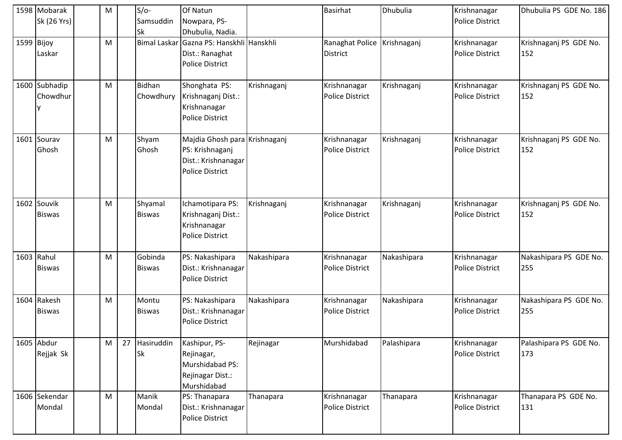|              | 1598 Mobarak<br>Sk (26 Yrs)  | M |    | $S/O-$<br>Samsuddin<br>Sk | Of Natun<br>Nowpara, PS-<br>Dhubulia, Nadia.                                                      |             | <b>Basirhat</b>                        | Dhubulia    | Krishnanagar<br><b>Police District</b> | Dhubulia PS GDE No. 186       |
|--------------|------------------------------|---|----|---------------------------|---------------------------------------------------------------------------------------------------|-------------|----------------------------------------|-------------|----------------------------------------|-------------------------------|
| $1599$ Bijoy | Laskar                       | M |    |                           | Bimal Laskar Gazna PS: Hanskhli Hanskhli<br>Dist.: Ranaghat<br><b>Police District</b>             |             | Ranaghat Police<br><b>District</b>     | Krishnaganj | Krishnanagar<br><b>Police District</b> | Krishnaganj PS GDE No.<br>152 |
|              | 1600 Subhadip<br>Chowdhur    | M |    | Bidhan<br>Chowdhury       | Shonghata PS:<br>Krishnaganj Dist.:<br>Krishnanagar<br><b>Police District</b>                     | Krishnaganj | Krishnanagar<br><b>Police District</b> | Krishnaganj | Krishnanagar<br><b>Police District</b> | Krishnaganj PS GDE No.<br>152 |
|              | 1601 Sourav<br>Ghosh         | M |    | Shyam<br>Ghosh            | Majdia Ghosh para Krishnaganj<br>PS: Krishnaganj<br>Dist.: Krishnanagar<br><b>Police District</b> |             | Krishnanagar<br><b>Police District</b> | Krishnaganj | Krishnanagar<br><b>Police District</b> | Krishnaganj PS GDE No.<br>152 |
|              | 1602 Souvik<br><b>Biswas</b> | M |    | Shyamal<br><b>Biswas</b>  | Ichamotipara PS:<br>Krishnaganj Dist.:<br>Krishnanagar<br><b>Police District</b>                  | Krishnaganj | Krishnanagar<br><b>Police District</b> | Krishnaganj | Krishnanagar<br><b>Police District</b> | Krishnaganj PS GDE No.<br>152 |
|              | 1603 Rahul<br><b>Biswas</b>  | M |    | Gobinda<br><b>Biswas</b>  | PS: Nakashipara<br>Dist.: Krishnanagar<br><b>Police District</b>                                  | Nakashipara | Krishnanagar<br><b>Police District</b> | Nakashipara | Krishnanagar<br><b>Police District</b> | Nakashipara PS GDE No.<br>255 |
|              | 1604 Rakesh<br><b>Biswas</b> | M |    | Montu<br><b>Biswas</b>    | PS: Nakashipara<br>Dist.: Krishnanagar<br><b>Police District</b>                                  | Nakashipara | Krishnanagar<br><b>Police District</b> | Nakashipara | Krishnanagar<br><b>Police District</b> | Nakashipara PS GDE No.<br>255 |
|              | 1605 Abdur<br>Rejjak Sk      | M | 27 | Hasiruddin<br>Sk          | Kashipur, PS-<br>Rejinagar,<br>Murshidabad PS:<br>Rejinagar Dist.:<br>Murshidabad                 | Rejinagar   | Murshidabad                            | Palashipara | Krishnanagar<br><b>Police District</b> | Palashipara PS GDE No.<br>173 |
|              | 1606 Sekendar<br>Mondal      | M |    | Manik<br>Mondal           | PS: Thanapara<br>Dist.: Krishnanagar<br><b>Police District</b>                                    | Thanapara   | Krishnanagar<br>Police District        | Thanapara   | Krishnanagar<br>Police District        | Thanapara PS GDE No.<br>131   |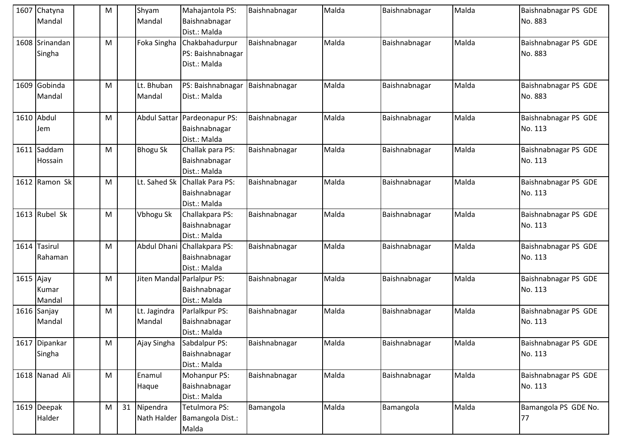|             | 1607 Chatyna<br>Mandal   | M |    | Shyam<br>Mandal         | Mahajantola PS:<br>Baishnabnagar<br>Dist.: Malda            | Baishnabnagar | Malda | Baishnabnagar | Malda | Baishnabnagar PS GDE<br>No. 883 |
|-------------|--------------------------|---|----|-------------------------|-------------------------------------------------------------|---------------|-------|---------------|-------|---------------------------------|
|             | 1608 Srinandan<br>Singha | M |    | Foka Singha             | Chakbahadurpur<br>PS: Baishnabnagar<br>Dist.: Malda         | Baishnabnagar | Malda | Baishnabnagar | Malda | Baishnabnagar PS GDE<br>No. 883 |
|             | 1609 Gobinda<br>Mandal   | M |    | Lt. Bhuban<br>Mandal    | PS: Baishnabnagar<br>Dist.: Malda                           | Baishnabnagar | Malda | Baishnabnagar | Malda | Baishnabnagar PS GDE<br>No. 883 |
|             | 1610 Abdul<br>Jem        | M |    | <b>Abdul Sattar</b>     | Pardeonapur PS:<br>Baishnabnagar<br>Dist.: Malda            | Baishnabnagar | Malda | Baishnabnagar | Malda | Baishnabnagar PS GDE<br>No. 113 |
| 1611        | Saddam<br>Hossain        | M |    | <b>Bhogu Sk</b>         | Challak para PS:<br>Baishnabnagar<br>Dist.: Malda           | Baishnabnagar | Malda | Baishnabnagar | Malda | Baishnabnagar PS GDE<br>No. 113 |
|             | 1612 Ramon Sk            | M |    | Lt. Sahed Sk            | Challak Para PS:<br>Baishnabnagar<br>Dist.: Malda           | Baishnabnagar | Malda | Baishnabnagar | Malda | Baishnabnagar PS GDE<br>No. 113 |
|             | 1613 Rubel Sk            | M |    | Vbhogu Sk               | Challakpara PS:<br>Baishnabnagar<br>Dist.: Malda            | Baishnabnagar | Malda | Baishnabnagar | Malda | Baishnabnagar PS GDE<br>No. 113 |
|             | 1614 Tasirul<br>Rahaman  | M |    | <b>Abdul Dhani</b>      | Challakpara PS:<br>Baishnabnagar<br>Dist.: Malda            | Baishnabnagar | Malda | Baishnabnagar | Malda | Baishnabnagar PS GDE<br>No. 113 |
| $1615$ Ajay | Kumar<br>Mandal          | M |    |                         | Jiten Mandal Parlalpur PS:<br>Baishnabnagar<br>Dist.: Malda | Baishnabnagar | Malda | Baishnabnagar | Malda | Baishnabnagar PS GDE<br>No. 113 |
|             | 1616 Sanjay<br>Mandal    | M |    | Lt. Jagindra<br>Mandal  | Parlalkpur PS:<br>Baishnabnagar<br>Dist.: Malda             | Baishnabnagar | Malda | Baishnabnagar | Malda | Baishnabnagar PS GDE<br>No. 113 |
|             | 1617 Dipankar<br>Singha  | M |    | Ajay Singha             | Sabdalpur PS:<br>Baishnabnagar<br>Dist.: Malda              | Baishnabnagar | Malda | Baishnabnagar | Malda | Baishnabnagar PS GDE<br>No. 113 |
|             | 1618 Nanad Ali           | M |    | Enamul<br>Haque         | Mohanpur PS:<br>Baishnabnagar<br>Dist.: Malda               | Baishnabnagar | Malda | Baishnabnagar | Malda | Baishnabnagar PS GDE<br>No. 113 |
|             | 1619 Deepak<br>Halder    | M | 31 | Nipendra<br>Nath Halder | Tetulmora PS:<br>Bamangola Dist.:<br>Malda                  | Bamangola     | Malda | Bamangola     | Malda | Bamangola PS GDE No.<br>77      |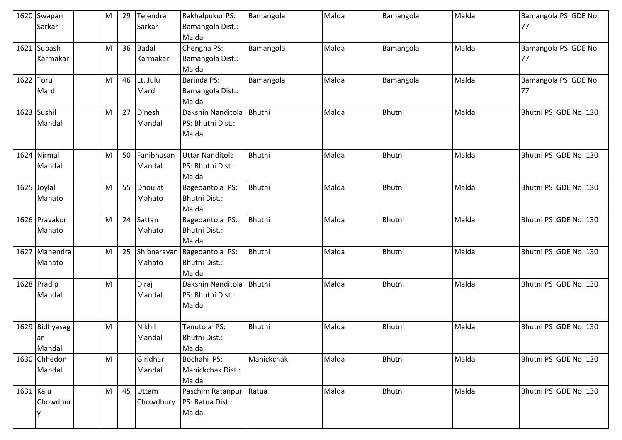|           | 1620 Swapan     | M | 29 | Tejendra     | Rakhalpukur PS:   | Bamangola     | Malda | Bamangola     | Malda | Bamangola PS GDE No.  |
|-----------|-----------------|---|----|--------------|-------------------|---------------|-------|---------------|-------|-----------------------|
|           | Sarkar          |   |    | Sarkar       | Bamangola Dist.:  |               |       |               |       | 177                   |
|           |                 |   |    |              | Malda             |               |       |               |       |                       |
| 1621      | Subash          | M | 36 | <b>Badal</b> | Chengna PS:       | Bamangola     | Malda | Bamangola     | Malda | Bamangola PS GDE No.  |
|           | <b>Karmakar</b> |   |    | Karmakar     | Bamangola Dist.:  |               |       |               |       | 77                    |
|           |                 |   |    |              | Malda             |               |       |               |       |                       |
| 1622      | Toru            | M | 46 | Lt. Julu     | Barinda PS:       | Bamangola     | Malda | Bamangola     | Malda | Bamangola PS GDE No.  |
|           | Mardi           |   |    | Mardi        | Bamangola Dist.:  |               |       |               |       | 77                    |
|           |                 |   |    |              | Malda             |               |       |               |       |                       |
|           | 1623 Sushil     | M | 27 | Dinesh       | Dakshin Nanditola | <b>Bhutni</b> | Malda | Bhutni        | Malda | Bhutni PS GDE No. 130 |
|           | Mandal          |   |    | Mandal       | PS: Bhutni Dist.: |               |       |               |       |                       |
|           |                 |   |    |              | Malda             |               |       |               |       |                       |
|           |                 |   |    |              |                   |               |       |               |       |                       |
|           | 1624 Nirmal     | M | 50 | Fanibhusan   | Uttar Nanditola   | Bhutni        | Malda | Bhutni        | Malda | Bhutni PS GDE No. 130 |
|           | Mandal          |   |    | Mandal       | PS: Bhutni Dist.: |               |       |               |       |                       |
|           |                 |   |    |              | Malda             |               |       |               |       |                       |
|           | 1625 Joylal     | M | 55 | Dhoulat      | Bagedantola PS:   | Bhutni        | Malda | Bhutni        | Malda | Bhutni PS GDE No. 130 |
|           | Mahato          |   |    | Mahato       | Bhutni Dist.:     |               |       |               |       |                       |
|           |                 |   |    |              | Malda             |               |       |               |       |                       |
|           | 1626 Pravakor   | M | 24 | Sattan       | Bagedantola PS:   | <b>Bhutni</b> | Malda | Bhutni        | Malda | Bhutni PS GDE No. 130 |
|           | Mahato          |   |    | Mahato       | Bhutni Dist.:     |               |       |               |       |                       |
|           |                 |   |    |              | Malda             |               |       |               |       |                       |
| 1627      | Mahendra        | M | 25 | Shibnarayan  | Bagedantola PS:   | Bhutni        | Malda | Bhutni        | Malda | Bhutni PS GDE No. 130 |
|           | Mahato          |   |    | Mahato       | Bhutni Dist.:     |               |       |               |       |                       |
|           |                 |   |    |              | Malda             |               |       |               |       |                       |
|           | 1628 Pradip     | M |    | Diraj        | Dakshin Nanditola | <b>Bhutni</b> | Malda | Bhutni        | Malda | Bhutni PS GDE No. 130 |
|           | Mandal          |   |    | Mandal       | PS: Bhutni Dist.: |               |       |               |       |                       |
|           |                 |   |    |              | Malda             |               |       |               |       |                       |
|           |                 |   |    |              |                   |               |       |               |       |                       |
|           | 1629 Bidhyasag  | M |    | Nikhil       | Tenutola PS:      | Bhutni        | Malda | <b>Bhutni</b> | Malda | Bhutni PS GDE No. 130 |
|           | lar             |   |    | Mandal       | Bhutni Dist.:     |               |       |               |       |                       |
|           | Mandal          |   |    |              | Malda             |               |       |               |       |                       |
|           | 1630 Chhedon    | M |    | Giridhari    | Bochahi PS:       | Manickchak    | Malda | Bhutni        | Malda | Bhutni PS GDE No. 130 |
|           | Mandal          |   |    | Mandal       | Manickchak Dist.: |               |       |               |       |                       |
|           |                 |   |    |              | Malda             |               |       |               |       |                       |
| 1631 Kalu |                 | M | 45 | Uttam        | Paschim Ratanpur  | Ratua         | Malda | Bhutni        | Malda | Bhutni PS GDE No. 130 |
|           | Chowdhur        |   |    | Chowdhury    | PS: Ratua Dist.:  |               |       |               |       |                       |
|           |                 |   |    |              | Malda             |               |       |               |       |                       |
|           |                 |   |    |              |                   |               |       |               |       |                       |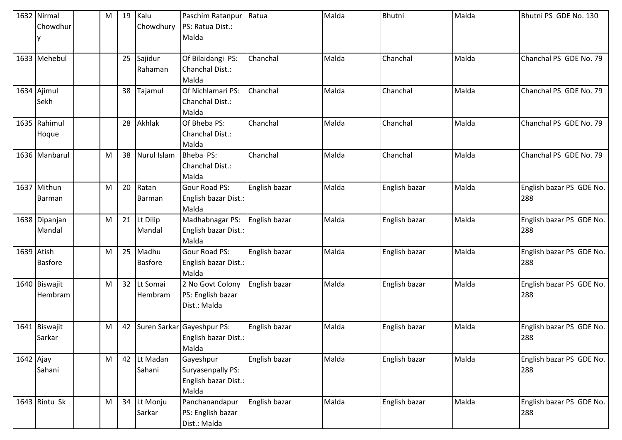|            | 1632 Nirmal<br>Chowdhur  | M | 19 | Kalu<br>Chowdhury       | Paschim Ratanpur<br>PS: Ratua Dist.:<br>Malda                   | Ratua         | Malda | Bhutni        | Malda | Bhutni PS GDE No. 130           |
|------------|--------------------------|---|----|-------------------------|-----------------------------------------------------------------|---------------|-------|---------------|-------|---------------------------------|
|            | 1633 Mehebul             |   | 25 | Sajidur<br>Rahaman      | Of Bilaidangi PS:<br>Chanchal Dist.:<br>Malda                   | Chanchal      | Malda | Chanchal      | Malda | Chanchal PS GDE No. 79          |
|            | 1634 Ajimul<br>Sekh      |   | 38 | Tajamul                 | Of Nichlamari PS:<br>Chanchal Dist.:<br>Malda                   | Chanchal      | Malda | Chanchal      | Malda | Chanchal PS GDE No. 79          |
|            | 1635 Rahimul<br>Hoque    |   | 28 | Akhlak                  | Of Bheba PS:<br>Chanchal Dist.:<br>Malda                        | Chanchal      | Malda | Chanchal      | Malda | Chanchal PS GDE No. 79          |
|            | 1636 Manbarul            | M | 38 | Nurul Islam             | Bheba PS:<br>Chanchal Dist.:<br>Malda                           | Chanchal      | Malda | Chanchal      | Malda | Chanchal PS GDE No. 79          |
|            | 1637 Mithun<br>Barman    | M | 20 | Ratan<br>Barman         | Gour Road PS:<br>English bazar Dist.:<br>Malda                  | English bazar | Malda | English bazar | Malda | English bazar PS GDE No.<br>288 |
|            | 1638 Dipanjan<br>Mandal  | M | 21 | Lt Dilip<br>Mandal      | Madhabnagar PS:<br>English bazar Dist.:<br>Malda                | English bazar | Malda | English bazar | Malda | English bazar PS GDE No.<br>288 |
| 1639 Atish | <b>Basfore</b>           | M | 25 | Madhu<br><b>Basfore</b> | <b>Gour Road PS:</b><br>English bazar Dist.:<br>Malda           | English bazar | Malda | English bazar | Malda | English bazar PS GDE No.<br>288 |
|            | 1640 Biswajit<br>Hembram | M | 32 | Lt Somai<br>Hembram     | 2 No Govt Colony<br>PS: English bazar<br>Dist.: Malda           | English bazar | Malda | English bazar | Malda | English bazar PS GDE No.<br>288 |
|            | 1641 Biswajit<br>Sarkar  | M | 42 |                         | Suren Sarkar Gayeshpur PS:<br>English bazar Dist.:<br>Malda     | English bazar | Malda | English bazar | Malda | English bazar PS GDE No.<br>288 |
| 1642 Ajay  | Sahani                   | M | 42 | Lt Madan<br>Sahani      | Gayeshpur<br>Suryasenpally PS:<br>English bazar Dist.:<br>Malda | English bazar | Malda | English bazar | Malda | English bazar PS GDE No.<br>288 |
|            | 1643 Rintu Sk            | M | 34 | Lt Monju<br>Sarkar      | Panchanandapur<br>PS: English bazar<br>Dist.: Malda             | English bazar | Malda | English bazar | Malda | English bazar PS GDE No.<br>288 |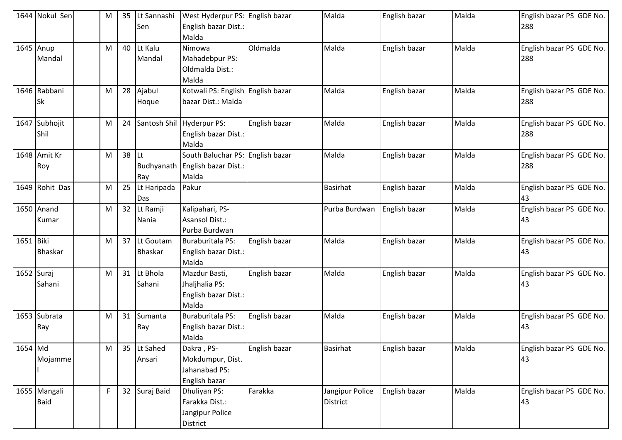|           | 1644 Nokul Sen              | M | 35 | Lt Sannashi<br>Sen          | West Hyderpur PS: English bazar<br>English bazar Dist.:<br>Malda             |               | Malda                       | English bazar | Malda | English bazar PS GDE No.<br>288 |
|-----------|-----------------------------|---|----|-----------------------------|------------------------------------------------------------------------------|---------------|-----------------------------|---------------|-------|---------------------------------|
|           | 1645 Anup<br>Mandal         | M | 40 | Lt Kalu<br>Mandal           | Nimowa<br>Mahadebpur PS:<br>Oldmalda Dist.:<br>Malda                         | Oldmalda      | Malda                       | English bazar | Malda | English bazar PS GDE No.<br>288 |
|           | 1646 Rabbani<br><b>Sk</b>   | M | 28 | Ajabul<br>Hoque             | Kotwali PS: English English bazar<br>bazar Dist.: Malda                      |               | Malda                       | English bazar | Malda | English bazar PS GDE No.<br>288 |
|           | 1647 Subhojit<br>Shil       | M | 24 |                             | Santosh Shil Hyderpur PS:<br>English bazar Dist.:<br>Malda                   | English bazar | Malda                       | English bazar | Malda | English bazar PS GDE No.<br>288 |
|           | 1648 Amit Kr<br>Roy         | M | 38 | Lt.<br>Ray                  | South Baluchar PS: English bazar<br>Budhyanath English bazar Dist.:<br>Malda |               | Malda                       | English bazar | Malda | English bazar PS GDE No.<br>288 |
|           | 1649 Rohit Das              | M | 25 | Lt Haripada<br>Das          | Pakur                                                                        |               | <b>Basirhat</b>             | English bazar | Malda | English bazar PS GDE No.<br>43  |
|           | 1650 Anand<br>Kumar         | M | 32 | Lt Ramji<br>Nania           | Kalipahari, PS-<br>Asansol Dist.:<br>Purba Burdwan                           |               | Purba Burdwan               | English bazar | Malda | English bazar PS GDE No.<br>43  |
| 1651 Biki | <b>Bhaskar</b>              | M | 37 | Lt Goutam<br><b>Bhaskar</b> | <b>Buraburitala PS:</b><br>English bazar Dist.:<br>Malda                     | English bazar | Malda                       | English bazar | Malda | English bazar PS GDE No.<br>43  |
|           | 1652 Suraj<br>Sahani        | M | 31 | Lt Bhola<br>Sahani          | Mazdur Basti,<br>Jhaljhalia PS:<br>English bazar Dist.:<br>Malda             | English bazar | Malda                       | English bazar | Malda | English bazar PS GDE No.<br>43  |
|           | 1653 Subrata<br>Ray         | M | 31 | Sumanta<br>Ray              | Buraburitala PS:<br>English bazar Dist.:<br>Malda                            | English bazar | Malda                       | English bazar | Malda | English bazar PS GDE No.<br>43  |
| 1654 Md   | Mojamme                     | M | 35 | Lt Sahed<br>Ansari          | Dakra, PS-<br>Mokdumpur, Dist.<br>Jahanabad PS:<br>English bazar             | English bazar | Basirhat                    | English bazar | Malda | English bazar PS GDE No.<br>43  |
|           | 1655 Mangali<br><b>Baid</b> | F |    | 32 Suraj Baid               | Dhuliyan PS:<br>Farakka Dist.:<br>Jangipur Police<br>District                | Farakka       | Jangipur Police<br>District | English bazar | Malda | English bazar PS GDE No.<br>43  |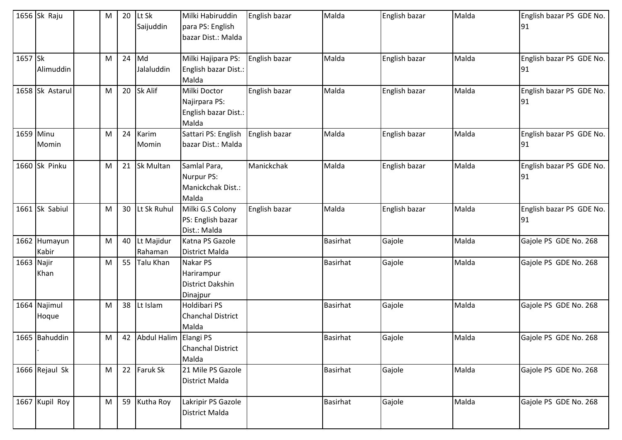|            | 1656 Sk Raju          | M | 20 | Lt Sk<br>Saijuddin    | Milki Habiruddin<br>para PS: English<br>bazar Dist.: Malda     | English bazar | Malda           | English bazar | Malda | English bazar PS GDE No.<br>91 |
|------------|-----------------------|---|----|-----------------------|----------------------------------------------------------------|---------------|-----------------|---------------|-------|--------------------------------|
| 1657 Sk    | Alimuddin             | M | 24 | Md<br>Jalaluddin      | Milki Hajipara PS:<br>English bazar Dist.:<br>Malda            | English bazar | Malda           | English bazar | Malda | English bazar PS GDE No.<br>91 |
|            | 1658 Sk Astarul       | M | 20 | Sk Alif               | Milki Doctor<br>Najirpara PS:<br>English bazar Dist.:<br>Malda | English bazar | Malda           | English bazar | Malda | English bazar PS GDE No.<br>91 |
| 1659 Minu  | Momin                 | M | 24 | Karim<br>Momin        | Sattari PS: English<br>bazar Dist.: Malda                      | English bazar | Malda           | English bazar | Malda | English bazar PS GDE No.<br>91 |
|            | 1660 Sk Pinku         | M | 21 | <b>Sk Multan</b>      | Samlal Para,<br>Nurpur PS:<br>Manickchak Dist.:<br>Malda       | Manickchak    | Malda           | English bazar | Malda | English bazar PS GDE No.<br>91 |
|            | 1661 Sk Sabiul        | M | 30 | Lt Sk Ruhul           | Milki G.S Colony<br>PS: English bazar<br>Dist.: Malda          | English bazar | Malda           | English bazar | Malda | English bazar PS GDE No.<br>91 |
|            | 1662 Humayun<br>Kabir | M | 40 | Lt Majidur<br>Rahaman | Katna PS Gazole<br><b>District Malda</b>                       |               | <b>Basirhat</b> | Gajole        | Malda | Gajole PS GDE No. 268          |
| 1663 Najir | Khan                  | M | 55 | <b>Talu Khan</b>      | Nakar PS<br>Harirampur<br><b>District Dakshin</b><br>Dinajpur  |               | <b>Basirhat</b> | Gajole        | Malda | Gajole PS GDE No. 268          |
|            | 1664 Najimul<br>Hoque | M | 38 | Lt Islam              | Holdibari PS<br><b>Chanchal District</b><br>Malda              |               | <b>Basirhat</b> | Gajole        | Malda | Gajole PS GDE No. 268          |
|            | 1665 Bahuddin         | M | 42 | Abdul Halim Elangi PS | <b>Chanchal District</b><br>Malda                              |               | <b>Basirhat</b> | Gajole        | Malda | Gajole PS GDE No. 268          |
|            | 1666 Rejaul Sk        | M | 22 | <b>Faruk Sk</b>       | 21 Mile PS Gazole<br><b>District Malda</b>                     |               | <b>Basirhat</b> | Gajole        | Malda | Gajole PS GDE No. 268          |
|            | 1667 Kupil Roy        | M | 59 | Kutha Roy             | Lakripir PS Gazole<br>District Malda                           |               | Basirhat        | Gajole        | Malda | Gajole PS GDE No. 268          |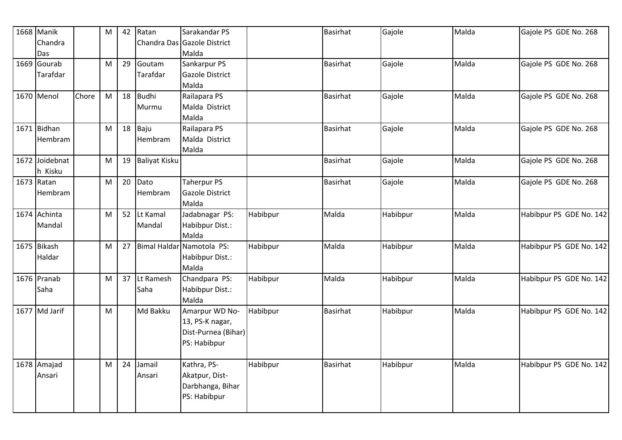| 1668 Manik     |       | M | 42 | Ratan                | Sarakandar PS               |          | <b>Basirhat</b> | Gajole   | Malda | Gajole PS GDE No. 268   |
|----------------|-------|---|----|----------------------|-----------------------------|----------|-----------------|----------|-------|-------------------------|
| Chandra        |       |   |    |                      | Chandra Das Gazole District |          |                 |          |       |                         |
| Das            |       |   |    |                      | Malda                       |          |                 |          |       |                         |
| 1669 Gourab    |       | M | 29 | Goutam               | Sankarpur PS                |          | <b>Basirhat</b> | Gajole   | Malda | Gajole PS GDE No. 268   |
| Tarafdar       |       |   |    | Tarafdar             | Gazole District             |          |                 |          |       |                         |
|                |       |   |    |                      | Malda                       |          |                 |          |       |                         |
| 1670 Menol     | Chore | M | 18 | <b>Budhi</b>         | Railapara PS                |          | <b>Basirhat</b> | Gajole   | Malda | Gajole PS GDE No. 268   |
|                |       |   |    | Murmu                | Malda District              |          |                 |          |       |                         |
|                |       |   |    |                      | Malda                       |          |                 |          |       |                         |
| 1671 Bidhan    |       | M |    | $18$ Baju            | Railapara PS                |          | <b>Basirhat</b> | Gajole   | Malda | Gajole PS GDE No. 268   |
| <b>Hembram</b> |       |   |    | Hembram              | Malda District              |          |                 |          |       |                         |
|                |       |   |    |                      | Malda                       |          |                 |          |       |                         |
| 1672 Joidebnat |       | M | 19 | <b>Baliyat Kisku</b> |                             |          | <b>Basirhat</b> | Gajole   | Malda | Gajole PS GDE No. 268   |
| h Kisku        |       |   |    |                      |                             |          |                 |          |       |                         |
| 1673 Ratan     |       | M | 20 | Dato                 | <b>Taherpur PS</b>          |          | <b>Basirhat</b> | Gajole   | Malda | Gajole PS GDE No. 268   |
| Hembram        |       |   |    | Hembram              | Gazole District             |          |                 |          |       |                         |
|                |       |   |    |                      | Malda                       |          |                 |          |       |                         |
| 1674 Achinta   |       | M | 52 | Lt Kamal             | Jadabnagar PS:              | Habibpur | Malda           | Habibpur | Malda | Habibpur PS GDE No. 142 |
| Mandal         |       |   |    | Mandal               | Habibpur Dist.:             |          |                 |          |       |                         |
|                |       |   |    |                      | Malda                       |          |                 |          |       |                         |
| 1675 Bikash    |       | M | 27 |                      | Bimal Haldar Namotola PS:   | Habibpur | Malda           | Habibpur | Malda | Habibpur PS GDE No. 142 |
| Haldar         |       |   |    |                      | Habibpur Dist.:             |          |                 |          |       |                         |
|                |       |   |    |                      | Malda                       |          |                 |          |       |                         |
| 1676 Pranab    |       | M | 37 | Lt Ramesh            | Chandpara PS:               | Habibpur | Malda           | Habibpur | Malda | Habibpur PS GDE No. 142 |
| Saha           |       |   |    | Saha                 | Habibpur Dist.:             |          |                 |          |       |                         |
|                |       |   |    |                      | Malda                       |          |                 |          |       |                         |
| 1677 Md Jarif  |       | M |    | Md Bakku             | Amarpur WD No-              | Habibpur | <b>Basirhat</b> | Habibpur | Malda | Habibpur PS GDE No. 142 |
|                |       |   |    |                      | 13, PS-K nagar,             |          |                 |          |       |                         |
|                |       |   |    |                      | Dist-Purnea (Bihar)         |          |                 |          |       |                         |
|                |       |   |    |                      | PS: Habibpur                |          |                 |          |       |                         |
|                |       |   |    |                      |                             |          |                 |          |       |                         |
| 1678 Amajad    |       | M | 24 | Jamail               | Kathra, PS-                 | Habibpur | <b>Basirhat</b> | Habibpur | Malda | Habibpur PS GDE No. 142 |
| Ansari         |       |   |    | Ansari               | Akatpur, Dist-              |          |                 |          |       |                         |
|                |       |   |    |                      | Darbhanga, Bihar            |          |                 |          |       |                         |
|                |       |   |    |                      | PS: Habibpur                |          |                 |          |       |                         |
|                |       |   |    |                      |                             |          |                 |          |       |                         |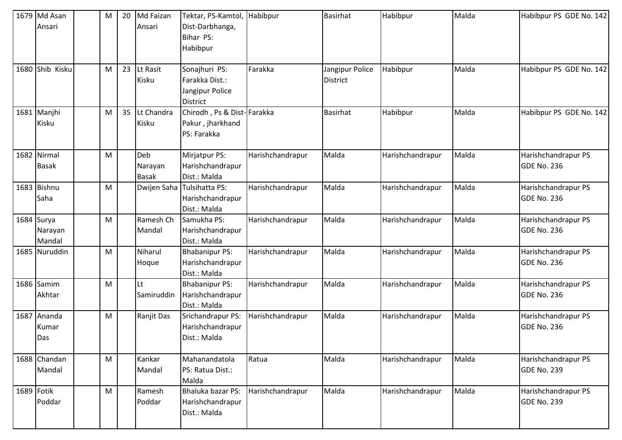| 1679 Md Asan    | M | 20 | Md Faizan    | Tektar, PS-Kamtol, Habibpur |                  | <b>Basirhat</b> | Habibpur         | Malda | Habibpur PS GDE No. 142 |
|-----------------|---|----|--------------|-----------------------------|------------------|-----------------|------------------|-------|-------------------------|
| Ansari          |   |    | Ansari       | Dist-Darbhanga,             |                  |                 |                  |       |                         |
|                 |   |    |              | Bihar PS:                   |                  |                 |                  |       |                         |
|                 |   |    |              | Habibpur                    |                  |                 |                  |       |                         |
|                 |   |    |              |                             |                  |                 |                  |       |                         |
| 1680 Shib Kisku | M | 23 | Lt Rasit     | Sonajhuri PS:               | Farakka          | Jangipur Police | Habibpur         | Malda | Habibpur PS GDE No. 142 |
|                 |   |    | Kisku        | Farakka Dist.:              |                  | <b>District</b> |                  |       |                         |
|                 |   |    |              | Jangipur Police             |                  |                 |                  |       |                         |
|                 |   |    |              | <b>District</b>             |                  |                 |                  |       |                         |
| 1681 Manjhi     | M | 35 | Lt Chandra   | Chirodh, Ps & Dist-Farakka  |                  | <b>Basirhat</b> | Habibpur         | Malda | Habibpur PS GDE No. 142 |
| Kisku           |   |    | Kisku        | Pakur, jharkhand            |                  |                 |                  |       |                         |
|                 |   |    |              | PS: Farakka                 |                  |                 |                  |       |                         |
|                 |   |    |              |                             |                  |                 |                  |       |                         |
| 1682 Nirmal     | M |    | Deb          | Mirjatpur PS:               | Harishchandrapur | Malda           | Harishchandrapur | Malda | Harishchandrapur PS     |
| <b>Basak</b>    |   |    | Narayan      | Harishchandrapur            |                  |                 |                  |       | <b>GDE No. 236</b>      |
|                 |   |    | <b>Basak</b> | Dist.: Malda                |                  |                 |                  |       |                         |
| 1683 Bishnu     | M |    |              | Dwijen Saha Tulsihatta PS:  | Harishchandrapur | Malda           | Harishchandrapur | Malda | Harishchandrapur PS     |
| Saha            |   |    |              | Harishchandrapur            |                  |                 |                  |       | <b>GDE No. 236</b>      |
|                 |   |    |              | Dist.: Malda                |                  |                 |                  |       |                         |
| 1684 Surya      | M |    | Ramesh Ch    | Samukha PS:                 | Harishchandrapur | Malda           | Harishchandrapur | Malda | Harishchandrapur PS     |
| Narayan         |   |    | Mandal       | Harishchandrapur            |                  |                 |                  |       | <b>GDE No. 236</b>      |
| Mandal          |   |    |              | Dist.: Malda                |                  |                 |                  |       |                         |
| 1685 Nuruddin   | M |    | Niharul      | <b>Bhabanipur PS:</b>       | Harishchandrapur | Malda           | Harishchandrapur | Malda | Harishchandrapur PS     |
|                 |   |    | Hoque        | Harishchandrapur            |                  |                 |                  |       | <b>GDE No. 236</b>      |
|                 |   |    |              | Dist.: Malda                |                  |                 |                  |       |                         |
| 1686 Samim      | M |    | Lt           | <b>Bhabanipur PS:</b>       | Harishchandrapur | Malda           | Harishchandrapur | Malda | Harishchandrapur PS     |
| Akhtar          |   |    | Samiruddin   | Harishchandrapur            |                  |                 |                  |       | <b>GDE No. 236</b>      |
|                 |   |    |              | Dist.: Malda                |                  |                 |                  |       |                         |
| 1687 Ananda     | M |    | Ranjit Das   | Srichandrapur PS:           | Harishchandrapur | Malda           | Harishchandrapur | Malda | Harishchandrapur PS     |
| Kumar           |   |    |              | Harishchandrapur            |                  |                 |                  |       | <b>GDE No. 236</b>      |
| Das             |   |    |              | Dist.: Malda                |                  |                 |                  |       |                         |
|                 |   |    |              |                             |                  |                 |                  |       |                         |
| 1688 Chandan    | M |    | Kankar       | Mahanandatola               | Ratua            | Malda           | Harishchandrapur | Malda | Harishchandrapur PS     |
| Mandal          |   |    | Mandal       | PS: Ratua Dist.:            |                  |                 |                  |       | <b>GDE No. 239</b>      |
| 1689 Fotik      |   |    |              | Malda                       |                  | Malda           |                  | Malda |                         |
|                 | M |    | Ramesh       | Bhaluka bazar PS:           | Harishchandrapur |                 | Harishchandrapur |       | Harishchandrapur PS     |
| Poddar          |   |    | Poddar       | Harishchandrapur            |                  |                 |                  |       | GDE No. 239             |
|                 |   |    |              | Dist.: Malda                |                  |                 |                  |       |                         |
|                 |   |    |              |                             |                  |                 |                  |       |                         |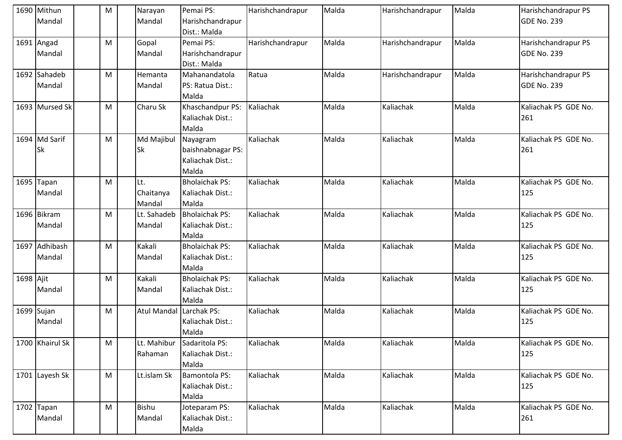|           | 1690 Mithun     | M | Narayan                 | Pemai PS:             | Harishchandrapur | Malda | Harishchandrapur | Malda | Harishchandrapur PS  |
|-----------|-----------------|---|-------------------------|-----------------------|------------------|-------|------------------|-------|----------------------|
|           | Mandal          |   | Mandal                  | Harishchandrapur      |                  |       |                  |       | <b>GDE No. 239</b>   |
|           |                 |   |                         | Dist.: Malda          |                  |       |                  |       |                      |
|           | 1691 Angad      | M | Gopal                   | Pemai PS:             | Harishchandrapur | Malda | Harishchandrapur | Malda | Harishchandrapur PS  |
|           | Mandal          |   | Mandal                  | Harishchandrapur      |                  |       |                  |       | <b>GDE No. 239</b>   |
|           |                 |   |                         | Dist.: Malda          |                  |       |                  |       |                      |
|           | 1692 Sahadeb    | M | Hemanta                 | Mahanandatola         | Ratua            | Malda | Harishchandrapur | Malda | Harishchandrapur PS  |
|           | Mandal          |   | Mandal                  | PS: Ratua Dist.:      |                  |       |                  |       | <b>GDE No. 239</b>   |
|           |                 |   |                         | Malda                 |                  |       |                  |       |                      |
|           | 1693 Mursed Sk  | M | Charu Sk                | Khaschandpur PS:      | Kaliachak        | Malda | Kaliachak        | Malda | Kaliachak PS GDE No. |
|           |                 |   |                         | Kaliachak Dist.:      |                  |       |                  |       | 261                  |
|           |                 |   |                         | Malda                 |                  |       |                  |       |                      |
|           | 1694 Md Sarif   | M | Md Majibul              | Nayagram              | Kaliachak        | Malda | Kaliachak        | Malda | Kaliachak PS GDE No. |
|           | Sk              |   | Sk                      | baishnabnagar PS:     |                  |       |                  |       | 261                  |
|           |                 |   |                         | Kaliachak Dist.:      |                  |       |                  |       |                      |
|           |                 |   |                         | Malda                 |                  |       |                  |       |                      |
|           | 1695 Tapan      | M | Lt.                     | <b>Bholaichak PS:</b> | Kaliachak        | Malda | Kaliachak        | Malda | Kaliachak PS GDE No. |
|           | Mandal          |   | Chaitanya               | Kaliachak Dist.:      |                  |       |                  |       | 125                  |
|           |                 |   | Mandal                  | Malda                 |                  |       |                  |       |                      |
|           | 1696 Bikram     | M | Lt. Sahadeb             | <b>Bholaichak PS:</b> | Kaliachak        | Malda | Kaliachak        | Malda | Kaliachak PS GDE No. |
|           | Mandal          |   | Mandal                  | Kaliachak Dist.:      |                  |       |                  |       | 125                  |
|           |                 |   |                         | Malda                 |                  |       |                  |       |                      |
|           | 1697 Adhibash   | M | Kakali                  | <b>Bholaichak PS:</b> | Kaliachak        | Malda | Kaliachak        | Malda | Kaliachak PS GDE No. |
|           | Mandal          |   | Mandal                  | Kaliachak Dist.:      |                  |       |                  |       | 125                  |
|           |                 |   |                         | Malda                 |                  |       |                  |       |                      |
| 1698 Ajit |                 | M | Kakali                  | <b>Bholaichak PS:</b> | Kaliachak        | Malda | Kaliachak        | Malda | Kaliachak PS GDE No. |
|           | Mandal          |   | Mandal                  | Kaliachak Dist.:      |                  |       |                  |       | 125                  |
|           |                 |   |                         | Malda                 |                  |       |                  |       |                      |
|           | $1699$ Sujan    | M | Atul Mandal Larchak PS: |                       | Kaliachak        | Malda | Kaliachak        | Malda | Kaliachak PS GDE No. |
|           | Mandal          |   |                         | Kaliachak Dist.:      |                  |       |                  |       | 125                  |
|           |                 |   |                         | Malda                 |                  |       |                  |       |                      |
|           | 1700 Khairul Sk | M | Lt. Mahibur             | Sadaritola PS:        | Kaliachak        | Malda | Kaliachak        | Malda | Kaliachak PS GDE No. |
|           |                 |   | Rahaman                 | Kaliachak Dist.:      |                  |       |                  |       | 125                  |
|           |                 |   |                         | Malda                 |                  |       |                  |       |                      |
|           | 1701 Layesh Sk  | M | Lt.islam Sk             | Bamontola PS:         | Kaliachak        | Malda | Kaliachak        | Malda | Kaliachak PS GDE No. |
|           |                 |   |                         | Kaliachak Dist.:      |                  |       |                  |       | 125                  |
|           |                 |   |                         | Malda                 |                  |       |                  |       |                      |
|           | $1702$ Tapan    | M | Bishu                   | Joteparam PS:         | Kaliachak        | Malda | Kaliachak        | Malda | Kaliachak PS GDE No. |
|           | Mandal          |   | Mandal                  | Kaliachak Dist.:      |                  |       |                  |       | 261                  |
|           |                 |   |                         | Malda                 |                  |       |                  |       |                      |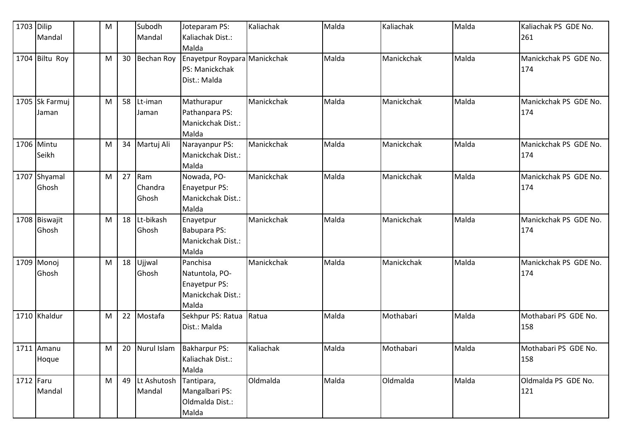| 1703 Dilip | Mandal                  | M |    | Subodh<br>Mandal        | Joteparam PS:<br>Kaliachak Dist.:                                         | Kaliachak  | Malda | Kaliachak  | Malda | Kaliachak PS GDE No.<br>261  |
|------------|-------------------------|---|----|-------------------------|---------------------------------------------------------------------------|------------|-------|------------|-------|------------------------------|
|            |                         |   |    |                         | Malda                                                                     |            |       |            |       |                              |
|            | 1704 Biltu Roy          | M | 30 | <b>Bechan Roy</b>       | Enayetpur Roypara Manickchak<br>PS: Manickchak<br>Dist.: Malda            |            | Malda | Manickchak | Malda | Manickchak PS GDE No.<br>174 |
|            | 1705 Sk Farmuj<br>Jaman | M | 58 | Lt-iman<br>Jaman        | Mathurapur<br>Pathanpara PS:<br>Manickchak Dist.:<br>Malda                | Manickchak | Malda | Manickchak | Malda | Manickchak PS GDE No.<br>174 |
|            | 1706 Mintu<br>Seikh     | M | 34 | Martuj Ali              | Narayanpur PS:<br>Manickchak Dist.:<br>Malda                              | Manickchak | Malda | Manickchak | Malda | Manickchak PS GDE No.<br>174 |
| 1707       | Shyamal<br>Ghosh        | M | 27 | Ram<br>Chandra<br>Ghosh | Nowada, PO-<br>Enayetpur PS:<br>Manickchak Dist.:<br>Malda                | Manickchak | Malda | Manickchak | Malda | Manickchak PS GDE No.<br>174 |
|            | 1708 Biswajit<br>Ghosh  | M | 18 | Lt-bikash<br>Ghosh      | Enayetpur<br>Babupara PS:<br>Manickchak Dist.:<br>Malda                   | Manickchak | Malda | Manickchak | Malda | Manickchak PS GDE No.<br>174 |
|            | 1709 Monoj<br>Ghosh     | M | 18 | Ujjwal<br>Ghosh         | Panchisa<br>Natuntola, PO-<br>Enayetpur PS:<br>Manickchak Dist.:<br>Malda | Manickchak | Malda | Manickchak | Malda | Manickchak PS GDE No.<br>174 |
|            | 1710 Khaldur            | M | 22 | Mostafa                 | Sekhpur PS: Ratua<br>Dist.: Malda                                         | Ratua      | Malda | Mothabari  | Malda | Mothabari PS GDE No.<br>158  |
|            | 1711 Amanu<br>Hoque     | M | 20 | Nurul Islam             | Bakharpur PS:<br>Kaliachak Dist.:<br>Malda                                | Kaliachak  | Malda | Mothabari  | Malda | Mothabari PS GDE No.<br>158  |
| 1712 Faru  | Mandal                  | M | 49 | Lt Ashutosh<br>Mandal   | Tantipara,<br>Mangalbari PS:<br>Oldmalda Dist.:<br>Malda                  | Oldmalda   | Malda | Oldmalda   | Malda | Oldmalda PS GDE No.<br>121   |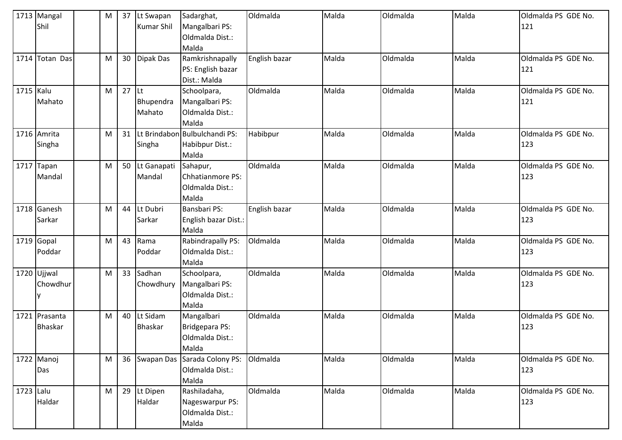|           | 1713 Mangal<br>Shil             | M | 37 | Lt Swapan<br><b>Kumar Shil</b> | Sadarghat,<br>Mangalbari PS:<br>Oldmalda Dist.:<br>Malda    | Oldmalda      | Malda | Oldmalda | Malda | Oldmalda PS GDE No.<br>121 |
|-----------|---------------------------------|---|----|--------------------------------|-------------------------------------------------------------|---------------|-------|----------|-------|----------------------------|
| 1714      | Totan Das                       | M | 30 | Dipak Das                      | Ramkrishnapally<br>PS: English bazar<br>Dist.: Malda        | English bazar | Malda | Oldmalda | Malda | Oldmalda PS GDE No.<br>121 |
| 1715 Kalu | Mahato                          | M | 27 | $ $ Lt<br>Bhupendra<br>Mahato  | Schoolpara,<br>Mangalbari PS:<br>Oldmalda Dist.:<br>Malda   | Oldmalda      | Malda | Oldmalda | Malda | Oldmalda PS GDE No.<br>121 |
|           | 1716 Amrita<br>Singha           | M | 31 | Singha                         | Lt Brindabon Bulbulchandi PS:<br>Habibpur Dist.:<br>Malda   | Habibpur      | Malda | Oldmalda | Malda | Oldmalda PS GDE No.<br>123 |
| 1717      | Tapan<br>Mandal                 | M | 50 | Lt Ganapati<br>Mandal          | Sahapur,<br>Chhatianmore PS:<br>Oldmalda Dist.:<br>Malda    | Oldmalda      | Malda | Oldmalda | Malda | Oldmalda PS GDE No.<br>123 |
|           | 1718 Ganesh<br>Sarkar           | M | 44 | Lt Dubri<br>Sarkar             | <b>Bansbari PS:</b><br>English bazar Dist.:<br>Malda        | English bazar | Malda | Oldmalda | Malda | Oldmalda PS GDE No.<br>123 |
|           | 1719 Gopal<br>Poddar            | M | 43 | Rama<br>Poddar                 | Rabindrapally PS:<br>Oldmalda Dist.:<br>Malda               | Oldmalda      | Malda | Oldmalda | Malda | Oldmalda PS GDE No.<br>123 |
|           | 1720 Ujjwal<br>Chowdhur         | M | 33 | Sadhan<br>Chowdhury            | Schoolpara,<br>Mangalbari PS:<br>Oldmalda Dist.:<br>Malda   | Oldmalda      | Malda | Oldmalda | Malda | Oldmalda PS GDE No.<br>123 |
|           | 1721 Prasanta<br><b>Bhaskar</b> | M | 40 | Lt Sidam<br><b>Bhaskar</b>     | Mangalbari<br>Bridgepara PS:<br>Oldmalda Dist.:<br>Malda    | Oldmalda      | Malda | Oldmalda | Malda | Oldmalda PS GDE No.<br>123 |
|           | 1722 Manoj<br>Das               | M | 36 | Swapan Das                     | Sarada Colony PS:<br>Oldmalda Dist.:<br>Malda               | Oldmalda      | Malda | Oldmalda | Malda | Oldmalda PS GDE No.<br>123 |
| 1723 Lalu | Haldar                          | M | 29 | Lt Dipen<br>Haldar             | Rashiladaha,<br>Nageswarpur PS:<br>Oldmalda Dist.:<br>Malda | Oldmalda      | Malda | Oldmalda | Malda | Oldmalda PS GDE No.<br>123 |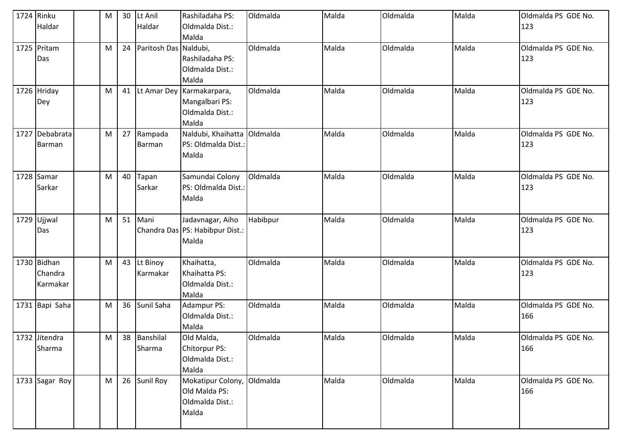| 1724 Rinku | Haldar                             | M | 30 | Lt Anil<br>Haldar      | Rashiladaha PS:<br>Oldmalda Dist.:<br>Malda                    | Oldmalda | Malda | Oldmalda | Malda | Oldmalda PS GDE No.<br>123 |
|------------|------------------------------------|---|----|------------------------|----------------------------------------------------------------|----------|-------|----------|-------|----------------------------|
|            | 1725 Pritam<br>Das                 | M | 24 | Paritosh Das Naldubi,  | Rashiladaha PS:<br>Oldmalda Dist.:<br>Malda                    | Oldmalda | Malda | Oldmalda | Malda | Oldmalda PS GDE No.<br>123 |
|            | 1726 Hriday<br>Dey                 | M | 41 | Lt Amar Dey            | Karmakarpara,<br>Mangalbari PS:<br>Oldmalda Dist.:<br>Malda    | Oldmalda | Malda | Oldmalda | Malda | Oldmalda PS GDE No.<br>123 |
|            | 1727 Debabrata<br>Barman           | M | 27 | Rampada<br>Barman      | Naldubi, Khaihatta<br>PS: Oldmalda Dist.:<br>Malda             | Oldmalda | Malda | Oldmalda | Malda | Oldmalda PS GDE No.<br>123 |
|            | 1728 Samar<br>Sarkar               | M | 40 | Tapan<br>Sarkar        | Samundai Colony<br>PS: Oldmalda Dist.:<br>Malda                | Oldmalda | Malda | Oldmalda | Malda | Oldmalda PS GDE No.<br>123 |
|            | 1729 Ujjwal<br>Das                 | M | 51 | Mani                   | Jadavnagar, Aiho<br>Chandra Das PS: Habibpur Dist.:<br>Malda   | Habibpur | Malda | Oldmalda | Malda | Oldmalda PS GDE No.<br>123 |
|            | 1730 Bidhan<br>Chandra<br>Karmakar | M | 43 | Lt Binoy<br>Karmakar   | Khaihatta,<br>Khaihatta PS:<br>Oldmalda Dist.:<br>Malda        | Oldmalda | Malda | Oldmalda | Malda | Oldmalda PS GDE No.<br>123 |
|            | 1731 Bapi Saha                     | M | 36 | Sunil Saha             | Adampur PS:<br>Oldmalda Dist.:<br>Malda                        | Oldmalda | Malda | Oldmalda | Malda | Oldmalda PS GDE No.<br>166 |
|            | 1732 Jitendra<br>Sharma            | M |    | 38 Banshilal<br>Sharma | Old Malda,<br>Chitorpur PS:<br>Oldmalda Dist.:<br>Malda        | Oldmalda | Malda | Oldmalda | Malda | Oldmalda PS GDE No.<br>166 |
|            | 1733 Sagar Roy                     | M | 26 | Sunil Roy              | Mokatipur Colony,<br>Old Malda PS:<br>Oldmalda Dist.:<br>Malda | Oldmalda | Malda | Oldmalda | Malda | Oldmalda PS GDE No.<br>166 |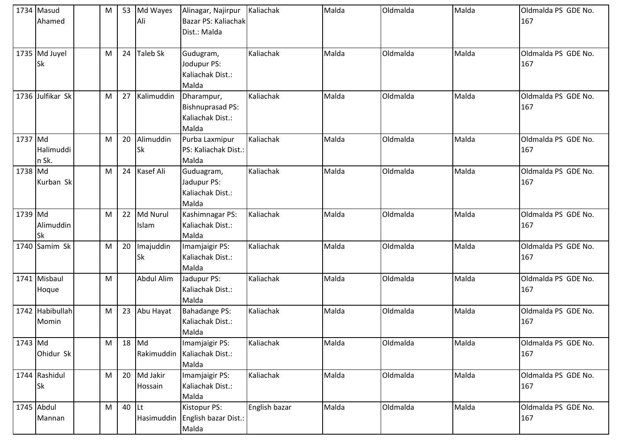|         | 1734 Masud<br>Ahamed       | M |    | 53 Md Wayes<br>Ali     | Alinagar, Najirpur<br>Bazar PS: Kaliachak<br>Dist.: Malda   | Kaliachak     | Malda | Oldmalda | Malda | Oldmalda PS GDE No.<br>167 |
|---------|----------------------------|---|----|------------------------|-------------------------------------------------------------|---------------|-------|----------|-------|----------------------------|
|         | 1735 Md Juyel<br>Sk        | M | 24 | <b>Taleb Sk</b>        | Gudugram,<br>Jodupur PS:<br>Kaliachak Dist.:<br>Malda       | Kaliachak     | Malda | Oldmalda | Malda | Oldmalda PS GDE No.<br>167 |
|         | 1736 Julfikar Sk           | M | 27 | Kalimuddin             | Dharampur,<br>Bishnuprasad PS:<br>Kaliachak Dist.:<br>Malda | Kaliachak     | Malda | Oldmalda | Malda | Oldmalda PS GDE No.<br>167 |
| 1737 Md | Halimuddi<br>n Sk.         | M | 20 | Alimuddin<br><b>Sk</b> | Purba Laxmipur<br>PS: Kaliachak Dist.:<br>Malda             | Kaliachak     | Malda | Oldmalda | Malda | Oldmalda PS GDE No.<br>167 |
| 1738 Md | Kurban Sk                  | M | 24 | Kasef Ali              | Guduagram,<br>Jadupur PS:<br>Kaliachak Dist.:<br>Malda      | Kaliachak     | Malda | Oldmalda | Malda | Oldmalda PS GDE No.<br>167 |
| 1739 Md | Alimuddin<br>Sk            | M | 22 | Md Nurul<br>Islam      | Kashimnagar PS:<br>Kaliachak Dist.:<br>Malda                | Kaliachak     | Malda | Oldmalda | Malda | Oldmalda PS GDE No.<br>167 |
|         | 1740 Samim Sk              | M | 20 | Imajuddin<br><b>Sk</b> | Imamjaigir PS:<br>Kaliachak Dist.:<br>Malda                 | Kaliachak     | Malda | Oldmalda | Malda | Oldmalda PS GDE No.<br>167 |
|         | 1741 Misbaul<br>Hoque      | M |    | <b>Abdul Alim</b>      | Jadupur PS:<br>Kaliachak Dist.:<br>Malda                    | Kaliachak     | Malda | Oldmalda | Malda | Oldmalda PS GDE No.<br>167 |
|         | 1742 Habibullah<br>Momin   | M | 23 | Abu Hayat              | Bahadange PS:<br>Kaliachak Dist.:<br>Malda                  | Kaliachak     | Malda | Oldmalda | Malda | Oldmalda PS GDE No.<br>167 |
| 1743 Md | Ohidur Sk                  | M |    | 18 Md<br>Rakimuddin    | Imamjaigir PS:<br>Kaliachak Dist.:<br>Malda                 | Kaliachak     | Malda | Oldmalda | Malda | Oldmalda PS GDE No.<br>167 |
|         | 1744 Rashidul<br><b>Sk</b> | M | 20 | Md Jakir<br>Hossain    | Imamjaigir PS:<br>Kaliachak Dist.:<br>Malda                 | Kaliachak     | Malda | Oldmalda | Malda | Oldmalda PS GDE No.<br>167 |
|         | 1745 Abdul<br>Mannan       | M | 40 | <b>Lt</b>              | Kistopur PS:<br>Hasimuddin English bazar Dist.:<br>Malda    | English bazar | Malda | Oldmalda | Malda | Oldmalda PS GDE No.<br>167 |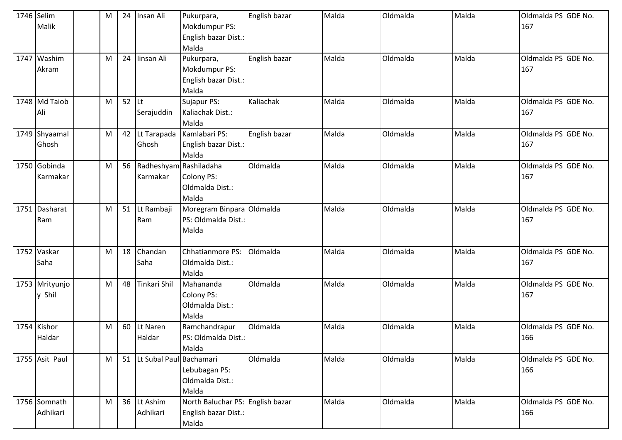| 1746 Selim | Malik                    | М | 24 | Insan Ali                          | Pukurpara,<br>Mokdumpur PS:<br>English bazar Dist.:<br>Malda      | English bazar | Malda | Oldmalda | Malda | Oldmalda PS GDE No.<br>167 |
|------------|--------------------------|---|----|------------------------------------|-------------------------------------------------------------------|---------------|-------|----------|-------|----------------------------|
| 1747       | Washim<br>Akram          | M | 24 | Iinsan Ali                         | Pukurpara,<br>Mokdumpur PS:<br>English bazar Dist.:<br>Malda      | English bazar | Malda | Oldmalda | Malda | Oldmalda PS GDE No.<br>167 |
|            | 1748 Md Taiob<br>Ali     | M | 52 | Lt<br>Serajuddin                   | Sujapur PS:<br>Kaliachak Dist.:<br>Malda                          | Kaliachak     | Malda | Oldmalda | Malda | Oldmalda PS GDE No.<br>167 |
|            | 1749 Shyaamal<br>Ghosh   | M | 42 | Lt Tarapada<br>Ghosh               | Kamlabari PS:<br>English bazar Dist.:<br>Malda                    | English bazar | Malda | Oldmalda | Malda | Oldmalda PS GDE No.<br>167 |
|            | 1750 Gobinda<br>Karmakar | M | 56 | Radheshyam Rashiladaha<br>Karmakar | Colony PS:<br>Oldmalda Dist.:<br>Malda                            | Oldmalda      | Malda | Oldmalda | Malda | Oldmalda PS GDE No.<br>167 |
| 1751       | Dasharat<br>Ram          | M | 51 | Lt Rambaji<br>Ram                  | Moregram Binpara Oldmalda<br>PS: Oldmalda Dist.:<br>Malda         |               | Malda | Oldmalda | Malda | Oldmalda PS GDE No.<br>167 |
| 1752       | Vaskar<br>Saha           | M | 18 | Chandan<br>Saha                    | Chhatianmore PS:<br>Oldmalda Dist.:<br>Malda                      | Oldmalda      | Malda | Oldmalda | Malda | Oldmalda PS GDE No.<br>167 |
|            | 1753 Mrityunjo<br>y Shil | M | 48 | Tinkari Shil                       | Mahananda<br>Colony PS:<br>Oldmalda Dist.:<br>Malda               | Oldmalda      | Malda | Oldmalda | Malda | Oldmalda PS GDE No.<br>167 |
|            | 1754 Kishor<br>Haldar    | M | 60 | Lt Naren<br>Haldar                 | Ramchandrapur<br>PS: Oldmalda Dist.:<br>Malda                     | Oldmalda      | Malda | Oldmalda | Malda | Oldmalda PS GDE No.<br>166 |
|            | 1755 Asit Paul           | M | 51 | Lt Subal Paul Bachamari            | Lebubagan PS:<br>Oldmalda Dist.:<br>Malda                         | Oldmalda      | Malda | Oldmalda | Malda | Oldmalda PS GDE No.<br>166 |
|            | 1756 Somnath<br>Adhikari | M | 36 | Lt Ashim<br>Adhikari               | North Baluchar PS: English bazar<br>English bazar Dist.:<br>Malda |               | Malda | Oldmalda | Malda | Oldmalda PS GDE No.<br>166 |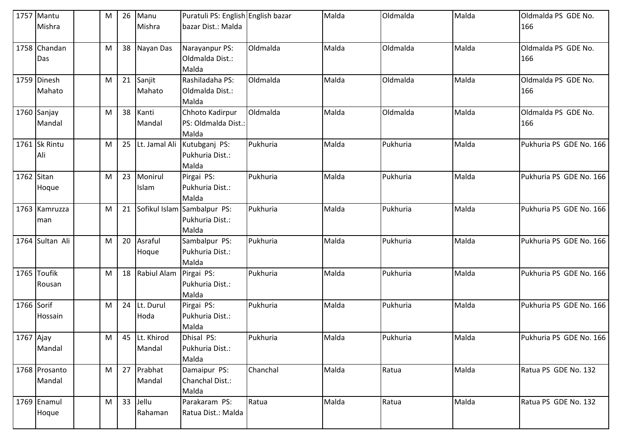|             | 1757 Mantu      | М | 26 | Manu               | Puratuli PS: English English bazar |          | Malda | Oldmalda | Malda | Oldmalda PS GDE No.     |
|-------------|-----------------|---|----|--------------------|------------------------------------|----------|-------|----------|-------|-------------------------|
|             | Mishra          |   |    | Mishra             | bazar Dist.: Malda                 |          |       |          |       | 166                     |
|             |                 |   |    |                    |                                    |          |       |          |       |                         |
|             | 1758 Chandan    | M | 38 | Nayan Das          | Narayanpur PS:                     | Oldmalda | Malda | Oldmalda | Malda | Oldmalda PS GDE No.     |
|             | Das             |   |    |                    | Oldmalda Dist.:                    |          |       |          |       | 166                     |
|             |                 |   |    |                    | Malda                              |          |       |          |       |                         |
|             | 1759 Dinesh     | M | 21 | Sanjit             | Rashiladaha PS:                    | Oldmalda | Malda | Oldmalda | Malda | Oldmalda PS GDE No.     |
|             | Mahato          |   |    | Mahato             | Oldmalda Dist.:                    |          |       |          |       | 166                     |
|             |                 |   |    |                    | Malda                              |          |       |          |       |                         |
|             | 1760 Sanjay     | M | 38 | Kanti              | Chhoto Kadirpur                    | Oldmalda | Malda | Oldmalda | Malda | Oldmalda PS GDE No.     |
|             | Mandal          |   |    | Mandal             | PS: Oldmalda Dist.:                |          |       |          |       | 166                     |
|             |                 |   |    |                    | Malda                              |          |       |          |       |                         |
|             | 1761 Sk Rintu   | M | 25 | Lt. Jamal Ali      | Kutubganj PS:                      | Pukhuria | Malda | Pukhuria | Malda | Pukhuria PS GDE No. 166 |
|             | Ali             |   |    |                    | Pukhuria Dist.:                    |          |       |          |       |                         |
|             |                 |   |    |                    | Malda                              |          |       |          |       |                         |
| 1762 Sitan  |                 | M | 23 | Monirul            | Pirgai PS:                         | Pukhuria | Malda | Pukhuria | Malda | Pukhuria PS GDE No. 166 |
|             | Hoque           |   |    | Islam              | Pukhuria Dist.:                    |          |       |          |       |                         |
|             |                 |   |    |                    | Malda                              |          |       |          |       |                         |
|             | 1763 Kamruzza   | М | 21 |                    | Sofikul Islam Sambalpur PS:        | Pukhuria | Malda | Pukhuria | Malda | Pukhuria PS GDE No. 166 |
|             | man             |   |    |                    | Pukhuria Dist.:                    |          |       |          |       |                         |
|             |                 |   |    |                    | Malda                              |          |       |          |       |                         |
|             | 1764 Sultan Ali | M | 20 | Asraful            | Sambalpur PS:                      | Pukhuria | Malda | Pukhuria | Malda | Pukhuria PS GDE No. 166 |
|             |                 |   |    | Hoque              | Pukhuria Dist.:                    |          |       |          |       |                         |
|             |                 |   |    |                    | Malda                              |          |       |          |       |                         |
|             | 1765 Toufik     | М | 18 | <b>Rabiul Alam</b> | Pirgai PS:                         | Pukhuria | Malda | Pukhuria | Malda | Pukhuria PS GDE No. 166 |
|             | Rousan          |   |    |                    | Pukhuria Dist.:                    |          |       |          |       |                         |
|             |                 |   |    |                    | Malda                              |          |       |          |       |                         |
| 1766 Sorif  |                 | M | 24 | Lt. Durul          | Pirgai PS:                         | Pukhuria | Malda | Pukhuria | Malda | Pukhuria PS GDE No. 166 |
|             | Hossain         |   |    | Hoda               | Pukhuria Dist.:                    |          |       |          |       |                         |
|             |                 |   |    |                    | Malda                              |          |       |          |       |                         |
| $1767$ Ajay |                 | M |    | 45 Lt. Khirod      | Dhisal PS:                         | Pukhuria | Malda | Pukhuria | Malda | Pukhuria PS GDE No. 166 |
|             | Mandal          |   |    | Mandal             | Pukhuria Dist.:                    |          |       |          |       |                         |
|             |                 |   |    |                    | Malda                              |          |       |          |       |                         |
|             | 1768 Prosanto   | M | 27 | Prabhat            | Damaipur PS:                       | Chanchal | Malda | Ratua    | Malda | Ratua PS GDE No. 132    |
|             | Mandal          |   |    | Mandal             | Chanchal Dist.:                    |          |       |          |       |                         |
|             |                 |   |    |                    | Malda                              |          |       |          |       |                         |
|             | 1769 Enamul     | М | 33 | Jellu              | Parakaram PS:                      | Ratua    | Malda | Ratua    | Malda | Ratua PS GDE No. 132    |
|             | Hoque           |   |    | Rahaman            | Ratua Dist.: Malda                 |          |       |          |       |                         |
|             |                 |   |    |                    |                                    |          |       |          |       |                         |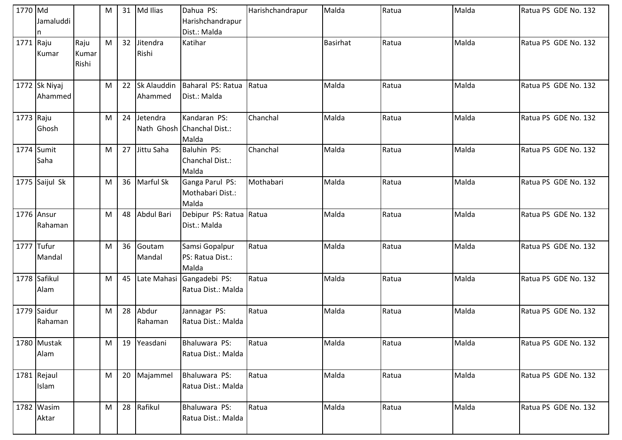| 1770 Md    | Jamaluddi<br>n           |                        | M |    | 31 Md Ilias            | Dahua PS:<br>Harishchandrapur<br>Dist.: Malda       | Harishchandrapur | Malda           | Ratua | Malda | Ratua PS GDE No. 132 |
|------------|--------------------------|------------------------|---|----|------------------------|-----------------------------------------------------|------------------|-----------------|-------|-------|----------------------|
| 1771 Raju  | Kumar                    | Raju<br>Kumar<br>Rishi | M | 32 | Jitendra<br>Rishi      | Katihar                                             |                  | <b>Basirhat</b> | Ratua | Malda | Ratua PS GDE No. 132 |
|            | 1772 Sk Niyaj<br>Ahammed |                        | M | 22 | Sk Alauddin<br>Ahammed | Baharal PS: Ratua<br>Dist.: Malda                   | Ratua            | Malda           | Ratua | Malda | Ratua PS GDE No. 132 |
| 1773 Raju  | Ghosh                    |                        | M | 24 | Jetendra               | Kandaran PS:<br>Nath Ghosh Chanchal Dist.:<br>Malda | Chanchal         | Malda           | Ratua | Malda | Ratua PS GDE No. 132 |
|            | 1774 Sumit<br>Saha       |                        | M | 27 | Jittu Saha             | Baluhin PS:<br>Chanchal Dist.:<br>Malda             | Chanchal         | Malda           | Ratua | Malda | Ratua PS GDE No. 132 |
|            | 1775 Saijul Sk           |                        | M | 36 | Marful Sk              | Ganga Parul PS:<br>Mothabari Dist.:<br>Malda        | Mothabari        | Malda           | Ratua | Malda | Ratua PS GDE No. 132 |
|            | 1776 Ansur<br>Rahaman    |                        | M | 48 | Abdul Bari             | Debipur PS: Ratua Ratua<br>Dist.: Malda             |                  | Malda           | Ratua | Malda | Ratua PS GDE No. 132 |
| 1777 Tufur | Mandal                   |                        | M | 36 | Goutam<br>Mandal       | Samsi Gopalpur<br>PS: Ratua Dist.:<br>Malda         | Ratua            | Malda           | Ratua | Malda | Ratua PS GDE No. 132 |
|            | 1778 Safikul<br>Alam     |                        | M | 45 | Late Mahasi            | Gangadebi PS:<br>Ratua Dist.: Malda                 | Ratua            | Malda           | Ratua | Malda | Ratua PS GDE No. 132 |
|            | 1779 Saidur<br>Rahaman   |                        | M | 28 | Abdur<br>Rahaman       | Jannagar PS:<br>Ratua Dist.: Malda                  | Ratua            | Malda           | Ratua | Malda | Ratua PS GDE No. 132 |
|            | 1780 Mustak<br>Alam      |                        | M | 19 | Yeasdani               | Bhaluwara PS:<br>Ratua Dist.: Malda                 | Ratua            | Malda           | Ratua | Malda | Ratua PS GDE No. 132 |
|            | 1781 Rejaul<br>Islam     |                        | M | 20 | Majammel               | Bhaluwara PS:<br>Ratua Dist.: Malda                 | Ratua            | Malda           | Ratua | Malda | Ratua PS GDE No. 132 |
|            | 1782 Wasim<br>Aktar      |                        | M | 28 | Rafikul                | Bhaluwara PS:<br>Ratua Dist.: Malda                 | Ratua            | Malda           | Ratua | Malda | Ratua PS GDE No. 132 |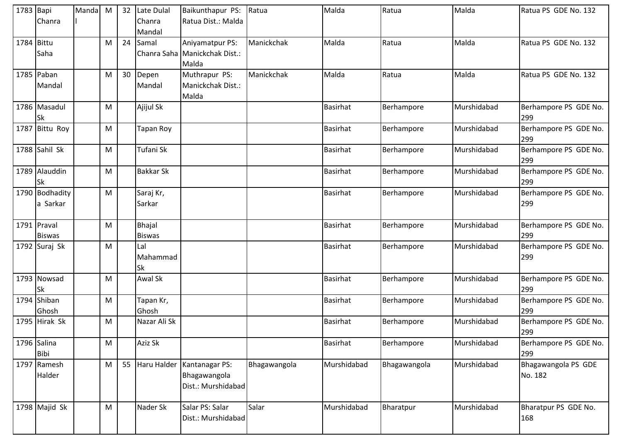| 1783 Bapi  | Chanra                       | Manda M |   | 32 | Late Dulal<br>Chanra<br>Mandal | Baikunthapur PS:<br>Ratua Dist.: Malda                              | Ratua        | Malda           | Ratua        | Malda       | Ratua PS GDE No. 132           |
|------------|------------------------------|---------|---|----|--------------------------------|---------------------------------------------------------------------|--------------|-----------------|--------------|-------------|--------------------------------|
| 1784 Bittu | Saha                         |         | M | 24 | Samal                          | Aniyamatpur PS:<br>Chanra Saha Manickchak Dist.:<br>Malda           | Manickchak   | Malda           | Ratua        | Malda       | Ratua PS GDE No. 132           |
|            | 1785 Paban<br>Mandal         |         | M | 30 | Depen<br>Mandal                | Muthrapur PS:<br>Manickchak Dist.:<br>Malda                         | Manickchak   | Malda           | Ratua        | Malda       | Ratua PS GDE No. 132           |
|            | 1786 Masadul<br><b>Sk</b>    |         | M |    | Ajijul Sk                      |                                                                     |              | <b>Basirhat</b> | Berhampore   | Murshidabad | Berhampore PS GDE No.<br>299   |
|            | 1787 Bittu Roy               |         | M |    | Tapan Roy                      |                                                                     |              | <b>Basirhat</b> | Berhampore   | Murshidabad | Berhampore PS GDE No.<br>299   |
|            | 1788 Sahil Sk                |         | M |    | Tufani Sk                      |                                                                     |              | <b>Basirhat</b> | Berhampore   | Murshidabad | Berhampore PS GDE No.<br>299   |
|            | 1789 Alauddin<br><b>Sk</b>   |         | M |    | <b>Bakkar Sk</b>               |                                                                     |              | <b>Basirhat</b> | Berhampore   | Murshidabad | Berhampore PS GDE No.<br>299   |
|            | 1790 Bodhadity<br>a Sarkar   |         | M |    | Saraj Kr,<br>Sarkar            |                                                                     |              | <b>Basirhat</b> | Berhampore   | Murshidabad | Berhampore PS GDE No.<br>299   |
|            | 1791 Praval<br><b>Biswas</b> |         | M |    | Bhajal<br><b>Biswas</b>        |                                                                     |              | <b>Basirhat</b> | Berhampore   | Murshidabad | Berhampore PS GDE No.<br>299   |
|            | 1792 Suraj Sk                |         | M |    | Lal<br>Mahammad<br>Sk          |                                                                     |              | <b>Basirhat</b> | Berhampore   | Murshidabad | Berhampore PS GDE No.<br>299   |
|            | 1793 Nowsad<br><b>Sk</b>     |         | M |    | Awal Sk                        |                                                                     |              | <b>Basirhat</b> | Berhampore   | Murshidabad | Berhampore PS GDE No.<br>299   |
|            | 1794 Shiban<br>Ghosh         |         | M |    | Tapan Kr,<br>Ghosh             |                                                                     |              | <b>Basirhat</b> | Berhampore   | Murshidabad | Berhampore PS GDE No.<br>299   |
|            | 1795 Hirak Sk                |         | M |    | Nazar Ali Sk                   |                                                                     |              | <b>Basirhat</b> | Berhampore   | Murshidabad | Berhampore PS GDE No.<br>299   |
|            | 1796 Salina<br><b>Bibi</b>   |         | M |    | Aziz Sk                        |                                                                     |              | <b>Basirhat</b> | Berhampore   | Murshidabad | Berhampore PS GDE No.<br>299   |
|            | 1797 Ramesh<br>Halder        |         | M |    |                                | 55 Haru Halder Kantanagar PS:<br>Bhagawangola<br>Dist.: Murshidabad | Bhagawangola | Murshidabad     | Bhagawangola | Murshidabad | Bhagawangola PS GDE<br>No. 182 |
|            | 1798 Majid Sk                |         | M |    | Nader Sk                       | Salar PS: Salar<br>Dist.: Murshidabad                               | Salar        | Murshidabad     | Bharatpur    | Murshidabad | Bharatpur PS GDE No.<br>168    |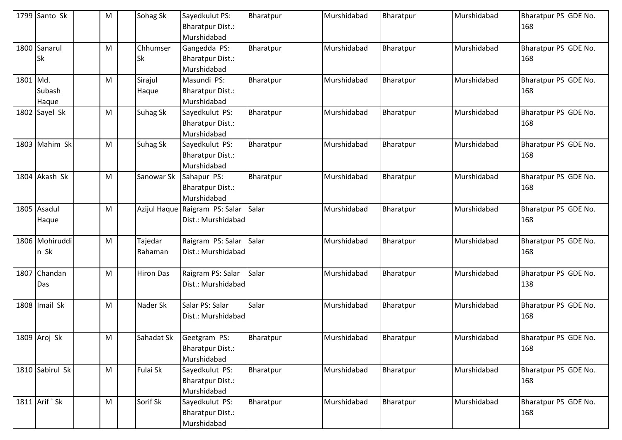|          | 1799 Santo Sk             | M | Sohag Sk              | Sayedkulut PS:<br><b>Bharatpur Dist.:</b>                             | Bharatpur | Murshidabad | Bharatpur | Murshidabad | Bharatpur PS GDE No.<br>168 |
|----------|---------------------------|---|-----------------------|-----------------------------------------------------------------------|-----------|-------------|-----------|-------------|-----------------------------|
|          | 1800 Sanarul<br><b>Sk</b> | M | Chhumser<br><b>Sk</b> | Murshidabad<br>Gangedda PS:<br><b>Bharatpur Dist.:</b><br>Murshidabad | Bharatpur | Murshidabad | Bharatpur | Murshidabad | Bharatpur PS GDE No.<br>168 |
| 1801 Md. | Subash<br>Haque           | M | Sirajul<br>Haque      | Masundi PS:<br><b>Bharatpur Dist.:</b><br>Murshidabad                 | Bharatpur | Murshidabad | Bharatpur | Murshidabad | Bharatpur PS GDE No.<br>168 |
|          | 1802 Sayel Sk             | M | <b>Suhag Sk</b>       | Sayedkulut PS:<br><b>Bharatpur Dist.:</b><br>Murshidabad              | Bharatpur | Murshidabad | Bharatpur | Murshidabad | Bharatpur PS GDE No.<br>168 |
|          | 1803 Mahim Sk             | M | <b>Suhag Sk</b>       | Sayedkulut PS:<br><b>Bharatpur Dist.:</b><br>Murshidabad              | Bharatpur | Murshidabad | Bharatpur | Murshidabad | Bharatpur PS GDE No.<br>168 |
|          | 1804 Akash Sk             | M | Sanowar Sk            | Sahapur PS:<br><b>Bharatpur Dist.:</b><br>Murshidabad                 | Bharatpur | Murshidabad | Bharatpur | Murshidabad | Bharatpur PS GDE No.<br>168 |
|          | 1805 Asadul<br>Haque      | M |                       | Azijul Haque Raigram PS: Salar<br>Dist.: Murshidabad                  | Salar     | Murshidabad | Bharatpur | Murshidabad | Bharatpur PS GDE No.<br>168 |
|          | 1806 Mohiruddi<br>n Sk    | M | Tajedar<br>Rahaman    | Raigram PS: Salar<br>Dist.: Murshidabad                               | Salar     | Murshidabad | Bharatpur | Murshidabad | Bharatpur PS GDE No.<br>168 |
|          | 1807 Chandan<br>Das       | M | <b>Hiron Das</b>      | Raigram PS: Salar<br>Dist.: Murshidabad                               | Salar     | Murshidabad | Bharatpur | Murshidabad | Bharatpur PS GDE No.<br>138 |
|          | 1808 Imail Sk             | M | Nader Sk              | Salar PS: Salar<br>Dist.: Murshidabad                                 | Salar     | Murshidabad | Bharatpur | Murshidabad | Bharatpur PS GDE No.<br>168 |
|          | 1809 Aroj Sk              | M | Sahadat Sk            | Geetgram PS:<br><b>Bharatpur Dist.:</b><br>Murshidabad                | Bharatpur | Murshidabad | Bharatpur | Murshidabad | Bharatpur PS GDE No.<br>168 |
|          | 1810 Sabirul Sk           | M | Fulai Sk              | Sayedkulut PS:<br><b>Bharatpur Dist.:</b><br>Murshidabad              | Bharatpur | Murshidabad | Bharatpur | Murshidabad | Bharatpur PS GDE No.<br>168 |
|          | 1811 Arif `Sk             | M | Sorif Sk              | Sayedkulut PS:<br><b>Bharatpur Dist.:</b><br>Murshidabad              | Bharatpur | Murshidabad | Bharatpur | Murshidabad | Bharatpur PS GDE No.<br>168 |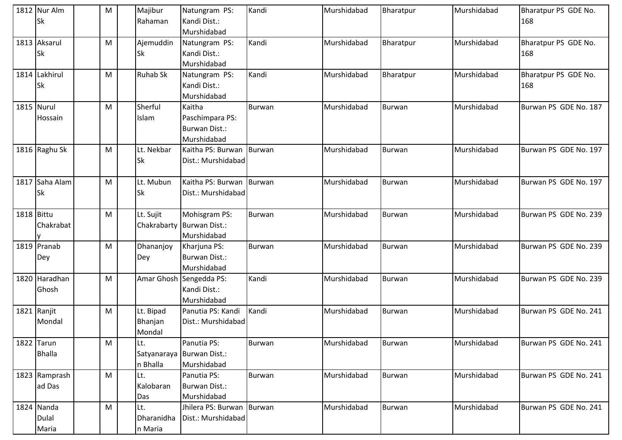|            | 1812 Nur Alm<br><b>Sk</b>    |   | M | Majibur<br>Rahaman             | Natungram PS:<br>Kandi Dist.:<br>Murshidabad              | Kandi         | Murshidabad | Bharatpur     | Murshidabad | Bharatpur PS GDE No.<br>168 |
|------------|------------------------------|---|---|--------------------------------|-----------------------------------------------------------|---------------|-------------|---------------|-------------|-----------------------------|
|            | 1813 Aksarul<br><b>Sk</b>    | M |   | Ajemuddin<br><b>Sk</b>         | Natungram PS:<br>Kandi Dist.:<br>Murshidabad              | Kandi         | Murshidabad | Bharatpur     | Murshidabad | Bharatpur PS GDE No.<br>168 |
|            | 1814 Lakhirul<br><b>Sk</b>   |   | M | <b>Ruhab Sk</b>                | Natungram PS:<br>Kandi Dist.:<br>Murshidabad              | Kandi         | Murshidabad | Bharatpur     | Murshidabad | Bharatpur PS GDE No.<br>168 |
|            | 1815 Nurul<br>Hossain        | M |   | Sherful<br>Islam               | Kaitha<br>Paschimpara PS:<br>Burwan Dist.:<br>Murshidabad | <b>Burwan</b> | Murshidabad | <b>Burwan</b> | Murshidabad | Burwan PS GDE No. 187       |
|            | 1816 Raghu Sk                |   | M | Lt. Nekbar<br><b>Sk</b>        | Kaitha PS: Burwan<br>Dist.: Murshidabad                   | Burwan        | Murshidabad | <b>Burwan</b> | Murshidabad | Burwan PS GDE No. 197       |
|            | 1817 Saha Alam<br><b>Sk</b>  | M |   | Lt. Mubun<br><b>Sk</b>         | Kaitha PS: Burwan Burwan<br>Dist.: Murshidabad            |               | Murshidabad | <b>Burwan</b> | Murshidabad | Burwan PS GDE No. 197       |
| 1818 Bittu | Chakrabat                    |   | M | Lt. Sujit                      | Mohisgram PS:<br>Chakrabarty Burwan Dist.:<br>Murshidabad | <b>Burwan</b> | Murshidabad | <b>Burwan</b> | Murshidabad | Burwan PS GDE No. 239       |
|            | 1819 Pranab<br>Dey           | M |   | Dhananjoy<br>Dey               | Kharjuna PS:<br><b>Burwan Dist.:</b><br>Murshidabad       | <b>Burwan</b> | Murshidabad | <b>Burwan</b> | Murshidabad | Burwan PS GDE No. 239       |
|            | 1820 Haradhan<br>Ghosh       | M |   |                                | Amar Ghosh Sengedda PS:<br>Kandi Dist.:<br>Murshidabad    | Kandi         | Murshidabad | <b>Burwan</b> | Murshidabad | Burwan PS GDE No. 239       |
|            | 1821 Ranjit<br>Mondal        |   | M | Lt. Bipad<br>Bhanjan<br>Mondal | Panutia PS: Kandi<br>Dist.: Murshidabad                   | Kandi         | Murshidabad | <b>Burwan</b> | Murshidabad | Burwan PS GDE No. 241       |
|            | 1822 Tarun<br><b>Bhalla</b>  | M |   | Lt.<br>n Bhalla                | Panutia PS:<br>Satyanaraya Burwan Dist.:<br>Murshidabad   | Burwan        | Murshidabad | <b>Burwan</b> | Murshidabad | Burwan PS GDE No. 241       |
|            | 1823 Ramprash<br>ad Das      |   | M | Lt.<br>Kalobaran<br>Das        | Panutia PS:<br><b>Burwan Dist.:</b><br>Murshidabad        | <b>Burwan</b> | Murshidabad | <b>Burwan</b> | Murshidabad | Burwan PS GDE No. 241       |
|            | 1824 Nanda<br>Dulal<br>Maria |   | M | Lt.<br>Dharanidha<br>n Maria   | Jhilera PS: Burwan Burwan<br>Dist.: Murshidabad           |               | Murshidabad | <b>Burwan</b> | Murshidabad | Burwan PS GDE No. 241       |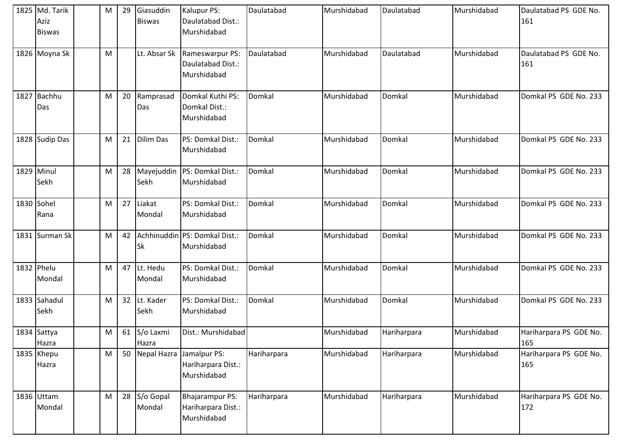|      | 1825 Md. Tarik<br>Aziz<br><b>Biswas</b> | M | 29 | Giasuddin<br><b>Biswas</b> | Kalupur PS:<br>Daulatabad Dist.:<br>Murshidabad                    | Daulatabad  | Murshidabad | Daulatabad  | Murshidabad | Daulatabad PS GDE No.<br>161  |
|------|-----------------------------------------|---|----|----------------------------|--------------------------------------------------------------------|-------------|-------------|-------------|-------------|-------------------------------|
|      | 1826 Moyna Sk                           | M |    |                            | Lt. Absar Sk   Rameswarpur PS:<br>Daulatabad Dist.:<br>Murshidabad | Daulatabad  | Murshidabad | Daulatabad  | Murshidabad | Daulatabad PS GDE No.<br>161  |
| 1827 | Bachhu<br>Das                           | M | 20 | Ramprasad<br>Das           | Domkal Kuthi PS:<br>Domkal Dist.:<br>Murshidabad                   | Domkal      | Murshidabad | Domkal      | Murshidabad | Domkal PS GDE No. 233         |
|      | 1828 Sudip Das                          | M | 21 | Dilim Das                  | PS: Domkal Dist.:<br>Murshidabad                                   | Domkal      | Murshidabad | Domkal      | Murshidabad | Domkal PS GDE No. 233         |
|      | 1829 Minul<br>Sekh                      | M | 28 | Mayejuddin<br>Sekh         | PS: Domkal Dist.:<br>Murshidabad                                   | Domkal      | Murshidabad | Domkal      | Murshidabad | Domkal PS GDE No. 233         |
|      | 1830 Sohel<br>Rana                      | M | 27 | Liakat<br>Mondal           | PS: Domkal Dist.:<br>Murshidabad                                   | Domkal      | Murshidabad | Domkal      | Murshidabad | Domkal PS GDE No. 233         |
|      | 1831 Surman Sk                          | M | 42 | <b>Sk</b>                  | Achhinuddin PS: Domkal Dist.:<br>Murshidabad                       | Domkal      | Murshidabad | Domkal      | Murshidabad | Domkal PS GDE No. 233         |
|      | 1832 Phelu<br>Mondal                    | M | 47 | Lt. Hedu<br>Mondal         | PS: Domkal Dist.:<br>Murshidabad                                   | Domkal      | Murshidabad | Domkal      | Murshidabad | Domkal PS GDE No. 233         |
|      | 1833 Sahadul<br>Sekh                    | M | 32 | Lt. Kader<br>Sekh          | PS: Domkal Dist.:<br>Murshidabad                                   | Domkal      | Murshidabad | Domkal      | Murshidabad | Domkal PS GDE No. 233         |
|      | 1834 Sattya<br>Hazra                    | M | 61 | S/o Laxmi<br>Hazra         | Dist.: Murshidabad                                                 |             | Murshidabad | Hariharpara | Murshidabad | Hariharpara PS GDE No.<br>165 |
|      | 1835 Khepu<br>Hazra                     | M | 50 |                            | Nepal Hazra Jamalpur PS:<br>Hariharpara Dist.:<br>Murshidabad      | Hariharpara | Murshidabad | Hariharpara | Murshidabad | Hariharpara PS GDE No.<br>165 |
|      | 1836 Uttam<br>Mondal                    | M | 28 | S/o Gopal<br>Mondal        | Bhajarampur PS:<br>Hariharpara Dist.:<br>Murshidabad               | Hariharpara | Murshidabad | Hariharpara | Murshidabad | Hariharpara PS GDE No.<br>172 |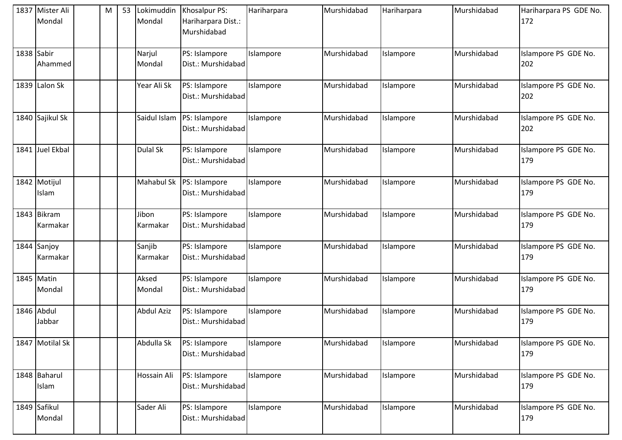|            | 1837 Mister Ali<br>Mondal | M | 53 | Lokimuddin<br>Mondal | Khosalpur PS:<br>Hariharpara Dist.:<br>Murshidabad | Hariharpara | Murshidabad | Hariharpara | Murshidabad | Hariharpara PS GDE No.<br>172 |
|------------|---------------------------|---|----|----------------------|----------------------------------------------------|-------------|-------------|-------------|-------------|-------------------------------|
| 1838 Sabir | Ahammed                   |   |    | Narjul<br>Mondal     | PS: Islampore<br>Dist.: Murshidabad                | Islampore   | Murshidabad | Islampore   | Murshidabad | Islampore PS GDE No.<br>202   |
|            | 1839 Lalon Sk             |   |    | Year Ali Sk          | PS: Islampore<br>Dist.: Murshidabad                | Islampore   | Murshidabad | Islampore   | Murshidabad | Islampore PS GDE No.<br>202   |
|            | 1840 Sajikul Sk           |   |    | Saidul Islam         | PS: Islampore<br>Dist.: Murshidabad                | Islampore   | Murshidabad | Islampore   | Murshidabad | Islampore PS GDE No.<br>202   |
| 1841       | Juel Ekbal                |   |    | Dulal Sk             | PS: Islampore<br>Dist.: Murshidabad                | Islampore   | Murshidabad | Islampore   | Murshidabad | Islampore PS GDE No.<br>179   |
|            | 1842 Motijul<br>Islam     |   |    | Mahabul Sk           | PS: Islampore<br>Dist.: Murshidabad                | Islampore   | Murshidabad | Islampore   | Murshidabad | Islampore PS GDE No.<br>179   |
|            | 1843 Bikram<br>Karmakar   |   |    | Jibon<br>Karmakar    | PS: Islampore<br>Dist.: Murshidabad                | Islampore   | Murshidabad | Islampore   | Murshidabad | Islampore PS GDE No.<br>179   |
|            | 1844 Sanjoy<br>Karmakar   |   |    | Sanjib<br>Karmakar   | PS: Islampore<br>Dist.: Murshidabad                | Islampore   | Murshidabad | Islampore   | Murshidabad | Islampore PS GDE No.<br>179   |
|            | 1845 Matin<br>Mondal      |   |    | Aksed<br>Mondal      | PS: Islampore<br>Dist.: Murshidabad                | Islampore   | Murshidabad | Islampore   | Murshidabad | Islampore PS GDE No.<br>179   |
|            | 1846 Abdul<br>Jabbar      |   |    | <b>Abdul Aziz</b>    | PS: Islampore<br>Dist.: Murshidabad                | Islampore   | Murshidabad | Islampore   | Murshidabad | Islampore PS GDE No.<br>179   |
|            | 1847 Motilal Sk           |   |    | Abdulla Sk           | PS: Islampore<br>Dist.: Murshidabad                | Islampore   | Murshidabad | Islampore   | Murshidabad | Islampore PS GDE No.<br>179   |
|            | 1848 Baharul<br>Islam     |   |    | Hossain Ali          | PS: Islampore<br>Dist.: Murshidabad                | Islampore   | Murshidabad | Islampore   | Murshidabad | Islampore PS GDE No.<br>179   |
|            | 1849 Safikul<br>Mondal    |   |    | Sader Ali            | PS: Islampore<br>Dist.: Murshidabad                | Islampore   | Murshidabad | Islampore   | Murshidabad | Islampore PS GDE No.<br>179   |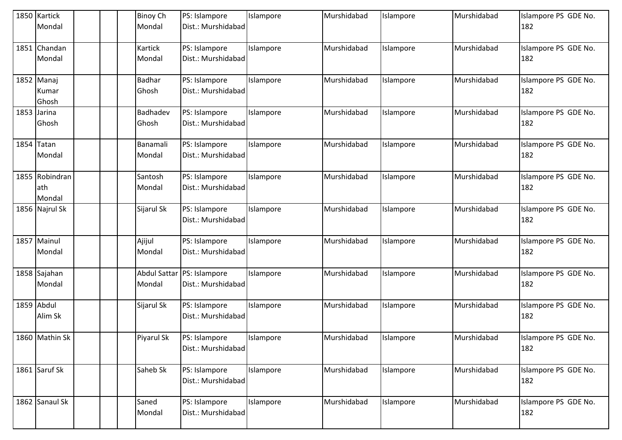|      | 1850 Kartick<br>Mondal          |  | <b>Binoy Ch</b><br>Mondal | PS: Islampore<br>Dist.: Murshidabad              | Islampore | Murshidabad | Islampore | Murshidabad | Islampore PS GDE No.<br>182 |
|------|---------------------------------|--|---------------------------|--------------------------------------------------|-----------|-------------|-----------|-------------|-----------------------------|
| 1851 | Chandan<br>Mondal               |  | Kartick<br>Mondal         | PS: Islampore<br>Dist.: Murshidabad              | Islampore | Murshidabad | Islampore | Murshidabad | Islampore PS GDE No.<br>182 |
|      | 1852 Manaj<br>Kumar<br>Ghosh    |  | <b>Badhar</b><br>Ghosh    | PS: Islampore<br>Dist.: Murshidabad              | Islampore | Murshidabad | Islampore | Murshidabad | Islampore PS GDE No.<br>182 |
|      | 1853 Jarina<br>Ghosh            |  | Badhadev<br>Ghosh         | PS: Islampore<br>Dist.: Murshidabad              | Islampore | Murshidabad | Islampore | Murshidabad | Islampore PS GDE No.<br>182 |
| 1854 | Tatan<br>Mondal                 |  | Banamali<br>Mondal        | PS: Islampore<br>Dist.: Murshidabad              | Islampore | Murshidabad | Islampore | Murshidabad | Islampore PS GDE No.<br>182 |
|      | 1855 Robindran<br>ath<br>Mondal |  | Santosh<br>Mondal         | PS: Islampore<br>Dist.: Murshidabad              | Islampore | Murshidabad | Islampore | Murshidabad | Islampore PS GDE No.<br>182 |
|      | 1856 Najrul Sk                  |  | Sijarul Sk                | PS: Islampore<br>Dist.: Murshidabad              | Islampore | Murshidabad | Islampore | Murshidabad | Islampore PS GDE No.<br>182 |
|      | 1857 Mainul<br>Mondal           |  | Ajijul<br>Mondal          | PS: Islampore<br>Dist.: Murshidabad              | Islampore | Murshidabad | Islampore | Murshidabad | Islampore PS GDE No.<br>182 |
|      | 1858 Sajahan<br>Mondal          |  | Mondal                    | Abdul Sattar PS: Islampore<br>Dist.: Murshidabad | Islampore | Murshidabad | Islampore | Murshidabad | Islampore PS GDE No.<br>182 |
|      | 1859 Abdul<br>Alim Sk           |  | Sijarul Sk                | PS: Islampore<br>Dist.: Murshidabad              | Islampore | Murshidabad | Islampore | Murshidabad | Islampore PS GDE No.<br>182 |
|      | 1860 Mathin Sk                  |  | Piyarul Sk                | PS: Islampore<br>Dist.: Murshidabad              | Islampore | Murshidabad | Islampore | Murshidabad | Islampore PS GDE No.<br>182 |
|      | 1861 Saruf Sk                   |  | Saheb Sk                  | PS: Islampore<br>Dist.: Murshidabad              | Islampore | Murshidabad | Islampore | Murshidabad | Islampore PS GDE No.<br>182 |
|      | 1862 Sanaul Sk                  |  | Saned<br>Mondal           | PS: Islampore<br>Dist.: Murshidabad              | Islampore | Murshidabad | Islampore | Murshidabad | Islampore PS GDE No.<br>182 |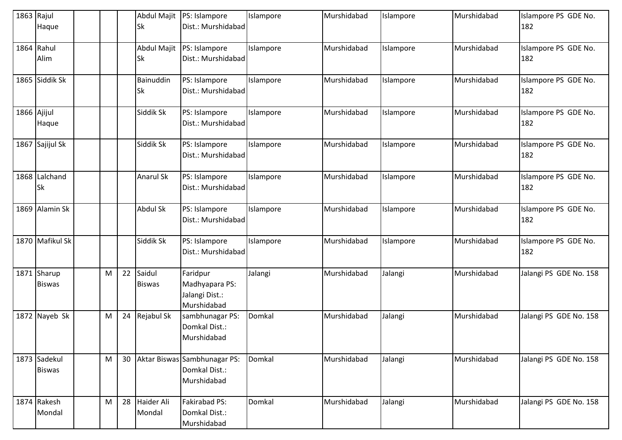| 1863 Rajul  | Haque                         |   |    | Abdul Majit<br><b>Sk</b>        | PS: Islampore<br>Dist.: Murshidabad                          | Islampore | Murshidabad | Islampore | Murshidabad | Islampore PS GDE No.<br>182 |
|-------------|-------------------------------|---|----|---------------------------------|--------------------------------------------------------------|-----------|-------------|-----------|-------------|-----------------------------|
| 1864        | Rahul<br>Alim                 |   |    | <b>Abdul Majit</b><br><b>Sk</b> | PS: Islampore<br>Dist.: Murshidabad                          | Islampore | Murshidabad | Islampore | Murshidabad | Islampore PS GDE No.<br>182 |
|             | 1865 Siddik Sk                |   |    | Bainuddin<br><b>Sk</b>          | PS: Islampore<br>Dist.: Murshidabad                          | Islampore | Murshidabad | Islampore | Murshidabad | Islampore PS GDE No.<br>182 |
| 1866 Ajijul | Haque                         |   |    | Siddik Sk                       | PS: Islampore<br>Dist.: Murshidabad                          | Islampore | Murshidabad | Islampore | Murshidabad | Islampore PS GDE No.<br>182 |
| 1867        | Sajijul Sk                    |   |    | Siddik Sk                       | PS: Islampore<br>Dist.: Murshidabad                          | Islampore | Murshidabad | Islampore | Murshidabad | Islampore PS GDE No.<br>182 |
|             | 1868 Lalchand<br><b>Sk</b>    |   |    | <b>Anarul Sk</b>                | PS: Islampore<br>Dist.: Murshidabad                          | Islampore | Murshidabad | Islampore | Murshidabad | Islampore PS GDE No.<br>182 |
|             | 1869 Alamin Sk                |   |    | <b>Abdul Sk</b>                 | PS: Islampore<br>Dist.: Murshidabad                          | Islampore | Murshidabad | Islampore | Murshidabad | Islampore PS GDE No.<br>182 |
|             | 1870 Mafikul Sk               |   |    | Siddik Sk                       | PS: Islampore<br>Dist.: Murshidabad                          | Islampore | Murshidabad | Islampore | Murshidabad | Islampore PS GDE No.<br>182 |
| 1871        | Sharup<br><b>Biswas</b>       | M | 22 | Saidul<br><b>Biswas</b>         | Faridpur<br>Madhyapara PS:<br>Jalangi Dist.:<br>Murshidabad  | Jalangi   | Murshidabad | Jalangi   | Murshidabad | Jalangi PS GDE No. 158      |
|             | 1872 Nayeb Sk                 | M | 24 | Rejabul Sk                      | sambhunagar PS:<br>Domkal Dist.:<br>Murshidabad              | Domkal    | Murshidabad | Jalangi   | Murshidabad | Jalangi PS GDE No. 158      |
|             | 1873 Sadekul<br><b>Biswas</b> | M | 30 |                                 | Aktar Biswas Sambhunagar PS:<br>Domkal Dist.:<br>Murshidabad | Domkal    | Murshidabad | Jalangi   | Murshidabad | Jalangi PS GDE No. 158      |
|             | 1874 Rakesh<br>Mondal         | M | 28 | Haider Ali<br>Mondal            | Fakirabad PS:<br>Domkal Dist.:<br>Murshidabad                | Domkal    | Murshidabad | Jalangi   | Murshidabad | Jalangi PS GDE No. 158      |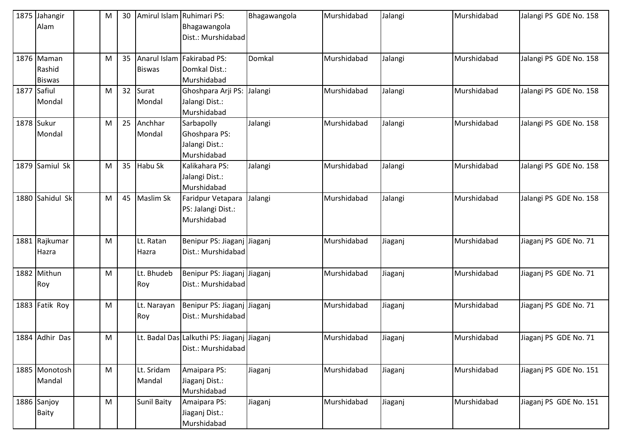|             | 1875 Jahangir<br>Alam                 | M | 30 | Amirul Islam Ruhimari PS: | Bhagawangola<br>Dist.: Murshidabad                               | Bhagawangola | Murshidabad | Jalangi | Murshidabad | Jalangi PS GDE No. 158 |
|-------------|---------------------------------------|---|----|---------------------------|------------------------------------------------------------------|--------------|-------------|---------|-------------|------------------------|
|             | 1876 Maman<br>Rashid<br><b>Biswas</b> | M | 35 | <b>Biswas</b>             | Anarul Islam Fakirabad PS:<br>Domkal Dist.:<br>Murshidabad       | Domkal       | Murshidabad | Jalangi | Murshidabad | Jalangi PS GDE No. 158 |
| 1877 Safiul | Mondal                                | M | 32 | Surat<br>Mondal           | Ghoshpara Arji PS:<br>Jalangi Dist.:<br>Murshidabad              | Jalangi      | Murshidabad | Jalangi | Murshidabad | Jalangi PS GDE No. 158 |
|             | 1878 Sukur<br>Mondal                  | M | 25 | Anchhar<br>Mondal         | Sarbapolly<br>Ghoshpara PS:<br>Jalangi Dist.:<br>Murshidabad     | Jalangi      | Murshidabad | Jalangi | Murshidabad | Jalangi PS GDE No. 158 |
|             | 1879 Samiul Sk                        | M | 35 | Habu Sk                   | Kalikahara PS:<br>Jalangi Dist.:<br>Murshidabad                  | Jalangi      | Murshidabad | Jalangi | Murshidabad | Jalangi PS GDE No. 158 |
|             | 1880 Sahidul Sk                       | M | 45 | Maslim Sk                 | Faridpur Vetapara<br>PS: Jalangi Dist.:<br>Murshidabad           | Jalangi      | Murshidabad | Jalangi | Murshidabad | Jalangi PS GDE No. 158 |
|             | 1881 Rajkumar<br>Hazra                | M |    | Lt. Ratan<br>Hazra        | Benipur PS: Jiaganj Jiaganj<br>Dist.: Murshidabad                |              | Murshidabad | Jiaganj | Murshidabad | Jiaganj PS GDE No. 71  |
|             | 1882 Mithun<br>Roy                    | M |    | Lt. Bhudeb<br>Roy         | Benipur PS: Jiaganj Jiaganj<br>Dist.: Murshidabad                |              | Murshidabad | Jiaganj | Murshidabad | Jiaganj PS GDE No. 71  |
|             | 1883 Fatik Roy                        | M |    | Lt. Narayan<br>Roy        | Benipur PS: Jiaganj Jiaganj<br>Dist.: Murshidabad                |              | Murshidabad | Jiaganj | Murshidabad | Jiaganj PS GDE No. 71  |
|             | 1884 Adhir Das                        | M |    |                           | Lt. Badal Das Lalkuthi PS: Jiaganj Jiaganj<br>Dist.: Murshidabad |              | Murshidabad | Jiaganj | Murshidabad | Jiaganj PS GDE No. 71  |
|             | 1885 Monotosh<br>Mandal               | M |    | Lt. Sridam<br>Mandal      | Amaipara PS:<br>Jiaganj Dist.:<br>Murshidabad                    | Jiaganj      | Murshidabad | Jiaganj | Murshidabad | Jiaganj PS GDE No. 151 |
|             | 1886 Sanjoy<br>Baity                  | M |    | <b>Sunil Baity</b>        | Amaipara PS:<br>Jiaganj Dist.:<br>Murshidabad                    | Jiaganj      | Murshidabad | Jiaganj | Murshidabad | Jiaganj PS GDE No. 151 |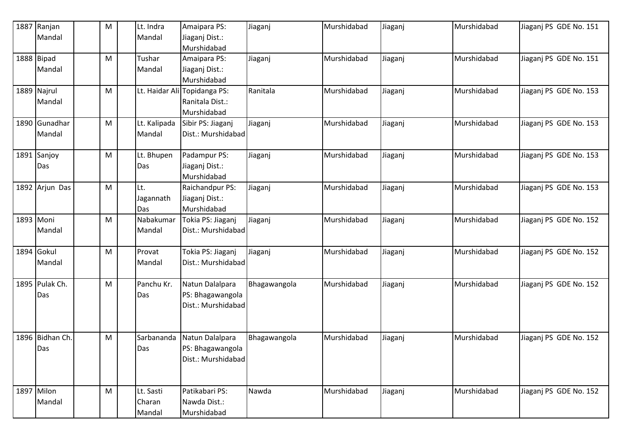|      | 1887 Ranjan     | ${\sf M}$ | Lt. Indra    | Amaipara PS:                 | Jiaganj      | Murshidabad | Jiaganj | Murshidabad | Jiaganj PS GDE No. 151 |
|------|-----------------|-----------|--------------|------------------------------|--------------|-------------|---------|-------------|------------------------|
|      | Mandal          |           | Mandal       | Jiaganj Dist.:               |              |             |         |             |                        |
|      |                 |           |              | Murshidabad                  |              |             |         |             |                        |
|      | 1888 Bipad      | M         | Tushar       | Amaipara PS:                 | Jiaganj      | Murshidabad | Jiaganj | Murshidabad | Jiaganj PS GDE No. 151 |
|      | Mandal          |           | Mandal       | Jiaganj Dist.:               |              |             |         |             |                        |
|      |                 |           |              | Murshidabad                  |              |             |         |             |                        |
|      | 1889 Najrul     | M         |              | Lt. Haidar Ali Topidanga PS: | Ranitala     | Murshidabad | Jiaganj | Murshidabad | Jiaganj PS GDE No. 153 |
|      | Mandal          |           |              | Ranitala Dist.:              |              |             |         |             |                        |
|      |                 |           |              | Murshidabad                  |              |             |         |             |                        |
|      | 1890 Gunadhar   | M         | Lt. Kalipada | Sibir PS: Jiaganj            | Jiaganj      | Murshidabad | Jiaganj | Murshidabad | Jiaganj PS GDE No. 153 |
|      | Mandal          |           | Mandal       | Dist.: Murshidabad           |              |             |         |             |                        |
|      |                 |           |              |                              |              |             |         |             |                        |
| 1891 | Sanjoy          | M         | Lt. Bhupen   | Padampur PS:                 | Jiaganj      | Murshidabad | Jiaganj | Murshidabad | Jiaganj PS GDE No. 153 |
|      | Das             |           | Das          | Jiaganj Dist.:               |              |             |         |             |                        |
|      |                 |           |              | Murshidabad                  |              |             |         |             |                        |
|      | 1892 Arjun Das  | M         | Lt.          | Raichandpur PS:              | Jiaganj      | Murshidabad | Jiaganj | Murshidabad | Jiaganj PS GDE No. 153 |
|      |                 |           | Jagannath    | Jiaganj Dist.:               |              |             |         |             |                        |
|      |                 |           | Das          | Murshidabad                  |              |             |         |             |                        |
|      | 1893 Moni       | M         | Nabakumar    | Tokia PS: Jiaganj            | Jiaganj      | Murshidabad | Jiaganj | Murshidabad | Jiaganj PS GDE No. 152 |
|      | Mandal          |           | Mandal       | Dist.: Murshidabad           |              |             |         |             |                        |
|      |                 |           |              |                              |              |             |         |             |                        |
|      | 1894 Gokul      | M         | Provat       | Tokia PS: Jiaganj            | Jiaganj      | Murshidabad | Jiaganj | Murshidabad | Jiaganj PS GDE No. 152 |
|      | Mandal          |           | Mandal       | Dist.: Murshidabad           |              |             |         |             |                        |
|      |                 |           |              |                              |              |             |         |             |                        |
|      | 1895 Pulak Ch.  | M         | Panchu Kr.   | Natun Dalalpara              | Bhagawangola | Murshidabad | Jiaganj | Murshidabad | Jiaganj PS GDE No. 152 |
|      | Das             |           | Das          | PS: Bhagawangola             |              |             |         |             |                        |
|      |                 |           |              | Dist.: Murshidabad           |              |             |         |             |                        |
|      |                 |           |              |                              |              |             |         |             |                        |
|      |                 |           |              |                              |              |             |         |             |                        |
|      | 1896 Bidhan Ch. | M         | Sarbananda   | Natun Dalalpara              | Bhagawangola | Murshidabad | liaganj | Murshidabad | Jiaganj PS GDE No. 152 |
|      | Das             |           | Das          | PS: Bhagawangola             |              |             |         |             |                        |
|      |                 |           |              | Dist.: Murshidabad           |              |             |         |             |                        |
|      |                 |           |              |                              |              |             |         |             |                        |
|      |                 |           |              |                              |              |             |         |             |                        |
|      | 1897 Milon      | M         | Lt. Sasti    | Patikabari PS:               | Nawda        | Murshidabad | Jiaganj | Murshidabad | Jiaganj PS GDE No. 152 |
|      | Mandal          |           | Charan       | Nawda Dist.:                 |              |             |         |             |                        |
|      |                 |           | Mandal       | Murshidabad                  |              |             |         |             |                        |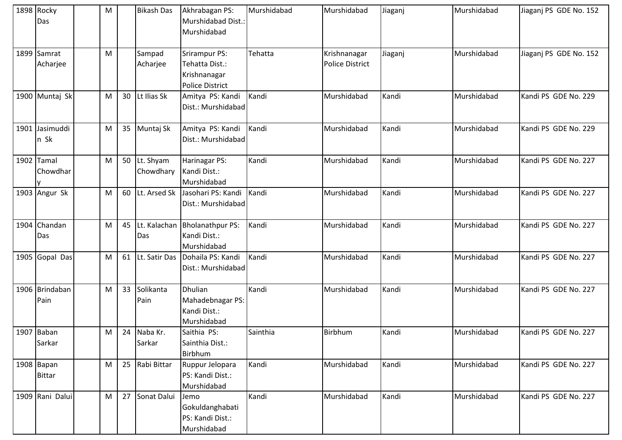| 1898 Rocky<br>Das           | M |    | <b>Bikash Das</b>      | Akhrabagan PS:<br>Murshidabad Dist.:<br>Murshidabad                       | Murshidabad | Murshidabad                            | Jiaganj | Murshidabad | Jiaganj PS GDE No. 152 |
|-----------------------------|---|----|------------------------|---------------------------------------------------------------------------|-------------|----------------------------------------|---------|-------------|------------------------|
| 1899 Samrat<br>Acharjee     | M |    | Sampad<br>Acharjee     | Srirampur PS:<br>Tehatta Dist.:<br>Krishnanagar<br><b>Police District</b> | Tehatta     | Krishnanagar<br><b>Police District</b> | Jiaganj | Murshidabad | Jiaganj PS GDE No. 152 |
| 1900 Muntaj Sk              | M | 30 | Lt Ilias Sk            | Amitya PS: Kandi<br>Dist.: Murshidabad                                    | Kandi       | Murshidabad                            | Kandi   | Murshidabad | Kandi PS GDE No. 229   |
| 1901 Jasimuddi<br>n Sk      | M | 35 | Muntaj Sk              | Amitya PS: Kandi<br>Dist.: Murshidabad                                    | Kandi       | Murshidabad                            | Kandi   | Murshidabad | Kandi PS GDE No. 229   |
| 1902 Tamal<br>Chowdhar      | M | 50 | Lt. Shyam<br>Chowdhary | Harinagar PS:<br>Kandi Dist.:<br>Murshidabad                              | Kandi       | Murshidabad                            | Kandi   | Murshidabad | Kandi PS GDE No. 227   |
| 1903 Angur Sk               | M | 60 | Lt. Arsed Sk           | Jasohari PS: Kandi<br>Dist.: Murshidabad                                  | Kandi       | Murshidabad                            | Kandi   | Murshidabad | Kandi PS GDE No. 227   |
| 1904 Chandan<br>Das         | M | 45 | Lt. Kalachan<br>Das    | <b>Bholanathpur PS:</b><br>Kandi Dist.:<br>Murshidabad                    | Kandi       | Murshidabad                            | Kandi   | Murshidabad | Kandi PS GDE No. 227   |
| 1905 Gopal Das              | M | 61 | Lt. Satir Das          | Dohaila PS: Kandi<br>Dist.: Murshidabad                                   | Kandi       | Murshidabad                            | Kandi   | Murshidabad | Kandi PS GDE No. 227   |
| 1906 Brindaban<br>Pain      | M | 33 | Solikanta<br>Pain      | <b>Dhulian</b><br>Mahadebnagar PS:<br>Kandi Dist.:<br>Murshidabad         | Kandi       | Murshidabad                            | Kandi   | Murshidabad | Kandi PS GDE No. 227   |
| 1907 Baban<br>Sarkar        | M | 24 | Naba Kr.<br>Sarkar     | Saithia PS:<br>Sainthia Dist.:<br>Birbhum                                 | Sainthia    | Birbhum                                | Kandi   | Murshidabad | Kandi PS GDE No. 227   |
| 1908 Bapan<br><b>Bittar</b> | M | 25 | Rabi Bittar            | Ruppur Jelopara<br>PS: Kandi Dist.:<br>Murshidabad                        | Kandi       | Murshidabad                            | Kandi   | Murshidabad | Kandi PS GDE No. 227   |
| 1909 Rani Dalui             | M | 27 | Sonat Dalui            | Jemo<br>Gokuldanghabati<br>PS: Kandi Dist.:<br>Murshidabad                | Kandi       | Murshidabad                            | Kandi   | Murshidabad | Kandi PS GDE No. 227   |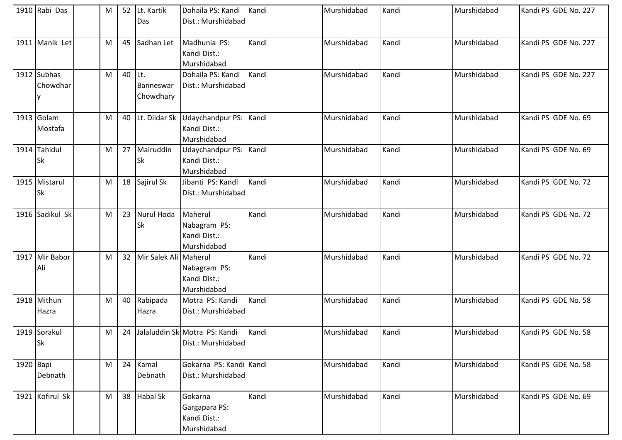|           | 1910 Rabi Das   | M |        | 52 Lt. Kartik         | Dohaila PS: Kandi                | Kandi | Murshidabad | Kandi | Murshidabad | Kandi PS GDE No. 227 |
|-----------|-----------------|---|--------|-----------------------|----------------------------------|-------|-------------|-------|-------------|----------------------|
|           |                 |   |        | Das                   | Dist.: Murshidabad               |       |             |       |             |                      |
|           |                 |   |        |                       |                                  |       |             |       |             |                      |
|           | 1911 Manik Let  | M | 45     | Sadhan Let            | Madhunia PS:                     | Kandi | Murshidabad | Kandi | Murshidabad | Kandi PS GDE No. 227 |
|           |                 |   |        |                       | Kandi Dist.:                     |       |             |       |             |                      |
|           |                 |   |        |                       | Murshidabad                      |       |             |       |             |                      |
|           | 1912 Subhas     | M | 40 Lt. |                       | Dohaila PS: Kandi                | Kandi | Murshidabad | Kandi | Murshidabad | Kandi PS GDE No. 227 |
|           | Chowdhar        |   |        | Banneswar             | Dist.: Murshidabad               |       |             |       |             |                      |
|           |                 |   |        | Chowdhary             |                                  |       |             |       |             |                      |
|           |                 |   |        |                       |                                  |       |             |       |             |                      |
|           | 1913 Golam      | M | 40     | Lt. Dildar Sk         | Udaychandpur PS:                 | Kandi | Murshidabad | Kandi | Murshidabad | Kandi PS GDE No. 69  |
|           | Mostafa         |   |        |                       | Kandi Dist.:                     |       |             |       |             |                      |
|           |                 |   |        |                       | Murshidabad                      |       |             |       |             |                      |
|           | 1914 Tahidul    | M | 27     | Mairuddin             | Udaychandpur PS:                 | Kandi | Murshidabad | Kandi | Murshidabad | Kandi PS GDE No. 69  |
|           | <b>Sk</b>       |   |        | <b>Sk</b>             | Kandi Dist.:                     |       |             |       |             |                      |
|           |                 |   |        |                       | Murshidabad                      |       |             |       |             |                      |
|           | 1915 Mistarul   | M |        | 18 Sajirul Sk         | Jibanti PS: Kandi                | Kandi | Murshidabad | Kandi | Murshidabad | Kandi PS GDE No. 72  |
|           | <b>Sk</b>       |   |        |                       | Dist.: Murshidabad               |       |             |       |             |                      |
|           |                 |   |        |                       |                                  |       |             |       |             |                      |
|           | 1916 Sadikul Sk | M | 23     | Nurul Hoda            | Maherul                          | Kandi | Murshidabad | Kandi | Murshidabad | Kandi PS GDE No. 72  |
|           |                 |   |        | Sk                    | Nabagram PS:                     |       |             |       |             |                      |
|           |                 |   |        |                       | Kandi Dist.:                     |       |             |       |             |                      |
|           |                 |   |        |                       | Murshidabad                      |       |             |       |             |                      |
|           | 1917 Mir Babor  | M | 32     | Mir Salek Ali Maherul |                                  | Kandi | Murshidabad | Kandi | Murshidabad | Kandi PS GDE No. 72  |
|           | Ali             |   |        |                       | Nabagram PS:                     |       |             |       |             |                      |
|           |                 |   |        |                       | Kandi Dist.:                     |       |             |       |             |                      |
|           |                 |   |        |                       | Murshidabad                      |       |             |       |             |                      |
|           | 1918 Mithun     | M | 40     | Rabipada              | Motra PS: Kandi                  | Kandi | Murshidabad | Kandi | Murshidabad | Kandi PS GDE No. 58  |
|           | Hazra           |   |        | Hazra                 | Dist.: Murshidabad               |       |             |       |             |                      |
|           |                 |   |        |                       |                                  |       |             |       |             |                      |
|           | 1919 Sorakul    | M |        |                       | 24 Jalaluddin Sk Motra PS: Kandi | Kandi | Murshidabad | Kandi | Murshidabad | Kandi PS GDE No. 58  |
|           | <b>Sk</b>       |   |        |                       | Dist.: Murshidabad               |       |             |       |             |                      |
|           |                 |   |        |                       |                                  |       |             |       |             |                      |
| 1920 Bapi |                 | M | 24     | Kamal                 | Gokarna PS: Kandi Kandi          |       | Murshidabad | Kandi | Murshidabad | Kandi PS GDE No. 58  |
|           | Debnath         |   |        | Debnath               | Dist.: Murshidabad               |       |             |       |             |                      |
|           |                 |   |        |                       |                                  |       |             |       |             |                      |
|           | 1921 Kofirul Sk | M | 38     | <b>Habal Sk</b>       | Gokarna                          | Kandi | Murshidabad | Kandi | Murshidabad | Kandi PS GDE No. 69  |
|           |                 |   |        |                       | Gargapara PS:                    |       |             |       |             |                      |
|           |                 |   |        |                       | Kandi Dist.:                     |       |             |       |             |                      |
|           |                 |   |        |                       | Murshidabad                      |       |             |       |             |                      |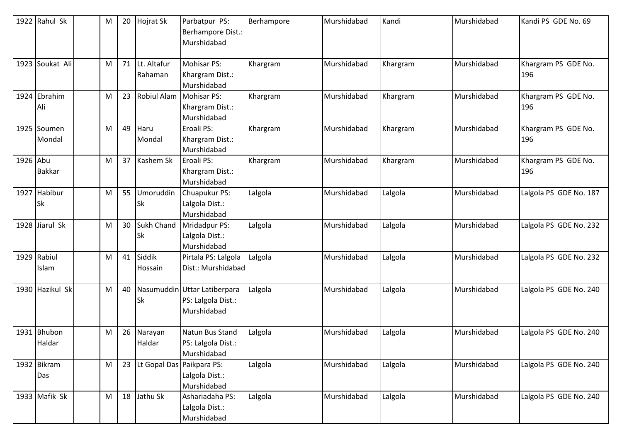|          | 1922 Rahul Sk             | M | 20 | <b>Hojrat Sk</b>               | Parbatpur PS:<br>Berhampore Dist.:<br>Murshidabad                 | Berhampore | Murshidabad | Kandi    | Murshidabad | Kandi PS GDE No. 69        |
|----------|---------------------------|---|----|--------------------------------|-------------------------------------------------------------------|------------|-------------|----------|-------------|----------------------------|
|          | 1923 Soukat Ali           | M | 71 | Lt. Altafur<br>Rahaman         | Mohisar PS:<br>Khargram Dist.:<br>Murshidabad                     | Khargram   | Murshidabad | Khargram | Murshidabad | Khargram PS GDE No.<br>196 |
| 1924     | Ebrahim<br>Ali            | М | 23 | Robiul Alam                    | <b>Mohisar PS:</b><br>Khargram Dist.:<br>Murshidabad              | Khargram   | Murshidabad | Khargram | Murshidabad | Khargram PS GDE No.<br>196 |
|          | 1925 Soumen<br>Mondal     | M | 49 | Haru<br>Mondal                 | Eroali PS:<br>Khargram Dist.:<br>Murshidabad                      | Khargram   | Murshidabad | Khargram | Murshidabad | Khargram PS GDE No.<br>196 |
| 1926 Abu | <b>Bakkar</b>             | M | 37 | Kashem Sk                      | Eroali PS:<br>Khargram Dist.:<br>Murshidabad                      | Khargram   | Murshidabad | Khargram | Murshidabad | Khargram PS GDE No.<br>196 |
|          | 1927 Habibur<br><b>Sk</b> | M | 55 | Umoruddin<br><b>Sk</b>         | Chuapukur PS:<br>Lalgola Dist.:<br>Murshidabad                    | Lalgola    | Murshidabad | Lalgola  | Murshidabad | Lalgola PS GDE No. 187     |
|          | 1928 Jiarul Sk            | M | 30 | <b>Sukh Chand</b><br><b>Sk</b> | Mridadpur PS:<br>Lalgola Dist.:<br>Murshidabad                    | Lalgola    | Murshidabad | Lalgola  | Murshidabad | Lalgola PS GDE No. 232     |
| 1929     | Rabiul<br>Islam           | M | 41 | Siddik<br>Hossain              | Pirtala PS: Lalgola<br>Dist.: Murshidabad                         | Lalgola    | Murshidabad | Lalgola  | Murshidabad | Lalgola PS GDE No. 232     |
|          | 1930 Hazikul Sk           | M | 40 | <b>Sk</b>                      | Nasumuddin Uttar Latiberpara<br>PS: Lalgola Dist.:<br>Murshidabad | Lalgola    | Murshidabad | Lalgola  | Murshidabad | Lalgola PS GDE No. 240     |
| 1931     | Bhubon<br>Haldar          | M | 26 | Narayan<br>Haldar              | Natun Bus Stand<br>PS: Lalgola Dist.:<br>Murshidabad              | Lalgola    | Murshidabad | Lalgola  | Murshidabad | Lalgola PS GDE No. 240     |
|          | 1932 Bikram<br>Das        | M | 23 | Lt Gopal Das Paikpara PS:      | Lalgola Dist.:<br>Murshidabad                                     | Lalgola    | Murshidabad | Lalgola  | Murshidabad | Lalgola PS GDE No. 240     |
|          | 1933 Mafik Sk             | M | 18 | Jathu Sk                       | Ashariadaha PS:<br>Lalgola Dist.:<br>Murshidabad                  | Lalgola    | Murshidabad | Lalgola  | Murshidabad | Lalgola PS GDE No. 240     |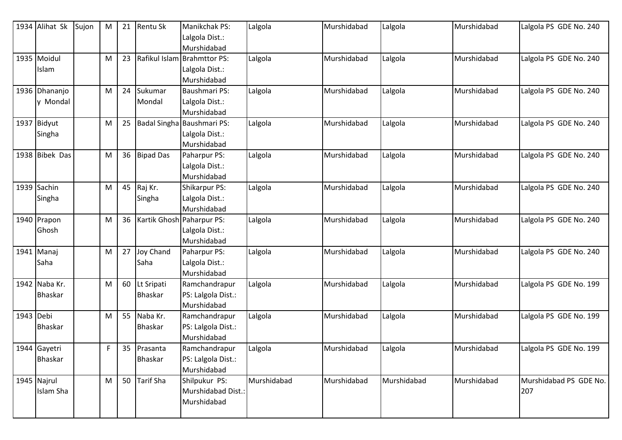|           | 1934 Alihat Sk | Sujon | M | 21 | <b>Rentu Sk</b>  | Manikchak PS:               | Lalgola     | Murshidabad | Lalgola     | Murshidabad | Lalgola PS GDE No. 240 |
|-----------|----------------|-------|---|----|------------------|-----------------------------|-------------|-------------|-------------|-------------|------------------------|
|           |                |       |   |    |                  | Lalgola Dist.:              |             |             |             |             |                        |
|           |                |       |   |    |                  | Murshidabad                 |             |             |             |             |                        |
|           | 1935 Moidul    |       | M | 23 |                  | Rafikul Islam Brahmttor PS: | Lalgola     | Murshidabad | Lalgola     | Murshidabad | Lalgola PS GDE No. 240 |
|           | <b>Islam</b>   |       |   |    |                  | Lalgola Dist.:              |             |             |             |             |                        |
|           |                |       |   |    |                  | Murshidabad                 |             |             |             |             |                        |
|           | 1936 Dhananjo  |       | M | 24 | Sukumar          | Baushmari PS:               | Lalgola     | Murshidabad | Lalgola     | Murshidabad | Lalgola PS GDE No. 240 |
|           | y Mondal       |       |   |    | Mondal           | Lalgola Dist.:              |             |             |             |             |                        |
|           |                |       |   |    |                  | Murshidabad                 |             |             |             |             |                        |
|           | 1937 Bidyut    |       | M | 25 |                  | Badal Singha Baushmari PS:  | Lalgola     | Murshidabad | Lalgola     | Murshidabad | Lalgola PS GDE No. 240 |
|           | Singha         |       |   |    |                  | Lalgola Dist.:              |             |             |             |             |                        |
|           |                |       |   |    |                  | Murshidabad                 |             |             |             |             |                        |
|           | 1938 Bibek Das |       | M | 36 | <b>Bipad Das</b> | Paharpur PS:                | Lalgola     | Murshidabad | Lalgola     | Murshidabad | Lalgola PS GDE No. 240 |
|           |                |       |   |    |                  | Lalgola Dist.:              |             |             |             |             |                        |
|           |                |       |   |    |                  | Murshidabad                 |             |             |             |             |                        |
|           | 1939 Sachin    |       | M | 45 | Raj Kr.          | Shikarpur PS:               | Lalgola     | Murshidabad | Lalgola     | Murshidabad | Lalgola PS GDE No. 240 |
|           | Singha         |       |   |    | Singha           | Lalgola Dist.:              |             |             |             |             |                        |
|           |                |       |   |    |                  | Murshidabad                 |             |             |             |             |                        |
|           | 1940 Prapon    |       | M | 36 |                  | Kartik Ghosh Paharpur PS:   | Lalgola     | Murshidabad | Lalgola     | Murshidabad | Lalgola PS GDE No. 240 |
|           | Ghosh          |       |   |    |                  | Lalgola Dist.:              |             |             |             |             |                        |
|           |                |       |   |    |                  | Murshidabad                 |             |             |             |             |                        |
|           | 1941 Manaj     |       | M | 27 | <b>Joy Chand</b> | Paharpur PS:                | Lalgola     | Murshidabad | Lalgola     | Murshidabad | Lalgola PS GDE No. 240 |
|           | Saha           |       |   |    | Saha             | Lalgola Dist.:              |             |             |             |             |                        |
|           |                |       |   |    |                  | Murshidabad                 |             |             |             |             |                        |
|           | 1942 Naba Kr.  |       | M | 60 | Lt Sripati       | Ramchandrapur               | Lalgola     | Murshidabad | Lalgola     | Murshidabad | Lalgola PS GDE No. 199 |
|           | <b>Bhaskar</b> |       |   |    | <b>Bhaskar</b>   | PS: Lalgola Dist.:          |             |             |             |             |                        |
|           |                |       |   |    |                  | Murshidabad                 |             |             |             |             |                        |
| 1943 Debi |                |       | M | 55 | Naba Kr.         | Ramchandrapur               | Lalgola     | Murshidabad | Lalgola     | Murshidabad | Lalgola PS GDE No. 199 |
|           | <b>Bhaskar</b> |       |   |    | <b>Bhaskar</b>   | PS: Lalgola Dist.:          |             |             |             |             |                        |
|           |                |       |   |    |                  | Murshidabad                 |             |             |             |             |                        |
|           | 1944 Gayetri   |       | F | 35 | Prasanta         | Ramchandrapur               | Lalgola     | Murshidabad | Lalgola     | Murshidabad | Lalgola PS GDE No. 199 |
|           | Bhaskar        |       |   |    | Bhaskar          | PS: Lalgola Dist.:          |             |             |             |             |                        |
|           |                |       |   |    |                  | Murshidabad                 |             |             |             |             |                        |
|           | 1945 Najrul    |       | M | 50 | <b>Tarif Sha</b> | Shilpukur PS:               | Murshidabad | Murshidabad | Murshidabad | Murshidabad | Murshidabad PS GDE No. |
|           | Islam Sha      |       |   |    |                  | Murshidabad Dist.:          |             |             |             |             | 207                    |
|           |                |       |   |    |                  | Murshidabad                 |             |             |             |             |                        |
|           |                |       |   |    |                  |                             |             |             |             |             |                        |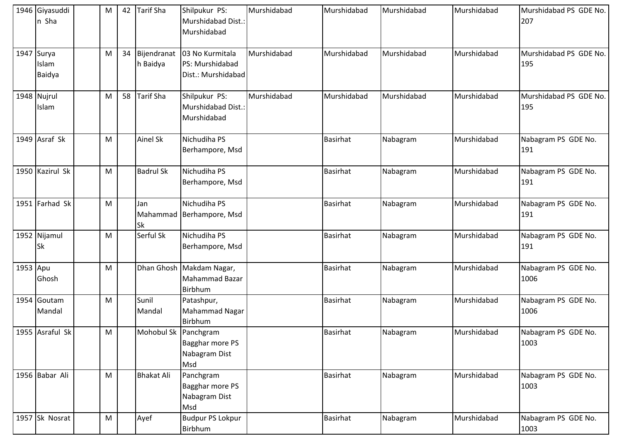|          | 1946 Giyasuddi<br>n Sha       | M | 42 | <b>Tarif Sha</b>     | Shilpukur PS:<br>Murshidabad Dist.:<br>Murshidabad                     | Murshidabad | Murshidabad     | Murshidabad | Murshidabad | Murshidabad PS GDE No.<br>207 |
|----------|-------------------------------|---|----|----------------------|------------------------------------------------------------------------|-------------|-----------------|-------------|-------------|-------------------------------|
|          | 1947 Surya<br>Islam<br>Baidya | M | 34 | h Baidya             | Bijendranat   03 No Kurmitala<br>PS: Murshidabad<br>Dist.: Murshidabad | Murshidabad | Murshidabad     | Murshidabad | Murshidabad | Murshidabad PS GDE No.<br>195 |
|          | 1948 Nujrul<br>Islam          | M | 58 | <b>Tarif Sha</b>     | Shilpukur PS:<br>Murshidabad Dist.:<br>Murshidabad                     | Murshidabad | Murshidabad     | Murshidabad | Murshidabad | Murshidabad PS GDE No.<br>195 |
|          | 1949 Asraf Sk                 | M |    | Ainel Sk             | Nichudiha PS<br>Berhampore, Msd                                        |             | <b>Basirhat</b> | Nabagram    | Murshidabad | Nabagram PS GDE No.<br>191    |
|          | 1950 Kazirul Sk               | M |    | <b>Badrul Sk</b>     | Nichudiha PS<br>Berhampore, Msd                                        |             | <b>Basirhat</b> | Nabagram    | Murshidabad | Nabagram PS GDE No.<br>191    |
|          | 1951 Farhad Sk                | M |    | Jan<br>Sk            | Nichudiha PS<br>Mahammad Berhampore, Msd                               |             | <b>Basirhat</b> | Nabagram    | Murshidabad | Nabagram PS GDE No.<br>191    |
|          | 1952 Nijamul<br><b>Sk</b>     | M |    | Serful Sk            | Nichudiha PS<br>Berhampore, Msd                                        |             | <b>Basirhat</b> | Nabagram    | Murshidabad | Nabagram PS GDE No.<br>191    |
| 1953 Apu | Ghosh                         | M |    |                      | Dhan Ghosh Makdam Nagar,<br>Mahammad Bazar<br>Birbhum                  |             | <b>Basirhat</b> | Nabagram    | Murshidabad | Nabagram PS GDE No.<br>1006   |
|          | 1954 Goutam<br>Mandal         | M |    | Sunil<br>Mandal      | Patashpur,<br>Mahammad Nagar<br><b>Birbhum</b>                         |             | Basirhat        | Nabagram    | Murshidabad | Nabagram PS GDE No.<br>1006   |
|          | 1955 Asraful Sk               | M |    | Mohobul Sk Panchgram | Bagghar more PS<br>Nabagram Dist<br>Msd                                |             | <b>Basirhat</b> | Nabagram    | Murshidabad | Nabagram PS GDE No.<br>1003   |
|          | 1956 Babar Ali                | M |    | <b>Bhakat Ali</b>    | Panchgram<br>Bagghar more PS<br>Nabagram Dist<br>Msd                   |             | <b>Basirhat</b> | Nabagram    | Murshidabad | Nabagram PS GDE No.<br>1003   |
|          | 1957 Sk Nosrat                | M |    | Ayef                 | <b>Budpur PS Lokpur</b><br>Birbhum                                     |             | Basirhat        | Nabagram    | Murshidabad | Nabagram PS GDE No.<br>1003   |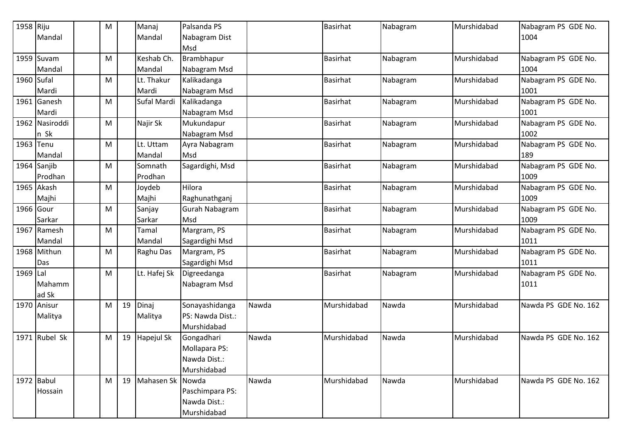| 1958 Riju  |                | M |    | Manaj            | Palsanda PS      |       | <b>Basirhat</b> | Nabagram | Murshidabad | Nabagram PS GDE No.  |
|------------|----------------|---|----|------------------|------------------|-------|-----------------|----------|-------------|----------------------|
|            | Mandal         |   |    | Mandal           | Nabagram Dist    |       |                 |          |             | 1004                 |
|            |                |   |    |                  | Msd              |       |                 |          |             |                      |
|            | $1959$ Suvam   | M |    | Keshab Ch.       | Brambhapur       |       | <b>Basirhat</b> | Nabagram | Murshidabad | Nabagram PS GDE No.  |
|            | Mandal         |   |    | Mandal           | Nabagram Msd     |       |                 |          |             | 1004                 |
| 1960 Sufal |                | M |    | Lt. Thakur       | Kalikadanga      |       | <b>Basirhat</b> | Nabagram | Murshidabad | Nabagram PS GDE No.  |
|            | Mardi          |   |    | Mardi            | Nabagram Msd     |       |                 |          |             | 1001                 |
| 1961       | Ganesh         | М |    | Sufal Mardi      | Kalikadanga      |       | <b>Basirhat</b> | Nabagram | Murshidabad | Nabagram PS GDE No.  |
|            | Mardi          |   |    |                  | Nabagram Msd     |       |                 |          |             | 1001                 |
|            | 1962 Nasiroddi | M |    | Najir Sk         | Mukundapur       |       | <b>Basirhat</b> | Nabagram | Murshidabad | Nabagram PS GDE No.  |
|            | n Sk           |   |    |                  | Nabagram Msd     |       |                 |          |             | 1002                 |
| 1963 Tenu  |                | M |    | Lt. Uttam        | Ayra Nabagram    |       | <b>Basirhat</b> | Nabagram | Murshidabad | Nabagram PS GDE No.  |
|            | Mandal         |   |    | Mandal           | Msd              |       |                 |          |             | 189                  |
|            | 1964 Sanjib    | M |    | Somnath          | Sagardighi, Msd  |       | <b>Basirhat</b> | Nabagram | Murshidabad | Nabagram PS GDE No.  |
|            | Prodhan        |   |    | Prodhan          |                  |       |                 |          |             | 1009                 |
| 1965       | Akash          | M |    | Joydeb           | Hilora           |       | <b>Basirhat</b> | Nabagram | Murshidabad | Nabagram PS GDE No.  |
|            | Majhi          |   |    | Majhi            | Raghunathganj    |       |                 |          |             | 1009                 |
| 1966 Gour  |                | M |    | Sanjay           | Gurah Nabagram   |       | <b>Basirhat</b> | Nabagram | Murshidabad | Nabagram PS GDE No.  |
|            | Sarkar         |   |    | Sarkar           | Msd              |       |                 |          |             | 1009                 |
| 1967       | Ramesh         | М |    | Tamal            | Margram, PS      |       | <b>Basirhat</b> | Nabagram | Murshidabad | Nabagram PS GDE No.  |
|            | Mandal         |   |    | Mandal           | Sagardighi Msd   |       |                 |          |             | 1011                 |
|            | 1968 Mithun    | M |    | Raghu Das        | Margram, PS      |       | <b>Basirhat</b> | Nabagram | Murshidabad | Nabagram PS GDE No.  |
|            | Das            |   |    |                  | Sagardighi Msd   |       |                 |          |             | 1011                 |
| 1969 Lal   |                | M |    | Lt. Hafej Sk     | Digreedanga      |       | <b>Basirhat</b> | Nabagram | Murshidabad | Nabagram PS GDE No.  |
|            | Mahamm         |   |    |                  | Nabagram Msd     |       |                 |          |             | 1011                 |
|            | ad Sk          |   |    |                  |                  |       |                 |          |             |                      |
|            | 1970 Anisur    | M | 19 | Dinaj            | Sonayashidanga   | Nawda | Murshidabad     | Nawda    | Murshidabad | Nawda PS GDE No. 162 |
|            | Malitya        |   |    | Malitya          | PS: Nawda Dist.: |       |                 |          |             |                      |
|            |                |   |    |                  | Murshidabad      |       |                 |          |             |                      |
|            | 1971 Rubel Sk  | М | 19 | Hapejul Sk       | Gongadhari       | Nawda | Murshidabad     | Nawda    | Murshidabad | Nawda PS GDE No. 162 |
|            |                |   |    |                  | Mollapara PS:    |       |                 |          |             |                      |
|            |                |   |    |                  | Nawda Dist.:     |       |                 |          |             |                      |
|            |                |   |    |                  | Murshidabad      |       |                 |          |             |                      |
|            | 1972 Babul     | M | 19 | Mahasen Sk Nowda |                  | Nawda | Murshidabad     | Nawda    | Murshidabad | Nawda PS GDE No. 162 |
|            | Hossain        |   |    |                  | Paschimpara PS:  |       |                 |          |             |                      |
|            |                |   |    |                  | Nawda Dist.:     |       |                 |          |             |                      |
|            |                |   |    |                  | Murshidabad      |       |                 |          |             |                      |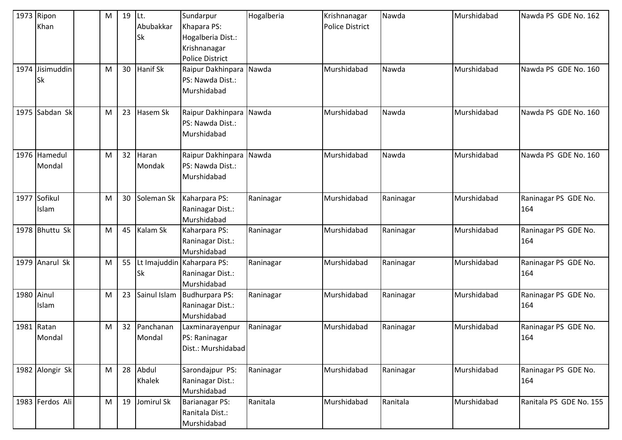|            | 1973 Ripon<br>Khan<br>1974 Jisimuddin<br><b>Sk</b> | M<br>M | 19<br>30 | Lt.<br>Abubakkar<br><b>Sk</b><br>Hanif Sk | Sundarpur<br>Khapara PS:<br>Hogalberia Dist.:<br>Krishnanagar<br>Police District<br>Raipur Dakhinpara<br>PS: Nawda Dist.: | Hogalberia<br>Nawda | Krishnanagar<br><b>Police District</b><br>Murshidabad | Nawda<br>Nawda | Murshidabad<br>Murshidabad | Nawda PS GDE No. 162<br>Nawda PS GDE No. 160 |
|------------|----------------------------------------------------|--------|----------|-------------------------------------------|---------------------------------------------------------------------------------------------------------------------------|---------------------|-------------------------------------------------------|----------------|----------------------------|----------------------------------------------|
|            |                                                    |        |          |                                           | Murshidabad                                                                                                               |                     |                                                       |                |                            |                                              |
|            | 1975 Sabdan Sk                                     | M      | 23       | Hasem Sk                                  | Raipur Dakhinpara Nawda<br>PS: Nawda Dist.:<br>Murshidabad                                                                |                     | Murshidabad                                           | Nawda          | Murshidabad                | Nawda PS GDE No. 160                         |
|            | 1976 Hamedul<br>Mondal                             | M      | 32       | Haran<br>Mondak                           | Raipur Dakhinpara<br>PS: Nawda Dist.:<br>Murshidabad                                                                      | Nawda               | Murshidabad                                           | Nawda          | Murshidabad                | Nawda PS GDE No. 160                         |
| 1977       | Sofikul<br>Islam                                   | M      | 30       | Soleman Sk                                | Kaharpara PS:<br>Raninagar Dist.:<br>Murshidabad                                                                          | Raninagar           | Murshidabad                                           | Raninagar      | Murshidabad                | Raninagar PS GDE No.<br>164                  |
|            | 1978 Bhuttu Sk                                     | M      | 45       | Kalam Sk                                  | Kaharpara PS:<br>Raninagar Dist.:<br>Murshidabad                                                                          | Raninagar           | Murshidabad                                           | Raninagar      | Murshidabad                | Raninagar PS GDE No.<br>164                  |
|            | 1979 Anarul Sk                                     | M      | 55       | <b>Sk</b>                                 | Lt Imajuddin Kaharpara PS:<br>Raninagar Dist.:<br>Murshidabad                                                             | Raninagar           | Murshidabad                                           | Raninagar      | Murshidabad                | Raninagar PS GDE No.<br>164                  |
| 1980 Ainul | Islam                                              | M      | 23       | Sainul Islam                              | Budhurpara PS:<br>Raninagar Dist.:<br>Murshidabad                                                                         | Raninagar           | Murshidabad                                           | Raninagar      | Murshidabad                | Raninagar PS GDE No.<br>164                  |
|            | 1981 Ratan<br>Mondal                               | M      | 32       | Panchanan<br>Mondal                       | Laxminarayenpur<br>PS: Raninagar<br>Dist.: Murshidabad                                                                    | Raninagar           | Murshidabad                                           | Raninagar      | Murshidabad                | Raninagar PS GDE No.<br>164                  |
|            | 1982 Alongir Sk                                    | M      | 28       | Abdul<br>Khalek                           | Sarondajpur PS:<br>Raninagar Dist.:<br>Murshidabad                                                                        | Raninagar           | Murshidabad                                           | Raninagar      | Murshidabad                | Raninagar PS GDE No.<br>164                  |
|            | 1983 Ferdos Ali                                    | M      | 19       | Jomirul Sk                                | Barianagar PS:<br>Ranitala Dist.:<br>Murshidabad                                                                          | Ranitala            | Murshidabad                                           | Ranitala       | Murshidabad                | Ranitala PS GDE No. 155                      |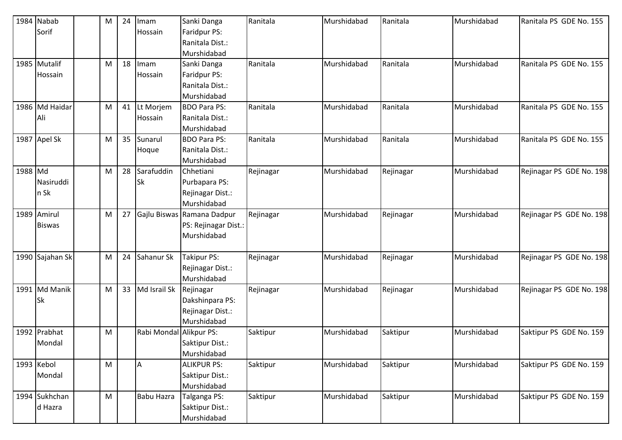|         | 1984 Nabab      | M | 24 | Imam                    | Sanki Danga                | Ranitala  | Murshidabad | Ranitala  | Murshidabad | Ranitala PS GDE No. 155  |
|---------|-----------------|---|----|-------------------------|----------------------------|-----------|-------------|-----------|-------------|--------------------------|
|         | Sorif           |   |    | Hossain                 | Faridpur PS:               |           |             |           |             |                          |
|         |                 |   |    |                         | Ranitala Dist.:            |           |             |           |             |                          |
|         |                 |   |    |                         | Murshidabad                |           |             |           |             |                          |
|         | 1985 Mutalif    | M | 18 | Imam                    | Sanki Danga                | Ranitala  | Murshidabad | Ranitala  | Murshidabad | Ranitala PS GDE No. 155  |
|         | Hossain         |   |    | Hossain                 | Faridpur PS:               |           |             |           |             |                          |
|         |                 |   |    |                         | Ranitala Dist.:            |           |             |           |             |                          |
|         |                 |   |    |                         | Murshidabad                |           |             |           |             |                          |
|         | 1986 Md Haidar  | M | 41 | Lt Morjem               | <b>BDO Para PS:</b>        | Ranitala  | Murshidabad | Ranitala  | Murshidabad | Ranitala PS GDE No. 155  |
|         | Ali             |   |    | Hossain                 | Ranitala Dist.:            |           |             |           |             |                          |
|         |                 |   |    |                         | Murshidabad                |           |             |           |             |                          |
|         | 1987 Apel Sk    | M | 35 | Sunarul                 | <b>BDO Para PS:</b>        | Ranitala  | Murshidabad | Ranitala  | Murshidabad | Ranitala PS GDE No. 155  |
|         |                 |   |    | Hoque                   | Ranitala Dist.:            |           |             |           |             |                          |
|         |                 |   |    |                         | Murshidabad                |           |             |           |             |                          |
| 1988 Md |                 | M | 28 | Sarafuddin              | Chhetiani                  | Rejinagar | Murshidabad | Rejinagar | Murshidabad | Rejinagar PS GDE No. 198 |
|         | Nasiruddi       |   |    | Sk                      | Purbapara PS:              |           |             |           |             |                          |
|         | n Sk            |   |    |                         | Rejinagar Dist.:           |           |             |           |             |                          |
|         |                 |   |    |                         | Murshidabad                |           |             |           |             |                          |
|         | 1989 Amirul     | M | 27 |                         | Gajlu Biswas Ramana Dadpur | Rejinagar | Murshidabad | Rejinagar | Murshidabad | Rejinagar PS GDE No. 198 |
|         | <b>Biswas</b>   |   |    |                         | PS: Rejinagar Dist.:       |           |             |           |             |                          |
|         |                 |   |    |                         | Murshidabad                |           |             |           |             |                          |
|         |                 |   |    |                         |                            |           |             |           |             |                          |
|         | 1990 Sajahan Sk | M | 24 | Sahanur Sk              | <b>Takipur PS:</b>         | Rejinagar | Murshidabad | Rejinagar | Murshidabad | Rejinagar PS GDE No. 198 |
|         |                 |   |    |                         | Rejinagar Dist.:           |           |             |           |             |                          |
|         |                 |   |    |                         | Murshidabad                |           |             |           |             |                          |
|         | 1991 Md Manik   | M | 33 | Md Israil Sk            | Rejinagar                  | Rejinagar | Murshidabad | Rejinagar | Murshidabad | Rejinagar PS GDE No. 198 |
|         | <b>Sk</b>       |   |    |                         | Dakshinpara PS:            |           |             |           |             |                          |
|         |                 |   |    |                         | Rejinagar Dist.:           |           |             |           |             |                          |
|         |                 |   |    |                         | Murshidabad                |           |             |           |             |                          |
|         | 1992 Prabhat    | M |    | Rabi Mondal Alikpur PS: |                            | Saktipur  | Murshidabad | Saktipur  | Murshidabad | Saktipur PS GDE No. 159  |
|         | Mondal          |   |    |                         | Saktipur Dist.:            |           |             |           |             |                          |
|         |                 |   |    |                         | Murshidabad                |           |             |           |             |                          |
|         | 1993 Kebol      | M |    | A                       | <b>ALIKPUR PS:</b>         | Saktipur  | Murshidabad | Saktipur  | Murshidabad | Saktipur PS GDE No. 159  |
|         | Mondal          |   |    |                         | Saktipur Dist.:            |           |             |           |             |                          |
|         |                 |   |    |                         | Murshidabad                |           |             |           |             |                          |
|         | 1994 Sukhchan   | M |    | <b>Babu Hazra</b>       | Talganga PS:               | Saktipur  | Murshidabad | Saktipur  | Murshidabad | Saktipur PS GDE No. 159  |
|         | d Hazra         |   |    |                         | Saktipur Dist.:            |           |             |           |             |                          |
|         |                 |   |    |                         | Murshidabad                |           |             |           |             |                          |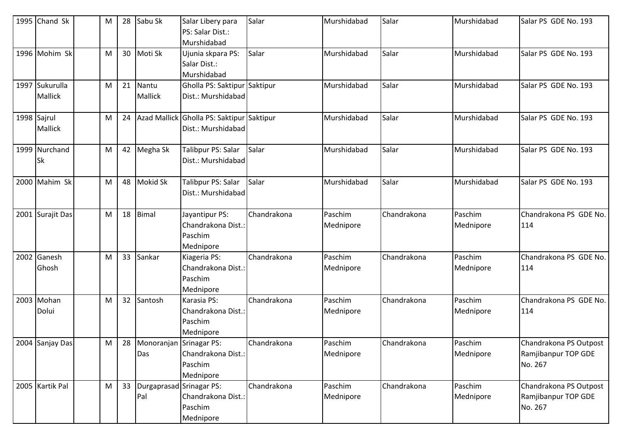| 1995 Chand Sk    | M | 28 | Sabu Sk                    | Salar Libery para                         | Salar       | Murshidabad | Salar       | Murshidabad | Salar PS GDE No. 193   |
|------------------|---|----|----------------------------|-------------------------------------------|-------------|-------------|-------------|-------------|------------------------|
|                  |   |    |                            | PS: Salar Dist.:                          |             |             |             |             |                        |
|                  |   |    |                            | Murshidabad                               |             |             |             |             |                        |
| 1996 Mohim Sk    | M | 30 | Moti Sk                    | Ujunia skpara PS:                         | Salar       | Murshidabad | Salar       | Murshidabad | Salar PS GDE No. 193   |
|                  |   |    |                            | Salar Dist.:                              |             |             |             |             |                        |
|                  |   |    |                            | Murshidabad                               |             |             |             |             |                        |
| 1997 Sukurulla   | M | 21 | Nantu                      | Gholla PS: Saktipur Saktipur              |             | Murshidabad | Salar       | Murshidabad | Salar PS GDE No. 193   |
| Mallick          |   |    | Mallick                    | Dist.: Murshidabad                        |             |             |             |             |                        |
|                  |   |    |                            |                                           |             |             |             |             |                        |
| 1998 Sajrul      | M | 24 |                            | Azad Mallick Gholla PS: Saktipur Saktipur |             | Murshidabad | Salar       | Murshidabad | Salar PS GDE No. 193   |
| <b>Mallick</b>   |   |    |                            | Dist.: Murshidabad                        |             |             |             |             |                        |
| 1999 Nurchand    | M | 42 | Megha Sk                   | Talibpur PS: Salar                        | Salar       | Murshidabad | Salar       | Murshidabad | Salar PS GDE No. 193   |
| <b>Sk</b>        |   |    |                            | Dist.: Murshidabad                        |             |             |             |             |                        |
|                  |   |    |                            |                                           |             |             |             |             |                        |
| 2000 Mahim Sk    | M | 48 | <b>Mokid Sk</b>            | Talibpur PS: Salar                        | Salar       | Murshidabad | Salar       | Murshidabad | Salar PS GDE No. 193   |
|                  |   |    |                            | Dist.: Murshidabad                        |             |             |             |             |                        |
|                  |   |    |                            |                                           |             |             |             |             |                        |
| 2001 Surajit Das | M | 18 | <b>Bimal</b>               | Jayantipur PS:                            | Chandrakona | Paschim     | Chandrakona | Paschim     | Chandrakona PS GDE No. |
|                  |   |    |                            | Chandrakona Dist.:                        |             | Mednipore   |             | Mednipore   | 114                    |
|                  |   |    |                            | Paschim                                   |             |             |             |             |                        |
|                  |   |    |                            | Mednipore                                 |             |             |             |             |                        |
| 2002 Ganesh      | M | 33 | Sankar                     | Kiageria PS:                              | Chandrakona | Paschim     | Chandrakona | Paschim     | Chandrakona PS GDE No. |
| Ghosh            |   |    |                            | Chandrakona Dist.:                        |             | Mednipore   |             | Mednipore   | 114                    |
|                  |   |    |                            | Paschim                                   |             |             |             |             |                        |
|                  |   |    |                            | Mednipore                                 |             |             |             |             |                        |
| 2003 Mohan       | M | 32 | Santosh                    | Karasia PS:                               | Chandrakona | Paschim     | Chandrakona | Paschim     | Chandrakona PS GDE No. |
| Dolui            |   |    |                            | Chandrakona Dist.:                        |             | Mednipore   |             | Mednipore   | 114                    |
|                  |   |    |                            | Paschim                                   |             |             |             |             |                        |
|                  |   |    |                            | Mednipore                                 |             |             |             |             |                        |
| 2004 Sanjay Das  | M |    | 28 Monoranian Srinagar PS: |                                           | Chandrakona | Paschim     | Chandrakona | Paschim     | Chandrakona PS Outpost |
|                  |   |    | Das                        | Chandrakona Dist.:                        |             | Mednipore   |             | Mednipore   | Ramjibanpur TOP GDE    |
|                  |   |    |                            | Paschim                                   |             |             |             |             | No. 267                |
|                  |   |    |                            | Mednipore                                 |             |             |             |             |                        |
| 2005 Kartik Pal  | M | 33 | Durgaprasad Srinagar PS:   |                                           | Chandrakona | Paschim     | Chandrakona | Paschim     | Chandrakona PS Outpost |
|                  |   |    | Pal                        | Chandrakona Dist.:                        |             | Mednipore   |             | Mednipore   | Ramjibanpur TOP GDE    |
|                  |   |    |                            | Paschim                                   |             |             |             |             | No. 267                |
|                  |   |    |                            | Mednipore                                 |             |             |             |             |                        |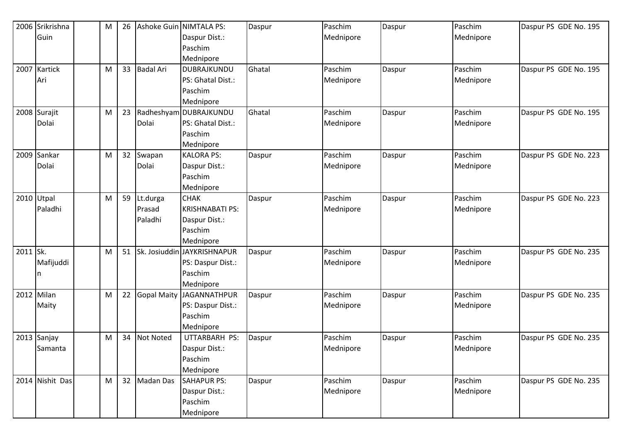|          | 2006 Srikrishna | M | 26 |                  | Ashoke Guin NIMTALA PS:     | Daspur | Paschim   | Daspur | Paschim   | Daspur PS GDE No. 195 |
|----------|-----------------|---|----|------------------|-----------------------------|--------|-----------|--------|-----------|-----------------------|
|          | Guin            |   |    |                  | Daspur Dist.:               |        | Mednipore |        | Mednipore |                       |
|          |                 |   |    |                  | Paschim                     |        |           |        |           |                       |
|          |                 |   |    |                  | Mednipore                   |        |           |        |           |                       |
|          | 2007 Kartick    | M | 33 | <b>Badal Ari</b> | DUBRAJKUNDU                 | Ghatal | Paschim   | Daspur | Paschim   | Daspur PS GDE No. 195 |
|          | Ari             |   |    |                  | PS: Ghatal Dist.:           |        | Mednipore |        | Mednipore |                       |
|          |                 |   |    |                  | Paschim                     |        |           |        |           |                       |
|          |                 |   |    |                  | Mednipore                   |        |           |        |           |                       |
|          | 2008 Surajit    | M | 23 |                  | Radheshyam DUBRAJKUNDU      | Ghatal | Paschim   | Daspur | Paschim   | Daspur PS GDE No. 195 |
|          | Dolai           |   |    | Dolai            | PS: Ghatal Dist.:           |        | Mednipore |        | Mednipore |                       |
|          |                 |   |    |                  | Paschim                     |        |           |        |           |                       |
|          |                 |   |    |                  | Mednipore                   |        |           |        |           |                       |
|          | 2009 Sankar     | M | 32 | Swapan           | <b>KALORA PS:</b>           | Daspur | Paschim   | Daspur | Paschim   | Daspur PS GDE No. 223 |
|          | Dolai           |   |    | Dolai            | Daspur Dist.:               |        | Mednipore |        | Mednipore |                       |
|          |                 |   |    |                  | Paschim                     |        |           |        |           |                       |
|          |                 |   |    |                  | Mednipore                   |        |           |        |           |                       |
|          | 2010 Utpal      | M | 59 | Lt.durga         | <b>CHAK</b>                 | Daspur | Paschim   | Daspur | Paschim   | Daspur PS GDE No. 223 |
|          | Paladhi         |   |    | Prasad           | <b>KRISHNABATI PS:</b>      |        | Mednipore |        | Mednipore |                       |
|          |                 |   |    | Paladhi          | Daspur Dist.:               |        |           |        |           |                       |
|          |                 |   |    |                  | Paschim                     |        |           |        |           |                       |
|          |                 |   |    |                  | Mednipore                   |        |           |        |           |                       |
| 2011 Sk. |                 | M | 51 |                  | Sk. Josiuddin JAYKRISHNAPUR | Daspur | Paschim   | Daspur | Paschim   | Daspur PS GDE No. 235 |
|          | Mafijuddi       |   |    |                  | PS: Daspur Dist.:           |        | Mednipore |        | Mednipore |                       |
|          | n               |   |    |                  | Paschim                     |        |           |        |           |                       |
|          |                 |   |    |                  | Mednipore                   |        |           |        |           |                       |
|          | 2012 Milan      | M | 22 |                  | Gopal Maity JAGANNATHPUR    | Daspur | Paschim   | Daspur | Paschim   | Daspur PS GDE No. 235 |
|          | Maity           |   |    |                  | PS: Daspur Dist.:           |        | Mednipore |        | Mednipore |                       |
|          |                 |   |    |                  | Paschim                     |        |           |        |           |                       |
|          |                 |   |    |                  | Mednipore                   |        |           |        |           |                       |
|          | 2013 Sanjay     | M | 34 | Not Noted        | UTTARBARH PS:               | Daspur | Paschim   | Daspur | Paschim   | Daspur PS GDE No. 235 |
|          | Samanta         |   |    |                  | Daspur Dist.:               |        | Mednipore |        | Mednipore |                       |
|          |                 |   |    |                  | Paschim                     |        |           |        |           |                       |
|          |                 |   |    |                  | Mednipore                   |        |           |        |           |                       |
|          | 2014 Nishit Das | M | 32 | <b>Madan Das</b> | <b>SAHAPUR PS:</b>          | Daspur | Paschim   | Daspur | Paschim   | Daspur PS GDE No. 235 |
|          |                 |   |    |                  | Daspur Dist.:               |        | Mednipore |        | Mednipore |                       |
|          |                 |   |    |                  | Paschim                     |        |           |        |           |                       |
|          |                 |   |    |                  | Mednipore                   |        |           |        |           |                       |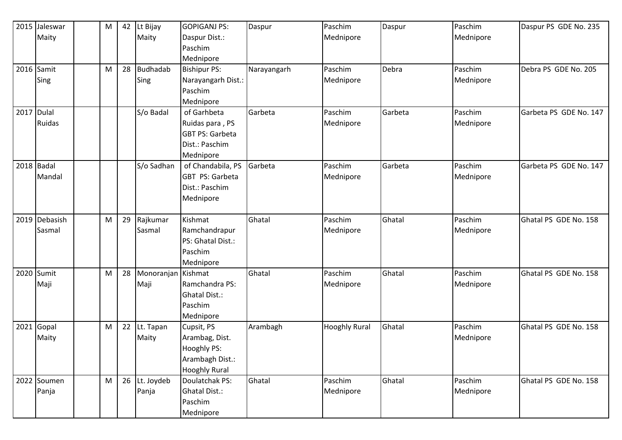|      | 2015 Jaleswar | M | 42 | Lt Bijay           | <b>GOPIGANJ PS:</b>    | Daspur      | Paschim              | Daspur  | Paschim   | Daspur PS GDE No. 235  |
|------|---------------|---|----|--------------------|------------------------|-------------|----------------------|---------|-----------|------------------------|
|      | Maity         |   |    | Maity              | Daspur Dist.:          |             | Mednipore            |         | Mednipore |                        |
|      |               |   |    |                    | Paschim                |             |                      |         |           |                        |
|      |               |   |    |                    | Mednipore              |             |                      |         |           |                        |
|      | 2016 Samit    | M | 28 | <b>Budhadab</b>    | <b>Bishipur PS:</b>    | Narayangarh | Paschim              | Debra   | Paschim   | Debra PS GDE No. 205   |
|      | Sing          |   |    | Sing               | Narayangarh Dist.:     |             | Mednipore            |         | Mednipore |                        |
|      |               |   |    |                    | Paschim                |             |                      |         |           |                        |
|      |               |   |    |                    | Mednipore              |             |                      |         |           |                        |
|      | 2017 Dulal    |   |    | S/o Badal          | of Garhbeta            | Garbeta     | Paschim              | Garbeta | Paschim   | Garbeta PS GDE No. 147 |
|      | Ruidas        |   |    |                    | Ruidas para, PS        |             | Mednipore            |         | Mednipore |                        |
|      |               |   |    |                    | <b>GBT PS: Garbeta</b> |             |                      |         |           |                        |
|      |               |   |    |                    | Dist.: Paschim         |             |                      |         |           |                        |
|      |               |   |    |                    | Mednipore              |             |                      |         |           |                        |
|      | 2018 Badal    |   |    | S/o Sadhan         | of Chandabila, PS      | Garbeta     | Paschim              | Garbeta | Paschim   | Garbeta PS GDE No. 147 |
|      | Mandal        |   |    |                    | GBT PS: Garbeta        |             | Mednipore            |         | Mednipore |                        |
|      |               |   |    |                    | Dist.: Paschim         |             |                      |         |           |                        |
|      |               |   |    |                    | Mednipore              |             |                      |         |           |                        |
|      |               |   |    |                    |                        |             |                      |         |           |                        |
|      | 2019 Debasish | M | 29 | Rajkumar           | Kishmat                | Ghatal      | Paschim              | Ghatal  | Paschim   | Ghatal PS GDE No. 158  |
|      | Sasmal        |   |    | Sasmal             | Ramchandrapur          |             | Mednipore            |         | Mednipore |                        |
|      |               |   |    |                    | PS: Ghatal Dist.:      |             |                      |         |           |                        |
|      |               |   |    |                    | Paschim                |             |                      |         |           |                        |
|      |               |   |    |                    | Mednipore              |             |                      |         |           |                        |
|      | 2020 Sumit    | M | 28 | Monoranjan Kishmat |                        | Ghatal      | Paschim              | Ghatal  | Paschim   | Ghatal PS GDE No. 158  |
|      | Maji          |   |    | Maji               | Ramchandra PS:         |             | Mednipore            |         | Mednipore |                        |
|      |               |   |    |                    | Ghatal Dist.:          |             |                      |         |           |                        |
|      |               |   |    |                    | Paschim                |             |                      |         |           |                        |
|      |               |   |    |                    | Mednipore              |             |                      |         |           |                        |
| 2021 | Gopal         | M | 22 | Lt. Tapan          | Cupsit, PS             | Arambagh    | <b>Hooghly Rural</b> | Ghatal  | Paschim   | Ghatal PS GDE No. 158  |
|      | Maity         |   |    | Maity              | Arambag, Dist.         |             |                      |         | Mednipore |                        |
|      |               |   |    |                    | Hooghly PS:            |             |                      |         |           |                        |
|      |               |   |    |                    | Arambagh Dist.:        |             |                      |         |           |                        |
|      |               |   |    |                    | <b>Hooghly Rural</b>   |             |                      |         |           |                        |
|      | 2022 Soumen   | M | 26 | Lt. Joydeb         | Doulatchak PS:         | Ghatal      | Paschim              | Ghatal  | Paschim   | Ghatal PS GDE No. 158  |
|      | Panja         |   |    | Panja              | <b>Ghatal Dist.:</b>   |             | Mednipore            |         | Mednipore |                        |
|      |               |   |    |                    | Paschim                |             |                      |         |           |                        |
|      |               |   |    |                    | Mednipore              |             |                      |         |           |                        |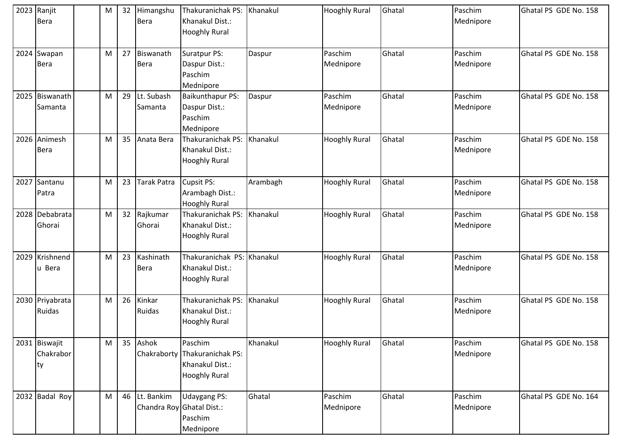| 2023 Ranjit<br><b>Bera</b>       | M | 32 | Himangshu<br>Bera     | <b>Thakuranichak PS:</b><br>Khanakul Dist.:<br><b>Hooghly Rural</b>      | Khanakul | <b>Hooghly Rural</b> | Ghatal | Paschim<br>Mednipore | Ghatal PS GDE No. 158 |
|----------------------------------|---|----|-----------------------|--------------------------------------------------------------------------|----------|----------------------|--------|----------------------|-----------------------|
| 2024 Swapan<br>Bera              | M | 27 | Biswanath<br>Bera     | Suratpur PS:<br>Daspur Dist.:<br>Paschim<br>Mednipore                    | Daspur   | Paschim<br>Mednipore | Ghatal | Paschim<br>Mednipore | Ghatal PS GDE No. 158 |
| 2025 Biswanath<br>Samanta        | M | 29 | Lt. Subash<br>Samanta | <b>Baikunthapur PS:</b><br>Daspur Dist.:<br>Paschim<br>Mednipore         | Daspur   | Paschim<br>Mednipore | Ghatal | Paschim<br>Mednipore | Ghatal PS GDE No. 158 |
| 2026 Animesh<br><b>Bera</b>      | M | 35 | Anata Bera            | Thakuranichak PS:<br>Khanakul Dist.:<br><b>Hooghly Rural</b>             | Khanakul | <b>Hooghly Rural</b> | Ghatal | Paschim<br>Mednipore | Ghatal PS GDE No. 158 |
| 2027 Santanu<br>Patra            | M | 23 | Tarak Patra           | <b>Cupsit PS:</b><br>Arambagh Dist.:<br><b>Hooghly Rural</b>             | Arambagh | <b>Hooghly Rural</b> | Ghatal | Paschim<br>Mednipore | Ghatal PS GDE No. 158 |
| 2028 Debabrata<br>Ghorai         | M | 32 | Rajkumar<br>Ghorai    | Thakuranichak PS:<br>Khanakul Dist.:<br><b>Hooghly Rural</b>             | Khanakul | <b>Hooghly Rural</b> | Ghatal | Paschim<br>Mednipore | Ghatal PS GDE No. 158 |
| 2029 Krishnend<br>u Bera         | M | 23 | Kashinath<br>Bera     | Thakuranichak PS:<br>Khanakul Dist.:<br><b>Hooghly Rural</b>             | Khanakul | <b>Hooghly Rural</b> | Ghatal | Paschim<br>Mednipore | Ghatal PS GDE No. 158 |
| 2030 Priyabrata<br>Ruidas        | M | 26 | Kinkar<br>Ruidas      | Thakuranichak PS:<br>Khanakul Dist.:<br><b>Hooghly Rural</b>             | Khanakul | <b>Hooghly Rural</b> | Ghatal | Paschim<br>Mednipore | Ghatal PS GDE No. 158 |
| 2031 Biswajit<br>Chakrabor<br>ty | M | 35 | Ashok<br>Chakraborty  | Paschim<br>Thakuranichak PS:<br>Khanakul Dist.:<br><b>Hooghly Rural</b>  | Khanakul | <b>Hooghly Rural</b> | Ghatal | Paschim<br>Mednipore | Ghatal PS GDE No. 158 |
| 2032 Badal Roy                   | M | 46 | Lt. Bankim            | <b>Udaygang PS:</b><br>Chandra Roy Ghatal Dist.:<br>Paschim<br>Mednipore | Ghatal   | Paschim<br>Mednipore | Ghatal | Paschim<br>Mednipore | Ghatal PS GDE No. 164 |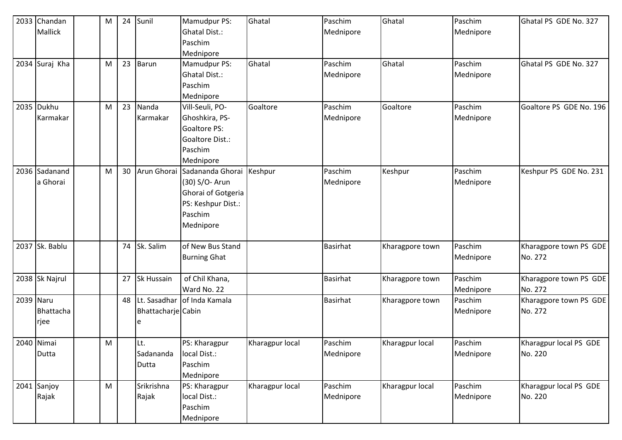| 2033 Chandan     | M | 24 | Sunil              | Mamudpur PS:                         | Ghatal          | Paschim         | Ghatal          | Paschim   | Ghatal PS GDE No. 327   |
|------------------|---|----|--------------------|--------------------------------------|-----------------|-----------------|-----------------|-----------|-------------------------|
| Mallick          |   |    |                    | Ghatal Dist.:                        |                 | Mednipore       |                 | Mednipore |                         |
|                  |   |    |                    | Paschim                              |                 |                 |                 |           |                         |
|                  |   |    |                    | Mednipore                            |                 |                 |                 |           |                         |
| 2034 Suraj Kha   | M | 23 | Barun              | Mamudpur PS:                         | Ghatal          | Paschim         | Ghatal          | Paschim   | Ghatal PS GDE No. 327   |
|                  |   |    |                    | <b>Ghatal Dist.:</b>                 |                 | Mednipore       |                 | Mednipore |                         |
|                  |   |    |                    | Paschim                              |                 |                 |                 |           |                         |
|                  |   |    |                    | Mednipore                            |                 |                 |                 |           |                         |
| 2035 Dukhu       | M | 23 | Nanda              | Vill-Seuli, PO-                      | Goaltore        | Paschim         | Goaltore        | Paschim   | Goaltore PS GDE No. 196 |
| Karmakar         |   |    | Karmakar           | Ghoshkira, PS-                       |                 | Mednipore       |                 | Mednipore |                         |
|                  |   |    |                    | Goaltore PS:                         |                 |                 |                 |           |                         |
|                  |   |    |                    | Goaltore Dist.:                      |                 |                 |                 |           |                         |
|                  |   |    |                    | Paschim                              |                 |                 |                 |           |                         |
|                  |   |    |                    | Mednipore                            |                 |                 |                 |           |                         |
| 2036 Sadanand    | M | 30 |                    | Arun Ghorai Sadananda Ghorai Keshpur |                 | Paschim         | Keshpur         | Paschim   | Keshpur PS GDE No. 231  |
| a Ghorai         |   |    |                    | (30) S/O- Arun                       |                 | Mednipore       |                 | Mednipore |                         |
|                  |   |    |                    | Ghorai of Gotgeria                   |                 |                 |                 |           |                         |
|                  |   |    |                    | PS: Keshpur Dist.:                   |                 |                 |                 |           |                         |
|                  |   |    |                    | Paschim                              |                 |                 |                 |           |                         |
|                  |   |    |                    | Mednipore                            |                 |                 |                 |           |                         |
|                  |   |    |                    |                                      |                 |                 |                 |           |                         |
| 2037 Sk. Bablu   |   | 74 | Sk. Salim          | of New Bus Stand                     |                 | <b>Basirhat</b> | Kharagpore town | Paschim   | Kharagpore town PS GDE  |
|                  |   |    |                    | <b>Burning Ghat</b>                  |                 |                 |                 | Mednipore | No. 272                 |
|                  |   |    |                    |                                      |                 |                 |                 |           |                         |
| 2038 Sk Najrul   |   | 27 | Sk Hussain         | of Chil Khana,                       |                 | <b>Basirhat</b> | Kharagpore town | Paschim   | Kharagpore town PS GDE  |
|                  |   |    |                    | Ward No. 22                          |                 |                 |                 | Mednipore | No. 272                 |
| 2039 Naru        |   | 48 |                    | Lt. Sasadhar of Inda Kamala          |                 | <b>Basirhat</b> | Kharagpore town | Paschim   | Kharagpore town PS GDE  |
| <b>Bhattacha</b> |   |    | Bhattacharje Cabin |                                      |                 |                 |                 | Mednipore | No. 272                 |
| rjee             |   |    | e                  |                                      |                 |                 |                 |           |                         |
|                  |   |    |                    |                                      |                 |                 |                 |           |                         |
| 2040 Nimai       | M |    | Lt.                | PS: Kharagpur                        | Kharagpur local | Paschim         | Kharagpur local | Paschim   | Kharagpur local PS GDE  |
| Dutta            |   |    | Sadananda          | local Dist.:                         |                 | Mednipore       |                 | Mednipore | No. 220                 |
|                  |   |    | Dutta              | Paschim                              |                 |                 |                 |           |                         |
|                  |   |    |                    | Mednipore                            |                 |                 |                 |           |                         |
| 2041 Sanjoy      | M |    | Srikrishna         | PS: Kharagpur                        | Kharagpur local | Paschim         | Kharagpur local | Paschim   | Kharagpur local PS GDE  |
| Rajak            |   |    | Rajak              | local Dist.:                         |                 | Mednipore       |                 | Mednipore | No. 220                 |
|                  |   |    |                    | Paschim                              |                 |                 |                 |           |                         |
|                  |   |    |                    | Mednipore                            |                 |                 |                 |           |                         |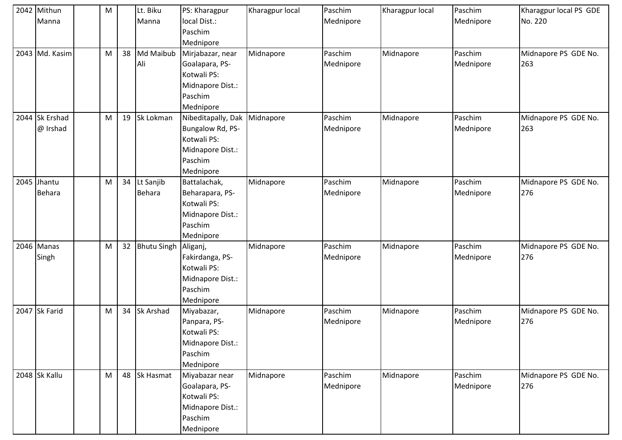| 2042 Mithun    | M |    | Lt. Biku           | PS: Kharagpur      | Kharagpur local | Paschim   | Kharagpur local | Paschim   | Kharagpur local PS GDE |
|----------------|---|----|--------------------|--------------------|-----------------|-----------|-----------------|-----------|------------------------|
| Manna          |   |    | Manna              | local Dist.:       |                 | Mednipore |                 | Mednipore | No. 220                |
|                |   |    |                    | Paschim            |                 |           |                 |           |                        |
|                |   |    |                    | Mednipore          |                 |           |                 |           |                        |
| 2043 Md. Kasim | M | 38 | Md Maibub          | Mirjabazar, near   | Midnapore       | Paschim   | Midnapore       | Paschim   | Midnapore PS GDE No.   |
|                |   |    | Ali                | Goalapara, PS-     |                 | Mednipore |                 | Mednipore | 263                    |
|                |   |    |                    | Kotwali PS:        |                 |           |                 |           |                        |
|                |   |    |                    | Midnapore Dist.:   |                 |           |                 |           |                        |
|                |   |    |                    | Paschim            |                 |           |                 |           |                        |
|                |   |    |                    | Mednipore          |                 |           |                 |           |                        |
| 2044 Sk Ershad | M | 19 | Sk Lokman          | Nibeditapally, Dak | Midnapore       | Paschim   | Midnapore       | Paschim   | Midnapore PS GDE No.   |
| @ Irshad       |   |    |                    | Bungalow Rd, PS-   |                 | Mednipore |                 | Mednipore | 263                    |
|                |   |    |                    | Kotwali PS:        |                 |           |                 |           |                        |
|                |   |    |                    | Midnapore Dist.:   |                 |           |                 |           |                        |
|                |   |    |                    | Paschim            |                 |           |                 |           |                        |
|                |   |    |                    | Mednipore          |                 |           |                 |           |                        |
| 2045 Jhantu    | M | 34 | Lt Sanjib          | Battalachak,       | Midnapore       | Paschim   | Midnapore       | Paschim   | Midnapore PS GDE No.   |
| <b>Behara</b>  |   |    | <b>Behara</b>      | Beharapara, PS-    |                 | Mednipore |                 | Mednipore | 276                    |
|                |   |    |                    | Kotwali PS:        |                 |           |                 |           |                        |
|                |   |    |                    | Midnapore Dist.:   |                 |           |                 |           |                        |
|                |   |    |                    | Paschim            |                 |           |                 |           |                        |
|                |   |    |                    | Mednipore          |                 |           |                 |           |                        |
| 2046 Manas     | M | 32 | <b>Bhutu Singh</b> | Aliganj,           | Midnapore       | Paschim   | Midnapore       | Paschim   | Midnapore PS GDE No.   |
| Singh          |   |    |                    | Fakirdanga, PS-    |                 | Mednipore |                 | Mednipore | 276                    |
|                |   |    |                    | Kotwali PS:        |                 |           |                 |           |                        |
|                |   |    |                    | Midnapore Dist.:   |                 |           |                 |           |                        |
|                |   |    |                    | Paschim            |                 |           |                 |           |                        |
|                |   |    |                    | Mednipore          |                 |           |                 |           |                        |
| 2047 Sk Farid  | M | 34 | Sk Arshad          | Miyabazar,         | Midnapore       | Paschim   | Midnapore       | Paschim   | Midnapore PS GDE No.   |
|                |   |    |                    | Panpara, PS-       |                 | Mednipore |                 | Mednipore | 276                    |
|                |   |    |                    | Kotwali PS:        |                 |           |                 |           |                        |
|                |   |    |                    | Midnapore Dist.:   |                 |           |                 |           |                        |
|                |   |    |                    | Paschim            |                 |           |                 |           |                        |
|                |   |    |                    | Mednipore          |                 |           |                 |           |                        |
| 2048 Sk Kallu  | M | 48 | <b>Sk Hasmat</b>   | Miyabazar near     | Midnapore       | Paschim   | Midnapore       | Paschim   | Midnapore PS GDE No.   |
|                |   |    |                    | Goalapara, PS-     |                 | Mednipore |                 | Mednipore | 276                    |
|                |   |    |                    | Kotwali PS:        |                 |           |                 |           |                        |
|                |   |    |                    | Midnapore Dist.:   |                 |           |                 |           |                        |
|                |   |    |                    | Paschim            |                 |           |                 |           |                        |
|                |   |    |                    | Mednipore          |                 |           |                 |           |                        |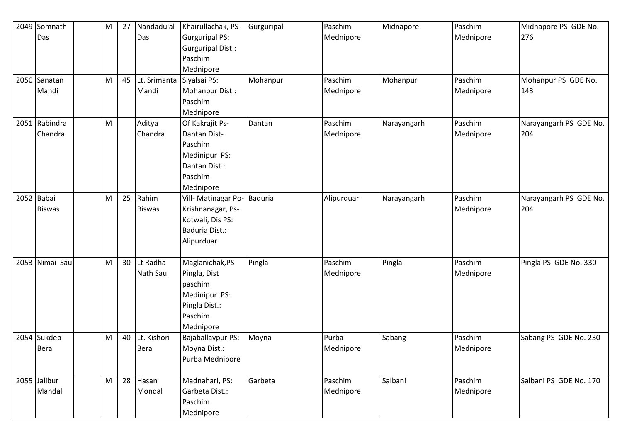| 2049 Somnath   | M                                                                                                          | 27 | Nandadulal    | Khairullachak, PS-    | Gurguripal     | Paschim    | Midnapore   | Paschim   | Midnapore PS GDE No.   |
|----------------|------------------------------------------------------------------------------------------------------------|----|---------------|-----------------------|----------------|------------|-------------|-----------|------------------------|
| Das            |                                                                                                            |    | Das           | <b>Gurguripal PS:</b> |                | Mednipore  |             | Mednipore | 276                    |
|                |                                                                                                            |    |               | Gurguripal Dist.:     |                |            |             |           |                        |
|                |                                                                                                            |    |               | Paschim               |                |            |             |           |                        |
|                |                                                                                                            |    |               | Mednipore             |                |            |             |           |                        |
| 2050 Sanatan   | $\mathsf{M}% _{T}=\mathsf{M}_{T}\!\left( a,b\right) ,\ \mathsf{M}_{T}=\mathsf{M}_{T}\!\left( a,b\right) ,$ | 45 | Lt. Srimanta  | Siyalsai PS:          | Mohanpur       | Paschim    | Mohanpur    | Paschim   | Mohanpur PS GDE No.    |
| Mandi          |                                                                                                            |    | Mandi         | Mohanpur Dist.:       |                | Mednipore  |             | Mednipore | 143                    |
|                |                                                                                                            |    |               | Paschim               |                |            |             |           |                        |
|                |                                                                                                            |    |               | Mednipore             |                |            |             |           |                        |
| 2051 Rabindra  | M                                                                                                          |    | Aditya        | Of Kakrajit Ps-       | Dantan         | Paschim    | Narayangarh | Paschim   | Narayangarh PS GDE No. |
| Chandra        |                                                                                                            |    | Chandra       | Dantan Dist-          |                | Mednipore  |             | Mednipore | 204                    |
|                |                                                                                                            |    |               | Paschim               |                |            |             |           |                        |
|                |                                                                                                            |    |               | Medinipur PS:         |                |            |             |           |                        |
|                |                                                                                                            |    |               | Dantan Dist.:         |                |            |             |           |                        |
|                |                                                                                                            |    |               | Paschim               |                |            |             |           |                        |
|                |                                                                                                            |    |               | Mednipore             |                |            |             |           |                        |
| 2052 Babai     | M                                                                                                          | 25 | Rahim         | Vill- Matinagar Po-   | <b>Baduria</b> | Alipurduar | Narayangarh | Paschim   | Narayangarh PS GDE No. |
| <b>Biswas</b>  |                                                                                                            |    | <b>Biswas</b> | Krishnanagar, Ps-     |                |            |             | Mednipore | 204                    |
|                |                                                                                                            |    |               | Kotwali, Dis PS:      |                |            |             |           |                        |
|                |                                                                                                            |    |               | Baduria Dist.:        |                |            |             |           |                        |
|                |                                                                                                            |    |               | Alipurduar            |                |            |             |           |                        |
|                |                                                                                                            |    |               |                       |                |            |             |           |                        |
| 2053 Nimai Sau | M                                                                                                          | 30 | Lt Radha      | Maglanichak, PS       | Pingla         | Paschim    | Pingla      | Paschim   | Pingla PS GDE No. 330  |
|                |                                                                                                            |    | Nath Sau      | Pingla, Dist          |                | Mednipore  |             | Mednipore |                        |
|                |                                                                                                            |    |               | paschim               |                |            |             |           |                        |
|                |                                                                                                            |    |               | Medinipur PS:         |                |            |             |           |                        |
|                |                                                                                                            |    |               | Pingla Dist.:         |                |            |             |           |                        |
|                |                                                                                                            |    |               | Paschim               |                |            |             |           |                        |
|                |                                                                                                            |    |               | Mednipore             |                |            |             |           |                        |
| 2054 Sukdeb    | M                                                                                                          | 40 | Lt. Kishori   | Bajaballavpur PS:     | Moyna          | Purba      | Sabang      | Paschim   | Sabang PS GDE No. 230  |
| Bera           |                                                                                                            |    | <b>Bera</b>   | Moyna Dist.:          |                | Mednipore  |             | Mednipore |                        |
|                |                                                                                                            |    |               | Purba Mednipore       |                |            |             |           |                        |
|                |                                                                                                            |    |               |                       |                |            |             |           |                        |
| 2055 Jalibur   | M                                                                                                          | 28 | Hasan         | Madnahari, PS:        | Garbeta        | Paschim    | Salbani     | Paschim   | Salbani PS GDE No. 170 |
| Mandal         |                                                                                                            |    | Mondal        | Garbeta Dist.:        |                | Mednipore  |             | Mednipore |                        |
|                |                                                                                                            |    |               | Paschim               |                |            |             |           |                        |
|                |                                                                                                            |    |               | Mednipore             |                |            |             |           |                        |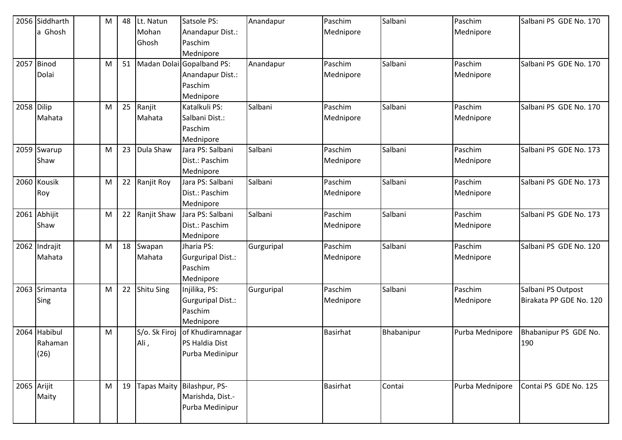|            | 2056 Siddharth | M         | 48 | Lt. Natun          | Satsole PS:               | Anandapur  | Paschim         | Salbani    | Paschim         | Salbani PS GDE No. 170  |
|------------|----------------|-----------|----|--------------------|---------------------------|------------|-----------------|------------|-----------------|-------------------------|
|            | a Ghosh        |           |    | Mohan              | Anandapur Dist.:          |            | Mednipore       |            | Mednipore       |                         |
|            |                |           |    | Ghosh              | Paschim                   |            |                 |            |                 |                         |
|            |                |           |    |                    | Mednipore                 |            |                 |            |                 |                         |
|            | 2057 Binod     | M         | 51 |                    | Madan Dolai Gopalband PS: | Anandapur  | Paschim         | Salbani    | Paschim         | Salbani PS GDE No. 170  |
|            | Dolai          |           |    |                    | Anandapur Dist.:          |            | Mednipore       |            | Mednipore       |                         |
|            |                |           |    |                    | Paschim                   |            |                 |            |                 |                         |
|            |                |           |    |                    | Mednipore                 |            |                 |            |                 |                         |
| 2058 Dilip |                | M         | 25 | Ranjit             | Katalkuli PS:             | Salbani    | Paschim         | Salbani    | Paschim         | Salbani PS GDE No. 170  |
|            | Mahata         |           |    | Mahata             | Salbani Dist.:            |            | Mednipore       |            | Mednipore       |                         |
|            |                |           |    |                    | Paschim                   |            |                 |            |                 |                         |
|            |                |           |    |                    | Mednipore                 |            |                 |            |                 |                         |
| 2059       | Swarup         | M         | 23 | Dula Shaw          | Jara PS: Salbani          | Salbani    | Paschim         | Salbani    | Paschim         | Salbani PS GDE No. 173  |
|            | Shaw           |           |    |                    | Dist.: Paschim            |            | Mednipore       |            | Mednipore       |                         |
|            |                |           |    |                    | Mednipore                 |            |                 |            |                 |                         |
|            | 2060 Kousik    | M         | 22 | Ranjit Roy         | Jara PS: Salbani          | Salbani    | Paschim         | Salbani    | Paschim         | Salbani PS GDE No. 173  |
|            | Roy            |           |    |                    | Dist.: Paschim            |            | Mednipore       |            | Mednipore       |                         |
|            |                |           |    |                    | Mednipore                 |            |                 |            |                 |                         |
|            | 2061 Abhijit   | M         | 22 | Ranjit Shaw        | Jara PS: Salbani          | Salbani    | Paschim         | Salbani    | Paschim         | Salbani PS GDE No. 173  |
|            | Shaw           |           |    |                    | Dist.: Paschim            |            | Mednipore       |            | Mednipore       |                         |
|            |                |           |    |                    | Mednipore                 |            |                 |            |                 |                         |
|            | 2062 Indrajit  | M         | 18 | Swapan             | Jharia PS:                | Gurguripal | Paschim         | Salbani    | Paschim         | Salbani PS GDE No. 120  |
|            | Mahata         |           |    | Mahata             | Gurguripal Dist.:         |            | Mednipore       |            | Mednipore       |                         |
|            |                |           |    |                    | Paschim                   |            |                 |            |                 |                         |
|            |                |           |    |                    | Mednipore                 |            |                 |            |                 |                         |
|            | 2063 Srimanta  | ${\sf M}$ | 22 | <b>Shitu Sing</b>  | Injilika, PS:             | Gurguripal | Paschim         | Salbani    | Paschim         | Salbani PS Outpost      |
|            | Sing           |           |    |                    | Gurguripal Dist.:         |            | Mednipore       |            | Mednipore       | Birakata PP GDE No. 120 |
|            |                |           |    |                    | Paschim                   |            |                 |            |                 |                         |
|            |                |           |    |                    | Mednipore                 |            |                 |            |                 |                         |
|            | 2064 Habibul   | M         |    | S/o. Sk Firoj      | of Khudiramnagar          |            | <b>Basirhat</b> | Bhabanipur | Purba Mednipore | Bhabanipur PS GDE No.   |
|            | Rahaman        |           |    | Ali,               | PS Haldia Dist            |            |                 |            |                 | 190                     |
|            | (26)           |           |    |                    | Purba Medinipur           |            |                 |            |                 |                         |
|            |                |           |    |                    |                           |            |                 |            |                 |                         |
|            |                |           |    |                    |                           |            |                 |            |                 |                         |
|            | 2065 Arijit    | M         | 19 | <b>Tapas Maity</b> | Bilashpur, PS-            |            | <b>Basirhat</b> | Contai     | Purba Mednipore | Contai PS GDE No. 125   |
|            | Maity          |           |    |                    | Marishda, Dist.-          |            |                 |            |                 |                         |
|            |                |           |    |                    | Purba Medinipur           |            |                 |            |                 |                         |
|            |                |           |    |                    |                           |            |                 |            |                 |                         |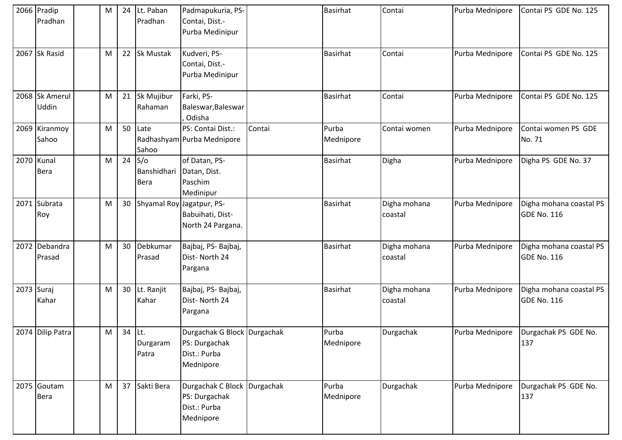|            | 2066 Pradip<br>Pradhan    | M         | 24     | Lt. Paban<br>Pradhan              | Padmapukuria, PS-<br>Contai, Dist.-<br>Purba Medinipur                    |        | <b>Basirhat</b>    | Contai                  | Purba Mednipore | Contai PS GDE No. 125                         |
|------------|---------------------------|-----------|--------|-----------------------------------|---------------------------------------------------------------------------|--------|--------------------|-------------------------|-----------------|-----------------------------------------------|
|            | 2067 Sk Rasid             | M         | 22     | <b>Sk Mustak</b>                  | Kudveri, PS-<br>Contai, Dist.-<br>Purba Medinipur                         |        | <b>Basirhat</b>    | Contai                  | Purba Mednipore | Contai PS GDE No. 125                         |
|            | 2068 Sk Amerul<br>Uddin   | M         | 21     | Sk Mujibur<br>Rahaman             | Farki, PS-<br>Baleswar, Baleswar<br>Odisha                                |        | <b>Basirhat</b>    | Contai                  | Purba Mednipore | Contai PS GDE No. 125                         |
|            | 2069 Kiranmoy<br>Sahoo    | ${\sf M}$ | 50     | Late<br>Sahoo                     | PS: Contai Dist.:<br>Radhashyam Purba Mednipore                           | Contai | Purba<br>Mednipore | Contai women            | Purba Mednipore | Contai women PS GDE<br>No. 71                 |
|            | 2070 Kunal<br><b>Bera</b> | M         | 24     | S/O<br>Banshidhari<br><b>Bera</b> | of Datan, PS-<br>Datan, Dist.<br>Paschim<br>Medinipur                     |        | <b>Basirhat</b>    | Digha                   | Purba Mednipore | Digha PS GDE No. 37                           |
|            | 2071 Subrata<br>Roy       | M         | 30     |                                   | Shyamal Roy Jagatpur, PS-<br>Babuihati, Dist-<br>North 24 Pargana.        |        | <b>Basirhat</b>    | Digha mohana<br>coastal | Purba Mednipore | Digha mohana coastal PS<br><b>GDE No. 116</b> |
|            | 2072 Debandra<br>Prasad   | M         | 30     | Debkumar<br>Prasad                | Bajbaj, PS-Bajbaj,<br>Dist-North 24<br>Pargana                            |        | <b>Basirhat</b>    | Digha mohana<br>coastal | Purba Mednipore | Digha mohana coastal PS<br>GDE No. 116        |
| 2073 Suraj | Kahar                     | M         | 30     | Lt. Ranjit<br>Kahar               | Bajbaj, PS-Bajbaj,<br>Dist-North 24<br>Pargana                            |        | <b>Basirhat</b>    | Digha mohana<br>coastal | Purba Mednipore | Digha mohana coastal PS<br><b>GDE No. 116</b> |
|            | 2074 Dilip Patra          | M         | 34 Lt. | Durgaram<br>Patra                 | Durgachak G Block Durgachak<br>PS: Durgachak<br>Dist.: Purba<br>Mednipore |        | Purba<br>Mednipore | Durgachak               | Purba Mednipore | Durgachak PS GDE No.<br>137                   |
|            | 2075 Goutam<br>Bera       | M         | 37     | Sakti Bera                        | Durgachak C Block Durgachak<br>PS: Durgachak<br>Dist.: Purba<br>Mednipore |        | Purba<br>Mednipore | Durgachak               | Purba Mednipore | Durgachak PS GDE No.<br>137                   |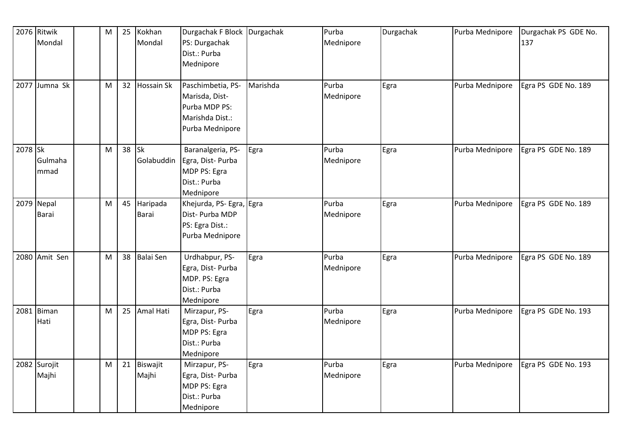|         | 2076 Ritwik   | M | 25 | Kokhan            | Durgachak F Block Durgachak |          | Purba     | Durgachak | Purba Mednipore | Durgachak PS GDE No. |
|---------|---------------|---|----|-------------------|-----------------------------|----------|-----------|-----------|-----------------|----------------------|
|         | Mondal        |   |    | Mondal            | PS: Durgachak               |          | Mednipore |           |                 | 137                  |
|         |               |   |    |                   | Dist.: Purba                |          |           |           |                 |                      |
|         |               |   |    |                   | Mednipore                   |          |           |           |                 |                      |
|         | 2077 Jumna Sk | M | 32 | <b>Hossain Sk</b> | Paschimbetia, PS-           | Marishda | Purba     | Egra      | Purba Mednipore | Egra PS GDE No. 189  |
|         |               |   |    |                   | Marisda, Dist-              |          | Mednipore |           |                 |                      |
|         |               |   |    |                   | Purba MDP PS:               |          |           |           |                 |                      |
|         |               |   |    |                   | Marishda Dist.:             |          |           |           |                 |                      |
|         |               |   |    |                   | Purba Mednipore             |          |           |           |                 |                      |
|         |               |   |    |                   |                             |          |           |           |                 |                      |
| 2078 Sk |               | M | 38 | <b>Sk</b>         | Baranalgeria, PS-           | Egra     | Purba     | Egra      | Purba Mednipore | Egra PS GDE No. 189  |
|         | Gulmaha       |   |    | Golabuddin        | Egra, Dist-Purba            |          | Mednipore |           |                 |                      |
|         | mmad          |   |    |                   | MDP PS: Egra                |          |           |           |                 |                      |
|         |               |   |    |                   | Dist.: Purba                |          |           |           |                 |                      |
|         |               |   |    |                   | Mednipore                   |          |           |           |                 |                      |
|         | 2079 Nepal    | M | 45 | Haripada          | Khejurda, PS- Egra, Egra    |          | Purba     | Egra      | Purba Mednipore | Egra PS GDE No. 189  |
|         | Barai         |   |    | <b>Barai</b>      | Dist-Purba MDP              |          | Mednipore |           |                 |                      |
|         |               |   |    |                   | PS: Egra Dist.:             |          |           |           |                 |                      |
|         |               |   |    |                   | Purba Mednipore             |          |           |           |                 |                      |
|         | 2080 Amit Sen | M | 38 | <b>Balai Sen</b>  | Urdhabpur, PS-              | Egra     | Purba     | Egra      | Purba Mednipore | Egra PS GDE No. 189  |
|         |               |   |    |                   | Egra, Dist-Purba            |          | Mednipore |           |                 |                      |
|         |               |   |    |                   | MDP. PS: Egra               |          |           |           |                 |                      |
|         |               |   |    |                   | Dist.: Purba                |          |           |           |                 |                      |
|         |               |   |    |                   | Mednipore                   |          |           |           |                 |                      |
|         | 2081 Biman    | M | 25 | Amal Hati         | Mirzapur, PS-               | Egra     | Purba     | Egra      | Purba Mednipore | Egra PS GDE No. 193  |
|         | Hati          |   |    |                   | Egra, Dist-Purba            |          | Mednipore |           |                 |                      |
|         |               |   |    |                   | MDP PS: Egra                |          |           |           |                 |                      |
|         |               |   |    |                   | Dist.: Purba                |          |           |           |                 |                      |
|         |               |   |    |                   | Mednipore                   |          |           |           |                 |                      |
|         | 2082 Surojit  | M | 21 | Biswajit          | Mirzapur, PS-               | Egra     | Purba     | Egra      | Purba Mednipore | Egra PS GDE No. 193  |
|         | Majhi         |   |    | Majhi             | Egra, Dist-Purba            |          | Mednipore |           |                 |                      |
|         |               |   |    |                   | MDP PS: Egra                |          |           |           |                 |                      |
|         |               |   |    |                   | Dist.: Purba                |          |           |           |                 |                      |
|         |               |   |    |                   | Mednipore                   |          |           |           |                 |                      |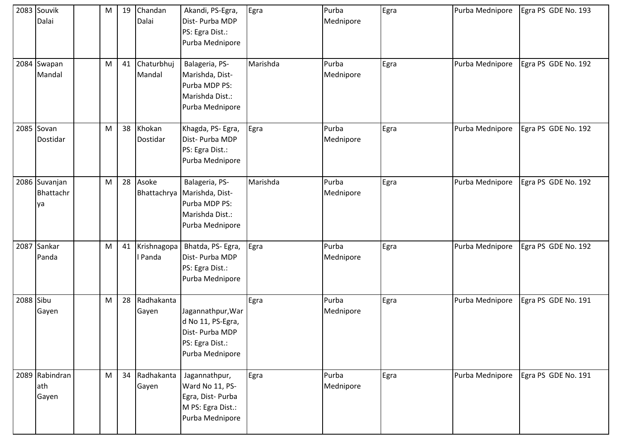|           | 2083 Souvik<br>Dalai             | M | 19 | Chandan<br>Dalai       | Akandi, PS-Egra,<br>Dist-Purba MDP<br>PS: Egra Dist.:<br>Purba Mednipore                             | Egra     | Purba<br>Mednipore | Egra | Purba Mednipore | Egra PS GDE No. 193 |
|-----------|----------------------------------|---|----|------------------------|------------------------------------------------------------------------------------------------------|----------|--------------------|------|-----------------|---------------------|
|           | 2084 Swapan<br>Mandal            | M | 41 | Chaturbhuj<br>Mandal   | Balageria, PS-<br>Marishda, Dist-<br>Purba MDP PS:<br>Marishda Dist.:<br>Purba Mednipore             | Marishda | Purba<br>Mednipore | Egra | Purba Mednipore | Egra PS GDE No. 192 |
|           | 2085 Sovan<br>Dostidar           | M | 38 | Khokan<br>Dostidar     | Khagda, PS- Egra,<br>Dist-Purba MDP<br>PS: Egra Dist.:<br>Purba Mednipore                            | Egra     | Purba<br>Mednipore | Egra | Purba Mednipore | Egra PS GDE No. 192 |
|           | 2086 Suvanjan<br>Bhattachr<br>ya | M | 28 | Asoke                  | Balageria, PS-<br>Bhattachrya Marishda, Dist-<br>Purba MDP PS:<br>Marishda Dist.:<br>Purba Mednipore | Marishda | Purba<br>Mednipore | Egra | Purba Mednipore | Egra PS GDE No. 192 |
|           | 2087 Sankar<br>Panda             | M | 41 | Krishnagopa<br>l Panda | Bhatda, PS- Egra,<br>Dist- Purba MDP<br>PS: Egra Dist.:<br>Purba Mednipore                           | Egra     | Purba<br>Mednipore | Egra | Purba Mednipore | Egra PS GDE No. 192 |
| 2088 Sibu | Gayen                            | M | 28 | Radhakanta<br>Gayen    | Jagannathpur, War<br>d No 11, PS-Egra,<br>Dist-Purba MDP<br>PS: Egra Dist.:<br>Purba Mednipore       | Egra     | Purba<br>Mednipore | Egra | Purba Mednipore | Egra PS GDE No. 191 |
|           | 2089 Rabindran<br>ath<br>Gayen   | M | 34 | Radhakanta<br>Gayen    | Jagannathpur,<br>Ward No 11, PS-<br>Egra, Dist-Purba<br>M PS: Egra Dist.:<br>Purba Mednipore         | Egra     | Purba<br>Mednipore | Egra | Purba Mednipore | Egra PS GDE No. 191 |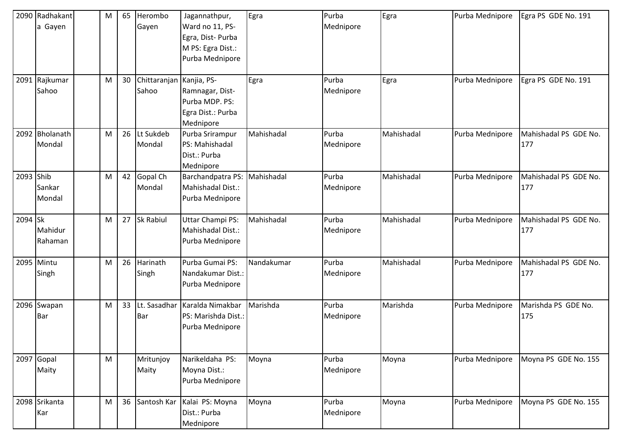|           | 2090 Radhakant<br>a Gayen<br>2091 Rajkumar | M<br>M | 65<br>30 | Herombo<br>Gayen<br>Chittaranjan Kanjia, PS- | Jagannathpur,<br>Ward no 11, PS-<br>Egra, Dist-Purba<br>M PS: Egra Dist.:<br>Purba Mednipore | Egra<br>Egra | Purba<br>Mednipore<br>Purba | Egra<br>Egra | Purba Mednipore<br>Purba Mednipore | Egra PS GDE No. 191<br>Egra PS GDE No. 191 |
|-----------|--------------------------------------------|--------|----------|----------------------------------------------|----------------------------------------------------------------------------------------------|--------------|-----------------------------|--------------|------------------------------------|--------------------------------------------|
|           | Sahoo                                      |        |          | Sahoo                                        | Ramnagar, Dist-<br>Purba MDP. PS:<br>Egra Dist.: Purba<br>Mednipore                          |              | Mednipore                   |              |                                    |                                            |
|           | 2092 Bholanath<br>Mondal                   | M      | 26       | Lt Sukdeb<br>Mondal                          | Purba Srirampur<br>PS: Mahishadal<br>Dist.: Purba<br>Mednipore                               | Mahishadal   | Purba<br>Mednipore          | Mahishadal   | Purba Mednipore                    | Mahishadal PS GDE No.<br>177               |
| 2093 Shib | Sankar<br>Mondal                           | M      | 42       | Gopal Ch<br>Mondal                           | Barchandpatra PS:<br>Mahishadal Dist.:<br>Purba Mednipore                                    | Mahishadal   | Purba<br>Mednipore          | Mahishadal   | Purba Mednipore                    | Mahishadal PS GDE No.<br>177               |
| 2094 Sk   | Mahidur<br>Rahaman                         | M      | 27       | Sk Rabiul                                    | Uttar Champi PS:<br>Mahishadal Dist.:<br>Purba Mednipore                                     | Mahishadal   | Purba<br>Mednipore          | Mahishadal   | Purba Mednipore                    | Mahishadal PS GDE No.<br>177               |
|           | 2095 Mintu<br>Singh                        | M      | 26       | Harinath<br>Singh                            | Purba Gumai PS:<br>Nandakumar Dist.:<br>Purba Mednipore                                      | Nandakumar   | Purba<br>Mednipore          | Mahishadal   | Purba Mednipore                    | Mahishadal PS GDE No.<br>177               |
|           | 2096 Swapan<br><b>Bar</b>                  | M      | 33       | Lt. Sasadhar<br><b>Bar</b>                   | Karalda Nimakbar<br>PS: Marishda Dist.:<br>Purba Mednipore                                   | Marishda     | Purba<br>Mednipore          | Marishda     | Purba Mednipore                    | Marishda PS GDE No.<br>175                 |
|           | 2097 Gopal<br>Maity                        | M      |          | Mritunjoy<br>Maity                           | Narikeldaha PS:<br>Moyna Dist.:<br>Purba Mednipore                                           | Moyna        | Purba<br>Mednipore          | Moyna        | Purba Mednipore                    | Moyna PS GDE No. 155                       |
|           | 2098 Srikanta<br>Kar                       | M      | 36       | Santosh Kar                                  | Kalai PS: Moyna<br>Dist.: Purba<br>Mednipore                                                 | Moyna        | Purba<br>Mednipore          | Moyna        | Purba Mednipore                    | Moyna PS GDE No. 155                       |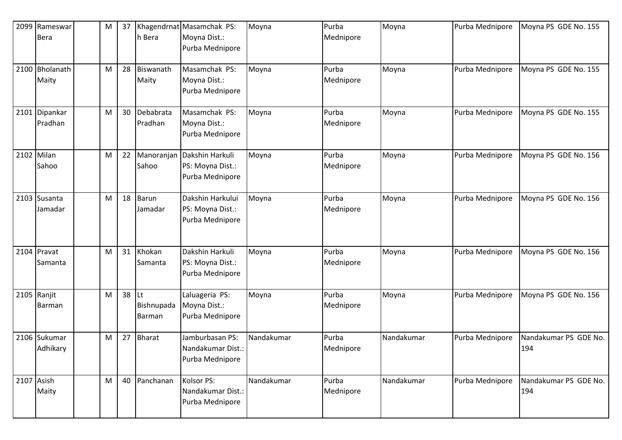| 2099 Rameswar<br><b>Bera</b> | M | 37    | h Bera               | Khagendrnat Masamchak PS:<br>Moyna Dist.:<br>Purba Mednipore | Moyna      | Purba<br>Mednipore | Moyna      | Purba Mednipore | Moyna PS GDE No. 155         |
|------------------------------|---|-------|----------------------|--------------------------------------------------------------|------------|--------------------|------------|-----------------|------------------------------|
| 2100 Bholanath<br>Maity      | M | 28    | Biswanath<br>Maity   | Masamchak PS:<br>Moyna Dist.:<br>Purba Mednipore             | Moyna      | Purba<br>Mednipore | Moyna      | Purba Mednipore | Moyna PS GDE No. 155         |
| 2101 Dipankar<br>Pradhan     | M | 30    | Debabrata<br>Pradhan | Masamchak PS:<br>Moyna Dist.:<br>Purba Mednipore             | Moyna      | Purba<br>Mednipore | Moyna      | Purba Mednipore | Moyna PS GDE No. 155         |
| 2102 Milan<br>Sahoo          | M | 22    | Manoranjan<br>Sahoo  | Dakshin Harkuli<br>PS: Moyna Dist.:<br>Purba Mednipore       | Moyna      | Purba<br>Mednipore | Moyna      | Purba Mednipore | Moyna PS GDE No. 156         |
| 2103 Susanta<br>Jamadar      | M | 18    | Barun<br>Jamadar     | Dakshin Harkului<br>PS: Moyna Dist.:<br>Purba Mednipore      | Moyna      | Purba<br>Mednipore | Moyna      | Purba Mednipore | Moyna PS GDE No. 156         |
| 2104 Pravat<br>Samanta       | M | 31    | Khokan<br>Samanta    | Dakshin Harkuli<br>PS: Moyna Dist.:<br>Purba Mednipore       | Moyna      | Purba<br>Mednipore | Moyna      | Purba Mednipore | Moyna PS GDE No. 156         |
| 2105 Ranjit<br>Barman        | M | 38 Lt | Bishnupada<br>Barman | Laluageria PS:<br>Moyna Dist.:<br>Purba Mednipore            | Moyna      | Purba<br>Mednipore | Moyna      | Purba Mednipore | Moyna PS GDE No. 156         |
| 2106 Sukumar<br>Adhikary     | M | 27    | <b>Bharat</b>        | Jamburbasan PS:<br>Nandakumar Dist.:<br>Purba Mednipore      | Nandakumar | Purba<br>Mednipore | Nandakumar | Purba Mednipore | Nandakumar PS GDE No.<br>194 |
| 2107 Asish<br>Maity          | M | 40    | Panchanan            | Kolsor PS:<br>Nandakumar Dist.:<br>Purba Mednipore           | Nandakumar | Purba<br>Mednipore | Nandakumar | Purba Mednipore | Nandakumar PS GDE No.<br>194 |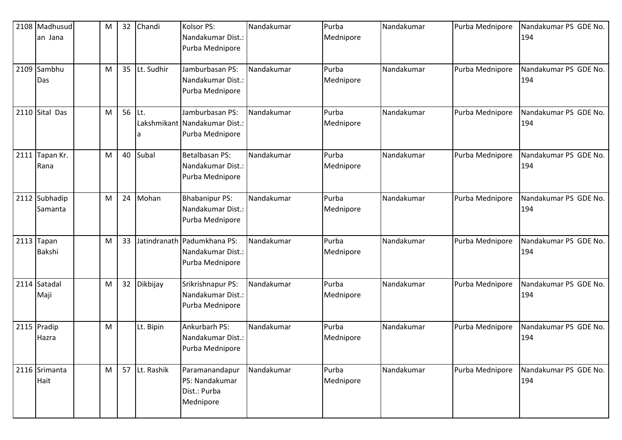|      | 2108 Madhusud<br>an Jana      | M | 32 | Chandi     | Kolsor PS:<br>Nandakumar Dist.:<br>Purba Mednipore                  | Nandakumar | Purba<br>Mednipore | Nandakumar | Purba Mednipore | Nandakumar PS GDE No.<br>194 |
|------|-------------------------------|---|----|------------|---------------------------------------------------------------------|------------|--------------------|------------|-----------------|------------------------------|
|      | 2109 Sambhu<br>Das            | M | 35 | Lt. Sudhir | Jamburbasan PS:<br>Nandakumar Dist.:<br>Purba Mednipore             | Nandakumar | Purba<br>Mednipore | Nandakumar | Purba Mednipore | Nandakumar PS GDE No.<br>194 |
|      | 2110 Sital Das                | M | 56 | Lt.<br>a   | Jamburbasan PS:<br>Lakshmikant Nandakumar Dist.:<br>Purba Mednipore | Nandakumar | Purba<br>Mednipore | Nandakumar | Purba Mednipore | Nandakumar PS GDE No.<br>194 |
| 2111 | Tapan Kr.<br>Rana             | M | 40 | Subal      | Betalbasan PS:<br>Nandakumar Dist.:<br>Purba Mednipore              | Nandakumar | Purba<br>Mednipore | Nandakumar | Purba Mednipore | Nandakumar PS GDE No.<br>194 |
|      | 2112 Subhadip<br>Samanta      | M | 24 | Mohan      | <b>Bhabanipur PS:</b><br>Nandakumar Dist.:<br>Purba Mednipore       | Nandakumar | Purba<br>Mednipore | Nandakumar | Purba Mednipore | Nandakumar PS GDE No.<br>194 |
|      | $2113$ Tapan<br><b>Bakshi</b> | M | 33 |            | Jatindranath Padumkhana PS:<br>Nandakumar Dist.:<br>Purba Mednipore | Nandakumar | Purba<br>Mednipore | Nandakumar | Purba Mednipore | Nandakumar PS GDE No.<br>194 |
|      | 2114 Satadal<br>Maji          | M | 32 | Dikbijay   | Srikrishnapur PS:<br>Nandakumar Dist.:<br>Purba Mednipore           | Nandakumar | Purba<br>Mednipore | Nandakumar | Purba Mednipore | Nandakumar PS GDE No.<br>194 |
|      | 2115 Pradip<br>Hazra          | M |    | Lt. Bipin  | Ankurbarh PS:<br>Nandakumar Dist.:<br>Purba Mednipore               | Nandakumar | Purba<br>Mednipore | Nandakumar | Purba Mednipore | Nandakumar PS GDE No.<br>194 |
|      | 2116 Srimanta<br>Hait         | M | 57 | Lt. Rashik | Paramanandapur<br>PS: Nandakumar<br>Dist.: Purba<br>Mednipore       | Nandakumar | Purba<br>Mednipore | Nandakumar | Purba Mednipore | Nandakumar PS GDE No.<br>194 |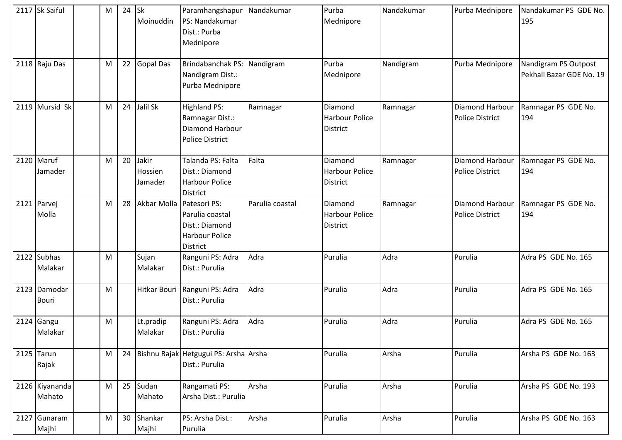| 2117 Sk Saiful               | M | 24 | <b>Sk</b><br>Moinuddin      | Paramhangshapur Nandakumar<br>PS: Nandakumar<br>Dist.: Purba<br>Mednipore     |                 | Purba<br>Mednipore                                  | Nandakumar | Purba Mednipore                           | Nandakumar PS GDE No.<br>195                     |
|------------------------------|---|----|-----------------------------|-------------------------------------------------------------------------------|-----------------|-----------------------------------------------------|------------|-------------------------------------------|--------------------------------------------------|
| 2118 Raju Das                | M | 22 | <b>Gopal Das</b>            | Brindabanchak PS:<br>Nandigram Dist.:<br>Purba Mednipore                      | Nandigram       | Purba<br>Mednipore                                  | Nandigram  | Purba Mednipore                           | Nandigram PS Outpost<br>Pekhali Bazar GDE No. 19 |
| 2119 Mursid Sk               | M | 24 | Jalil Sk                    | <b>Highland PS:</b><br>Ramnagar Dist.:<br>Diamond Harbour<br>Police District  | Ramnagar        | Diamond<br><b>Harbour Police</b><br><b>District</b> | Ramnagar   | Diamond Harbour<br><b>Police District</b> | Ramnagar PS GDE No.<br>194                       |
| 2120 Maruf<br>Jamader        | M | 20 | Jakir<br>Hossien<br>Jamader | Talanda PS: Falta<br>Dist.: Diamond<br><b>Harbour Police</b><br>District      | Falta           | Diamond<br><b>Harbour Police</b><br><b>District</b> | Ramnagar   | Diamond Harbour<br><b>Police District</b> | Ramnagar PS GDE No.<br>194                       |
| 2121 Parvej<br>Molla         | M | 28 | Akbar Molla Patesori PS:    | Parulia coastal<br>Dist.: Diamond<br><b>Harbour Police</b><br><b>District</b> | Parulia coastal | Diamond<br>Harbour Police<br><b>District</b>        | Ramnagar   | Diamond Harbour<br><b>Police District</b> | Ramnagar PS GDE No.<br>194                       |
| 2122 Subhas<br>Malakar       | M |    | Sujan<br>Malakar            | Ranguni PS: Adra<br>Dist.: Purulia                                            | Adra            | Purulia                                             | Adra       | Purulia                                   | Adra PS GDE No. 165                              |
| 2123 Damodar<br><b>Bouri</b> | M |    | Hitkar Bouri                | Ranguni PS: Adra<br>Dist.: Purulia                                            | Adra            | Purulia                                             | Adra       | Purulia                                   | Adra PS GDE No. 165                              |
| $2124$ Gangu<br>Malakar      | M |    | Lt.pradip<br>Malakar        | Ranguni PS: Adra<br>Dist.: Purulia                                            | Adra            | Purulia                                             | Adra       | Purulia                                   | Adra PS GDE No. 165                              |
| $2125$ Tarun<br>Rajak        | M | 24 |                             | Bishnu Rajak Hetgugui PS: Arsha Arsha<br>Dist.: Purulia                       |                 | Purulia                                             | Arsha      | Purulia                                   | Arsha PS GDE No. 163                             |
| 2126 Kiyananda<br>Mahato     | M | 25 | Sudan<br>Mahato             | Rangamati PS:<br>Arsha Dist.: Purulia                                         | Arsha           | Purulia                                             | Arsha      | Purulia                                   | Arsha PS GDE No. 193                             |
| 2127 Gunaram<br>Majhi        | M | 30 | Shankar<br>Majhi            | PS: Arsha Dist.:<br>Purulia                                                   | Arsha           | Purulia                                             | Arsha      | Purulia                                   | Arsha PS GDE No. 163                             |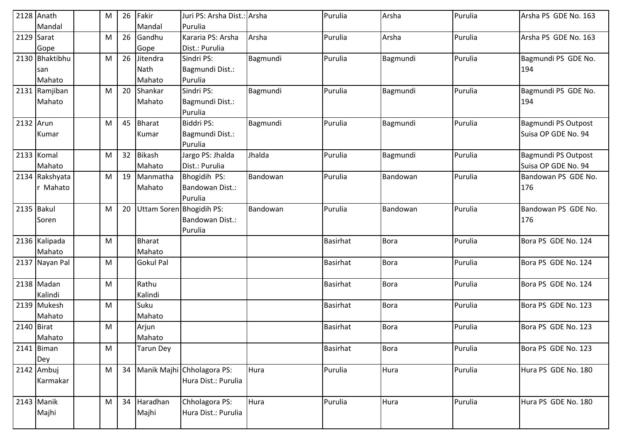|              | $2128$ Anath   | M | 26 | Fakir                    | Juri PS: Arsha Dist.: Arsha |          | Purulia         | Arsha       | Purulia | Arsha PS GDE No. 163 |
|--------------|----------------|---|----|--------------------------|-----------------------------|----------|-----------------|-------------|---------|----------------------|
|              | Mandal         |   |    | Mandal                   | Purulia                     |          |                 |             |         |                      |
| 2129 Sarat   |                | M | 26 | Gandhu                   | Kararia PS: Arsha           | Arsha    | Purulia         | Arsha       | Purulia | Arsha PS GDE No. 163 |
|              | Gope           |   |    | Gope                     | Dist.: Purulia              |          |                 |             |         |                      |
|              | 2130 Bhaktibhu | M | 26 | Jitendra                 | Sindri PS:                  | Bagmundi | Purulia         | Bagmundi    | Purulia | Bagmundi PS GDE No.  |
|              | san            |   |    | <b>Nath</b>              | Bagmundi Dist.:             |          |                 |             |         | 194                  |
|              | Mahato         |   |    | Mahato                   | Purulia                     |          |                 |             |         |                      |
|              | 2131 Ramjiban  | M | 20 | Shankar                  | Sindri PS:                  | Bagmundi | Purulia         | Bagmundi    | Purulia | Bagmundi PS GDE No.  |
|              | Mahato         |   |    | Mahato                   | Bagmundi Dist.:             |          |                 |             |         | 194                  |
|              |                |   |    |                          | Purulia                     |          |                 |             |         |                      |
| 2132 Arun    |                | M | 45 | <b>Bharat</b>            | Biddri PS:                  | Bagmundi | Purulia         | Bagmundi    | Purulia | Bagmundi PS Outpost  |
|              | Kumar          |   |    | Kumar                    | Bagmundi Dist.:             |          |                 |             |         | Suisa OP GDE No. 94  |
|              |                |   |    |                          | Purulia                     |          |                 |             |         |                      |
|              | 2133 Komal     | M | 32 | <b>Bikash</b>            | Jargo PS: Jhalda            | Jhalda   | Purulia         | Bagmundi    | Purulia | Bagmundi PS Outpost  |
|              | Mahato         |   |    | Mahato                   | Dist.: Purulia              |          |                 |             |         | Suisa OP GDE No. 94  |
|              | 2134 Rakshyata | M | 19 | Manmatha                 | Bhogidih PS:                | Bandowan | Purulia         | Bandowan    | Purulia | Bandowan PS GDE No.  |
|              | r Mahato       |   |    | Mahato                   | Bandowan Dist.:             |          |                 |             |         | 176                  |
|              |                |   |    |                          | Purulia                     |          |                 |             |         |                      |
| 2135 Bakul   |                | M | 20 | Uttam Soren Bhogidih PS: |                             | Bandowan | Purulia         | Bandowan    | Purulia | Bandowan PS GDE No.  |
|              | Soren          |   |    |                          | Bandowan Dist.:             |          |                 |             |         | 176                  |
|              |                |   |    |                          | Purulia                     |          |                 |             |         |                      |
|              | 2136 Kalipada  | M |    | <b>Bharat</b>            |                             |          | <b>Basirhat</b> | <b>Bora</b> | Purulia | Bora PS GDE No. 124  |
|              | Mahato         |   |    | Mahato                   |                             |          |                 |             |         |                      |
|              | 2137 Nayan Pal | M |    | <b>Gokul Pal</b>         |                             |          | <b>Basirhat</b> | <b>Bora</b> | Purulia | Bora PS GDE No. 124  |
|              |                |   |    |                          |                             |          |                 |             |         |                      |
|              | 2138 Madan     | M |    | Rathu                    |                             |          | <b>Basirhat</b> | <b>Bora</b> | Purulia | Bora PS GDE No. 124  |
|              | Kalindi        |   |    | Kalindi                  |                             |          |                 |             |         |                      |
|              | 2139 Mukesh    | M |    | Suku                     |                             |          | <b>Basirhat</b> | <b>Bora</b> | Purulia | Bora PS GDE No. 123  |
|              | Mahato         |   |    | Mahato                   |                             |          |                 |             |         |                      |
| $2140$ Birat |                | M |    | Arjun                    |                             |          | <b>Basirhat</b> | <b>Bora</b> | Purulia | Bora PS GDE No. 123  |
|              | Mahato         |   |    | Mahato                   |                             |          |                 |             |         |                      |
|              | 2141 Biman     | M |    | <b>Tarun Dey</b>         |                             |          | <b>Basirhat</b> | <b>Bora</b> | Purulia | Bora PS GDE No. 123  |
|              | Dey            |   |    |                          |                             |          |                 |             |         |                      |
|              | 2142 Ambuj     | M | 34 |                          | Manik Majhi Chholagora PS:  | Hura     | Purulia         | Hura        | Purulia | Hura PS GDE No. 180  |
|              | Karmakar       |   |    |                          | Hura Dist.: Purulia         |          |                 |             |         |                      |
|              |                |   |    |                          |                             |          |                 |             |         |                      |
|              | 2143 Manik     | M | 34 | Haradhan                 | Chholagora PS:              | Hura     | Purulia         | Hura        | Purulia | Hura PS GDE No. 180  |
|              | Majhi          |   |    | Majhi                    | Hura Dist.: Purulia         |          |                 |             |         |                      |
|              |                |   |    |                          |                             |          |                 |             |         |                      |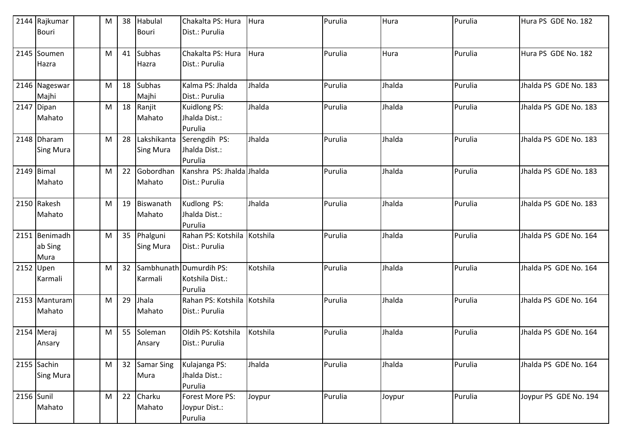|              | 2144 Rajkumar                    | M | 38 | Habulal                         | Chakalta PS: Hura                                     | Hura     | Purulia | Hura   | Purulia | Hura PS GDE No. 182   |
|--------------|----------------------------------|---|----|---------------------------------|-------------------------------------------------------|----------|---------|--------|---------|-----------------------|
|              | <b>Bouri</b>                     |   |    | <b>Bouri</b>                    | Dist.: Purulia                                        |          |         |        |         |                       |
|              | 2145 Soumen<br>Hazra             | M | 41 | <b>Subhas</b><br>Hazra          | Chakalta PS: Hura<br>Dist.: Purulia                   | Hura     | Purulia | Hura   | Purulia | Hura PS GDE No. 182   |
|              | 2146 Nageswar<br>Majhi           | M | 18 | <b>Subhas</b><br>Majhi          | Kalma PS: Jhalda<br>Dist.: Purulia                    | Jhalda   | Purulia | Jhalda | Purulia | Jhalda PS GDE No. 183 |
|              | 2147 Dipan<br>Mahato             | M | 18 | Ranjit<br>Mahato                | Kuidlong PS:<br>Jhalda Dist.:<br>Purulia              | Jhalda   | Purulia | Jhalda | Purulia | Jhalda PS GDE No. 183 |
|              | 2148 Dharam<br><b>Sing Mura</b>  | M | 28 | Lakshikanta<br><b>Sing Mura</b> | Serengdih PS:<br>Jhalda Dist.:<br>Purulia             | Jhalda   | Purulia | Jhalda | Purulia | Jhalda PS GDE No. 183 |
| $2149$ Bimal | Mahato                           | M | 22 | Gobordhan<br>Mahato             | Kanshra PS: Jhalda Jhalda<br>Dist.: Purulia           |          | Purulia | Jhalda | Purulia | Jhalda PS GDE No. 183 |
|              | 2150 Rakesh<br>Mahato            | M | 19 | Biswanath<br>Mahato             | Kudlong PS:<br>Jhalda Dist.:<br>Purulia               | Jhalda   | Purulia | Jhalda | Purulia | Jhalda PS GDE No. 183 |
|              | 2151 Benimadh<br>ab Sing<br>Mura | M | 35 | Phalguni<br><b>Sing Mura</b>    | Rahan PS: Kotshila Kotshila<br>Dist.: Purulia         |          | Purulia | Jhalda | Purulia | Jhalda PS GDE No. 164 |
| 2152 Upen    | Karmali                          | M | 32 | Karmali                         | Sambhunath Dumurdih PS:<br>Kotshila Dist.:<br>Purulia | Kotshila | Purulia | Jhalda | Purulia | Jhalda PS GDE No. 164 |
|              | 2153 Manturam<br>Mahato          | M | 29 | Jhala<br>Mahato                 | Rahan PS: Kotshila Kotshila<br>Dist.: Purulia         |          | Purulia | Jhalda | Purulia | Jhalda PS GDE No. 164 |
|              | 2154 Meraj<br>Ansary             | M | 55 | Soleman<br>Ansary               | Oldih PS: Kotshila<br>Dist.: Purulia                  | Kotshila | Purulia | Jhalda | Purulia | Jhalda PS GDE No. 164 |
|              | 2155 Sachin<br><b>Sing Mura</b>  | M | 32 | Samar Sing<br>Mura              | Kulajanga PS:<br>Jhalda Dist.:<br>Purulia             | Jhalda   | Purulia | Jhalda | Purulia | Jhalda PS GDE No. 164 |
| 2156 Sunil   | Mahato                           | M | 22 | Charku<br>Mahato                | Forest More PS:<br>Joypur Dist.:<br>Purulia           | Joypur   | Purulia | Joypur | Purulia | Joypur PS GDE No. 194 |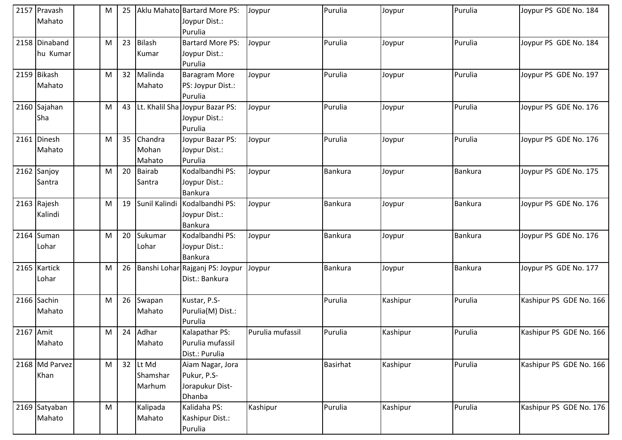|           | 2157 Pravash<br>Mahato    | M | 25 |                                | Aklu Mahato Bartard More PS:<br>Joypur Dist.:<br>Purulia     | Joypur           | Purulia         | Joypur   | Purulia        | Joypur PS GDE No. 184   |
|-----------|---------------------------|---|----|--------------------------------|--------------------------------------------------------------|------------------|-----------------|----------|----------------|-------------------------|
|           | 2158 Dinaband<br>hu Kumar | M | 23 | <b>Bilash</b><br>Kumar         | <b>Bartard More PS:</b><br>Joypur Dist.:<br>Purulia          | Joypur           | Purulia         | Joypur   | Purulia        | Joypur PS GDE No. 184   |
|           | 2159 Bikash<br>Mahato     | M | 32 | Malinda<br>Mahato              | Baragram More<br>PS: Joypur Dist.:<br>Purulia                | Joypur           | Purulia         | Joypur   | Purulia        | Joypur PS GDE No. 197   |
|           | 2160 Sajahan<br>Sha       | M | 43 |                                | Lt. Khalil Sha Joypur Bazar PS:<br>Joypur Dist.:<br>Purulia  | Joypur           | Purulia         | Joypur   | Purulia        | Joypur PS GDE No. 176   |
|           | 2161 Dinesh<br>Mahato     | M | 35 | Chandra<br>Mohan<br>Mahato     | Joypur Bazar PS:<br>Joypur Dist.:<br>Purulia                 | Joypur           | Purulia         | Joypur   | Purulia        | Joypur PS GDE No. 176   |
|           | 2162 Sanjoy<br>Santra     | M | 20 | <b>Bairab</b><br>Santra        | Kodalbandhi PS:<br>Joypur Dist.:<br><b>Bankura</b>           | Joypur           | Bankura         | Joypur   | Bankura        | Joypur PS GDE No. 175   |
|           | 2163 Rajesh<br>Kalindi    | M | 19 | Sunil Kalindi                  | Kodalbandhi PS:<br>Joypur Dist.:<br><b>Bankura</b>           | Joypur           | Bankura         | Joypur   | Bankura        | Joypur PS GDE No. 176   |
|           | 2164 Suman<br>Lohar       | M | 20 | Sukumar<br>Lohar               | Kodalbandhi PS:<br>Joypur Dist.:<br><b>Bankura</b>           | Joypur           | Bankura         | Joypur   | <b>Bankura</b> | Joypur PS GDE No. 176   |
|           | 2165 Kartick<br>Lohar     | M | 26 |                                | Banshi Lohar Rajganj PS: Joypur<br>Dist.: Bankura            | Joypur           | Bankura         | Joypur   | Bankura        | Joypur PS GDE No. 177   |
|           | 2166 Sachin<br>Mahato     | M | 26 | Swapan<br>Mahato               | Kustar, P.S-<br>Purulia(M) Dist.:<br>Purulia                 |                  | Purulia         | Kashipur | Purulia        | Kashipur PS GDE No. 166 |
| 2167 Amit | Mahato                    | M | 24 | Adhar<br>Mahato                | Kalapathar PS:<br>Purulia mufassil<br>Dist.: Purulia         | Purulia mufassil | Purulia         | Kashipur | Purulia        | Kashipur PS GDE No. 166 |
|           | 2168 Md Parvez<br>Khan    | M |    | 32 Lt Md<br>Shamshar<br>Marhum | Aiam Nagar, Jora<br>Pukur, P.S-<br>Jorapukur Dist-<br>Dhanba |                  | <b>Basirhat</b> | Kashipur | Purulia        | Kashipur PS GDE No. 166 |
|           | 2169 Satyaban<br>Mahato   | M |    | Kalipada<br>Mahato             | Kalidaha PS:<br>Kashipur Dist.:<br>Purulia                   | Kashipur         | Purulia         | Kashipur | Purulia        | Kashipur PS GDE No. 176 |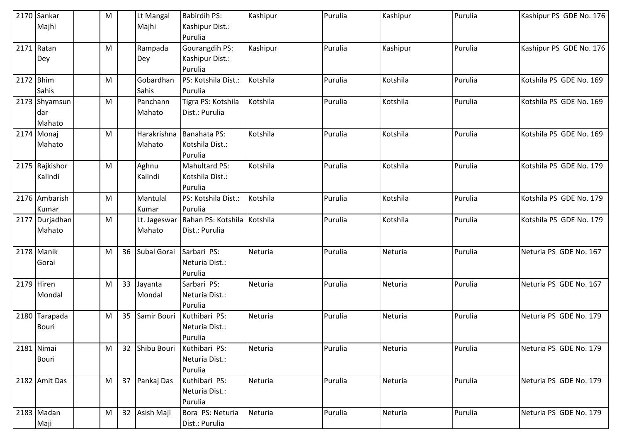|           | 2170 Sankar    | M |    | Lt Mangal    | <b>Babirdih PS:</b>         | Kashipur | Purulia | Kashipur | Purulia | Kashipur PS GDE No. 176 |
|-----------|----------------|---|----|--------------|-----------------------------|----------|---------|----------|---------|-------------------------|
|           | Majhi          |   |    | Majhi        | Kashipur Dist.:             |          |         |          |         |                         |
|           |                |   |    |              | Purulia                     |          |         |          |         |                         |
|           | 2171 Ratan     | M |    | Rampada      | Gourangdih PS:              | Kashipur | Purulia | Kashipur | Purulia | Kashipur PS GDE No. 176 |
|           | Dey            |   |    | Dey          | Kashipur Dist.:             |          |         |          |         |                         |
|           |                |   |    |              | Purulia                     |          |         |          |         |                         |
| 2172 Bhim |                | M |    | Gobardhan    | PS: Kotshila Dist.:         | Kotshila | Purulia | Kotshila | Purulia | Kotshila PS GDE No. 169 |
|           | Sahis          |   |    | Sahis        | Purulia                     |          |         |          |         |                         |
|           | 2173 Shyamsun  | M |    | Panchann     | Tigra PS: Kotshila          | Kotshila | Purulia | Kotshila | Purulia | Kotshila PS GDE No. 169 |
|           | dar            |   |    | Mahato       | Dist.: Purulia              |          |         |          |         |                         |
|           | Mahato         |   |    |              |                             |          |         |          |         |                         |
|           | 2174 Monaj     | M |    | Harakrishna  | Banahata PS:                | Kotshila | Purulia | Kotshila | Purulia | Kotshila PS GDE No. 169 |
|           | Mahato         |   |    | Mahato       | Kotshila Dist.:             |          |         |          |         |                         |
|           |                |   |    |              | Purulia                     |          |         |          |         |                         |
|           | 2175 Rajkishor | M |    | Aghnu        | Mahultard PS:               | Kotshila | Purulia | Kotshila | Purulia | Kotshila PS GDE No. 179 |
|           | Kalindi        |   |    | Kalindi      | Kotshila Dist.:             |          |         |          |         |                         |
|           |                |   |    |              | Purulia                     |          |         |          |         |                         |
|           | 2176 Ambarish  | M |    | Mantulal     | PS: Kotshila Dist.:         | Kotshila | Purulia | Kotshila | Purulia | Kotshila PS GDE No. 179 |
|           | Kumar          |   |    | Kumar        | Purulia                     |          |         |          |         |                         |
| 2177      | Durjadhan      | M |    | Lt. Jageswar | Rahan PS: Kotshila Kotshila |          | Purulia | Kotshila | Purulia | Kotshila PS GDE No. 179 |
|           | Mahato         |   |    | Mahato       | Dist.: Purulia              |          |         |          |         |                         |
|           |                |   |    |              |                             |          |         |          |         |                         |
|           | 2178 Manik     | M | 36 | Subal Gorai  | Sarbari PS:                 | Neturia  | Purulia | Neturia  | Purulia | Neturia PS GDE No. 167  |
|           | Gorai          |   |    |              | Neturia Dist.:              |          |         |          |         |                         |
|           |                |   |    |              | Purulia                     |          |         |          |         |                         |
|           | 2179 Hiren     | M | 33 | Jayanta      | Sarbari PS:                 | Neturia  | Purulia | Neturia  | Purulia | Neturia PS GDE No. 167  |
|           | Mondal         |   |    | Mondal       | Neturia Dist.:              |          |         |          |         |                         |
|           |                |   |    |              | Purulia                     |          |         |          |         |                         |
| 2180      | Tarapada       | M | 35 | Samir Bouri  | Kuthibari PS:               | Neturia  | Purulia | Neturia  | Purulia | Neturia PS GDE No. 179  |
|           | <b>Bouri</b>   |   |    |              | Neturia Dist.:              |          |         |          |         |                         |
|           |                |   |    |              | Purulia                     |          |         |          |         |                         |
|           | 2181 Nimai     | M | 32 | Shibu Bouri  | Kuthibari PS:               | Neturia  | Purulia | Neturia  | Purulia | Neturia PS GDE No. 179  |
|           | Bouri          |   |    |              | Neturia Dist.:              |          |         |          |         |                         |
|           |                |   |    |              | Purulia                     |          |         |          |         |                         |
|           | 2182 Amit Das  | M | 37 | Pankaj Das   | Kuthibari PS:               | Neturia  | Purulia | Neturia  | Purulia | Neturia PS GDE No. 179  |
|           |                |   |    |              | Neturia Dist.:              |          |         |          |         |                         |
|           |                |   |    |              | Purulia                     |          |         |          |         |                         |
|           | 2183 Madan     | M | 32 | Asish Maji   | Bora PS: Neturia            | Neturia  | Purulia | Neturia  | Purulia | Neturia PS GDE No. 179  |
|           | Maji           |   |    |              | Dist.: Purulia              |          |         |          |         |                         |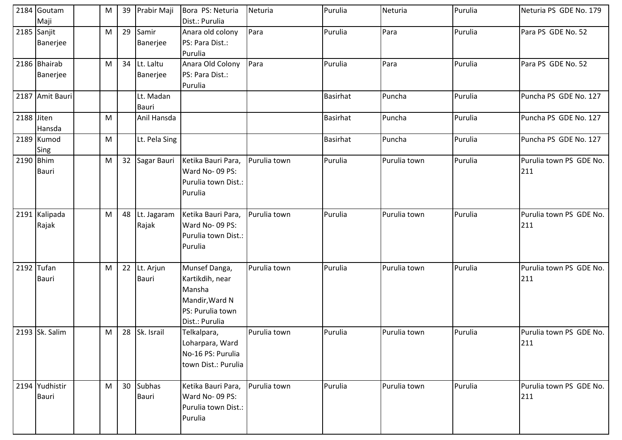|            | 2184 Goutam<br>Maji            | M | 39 | Prabir Maji            | Bora PS: Neturia<br>Dist.: Purulia                                                                 | Neturia      | Purulia         | Neturia      | Purulia | Neturia PS GDE No. 179         |
|------------|--------------------------------|---|----|------------------------|----------------------------------------------------------------------------------------------------|--------------|-----------------|--------------|---------|--------------------------------|
|            | 2185 Sanjit<br>Banerjee        | M | 29 | Samir<br>Banerjee      | Anara old colony<br>PS: Para Dist.:<br>Purulia                                                     | Para         | Purulia         | Para         | Purulia | Para PS GDE No. 52             |
|            | 2186 Bhairab<br>Banerjee       | M | 34 | Lt. Laltu<br>Banerjee  | Anara Old Colony<br>PS: Para Dist.:<br>Purulia                                                     | Para         | Purulia         | Para         | Purulia | Para PS GDE No. 52             |
|            | 2187 Amit Bauri                |   |    | Lt. Madan<br>Bauri     |                                                                                                    |              | <b>Basirhat</b> | Puncha       | Purulia | Puncha PS GDE No. 127          |
| 2188 Jiten | Hansda                         | M |    | Anil Hansda            |                                                                                                    |              | <b>Basirhat</b> | Puncha       | Purulia | Puncha PS GDE No. 127          |
|            | 2189 Kumod<br>Sing             | M |    | Lt. Pela Sing          |                                                                                                    |              | <b>Basirhat</b> | Puncha       | Purulia | Puncha PS GDE No. 127          |
|            | 2190 Bhim<br><b>Bauri</b>      | M |    | 32 Sagar Bauri         | Ketika Bauri Para,<br>Ward No-09 PS:<br>Purulia town Dist.:<br>Purulia                             | Purulia town | Purulia         | Purulia town | Purulia | Purulia town PS GDE No.<br>211 |
|            | 2191 Kalipada<br>Rajak         | M | 48 | Lt. Jagaram<br>Rajak   | Ketika Bauri Para,<br>Ward No-09 PS:<br>Purulia town Dist.:<br>Purulia                             | Purulia town | Purulia         | Purulia town | Purulia | Purulia town PS GDE No.<br>211 |
|            | 2192 Tufan<br><b>Bauri</b>     | M | 22 | Lt. Arjun<br>Bauri     | Munsef Danga,<br>Kartikdih, near<br>Mansha<br>Mandir, Ward N<br>PS: Purulia town<br>Dist.: Purulia | Purulia town | Purulia         | Purulia town | Purulia | Purulia town PS GDE No.<br>211 |
|            | 2193 Sk. Salim                 | M |    | 28 Sk. Israil          | Telkalpara,<br>Loharpara, Ward<br>No-16 PS: Purulia<br>town Dist.: Purulia                         | Purulia town | Purulia         | Purulia town | Purulia | Purulia town PS GDE No.<br>211 |
|            | 2194 Yudhistir<br><b>Bauri</b> | M | 30 | <b>Subhas</b><br>Bauri | Ketika Bauri Para,<br>Ward No-09 PS:<br>Purulia town Dist.:<br>Purulia                             | Purulia town | Purulia         | Purulia town | Purulia | Purulia town PS GDE No.<br>211 |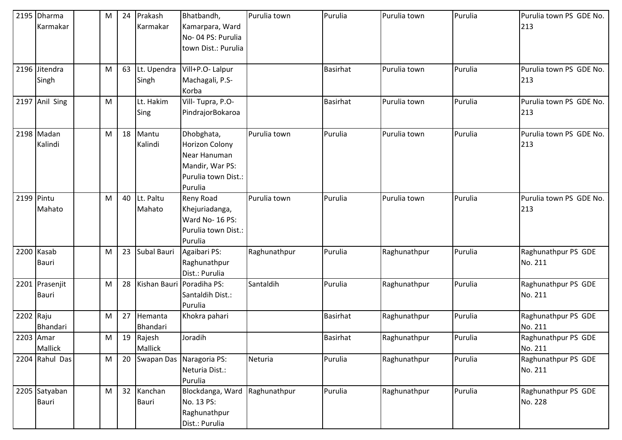|            | 2195 Dharma<br>Karmakar | M | 24 | Prakash<br>Karmakar  | Bhatbandh,<br>Kamarpara, Ward<br>No-04 PS: Purulia<br>town Dist.: Purulia                                | Purulia town | Purulia         | Purulia town | Purulia | Purulia town PS GDE No.<br>213 |
|------------|-------------------------|---|----|----------------------|----------------------------------------------------------------------------------------------------------|--------------|-----------------|--------------|---------|--------------------------------|
|            | 2196 Jitendra<br>Singh  | M | 63 | Lt. Upendra<br>Singh | Vill+P.O- Lalpur<br>Machagali, P.S-<br>Korba                                                             |              | <b>Basirhat</b> | Purulia town | Purulia | Purulia town PS GDE No.<br>213 |
|            | 2197 Anil Sing          | M |    | Lt. Hakim<br>Sing    | Vill-Tupra, P.O-<br>PindrajorBokaroa                                                                     |              | <b>Basirhat</b> | Purulia town | Purulia | Purulia town PS GDE No.<br>213 |
|            | 2198 Madan<br>Kalindi   | M | 18 | Mantu<br>Kalindi     | Dhobghata,<br><b>Horizon Colony</b><br>Near Hanuman<br>Mandir, War PS:<br>Purulia town Dist.:<br>Purulia | Purulia town | Purulia         | Purulia town | Purulia | Purulia town PS GDE No.<br>213 |
| 2199 Pintu | Mahato                  | M | 40 | Lt. Paltu<br>Mahato  | Reny Road<br>Khejuriadanga,<br>Ward No- 16 PS:<br>Purulia town Dist.:<br>Purulia                         | Purulia town | Purulia         | Purulia town | Purulia | Purulia town PS GDE No.<br>213 |
|            | 2200 Kasab<br>Bauri     | M | 23 | Subal Bauri          | Agaibari PS:<br>Raghunathpur<br>Dist.: Purulia                                                           | Raghunathpur | Purulia         | Raghunathpur | Purulia | Raghunathpur PS GDE<br>No. 211 |
|            | 2201 Prasenjit<br>Bauri | M | 28 |                      | Kishan Bauri Poradiha PS:<br>Santaldih Dist.:<br>Purulia                                                 | Santaldih    | Purulia         | Raghunathpur | Purulia | Raghunathpur PS GDE<br>No. 211 |
| 2202 Raju  | Bhandari                | M | 27 | Hemanta<br>Bhandari  | Khokra pahari                                                                                            |              | <b>Basirhat</b> | Raghunathpur | Purulia | Raghunathpur PS GDE<br>No. 211 |
|            | 2203 Amar<br>Mallick    | M | 19 | Rajesh<br>Mallick    | Joradih                                                                                                  |              | <b>Basirhat</b> | Raghunathpur | Purulia | Raghunathpur PS GDE<br>No. 211 |
|            | 2204 Rahul Das          | M | 20 |                      | Swapan Das Naragoria PS:<br>Neturia Dist.:<br>Purulia                                                    | Neturia      | Purulia         | Raghunathpur | Purulia | Raghunathpur PS GDE<br>No. 211 |
|            | 2205 Satyaban<br>Bauri  | M | 32 | Kanchan<br>Bauri     | Blockdanga, Ward<br>No. 13 PS:<br>Raghunathpur<br>Dist.: Purulia                                         | Raghunathpur | Purulia         | Raghunathpur | Purulia | Raghunathpur PS GDE<br>No. 228 |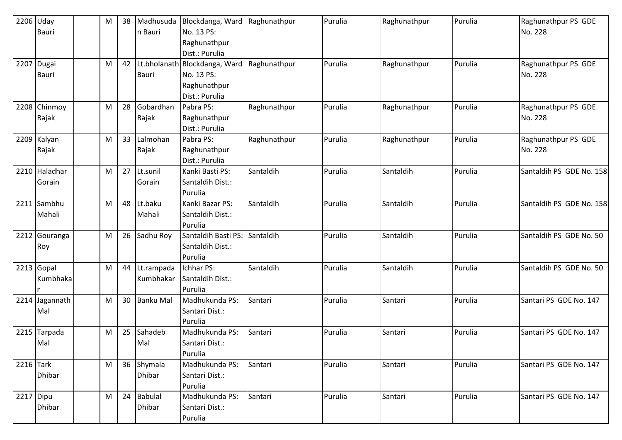|           | 2206 Uday      | M | 38 | Madhusuda        | Blockdanga, Ward              | Raghunathpur | Purulia | Raghunathpur | Purulia | Raghunathpur PS GDE      |
|-----------|----------------|---|----|------------------|-------------------------------|--------------|---------|--------------|---------|--------------------------|
|           | Bauri          |   |    | n Bauri          | No. 13 PS:                    |              |         |              |         | No. 228                  |
|           |                |   |    |                  | Raghunathpur                  |              |         |              |         |                          |
|           |                |   |    |                  | Dist.: Purulia                |              |         |              |         |                          |
|           | 2207 Dugai     | M | 42 |                  | Lt.bholanath Blockdanga, Ward | Raghunathpur | Purulia | Raghunathpur | Purulia | Raghunathpur PS GDE      |
|           | Bauri          |   |    | <b>Bauri</b>     | No. 13 PS:                    |              |         |              |         | No. 228                  |
|           |                |   |    |                  | Raghunathpur                  |              |         |              |         |                          |
|           |                |   |    |                  | Dist.: Purulia                |              |         |              |         |                          |
|           | 2208 Chinmoy   | M | 28 | Gobardhan        | Pabra PS:                     | Raghunathpur | Purulia | Raghunathpur | Purulia | Raghunathpur PS GDE      |
|           | Rajak          |   |    | Rajak            | Raghunathpur                  |              |         |              |         | No. 228                  |
|           |                |   |    |                  | Dist.: Purulia                |              |         |              |         |                          |
|           | 2209 Kalyan    | M | 33 | Lalmohan         | Pabra PS:                     | Raghunathpur | Purulia | Raghunathpur | Purulia | Raghunathpur PS GDE      |
|           | Rajak          |   |    | Rajak            | Raghunathpur                  |              |         |              |         | No. 228                  |
|           |                |   |    |                  | Dist.: Purulia                |              |         |              |         |                          |
|           | 2210 Haladhar  | M | 27 | Lt.sunil         | Kanki Basti PS:               | Santaldih    | Purulia | Santaldih    | Purulia | Santaldih PS GDE No. 158 |
|           | Gorain         |   |    | Gorain           | Santaldih Dist.:              |              |         |              |         |                          |
|           |                |   |    |                  | Purulia                       |              |         |              |         |                          |
|           | 2211 Sambhu    | M | 48 | Lt.baku          | Kanki Bazar PS:               | Santaldih    | Purulia | Santaldih    | Purulia | Santaldih PS GDE No. 158 |
|           | Mahali         |   |    | Mahali           | Santaldih Dist.:              |              |         |              |         |                          |
|           |                |   |    |                  | Purulia                       |              |         |              |         |                          |
|           | 2212 Gouranga  | M | 26 | Sadhu Roy        | Santaldih Basti PS:           | Santaldih    | Purulia | Santaldih    | Purulia | Santaldih PS GDE No. 50  |
|           | Roy            |   |    |                  | Santaldih Dist.:              |              |         |              |         |                          |
|           |                |   |    |                  | Purulia                       |              |         |              |         |                          |
|           | 2213 Gopal     | M | 44 | Lt.rampada       | Ichhar PS:                    | Santaldih    | Purulia | Santaldih    | Purulia | Santaldih PS GDE No. 50  |
|           | Kumbhaka       |   |    | Kumbhakar        | Santaldih Dist.:              |              |         |              |         |                          |
|           |                |   |    |                  | Purulia                       |              |         |              |         |                          |
|           | 2214 Jagannath | M | 30 | <b>Banku Mal</b> | Madhukunda PS:                | Santari      | Purulia | Santari      | Purulia | Santari PS GDE No. 147   |
|           | Mal            |   |    |                  | Santari Dist.:                |              |         |              |         |                          |
|           |                |   |    |                  | Purulia                       |              |         |              |         |                          |
|           | 2215 Tarpada   | M | 25 | Sahadeb          | Madhukunda PS:                | Santari      | Purulia | Santari      | Purulia | Santari PS GDE No. 147   |
|           | Mal            |   |    | Mal              | Santari Dist.:                |              |         |              |         |                          |
|           |                |   |    |                  | Purulia                       |              |         |              |         |                          |
| 2216 Tark |                | M |    | 36 Shymala       | Madhukunda PS:                | Santari      | Purulia | Santari      | Purulia | Santari PS GDE No. 147   |
|           | <b>Dhibar</b>  |   |    | Dhibar           | Santari Dist.:                |              |         |              |         |                          |
|           |                |   |    |                  | Purulia                       |              |         |              |         |                          |
| 2217 Dipu |                | M | 24 | <b>Babulal</b>   | Madhukunda PS:                | Santari      | Purulia | Santari      | Purulia | Santari PS GDE No. 147   |
|           | <b>Dhibar</b>  |   |    | Dhibar           | Santari Dist.:                |              |         |              |         |                          |
|           |                |   |    |                  | Purulia                       |              |         |              |         |                          |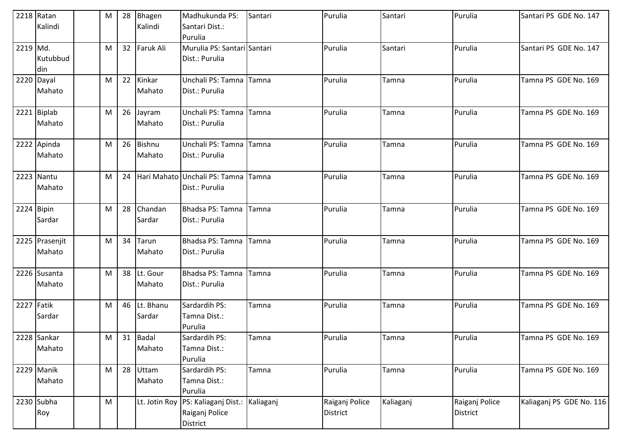|          | 2218 Ratan     | M | 28              | Bhagen        | Madhukunda PS:                | Santari   | Purulia         | Santari   | Purulia        | Santari PS GDE No. 147   |
|----------|----------------|---|-----------------|---------------|-------------------------------|-----------|-----------------|-----------|----------------|--------------------------|
|          | Kalindi        |   |                 | Kalindi       | Santari Dist.:                |           |                 |           |                |                          |
|          |                |   |                 |               | Purulia                       |           |                 |           |                |                          |
| 2219 Md. |                | M | 32 <sup>2</sup> | Faruk Ali     | Murulia PS: Santari Santari   |           | Purulia         | Santari   | Purulia        | Santari PS GDE No. 147   |
|          | Kutubbud       |   |                 |               | Dist.: Purulia                |           |                 |           |                |                          |
|          | din            |   |                 |               |                               |           |                 |           |                |                          |
|          | 2220 Dayal     | M | 22              | Kinkar        | Unchali PS: Tamna Tamna       |           | Purulia         | Tamna     | Purulia        | Tamna PS GDE No. 169     |
|          | Mahato         |   |                 | Mahato        | Dist.: Purulia                |           |                 |           |                |                          |
|          | 2221 Biplab    | M | 26              | Jayram        | Unchali PS: Tamna Tamna       |           | Purulia         | Tamna     | Purulia        | Tamna PS GDE No. 169     |
|          | Mahato         |   |                 | Mahato        | Dist.: Purulia                |           |                 |           |                |                          |
|          | 2222 Apinda    | M | 26              | Bishnu        | Unchali PS: Tamna             | Tamna     | Purulia         | Tamna     | Purulia        | Tamna PS GDE No. 169     |
|          | Mahato         |   |                 | Mahato        | Dist.: Purulia                |           |                 |           |                |                          |
|          | 2223 Nantu     | M | 24              |               | Hari Mahato Unchali PS: Tamna | Tamna     | Purulia         | Tamna     | Purulia        | Tamna PS GDE No. 169     |
|          | Mahato         |   |                 |               | Dist.: Purulia                |           |                 |           |                |                          |
|          | 2224 Bipin     | M | 28              | Chandan       | Bhadsa PS: Tamna              | Tamna     | Purulia         | Tamna     | Purulia        | Tamna PS GDE No. 169     |
|          | Sardar         |   |                 | Sardar        | Dist.: Purulia                |           |                 |           |                |                          |
|          | 2225 Prasenjit | M | 34              | Tarun         | Bhadsa PS: Tamna              | Tamna     | Purulia         | Tamna     | Purulia        | Tamna PS GDE No. 169     |
|          | Mahato         |   |                 | Mahato        | Dist.: Purulia                |           |                 |           |                |                          |
|          | 2226 Susanta   | M | 38              | Lt. Gour      | Bhadsa PS: Tamna              | Tamna     | Purulia         | Tamna     | Purulia        | Tamna PS GDE No. 169     |
|          | Mahato         |   |                 | Mahato        | Dist.: Purulia                |           |                 |           |                |                          |
| 2227     | Fatik          | M | 46              | Lt. Bhanu     | Sardardih PS:                 | Tamna     | Purulia         | Tamna     | Purulia        | Tamna PS GDE No. 169     |
|          | Sardar         |   |                 | Sardar        | Tamna Dist.:                  |           |                 |           |                |                          |
|          |                |   |                 |               | Purulia                       |           |                 |           |                |                          |
|          | 2228 Sankar    | M |                 | 31 Badal      | Sardardih PS:                 | Tamna     | Purulia         | Tamna     | Purulia        | Tamna PS GDE No. 169     |
|          | Mahato         |   |                 | Mahato        | Tamna Dist.:                  |           |                 |           |                |                          |
|          |                |   |                 |               | Purulia                       |           |                 |           |                |                          |
|          | 2229 Manik     | M | 28              | Uttam         | Sardardih PS:                 | Tamna     | Purulia         | Tamna     | Purulia        | Tamna PS GDE No. 169     |
|          | Mahato         |   |                 | Mahato        | Tamna Dist.:                  |           |                 |           |                |                          |
|          |                |   |                 |               | Purulia                       |           |                 |           |                |                          |
|          | 2230 Subha     | M |                 | Lt. Jotin Roy | PS: Kaliaganj Dist.:          | Kaliaganj | Raiganj Police  | Kaliaganj | Raiganj Police | Kaliaganj PS GDE No. 116 |
|          | Roy            |   |                 |               | Raiganj Police                |           | <b>District</b> |           | District       |                          |
|          |                |   |                 |               | District                      |           |                 |           |                |                          |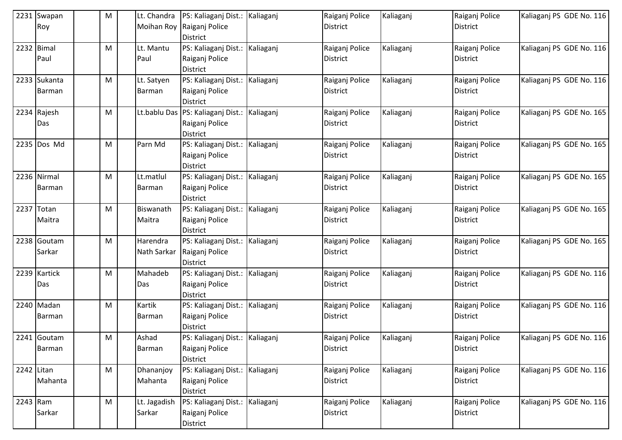| 2231       | Swapan<br>Roy          | M | Lt. Chandra<br><b>Moihan Roy</b> | PS: Kaliaganj Dist.:<br>Raiganj Police<br><b>District</b>              | Kaliaganj | Raiganj Police<br><b>District</b> | Kaliaganj | Raiganj Police<br><b>District</b> | Kaliaganj PS GDE No. 116 |
|------------|------------------------|---|----------------------------------|------------------------------------------------------------------------|-----------|-----------------------------------|-----------|-----------------------------------|--------------------------|
|            | 2232 Bimal<br>Paul     | M | Lt. Mantu<br>Paul                | PS: Kaliaganj Dist.:   Kaliaganj<br>Raiganj Police<br><b>District</b>  |           | Raiganj Police<br>District        | Kaliaganj | Raiganj Police<br><b>District</b> | Kaliaganj PS GDE No. 116 |
|            | 2233 Sukanta<br>Barman | М | Lt. Satyen<br>Barman             | PS: Kaliaganj Dist.:<br>Raiganj Police<br><b>District</b>              | Kaliaganj | Raiganj Police<br><b>District</b> | Kaliaganj | Raiganj Police<br>District        | Kaliaganj PS GDE No. 116 |
|            | 2234 Rajesh<br>Das     | М |                                  | Lt.bablu Das PS: Kaliaganj Dist.:<br>Raiganj Police<br><b>District</b> | Kaliaganj | Raiganj Police<br><b>District</b> | Kaliaganj | Raiganj Police<br><b>District</b> | Kaliaganj PS GDE No. 165 |
|            | 2235 Dos Md            | М | Parn Md                          | PS: Kaliaganj Dist.:<br>Raiganj Police<br><b>District</b>              | Kaliaganj | Raiganj Police<br><b>District</b> | Kaliaganj | Raiganj Police<br><b>District</b> | Kaliaganj PS GDE No. 165 |
|            | 2236 Nirmal<br>Barman  | М | Lt.matlul<br>Barman              | PS: Kaliaganj Dist.:<br>Raiganj Police<br><b>District</b>              | Kaliaganj | Raiganj Police<br>District        | Kaliaganj | Raiganj Police<br>District        | Kaliaganj PS GDE No. 165 |
| 2237       | Totan<br>Maitra        | M | Biswanath<br>Maitra              | PS: Kaliaganj Dist.:<br>Raiganj Police<br><b>District</b>              | Kaliaganj | Raiganj Police<br><b>District</b> | Kaliaganj | Raiganj Police<br><b>District</b> | Kaliaganj PS GDE No. 165 |
|            | 2238 Goutam<br>Sarkar  | М | Harendra<br>Nath Sarkar          | PS: Kaliaganj Dist.:<br>Raiganj Police<br><b>District</b>              | Kaliaganj | Raiganj Police<br><b>District</b> | Kaliaganj | Raiganj Police<br><b>District</b> | Kaliaganj PS GDE No. 165 |
|            | 2239 Kartick<br>Das    | М | Mahadeb<br>Das                   | PS: Kaliaganj Dist.:<br>Raiganj Police<br><b>District</b>              | Kaliaganj | Raiganj Police<br><b>District</b> | Kaliaganj | Raiganj Police<br><b>District</b> | Kaliaganj PS GDE No. 116 |
|            | 2240 Madan<br>Barman   | M | Kartik<br>Barman                 | PS: Kaliaganj Dist.:   Kaliaganj<br>Raiganj Police<br><b>District</b>  |           | Raiganj Police<br>District        | Kaliaganj | Raiganj Police<br>District        | Kaliaganj PS GDE No. 116 |
|            | 2241 Goutam<br>Barman  | M | Ashad<br>Barman                  | PS: Kaliaganj Dist.: Kaliaganj<br>Raiganj Police<br><b>District</b>    |           | Raiganj Police<br>District        | Kaliaganj | Raiganj Police<br><b>District</b> | Kaliaganj PS GDE No. 116 |
| 2242 Litan | Mahanta                | M | Dhananjoy<br>Mahanta             | PS: Kaliaganj Dist.: Kaliaganj<br>Raiganj Police<br>District           |           | Raiganj Police<br><b>District</b> | Kaliaganj | Raiganj Police<br><b>District</b> | Kaliaganj PS GDE No. 116 |
| $2243$ Ram | Sarkar                 | M | Lt. Jagadish<br>Sarkar           | PS: Kaliaganj Dist.: Kaliaganj<br>Raiganj Police<br>District           |           | Raiganj Police<br>District        | Kaliaganj | Raiganj Police<br><b>District</b> | Kaliaganj PS GDE No. 116 |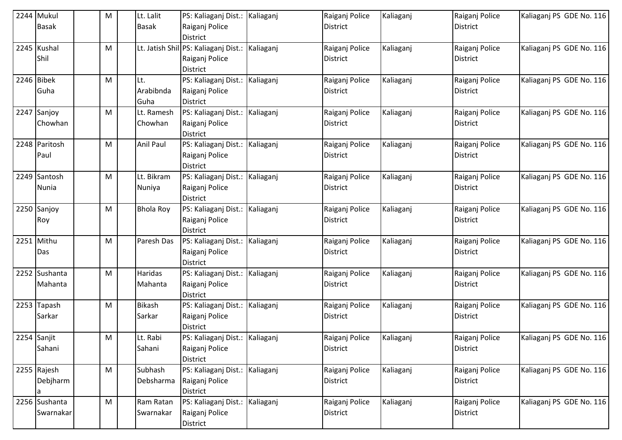|      | 2244 Mukul    | M | Lt. Lalit        | PS: Kaliaganj Dist.: Kaliaganj       |           | Raiganj Police  | Kaliaganj | Raiganj Police  | Kaliaganj PS GDE No. 116 |
|------|---------------|---|------------------|--------------------------------------|-----------|-----------------|-----------|-----------------|--------------------------|
|      | <b>Basak</b>  |   | <b>Basak</b>     | Raiganj Police                       |           | <b>District</b> |           | <b>District</b> |                          |
|      |               |   |                  | <b>District</b>                      |           |                 |           |                 |                          |
|      | 2245 Kushal   | M |                  | Lt. Jatish Shil PS: Kaliaganj Dist.: | Kaliaganj | Raiganj Police  | Kaliaganj | Raiganj Police  | Kaliaganj PS GDE No. 116 |
|      | Shil          |   |                  | Raiganj Police                       |           | <b>District</b> |           | District        |                          |
|      |               |   |                  | <b>District</b>                      |           |                 |           |                 |                          |
|      | 2246 Bibek    | M | Lt.              | PS: Kaliaganj Dist.:                 | Kaliaganj | Raiganj Police  | Kaliaganj | Raiganj Police  | Kaliaganj PS GDE No. 116 |
|      | Guha          |   | Arabibnda        | Raiganj Police                       |           | <b>District</b> |           | District        |                          |
|      |               |   | Guha             | <b>District</b>                      |           |                 |           |                 |                          |
|      | 2247 Sanjoy   | M | Lt. Ramesh       | PS: Kaliaganj Dist.:                 | Kaliaganj | Raiganj Police  | Kaliaganj | Raiganj Police  | Kaliaganj PS GDE No. 116 |
|      | Chowhan       |   | Chowhan          | Raiganj Police                       |           | <b>District</b> |           | District        |                          |
|      |               |   |                  | <b>District</b>                      |           |                 |           |                 |                          |
|      | 2248 Paritosh | M | Anil Paul        | PS: Kaliaganj Dist.:                 | Kaliaganj | Raiganj Police  | Kaliaganj | Raiganj Police  | Kaliaganj PS GDE No. 116 |
|      | Paul          |   |                  | Raiganj Police                       |           | <b>District</b> |           | <b>District</b> |                          |
|      |               |   |                  | <b>District</b>                      |           |                 |           |                 |                          |
|      | 2249 Santosh  | M | Lt. Bikram       | PS: Kaliaganj Dist.:                 | Kaliaganj | Raiganj Police  | Kaliaganj | Raiganj Police  | Kaliaganj PS GDE No. 116 |
|      | Nunia         |   | Nuniya           | Raiganj Police                       |           | <b>District</b> |           | District        |                          |
|      |               |   |                  | <b>District</b>                      |           |                 |           |                 |                          |
|      | 2250 Sanjoy   | M | <b>Bhola Roy</b> | PS: Kaliaganj Dist.: Kaliaganj       |           | Raiganj Police  | Kaliaganj | Raiganj Police  | Kaliaganj PS GDE No. 116 |
|      | Roy           |   |                  | Raiganj Police                       |           | <b>District</b> |           | District        |                          |
|      |               |   |                  | <b>District</b>                      |           |                 |           |                 |                          |
| 2251 | Mithu         | M | Paresh Das       | PS: Kaliaganj Dist.:                 | Kaliaganj | Raiganj Police  | Kaliaganj | Raiganj Police  | Kaliaganj PS GDE No. 116 |
|      | Das           |   |                  | Raiganj Police                       |           | <b>District</b> |           | <b>District</b> |                          |
|      |               |   |                  | <b>District</b>                      |           |                 |           |                 |                          |
|      | 2252 Sushanta | M | Haridas          | PS: Kaliaganj Dist.:                 | Kaliaganj | Raiganj Police  | Kaliaganj | Raiganj Police  | Kaliaganj PS GDE No. 116 |
|      | Mahanta       |   | Mahanta          | Raiganj Police                       |           | <b>District</b> |           | <b>District</b> |                          |
|      |               |   |                  | <b>District</b>                      |           |                 |           |                 |                          |
|      | 2253 Tapash   | M | <b>Bikash</b>    | PS: Kaliaganj Dist.: Kaliaganj       |           | Raiganj Police  | Kaliaganj | Raiganj Police  | Kaliaganj PS GDE No. 116 |
|      | Sarkar        |   | Sarkar           | Raiganj Police                       |           | <b>District</b> |           | District        |                          |
|      |               |   |                  | <b>District</b>                      |           |                 |           |                 |                          |
|      | 2254 Sanjit   | M | Lt. Rabi         | PS: Kaliaganj Dist.: Kaliaganj       |           | Raiganj Police  | Kaliaganj | Raiganj Police  | Kaliaganj PS GDE No. 116 |
|      | Sahani        |   | Sahani           | Raiganj Police                       |           | District        |           | District        |                          |
|      | 2255 Rajesh   | M | Subhash          | <b>District</b>                      |           |                 |           |                 | Kaliaganj PS GDE No. 116 |
|      |               |   |                  | PS: Kaliaganj Dist.: Kaliaganj       |           | Raiganj Police  | Kaliaganj | Raiganj Police  |                          |
|      | Debjharm      |   | Debsharma        | Raiganj Police<br><b>District</b>    |           | <b>District</b> |           | <b>District</b> |                          |
|      | 2256 Sushanta | M | Ram Ratan        | PS: Kaliaganj Dist.: Kaliaganj       |           | Raiganj Police  | Kaliaganj | Raiganj Police  | Kaliaganj PS GDE No. 116 |
|      | Swarnakar     |   | Swarnakar        | Raiganj Police                       |           | District        |           | District        |                          |
|      |               |   |                  |                                      |           |                 |           |                 |                          |
|      |               |   |                  | District                             |           |                 |           |                 |                          |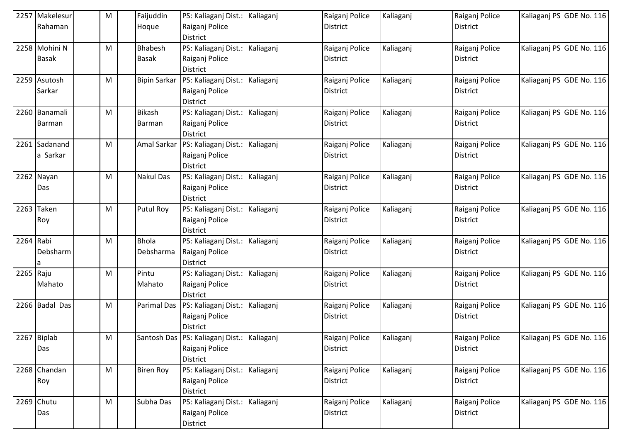|           | 2257 Makelesur | M         | Faijuddin           | PS: Kaliaganj Dist.: Kaliaganj                 |           | Raiganj Police  | Kaliaganj | Raiganj Police  | Kaliagani PS GDE No. 116 |
|-----------|----------------|-----------|---------------------|------------------------------------------------|-----------|-----------------|-----------|-----------------|--------------------------|
|           | Rahaman        |           | Hoque               | Raiganj Police                                 |           | <b>District</b> |           | <b>District</b> |                          |
|           |                |           |                     | <b>District</b>                                |           |                 |           |                 |                          |
|           | 2258 Mohini N  | M         | Bhabesh             | PS: Kaliaganj Dist.:                           | Kaliaganj | Raiganj Police  | Kaliaganj | Raiganj Police  | Kaliaganj PS GDE No. 116 |
|           | <b>Basak</b>   |           | <b>Basak</b>        | Raiganj Police                                 |           | <b>District</b> |           | <b>District</b> |                          |
|           |                |           |                     | <b>District</b>                                |           |                 |           |                 |                          |
|           | 2259 Asutosh   | M         | <b>Bipin Sarkar</b> | PS: Kaliaganj Dist.:                           | Kaliaganj | Raiganj Police  | Kaliaganj | Raiganj Police  | Kaliaganj PS GDE No. 116 |
|           | Sarkar         |           |                     | Raiganj Police<br><b>District</b>              |           | <b>District</b> |           | District        |                          |
|           | 2260 Banamali  | M         | <b>Bikash</b>       | PS: Kaliaganj Dist.:                           | Kaliaganj | Raiganj Police  | Kaliaganj | Raiganj Police  | Kaliaganj PS GDE No. 116 |
|           | Barman         |           | Barman              | Raiganj Police                                 |           | <b>District</b> |           | <b>District</b> |                          |
|           |                |           |                     | District                                       |           |                 |           |                 |                          |
|           | 2261 Sadanand  | M         | Amal Sarkar         | PS: Kaliaganj Dist.:                           | Kaliaganj | Raiganj Police  | Kaliaganj | Raiganj Police  | Kaliaganj PS GDE No. 116 |
|           | a Sarkar       |           |                     | Raiganj Police                                 |           | <b>District</b> |           | <b>District</b> |                          |
|           |                |           |                     | <b>District</b>                                |           |                 |           |                 |                          |
|           | 2262 Nayan     | M         | <b>Nakul Das</b>    | PS: Kaliaganj Dist.:                           | Kaliaganj | Raiganj Police  | Kaliaganj | Raiganj Police  | Kaliaganj PS GDE No. 116 |
|           | Das            |           |                     | Raiganj Police                                 |           | <b>District</b> |           | District        |                          |
|           |                |           |                     | <b>District</b>                                |           |                 |           |                 |                          |
|           | 2263 Taken     | M         | <b>Putul Roy</b>    | PS: Kaliaganj Dist.:                           | Kaliaganj | Raiganj Police  | Kaliaganj | Raiganj Police  | Kaliaganj PS GDE No. 116 |
|           | Roy            |           |                     | Raiganj Police                                 |           | <b>District</b> |           | District        |                          |
|           |                |           |                     | <b>District</b>                                |           |                 |           |                 |                          |
| 2264 Rabi |                | M         | <b>Bhola</b>        | PS: Kaliaganj Dist.:                           | Kaliaganj | Raiganj Police  | Kaliaganj | Raiganj Police  | Kaliaganj PS GDE No. 116 |
|           | Debsharm       |           | Debsharma           | Raiganj Police                                 |           | <b>District</b> |           | <b>District</b> |                          |
|           |                |           |                     | District                                       |           |                 |           |                 |                          |
| 2265 Raju |                | M         | Pintu               | PS: Kaliaganj Dist.:                           | Kaliaganj | Raiganj Police  | Kaliaganj | Raiganj Police  | Kaliaganj PS GDE No. 116 |
|           | Mahato         |           | Mahato              | Raiganj Police                                 |           | <b>District</b> |           | <b>District</b> |                          |
|           | 2266 Badal Das | M         | <b>Parimal Das</b>  | <b>District</b>                                |           |                 |           | Raiganj Police  | Kaliaganj PS GDE No. 116 |
|           |                |           |                     | PS: Kaliaganj Dist.:                           | Kaliaganj | Raiganj Police  | Kaliaganj |                 |                          |
|           |                |           |                     | Raiganj Police<br><b>District</b>              |           | <b>District</b> |           | <b>District</b> |                          |
|           | 2267 Biplab    | M         |                     | Santosh Das   PS: Kaliaganj Dist.:   Kaliaganj |           | Raiganj Police  | Kaliaganj | Raiganj Police  | Kaliagani PS GDE No. 116 |
|           | Das            |           |                     | Raiganj Police                                 |           | District        |           | District        |                          |
|           |                |           |                     | <b>District</b>                                |           |                 |           |                 |                          |
|           | 2268 Chandan   | M         | <b>Biren Roy</b>    | PS: Kaliaganj Dist.: Kaliaganj                 |           | Raiganj Police  | Kaliaganj | Raiganj Police  | Kaliaganj PS GDE No. 116 |
|           | Roy            |           |                     | Raiganj Police                                 |           | <b>District</b> |           | <b>District</b> |                          |
|           |                |           |                     | <b>District</b>                                |           |                 |           |                 |                          |
|           | 2269 Chutu     | ${\sf M}$ | Subha Das           | PS: Kaliaganj Dist.: Kaliaganj                 |           | Raiganj Police  | Kaliaganj | Raiganj Police  | Kaliaganj PS GDE No. 116 |
|           | Das            |           |                     | Raiganj Police                                 |           | <b>District</b> |           | District        |                          |
|           |                |           |                     | District                                       |           |                 |           |                 |                          |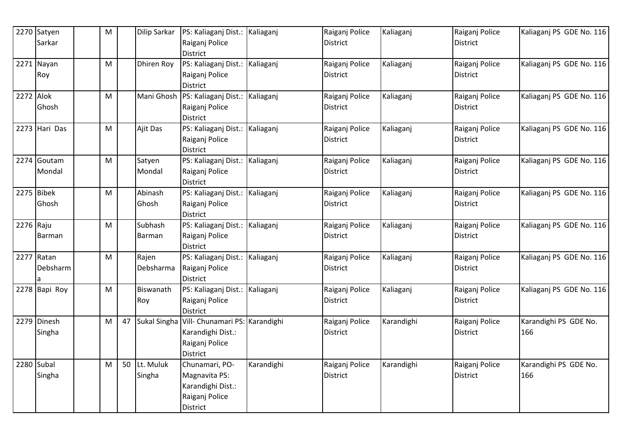| Raiganj Police<br><b>District</b><br><b>District</b><br>Sarkar<br><b>District</b><br>PS: Kaliaganj Dist.:<br>Kaliaganj<br>Kaliaganj PS GDE No. 116<br>2271 Nayan<br>M<br><b>Dhiren Roy</b><br>Raiganj Police<br>Kaliaganj<br>Raiganj Police<br>Raiganj Police<br><b>District</b><br><b>District</b><br>Roy<br><b>District</b><br>Mani Ghosh PS: Kaliaganj Dist.: Kaliaganj<br>2272 Alok<br>Kaliaganj<br>Kaliaganj PS GDE No. 116<br>Raiganj Police<br>Raiganj Police<br>M<br>Ghosh<br>Raiganj Police<br><b>District</b><br><b>District</b><br><b>District</b><br>2273 Hari Das<br>PS: Kaliaganj Dist.: Kaliaganj<br>Kaliaganj PS GDE No. 116<br>Ajit Das<br>Raiganj Police<br>Kaliaganj<br>Raiganj Police<br>M |  |
|----------------------------------------------------------------------------------------------------------------------------------------------------------------------------------------------------------------------------------------------------------------------------------------------------------------------------------------------------------------------------------------------------------------------------------------------------------------------------------------------------------------------------------------------------------------------------------------------------------------------------------------------------------------------------------------------------------------|--|
|                                                                                                                                                                                                                                                                                                                                                                                                                                                                                                                                                                                                                                                                                                                |  |
|                                                                                                                                                                                                                                                                                                                                                                                                                                                                                                                                                                                                                                                                                                                |  |
|                                                                                                                                                                                                                                                                                                                                                                                                                                                                                                                                                                                                                                                                                                                |  |
|                                                                                                                                                                                                                                                                                                                                                                                                                                                                                                                                                                                                                                                                                                                |  |
|                                                                                                                                                                                                                                                                                                                                                                                                                                                                                                                                                                                                                                                                                                                |  |
|                                                                                                                                                                                                                                                                                                                                                                                                                                                                                                                                                                                                                                                                                                                |  |
|                                                                                                                                                                                                                                                                                                                                                                                                                                                                                                                                                                                                                                                                                                                |  |
|                                                                                                                                                                                                                                                                                                                                                                                                                                                                                                                                                                                                                                                                                                                |  |
|                                                                                                                                                                                                                                                                                                                                                                                                                                                                                                                                                                                                                                                                                                                |  |
| Raiganj Police<br>District<br>District                                                                                                                                                                                                                                                                                                                                                                                                                                                                                                                                                                                                                                                                         |  |
| District                                                                                                                                                                                                                                                                                                                                                                                                                                                                                                                                                                                                                                                                                                       |  |
| Kaliaganj PS GDE No. 116<br>2274 Goutam<br>PS: Kaliaganj Dist.: Kaliaganj<br>Raiganj Police<br>Kaliaganj<br>Raiganj Police<br>M<br>Satyen                                                                                                                                                                                                                                                                                                                                                                                                                                                                                                                                                                      |  |
| Mondal<br>Raiganj Police<br><b>District</b><br>Mondal<br>District                                                                                                                                                                                                                                                                                                                                                                                                                                                                                                                                                                                                                                              |  |
| District                                                                                                                                                                                                                                                                                                                                                                                                                                                                                                                                                                                                                                                                                                       |  |
| 2275 Bibek<br>Abinash<br>PS: Kaliaganj Dist.: Kaliaganj<br>Kaliaganj PS GDE No. 116<br>M<br>Raiganj Police<br>Kaliaganj<br>Raiganj Police                                                                                                                                                                                                                                                                                                                                                                                                                                                                                                                                                                      |  |
| Raiganj Police<br>Ghosh<br>Ghosh<br><b>District</b><br><b>District</b>                                                                                                                                                                                                                                                                                                                                                                                                                                                                                                                                                                                                                                         |  |
| <b>District</b><br>Subhash                                                                                                                                                                                                                                                                                                                                                                                                                                                                                                                                                                                                                                                                                     |  |
| 2276 Raju<br>PS: Kaliaganj Dist.: Kaliaganj<br>Kaliaganj PS GDE No. 116<br>Raiganj Police<br>Kaliaganj<br>Raiganj Police<br>M                                                                                                                                                                                                                                                                                                                                                                                                                                                                                                                                                                                  |  |
| Raiganj Police<br>District<br><b>District</b><br>Barman<br>Barman                                                                                                                                                                                                                                                                                                                                                                                                                                                                                                                                                                                                                                              |  |
| <b>District</b><br>$2277$ Ratan<br>M                                                                                                                                                                                                                                                                                                                                                                                                                                                                                                                                                                                                                                                                           |  |
| PS: Kaliaganj Dist.: Kaliaganj<br>Kaliaganj PS GDE No. 116<br>Rajen<br>Raiganj Police<br>Kaliaganj<br>Raiganj Police                                                                                                                                                                                                                                                                                                                                                                                                                                                                                                                                                                                           |  |
| Debsharm<br>Debsharma<br>Raiganj Police<br>District<br>District                                                                                                                                                                                                                                                                                                                                                                                                                                                                                                                                                                                                                                                |  |
| District<br>2278 Bapi Roy<br>PS: Kaliaganj Dist.: Kaliaganj<br>Kaliaganj PS GDE No. 116<br>Biswanath<br>M                                                                                                                                                                                                                                                                                                                                                                                                                                                                                                                                                                                                      |  |
| Raiganj Police<br>Kaliaganj<br>Raiganj Police                                                                                                                                                                                                                                                                                                                                                                                                                                                                                                                                                                                                                                                                  |  |
| Raiganj Police<br>Roy<br><b>District</b><br>District<br><b>District</b>                                                                                                                                                                                                                                                                                                                                                                                                                                                                                                                                                                                                                                        |  |
| Vill- Chunamari PS: Karandighi<br>2279 Dinesh<br>M<br>Sukal Singha<br>Raiganj Police<br>Karandighi<br>Raiganj Police<br>Karandighi PS GDE No.<br>47                                                                                                                                                                                                                                                                                                                                                                                                                                                                                                                                                            |  |
| Karandighi Dist.:<br><b>District</b><br><b>District</b><br>Singha<br>166                                                                                                                                                                                                                                                                                                                                                                                                                                                                                                                                                                                                                                       |  |
| Raiganj Police                                                                                                                                                                                                                                                                                                                                                                                                                                                                                                                                                                                                                                                                                                 |  |
| <b>District</b>                                                                                                                                                                                                                                                                                                                                                                                                                                                                                                                                                                                                                                                                                                |  |
| 2280 Subal<br>Lt. Muluk<br>Chunamari, PO-<br>Karandighi<br>50<br>Karandighi<br>Raiganj Police<br>Raiganj Police<br>Karandighi PS GDE No.<br>M                                                                                                                                                                                                                                                                                                                                                                                                                                                                                                                                                                  |  |
| Singha<br>Magnavita PS:<br><b>District</b><br>166<br>Singha<br><b>District</b>                                                                                                                                                                                                                                                                                                                                                                                                                                                                                                                                                                                                                                 |  |
| Karandighi Dist.:                                                                                                                                                                                                                                                                                                                                                                                                                                                                                                                                                                                                                                                                                              |  |
| Raiganj Police                                                                                                                                                                                                                                                                                                                                                                                                                                                                                                                                                                                                                                                                                                 |  |
| District                                                                                                                                                                                                                                                                                                                                                                                                                                                                                                                                                                                                                                                                                                       |  |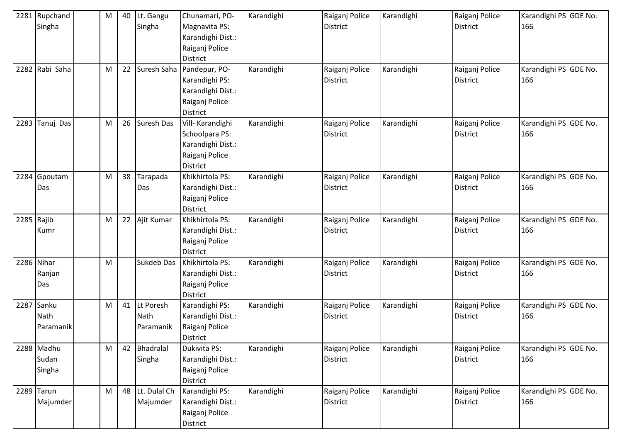|      | 2281 Rupchand<br>Singha       | M | 40 | Lt. Gangu<br>Singha                   | Chunamari, PO-<br>Magnavita PS:                                                              | Karandighi | Raiganj Police<br><b>District</b> | Karandighi | Raiganj Police<br><b>District</b> | Karandighi PS GDE No.<br>166 |
|------|-------------------------------|---|----|---------------------------------------|----------------------------------------------------------------------------------------------|------------|-----------------------------------|------------|-----------------------------------|------------------------------|
|      |                               |   |    |                                       | Karandighi Dist.:<br>Raiganj Police<br><b>District</b>                                       |            |                                   |            |                                   |                              |
|      | 2282 Rabi Saha                | M | 22 | Suresh Saha                           | Pandepur, PO-<br>Karandighi PS:<br>Karandighi Dist.:<br>Raiganj Police<br><b>District</b>    | Karandighi | Raiganj Police<br><b>District</b> | Karandighi | Raiganj Police<br><b>District</b> | Karandighi PS GDE No.<br>166 |
|      | 2283 Tanuj Das                | M | 26 | <b>Suresh Das</b>                     | Vill- Karandighi<br>Schoolpara PS:<br>Karandighi Dist.:<br>Raiganj Police<br><b>District</b> | Karandighi | Raiganj Police<br><b>District</b> | Karandighi | Raiganj Police<br><b>District</b> | Karandighi PS GDE No.<br>166 |
|      | 2284 Gpoutam<br>Das           | M | 38 | Tarapada<br>Das                       | Khikhirtola PS:<br>Karandighi Dist.:<br>Raiganj Police<br><b>District</b>                    | Karandighi | Raiganj Police<br><b>District</b> | Karandighi | Raiganj Police<br><b>District</b> | Karandighi PS GDE No.<br>166 |
|      | 2285 Rajib<br>Kumr            | M | 22 | Ajit Kumar                            | Khikhirtola PS:<br>Karandighi Dist.:<br>Raiganj Police<br><b>District</b>                    | Karandighi | Raiganj Police<br><b>District</b> | Karandighi | Raiganj Police<br><b>District</b> | Karandighi PS GDE No.<br>166 |
|      | 2286 Nihar<br>Ranjan<br>Das   | M |    | Sukdeb Das                            | Khikhirtola PS:<br>Karandighi Dist.:<br>Raiganj Police<br><b>District</b>                    | Karandighi | Raiganj Police<br><b>District</b> | Karandighi | Raiganj Police<br><b>District</b> | Karandighi PS GDE No.<br>166 |
| 2287 | Sanku<br>Nath<br>Paramanik    | M | 41 | Lt Poresh<br><b>Nath</b><br>Paramanik | Karandighi PS:<br>Karandighi Dist.:<br>Raiganj Police<br><b>District</b>                     | Karandighi | Raiganj Police<br><b>District</b> | Karandighi | Raiganj Police<br><b>District</b> | Karandighi PS GDE No.<br>166 |
|      | 2288 Madhu<br>Sudan<br>Singha | M | 42 | Bhadralal<br>Singha                   | Dukivita PS:<br>Karandighi Dist.:<br>Raiganj Police<br><b>District</b>                       | Karandighi | Raiganj Police<br><b>District</b> | Karandighi | Raiganj Police<br><b>District</b> | Karandighi PS GDE No.<br>166 |
|      | 2289 Tarun<br>Majumder        | M | 48 | Lt. Dulal Ch<br>Majumder              | Karandighi PS:<br>Karandighi Dist.:<br>Raiganj Police<br>District                            | Karandighi | Raiganj Police<br><b>District</b> | Karandighi | Raiganj Police<br>District        | Karandighi PS GDE No.<br>166 |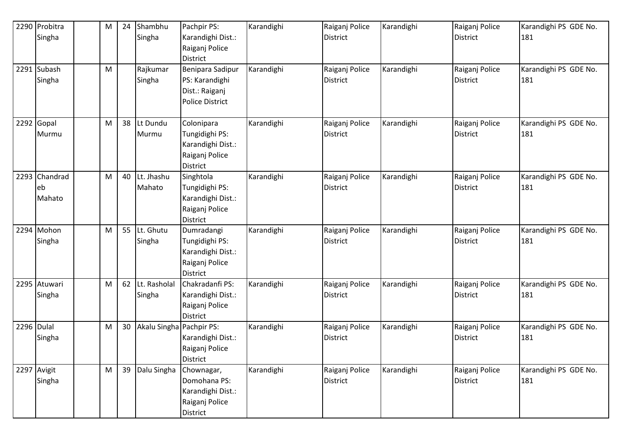| 2290 Probitra | M         | 24 | Shambhu                  | Pachpir PS:                       | Karandighi | Raiganj Police                    | Karandighi | Raiganj Police                    | Karandighi PS GDE No.        |
|---------------|-----------|----|--------------------------|-----------------------------------|------------|-----------------------------------|------------|-----------------------------------|------------------------------|
| Singha        |           |    | Singha                   | Karandighi Dist.:                 |            | <b>District</b>                   |            | <b>District</b>                   | 181                          |
|               |           |    |                          | Raiganj Police<br><b>District</b> |            |                                   |            |                                   |                              |
| 2291 Subash   | M         |    | Rajkumar                 | Benipara Sadipur                  | Karandighi | Raiganj Police                    | Karandighi | Raiganj Police                    | Karandighi PS GDE No.        |
| Singha        |           |    | Singha                   | PS: Karandighi                    |            | District                          |            | <b>District</b>                   | 181                          |
|               |           |    |                          | Dist.: Raiganj                    |            |                                   |            |                                   |                              |
|               |           |    |                          | <b>Police District</b>            |            |                                   |            |                                   |                              |
| 2292 Gopal    | M         | 38 | Lt Dundu                 | Colonipara                        | Karandighi | Raiganj Police                    | Karandighi | Raiganj Police                    | Karandighi PS GDE No.        |
| Murmu         |           |    | Murmu                    | Tungidighi PS:                    |            | District                          |            | <b>District</b>                   | 181                          |
|               |           |    |                          | Karandighi Dist.:                 |            |                                   |            |                                   |                              |
|               |           |    |                          | Raiganj Police                    |            |                                   |            |                                   |                              |
|               |           |    |                          | <b>District</b>                   |            |                                   |            |                                   |                              |
| 2293 Chandrad | M         | 40 | Lt. Jhashu               | Singhtola                         | Karandighi | Raiganj Police                    | Karandighi | Raiganj Police                    | Karandighi PS GDE No.        |
| eb            |           |    | Mahato                   | Tungidighi PS:                    |            | <b>District</b>                   |            | <b>District</b>                   | 181                          |
| Mahato        |           |    |                          | Karandighi Dist.:                 |            |                                   |            |                                   |                              |
|               |           |    |                          | Raiganj Police                    |            |                                   |            |                                   |                              |
| 2294 Mohon    | M         | 55 | Lt. Ghutu                | District<br>Dumradangi            | Karandighi | Raiganj Police                    | Karandighi | Raiganj Police                    | Karandighi PS GDE No.        |
| Singha        |           |    | Singha                   | Tungidighi PS:                    |            | <b>District</b>                   |            | <b>District</b>                   | 181                          |
|               |           |    |                          | Karandighi Dist.:                 |            |                                   |            |                                   |                              |
|               |           |    |                          | Raiganj Police                    |            |                                   |            |                                   |                              |
|               |           |    |                          | District                          |            |                                   |            |                                   |                              |
| 2295 Atuwari  | M         | 62 | Lt. Rasholal             | Chakradanfi PS:                   | Karandighi | Raiganj Police                    | Karandighi | Raiganj Police                    | Karandighi PS GDE No.        |
| Singha        |           |    | Singha                   | Karandighi Dist.:                 |            | <b>District</b>                   |            | <b>District</b>                   | 181                          |
|               |           |    |                          | Raiganj Police                    |            |                                   |            |                                   |                              |
|               |           |    |                          | <b>District</b>                   |            |                                   |            |                                   |                              |
| 2296 Dulal    | M         | 30 | Akalu Singha Pachpir PS: |                                   | Karandighi | Raiganj Police                    | Karandighi | Raiganj Police                    | Karandighi PS GDE No.        |
| Singha        |           |    |                          | Karandighi Dist.:                 |            | District                          |            | <b>District</b>                   | 181                          |
|               |           |    |                          | Raiganj Police                    |            |                                   |            |                                   |                              |
| 2297 Avigit   | ${\sf M}$ | 39 | Dalu Singha              | District                          | Karandighi |                                   | Karandighi |                                   |                              |
| Singha        |           |    |                          | Chownagar,<br>Domohana PS:        |            | Raiganj Police<br><b>District</b> |            | Raiganj Police<br><b>District</b> | Karandighi PS GDE No.<br>181 |
|               |           |    |                          | Karandighi Dist.:                 |            |                                   |            |                                   |                              |
|               |           |    |                          | Raiganj Police                    |            |                                   |            |                                   |                              |
|               |           |    |                          | District                          |            |                                   |            |                                   |                              |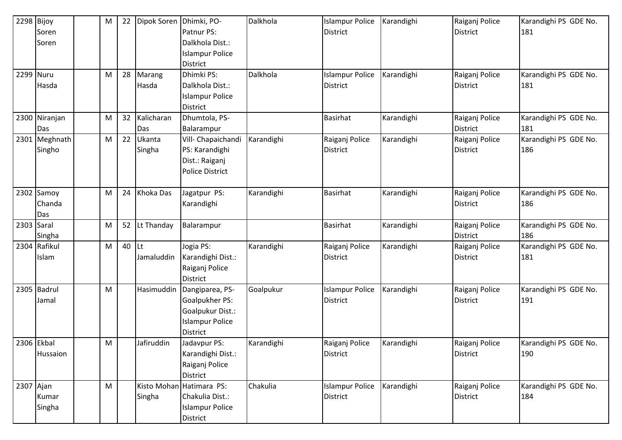|            | 2298 Bijoy    | M | 22 | Dipok Soren Dhimki, PO- |                          | Dalkhola   | <b>Islampur Police</b> | Karandighi | Raiganj Police  | Karandighi PS GDE No. |
|------------|---------------|---|----|-------------------------|--------------------------|------------|------------------------|------------|-----------------|-----------------------|
|            | Soren         |   |    |                         | Patnur PS:               |            | <b>District</b>        |            | <b>District</b> | 181                   |
|            | Soren         |   |    |                         | Dalkhola Dist.:          |            |                        |            |                 |                       |
|            |               |   |    |                         | <b>Islampur Police</b>   |            |                        |            |                 |                       |
|            |               |   |    |                         | District                 |            |                        |            |                 |                       |
|            | 2299 Nuru     | M | 28 | Marang                  | Dhimki PS:               | Dalkhola   | <b>Islampur Police</b> | Karandighi | Raiganj Police  | Karandighi PS GDE No. |
|            | Hasda         |   |    | Hasda                   | Dalkhola Dist.:          |            | <b>District</b>        |            | District        | 181                   |
|            |               |   |    |                         | <b>Islampur Police</b>   |            |                        |            |                 |                       |
|            |               |   |    |                         | <b>District</b>          |            |                        |            |                 |                       |
|            | 2300 Niranjan | M | 32 | Kalicharan              | Dhumtola, PS-            |            | <b>Basirhat</b>        | Karandighi | Raiganj Police  | Karandighi PS GDE No. |
|            | Das           |   |    | Das                     | Balarampur               |            |                        |            | <b>District</b> | 181                   |
|            | 2301 Meghnath | M | 22 | Ukanta                  | Vill- Chapaichandi       | Karandighi | Raiganj Police         | Karandighi | Raiganj Police  | Karandighi PS GDE No. |
|            | Singho        |   |    | Singha                  | PS: Karandighi           |            | <b>District</b>        |            | <b>District</b> | 186                   |
|            |               |   |    |                         | Dist.: Raiganj           |            |                        |            |                 |                       |
|            |               |   |    |                         | <b>Police District</b>   |            |                        |            |                 |                       |
|            |               |   |    |                         |                          |            |                        |            |                 |                       |
|            | 2302 Samoy    | M | 24 | Khoka Das               | Jagatpur PS:             | Karandighi | <b>Basirhat</b>        | Karandighi | Raiganj Police  | Karandighi PS GDE No. |
|            | Chanda        |   |    |                         | Karandighi               |            |                        |            | <b>District</b> | 186                   |
|            | Das           |   |    |                         |                          |            |                        |            |                 |                       |
| 2303       | Saral         | M | 52 | Lt Thanday              | Balarampur               |            | <b>Basirhat</b>        | Karandighi | Raiganj Police  | Karandighi PS GDE No. |
|            | Singha        |   |    |                         |                          |            |                        |            | <b>District</b> | 186                   |
|            | 2304 Rafikul  | M | 40 | Lt                      | Jogia PS:                | Karandighi | Raiganj Police         | Karandighi | Raiganj Police  | Karandighi PS GDE No. |
|            | Islam         |   |    | Jamaluddin              | Karandighi Dist.:        |            | District               |            | <b>District</b> | 181                   |
|            |               |   |    |                         | Raiganj Police           |            |                        |            |                 |                       |
|            |               |   |    |                         | <b>District</b>          |            |                        |            |                 |                       |
|            | 2305 Badrul   | M |    | Hasimuddin              | Dangiparea, PS-          | Goalpukur  | <b>Islampur Police</b> | Karandighi | Raiganj Police  | Karandighi PS GDE No. |
|            | Jamal         |   |    |                         | <b>Goalpukher PS:</b>    |            | District               |            | <b>District</b> | 191                   |
|            |               |   |    |                         | Goalpukur Dist.:         |            |                        |            |                 |                       |
|            |               |   |    |                         | <b>Islampur Police</b>   |            |                        |            |                 |                       |
|            |               |   |    |                         | District                 |            |                        |            |                 |                       |
| 2306 Ekbal |               | M |    | Jafiruddin              | Jadavpur PS:             | Karandighi | Raiganj Police         | Karandighi | Raiganj Police  | Karandighi PS GDE No. |
|            | Hussaion      |   |    |                         | Karandighi Dist.:        |            | <b>District</b>        |            | District        | 190                   |
|            |               |   |    |                         | Raiganj Police           |            |                        |            |                 |                       |
|            |               |   |    |                         | <b>District</b>          |            |                        |            |                 |                       |
| 2307 Ajan  |               | M |    |                         | Kisto Mohan Hatimara PS: | Chakulia   | <b>Islampur Police</b> | Karandighi | Raiganj Police  | Karandighi PS GDE No. |
|            | Kumar         |   |    | Singha                  | Chakulia Dist.:          |            | District               |            | <b>District</b> | 184                   |
|            | Singha        |   |    |                         | <b>Islampur Police</b>   |            |                        |            |                 |                       |
|            |               |   |    |                         | District                 |            |                        |            |                 |                       |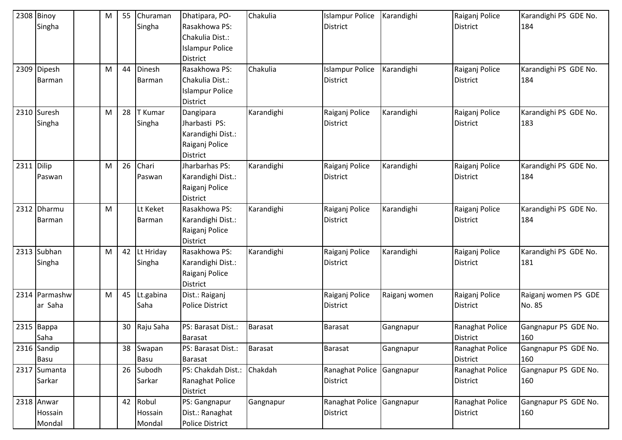|            | 2308 Binoy<br>Singha            | M | 55 | Churaman<br>Singha         | Dhatipara, PO-<br>Rasakhowa PS:<br>Chakulia Dist.:<br><b>Islampur Police</b><br><b>District</b> | Chakulia       | <b>Islampur Police</b><br><b>District</b>    | Karandighi    | Raiganj Police<br><b>District</b>  | Karandighi PS GDE No.<br>184   |
|------------|---------------------------------|---|----|----------------------------|-------------------------------------------------------------------------------------------------|----------------|----------------------------------------------|---------------|------------------------------------|--------------------------------|
|            | 2309 Dipesh<br>Barman           | M | 44 | Dinesh<br>Barman           | Rasakhowa PS:<br>Chakulia Dist.:<br><b>Islampur Police</b><br><b>District</b>                   | Chakulia       | <b>Islampur Police</b><br><b>District</b>    | Karandighi    | Raiganj Police<br><b>District</b>  | Karandighi PS GDE No.<br>184   |
|            | 2310 Suresh<br>Singha           | M | 28 | T Kumar<br>Singha          | Dangipara<br>Jharbasti PS:<br>Karandighi Dist.:<br>Raiganj Police<br><b>District</b>            | Karandighi     | Raiganj Police<br><b>District</b>            | Karandighi    | Raiganj Police<br><b>District</b>  | Karandighi PS GDE No.<br>183   |
| 2311 Dilip | Paswan                          | M | 26 | Chari<br>Paswan            | Jharbarhas PS:<br>Karandighi Dist.:<br>Raiganj Police<br><b>District</b>                        | Karandighi     | Raiganj Police<br><b>District</b>            | Karandighi    | Raiganj Police<br><b>District</b>  | Karandighi PS GDE No.<br>184   |
|            | 2312 Dharmu<br>Barman           | M |    | Lt Keket<br>Barman         | Rasakhowa PS:<br>Karandighi Dist.:<br>Raiganj Police<br>District                                | Karandighi     | Raiganj Police<br><b>District</b>            | Karandighi    | Raiganj Police<br><b>District</b>  | Karandighi PS GDE No.<br>184   |
|            | 2313 Subhan<br>Singha           | M | 42 | Lt Hriday<br>Singha        | Rasakhowa PS:<br>Karandighi Dist.:<br>Raiganj Police<br><b>District</b>                         | Karandighi     | Raiganj Police<br><b>District</b>            | Karandighi    | Raiganj Police<br><b>District</b>  | Karandighi PS GDE No.<br>181   |
|            | 2314 Parmashw<br>ar Saha        | M | 45 | Lt.gabina<br>Saha          | Dist.: Raiganj<br><b>Police District</b>                                                        |                | Raiganj Police<br><b>District</b>            | Raiganj women | Raiganj Police<br>District         | Raiganj women PS GDE<br>No. 85 |
|            | 2315 Bappa<br>Saha              |   | 30 | Raju Saha                  | PS: Barasat Dist.:<br><b>Barasat</b>                                                            | Barasat        | <b>Barasat</b>                               | Gangnapur     | Ranaghat Police<br><b>District</b> | Gangnapur PS GDE No.<br>160    |
|            | 2316 Sandip<br>Basu             |   |    | 38 Swapan<br>Basu          | PS: Barasat Dist.:<br><b>Barasat</b>                                                            | <b>Barasat</b> | <b>Barasat</b>                               | Gangnapur     | Ranaghat Police<br>District        | Gangnapur PS GDE No.<br>160    |
|            | 2317 Sumanta<br>Sarkar          |   | 26 | Subodh<br>Sarkar           | PS: Chakdah Dist.:<br>Ranaghat Police<br><b>District</b>                                        | Chakdah        | Ranaghat Police Gangnapur<br><b>District</b> |               | Ranaghat Police<br>District        | Gangnapur PS GDE No.<br>160    |
|            | 2318 Anwar<br>Hossain<br>Mondal |   | 42 | Robul<br>Hossain<br>Mondal | PS: Gangnapur<br>Dist.: Ranaghat<br><b>Police District</b>                                      | Gangnapur      | Ranaghat Police Gangnapur<br>District        |               | Ranaghat Police<br>District        | Gangnapur PS GDE No.<br>160    |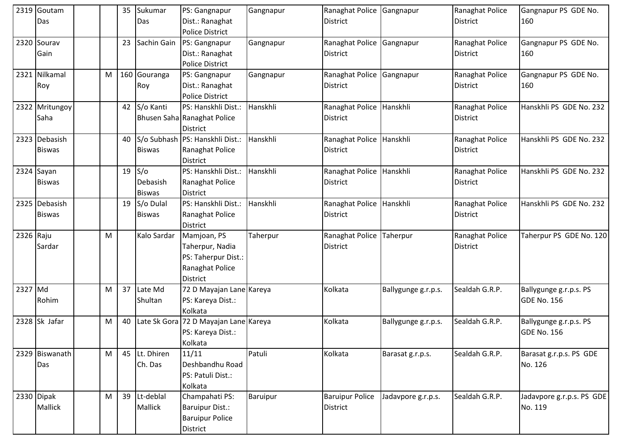|           | 2319 Goutam     |           | 35 | Sukumar       | PS: Gangnapur                         | Gangnapur | Ranaghat Police Gangnapur |                     | Ranaghat Police | Gangnapur PS GDE No.      |
|-----------|-----------------|-----------|----|---------------|---------------------------------------|-----------|---------------------------|---------------------|-----------------|---------------------------|
|           | Das             |           |    | Das           | Dist.: Ranaghat                       |           | <b>District</b>           |                     | <b>District</b> | 160                       |
|           |                 |           |    |               | <b>Police District</b>                |           |                           |                     |                 |                           |
|           | 2320 Sourav     |           | 23 | Sachin Gain   | PS: Gangnapur                         | Gangnapur | Ranaghat Police Gangnapur |                     | Ranaghat Police | Gangnapur PS GDE No.      |
|           | Gain            |           |    |               | Dist.: Ranaghat                       |           | District                  |                     | <b>District</b> | 160                       |
|           |                 |           |    |               | <b>Police District</b>                |           |                           |                     |                 |                           |
|           | 2321 Nilkamal   | M         |    | 160 Gouranga  | PS: Gangnapur                         | Gangnapur | Ranaghat Police Gangnapur |                     | Ranaghat Police | Gangnapur PS GDE No.      |
|           | Roy             |           |    | Roy           | Dist.: Ranaghat                       |           | District                  |                     | <b>District</b> | 160                       |
|           |                 |           |    |               | <b>Police District</b>                |           |                           |                     |                 |                           |
|           | 2322 Mritungoy  |           | 42 | S/o Kanti     | PS: Hanskhli Dist.:                   | Hanskhli  | Ranaghat Police Hanskhli  |                     | Ranaghat Police | Hanskhli PS GDE No. 232   |
|           | Saha            |           |    |               | Bhusen Saha Ranaghat Police           |           | District                  |                     | <b>District</b> |                           |
|           |                 |           |    |               | <b>District</b>                       |           |                           |                     |                 |                           |
|           | 2323 Debasish   |           | 40 |               | S/o Subhash PS: Hanskhli Dist.:       | Hanskhli  | Ranaghat Police Hanskhli  |                     | Ranaghat Police | Hanskhli PS GDE No. 232   |
|           | <b>Biswas</b>   |           |    | <b>Biswas</b> | Ranaghat Police                       |           | District                  |                     | <b>District</b> |                           |
|           |                 |           |    |               | District                              |           |                           |                     |                 |                           |
|           | 2324 Sayan      |           | 19 | S/O           | PS: Hanskhli Dist.:                   | Hanskhli  | Ranaghat Police Hanskhli  |                     | Ranaghat Police | Hanskhli PS GDE No. 232   |
|           | <b>Biswas</b>   |           |    | Debasish      | Ranaghat Police                       |           | District                  |                     | District        |                           |
|           |                 |           |    | <b>Biswas</b> | District                              |           |                           |                     |                 |                           |
|           | 2325 Debasish   |           | 19 | S/o Dulal     | PS: Hanskhli Dist.:                   | Hanskhli  | Ranaghat Police Hanskhli  |                     | Ranaghat Police | Hanskhli PS GDE No. 232   |
|           | <b>Biswas</b>   |           |    | <b>Biswas</b> | Ranaghat Police                       |           | District                  |                     | <b>District</b> |                           |
|           |                 |           |    |               | District                              |           |                           |                     |                 |                           |
| 2326 Raju |                 | M         |    | Kalo Sardar   | Mamjoan, PS                           | Taherpur  | Ranaghat Police           | Taherpur            | Ranaghat Police | Taherpur PS GDE No. 120   |
|           | Sardar          |           |    |               | Taherpur, Nadia                       |           | <b>District</b>           |                     | <b>District</b> |                           |
|           |                 |           |    |               | PS: Taherpur Dist.:                   |           |                           |                     |                 |                           |
|           |                 |           |    |               | Ranaghat Police                       |           |                           |                     |                 |                           |
|           |                 |           |    |               | <b>District</b>                       |           |                           |                     |                 |                           |
| 2327 Md   |                 | M         | 37 | Late Md       | 72 D Mayajan Lane Kareya              |           | Kolkata                   | Ballygunge g.r.p.s. | Sealdah G.R.P.  | Ballygunge g.r.p.s. PS    |
|           | Rohim           |           |    | Shultan       | PS: Kareya Dist.:                     |           |                           |                     |                 | <b>GDE No. 156</b>        |
|           |                 |           |    |               | Kolkata                               |           |                           |                     |                 |                           |
|           | $2328$ Sk Jafar | M         | 40 |               | Late Sk Gora 72 D Mayajan Lane Kareya |           | Kolkata                   | Ballygunge g.r.p.s. | Sealdah G.R.P.  | Ballygunge g.r.p.s. PS    |
|           |                 |           |    |               | PS: Kareya Dist.:                     |           |                           |                     |                 | GDE No. 156               |
|           |                 |           |    |               | Kolkata                               |           |                           |                     |                 |                           |
|           | 2329 Biswanath  | ${\sf M}$ | 45 | Lt. Dhiren    | 11/11                                 | Patuli    | Kolkata                   | Barasat g.r.p.s.    | Sealdah G.R.P.  | Barasat g.r.p.s. PS GDE   |
|           | Das             |           |    | Ch. Das       | Deshbandhu Road                       |           |                           |                     |                 | No. 126                   |
|           |                 |           |    |               | PS: Patuli Dist.:                     |           |                           |                     |                 |                           |
|           |                 |           |    |               | Kolkata                               |           |                           |                     |                 |                           |
|           | 2330 Dipak      | M         | 39 | Lt-deblal     | Champahati PS:                        | Baruipur  | <b>Baruipur Police</b>    | Jadavpore g.r.p.s.  | Sealdah G.R.P.  | Jadavpore g.r.p.s. PS GDE |
|           | Mallick         |           |    | Mallick       | <b>Baruipur Dist.:</b>                |           | District                  |                     |                 | No. 119                   |
|           |                 |           |    |               | <b>Baruipur Police</b>                |           |                           |                     |                 |                           |
|           |                 |           |    |               | District                              |           |                           |                     |                 |                           |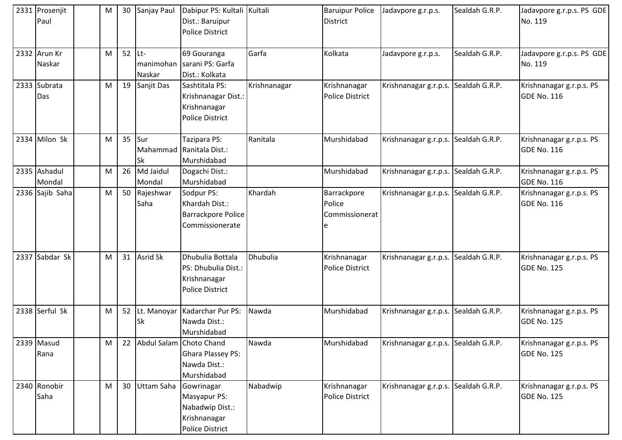|      | 2331 Prosenjit<br>Paul | M |    | 30 Sanjay Paul                    | Dabipur PS: Kultali Kultali<br>Dist.: Baruipur<br><b>Police District</b>                |              | <b>Baruipur Police</b><br><b>District</b> | Jadavpore g.r.p.s.                   | Sealdah G.R.P. | Jadavpore g.r.p.s. PS GDE<br>No. 119           |
|------|------------------------|---|----|-----------------------------------|-----------------------------------------------------------------------------------------|--------------|-------------------------------------------|--------------------------------------|----------------|------------------------------------------------|
|      | 2332 Arun Kr<br>Naskar | M |    | 52 Lt-<br>manimohan<br>Naskar     | 69 Gouranga<br>sarani PS: Garfa<br>Dist.: Kolkata                                       | Garfa        | Kolkata                                   | Jadavpore g.r.p.s.                   | Sealdah G.R.P. | Jadavpore g.r.p.s. PS GDE<br>No. 119           |
|      | 2333 Subrata<br>Das    | M | 19 | Sanjit Das                        | Sashtitala PS:<br>Krishnanagar Dist.:<br>Krishnanagar<br><b>Police District</b>         | Krishnanagar | Krishnanagar<br><b>Police District</b>    | Krishnanagar g.r.p.s.                | Sealdah G.R.P. | Krishnanagar g.r.p.s. PS<br><b>GDE No. 116</b> |
|      | 2334 Milon Sk          | M |    | $35$ Sur<br>Mahammad<br><b>Sk</b> | Tazipara PS:<br>Ranitala Dist.:<br>Murshidabad                                          | Ranitala     | Murshidabad                               | Krishnanagar g.r.p.s. Sealdah G.R.P. |                | Krishnanagar g.r.p.s. PS<br><b>GDE No. 116</b> |
|      | 2335 Ashadul<br>Mondal | М | 26 | Md Jaidul<br>Mondal               | Dogachi Dist.:<br>Murshidabad                                                           |              | Murshidabad                               | Krishnanagar g.r.p.s.                | Sealdah G.R.P. | Krishnanagar g.r.p.s. PS<br>GDE No. 116        |
|      | 2336 Sajib Saha        | M | 50 | Rajeshwar<br>Saha                 | Sodpur PS:<br>Khardah Dist.:<br><b>Barrackpore Police</b><br>Commissionerate            | Khardah      | Barrackpore<br>Police<br>Commissionerat   | Krishnanagar g.r.p.s.                | Sealdah G.R.P. | Krishnanagar g.r.p.s. PS<br><b>GDE No. 116</b> |
| 2337 | Sabdar Sk              | M |    | 31 Asrid Sk                       | Dhubulia Bottala<br>PS: Dhubulia Dist.:<br>Krishnanagar<br><b>Police District</b>       | Dhubulia     | Krishnanagar<br><b>Police District</b>    | Krishnanagar g.r.p.s. Sealdah G.R.P. |                | Krishnanagar g.r.p.s. PS<br><b>GDE No. 125</b> |
|      | 2338 Serful Sk         | M | 52 | Sk                                | Lt. Manoyar Kadarchar Pur PS:<br>Nawda Dist.:<br>Murshidabad                            | Nawda        | Murshidabad                               | Krishnanagar g.r.p.s. Sealdah G.R.P. |                | Krishnanagar g.r.p.s. PS<br><b>GDE No. 125</b> |
|      | 2339 Masud<br>Rana     | M | 22 | Abdul Salam Choto Chand           | <b>Ghara Plassey PS:</b><br>Nawda Dist.:<br>Murshidabad                                 | Nawda        | Murshidabad                               | Krishnanagar g.r.p.s. Sealdah G.R.P. |                | Krishnanagar g.r.p.s. PS<br><b>GDE No. 125</b> |
|      | 2340 Ronobir<br>Saha   | M | 30 | Uttam Saha                        | Gowrinagar<br>Masyapur PS:<br>Nabadwip Dist.:<br>Krishnanagar<br><b>Police District</b> | Nabadwip     | Krishnanagar<br><b>Police District</b>    | Krishnanagar g.r.p.s. Sealdah G.R.P. |                | Krishnanagar g.r.p.s. PS<br><b>GDE No. 125</b> |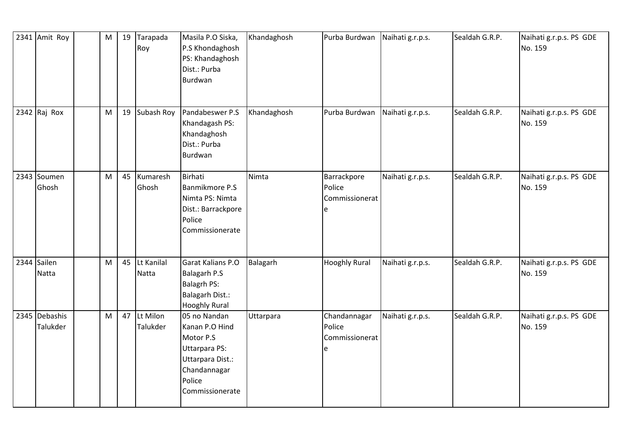| 2341 Amit Roy             | $\mathsf{M}% _{T}=\mathsf{M}_{T}\!\left( a,b\right) ,\ \mathsf{M}_{T}=\mathsf{M}_{T}\!\left( a,b\right) ,$ | 19 | Tarapada<br>Roy      | Masila P.O Siska,<br>P.S Khondaghosh<br>PS: Khandaghosh<br>Dist.: Purba<br>Burdwan                                            | Khandaghosh | Purba Burdwan                                  | Naihati g.r.p.s. | Sealdah G.R.P. | Naihati g.r.p.s. PS GDE<br>No. 159 |
|---------------------------|------------------------------------------------------------------------------------------------------------|----|----------------------|-------------------------------------------------------------------------------------------------------------------------------|-------------|------------------------------------------------|------------------|----------------|------------------------------------|
| 2342 $Raj$ Rox            | M                                                                                                          | 19 | Subash Roy           | Pandabeswer P.S<br>Khandagash PS:<br>Khandaghosh<br>Dist.: Purba<br>Burdwan                                                   | Khandaghosh | Purba Burdwan                                  | Naihati g.r.p.s. | Sealdah G.R.P. | Naihati g.r.p.s. PS GDE<br>No. 159 |
| 2343 Soumen<br>Ghosh      | M                                                                                                          | 45 | Kumaresh<br>Ghosh    | <b>Birhati</b><br>Banmikmore P.S<br>Nimta PS: Nimta<br>Dist.: Barrackpore<br>Police<br>Commissionerate                        | Nimta       | Barrackpore<br>Police<br>Commissionerat<br>e   | Naihati g.r.p.s. | Sealdah G.R.P. | Naihati g.r.p.s. PS GDE<br>No. 159 |
| 2344 Sailen<br>Natta      | M                                                                                                          | 45 | Lt Kanilal<br>Natta  | Garat Kalians P.O<br><b>Balagarh P.S</b><br><b>Balagrh PS:</b><br>Balagarh Dist.:<br><b>Hooghly Rural</b>                     | Balagarh    | <b>Hooghly Rural</b>                           | Naihati g.r.p.s. | Sealdah G.R.P. | Naihati g.r.p.s. PS GDE<br>No. 159 |
| 2345 Debashis<br>Talukder | M                                                                                                          | 47 | Lt Milon<br>Talukder | 05 no Nandan<br>Kanan P.O Hind<br>Motor P.S<br>Uttarpara PS:<br>Uttarpara Dist.:<br>Chandannagar<br>Police<br>Commissionerate | Uttarpara   | Chandannagar<br>Police<br>Commissionerat<br>le | Naihati g.r.p.s. | Sealdah G.R.P. | Naihati g.r.p.s. PS GDE<br>No. 159 |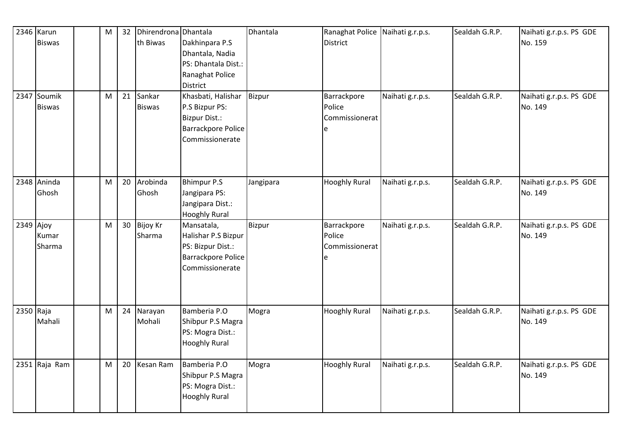|           | $2346$ Karun<br><b>Biswas</b>  | M                                                                                                          | 32 | Dhirendrona Dhantala<br>th Biwas | Dakhinpara P.S<br>Dhantala, Nadia<br>PS: Dhantala Dist.:<br>Ranaghat Police                                              | Dhantala  | Ranaghat Police Naihati g.r.p.s.<br><b>District</b> |                  | Sealdah G.R.P. | Naihati g.r.p.s. PS GDE<br>No. 159 |
|-----------|--------------------------------|------------------------------------------------------------------------------------------------------------|----|----------------------------------|--------------------------------------------------------------------------------------------------------------------------|-----------|-----------------------------------------------------|------------------|----------------|------------------------------------|
|           | 2347 Soumik<br><b>Biswas</b>   | M                                                                                                          | 21 | Sankar<br><b>Biswas</b>          | District<br>Khasbati, Halishar<br>P.S Bizpur PS:<br><b>Bizpur Dist.:</b><br><b>Barrackpore Police</b><br>Commissionerate | Bizpur    | Barrackpore<br>Police<br>Commissionerat<br>e        | Naihati g.r.p.s. | Sealdah G.R.P. | Naihati g.r.p.s. PS GDE<br>No. 149 |
|           | 2348 Aninda<br>Ghosh           | M                                                                                                          | 20 | Arobinda<br>Ghosh                | <b>Bhimpur P.S</b><br>Jangipara PS:<br>Jangipara Dist.:<br><b>Hooghly Rural</b>                                          | Jangipara | <b>Hooghly Rural</b>                                | Naihati g.r.p.s. | Sealdah G.R.P. | Naihati g.r.p.s. PS GDE<br>No. 149 |
|           | $2349$ Ajoy<br>Kumar<br>Sharma | M                                                                                                          | 30 | <b>Bijoy Kr</b><br>Sharma        | Mansatala,<br>Halishar P.S Bizpur<br>PS: Bizpur Dist.:<br>Barrackpore Police<br>Commissionerate                          | Bizpur    | Barrackpore<br>Police<br>Commissionerat<br>e        | Naihati g.r.p.s. | Sealdah G.R.P. | Naihati g.r.p.s. PS GDE<br>No. 149 |
| 2350 Raja | Mahali                         | $\mathsf{M}% _{T}=\mathsf{M}_{T}\!\left( a,b\right) ,\ \mathsf{M}_{T}=\mathsf{M}_{T}\!\left( a,b\right) ,$ | 24 | Narayan<br>Mohali                | Bamberia P.O<br>Shibpur P.S Magra<br>PS: Mogra Dist.:<br><b>Hooghly Rural</b>                                            | Mogra     | <b>Hooghly Rural</b>                                | Naihati g.r.p.s. | Sealdah G.R.P. | Naihati g.r.p.s. PS GDE<br>No. 149 |
|           | 2351 Raja Ram                  | M                                                                                                          | 20 | Kesan Ram                        | Bamberia P.O<br>Shibpur P.S Magra<br>PS: Mogra Dist.:<br><b>Hooghly Rural</b>                                            | Mogra     | <b>Hooghly Rural</b>                                | Naihati g.r.p.s. | Sealdah G.R.P. | Naihati g.r.p.s. PS GDE<br>No. 149 |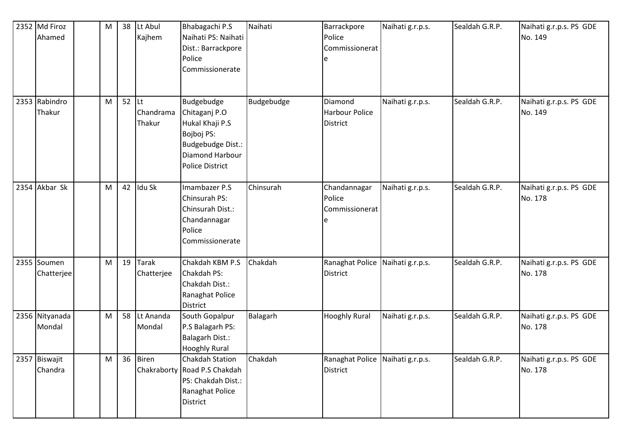| 2352 Md Firoz<br>Ahamed   | M         | 38 | Lt Abul<br>Kajhem                | Bhabagachi P.S<br>Naihati PS: Naihati<br>Dist.: Barrackpore<br>Police<br>Commissionerate                                       | Naihati    | Barrackpore<br>Police<br>Commissionerat             | Naihati g.r.p.s. | Sealdah G.R.P. | Naihati g.r.p.s. PS GDE<br>No. 149 |
|---------------------------|-----------|----|----------------------------------|--------------------------------------------------------------------------------------------------------------------------------|------------|-----------------------------------------------------|------------------|----------------|------------------------------------|
| 2353 Rabindro<br>Thakur   | M         | 52 | <b>Lt</b><br>Chandrama<br>Thakur | Budgebudge<br>Chitaganj P.O<br>Hukal Khaji P.S<br>Bojboj PS:<br>Budgebudge Dist.:<br>Diamond Harbour<br><b>Police District</b> | Budgebudge | Diamond<br>Harbour Police<br><b>District</b>        | Naihati g.r.p.s. | Sealdah G.R.P. | Naihati g.r.p.s. PS GDE<br>No. 149 |
| 2354 Akbar Sk             | M         | 42 | Idu Sk                           | Imambazer P.S<br>Chinsurah PS:<br>Chinsurah Dist.:<br>Chandannagar<br>Police<br>Commissionerate                                | Chinsurah  | Chandannagar<br>Police<br>Commissionerat            | Naihati g.r.p.s. | Sealdah G.R.P. | Naihati g.r.p.s. PS GDE<br>No. 178 |
| 2355 Soumen<br>Chatterjee | M         | 19 | Tarak<br>Chatterjee              | Chakdah KBM P.S<br>Chakdah PS:<br>Chakdah Dist.:<br>Ranaghat Police<br><b>District</b>                                         | Chakdah    | Ranaghat Police Naihati g.r.p.s.<br><b>District</b> |                  | Sealdah G.R.P. | Naihati g.r.p.s. PS GDE<br>No. 178 |
| 2356 Nityanada<br>Mondal  | M         | 58 | Lt Ananda<br>Mondal              | South Gopalpur<br>P.S Balagarh PS:<br>Balagarh Dist.:<br><b>Hooghly Rural</b>                                                  | Balagarh   | <b>Hooghly Rural</b>                                | Naihati g.r.p.s. | Sealdah G.R.P. | Naihati g.r.p.s. PS GDE<br>No. 178 |
| 2357 Biswajit<br>Chandra  | ${\sf M}$ | 36 | Biren                            | Chakdah Station<br>Chakraborty Road P.S Chakdah<br>PS: Chakdah Dist.:<br>Ranaghat Police<br><b>District</b>                    | Chakdah    | Ranaghat Police Naihati g.r.p.s.<br><b>District</b> |                  | Sealdah G.R.P. | Naihati g.r.p.s. PS GDE<br>No. 178 |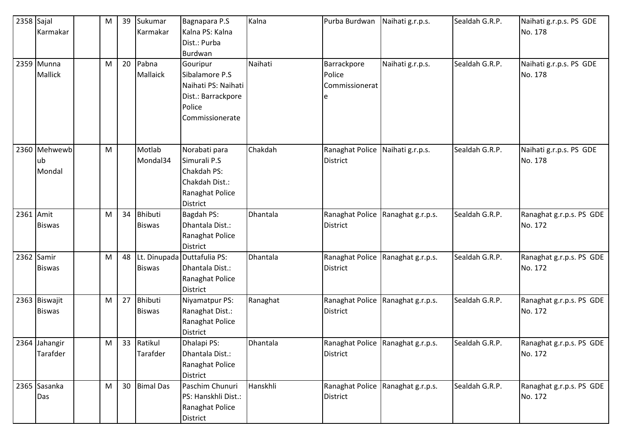| 2358 Sajal |               | M | 39 | Sukumar          | Bagnapara P.S               | Kalna    | Purba Burdwan   | Naihati g.r.p.s.                  | Sealdah G.R.P. | Naihati g.r.p.s. PS GDE  |
|------------|---------------|---|----|------------------|-----------------------------|----------|-----------------|-----------------------------------|----------------|--------------------------|
|            | Karmakar      |   |    | Karmakar         | Kalna PS: Kalna             |          |                 |                                   |                | No. 178                  |
|            |               |   |    |                  | Dist.: Purba                |          |                 |                                   |                |                          |
|            |               |   |    |                  | Burdwan                     |          |                 |                                   |                |                          |
|            | 2359 Munna    | M | 20 | Pabna            | Gouripur                    | Naihati  | Barrackpore     | Naihati g.r.p.s.                  | Sealdah G.R.P. | Naihati g.r.p.s. PS GDE  |
|            | Mallick       |   |    | <b>Mallaick</b>  | Sibalamore P.S              |          | Police          |                                   |                | No. 178                  |
|            |               |   |    |                  | Naihati PS: Naihati         |          | Commissionerat  |                                   |                |                          |
|            |               |   |    |                  | Dist.: Barrackpore          |          | e               |                                   |                |                          |
|            |               |   |    |                  | Police                      |          |                 |                                   |                |                          |
|            |               |   |    |                  | Commissionerate             |          |                 |                                   |                |                          |
|            |               |   |    |                  |                             |          |                 |                                   |                |                          |
|            |               |   |    |                  |                             |          |                 |                                   |                |                          |
|            | 2360 Mehwewb  | M |    | Motlab           | Norabati para               | Chakdah  | Ranaghat Police | Naihati g.r.p.s.                  | Sealdah G.R.P. | Naihati g.r.p.s. PS GDE  |
|            | ub            |   |    | Mondal34         | Simurali P.S                |          | <b>District</b> |                                   |                | No. 178                  |
|            | Mondal        |   |    |                  | Chakdah PS:                 |          |                 |                                   |                |                          |
|            |               |   |    |                  | Chakdah Dist.:              |          |                 |                                   |                |                          |
|            |               |   |    |                  | Ranaghat Police             |          |                 |                                   |                |                          |
|            |               |   |    |                  | District                    |          |                 |                                   |                |                          |
| 2361 Amit  |               | M | 34 | <b>Bhibuti</b>   | Bagdah PS:                  | Dhantala | Ranaghat Police | Ranaghat g.r.p.s.                 | Sealdah G.R.P. | Ranaghat g.r.p.s. PS GDE |
|            | <b>Biswas</b> |   |    | <b>Biswas</b>    | Dhantala Dist.:             |          | District        |                                   |                | No. 172                  |
|            |               |   |    |                  | Ranaghat Police             |          |                 |                                   |                |                          |
|            |               |   |    |                  | District                    |          |                 |                                   |                |                          |
|            | 2362 Samir    | M | 48 |                  | Lt. Dinupada Duttafulia PS: | Dhantala | Ranaghat Police | Ranaghat g.r.p.s.                 | Sealdah G.R.P. | Ranaghat g.r.p.s. PS GDE |
|            | <b>Biswas</b> |   |    | <b>Biswas</b>    | Dhantala Dist.:             |          | District        |                                   |                | No. 172                  |
|            |               |   |    |                  | Ranaghat Police             |          |                 |                                   |                |                          |
|            |               |   |    |                  | District                    |          |                 |                                   |                |                          |
|            | 2363 Biswajit | M | 27 | <b>Bhibuti</b>   | Niyamatpur PS:              | Ranaghat | Ranaghat Police | Ranaghat g.r.p.s.                 | Sealdah G.R.P. | Ranaghat g.r.p.s. PS GDE |
|            | <b>Biswas</b> |   |    | <b>Biswas</b>    | Ranaghat Dist.:             |          | <b>District</b> |                                   |                | No. 172                  |
|            |               |   |    |                  | Ranaghat Police             |          |                 |                                   |                |                          |
|            |               |   |    |                  | District                    |          |                 |                                   |                |                          |
|            | 2364 Jahangir | M |    | 33 Ratikul       | Dhalapi PS:                 | Dhantala |                 | Ranaghat Police Ranaghat g.r.p.s. | Sealdah G.R.P. | Ranaghat g.r.p.s. PS GDE |
|            | Tarafder      |   |    | Tarafder         | Dhantala Dist.:             |          | District        |                                   |                | No. 172                  |
|            |               |   |    |                  | Ranaghat Police             |          |                 |                                   |                |                          |
|            |               |   |    |                  | District                    |          |                 |                                   |                |                          |
|            | 2365 Sasanka  | M | 30 | <b>Bimal Das</b> | Paschim Chunuri             | Hanskhli | Ranaghat Police | Ranaghat g.r.p.s.                 | Sealdah G.R.P. | Ranaghat g.r.p.s. PS GDE |
|            | Das           |   |    |                  | PS: Hanskhli Dist.:         |          | District        |                                   |                | No. 172                  |
|            |               |   |    |                  | Ranaghat Police             |          |                 |                                   |                |                          |
|            |               |   |    |                  | District                    |          |                 |                                   |                |                          |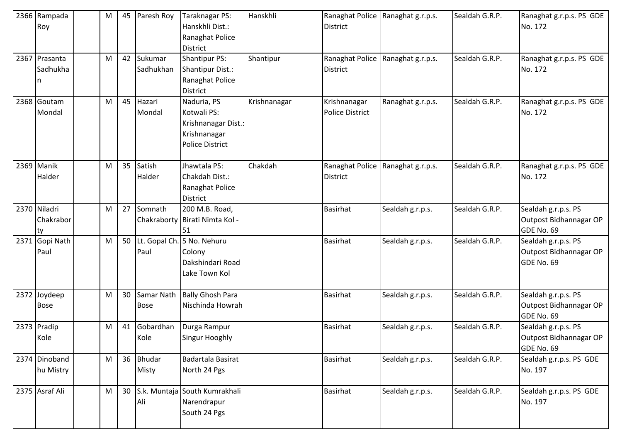| 2366 Rampada<br>Roy             | M | 45              | Paresh Roy                | Taraknagar PS:<br>Hanskhli Dist.:<br>Ranaghat Police<br><b>District</b>              | Hanskhli     | <b>District</b>                        | Ranaghat Police Ranaghat g.r.p.s. | Sealdah G.R.P. | Ranaghat g.r.p.s. PS GDE<br>No. 172                         |
|---------------------------------|---|-----------------|---------------------------|--------------------------------------------------------------------------------------|--------------|----------------------------------------|-----------------------------------|----------------|-------------------------------------------------------------|
| 2367 Prasanta<br>Sadhukha<br>n  | M | 42              | Sukumar<br>Sadhukhan      | <b>Shantipur PS:</b><br>Shantipur Dist.:<br>Ranaghat Police<br><b>District</b>       | Shantipur    | Ranaghat Police<br><b>District</b>     | Ranaghat g.r.p.s.                 | Sealdah G.R.P. | Ranaghat g.r.p.s. PS GDE<br>No. 172                         |
| 2368 Goutam<br>Mondal           | M | 45              | Hazari<br>Mondal          | Naduria, PS<br>Kotwali PS:<br>Krishnanagar Dist.:<br>Krishnanagar<br>Police District | Krishnanagar | Krishnanagar<br><b>Police District</b> | Ranaghat g.r.p.s.                 | Sealdah G.R.P. | Ranaghat g.r.p.s. PS GDE<br>No. 172                         |
| 2369 Manik<br>Halder            | M | 35              | Satish<br>Halder          | Jhawtala PS:<br>Chakdah Dist.:<br>Ranaghat Police<br><b>District</b>                 | Chakdah      | Ranaghat Police<br><b>District</b>     | Ranaghat g.r.p.s.                 | Sealdah G.R.P. | Ranaghat g.r.p.s. PS GDE<br>No. 172                         |
| 2370 Niladri<br>Chakrabor<br>ty | M | 27              | Somnath                   | 200 M.B. Road,<br>Chakraborty Birati Nimta Kol -<br>51                               |              | <b>Basirhat</b>                        | Sealdah g.r.p.s.                  | Sealdah G.R.P. | Sealdah g.r.p.s. PS<br>Outpost Bidhannagar OP<br>GDE No. 69 |
| 2371 Gopi Nath<br>Paul          | M | 50              | Paul                      | Lt. Gopal Ch. 5 No. Nehuru<br>Colony<br>Dakshindari Road<br>Lake Town Kol            |              | <b>Basirhat</b>                        | Sealdah g.r.p.s.                  | Sealdah G.R.P. | Sealdah g.r.p.s. PS<br>Outpost Bidhannagar OP<br>GDE No. 69 |
| 2372 Joydeep<br><b>Bose</b>     | M | 30              | Samar Nath<br><b>Bose</b> | <b>Bally Ghosh Para</b><br>Nischinda Howrah                                          |              | <b>Basirhat</b>                        | Sealdah g.r.p.s.                  | Sealdah G.R.P. | Sealdah g.r.p.s. PS<br>Outpost Bidhannagar OP<br>GDE No. 69 |
| 2373 Pradip<br>Kole             | M | 41              | Gobardhan<br>Kole         | Durga Rampur<br>Singur Hooghly                                                       |              | <b>Basirhat</b>                        | Sealdah g.r.p.s.                  | Sealdah G.R.P. | Sealdah g.r.p.s. PS<br>Outpost Bidhannagar OP<br>GDE No. 69 |
| 2374 Dinoband<br>hu Mistry      | M | 36              | <b>Bhudar</b><br>Misty    | Badartala Basirat<br>North 24 Pgs                                                    |              | <b>Basirhat</b>                        | Sealdah g.r.p.s.                  | Sealdah G.R.P. | Sealdah g.r.p.s. PS GDE<br>No. 197                          |
| 2375 Asraf Ali                  | M | 30 <sup>1</sup> | Ali                       | S.k. Muntaja South Kumrakhali<br>Narendrapur<br>South 24 Pgs                         |              | <b>Basirhat</b>                        | Sealdah g.r.p.s.                  | Sealdah G.R.P. | Sealdah g.r.p.s. PS GDE<br>No. 197                          |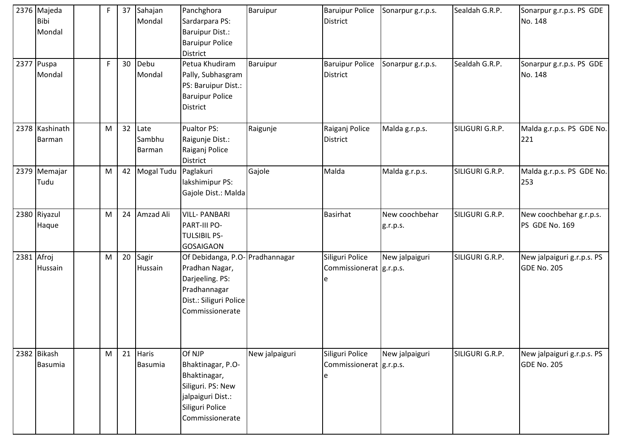| 2376 Majeda<br><b>Bibi</b><br>Mondal | F  | 37 | Sahajan<br>Mondal        | Panchghora<br>Sardarpara PS:<br><b>Baruipur Dist.:</b><br><b>Baruipur Police</b><br><b>District</b>                               | Baruipur       | <b>Baruipur Police</b><br><b>District</b>         | Sonarpur g.r.p.s.          | Sealdah G.R.P.  | Sonarpur g.r.p.s. PS GDE<br>No. 148              |
|--------------------------------------|----|----|--------------------------|-----------------------------------------------------------------------------------------------------------------------------------|----------------|---------------------------------------------------|----------------------------|-----------------|--------------------------------------------------|
| 2377 Puspa<br>Mondal                 | F. | 30 | Debu<br>Mondal           | Petua Khudiram<br>Pally, Subhasgram<br>PS: Baruipur Dist.:<br><b>Baruipur Police</b><br><b>District</b>                           | Baruipur       | <b>Baruipur Police</b><br><b>District</b>         | Sonarpur g.r.p.s.          | Sealdah G.R.P.  | Sonarpur g.r.p.s. PS GDE<br>No. 148              |
| 2378 Kashinath<br>Barman             | M  | 32 | Late<br>Sambhu<br>Barman | Pualtor PS:<br>Raigunje Dist.:<br>Raiganj Police<br><b>District</b>                                                               | Raigunje       | Raiganj Police<br><b>District</b>                 | Malda g.r.p.s.             | SILIGURI G.R.P. | Malda g.r.p.s. PS GDE No.<br>221                 |
| 2379 Memajar<br>Tudu                 | M  | 42 | <b>Mogal Tudu</b>        | Paglakuri<br>lakshimipur PS:<br>Gajole Dist.: Malda                                                                               | Gajole         | Malda                                             | Malda g.r.p.s.             | SILIGURI G.R.P. | Malda g.r.p.s. PS GDE No.<br>253                 |
| 2380 Riyazul<br>Haque                | M  | 24 | Amzad Ali                | <b>VILL-PANBARI</b><br><b>PART-III PO-</b><br><b>TULSIBIL PS-</b><br><b>GOSAIGAON</b>                                             |                | Basirhat                                          | New coochbehar<br>g.r.p.s. | SILIGURI G.R.P. | New coochbehar g.r.p.s.<br>PS GDE No. 169        |
| 2381 Afroj<br>Hussain                | M  | 20 | Sagir<br>Hussain         | Of Debidanga, P.O- Pradhannagar<br>Pradhan Nagar,<br>Darjeeling. PS:<br>Pradhannagar<br>Dist.: Siliguri Police<br>Commissionerate |                | Siliguri Police<br>Commissionerat   g.r.p.s.      | New jalpaiguri             | SILIGURI G.R.P. | New jalpaiguri g.r.p.s. PS<br><b>GDE No. 205</b> |
| 2382 Bikash<br>Basumia               | M  | 21 | <b>Haris</b><br>Basumia  | Of NJP<br>Bhaktinagar, P.O-<br>Bhaktinagar,<br>Siliguri. PS: New<br>jalpaiguri Dist.:<br>Siliguri Police<br>Commissionerate       | New jalpaiguri | Siliguri Police<br>Commissionerat   g.r.p.s.<br>e | New jalpaiguri             | SILIGURI G.R.P. | New jalpaiguri g.r.p.s. PS<br><b>GDE No. 205</b> |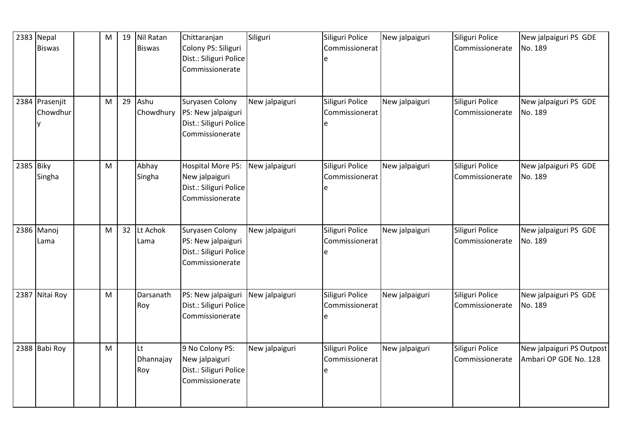|           | 2383 Nepal<br><b>Biswas</b> | M | 19 | Nil Ratan<br><b>Biswas</b> | Chittaranjan<br>Colony PS: Siliguri<br>Dist.: Siliguri Police<br>Commissionerate        | Siliguri       | Siliguri Police<br>Commissionerat      | New jalpaiguri | Siliguri Police<br>Commissionerate | New jalpaiguri PS GDE<br>No. 189                   |
|-----------|-----------------------------|---|----|----------------------------|-----------------------------------------------------------------------------------------|----------------|----------------------------------------|----------------|------------------------------------|----------------------------------------------------|
|           | 2384 Prasenjit<br>Chowdhur  | M | 29 | Ashu<br>Chowdhury          | Suryasen Colony<br>PS: New jalpaiguri<br>Dist.: Siliguri Police<br>Commissionerate      | New jalpaiguri | Siliguri Police<br>Commissionerat<br>e | New jalpaiguri | Siliguri Police<br>Commissionerate | New jalpaiguri PS GDE<br>No. 189                   |
| 2385 Biky | Singha                      | M |    | Abhay<br>Singha            | <b>Hospital More PS:</b><br>New jalpaiguri<br>Dist.: Siliguri Police<br>Commissionerate | New jalpaiguri | Siliguri Police<br>Commissionerat      | New jalpaiguri | Siliguri Police<br>Commissionerate | New jalpaiguri PS GDE<br>No. 189                   |
|           | 2386 Manoj<br>Lama          | M | 32 | Lt Achok<br>Lama           | Suryasen Colony<br>PS: New jalpaiguri<br>Dist.: Siliguri Police<br>Commissionerate      | New jalpaiguri | Siliguri Police<br>Commissionerat      | New jalpaiguri | Siliguri Police<br>Commissionerate | New jalpaiguri PS GDE<br>No. 189                   |
|           | 2387 Nitai Roy              | M |    | Darsanath<br>Roy           | PS: New jalpaiguri<br>Dist.: Siliguri Police<br>Commissionerate                         | New jalpaiguri | Siliguri Police<br>Commissionerat      | New jalpaiguri | Siliguri Police<br>Commissionerate | New jalpaiguri PS GDE<br>No. 189                   |
|           | 2388 Babi Roy               | M |    | Lt<br>Dhannajay<br>Roy     | 9 No Colony PS:<br>New jalpaiguri<br>Dist.: Siliguri Police<br>Commissionerate          | New jalpaiguri | Siliguri Police<br>Commissionerat      | New jalpaiguri | Siliguri Police<br>Commissionerate | New jalpaiguri PS Outpost<br>Ambari OP GDE No. 128 |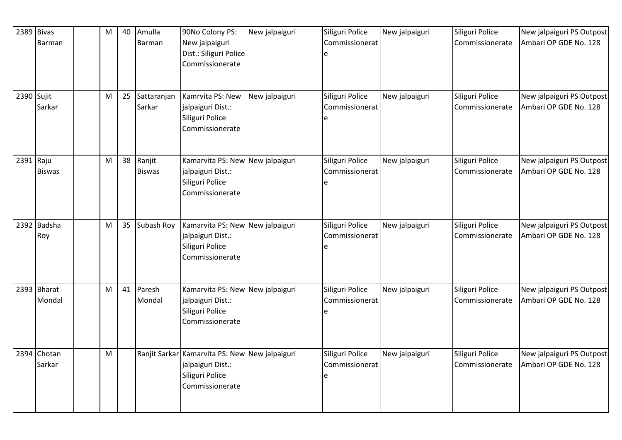|            | $2389$ Bivas          | M | 40 | Amulla                  | 90No Colony PS:                                                                                           | New jalpaiguri | Siliguri Police                        | New jalpaiguri | Siliguri Police                    | New jalpaiguri PS Outpost                          |
|------------|-----------------------|---|----|-------------------------|-----------------------------------------------------------------------------------------------------------|----------------|----------------------------------------|----------------|------------------------------------|----------------------------------------------------|
|            | Barman                |   |    | Barman                  | New jalpaiguri<br>Dist.: Siliguri Police<br>Commissionerate                                               |                | Commissionerat                         |                | Commissionerate                    | Ambari OP GDE No. 128                              |
| 2390 Sujit | Sarkar                | M | 25 | Sattaranjan<br>Sarkar   | Kamrvita PS: New<br>jalpaiguri Dist.:<br>Siliguri Police<br>Commissionerate                               | New jalpaiguri | Siliguri Police<br>Commissionerat<br>e | New jalpaiguri | Siliguri Police<br>Commissionerate | New jalpaiguri PS Outpost<br>Ambari OP GDE No. 128 |
| 2391 Raju  | <b>Biswas</b>         | M | 38 | Ranjit<br><b>Biswas</b> | Kamarvita PS: New New jalpaiguri<br>jalpaiguri Dist.:<br>Siliguri Police<br>Commissionerate               |                | Siliguri Police<br>Commissionerat<br>e | New jalpaiguri | Siliguri Police<br>Commissionerate | New jalpaiguri PS Outpost<br>Ambari OP GDE No. 128 |
|            | 2392 Badsha<br>Roy    | M | 35 | Subash Roy              | Kamarvita PS: New New jalpaiguri<br>jalpaiguri Dist.:<br>Siliguri Police<br>Commissionerate               |                | Siliguri Police<br>Commissionerat      | New jalpaiguri | Siliguri Police<br>Commissionerate | New jalpaiguri PS Outpost<br>Ambari OP GDE No. 128 |
|            | 2393 Bharat<br>Mondal | M | 41 | Paresh<br>Mondal        | Kamarvita PS: New New jalpaiguri<br>jalpaiguri Dist.:<br>Siliguri Police<br>Commissionerate               |                | Siliguri Police<br>Commissionerat      | New jalpaiguri | Siliguri Police<br>Commissionerate | New jalpaiguri PS Outpost<br>Ambari OP GDE No. 128 |
|            | 2394 Chotan<br>Sarkar | M |    |                         | Ranjit Sarkar Kamarvita PS: New New jalpaiguri<br>jalpaiguri Dist.:<br>Siliguri Police<br>Commissionerate |                | Siliguri Police<br>Commissionerat<br>e | New jalpaiguri | Siliguri Police<br>Commissionerate | New jalpaiguri PS Outpost<br>Ambari OP GDE No. 128 |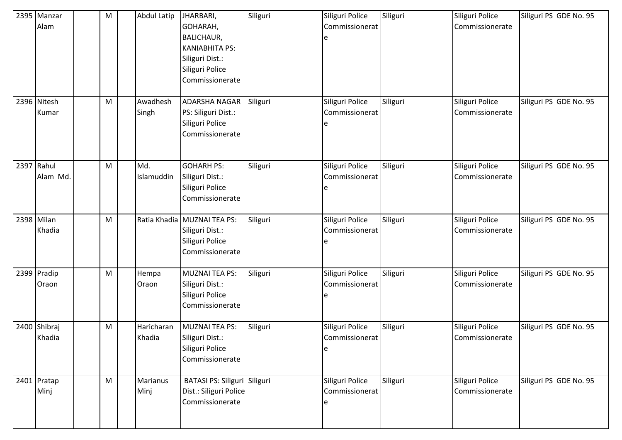|            | 2395 Manzar<br>Alam    | ${\sf M}$ | Abdul Latip          | JHARBARI,<br>GOHARAH,<br><b>BALICHAUR,</b><br><b>KANIABHITA PS:</b><br>Siliguri Dist.:<br>Siliguri Police<br>Commissionerate | Siliguri | Siliguri Police<br>Commissionerat<br>e  | Siliguri | Siliguri Police<br>Commissionerate | Siliguri PS GDE No. 95 |
|------------|------------------------|-----------|----------------------|------------------------------------------------------------------------------------------------------------------------------|----------|-----------------------------------------|----------|------------------------------------|------------------------|
|            | 2396 Nitesh<br>Kumar   | M         | Awadhesh<br>Singh    | <b>ADARSHA NAGAR</b><br>PS: Siliguri Dist.:<br>Siliguri Police<br>Commissionerate                                            | Siliguri | Siliguri Police<br>Commissionerat<br>e  | Siliguri | Siliguri Police<br>Commissionerate | Siliguri PS GDE No. 95 |
| 2397 Rahul | Alam Md.               | M         | Md.<br>Islamuddin    | <b>GOHARH PS:</b><br>Siliguri Dist.:<br>Siliguri Police<br>Commissionerate                                                   | Siliguri | Siliguri Police<br>Commissionerat<br>e  | Siliguri | Siliguri Police<br>Commissionerate | Siliguri PS GDE No. 95 |
|            | 2398 Milan<br>Khadia   | M         |                      | Ratia Khadia MUZNAI TEA PS:<br>Siliguri Dist.:<br>Siliguri Police<br>Commissionerate                                         | Siliguri | Siliguri Police<br>Commissionerat<br>e  | Siliguri | Siliguri Police<br>Commissionerate | Siliguri PS GDE No. 95 |
|            | 2399 Pradip<br>Oraon   | ${\sf M}$ | Hempa<br>Oraon       | MUZNAI TEA PS:<br>Siliguri Dist.:<br>Siliguri Police<br>Commissionerate                                                      | Siliguri | Siliguri Police<br>Commissionerat<br>e  | Siliguri | Siliguri Police<br>Commissionerate | Siliguri PS GDE No. 95 |
|            | 2400 Shibraj<br>Khadia | M         | Haricharan<br>Khadia | <b>MUZNAI TEA PS:</b><br>Siliguri Dist.:<br>Siliguri Police<br>Commissionerate                                               | Siliguri | Siliguri Police<br>Commissionerat<br>le | Siliguri | Siliguri Police<br>Commissionerate | Siliguri PS GDE No. 95 |
|            | 2401 Pratap<br>Minj    | M         | Marianus<br>Minj     | BATASI PS: Siliguri Siliguri<br>Dist.: Siliguri Police<br>Commissionerate                                                    |          | Siliguri Police<br>Commissionerat<br>le | Siliguri | Siliguri Police<br>Commissionerate | Siliguri PS GDE No. 95 |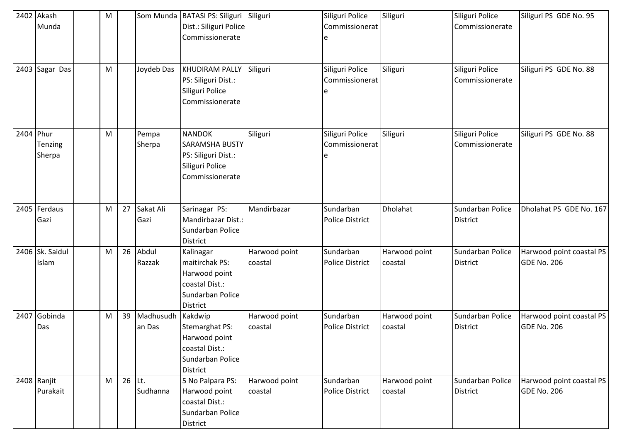|           | 2402 Akash      | M |          |            | Som Munda   BATASI PS: Siliguri | Siliguri      | Siliguri Police        | Siliguri      | Siliguri Police  | Siliguri PS GDE No. 95   |
|-----------|-----------------|---|----------|------------|---------------------------------|---------------|------------------------|---------------|------------------|--------------------------|
|           | Munda           |   |          |            | Dist.: Siliguri Police          |               | Commissionerat         |               | Commissionerate  |                          |
|           |                 |   |          |            | Commissionerate                 |               |                        |               |                  |                          |
|           |                 |   |          |            |                                 |               |                        |               |                  |                          |
|           |                 |   |          |            |                                 |               |                        |               |                  |                          |
|           | 2403 Sagar Das  | M |          | Joydeb Das | KHUDIRAM PALLY                  | Siliguri      | Siliguri Police        | Siliguri      | Siliguri Police  | Siliguri PS GDE No. 88   |
|           |                 |   |          |            | PS: Siliguri Dist.:             |               | Commissionerat         |               | Commissionerate  |                          |
|           |                 |   |          |            | Siliguri Police                 |               |                        |               |                  |                          |
|           |                 |   |          |            | Commissionerate                 |               |                        |               |                  |                          |
|           |                 |   |          |            |                                 |               |                        |               |                  |                          |
|           |                 |   |          |            |                                 |               |                        |               |                  |                          |
| 2404 Phur |                 | M |          | Pempa      | <b>NANDOK</b>                   | Siliguri      | Siliguri Police        | Siliguri      | Siliguri Police  | Siliguri PS GDE No. 88   |
|           | Tenzing         |   |          | Sherpa     | <b>SARAMSHA BUSTY</b>           |               | Commissionerat         |               | Commissionerate  |                          |
|           | Sherpa          |   |          |            | PS: Siliguri Dist.:             |               |                        |               |                  |                          |
|           |                 |   |          |            | Siliguri Police                 |               |                        |               |                  |                          |
|           |                 |   |          |            | Commissionerate                 |               |                        |               |                  |                          |
|           |                 |   |          |            |                                 |               |                        |               |                  |                          |
|           |                 |   |          |            |                                 |               |                        |               |                  |                          |
|           | 2405 Ferdaus    | M | 27       | Sakat Ali  | Sarinagar PS:                   | Mandirbazar   | Sundarban              | Dholahat      | Sundarban Police | Dholahat PS GDE No. 167  |
|           | Gazi            |   |          | Gazi       | Mandirbazar Dist.:              |               | <b>Police District</b> |               | <b>District</b>  |                          |
|           |                 |   |          |            | Sundarban Police                |               |                        |               |                  |                          |
|           |                 |   |          |            | District                        |               |                        |               |                  |                          |
|           | 2406 Sk. Saidul | M | 26       | Abdul      | Kalinagar                       | Harwood point | Sundarban              | Harwood point | Sundarban Police | Harwood point coastal PS |
|           | Islam           |   |          | Razzak     | maitirchak PS:                  | coastal       | <b>Police District</b> | coastal       | <b>District</b>  | <b>GDE No. 206</b>       |
|           |                 |   |          |            | Harwood point                   |               |                        |               |                  |                          |
|           |                 |   |          |            | coastal Dist.:                  |               |                        |               |                  |                          |
|           |                 |   |          |            | Sundarban Police                |               |                        |               |                  |                          |
|           |                 |   |          |            | District                        |               |                        |               |                  |                          |
|           | 2407 Gobinda    | M | 39       | Madhusudh  | Kakdwip                         | Harwood point | Sundarban              | Harwood point | Sundarban Police | Harwood point coastal PS |
|           | Das             |   |          | an Das     | Stemarghat PS:                  | coastal       | <b>Police District</b> | coastal       | <b>District</b>  | <b>GDE No. 206</b>       |
|           |                 |   |          |            | Harwood point                   |               |                        |               |                  |                          |
|           |                 |   |          |            | coastal Dist.:                  |               |                        |               |                  |                          |
|           |                 |   |          |            | Sundarban Police                |               |                        |               |                  |                          |
|           |                 |   |          |            | District                        |               |                        |               |                  |                          |
|           | 2408 Ranjit     | M | $26$ Lt. |            | 5 No Palpara PS:                | Harwood point | Sundarban              | Harwood point | Sundarban Police | Harwood point coastal PS |
|           | Purakait        |   |          | Sudhanna   | Harwood point                   | coastal       | Police District        | coastal       | <b>District</b>  | GDE No. 206              |
|           |                 |   |          |            | coastal Dist.:                  |               |                        |               |                  |                          |
|           |                 |   |          |            | Sundarban Police                |               |                        |               |                  |                          |
|           |                 |   |          |            | District                        |               |                        |               |                  |                          |